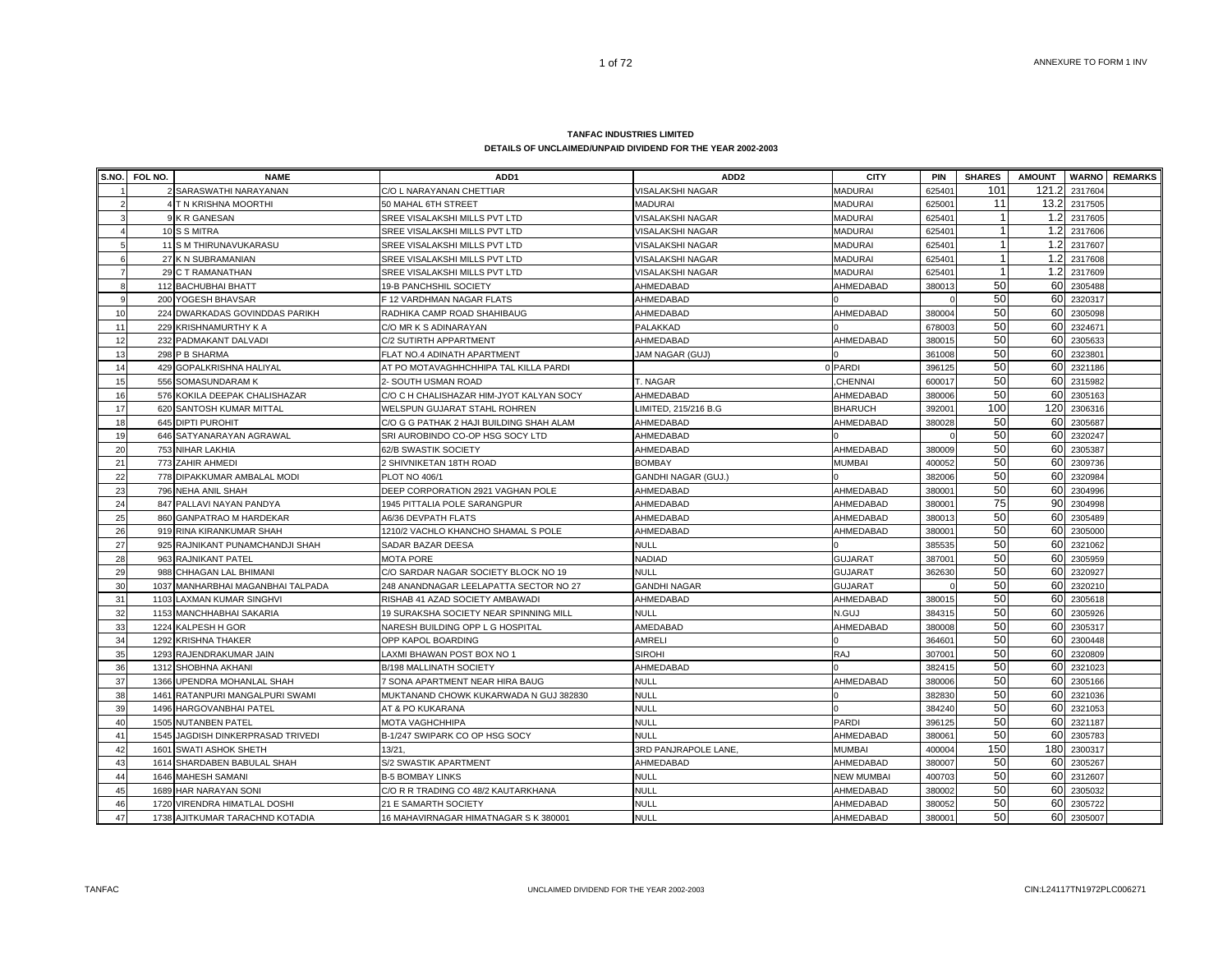| S.NO.          | FOL NO. | <b>NAME</b>                       | ADD <sub>1</sub>                         | ADD <sub>2</sub>           | <b>CITY</b>       | PIN    | <b>SHARES</b> | <b>AMOUNT</b> |             | <b>WARNO</b> REMARKS |
|----------------|---------|-----------------------------------|------------------------------------------|----------------------------|-------------------|--------|---------------|---------------|-------------|----------------------|
|                |         | 2 SARASWATHI NARAYANAN            | C/O L NARAYANAN CHETTIAR                 | <b>VISALAKSHI NAGAR</b>    | <b>MADURAI</b>    | 62540  | 101           | 121.2         | 2317604     |                      |
|                |         | <b>T N KRISHNA MOORTHI</b>        | 50 MAHAL 6TH STREET                      | <b>MADURAI</b>             | <b>MADURAI</b>    | 625001 | 11            | 13.2          | 2317505     |                      |
|                |         | 9 K R GANESAN                     | SREE VISALAKSHI MILLS PVT LTD            | VISALAKSHI NAGAR           | <b>MADURAI</b>    | 625401 |               | 1.2           | 2317605     |                      |
|                |         | 10 S S MITRA                      | SREE VISALAKSHI MILLS PVT LTD            | /ISALAKSHI NAGAR           | <b>MADURAI</b>    | 625401 |               | 1.2           | 2317606     |                      |
| 5              |         | 11 S M THIRUNAVUKARASU            | SREE VISALAKSHI MILLS PVT LTD            | VISALAKSHI NAGAR           | <b>MADURAI</b>    | 625401 |               | 1.2           | 2317607     |                      |
| 6              |         | 27 K N SUBRAMANIAN                | SREE VISALAKSHI MILLS PVT LTD            | VISALAKSHI NAGAR           | <b>MADURAI</b>    | 625401 |               | 1.2           | 2317608     |                      |
| $\overline{7}$ |         | 29 C T RAMANATHAN                 | SREE VISALAKSHI MILLS PVT LTD            | VISALAKSHI NAGAR           | <b>MADURAI</b>    | 625401 |               |               | 1.2 2317609 |                      |
| 8              |         | 112 BACHUBHAI BHATT               | <b>19-B PANCHSHIL SOCIETY</b>            | AHMEDABAD                  | AHMEDABAD         | 38001  | 50            |               | 60 2305488  |                      |
| $\mathbf{q}$   |         | 200 YOGESH BHAVSAR                | F 12 VARDHMAN NAGAR FLATS                | AHMEDABAD                  |                   |        | 50            |               | 60 2320317  |                      |
| 10             |         | 224 DWARKADAS GOVINDDAS PARIKH    | RADHIKA CAMP ROAD SHAHIBAUG              | AHMEDABAD                  | AHMEDABAD         | 380004 | 50            |               | 60 2305098  |                      |
| 11             |         | 229 KRISHNAMURTHY K A             | C/O MR K S ADINARAYAN                    | PALAKKAD                   |                   | 678003 | 50            |               | 60 2324671  |                      |
| 12             |         | 232 PADMAKANT DALVADI             | C/2 SUTIRTH APPARTMENT                   | AHMEDABAD                  | AHMEDABAD         | 380015 | 50            |               | 60 2305633  |                      |
| 13             |         | 298 P B SHARMA                    | FLAT NO.4 ADINATH APARTMENT              | <b>JAM NAGAR (GUJ)</b>     |                   | 361008 | 50            |               | 60 2323801  |                      |
| 14             |         | 429 GOPALKRISHNA HALIYAL          | AT PO MOTAVAGHHCHHIPA TAL KILLA PARDI    |                            | 0 PARDI           | 396125 | 50            |               | 60 2321186  |                      |
| 15             |         | 556 SOMASUNDARAM K                | 2- SOUTH USMAN ROAD                      | T. NAGAR                   | CHENNAI           | 600017 | 50            | 60            | 2315982     |                      |
| 16             |         | 576 KOKILA DEEPAK CHALISHAZAR     | C/O C H CHALISHAZAR HIM-JYOT KALYAN SOCY | AHMEDABAD                  | AHMEDABAD         | 380006 | 50            | 60            | 2305163     |                      |
| 17             |         | 620 SANTOSH KUMAR MITTAL          | WELSPUN GUJARAT STAHL ROHREN             | LIMITED, 215/216 B.G       | <b>BHARUCH</b>    | 392001 | 100           | 120           | 2306316     |                      |
| 18             |         | 645 DIPTI PUROHIT                 | C/O G G PATHAK 2 HAJI BUILDING SHAH ALAM | AHMEDABAD                  | AHMEDABAD         | 380028 | 50            | 60            | 2305687     |                      |
| 19             |         | 646 SATYANARAYAN AGRAWAL          | SRI AUROBINDO CO-OP HSG SOCY LTD         | AHMEDABAD                  |                   |        | 50            | 60            | 2320247     |                      |
| 20             |         | 753 NIHAR LAKHIA                  | 62/B SWASTIK SOCIETY                     | AHMEDABAD                  | AHMEDABAD         | 380009 | 50            |               | 60 2305387  |                      |
| 21             |         | 773 ZAHIR AHMEDI                  | 2 SHIVNIKETAN 18TH ROAD                  | <b>BOMBAY</b>              | <b>MUMBAI</b>     | 400052 | 50            |               | 60 2309736  |                      |
| 22             |         | 778 DIPAKKUMAR AMBALAL MODI       | PLOT NO 406/1                            | <b>GANDHI NAGAR (GUJ.)</b> |                   | 382006 | 50            |               | 60 2320984  |                      |
| 23             |         | 796 NEHA ANIL SHAH                | DEEP CORPORATION 2921 VAGHAN POLE        | AHMEDABAD                  | AHMEDABAD         | 380001 | 50            |               | 60 2304996  |                      |
| 24             |         | 847 PALLAVI NAYAN PANDYA          | 1945 PITTALIA POLE SARANGPUR             | AHMEDABAD                  | AHMEDABAD         | 38000  | 75            |               | 90 2304998  |                      |
| 25             |         | 860 GANPATRAO M HARDEKAR          | A6/36 DEVPATH FLATS                      | AHMEDABAD                  | AHMEDABAD         | 38001  | 50            |               | 60 2305489  |                      |
| 26             |         | 919 RINA KIRANKUMAR SHAH          | 1210/2 VACHLO KHANCHO SHAMAL S POLE      | AHMEDABAD                  | AHMEDABAD         | 380001 | 50            |               | 60 2305000  |                      |
| 27             |         | 925 RAJNIKANT PUNAMCHANDJI SHAH   | <b>SADAR BAZAR DEESA</b>                 | <b>NULL</b>                |                   | 385535 | 50            |               | 60 2321062  |                      |
| 28             |         | 963 RAJNIKANT PATEL               | <b>MOTA PORE</b>                         | NADIAD                     | <b>GUJARAT</b>    | 387001 | 50            |               | 60 2305959  |                      |
| 29             |         | 988 CHHAGAN LAL BHIMANI           | C/O SARDAR NAGAR SOCIETY BLOCK NO 19     | <b>NULL</b>                | <b>GUJARAT</b>    | 362630 | 50            | 60            | 2320927     |                      |
| 30             |         | 1037 MANHARBHAI MAGANBHAI TALPADA | 248 ANANDNAGAR LEELAPATTA SECTOR NO 27   | <b>GANDHI NAGAR</b>        | <b>GUJARAT</b>    |        | 50            | 60            | 2320210     |                      |
| 31             |         | 1103 LAXMAN KUMAR SINGHVI         | RISHAB 41 AZAD SOCIETY AMBAWADI          | AHMEDABAD                  | AHMEDABAD         | 380015 | 50            | 60            | 2305618     |                      |
| 32             |         | 1153 MANCHHABHAI SAKARIA          | 19 SURAKSHA SOCIETY NEAR SPINNING MILL   | <b>NULL</b>                | N.GUJ             | 384315 | 50            |               | 60 2305926  |                      |
| 33             |         | 1224 KALPESH H GOR                | NARESH BUILDING OPP L G HOSPITAL         | AMEDABAD                   | AHMEDABAD         | 380008 | 50            |               | 60 2305317  |                      |
| 34             |         | 1292 KRISHNA THAKER               | OPP KAPOL BOARDING                       | AMRELI                     |                   | 364601 | 50            |               | 60 2300448  |                      |
| 35             |         | 1293 RAJENDRAKUMAR JAIN           | LAXMI BHAWAN POST BOX NO 1               | <b>SIROHI</b>              | <b>RAJ</b>        | 307001 | 50            |               | 60 2320809  |                      |
| 36             |         | 1312 SHOBHNA AKHANI               | <b>B/198 MALLINATH SOCIETY</b>           | AHMEDABAD                  |                   | 382415 | 50            |               | 60 2321023  |                      |
| 37             |         | 1366 UPENDRA MOHANLAL SHAH        | 7 SONA APARTMENT NEAR HIRA BAUG          | <b>NULL</b>                | AHMEDABAD         | 380006 | 50            |               | 60 2305166  |                      |
| 38             | 1461    | RATANPURI MANGALPURI SWAMI        | MUKTANAND CHOWK KUKARWADA N GUJ 382830   | <b>NULL</b>                |                   | 382830 | 50            |               | 60 2321036  |                      |
| 39             |         | 1496 HARGOVANBHAI PATEL           | AT & PO KUKARANA                         | <b>NULL</b>                |                   | 384240 | 50            |               | 60 2321053  |                      |
| 40             |         | 1505 NUTANBEN PATEL               | <b>MOTA VAGHCHHIPA</b>                   | <b>NULL</b>                | <b>PARDI</b>      | 396125 | 50            |               | 60 2321187  |                      |
| 41             |         | 1545 JAGDISH DINKERPRASAD TRIVEDI | B-1/247 SWIPARK CO OP HSG SOCY           | <b>NULL</b>                | AHMEDABAD         | 380061 | 50            |               | 60 2305783  |                      |
| 42             | 1601    | SWATI ASHOK SHETH                 | 13/21                                    | 3RD PANJRAPOLE LANE        | <b>MUMBAI</b>     | 400004 | 150           |               | 180 2300317 |                      |
| 43             |         | 1614 SHARDABEN BABULAL SHAH       | S/2 SWASTIK APARTMENT                    | AHMEDABAD                  | AHMEDABAD         | 380007 | 50            |               | 60 2305267  |                      |
| 44             |         | 1646 MAHESH SAMANI                | <b>B-5 BOMBAY LINKS</b>                  | <b>NULL</b>                | <b>NEW MUMBAI</b> | 400703 | 50            | 60            | 2312607     |                      |
| 45             |         | 1689 HAR NARAYAN SONI             | C/O R R TRADING CO 48/2 KAUTARKHANA      | <b>NULL</b>                | AHMEDABAD         | 380002 | 50            | 60            | 2305032     |                      |
| 46             |         | 1720 VIRENDRA HIMATLAL DOSHI      | 21 E SAMARTH SOCIETY                     | <b>NULL</b>                | AHMEDABAD         | 380052 | 50            | 60            | 2305722     |                      |
| 47             |         | 1738 AJITKUMAR TARACHND KOTADIA   | 16 MAHAVIRNAGAR HIMATNAGAR S K 380001    | <b>NULL</b>                | AHMEDABAD         | 380001 | 50            |               | 60 2305007  |                      |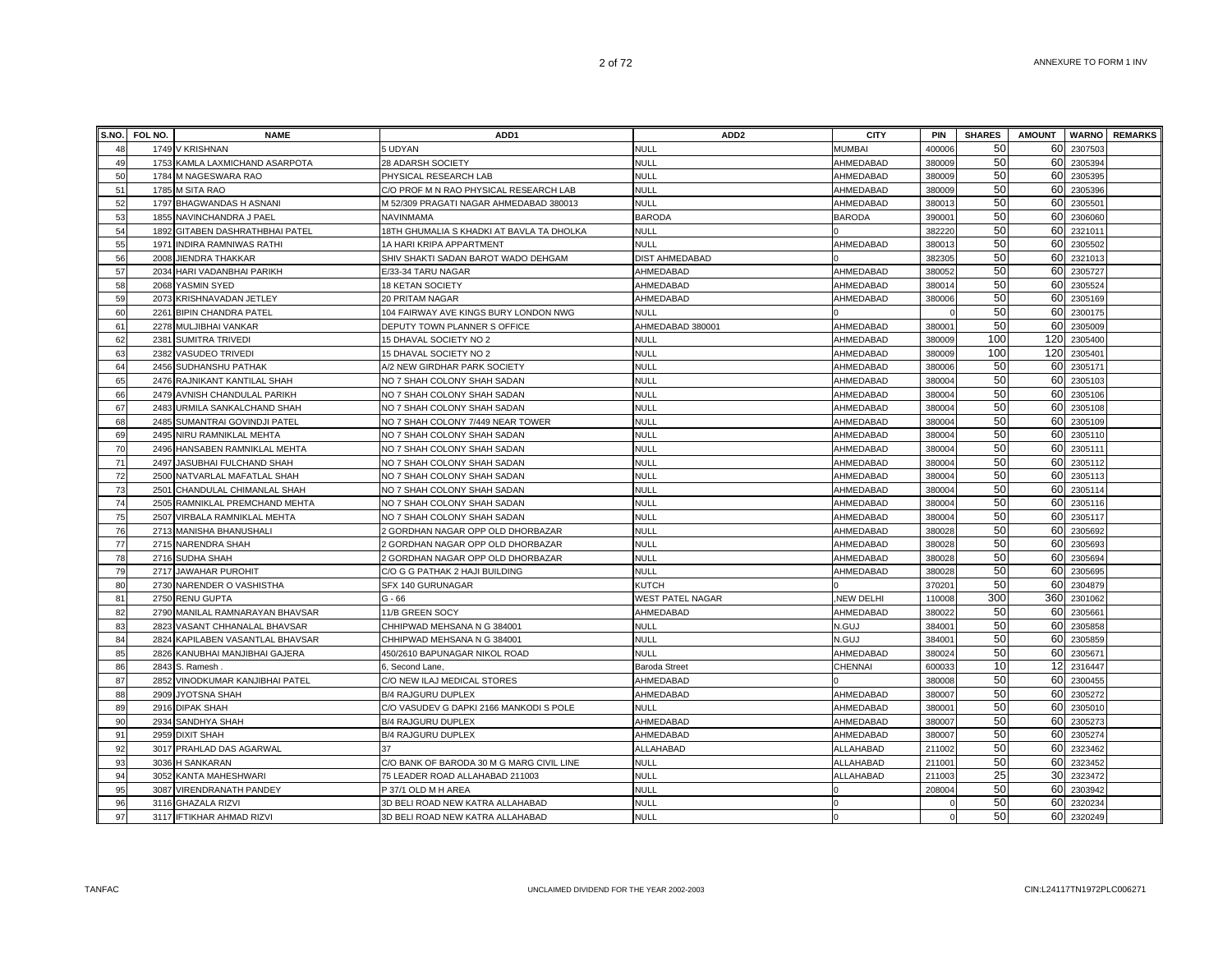| S.NO.    | FOL NO. | <b>NAME</b>                              | ADD <sub>1</sub>                                                             | ADD <sub>2</sub>         | <b>CITY</b>            | PIN                | <b>SHARES</b> | <b>AMOUNT</b> |                    | <b>WARNO</b> REMARKS |
|----------|---------|------------------------------------------|------------------------------------------------------------------------------|--------------------------|------------------------|--------------------|---------------|---------------|--------------------|----------------------|
| 48       |         | 1749 V KRISHNAN                          | 5 UDYAN                                                                      | <b>NULL</b>              | <b>MUMBAI</b>          | 400006             | 50            | 60            | 2307503            |                      |
| 49       |         | 1753 KAMLA LAXMICHAND ASARPOTA           | 28 ADARSH SOCIETY                                                            | <b>NULL</b>              | AHMEDABAD              | 380009             | 50            | 60            | 2305394            |                      |
| 50       |         | 1784 M NAGESWARA RAO                     | PHYSICAL RESEARCH LAB                                                        | <b>NULL</b>              | AHMEDABAD              | 380009             | 50            | 60            | 2305395            |                      |
| 51       |         | 1785 M SITA RAO                          | C/O PROF M N RAO PHYSICAL RESEARCH LAB                                       | <b>NULL</b>              | AHMEDABAD              | 380009             | 50            | 60            | 2305396            |                      |
| 52       |         | 1797 BHAGWANDAS H ASNANI                 | M 52/309 PRAGATI NAGAR AHMEDABAD 380013                                      | <b>NULL</b>              | AHMEDABAD              | 38001              | 50            | 60            | 2305501            |                      |
| 53       |         | 1855 NAVINCHANDRA J PAEL                 | <b>NAVINMAMA</b>                                                             | <b>BARODA</b>            | <b>BARODA</b>          | 39000 <sup>-</sup> | 50            | 60            | 2306060            |                      |
| 54       |         | 1892 GITABEN DASHRATHBHAI PATEL          | 18TH GHUMALIA S KHADKI AT BAVLA TA DHOLKA                                    | <b>NULL</b>              |                        | 382220             | 50            | 60            | 2321011            |                      |
| 55       |         | 1971 INDIRA RAMNIWAS RATHI               | 1A HARI KRIPA APPARTMENT                                                     | <b>NULL</b>              | AHMEDABAD              | 38001              | 50            | 60            | 2305502            |                      |
| 56       |         | 2008 JIENDRA THAKKAR                     | SHIV SHAKTI SADAN BAROT WADO DEHGAM                                          | <b>DIST AHMEDABAD</b>    |                        | 382305             | 50            | 60            | 2321013            |                      |
| 57       |         | 2034 HARI VADANBHAI PARIKH               | E/33-34 TARU NAGAR                                                           | AHMEDABAD                | AHMEDABAD              | 38005              | 50            | 60            | 2305727            |                      |
| 58       | 2068    | YASMIN SYED                              | 18 KETAN SOCIETY                                                             | AHMEDABAD                | AHMEDABAD              | 38001              | 50            | 60            | 230552             |                      |
| 59       |         | 2073 KRISHNAVADAN JETLEY                 | 20 PRITAM NAGAR                                                              | AHMEDABAD                | AHMEDABAD              | 380006             | 50            | 60            | 2305169            |                      |
| 60       |         | 2261 BIPIN CHANDRA PATEL                 | 104 FAIRWAY AVE KINGS BURY LONDON NWG                                        | <b>NULL</b>              |                        |                    | 50            | 60            | 2300175            |                      |
| 61       |         | 2278 MULJIBHAI VANKAR                    | DEPUTY TOWN PLANNER S OFFICE                                                 | AHMEDABAD 380001         | AHMEDABAD              | 38000              | 50            | 60            | 2305009            |                      |
| 62       |         | 2381 SUMITRA TRIVEDI                     | 15 DHAVAL SOCIETY NO 2                                                       | <b>NULL</b>              | AHMEDABAD              | 380009             | 100           | 120           | 2305400            |                      |
| 63       |         | 2382 VASUDEO TRIVEDI                     | 15 DHAVAL SOCIETY NO 2                                                       | <b>NULL</b>              | AHMEDABAD              | 380009             | 100           | 120           | 2305401            |                      |
| 64       |         | 2456 SUDHANSHU PATHAK                    | A/2 NEW GIRDHAR PARK SOCIETY                                                 | <b>NULL</b>              | AHMEDABAD              | 380006             | 50            | 60            | 2305171            |                      |
| 65       |         | 2476 RAJNIKANT KANTILAL SHAH             | NO 7 SHAH COLONY SHAH SADAN                                                  | <b>NULL</b>              | AHMEDABAD              | 380004             | 50            | 60            | 2305103            |                      |
| 66       |         | 2479 AVNISH CHANDULAL PARIKH             | NO 7 SHAH COLONY SHAH SADAN                                                  | NULL                     | AHMEDABAD              | 38000              | 50            | 60            | 2305106            |                      |
| 67       |         | 2483 URMILA SANKALCHAND SHAH             | NO 7 SHAH COLONY SHAH SADAN                                                  | <b>NULL</b>              | AHMEDABAD              | 38000              | 50            | 60            | 2305108            |                      |
| 68       |         | 2485 SUMANTRAI GOVINDJI PATEL            | NO 7 SHAH COLONY 7/449 NEAR TOWER                                            | <b>NULL</b>              | AHMEDABAD              | 38000              | 50            | 60            | 2305109            |                      |
| 69       |         | 2495 NIRU RAMNIKLAL MEHTA                | NO 7 SHAH COLONY SHAH SADAN                                                  | <b>NULL</b>              | AHMEDABAD              | 38000              | 50            | 60            | 2305110            |                      |
| 70       |         | 2496 HANSABEN RAMNIKLAL MEHTA            | NO 7 SHAH COLONY SHAH SADAN                                                  | <b>NULL</b>              | AHMEDABAD              | 38000              | 50            | 60            | 2305111            |                      |
| 71       |         | 2497 JASUBHAI FULCHAND SHAH              | NO 7 SHAH COLONY SHAH SADAN                                                  | <b>NULL</b>              | AHMEDABAD              | 380004             | 50            | 60            | 2305112            |                      |
| 72       |         | 2500 NATVARLAL MAFATLAL SHAH             | NO 7 SHAH COLONY SHAH SADAN                                                  | <b>NULL</b>              | AHMEDABAD              | 380004             | 50            | 60            | 2305113            |                      |
| 73       |         | 2501 CHANDULAL CHIMANLAL SHAH            | NO 7 SHAH COLONY SHAH SADAN                                                  | <b>NULL</b>              | AHMEDABAD              | 380004             | 50            | 60            | 2305114            |                      |
| 74       |         | 2505 RAMNIKLAL PREMCHAND MEHTA           | NO 7 SHAH COLONY SHAH SADAN                                                  | NULL                     | AHMEDABAD              | 380004             | 50            | 60            | 2305116            |                      |
| 75       |         | 2507 VIRBALA RAMNIKLAL MEHTA             | NO 7 SHAH COLONY SHAH SADAN                                                  | NULL                     | AHMEDABAD              | 380004             | 50            | 60            | 2305117            |                      |
| 76       |         | 2713 MANISHA BHANUSHALI                  | 2 GORDHAN NAGAR OPP OLD DHORBAZAR                                            | NULL                     | AHMEDABAD              | 380028             | 50            | 60            | 2305692            |                      |
| 77       |         | 2715 NARENDRA SHAH                       | 2 GORDHAN NAGAR OPP OLD DHORBAZAR                                            | <b>NULL</b>              | AHMEDABAD              | 38002              | 50            | 60            | 230569             |                      |
| 78       |         | 2716 SUDHA SHAH                          | 2 GORDHAN NAGAR OPP OLD DHORBAZAR                                            | <b>NULL</b>              | AHMEDABAD              | 380028             | 50            | 60            | 230569             |                      |
| 79       |         | 2717 JAWAHAR PUROHIT                     | C/O G G PATHAK 2 HAJI BUILDING                                               | <b>NULL</b>              | AHMEDABAD              | 380028             | 50            | 60            | 2305695            |                      |
| 80       |         | 2730 NARENDER O VASHISTHA                | SFX 140 GURUNAGAR                                                            | KUTCH                    |                        | 37020 <sup>-</sup> | 50            | 60            | 2304879            |                      |
| 81       |         | 2750 RENU GUPTA                          | $G - 66$                                                                     | WEST PATEL NAGAR         | <b>NEW DELHI</b>       | 110008             | 300           | 360           | 2301062            |                      |
| 82       |         | 2790 MANILAL RAMNARAYAN BHAVSAR          | 11/B GREEN SOCY                                                              | AHMEDABAD                | AHMEDABAD              | 380022             | 50            | 60            | 2305661            |                      |
| 83       |         | 2823 VASANT CHHANALAL BHAVSAR            | CHHIPWAD MEHSANA N G 384001                                                  | <b>NULL</b>              | N.GUJ                  | 38400              | 50            | 60            | 2305858            |                      |
| 84       |         | 2824 KAPILABEN VASANTLAL BHAVSAR         | CHHIPWAD MEHSANA N G 384001                                                  | <b>NULL</b>              | N.GUJ                  | 38400              | 50<br>50      | 60<br>60      | 2305859            |                      |
| 85       |         | 2826 KANUBHAI MANJIBHAI GAJERA           | 450/2610 BAPUNAGAR NIKOL ROAD                                                | <b>NULL</b>              | AHMEDABAD              | 380024             | 10            |               | 2305671            |                      |
| 86       | 2843    | S. Ramesh                                | 6, Second Lane.                                                              | Baroda Street            | CHENNAI                | 60003              | 50            | 12            | 2316447            |                      |
| 87       | 2852    | VINODKUMAR KANJIBHAI PATEL               | C/O NEW ILAJ MEDICAL STORES                                                  | AHMEDABAD                |                        | 380008             |               | 60            | 2300455            |                      |
| 88       | 2909    | JYOTSNA SHAH                             | <b>B/4 RAJGURU DUPLEX</b>                                                    | AHMEDABAD                | AHMEDABAD              | 380007             | 50<br>50      | 60            | 2305272            |                      |
| 89       |         | 2916 DIPAK SHAH                          | C/O VASUDEV G DAPKI 2166 MANKODI S POLE                                      | <b>NULL</b>              | AHMEDABAD              | 38000 <sup>-</sup> | 50            | 60            | 2305010            |                      |
| 90       |         | 2934 SANDHYA SHAH                        | <b>B/4 RAJGURU DUPLEX</b>                                                    | AHMEDABAD                | AHMEDABAD              | 38000              | 50            | 60<br>60      | 2305273            |                      |
| 91       |         | 2959 DIXIT SHAH                          | B/4 RAJGURU DUPLEX                                                           | AHMEDABAD                | AHMEDABAD              | 380007             | 50            | 60            | 2305274<br>2323462 |                      |
| 92<br>93 |         | 3017 PRAHLAD DAS AGARWAL                 | 37                                                                           | ALLAHABAD<br><b>NULL</b> | ALLAHABAD<br>ALLAHABAD | 211002             | 50            | 60            | 2323452            |                      |
| 94       |         | 3036 H SANKARAN<br>3052 KANTA MAHESHWARI | C/O BANK OF BARODA 30 M G MARG CIVIL LINE<br>75 LEADER ROAD ALLAHABAD 211003 | <b>NULL</b>              |                        | 211001             | 25            | 30            | 2323472            |                      |
| 95       |         | 3087 VIRENDRANATH PANDEY                 | P 37/1 OLD M H AREA                                                          | <b>NULL</b>              | ALLAHABAD              | 211003<br>208004   | 50            | 60            | 2303942            |                      |
| 96       |         | 3116 GHAZALA RIZVI                       | 3D BELI ROAD NEW KATRA ALLAHABAD                                             | <b>NULL</b>              |                        |                    | 50            | 60            | 232023             |                      |
| 97       |         | 3117 IFTIKHAR AHMAD RIZVI                | 3D BELI ROAD NEW KATRA ALLAHABAD                                             | <b>NULL</b>              |                        |                    | 50            | 60            | 2320249            |                      |
|          |         |                                          |                                                                              |                          |                        |                    |               |               |                    |                      |

TANFAC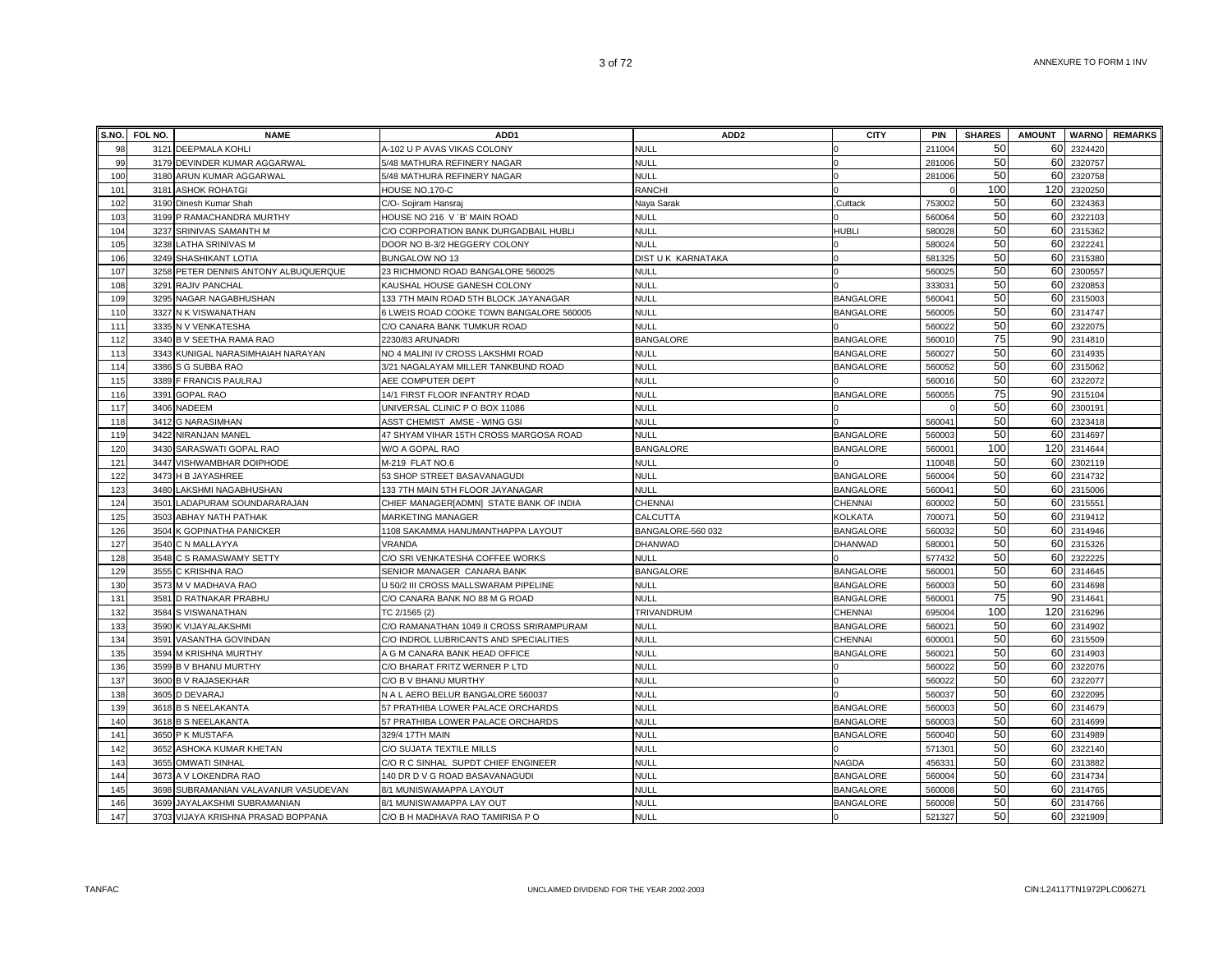|     | S.NO. FOL NO. | <b>NAME</b>                        | ADD1                                     | ADD <sub>2</sub>   | <b>CITY</b>      | <b>PIN</b> | <b>SHARES</b> | <b>AMOUNT</b> | <b>WARNO</b> | <b>REMARKS</b> |
|-----|---------------|------------------------------------|------------------------------------------|--------------------|------------------|------------|---------------|---------------|--------------|----------------|
| 98  | 3121          | <b>DEEPMALA KOHLI</b>              | A-102 U P AVAS VIKAS COLONY              | <b>NULL</b>        |                  | 211004     | 50            | 60            | 2324420      |                |
| 99  |               | 3179 DEVINDER KUMAR AGGARWAL       | 5/48 MATHURA REFINERY NAGAR              | <b>NULL</b>        |                  | 281006     | 50            | 60            | 2320757      |                |
| 100 |               | 3180 ARUN KUMAR AGGARWAL           | 5/48 MATHURA REFINERY NAGAR              | <b>NULL</b>        |                  | 281006     | 50            | 60            | 2320758      |                |
| 101 |               | 3181 ASHOK ROHATGI                 | HOUSE NO.170-C                           | <b>RANCHI</b>      |                  |            | 100           | 120           | 2320250      |                |
| 102 |               | 3190 Dinesh Kumar Shah             | C/O- Sojiram Hansraj                     | Naya Sarak         | Cuttack          | 753002     | 50            | 60            | 2324363      |                |
| 103 |               | 3199 P RAMACHANDRA MURTHY          | HOUSE NO 216 V `B' MAIN ROAD             | <b>NULL</b>        |                  | 560064     | 50            | 60            | 2322103      |                |
| 104 |               | 3237 SRINIVAS SAMANTH M            | C/O CORPORATION BANK DURGADBAIL HUBLI    | <b>NULL</b>        | <b>HUBLI</b>     | 580028     | 50            | 60            | 2315362      |                |
| 105 | 3238          | LATHA SRINIVAS M                   | DOOR NO B-3/2 HEGGERY COLONY             | <b>NULL</b>        |                  | 580024     | 50            | 60            | 2322241      |                |
| 106 |               | 3249 SHASHIKANT LOTIA              | BUNGALOW NO 13                           | DIST U K KARNATAKA |                  | 581325     | 50            | 60            | 2315380      |                |
| 107 | 3258          | PETER DENNIS ANTONY ALBUQUERQUE    | 23 RICHMOND ROAD BANGALORE 560025        | <b>NULL</b>        |                  | 560025     | 50            | 60            | 2300557      |                |
| 108 | 3291          | RAJIV PANCHAL                      | KAUSHAL HOUSE GANESH COLONY              | <b>NULL</b>        |                  | 33303      | 50            | 60            | 2320853      |                |
| 109 | 3295          | NAGAR NAGABHUSHAN                  | 133 7TH MAIN ROAD 5TH BLOCK JAYANAGAR    | <b>NULL</b>        | <b>BANGALORE</b> | 56004      | 50            | 60            | 2315003      |                |
| 110 |               | 3327 N K VISWANATHAN               | 6 LWEIS ROAD COOKE TOWN BANGALORE 560005 | <b>NULL</b>        | <b>BANGALORE</b> | 560005     | 50            | 60            | 2314747      |                |
| 111 |               | 3335 N V VENKATESHA                | C/O CANARA BANK TUMKUR ROAD              | <b>NULL</b>        |                  | 56002      | 50            | 60            | 2322075      |                |
| 112 |               | 3340 B V SEETHA RAMA RAO           | 2230/83 ARUNADRI                         | <b>BANGALORE</b>   | <b>BANGALORE</b> | 560010     | 75            | 90            | 2314810      |                |
| 113 | 3343          | KUNIGAL NARASIMHAIAH NARAYAN       | NO 4 MALINI IV CROSS LAKSHMI ROAD        | <b>NULL</b>        | <b>BANGALORE</b> | 560027     | 50            | 60            | 2314935      |                |
| 114 | 3386          | S G SUBBA RAO                      | 3/21 NAGALAYAM MILLER TANKBUND ROAD      | <b>NULL</b>        | BANGALORE        | 560052     | 50            | 60            | 2315062      |                |
| 115 |               | 3389 F FRANCIS PAULRAJ             | AEE COMPUTER DEPT                        | <b>NULL</b>        |                  | 560016     | 50            | 60            | 2322072      |                |
| 116 | 3391          | <b>GOPAL RAO</b>                   | 14/1 FIRST FLOOR INFANTRY ROAD           | <b>NULL</b>        | BANGALORE        | 560055     | 75            | 90            | 2315104      |                |
| 117 | 3406          | NADEEM                             | UNIVERSAL CLINIC P O BOX 11086           | <b>NULL</b>        |                  |            | 50            | 60            | 2300191      |                |
| 118 | 3412          | <b>G NARASIMHAN</b>                | ASST CHEMIST AMSE - WING GSI             | <b>NULL</b>        |                  | 56004      | 50            | 60            | 2323418      |                |
| 119 |               | 3422 NIRANJAN MANEL                | 47 SHYAM VIHAR 15TH CROSS MARGOSA ROAD   | NULL               | <b>BANGALORE</b> | 560003     | 50            | 60            | 2314697      |                |
| 120 | 3430          | SARASWATI GOPAL RAO                | W/O A GOPAL RAO                          | <b>BANGALORE</b>   | <b>BANGALORE</b> | 56000      | 100           | 120           | 2314644      |                |
| 121 |               | 3447 VISHWAMBHAR DOIPHODE          | M-219 FLAT NO.6                          | <b>NULL</b>        |                  | 110048     | 50            | 60            | 2302119      |                |
| 122 | 3473          | H B JAYASHREE                      | 53 SHOP STREET BASAVANAGUDI              | <b>NULL</b>        | <b>BANGALORE</b> | 560004     | 50            | 60            | 2314732      |                |
| 123 | 3480          | LAKSHMI NAGABHUSHAN                | 133 7TH MAIN 5TH FLOOR JAYANAGAR         | <b>NULL</b>        | BANGALORE        | 560041     | 50            | 60            | 2315006      |                |
| 124 | 3501          | LADAPURAM SOUNDARARAJAN            | CHIEF MANAGER[ADMN] STATE BANK OF INDIA  | <b>CHENNAI</b>     | CHENNAI          | 600002     | 50            | 60            | 2315551      |                |
| 125 |               | 3503 ABHAY NATH PATHAK             | MARKETING MANAGER                        | CALCUTTA           | KOLKATA          | 700071     | 50            | 60            | 2319412      |                |
| 126 | 3504          | K GOPINATHA PANICKER               | 1108 SAKAMMA HANUMANTHAPPA LAYOUT        | BANGALORE-560 032  | <b>BANGALORE</b> | 560032     | 50            | 60            | 2314946      |                |
| 127 | 3540          | C N MALLAYYA                       | VRANDA                                   | DHANWAD            | DHANWAD          | 580001     | 50            | 60            | 2315326      |                |
| 128 |               | 3548 C S RAMASWAMY SETTY           | C/O SRI VENKATESHA COFFEE WORKS          | <b>NULL</b>        |                  | 577432     | 50            | 60            | 2322225      |                |
| 129 |               | 3555 C KRISHNA RAO                 | SENIOR MANAGER CANARA BANK               | <b>BANGALORE</b>   | <b>BANGALORE</b> | 560001     | 50            | 60            | 2314645      |                |
| 130 |               | 3573 M V MADHAVA RAO               | U 50/2 III CROSS MALLSWARAM PIPELINE     | <b>NULL</b>        | <b>BANGALORE</b> | 560003     | 50            | 60            | 2314698      |                |
| 131 | 3581          | D RATNAKAR PRABHU                  | C/O CANARA BANK NO 88 M G ROAD           | <b>NULL</b>        | <b>BANGALORE</b> | 56000      | 75            |               | 90 2314641   |                |
| 132 |               | 3584 S VISWANATHAN                 | TC 2/1565 (2)                            | TRIVANDRUM         | CHENNAI          | 695004     | 100           | 120           | 2316296      |                |
| 133 | 3590          | K VIJAYALAKSHMI                    | C/O RAMANATHAN 1049 II CROSS SRIRAMPURAM | <b>NULL</b>        | <b>BANGALORE</b> | 560021     | 50            | 60            | 2314902      |                |
| 134 | 3591          | VASANTHA GOVINDAN                  | C/O INDROL LUBRICANTS AND SPECIALITIES   | <b>NULL</b>        | CHENNAI          | 600001     | 50            | 60            | 2315509      |                |
| 135 |               | 3594 M KRISHNA MURTHY              | A G M CANARA BANK HEAD OFFICE            | <b>NULL</b>        | BANGALORE        | 560021     | 50            | 60            | 2314903      |                |
| 136 |               | 3599 B V BHANU MURTHY              | C/O BHARAT FRITZ WERNER P LTD            | NULL               |                  | 560022     | 50            | 60            | 2322076      |                |
| 137 |               | 3600 B V RAJASEKHAR                | C/O B V BHANU MURTHY                     | <b>NULL</b>        |                  | 560022     | 50            | 60            | 2322077      |                |
| 138 |               | 3605 D DEVARAJ                     | N A L AERO BELUR BANGALORE 560037        | <b>NULL</b>        |                  | 560037     | 50            | 60            | 2322095      |                |
| 139 |               | 3618 B S NEELAKANTA                | 57 PRATHIBA LOWER PALACE ORCHARDS        | NULL               | <b>BANGALORE</b> | 560003     | 50            | 60            | 2314679      |                |
| 140 |               | 3618 B S NEELAKANTA                | 57 PRATHIBA LOWER PALACE ORCHARDS        | NULL               | <b>BANGALORE</b> | 560003     | 50            | 60            | 2314699      |                |
| 141 |               | 3650 P K MUSTAFA                   | 329/4 17TH MAIN                          | <b>NULL</b>        | <b>BANGALORE</b> | 560040     | 50            | 60            | 2314989      |                |
| 142 | 3652          | ASHOKA KUMAR KHETAN                | C/O SUJATA TEXTILE MILLS                 | <b>NULL</b>        |                  | 571301     | 50            | 60            | 2322140      |                |
| 143 | 3655          | <b>OMWATI SINHAL</b>               | C/O R C SINHAL SUPDT CHIEF ENGINEER      | <b>NULL</b>        | NAGDA            | 456331     | 50            | 60            | 2313882      |                |
| 144 | 3673          | A V LOKENDRA RAO                   | 140 DR D V G ROAD BASAVANAGUDI           | <b>NULL</b>        | <b>BANGALORE</b> | 560004     | 50            | 60            | 2314734      |                |
| 145 | 3698          | SUBRAMANIAN VALAVANUR VASUDEVAN    | 8/1 MUNISWAMAPPA LAYOUT                  | <b>NULL</b>        | <b>BANGALORE</b> | 560008     | 50            | 60            | 2314765      |                |
| 146 | 3699          | <b>JAYALAKSHMI SUBRAMANIAN</b>     | 8/1 MUNISWAMAPPA LAY OUT                 | <b>NULL</b>        | <b>BANGALORE</b> | 560008     | 50            | 60            | 2314766      |                |
| 147 |               | 3703 VIJAYA KRISHNA PRASAD BOPPANA | C/O B H MADHAVA RAO TAMIRISA P O         | <b>NULL</b>        |                  | 521327     | 50            | 60            | 2321909      |                |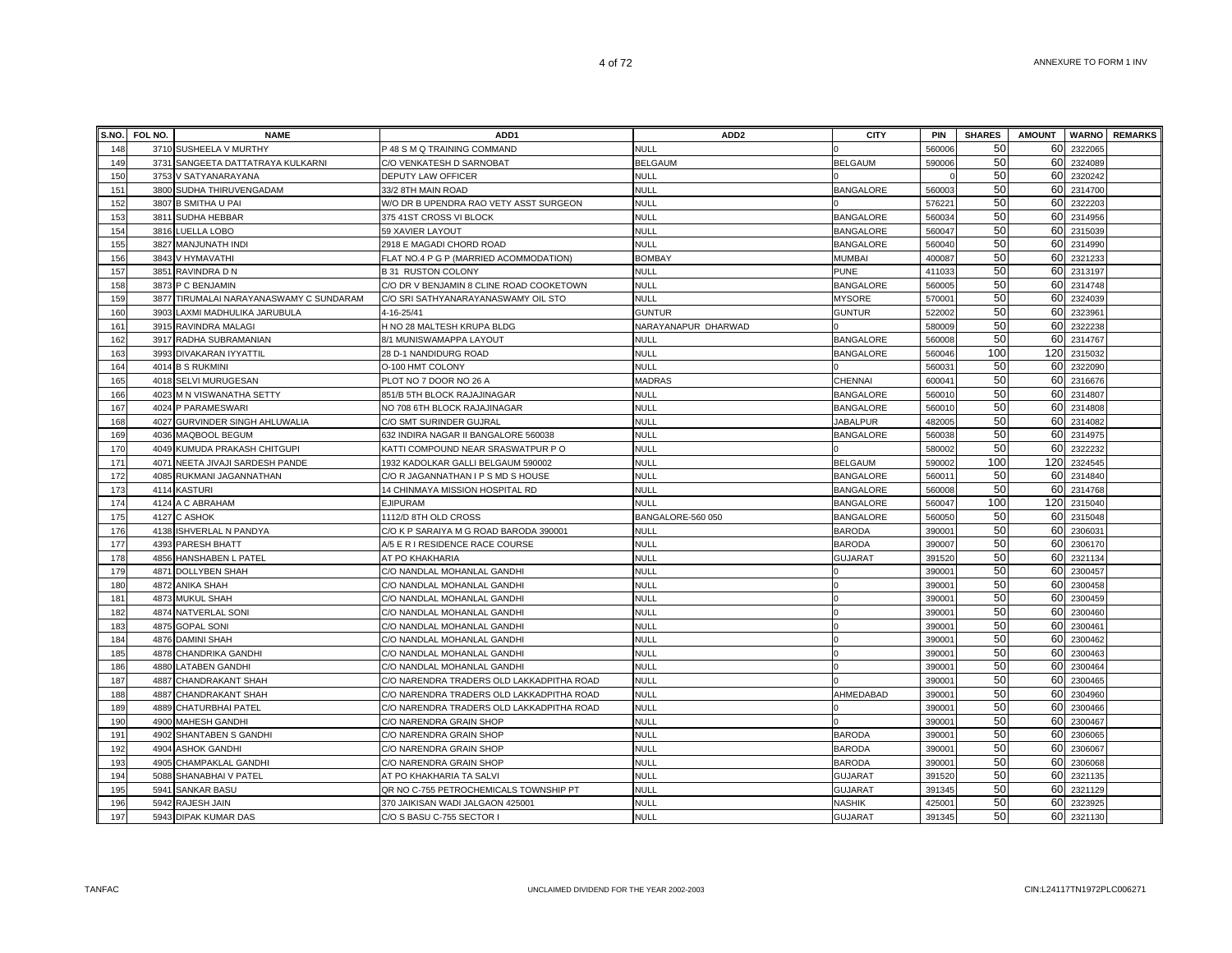|            | S.NO. FOL NO. | <b>NAME</b>                            | ADD <sub>1</sub>                                                           | ADD <sub>2</sub>           | <b>CITY</b>                      | <b>PIN</b>       | <b>SHARES</b> | <b>AMOUNT</b> |                    | <b>WARNO</b> REMARKS |
|------------|---------------|----------------------------------------|----------------------------------------------------------------------------|----------------------------|----------------------------------|------------------|---------------|---------------|--------------------|----------------------|
| 148        |               | 3710 SUSHEELA V MURTHY                 | P 48 S M Q TRAINING COMMAND                                                | <b>NULL</b>                |                                  | 560006           | 50            | 60            | 232206             |                      |
| 149        | 3731          | SANGEETA DATTATRAYA KULKARNI           | C/O VENKATESH D SARNOBAT                                                   | <b>BELGAUM</b>             | <b>BELGAUM</b>                   | 590006           | 50            | 60            | 2324089            |                      |
| 150        | 3753          | V SATYANARAYANA                        | DEPUTY LAW OFFICER                                                         | <b>NULL</b>                |                                  |                  | 50            | 60            | 2320242            |                      |
| 151        | 3800          | SUDHA THIRUVENGADAM                    | 33/2 8TH MAIN ROAD                                                         | <b>NULL</b>                | <b>BANGALORE</b>                 | 560003           | 50            | 60            | 2314700            |                      |
| 152        |               | 3807 B SMITHA U PAI                    | W/O DR B UPENDRA RAO VETY ASST SURGEON                                     | <b>NULL</b>                |                                  | 57622            | 50            | 60            | 2322203            |                      |
| 153        | 3811          | SUDHA HEBBAR                           | 375 41ST CROSS VI BLOCK                                                    | <b>NULL</b>                | <b>BANGALORE</b>                 | 560034           | 50            | 60            | 2314956            |                      |
| 154        |               | 3816 LUELLA LOBO                       | 59 XAVIER LAYOUT                                                           | <b>NULL</b>                | <b>BANGALORE</b>                 | 560047           | 50            | 60            | 2315039            |                      |
| 155        |               | 3827 MANJUNATH INDI                    | 2918 E MAGADI CHORD ROAD                                                   | <b>NULL</b>                | <b>BANGALORE</b>                 | 560040           | 50            | 60            | 2314990            |                      |
| 156        | 3843          | V HYMAVATHI                            | FLAT NO.4 P G P (MARRIED ACOMMODATION)                                     | <b>BOMBAY</b>              | <b>MUMBAI</b>                    | 400087           | 50            | 60            | 2321233            |                      |
| 157        | 3851          | RAVINDRA D N                           | <b>B31 RUSTON COLONY</b>                                                   | <b>NULL</b>                | <b>PUNE</b>                      | 411033           | 50            | 60            | 2313197            |                      |
| 158        | 3873          | P C BENJAMIN                           | C/O DR V BENJAMIN 8 CLINE ROAD COOKETOWN                                   | <b>NULL</b>                | <b>BANGALORE</b>                 | 560005           | 50            | 60            | 2314748            |                      |
| 159        | 3877          | TIRUMALAI NARAYANASWAMY C SUNDARAM     | C/O SRI SATHYANARAYANASWAMY OIL STO                                        | <b>NULL</b>                | <b>MYSORE</b>                    | 57000            | 50            | 60            | 2324039            |                      |
| 160        | 3903          | LAXMI MADHULIKA JARUBULA               | 4-16-25/41                                                                 | <b>GUNTUR</b>              | <b>GUNTUR</b>                    | 522002           | 50            | 60            | 232396             |                      |
| 161        |               | 3915 RAVINDRA MALAGI                   | H NO 28 MALTESH KRUPA BLDG                                                 | NARAYANAPUR DHARWAD        |                                  | 580009           | 50            | 60            | 2322238            |                      |
| 162        |               | 3917 RADHA SUBRAMANIAN                 | 8/1 MUNISWAMAPPA LAYOUT                                                    | <b>NULL</b>                | <b>BANGALORE</b>                 | 560008           | 50            | 60            | 2314767            |                      |
| 163        |               | 3993 DIVAKARAN IYYATTIL                | 28 D-1 NANDIDURG ROAD                                                      | <b>NULL</b>                | <b>BANGALORE</b>                 | 560046           | 100           | 120           | 2315032            |                      |
| 164        |               | 4014 B S RUKMINI                       | O-100 HMT COLONY                                                           | <b>NULL</b>                |                                  | 560031           | 50            | 60            | 2322090            |                      |
| 165        |               | 4018 SELVI MURUGESAN                   | PLOT NO 7 DOOR NO 26 A                                                     | <b>MADRAS</b>              | CHENNAI                          | 600041           | 50            | 60            | 2316676            |                      |
| 166        |               | 4023 M N VISWANATHA SETTY              | 851/B 5TH BLOCK RAJAJINAGAR                                                | <b>NULL</b>                | <b>BANGALORE</b>                 | 560010           | 50            | 60            | 2314807            |                      |
| 167        | 4024          | P PARAMESWARI                          | NO 708 6TH BLOCK RAJAJINAGAR                                               | <b>NULL</b>                | <b>BANGALORE</b>                 | 560010           | 50            | 60            | 2314808            |                      |
| 168        | 4027          | <b>GURVINDER SINGH AHLUWALIA</b>       | C/O SMT SURINDER GUJRAL                                                    | <b>NULL</b>                | <b>JABALPUR</b>                  | 482005           | 50            | 60            | 2314082            |                      |
| 169        | 4036          | MAQBOOL BEGUM                          | 632 INDIRA NAGAR II BANGALORE 560038                                       | <b>NULL</b>                | <b>BANGALORE</b>                 | 560038           | 50            | 60            | 231497             |                      |
| 170        | 4049          | KUMUDA PRAKASH CHITGUPI                | KATTI COMPOUND NEAR SRASWATPUR P O                                         | <b>NULL</b>                |                                  | 580002           | 50            | 60            | 2322232            |                      |
| 171        | 4071          | NEETA JIVAJI SARDESH PANDE             | 1932 KADOLKAR GALLI BELGAUM 590002                                         | <b>NULL</b>                | <b>BELGAUM</b>                   | 590002           | 100           | 120           | 2324545            |                      |
| 172        | 4085          | RUKMANI JAGANNATHAN                    | C/O R JAGANNATHAN I P S MD S HOUSE                                         | <b>NULL</b>                | <b>BANGALORE</b>                 | 56001            | 50            | 60            | 2314840            |                      |
| 173        | 4114          | <b>KASTURI</b>                         | 14 CHINMAYA MISSION HOSPITAL RD                                            | <b>NULL</b>                | <b>BANGALORE</b>                 | 560008           | 50            | 60            | 2314768            |                      |
| 174        |               | 4124 A C ABRAHAM                       | <b>EJIPURAM</b>                                                            | <b>NULL</b>                | <b>BANGALORE</b>                 | 560047           | 100           | 120           | 2315040            |                      |
| 175        |               | 4127 C ASHOK                           | 1112/D 8TH OLD CROSS                                                       | BANGALORE-560 050          | <b>BANGALORE</b>                 | 560050           | 50            | 60            | 2315048            |                      |
| 176        |               | 4138 ISHVERLAL N PANDYA                | C/O K P SARAIYA M G ROAD BARODA 390001                                     | <b>NULL</b>                | <b>BARODA</b>                    | 390001           | 50            | 60            | 2306031            |                      |
| 177        |               | 4393 PARESH BHATT                      | A/5 E R I RESIDENCE RACE COURSE                                            | <b>NULL</b>                | <b>BARODA</b>                    | 390007           | 50            | 60            | 2306170            |                      |
| 178        | 4856          | HANSHABEN L PATEL                      | AT PO KHAKHARIA                                                            | <b>NULL</b>                | GUJARAT                          | 391520           | 50            | 60            | 2321134            |                      |
| 179        | 4871          | <b>DOLLYBEN SHAH</b>                   | C/O NANDLAL MOHANLAL GANDHI                                                | <b>NULL</b>                |                                  | 39000            | 50            | 60            | 2300457            |                      |
| 180        | 4872          | <b>ANIKA SHAH</b>                      | C/O NANDLAL MOHANLAL GANDHI                                                | <b>NULL</b>                |                                  | 390001           | 50            | 60            | 2300458            |                      |
| 181        | 4873          | <b>MUKUL SHAH</b>                      | C/O NANDLAL MOHANLAL GANDHI                                                | <b>NULL</b>                |                                  | 390001           | 50            | 60            | 2300459            |                      |
| 182        |               | 4874 NATVERLAL SONI                    | C/O NANDLAL MOHANLAL GANDHI                                                | <b>NULL</b>                |                                  | 390001           | 50            | 60            | 2300460            |                      |
| 183        | 4875          | <b>GOPAL SONI</b>                      | C/O NANDLAL MOHANLAL GANDHI                                                | <b>NULL</b>                |                                  | 39000            | 50            | 60            | 2300461            |                      |
| 184        |               | 4876 DAMINI SHAH                       | C/O NANDLAL MOHANLAL GANDHI                                                | <b>NULL</b>                |                                  | 390001           | 50            | 60            | 2300462            |                      |
| 185        |               | 4878 CHANDRIKA GANDHI                  | C/O NANDLAL MOHANLAL GANDHI                                                | <b>NULL</b>                |                                  | 390001           | 50            | 60            | 2300463            |                      |
| 186        | 4880          | <b>LATABEN GANDHI</b>                  | C/O NANDLAL MOHANLAL GANDHI                                                | <b>NULL</b>                |                                  | 390001           | 50            | 60            | 2300464            |                      |
| 187        | 4887          | CHANDRAKANT SHAH                       | C/O NARENDRA TRADERS OLD LAKKADPITHA ROAD                                  | <b>NULL</b>                |                                  | 390001           | 50            | 60            | 2300465            |                      |
| 188        | 4887          | CHANDRAKANT SHAH                       | C/O NARENDRA TRADERS OLD LAKKADPITHA ROAD                                  | <b>NULL</b>                | AHMEDABAD                        | 390001           | 50<br>50      | 60            | 2304960            |                      |
| 189        | 4889          | CHATURBHAI PATEL                       | C/O NARENDRA TRADERS OLD LAKKADPITHA ROAD                                  | <b>NULL</b>                |                                  | 390001           | 50            | 60            | 2300466            |                      |
| 190        | 4900          | <b>MAHESH GANDHI</b>                   | C/O NARENDRA GRAIN SHOP                                                    | <b>NULL</b>                |                                  | 39000            |               | 60            | 2300467            |                      |
| 191        | 4902          | SHANTABEN S GANDHI                     | C/O NARENDRA GRAIN SHOP                                                    | <b>NULL</b>                | <b>BARODA</b>                    | 390001           | 50            | 60            | 2306065            |                      |
| 192        | 4904          | ASHOK GANDHI                           | C/O NARENDRA GRAIN SHOP                                                    | <b>NULL</b>                | <b>BARODA</b>                    | 390001           | 50<br>50      | 60<br>60      | 2306067            |                      |
| 193        | 4905          | CHAMPAKLAL GANDHI                      | C/O NARENDRA GRAIN SHOP                                                    | <b>NULL</b>                | <b>BARODA</b>                    | 390001           | 50            |               | 2306068            |                      |
| 194<br>195 | 5088<br>5941  | SHANABHAI V PATEL                      | AT PO KHAKHARIA TA SALVI                                                   | <b>NULL</b><br><b>NULL</b> | <b>GUJARAT</b><br><b>GUJARAT</b> | 391520           | 50            | 60<br>60      | 2321135<br>2321129 |                      |
| 196        |               | <b>SANKAR BASU</b><br>5942 RAJESH JAIN | QR NO C-755 PETROCHEMICALS TOWNSHIP PT<br>370 JAIKISAN WADI JALGAON 425001 | <b>NULL</b>                | <b>NASHIK</b>                    | 391345<br>425001 | 50            | 60            | 2323925            |                      |
| 197        |               |                                        |                                                                            | <b>NULL</b>                |                                  | 391345           | 50            | 60            | 2321130            |                      |
|            |               | 5943 DIPAK KUMAR DAS                   | C/O S BASU C-755 SECTOR I                                                  |                            | <b>GUJARAT</b>                   |                  |               |               |                    |                      |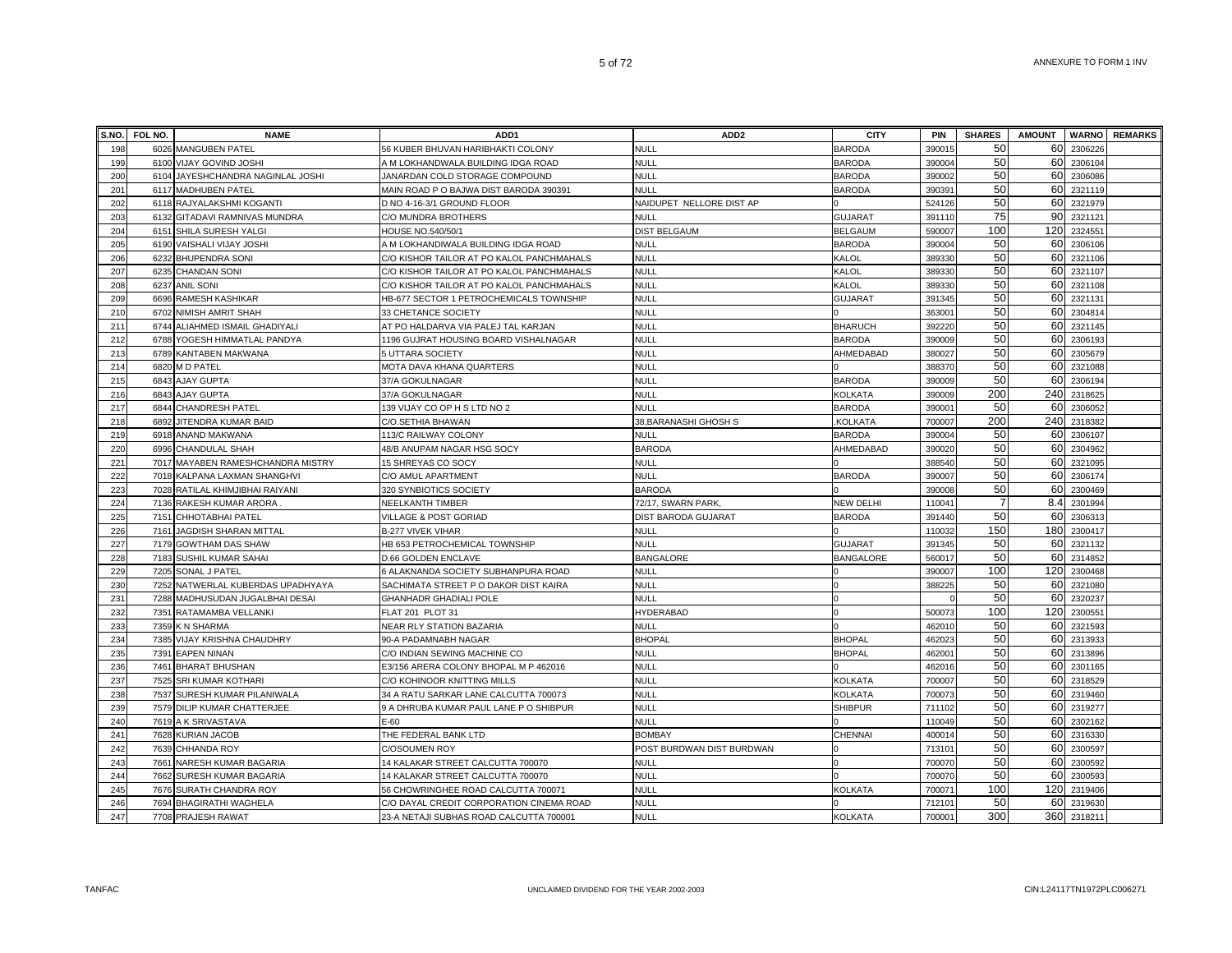|     | S.NO. FOL NO. | <b>NAME</b>                       | ADD <sub>1</sub>                          | ADD <sub>2</sub>          | <b>CITY</b>      | <b>PIN</b> | <b>SHARES</b> | <b>AMOUNT</b> | <b>WARNO</b> | <b>REMARKS</b> |
|-----|---------------|-----------------------------------|-------------------------------------------|---------------------------|------------------|------------|---------------|---------------|--------------|----------------|
| 198 | 6026          | <b>MANGUBEN PATEL</b>             | 56 KUBER BHUVAN HARIBHAKTI COLONY         | NULL                      | <b>BARODA</b>    | 39001      | 50            | 60            | 2306226      |                |
| 199 |               | 6100 VIJAY GOVIND JOSHI           | A M LOKHANDWALA BUILDING IDGA ROAD        | <b>NULL</b>               | <b>BARODA</b>    | 390004     | 50            | 60            | 2306104      |                |
| 200 | 6104          | JAYESHCHANDRA NAGINLAL JOSHI      | JANARDAN COLD STORAGE COMPOUND            | NULL                      | <b>BARODA</b>    | 390002     | 50            | 60            | 2306086      |                |
| 201 |               | 6117 MADHUBEN PATEL               | MAIN ROAD P O BAJWA DIST BARODA 390391    | NULL                      | <b>BARODA</b>    | 390391     | 50            |               | 60 2321119   |                |
| 202 |               | 6118 RAJYALAKSHMI KOGANTI         | D NO 4-16-3/1 GROUND FLOOR                | NAIDUPET NELLORE DIST AP  |                  | 524126     | 50            | 60            | 2321979      |                |
| 203 |               | 6132 GITADAVI RAMNIVAS MUNDRA     | C/O MUNDRA BROTHERS                       | NULL                      | <b>GUJARAT</b>   | 391110     | 75            | 90            | 2321121      |                |
| 204 |               | 6151 SHILA SURESH YALGI           | HOUSE NO.540/50/1                         | <b>DIST BELGAUM</b>       | <b>BELGAUM</b>   | 590007     | 100           | 120           | 2324551      |                |
| 205 |               | 6190 VAISHALI VIJAY JOSHI         | A M LOKHANDIWALA BUILDING IDGA ROAD       | NULL                      | <b>BARODA</b>    | 390004     | 50            | 60            | 2306106      |                |
| 206 | 6232          | <b>BHUPENDRA SONI</b>             | C/O KISHOR TAILOR AT PO KALOL PANCHMAHALS | null                      | KALOL            | 389330     | 50            | 60            | 2321106      |                |
| 207 |               | 6235 CHANDAN SONI                 | C/O KISHOR TAILOR AT PO KALOL PANCHMAHALS | <b>NULL</b>               | KALOL            | 389330     | 50            | 60            | 2321107      |                |
| 208 | 6237          | <b>ANIL SONI</b>                  | C/O KISHOR TAILOR AT PO KALOL PANCHMAHALS | VULL                      | KALOL            | 389330     | 50            | 60            | 2321108      |                |
| 209 | 6696          | RAMESH KASHIKAR                   | HB-677 SECTOR 1 PETROCHEMICALS TOWNSHIP   | NULL                      | <b>GUJARAT</b>   | 391345     | 50            | 60            | 2321131      |                |
| 210 | 6702          | NIMISH AMRIT SHAH                 | 33 CHETANCE SOCIETY                       | <b>NULL</b>               |                  | 363001     | 50            | 60            | 2304814      |                |
| 211 |               | 6744 ALIAHMED ISMAIL GHADIYALI    | AT PO HALDARVA VIA PALEJ TAL KARJAN       | NULL                      | <b>BHARUCH</b>   | 392220     | 50            | 60            | 2321145      |                |
| 212 |               | 6788 YOGESH HIMMATLAL PANDYA      | 1196 GUJRAT HOUSING BOARD VISHALNAGAR     | NULL                      | <b>BARODA</b>    | 390009     | 50            |               | 60 2306193   |                |
| 213 |               | 6789 KANTABEN MAKWANA             | <b>5 UTTARA SOCIETY</b>                   | NULL                      | AHMEDABAD        | 380027     | 50            | 60            | 2305679      |                |
| 214 |               | 6820 M D PATEL                    | MOTA DAVA KHANA QUARTERS                  | <b>NULL</b>               |                  | 388370     | 50            | 60            | 2321088      |                |
| 215 | 6843          | <b>AJAY GUPTA</b>                 | 37/A GOKULNAGAR                           | <b>NULL</b>               | <b>BARODA</b>    | 390009     | 50            | 60            | 2306194      |                |
| 216 | 6843          | <b>AJAY GUPTA</b>                 | 37/A GOKULNAGAR                           | VULL                      | KOLKATA          | 390009     | 200           | 240           | 2318625      |                |
| 217 |               | 6844 CHANDRESH PATEL              | 139 VIJAY CO OP H S LTD NO 2              | NULL                      | <b>BARODA</b>    | 390001     | 50            | 60            | 2306052      |                |
| 218 | 6892          | JITENDRA KUMAR BAID               | C/O.SETHIA BHAWAN                         | 38, BARANASHI GHOSH S     | <b>KOLKATA</b>   | 700007     | 200           | 240           | 2318382      |                |
| 219 | 6918          | <b>ANAND MAKWANA</b>              | 113/C RAILWAY COLONY                      | NULL                      | <b>BARODA</b>    | 390004     | 50            | 60            | 2306107      |                |
| 220 | 6996          | CHANDULAL SHAH                    | 48/B ANUPAM NAGAR HSG SOCY                | <b>BARODA</b>             | AHMEDABAD        | 390020     | 50            | 60            | 2304962      |                |
| 221 |               | 7017 MAYABEN RAMESHCHANDRA MISTRY | 15 SHREYAS CO SOCY                        | <b>NULL</b>               |                  | 388540     | 50            | 60            | 2321095      |                |
| 222 | 7018          | KALPANA LAXMAN SHANGHVI           | C/O AMUL APARTMENT                        | VULL                      | <b>BARODA</b>    | 390007     | 50            | 60            | 2306174      |                |
| 223 | 7028          | RATILAL KHIMJIBHAI RAIYANI        | 320 SYNBIOTICS SOCIETY                    | <b>BARODA</b>             |                  | 390008     | 50            | 60            | 2300469      |                |
| 224 |               | 7136 RAKESH KUMAR ARORA.          | NEELKANTH TIMBER                          | 72/17, SWARN PARK,        | NEW DELHI        | 110041     |               | 8.4           | 2301994      |                |
| 225 | 7151          | CHHOTABHAI PATEL                  | <b>VILLAGE &amp; POST GORIAD</b>          | DIST BARODA GUJARAT       | <b>BARODA</b>    | 391440     | 50            | 60            | 2306313      |                |
| 226 | 7161          | JAGDISH SHARAN MITTAL             | B-277 VIVEK VIHAR                         | NULL                      |                  | 110032     | 150           | 180           | 2300417      |                |
| 227 |               | 7179 GOWTHAM DAS SHAW             | HB 653 PETROCHEMICAL TOWNSHIP             | <b>NULL</b>               | <b>GUJARAT</b>   | 391345     | 50            | 60            | 2321132      |                |
| 228 | 7183          | <b>SUSHIL KUMAR SAHAI</b>         | D.66 GOLDEN ENCLAVE                       | <b>BANGALORE</b>          | <b>BANGALORE</b> | 560017     | 50            | 60            | 2314852      |                |
| 229 | 7205          | SONAL J PATEL                     | 6 ALAKNANDA SOCIETY SUBHANPURA ROAD       | NULL                      |                  | 390007     | 100           | 120           | 2300468      |                |
| 230 | 7252          | NATWERLAL KUBERDAS UPADHYAYA      | SACHIMATA STREET P O DAKOR DIST KAIRA     | NULL                      |                  | 388225     | 50            | 60            | 2321080      |                |
| 231 | 7288          | MADHUSUDAN JUGALBHAI DESAI        | <b>GHANHADR GHADIALI POLE</b>             | NULL                      |                  |            | 50            | 60            | 2320237      |                |
| 232 | 7351          | RATAMAMBA VELLANKI                | FLAT 201 PLOT 31                          | HYDERABAD                 |                  | 500073     | 100           | 120           | 2300551      |                |
| 233 |               | 7359 K N SHARMA                   | NEAR RLY STATION BAZARIA                  | NULL                      |                  | 462010     | 50            |               | 60 2321593   |                |
| 234 |               | 7385 VIJAY KRISHNA CHAUDHRY       | 90-A PADAMNABH NAGAR                      | <b>BHOPAL</b>             | <b>BHOPAL</b>    | 462023     | 50            |               | 60 2313933   |                |
| 235 |               | 7391 EAPEN NINAN                  | C/O INDIAN SEWING MACHINE CO              | <b>NULL</b>               | <b>BHOPAL</b>    | 462001     | 50            |               | 60 2313896   |                |
| 236 |               | 7461 BHARAT BHUSHAN               | E3/156 ARERA COLONY BHOPAL M P 462016     | <b>NULL</b>               |                  | 462016     | 50            | 60            | 2301165      |                |
| 237 |               | 7525 SRI KUMAR KOTHARI            | C/O KOHINOOR KNITTING MILLS               | VULL                      | KOLKATA          | 700007     | 50            | 60            | 2318529      |                |
| 238 |               | 7537 SURESH KUMAR PILANIWALA      | 34 A RATU SARKAR LANE CALCUTTA 700073     | NULL                      | <b>KOLKATA</b>   | 700073     | 50            | 60            | 2319460      |                |
| 239 |               | 7579 DILIP KUMAR CHATTERJEE       | 9 A DHRUBA KUMAR PAUL LANE P O SHIBPUR    | NULL                      | <b>SHIBPUR</b>   | 711102     | 50            | 60            | 2319277      |                |
| 240 | 7619          | A K SRIVASTAVA                    | $E-60$                                    | <b>NULL</b>               |                  | 110049     | 50            | 60            | 2302162      |                |
| 241 | 7628          | KURIAN JACOB                      | THE FEDERAL BANK LTD                      | <b>BOMBAY</b>             | CHENNAI          | 400014     | 50            | 60            | 2316330      |                |
| 242 | 7639          | CHHANDA ROY                       | <b>C/OSOUMEN ROY</b>                      | POST BURDWAN DIST BURDWAN |                  | 71310      | 50            | 60            | 2300597      |                |
| 243 | 7661          | NARESH KUMAR BAGARIA              | 14 KALAKAR STREET CALCUTTA 700070         | NULL                      |                  | 700070     | 50            | 60            | 2300592      |                |
| 244 | 7662          | SURESH KUMAR BAGARIA              | 14 KALAKAR STREET CALCUTTA 700070         | NULL                      |                  | 700070     | 50            | 60            | 2300593      |                |
| 245 | 7676          | SURATH CHANDRA ROY                | 56 CHOWRINGHEE ROAD CALCUTTA 700071       | NULL                      | KOLKATA          | 700071     | 100<br>50     | 120           | 2319406      |                |
| 246 |               | 7694 BHAGIRATHI WAGHELA           | C/O DAYAL CREDIT CORPORATION CINEMA ROAD  | NULL                      |                  | 712101     | 300           | 60            | 2319630      |                |
| 247 |               | 7708 PRAJESH RAWAT                | 23-A NETAJI SUBHAS ROAD CALCUTTA 700001   | NULL                      | KOLKATA          | 700001     |               |               | 360 2318211  |                |

TANFAC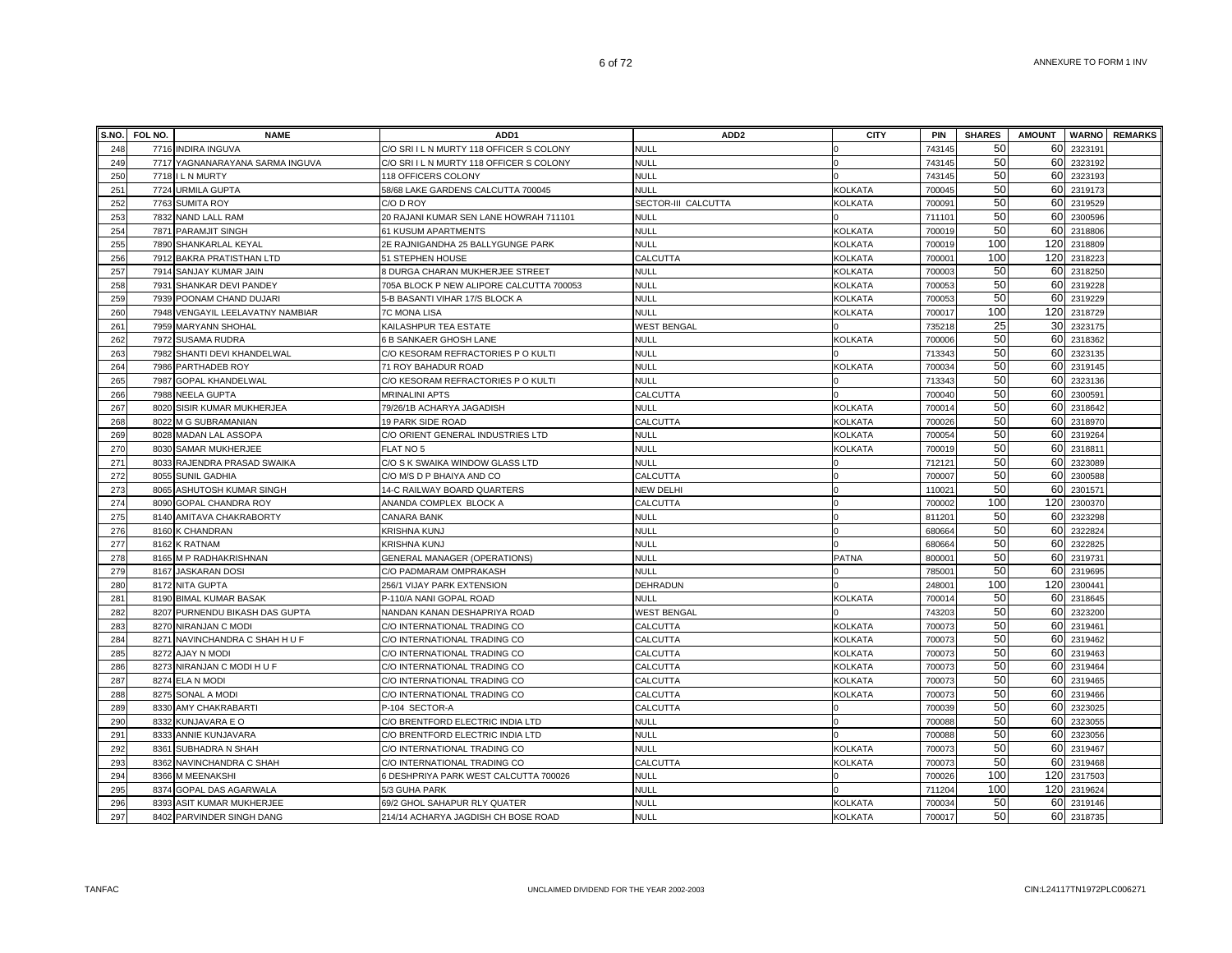|            | S.NO. FOL NO. | <b>NAME</b>                                  | ADD1                                                             | ADD2                 | <b>CITY</b>    | <b>PIN</b>         | <b>SHARES</b> | <b>AMOUNT</b> |                    | <b>WARNO</b> REMARKS |
|------------|---------------|----------------------------------------------|------------------------------------------------------------------|----------------------|----------------|--------------------|---------------|---------------|--------------------|----------------------|
| 248        |               | 7716 INDIRA INGUVA                           | C/O SRI I L N MURTY 118 OFFICER S COLONY                         | <b>NULL</b>          |                | 743145             | 50            | 60            | 2323191            |                      |
| 249        |               | 7717 YAGNANARAYANA SARMA INGUVA              | C/O SRI I L N MURTY 118 OFFICER S COLONY                         | <b>NULL</b>          | $\Omega$       | 743145             | 50            | 60            | 2323192            |                      |
| 250        |               | 7718 I L N MURTY                             | 118 OFFICERS COLONY                                              | NULL                 |                | 743145             | 50            | 60            | 2323193            |                      |
| 251        |               | 7724 URMILA GUPTA                            | 58/68 LAKE GARDENS CALCUTTA 700045                               | NULL                 | <b>KOLKATA</b> | 700045             | 50            | 60            | 2319173            |                      |
| 252        |               | 7763 SUMITA ROY                              | C/O D ROY                                                        | SECTOR-III CALCUTTA  | KOLKATA        | 700091             | 50            | 60            | 2319529            |                      |
| 253        |               | 7832 NAND LALL RAM                           | 20 RAJANI KUMAR SEN LANE HOWRAH 711101                           | <b>NULL</b>          |                | 711101             | 50            | 60            | 2300596            |                      |
| 254        |               | 7871 PARAMJIT SINGH                          | 61 KUSUM APARTMENTS                                              | <b>NULL</b>          | <b>KOLKATA</b> | 700019             | 50            | 60            | 2318806            |                      |
| 255        |               | 7890 SHANKARLAL KEYAL                        | 2E RAJNIGANDHA 25 BALLYGUNGE PARK                                | NULL                 | <b>KOLKATA</b> | 700019             | 100           | 120           | 2318809            |                      |
| 256        |               | 7912 BAKRA PRATISTHAN LTD                    | 51 STEPHEN HOUSE                                                 | CALCUTTA             | KOLKATA        | 700001             | 100           | 120           | 2318223            |                      |
| 257        |               | 7914 SANJAY KUMAR JAIN                       | 8 DURGA CHARAN MUKHERJEE STREET                                  | NULL                 | KOLKATA        | 700003             | 50            | 60            | 2318250            |                      |
| 258        |               | 7931 SHANKAR DEVI PANDEY                     | 705A BLOCK P NEW ALIPORE CALCUTTA 700053                         | NULL                 | KOLKATA        | 700053             | 50            | 60            | 2319228            |                      |
| 259        |               | 7939 POONAM CHAND DUJARI                     | 5-B BASANTI VIHAR 17/S BLOCK A                                   | NULL                 | KOLKATA        | 700053             | 50            | 60            | 2319229            |                      |
| 260        |               | 7948 VENGAYIL LEELAVATNY NAMBIAR             | <b>7C MONA LISA</b>                                              | <b>NULL</b>          | KOLKATA        | 700017             | 100           | 120           | 2318729            |                      |
| 261        |               | 7959 MARYANN SHOHAL                          | KAILASHPUR TEA ESTATE                                            | WEST BENGAL          |                | 735218             | 25            | 30            | 2323175            |                      |
| 262        |               | 7972 SUSAMA RUDRA                            | 6 B SANKAER GHOSH LANE                                           | NULL                 | <b>KOLKATA</b> | 700006             | 50            | 60            | 2318362            |                      |
| 263        |               | 7982 SHANTI DEVI KHANDELWAL                  | C/O KESORAM REFRACTORIES P O KULTI                               | <b>NULL</b>          |                | 713343             | 50            | 60            | 2323135            |                      |
| 264        |               | 7986 PARTHADEB ROY                           | 71 ROY BAHADUR ROAD                                              | <b>NULL</b>          | <b>KOLKATA</b> | 700034             | 50            | 60            | 2319145            |                      |
| 265        |               | 7987 GOPAL KHANDELWAL                        | C/O KESORAM REFRACTORIES P O KULTI                               | <b>NULL</b>          | ın             | 713343             | 50            | 60            | 2323136            |                      |
| 266        |               | 7988 NEELA GUPTA                             | <b>MRINALINI APTS</b>                                            | CALCUTTA             | $\Omega$       | 700040             | 50            | 60            | 2300591            |                      |
| 267        |               | 8020 SISIR KUMAR MUKHERJEA                   | 79/26/1B ACHARYA JAGADISH                                        | <b>NULL</b>          | KOLKATA        | 700014             | 50            | 60            | 2318642            |                      |
| 268        |               | 8022 M G SUBRAMANIAN                         | <b>19 PARK SIDE ROAD</b>                                         | CALCUTTA             | <b>KOLKATA</b> | 700026             | 50            | 60            | 2318970            |                      |
| 269        |               | 8028 MADAN LAL ASSOPA                        | C/O ORIENT GENERAL INDUSTRIES LTD                                | NULL                 | <b>KOLKATA</b> | 700054             | 50            | 60            | 2319264            |                      |
| 270        |               | 8030 SAMAR MUKHERJEE                         | FLAT NO 5                                                        | <b>NULL</b>          | KOLKATA        | 700019             | 50            | 60            | 231881             |                      |
| 271        |               | 8033 RAJENDRA PRASAD SWAIKA                  | C/O S K SWAIKA WINDOW GLASS LTD                                  | <b>NULL</b>          |                | 712121             | 50            | 60            | 2323089            |                      |
| 272        |               | 8055 SUNIL GADHIA                            | C/O M/S D P BHAIYA AND CO                                        | CALCUTTA             | $\Omega$       | 700007             | 50            | 60            | 2300588            |                      |
| 273        |               | 8065 ASHUTOSH KUMAR SINGH                    | 14-C RAILWAY BOARD QUARTERS                                      | NEW DELHI            | $\Omega$       | 110021             | 50            |               | 60 2301571         |                      |
| 274        |               | 8090 GOPAL CHANDRA ROY                       | ANANDA COMPLEX BLOCK A                                           | CALCUTTA             | $\overline{0}$ | 700002             | 100           |               | 120 2300370        |                      |
| 275        |               | 8140 AMITAVA CHAKRABORTY                     | CANARA BANK                                                      | <b>NULL</b>          | $\Omega$       | 811201             | 50            | 60            | 2323298            |                      |
| 276        |               | 8160 K CHANDRAN                              | KRISHNA KUNJ                                                     | NULL                 | $\Omega$       | 680664             | 50            | 60            | 2322824            |                      |
| 277        |               | 8162 K RATNAM                                | KRISHNA KUNJ                                                     | <b>NULL</b>          |                | 680664             | 50            | 60            | 2322825            |                      |
| 278        |               | 8165 M P RADHAKRISHNAN                       | <b>GENERAL MANAGER (OPERATIONS)</b>                              | <b>NULL</b>          | <b>PATNA</b>   | 800001             | 50            | 60            | 2319731            |                      |
| 279        |               | 8167 JASKARAN DOSI                           | C/O PADMARAM OMPRAKASH                                           | <b>NULL</b>          |                | 78500 <sup>-</sup> | 50            | 60            | 2319695            |                      |
| 280        |               | 8172 NITA GUPTA                              | 256/1 VIJAY PARK EXTENSION                                       | DEHRADUN             |                | 248001             | 100           | 120           | 2300441            |                      |
| 281        |               | 8190 BIMAL KUMAR BASAK                       | P-110/A NANI GOPAL ROAD                                          | NULL                 | <b>KOLKATA</b> | 70001              | 50            | 60            | 2318645            |                      |
| 282        |               | 8207 PURNENDU BIKASH DAS GUPTA               | NANDAN KANAN DESHAPRIYA ROAD                                     | <b>WEST BENGAL</b>   |                | 743203             | 50            | 60            | 2323200            |                      |
| 283        |               | 8270 NIRANJAN C MODI                         | C/O INTERNATIONAL TRADING CO                                     | CALCUTTA             | <b>KOLKATA</b> | 700073             | 50            | 60            | 2319461            |                      |
| 284        |               | 8271 NAVINCHANDRA C SHAH H U F               | C/O INTERNATIONAL TRADING CO                                     | CALCUTTA             | <b>KOLKATA</b> | 700073             | 50<br>50      | 60            | 2319462            |                      |
| 285        |               | 8272 AJAY N MODI                             | C/O INTERNATIONAL TRADING CO                                     | CALCUTTA             | <b>KOLKATA</b> | 700073             |               | 60            | 2319463            |                      |
| 286        |               | 8273 NIRANJAN C MODI H U F                   | C/O INTERNATIONAL TRADING CO                                     | CALCUTTA             | <b>KOLKATA</b> | 700073             | 50<br>50      | 60            | 2319464            |                      |
| 287        |               | 8274 ELA N MODI                              | C/O INTERNATIONAL TRADING CO                                     | CALCUTTA             | KOLKATA        | 700073             | 50            | 60            | 2319465            |                      |
| 288<br>289 |               | 8275 SONAL A MODI<br>8330 AMY CHAKRABARTI    | C/O INTERNATIONAL TRADING CO                                     | CALCUTTA<br>CALCUTTA | <b>KOLKATA</b> | 700073<br>700039   | 50            | 60<br>60      | 2319466<br>2323025 |                      |
| 290        |               | 8332 KUNJAVARA E O                           | P-104 SECTOR-A<br>C/O BRENTFORD ELECTRIC INDIA LTD               | <b>NULL</b>          | $\Omega$       | 700088             | 50            | 60            | 2323055            |                      |
| 291        |               |                                              |                                                                  | <b>NULL</b>          |                | 700088             | 50            | 60            | 2323056            |                      |
| 292        |               | 8333 ANNIE KUNJAVARA<br>8361 SUBHADRA N SHAH | C/O BRENTFORD ELECTRIC INDIA LTD<br>C/O INTERNATIONAL TRADING CO | <b>NULL</b>          | <b>KOLKATA</b> | 700073             | 50            | 60            | 2319467            |                      |
| 293        |               | 8362 NAVINCHANDRA C SHAH                     | C/O INTERNATIONAL TRADING CO                                     | CALCUTTA             | <b>KOLKATA</b> | 700073             | 50            |               | 60 2319468         |                      |
| 294        |               | 8366 M MEENAKSHI                             | 6 DESHPRIYA PARK WEST CALCUTTA 700026                            | NULL                 |                | 700026             | 100           |               | 120 2317503        |                      |
| 295        |               | 8374 GOPAL DAS AGARWALA                      | 5/3 GUHA PARK                                                    | NULL                 |                | 711204             | 100           | 120           | 2319624            |                      |
| 296        |               | 8393 ASIT KUMAR MUKHERJEE                    | 69/2 GHOL SAHAPUR RLY QUATER                                     | <b>NULL</b>          | <b>KOLKATA</b> | 700034             | 50            | 60            | 2319146            |                      |
| 297        |               | 8402 PARVINDER SINGH DANG                    | 214/14 ACHARYA JAGDISH CH BOSE ROAD                              | NULL                 | <b>KOLKATA</b> | 700017             | 50            |               | 60 2318735         |                      |
|            |               |                                              |                                                                  |                      |                |                    |               |               |                    |                      |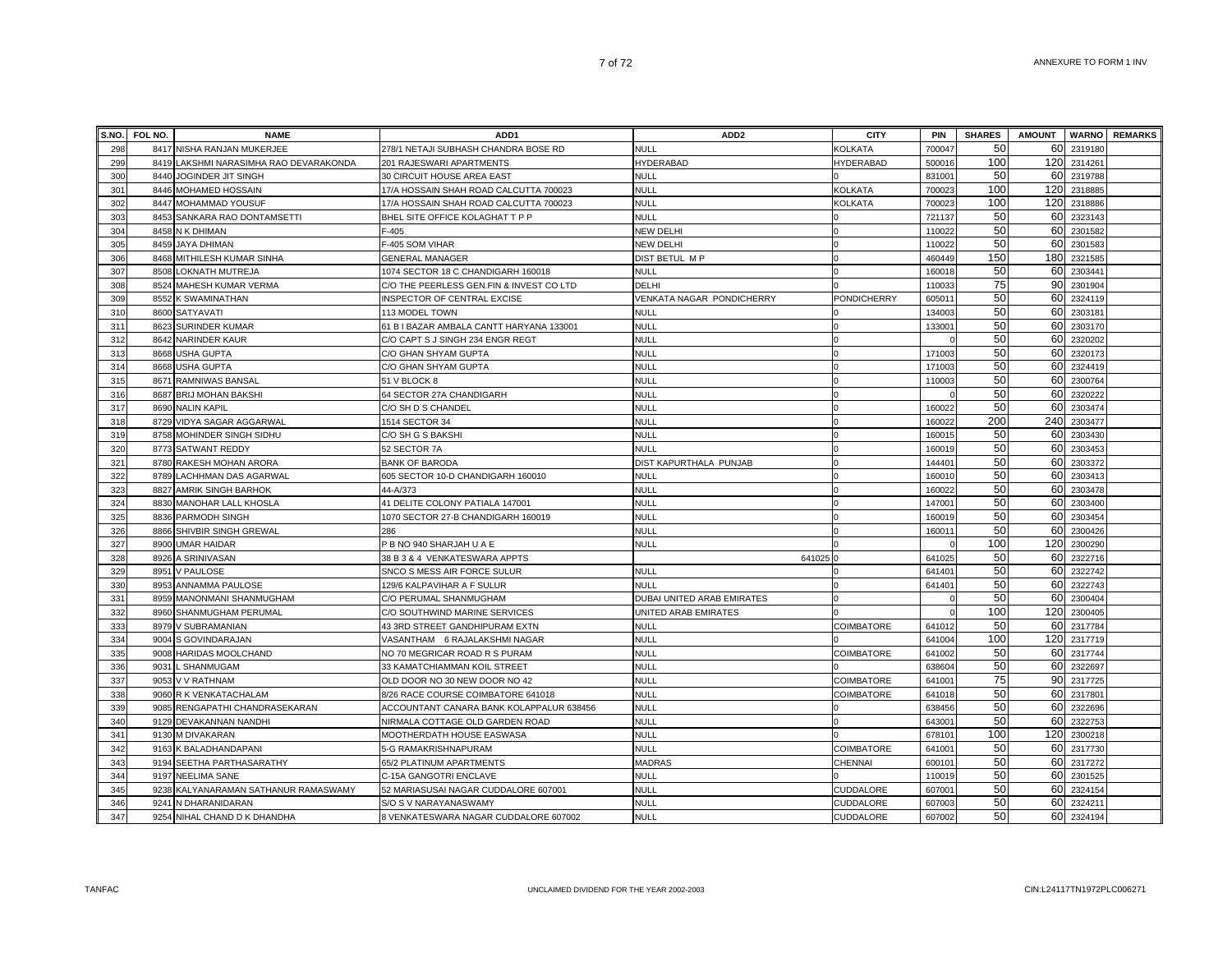| S.NO. | FOL NO. | <b>NAME</b>                       | ADD <sub>1</sub>                         | ADD <sub>2</sub>           | <b>CITY</b>       | <b>PIN</b> | <b>SHARES</b> | <b>AMOUNT</b>   | <b>WARNO</b> | <b>REMARKS</b> |
|-------|---------|-----------------------------------|------------------------------------------|----------------------------|-------------------|------------|---------------|-----------------|--------------|----------------|
| 298   |         | 8417 NISHA RANJAN MUKERJEE        | 278/1 NETAJI SUBHASH CHANDRA BOSE RD     | <b>NULL</b>                | KOLKATA           | 700047     | 50            | 60              | 2319180      |                |
| 299   | 8419    | LAKSHMI NARASIMHA RAO DEVARAKONDA | 201 RAJESWARI APARTMENTS                 | HYDERABAD                  | HYDERABAD         | 500016     | 100           | 120             | 2314261      |                |
| 300   | 8440    | JOGINDER JIT SINGH                | 30 CIRCUIT HOUSE AREA EAST               | NULL                       |                   | 831001     | 50            | 60              | 2319788      |                |
| 301   | 8446    | MOHAMED HOSSAIN                   | 17/A HOSSAIN SHAH ROAD CALCUTTA 700023   | <b>NULL</b>                | KOLKATA           | 700023     | 100           | 120             | 2318885      |                |
| 302   | 8447    | MOHAMMAD YOUSUF                   | 17/A HOSSAIN SHAH ROAD CALCUTTA 700023   | NULL                       | KOLKATA           | 700023     | 100           | 120             | 2318886      |                |
| 303   |         | 8453 SANKARA RAO DONTAMSETTI      | BHEL SITE OFFICE KOLAGHAT T P P          | NULL                       |                   | 721137     | 50            | 60              | 2323143      |                |
| 304   |         | 8458 N K DHIMAN                   | $F-405$                                  | <b>NEW DELHI</b>           |                   | 110022     | 50            | 60              | 2301582      |                |
| 305   |         | 8459 JAYA DHIMAN                  | F-405 SOM VIHAR                          | NEW DELHI                  |                   | 110022     | 50            | 60              | 2301583      |                |
| 306   |         | 8468 MITHILESH KUMAR SINHA        | <b>GENERAL MANAGER</b>                   | DIST BETUL M P             |                   | 460449     | 150           | 180             | 2321585      |                |
| 307   | 8508    | LOKNATH MUTREJA                   | 1074 SECTOR 18 C CHANDIGARH 160018       | <b>NULL</b>                |                   | 16001      | 50            | 60              | 230344       |                |
| 308   | 8524    | MAHESH KUMAR VERMA                | C/O THE PEERLESS GEN.FIN & INVEST CO LTD | DELHI                      |                   | 11003      | 75            | 90 <sup>1</sup> | 2301904      |                |
| 309   | 8552    | K SWAMINATHAN                     | INSPECTOR OF CENTRAL EXCISE              | VENKATA NAGAR PONDICHERRY  | PONDICHERRY       | 60501      | 50            | 60              | 2324119      |                |
| 310   | 8600    | <b>SATYAVATI</b>                  | 113 MODEL TOWN                           | <b>NULL</b>                |                   | 134003     | 50            | 60              | 2303181      |                |
| 311   | 8623    | SURINDER KUMAR                    | 61 B I BAZAR AMBALA CANTT HARYANA 133001 | <b>NULL</b>                |                   | 13300      | 50            | 60              | 2303170      |                |
| 312   |         | 8642 NARINDER KAUR                | C/O CAPT S J SINGH 234 ENGR REGT         | <b>NULL</b>                |                   |            | 50            | 60              | 2320202      |                |
| 313   |         | 8668 USHA GUPTA                   | C/O GHAN SHYAM GUPTA                     | <b>NULL</b>                |                   | 171003     | 50            | 60              | 2320173      |                |
| 314   |         | 8668 USHA GUPTA                   | C/O GHAN SHYAM GUPTA                     | <b>NULL</b>                |                   | 171003     | 50            | 60              | 2324419      |                |
| 315   |         | 8671 RAMNIWAS BANSAL              | 51 V BLOCK 8                             | <b>NULL</b>                |                   | 110003     | 50            | 60              | 2300764      |                |
| 316   |         | 8687 BRIJ MOHAN BAKSHI            | 64 SECTOR 27A CHANDIGARH                 | <b>NULL</b>                |                   |            | 50            | 60              | 2320222      |                |
| 317   |         | 8690 NALIN KAPIL                  | C/O SH D S CHANDEL                       | <b>NULL</b>                |                   | 160022     | 50            | 60              | 2303474      |                |
| 318   | 8729    | VIDYA SAGAR AGGARWAL              | 1514 SECTOR 34                           | <b>NULL</b>                |                   | 16002      | 200           |                 | 240 2303477  |                |
| 319   | 8758    | MOHINDER SINGH SIDHU              | C/O SH G S BAKSHI                        | <b>NULL</b>                |                   | 16001      | 50            | 60              | 2303430      |                |
| 320   |         | 8773 SATWANT REDDY                | 52 SECTOR 7A                             | <b>NULL</b>                |                   | 16001      | 50            | 60              | 2303453      |                |
| 321   |         | 8780 RAKESH MOHAN ARORA           | <b>BANK OF BARODA</b>                    | DIST KAPURTHALA PUNJAB     |                   | 144401     | 50            | 60              | 2303372      |                |
| 322   | 8789    | LACHHMAN DAS AGARWAL              | 605 SECTOR 10-D CHANDIGARH 160010        | <b>NULL</b>                |                   | 16001      | 50            | 60              | 2303413      |                |
| 323   | 8827    | <b>AMRIK SINGH BARHOK</b>         | 44-A/373                                 | <b>NULL</b>                |                   | 160022     | 50            | 60              | 2303478      |                |
| 324   |         | 8830 MANOHAR LALL KHOSLA          | 41 DELITE COLONY PATIALA 147001          | <b>NULL</b>                |                   | 147001     | 50            | 60              | 2303400      |                |
| 325   |         | 8836 PARMODH SINGH                | 1070 SECTOR 27-B CHANDIGARH 160019       | <b>NULL</b>                |                   | 160019     | 50            | 60              | 2303454      |                |
| 326   |         | 8866 SHIVBIR SINGH GREWAL         | 286                                      | NULL                       |                   | 160011     | 50            | 60              | 2300426      |                |
| 327   |         | 8900 UMAR HAIDAR                  | P B NO 940 SHARJAH U A E                 | NULL                       |                   |            | 100           | 120             | 2300290      |                |
| 328   | 8926    | A SRINIVASAN                      | 38 B 3 & 4 VENKATESWARA APPTS            | 641025                     |                   | 641025     | 50            | 60              | 2322716      |                |
| 329   | 8951    | V PAULOSE                         | SNCO S MESS AIR FORCE SULUR              | <b>NULL</b>                |                   | 641401     | 50            | 60              | 2322742      |                |
| 330   | 8953    | ANNAMMA PAULOSE                   | 129/6 KALPAVIHAR A F SULUR               | NULL                       |                   | 641401     | 50            | 60              | 2322743      |                |
| 331   | 8959    | MANONMANI SHANMUGHAM              | C/O PERUMAL SHANMUGHAM                   | DUBAI UNITED ARAB EMIRATES |                   |            | 50            | 60              | 2300404      |                |
| 332   | 8960    | SHANMUGHAM PERUMAL                | C/O SOUTHWIND MARINE SERVICES            | UNITED ARAB EMIRATES       |                   |            | 100           | 120             | 2300405      |                |
| 333   | 8979    | V SUBRAMANIAN                     | 43 3RD STREET GANDHIPURAM EXTN           | <b>NULL</b>                | <b>COIMBATORE</b> | 64101      | 50            | 60              | 2317784      |                |
| 334   | 9004    | S GOVINDARAJAN                    | VASANTHAM 6 RAJALAKSHMI NAGAR            | <b>NULL</b>                |                   | 641004     | 100           | 120             | 2317719      |                |
| 335   | 9008    | HARIDAS MOOLCHAND                 | NO 70 MEGRICAR ROAD R S PURAM            | <b>NULL</b>                | COIMBATORE        | 641002     | 50            | 60              | 2317744      |                |
| 336   | 9031    | L SHANMUGAM                       | 33 KAMATCHIAMMAN KOIL STREET             | <b>NULL</b>                |                   | 638604     | 50            | 60              | 2322697      |                |
| 337   |         | 9053 V V RATHNAM                  | OLD DOOR NO 30 NEW DOOR NO 42            | <b>NULL</b>                | COIMBATORE        | 641001     | 75            | 90              | 2317725      |                |
| 338   |         | 9060 R K VENKATACHALAM            | 8/26 RACE COURSE COIMBATORE 641018       | NULL                       | COIMBATORE        | 641018     | 50            |                 | 60 2317801   |                |
| 339   |         | 9085 RENGAPATHI CHANDRASEKARAN    | ACCOUNTANT CANARA BANK KOLAPPALUR 638456 | <b>NULL</b>                |                   | 638456     | 50            |                 | 60 2322696   |                |
| 340   | 9129    | DEVAKANNAN NANDH                  | NIRMALA COTTAGE OLD GARDEN ROAD          | <b>NULL</b>                |                   | 64300      | 50            |                 | 60 2322753   |                |
| 341   | 9130    | M DIVAKARAN                       | MOOTHERDATH HOUSE EASWASA                | <b>NULL</b>                |                   | 678101     | 100           | 120             | 2300218      |                |
| 342   | 9163    | K BALADHANDAPANI                  | 5-G RAMAKRISHNAPURAM                     | <b>NULL</b>                | COIMBATORE        | 641001     | 50            | 60              | 2317730      |                |
| 343   | 9194    | SEETHA PARTHASARATHY              | 65/2 PLATINUM APARTMENTS                 | <b>MADRAS</b>              | CHENNAI           | 600101     | 50            | 60              | 2317272      |                |
| 344   | 9197    | NEELIMA SANE                      | C-15A GANGOTRI ENCLAVE                   | <b>NULL</b>                |                   | 11001      | 50            | 60              | 2301525      |                |
| 345   | 9238    | KALYANARAMAN SATHANUR RAMASWAMY   | 52 MARIASUSAI NAGAR CUDDALORE 607001     | <b>NULL</b>                | CUDDALORE         | 607001     | 50            | 60              | 2324154      |                |
| 346   | 9241    | N DHARANIDARAN                    | S/O S V NARAYANASWAMY                    | <b>NULL</b>                | CUDDALORE         | 607003     | 50<br>50      | 60              | 2324211      |                |
| 347   |         | 9254 NIHAL CHAND D K DHANDHA      | 8 VENKATESWARA NAGAR CUDDALORE 607002    | <b>NULL</b>                | CUDDALORE         | 607002     |               | 60              | 2324194      |                |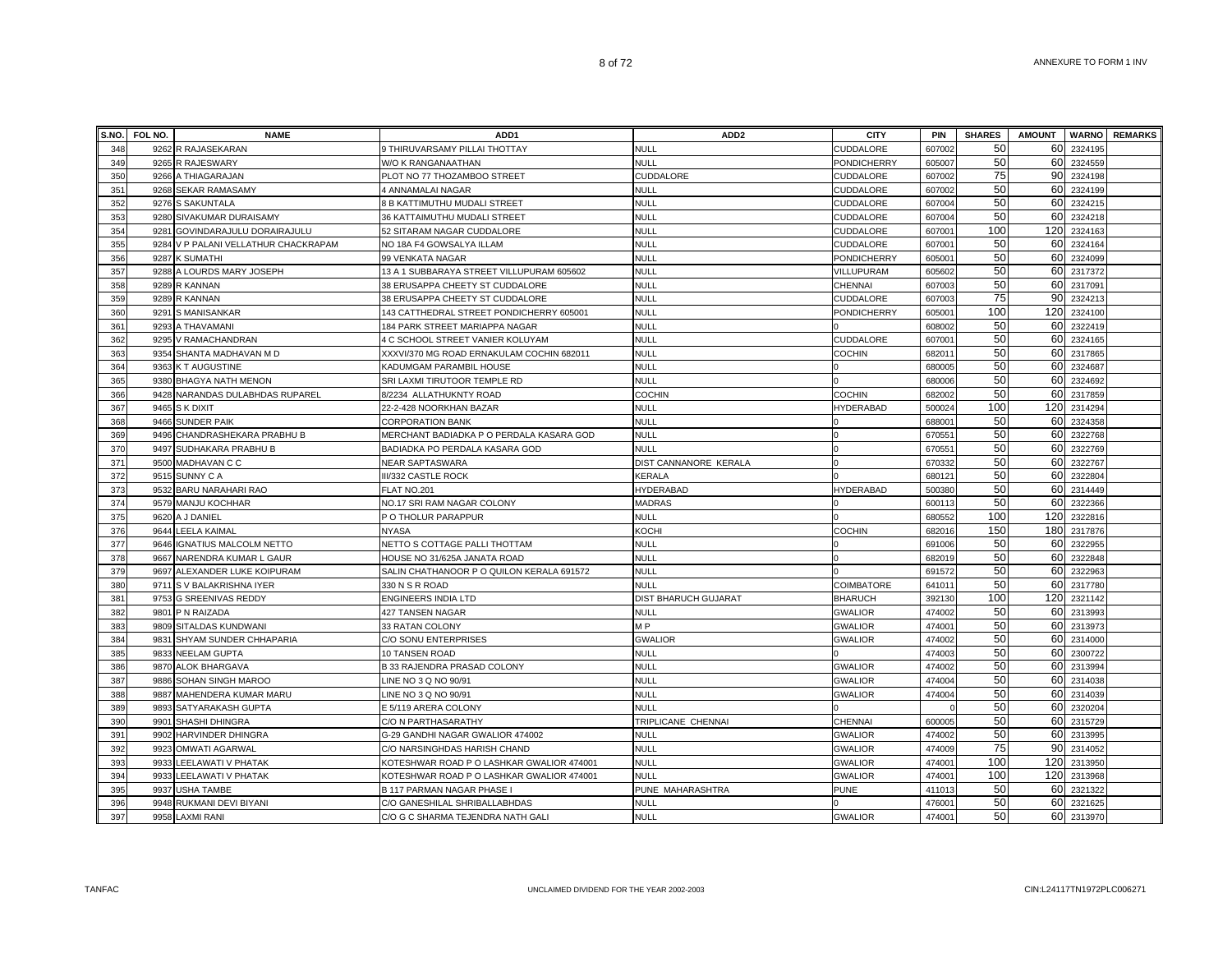| S.NO.      | FOL NO. | <b>NAME</b>                                  | ADD <sub>1</sub>                               | ADD <sub>2</sub>                           | <b>CITY</b>                      | <b>PIN</b>         | <b>SHARES</b> | <b>AMOUNT</b> |                    | <b>WARNO</b> REMARKS |
|------------|---------|----------------------------------------------|------------------------------------------------|--------------------------------------------|----------------------------------|--------------------|---------------|---------------|--------------------|----------------------|
| 348        |         | 9262 R RAJASEKARAN                           | 9 THIRUVARSAMY PILLAI THOTTAY                  | <b>NULL</b>                                | CUDDALORE                        | 607002             | 50            | 60            | 2324195            |                      |
| 349        |         | 9265 R RAJESWARY                             | W/O K RANGANAATHAN                             | <b>NULL</b>                                | PONDICHERRY                      | 605007             | 50            | 60            | 2324559            |                      |
| 350        |         | 9266 A THIAGARAJAN                           | PLOT NO 77 THOZAMBOO STREET                    | <b>CUDDALORE</b>                           | <b>CUDDALORE</b>                 | 607002             | 75            | 90            | 2324198            |                      |
| 351        | 9268    | <b>SEKAR RAMASAMY</b>                        | 4 ANNAMALAI NAGAR                              | <b>NULL</b>                                | CUDDALORE                        | 607002             | 50            | 60            | 2324199            |                      |
| 352        |         | 9276 S SAKUNTALA                             | 8 B KATTIMUTHU MUDALI STREET                   | <b>NULL</b>                                | CUDDALORE                        | 60700              | 50            | 60            | 2324215            |                      |
| 353        |         | 9280 SIVAKUMAR DURAISAMY                     | 36 KATTAIMUTHU MUDALI STREET                   | <b>NULL</b>                                | CUDDALORE                        | 607004             | 50            | 60            | 2324218            |                      |
| 354        |         | 9281 GOVINDARAJULU DORAIRAJULU               | 52 SITARAM NAGAR CUDDALORE                     | <b>NULL</b>                                | CUDDALORE                        | 60700              | 100           | 120           | 2324163            |                      |
| 355        |         | 9284 V P PALANI VELLATHUR CHACKRAPAM         | NO 18A F4 GOWSALYA ILLAM                       | <b>NULL</b>                                | CUDDALORE                        | 60700              | 50            | 60            | 2324164            |                      |
| 356        |         | 9287 K SUMATHI                               | 99 VENKATA NAGAR                               | <b>NULL</b>                                | <b>PONDICHERRY</b>               | 60500              | 50            | 60            | 2324099            |                      |
| 357        |         | 9288 A LOURDS MARY JOSEPH                    | 13 A 1 SUBBARAYA STREET VILLUPURAM 605602      | <b>NULL</b>                                | VILLUPURAM                       | 605602             | 50            | 60            | 2317372            |                      |
| 358        |         | 9289 R KANNAN                                | 38 ERUSAPPA CHEETY ST CUDDALORE                | <b>NULL</b>                                | CHENNAI                          | 607003             | 50            | 60            | 2317091            |                      |
| 359        |         | 9289 R KANNAN                                | 38 ERUSAPPA CHEETY ST CUDDALORE                | NULL                                       | CUDDALORE                        | 607003             | 75            | 90            | 2324213            |                      |
| 360        | 9291    | <b>S MANISANKAR</b>                          | 143 CATTHEDRAL STREET PONDICHERRY 605001       | <b>NULL</b>                                | PONDICHERRY                      | 60500              | 100           | 120           | 2324100            |                      |
| 361        | 9293    | A THAVAMANI                                  | 184 PARK STREET MARIAPPA NAGAR                 | <b>NULL</b>                                |                                  | 608002             | 50            | 60            | 2322419            |                      |
| 362        | 9295    | V RAMACHANDRAN                               | 4 C SCHOOL STREET VANIER KOLUYAM               | <b>NULL</b>                                | CUDDALORE                        | 60700              | 50            | 60            | 2324165            |                      |
| 363        |         | 9354 SHANTA MADHAVAN M D                     | XXXVI/370 MG ROAD ERNAKULAM COCHIN 682011      | <b>NULL</b>                                | <b>COCHIN</b>                    | 68201              | 50            | 60            | 2317865            |                      |
| 364        |         | 9363 K T AUGUSTINE                           | KADUMGAM PARAMBIL HOUSE                        | <b>NULL</b>                                |                                  | 68000              | 50            | 60            | 2324687            |                      |
| 365        |         | 9380 BHAGYA NATH MENON                       | SRI LAXMI TIRUTOOR TEMPLE RD                   | <b>NULL</b>                                |                                  | 680006             | 50            | 60            | 2324692            |                      |
| 366        |         | 9428 NARANDAS DULABHDAS RUPAREL              | 8/2234 ALLATHUKNTY ROAD                        | <b>COCHIN</b>                              | <b>COCHIN</b>                    | 682002             | 50            | 60            | 2317859            |                      |
| 367        |         | 9465 S K DIXIT                               | 22-2-428 NOORKHAN BAZAR                        | <b>NULL</b>                                | HYDERABAD                        | 500024             | 100           | 120           | 2314294            |                      |
| 368        |         | 9466 SUNDER PAIK                             | <b>CORPORATION BANK</b>                        | <b>NULL</b>                                |                                  | 68800              | 50            | 60            | 2324358            |                      |
| 369        |         | 9496 CHANDRASHEKARA PRABHU B                 | MERCHANT BADIADKA P O PERDALA KASARA GOD       | <b>NULL</b>                                |                                  | 67055              | 50            | 60            | 2322768            |                      |
| 370        | 9497    | SUDHAKARA PRABHU B                           | BADIADKA PO PERDALA KASARA GOD                 | NULL                                       |                                  | 67055              | 50            | 60            | 2322769            |                      |
| 371        |         | 9500 MADHAVAN C C                            | NEAR SAPTASWARA                                | DIST CANNANORE KERALA                      |                                  | 670332             | 50            | 60            | 2322767            |                      |
| 372        | 9515    | SUNNY C A                                    | III/332 CASTLE ROCK                            | <b>KERALA</b>                              |                                  | 68012              | 50            | 60            | 2322804            |                      |
| 373        |         | 9532 BARU NARAHARI RAO                       | FLAT NO.201                                    | HYDERABAD                                  | <b>HYDERABAD</b>                 | 500380             | 50            | 60            | 2314449            |                      |
| 374        |         | 9579 MANJU KOCHHAR                           | NO.17 SRI RAM NAGAR COLONY                     | <b>MADRAS</b>                              |                                  | 600113             | 50            | 60            | 2322366            |                      |
| 375        |         | 9620 A J DANIEL                              | P O THOLUR PARAPPUR                            | <b>NULL</b>                                |                                  | 680552             | 100           | 120           | 2322816            |                      |
| 376        |         | 9644 LEELA KAIMAL                            | <b>NYASA</b>                                   | KOCHI                                      | <b>COCHIN</b>                    | 682016             | 150           | 180           | 2317876            |                      |
| 377        |         | 9646 IGNATIUS MALCOLM NETTO                  | NETTO S COTTAGE PALLI THOTTAM                  | NULL                                       |                                  | 691006             | 50            | 60            | 2322955            |                      |
| 378        |         | 9667 NARENDRA KUMAR L GAUR                   | HOUSE NO 31/625A JANATA ROAD                   | <b>NULL</b>                                |                                  | 682019             | 50<br>50      | 60            | 2322848            |                      |
| 379        |         | 9697 ALEXANDER LUKE KOIPURAM                 | SALIN CHATHANOOR P O QUILON KERALA 691572      | NULL                                       |                                  | 691572             |               | 60            | 2322963            |                      |
| 380        |         | 9711 S V BALAKRISHNA IYER                    | 330 N S R ROAD                                 | NULL                                       | <b>COIMBATORE</b>                | 64101              | 50<br>100     | 60<br>120     | 2317780<br>2321142 |                      |
| 381<br>382 | 9753    | <b>G SREENIVAS REDDY</b><br>9801 P N RAIZADA | <b>ENGINEERS INDIA LTD</b><br>427 TANSEN NAGAR | <b>DIST BHARUCH GUJARAT</b><br><b>NULL</b> | <b>BHARUCH</b><br><b>GWALIOR</b> | 39213<br>474002    | 50            | 60            | 2313993            |                      |
| 383        | 9809    | SITALDAS KUNDWANI                            | 33 RATAN COLONY                                | M <sub>P</sub>                             | <b>GWALIOR</b>                   | 47400              | 50            | 60            | 2313973            |                      |
| 384        |         | 9831 SHYAM SUNDER CHHAPARIA                  | C/O SONU ENTERPRISES                           | <b>GWALIOR</b>                             | <b>GWALIOR</b>                   | 474002             | 50            | 60            | 2314000            |                      |
| 385        |         | 9833 NEELAM GUPTA                            | 10 TANSEN ROAD                                 | <b>NULL</b>                                |                                  | 474003             | 50            | 60            | 2300722            |                      |
| 386        |         | 9870 ALOK BHARGAVA                           | B 33 RAJENDRA PRASAD COLONY                    | <b>NULL</b>                                | <b>GWALIOR</b>                   | 474002             | 50            | 60            | 2313994            |                      |
| 387        |         | 9886 SOHAN SINGH MAROO                       | LINE NO 3 Q NO 90/91                           | <b>NULL</b>                                | <b>GWALIOR</b>                   | 474004             | 50            | 60            | 2314038            |                      |
| 388        |         | 9887 MAHENDERA KUMAR MARU                    | LINE NO 3 Q NO 90/91                           | <b>NULL</b>                                | <b>GWALIOR</b>                   | 474004             | 50            | 60            | 2314039            |                      |
| 389        |         | 9893 SATYARAKASH GUPTA                       | E 5/119 ARERA COLONY                           | <b>NULL</b>                                |                                  |                    | 50            | 60            | 2320204            |                      |
| 390        | 9901    | <b>SHASHI DHINGRA</b>                        | <b>C/O N PARTHASARATHY</b>                     | TRIPLICANE CHENNA                          | <b>CHENNAI</b>                   | 600005             | 50            | 60            | 2315729            |                      |
| 391        |         | 9902 HARVINDER DHINGRA                       | G-29 GANDHI NAGAR GWALIOR 474002               | <b>NULL</b>                                | <b>GWALIOR</b>                   | 474002             | 50            | 60            | 2313995            |                      |
| 392        | 9923    | <b>OMWATI AGARWAL</b>                        | C/O NARSINGHDAS HARISH CHAND                   | <b>NULL</b>                                | <b>GWALIOR</b>                   | 474009             | 75            | 90            | 2314052            |                      |
| 393        |         | 9933 LEELAWATI V PHATAK                      | KOTESHWAR ROAD P O LASHKAR GWALIOR 474001      | <b>NULL</b>                                | <b>GWALIOR</b>                   | 47400 <sup>-</sup> | 100           | 120           | 2313950            |                      |
| 394        |         | 9933 LEELAWATI V PHATAK                      | KOTESHWAR ROAD P O LASHKAR GWALIOR 474001      | <b>NULL</b>                                | <b>GWALIOR</b>                   | 47400 <sup>-</sup> | 100           | 120           | 2313968            |                      |
| 395        |         | 9937 USHA TAMBE                              | B 117 PARMAN NAGAR PHASE I                     | PUNE MAHARASHTRA                           | <b>PUNE</b>                      | 41101              | 50            | 60            | 2321322            |                      |
| 396        |         | 9948 RUKMANI DEVI BIYANI                     | C/O GANESHILAL SHRIBALLABHDAS                  | <b>NULL</b>                                |                                  | 476001             | 50            | 60            | 2321625            |                      |
| 397        |         | 9958 LAXMI RANI                              | C/O G C SHARMA TEJENDRA NATH GALI              | <b>NULL</b>                                | <b>GWALIOR</b>                   | 474001             | 50            | 60            | 2313970            |                      |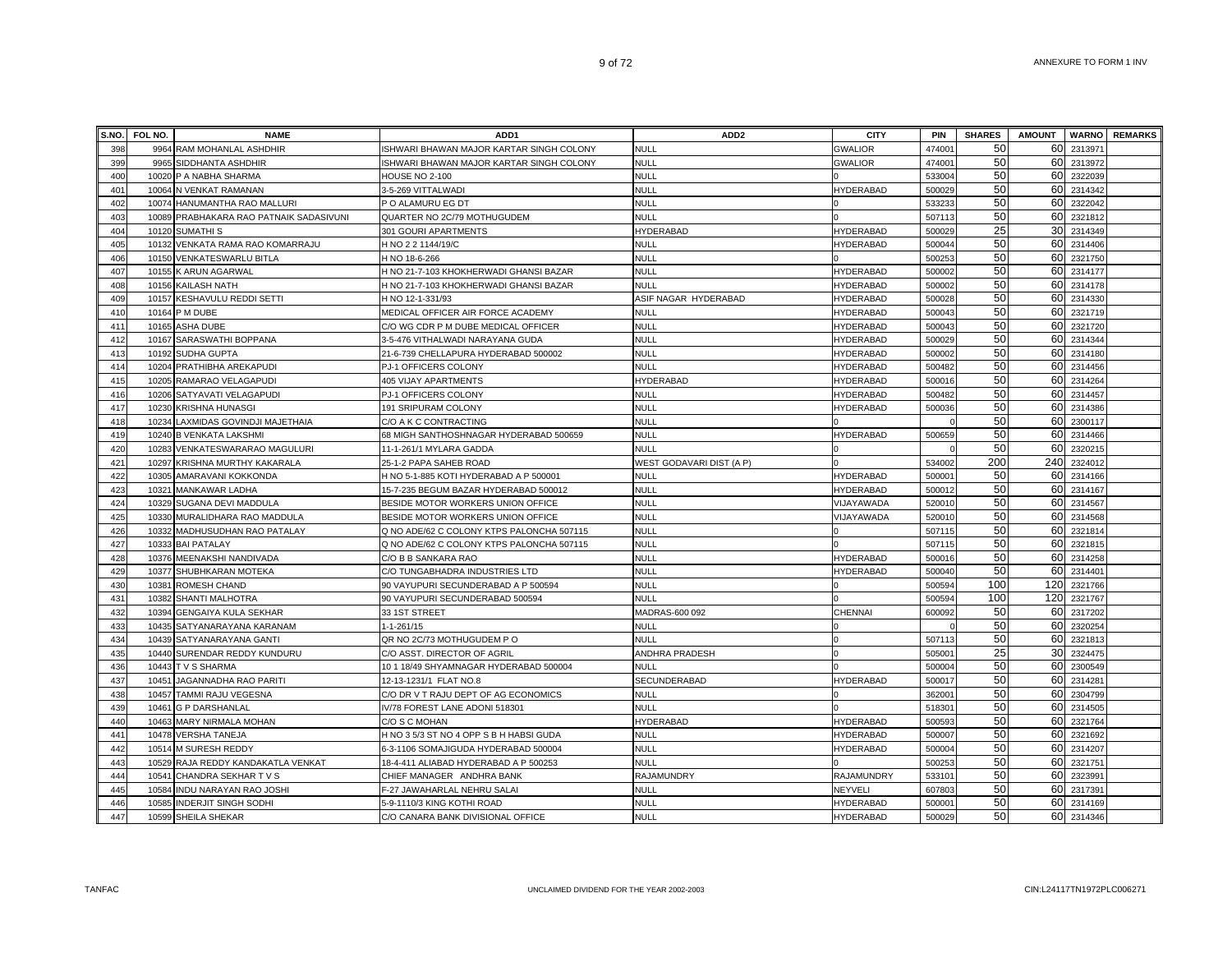|     | S.NO. FOL NO. | <b>NAME</b>                             | ADD1                                      | ADD <sub>2</sub>         | <b>CITY</b>      | <b>PIN</b> | <b>SHARES</b> | <b>AMOUNT</b>   | <b>WARNO</b> | <b>REMARKS</b> |
|-----|---------------|-----------------------------------------|-------------------------------------------|--------------------------|------------------|------------|---------------|-----------------|--------------|----------------|
| 398 | 9964          | RAM MOHANLAL ASHDHIR                    | ISHWARI BHAWAN MAJOR KARTAR SINGH COLONY  | <b>NULL</b>              | <b>GWALIOR</b>   | 47400      | 50            | 60              | 231397       |                |
| 399 | 9965          | SIDDHANTA ASHDHIR                       | ISHWARI BHAWAN MAJOR KARTAR SINGH COLONY  | <b>NULL</b>              | <b>GWALIOR</b>   | 474001     | 50            | 60              | 2313972      |                |
| 400 | 10020         | P A NABHA SHARMA                        | HOUSE NO 2-100                            | <b>NULL</b>              |                  | 533004     | 50            | 60              | 2322039      |                |
| 401 |               | 10064 N VENKAT RAMANAN                  | 3-5-269 VITTALWADI                        | <b>NULL</b>              | HYDERABAD        | 500029     | 50            | 60              | 2314342      |                |
| 402 | 10074         | HANUMANTHA RAO MALLURI                  | P O ALAMURU EG DT                         | <b>NULL</b>              |                  | 533233     | 50            | 60              | 2322042      |                |
| 403 |               | 10089 PRABHAKARA RAO PATNAIK SADASIVUNI | QUARTER NO 2C/79 MOTHUGUDEM               | <b>NULL</b>              |                  | 507113     | 50            | 60              | 2321812      |                |
| 404 |               | 10120 SUMATHI S                         | 301 GOURI APARTMENTS                      | HYDERABAD                | HYDERABAD        | 500029     | 25            | 30              | 2314349      |                |
| 405 |               | 10132 VENKATA RAMA RAO KOMARRAJU        | H NO 2 2 1144/19/C                        | <b>NULI</b>              | HYDERABAD        | 500044     | 50            | 60              | 2314406      |                |
| 406 |               | 10150 VENKATESWARLU BITLA               | H NO 18-6-266                             | NULL                     |                  | 500253     | 50            | 60              | 2321750      |                |
| 407 | 10155         | K ARUN AGARWAL                          | H NO 21-7-103 KHOKHERWADI GHANSI BAZAR    | <b>NULL</b>              | HYDERABAD        | 50000      | 50            |                 | 60 2314177   |                |
| 408 | 10156         | KAILASH NATH                            | H NO 21-7-103 KHOKHERWADI GHANSI BAZAR    | NULL                     | HYDERABAD        | 500002     | 50            | 60              | 2314178      |                |
| 409 | 10157         | KESHAVULU REDDI SETTI                   | H NO 12-1-331/93                          | ASIF NAGAR HYDERABAD     | HYDERABAD        | 500028     | 50            | 60              | 2314330      |                |
| 410 | 10164         | P M DUBE                                | MEDICAL OFFICER AIR FORCE ACADEMY         | <b>NULL</b>              | HYDERABAD        | 500043     | 50            | 60              | 2321719      |                |
| 411 | 10165         | <b>ASHA DUBE</b>                        | C/O WG CDR P M DUBE MEDICAL OFFICER       | <b>NULL</b>              | HYDERABAD        | 500043     | 50            | 60              | 2321720      |                |
| 412 | 10167         | SARASWATHI BOPPANA                      | 3-5-476 VITHALWADI NARAYANA GUDA          | <b>NULL</b>              | HYDERABAD        | 500029     | 50            | 60              | 2314344      |                |
| 413 | 10192         | <b>SUDHA GUPTA</b>                      | 21-6-739 CHELLAPURA HYDERABAD 500002      | <b>NULL</b>              | <b>HYDERABAD</b> | 500002     | 50            | 60              | 2314180      |                |
| 414 |               | 10204 PRATHIBHA AREKAPUDI               | PJ-1 OFFICERS COLONY                      | <b>NULL</b>              | HYDERABAD        | 500482     | 50            | 60              | 2314456      |                |
| 415 |               | 10205 RAMARAO VELAGAPUDI                | 405 VIJAY APARTMENTS                      | HYDERABAD                | HYDERABAD        | 500016     | 50            | 60              | 2314264      |                |
| 416 |               | 10206 SATYAVATI VELAGAPUDI              | PJ-1 OFFICERS COLONY                      | <b>NULL</b>              | HYDERABAD        | 500482     | 50            | 60              | 2314457      |                |
| 417 | 10230         | KRISHNA HUNASGI                         | 191 SRIPURAM COLONY                       | NULL                     | HYDERABAD        | 500036     | 50            | 60              | 2314386      |                |
| 418 | 10234         | LAXMIDAS GOVINDJI MAJETHAIA             | C/O A K C CONTRACTING                     | <b>NULL</b>              |                  |            | 50            | 60              | 2300117      |                |
| 419 | 10240         | <b>B VENKATA LAKSHMI</b>                | 68 MIGH SANTHOSHNAGAR HYDERABAD 500659    | <b>NULL</b>              | HYDERABAD        | 500659     | 50            | 60              | 2314466      |                |
| 420 | 10283         | VENKATESWARARAO MAGULURI                | 11-1-261/1 MYLARA GADDA                   | <b>NULL</b>              |                  |            | 50            | 60              | 2320215      |                |
| 421 | 10297         | KRISHNA MURTHY KAKARALA                 | 25-1-2 PAPA SAHEB ROAD                    | WEST GODAVARI DIST (A P) |                  | 534002     | 200           | 240             | 2324012      |                |
| 422 | 10305         | AMARAVANI KOKKONDA                      | H NO 5-1-885 KOTI HYDERABAD A P 500001    | <b>NULL</b>              | <b>HYDERABAD</b> | 50000      | 50            | 60              | 2314166      |                |
| 423 | 10321         | MANKAWAR LADHA                          | 15-7-235 BEGUM BAZAR HYDERABAD 500012     | <b>NULL</b>              | HYDERABAD        | 50001      | 50            | 60              | 2314167      |                |
| 424 |               | 10329 SUGANA DEVI MADDULA               | BESIDE MOTOR WORKERS UNION OFFICE         | <b>NULL</b>              | VIJAYAWADA       | 520010     | 50            | 60              | 2314567      |                |
| 425 |               | 10330 MURALIDHARA RAO MADDULA           | BESIDE MOTOR WORKERS UNION OFFICE         | <b>NULL</b>              | VIJAYAWADA       | 520010     | 50            | 60              | 2314568      |                |
| 426 |               | 10332 MADHUSUDHAN RAO PATALAY           | Q NO ADE/62 C COLONY KTPS PALONCHA 507115 | <b>NULL</b>              |                  | 507115     | 50            | 60              | 2321814      |                |
| 427 |               | 10333 BAI PATALAY                       | Q NO ADE/62 C COLONY KTPS PALONCHA 507115 | NULL                     |                  | 507115     | 50            |                 | 60 2321815   |                |
| 428 |               | 10376 MEENAKSHI NANDIVADA               | C/O B B SANKARA RAO                       | <b>NULL</b>              | <b>HYDERABAD</b> | 500016     | 50            | 60              | 2314258      |                |
| 429 | 10377         | SHUBHKARAN MOTEKA                       | C/O TUNGABHADRA INDUSTRIES LTD            | <b>NULL</b>              | HYDERABAD        | 50004      | 50            |                 | 60 2314401   |                |
| 430 | 1038'         | ROMESH CHAND                            | 90 VAYUPURI SECUNDERABAD A P 500594       | <b>NULL</b>              |                  | 500594     | 100           | 120             | 2321766      |                |
| 431 | 10382         | SHANTI MALHOTRA                         | 90 VAYUPURI SECUNDERABAD 500594           | <b>NULL</b>              |                  | 500594     | 100           | 120             | 2321767      |                |
| 432 | 10394         | GENGAIYA KULA SEKHAR                    | 33 1ST STREET                             | MADRAS-600 092           | CHENNAI          | 600092     | 50            | 60              | 2317202      |                |
| 433 | 10435         | SATYANARAYANA KARANAM                   | 1-1-261/15                                | <b>NULL</b>              |                  |            | 50            | 60              | 2320254      |                |
| 434 |               | 10439 SATYANARAYANA GANTI               | QR NO 2C/73 MOTHUGUDEM P O                | <b>NULL</b>              |                  | 507113     | 50            | 60              | 2321813      |                |
| 435 |               | 10440 SURENDAR REDDY KUNDURU            | C/O ASST. DIRECTOR OF AGRIL               | ANDHRA PRADESH           |                  | 505001     | 25            | 30 <sub>l</sub> | 2324475      |                |
| 436 |               | 10443 TVS SHARMA                        | 10 1 18/49 SHYAMNAGAR HYDERABAD 500004    | <b>NULL</b>              |                  | 500004     | 50            | 60              | 2300549      |                |
| 437 | 10451         | JAGANNADHA RAO PARITI                   | 12-13-1231/1 FLAT NO.8                    | SECUNDERABAD             | HYDERABAD        | 500017     | 50            | 60              | 2314281      |                |
| 438 | 10457         | TAMMI RAJU VEGESNA                      | C/O DR V T RAJU DEPT OF AG ECONOMICS      | <b>NULL</b>              |                  | 36200      | 50            | 60              | 2304799      |                |
| 439 | 10461         | <b>G P DARSHANLAL</b>                   | IV/78 FOREST LANE ADONI 518301            | <b>NULL</b>              |                  | 518301     | 50            | 60              | 2314505      |                |
| 440 | 10463         | MARY NIRMALA MOHAN                      | C/O S C MOHAN                             | <b>HYDERABAD</b>         | HYDERABAD        | 500593     | 50            | 60              | 2321764      |                |
| 441 | 10478         | <b>VERSHA TANEJA</b>                    | H NO 3 5/3 ST NO 4 OPP S B H HABSI GUDA   | <b>NULL</b>              | HYDERABAD        | 500007     | 50            | 60              | 2321692      |                |
| 442 | 10514         | M SURESH REDDY                          | 6-3-1106 SOMAJIGUDA HYDERABAD 500004      | <b>NULL</b>              | HYDERABAD        | 500004     | 50            | 60              | 2314207      |                |
| 443 | 10529         | RAJA REDDY KANDAKATLA VENKAT            | 18-4-411 ALIABAD HYDERABAD A P 500253     | <b>NULL</b>              |                  | 500253     | 50            | 60              | 2321751      |                |
| 444 | 10541         | CHANDRA SEKHAR T V S                    | CHIEF MANAGER ANDHRA BANK                 | RAJAMUNDRY               | RAJAMUNDRY       | 533101     | 50            | 60              | 2323991      |                |
| 445 | 10584         | NDU NARAYAN RAO JOSHI                   | F-27 JAWAHARLAL NEHRU SALAI               | <b>NULL</b>              | NEYVELI          | 607803     | 50<br>50      | 60<br>60        | 2317391      |                |
| 446 | 10585         | <b>INDERJIT SINGH SODHI</b>             | 5-9-1110/3 KING KOTHI ROAD                | <b>NULL</b>              | HYDERABAD        | 500001     | 50            |                 | 2314169      |                |
| 447 |               | 10599 SHEILA SHEKAR                     | C/O CANARA BANK DIVISIONAL OFFICE         | <b>NULL</b>              | <b>HYDERABAD</b> | 500029     |               |                 | 60 2314346   |                |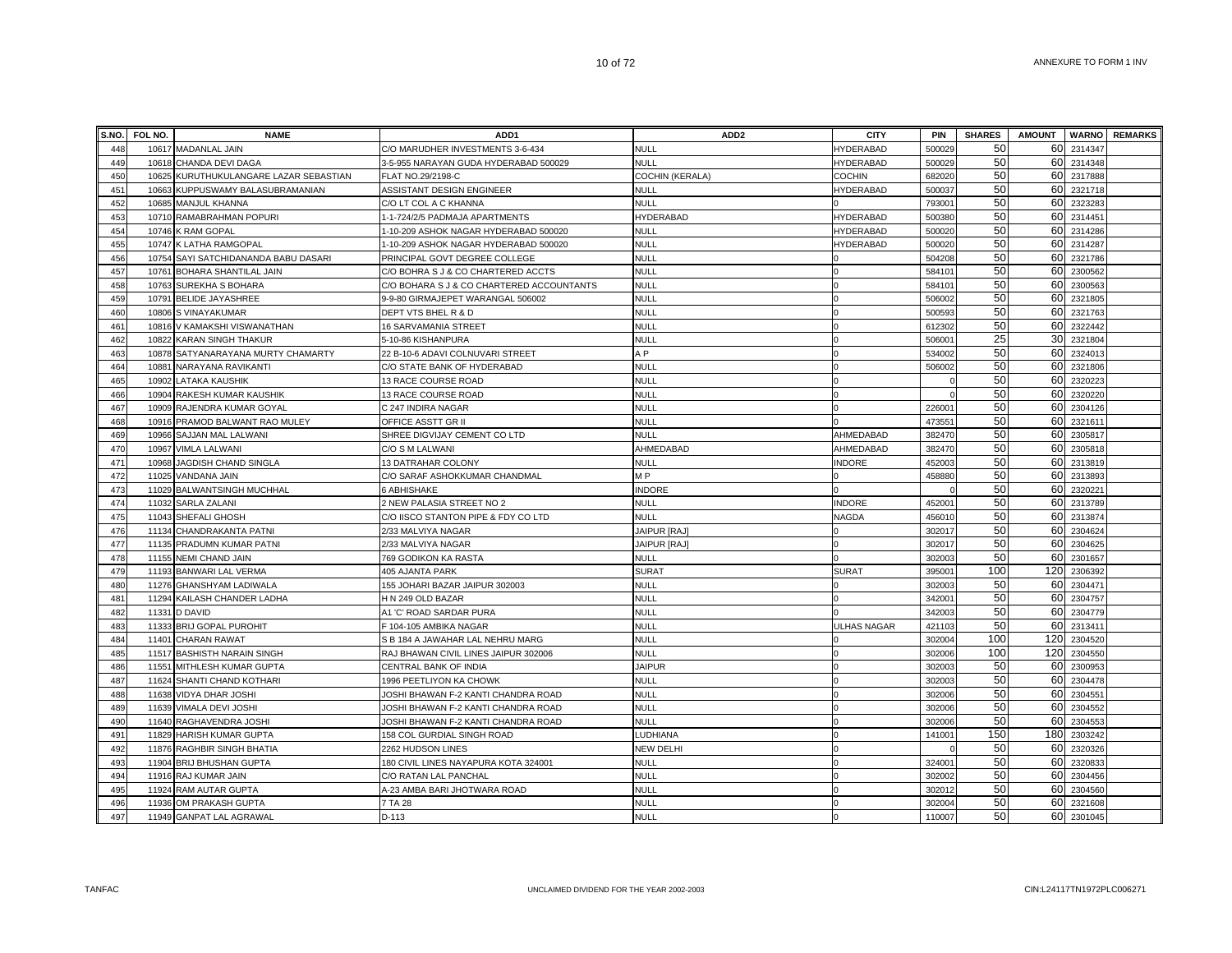|     | S.NO. FOL NO. | <b>NAME</b>                        | ADD <sub>1</sub>                          | ADD <sub>2</sub>       | <b>CITY</b>        | PIN                | <b>SHARES</b> | <b>AMOUNT</b>   |             | <b>WARNO</b> REMARKS |
|-----|---------------|------------------------------------|-------------------------------------------|------------------------|--------------------|--------------------|---------------|-----------------|-------------|----------------------|
| 448 | 10617         | <b>MADANLAL JAIN</b>               | C/O MARUDHER INVESTMENTS 3-6-434          | <b>NULL</b>            | HYDERABAD          | 50002              | 50            | 60              | 2314347     |                      |
| 449 | 10618         | CHANDA DEVI DAGA                   | 3-5-955 NARAYAN GUDA HYDERABAD 500029     | <b>NULL</b>            | HYDERABAD          | 500029             | 50            | 60              | 2314348     |                      |
| 450 | 10625         | KURUTHUKULANGARE LAZAR SEBASTIAN   | FLAT NO.29/2198-C                         | <b>COCHIN (KERALA)</b> | <b>COCHIN</b>      | 682020             | 50            |                 | 60 2317888  |                      |
| 451 | 10663         | KUPPUSWAMY BALASUBRAMANIAN         | ASSISTANT DESIGN ENGINEER                 | <b>NULL</b>            | <b>HYDERABAD</b>   | 500037             | 50            |                 | 60 2321718  |                      |
| 452 | 10685         | <b>MANJUL KHANNA</b>               | C/O LT COL A C KHANNA                     | <b>NULL</b>            |                    | 79300 <sup>-</sup> | 50            | 60              | 2323283     |                      |
| 453 |               | 10710 RAMABRAHMAN POPURI           | 1-1-724/2/5 PADMAJA APARTMENTS            | <b>HYDERABAD</b>       | <b>HYDERABAD</b>   | 500380             | 50            |                 | 60 2314451  |                      |
| 454 |               | 10746 K RAM GOPAL                  | I-10-209 ASHOK NAGAR HYDERABAD 500020     | <b>NULL</b>            | <b>HYDERABAD</b>   | 500020             | 50            |                 | 60 2314286  |                      |
| 455 |               | 10747 K LATHA RAMGOPAL             | 1-10-209 ASHOK NAGAR HYDERABAD 500020     | <b>NULL</b>            | HYDERABAD          | 500020             | 50            |                 | 60 2314287  |                      |
| 456 | 10754         | SAYI SATCHIDANANDA BABU DASARI     | PRINCIPAL GOVT DEGREE COLLEGE             | NULL                   |                    | 504208             | 50            |                 | 60 2321786  |                      |
| 457 | 10761         | BOHARA SHANTILAL JAIN              | C/O BOHRA S J & CO CHARTERED ACCTS        | <b>NULL</b>            |                    | 58410              | 50            | 60              | 2300562     |                      |
| 458 | 10763         | <b>SUREKHA S BOHARA</b>            | C/O BOHARA S J & CO CHARTERED ACCOUNTANTS | <b>NULL</b>            |                    | 58410              | 50            | 60              | 2300563     |                      |
| 459 | 10791         | BELIDE JAYASHREE                   | 9-9-80 GIRMAJEPET WARANGAL 506002         | <b>NULL</b>            |                    | 50600              | 50            | 60              | 2321805     |                      |
| 460 | 10806         | S VINAYAKUMAR                      | DEPT VTS BHEL R & D                       | <b>NULL</b>            |                    | 500593             | 50            | 60              | 2321763     |                      |
| 461 | 10816         | V KAMAKSHI VISWANATHAN             | 16 SARVAMANIA STREET                      | <b>NULL</b>            |                    | 612302             | 50            | 60              | 2322442     |                      |
| 462 | 10822         | <b>KARAN SINGH THAKUR</b>          | 5-10-86 KISHANPURA                        | <b>NULL</b>            |                    | 50600              | 25            | 30 <sup>1</sup> | 2321804     |                      |
| 463 |               | 10878 SATYANARAYANA MURTY CHAMARTY | 22 B-10-6 ADAVI COLNUVARI STREET          | A <sub>P</sub>         |                    | 534002             | 50            | 60              | 2324013     |                      |
| 464 | 10881         | NARAYANA RAVIKANTI                 | C/O STATE BANK OF HYDERABAD               | <b>NULL</b>            |                    | 506002             | 50            | 60              | 2321806     |                      |
| 465 |               | 10902 LATAKA KAUSHIK               | 13 RACE COURSE ROAD                       | <b>NULL</b>            |                    |                    | 50            | 60              | 2320223     |                      |
| 466 |               | 10904 RAKESH KUMAR KAUSHIK         | 13 RACE COURSE ROAD                       | NULL                   |                    |                    | 50            | 60              | 2320220     |                      |
| 467 |               | 10909 RAJENDRA KUMAR GOYAL         | C 247 INDIRA NAGAR                        | <b>NULL</b>            |                    | 22600              | 50            | 60              | 2304126     |                      |
| 468 | 10916         | PRAMOD BALWANT RAO MULEY           | OFFICE ASSTT GR II                        | <b>NULL</b>            |                    | 47355              | 50            | 60              | 2321611     |                      |
| 469 | 10966         | SAJJAN MAL LALWANI                 | SHREE DIGVIJAY CEMENT CO LTD              | <b>NULL</b>            | AHMEDABAD          | 382470             | 50            | 60              | 2305817     |                      |
| 470 | 10967         | <b>VIMLA LALWANI</b>               | C/O S M LALWANI                           | AHMEDABAD              | AHMEDABAD          | 382470             | 50            | 60              | 2305818     |                      |
| 471 | 10968         | JAGDISH CHAND SINGLA               | 13 DATRAHAR COLONY                        | <b>NULL</b>            | <b>INDORE</b>      | 452003             | 50            | 60              | 2313819     |                      |
| 472 | 11025         | VANDANA JAIN                       | C/O SARAF ASHOKKUMAR CHANDMAL             | M <sub>P</sub>         |                    | 458880             | 50            | 60              | 2313893     |                      |
| 473 |               | 11029 BALWANTSINGH MUCHHAL         | 6 ABHISHAKE                               | <b>INDORE</b>          |                    |                    | 50            | 60              | 2320221     |                      |
| 474 |               | 11032 SARLA ZALANI                 | 2 NEW PALASIA STREET NO 2                 | <b>NULL</b>            | <b>INDORE</b>      | 45200 <sup>-</sup> | 50            | 60              | 2313789     |                      |
| 475 |               | 11043 SHEFALI GHOSH                | C/O IISCO STANTON PIPE & FDY CO LTD       | <b>NULL</b>            | <b>NAGDA</b>       | 45601              | 50            | 60              | 2313874     |                      |
| 476 |               | 11134 CHANDRAKANTA PATNI           | 2/33 MALVIYA NAGAR                        | <b>JAIPUR [RAJ]</b>    |                    | 302017             | 50            | 60              | 2304624     |                      |
| 477 |               | 11135 PRADUMN KUMAR PATNI          | 2/33 MALVIYA NAGAR                        | JAIPUR [RAJ]           |                    | 30201              | 50            | 60              | 2304625     |                      |
| 478 |               | 11155 NEMI CHAND JAIN              | 769 GODIKON KA RASTA                      | NULL                   |                    | 302003             | 50            |                 | 60 2301657  |                      |
| 479 |               | 11193 BANWARI LAL VERMA            | 405 AJANTA PARK                           | <b>SURAT</b>           | <b>SURAT</b>       | 39500              | 100           |                 | 120 2306392 |                      |
| 480 |               | 11276 GHANSHYAM LADIWALA           | 155 JOHARI BAZAR JAIPUR 302003            | <b>NULL</b>            |                    | 30200              | 50            | 60              | 2304471     |                      |
| 481 | 11294         | KAILASH CHANDER LADHA              | H N 249 OLD BAZAR                         | <b>NULL</b>            |                    | 34200              | 50            | 60              | 2304757     |                      |
| 482 | 11331         | <b>D DAVID</b>                     | A1 'C' ROAD SARDAR PURA                   | <b>NULL</b>            |                    | 342003             | 50            | 60              | 2304779     |                      |
| 483 | 11333         | <b>BRIJ GOPAL PUROHIT</b>          | 104-105 AMBIKA NAGAR                      | <b>NULL</b>            | <b>ULHAS NAGAR</b> | 421103             | 50            | 60              | 2313411     |                      |
| 484 | 11401         | <b>CHARAN RAWAT</b>                | S B 184 A JAWAHAR LAL NEHRU MARG          | <b>NULL</b>            |                    | 302004             | 100           | 120             | 2304520     |                      |
| 485 |               | 11517 BASHISTH NARAIN SINGH        | RAJ BHAWAN CIVIL LINES JAIPUR 302006      | <b>NULL</b>            |                    | 302006             | 100           | 120             | 2304550     |                      |
| 486 | 11551         | MITHLESH KUMAR GUPTA               | CENTRAL BANK OF INDIA                     | <b>JAIPUR</b>          |                    | 302003             | 50            | 60              | 2300953     |                      |
| 487 |               | 11624 SHANTI CHAND KOTHARI         | 1996 PEETLIYON KA CHOWK                   | <b>NULL</b>            |                    | 302003             | 50            | 60              | 2304478     |                      |
| 488 |               | 11638 VIDYA DHAR JOSHI             | JOSHI BHAWAN F-2 KANTI CHANDRA ROAD       | <b>NULL</b>            |                    | 302006             | 50            | 60              | 2304551     |                      |
| 489 | 11639         | VIMALA DEVI JOSHI                  | JOSHI BHAWAN F-2 KANTI CHANDRA ROAD       | <b>NULL</b>            |                    | 302006             | 50            |                 | 60 2304552  |                      |
| 490 | 11640         | RAGHAVENDRA JOSHI                  | JOSHI BHAWAN F-2 KANTI CHANDRA ROAD       | <b>NULL</b>            |                    | 30200              | 50            |                 | 60 2304553  |                      |
| 491 | 11829         | <b>HARISH KUMAR GUPTA</b>          | 158 COL GURDIAL SINGH ROAD                | LUDHIANA               |                    | 14100              | 150           | 180             | 2303242     |                      |
| 492 | 11876         | RAGHBIR SINGH BHATIA               | 2262 HUDSON LINES                         | <b>NEW DELHI</b>       |                    |                    | 50            | 60              | 2320326     |                      |
| 493 | 11904         | <b>BRIJ BHUSHAN GUPTA</b>          | 180 CIVIL LINES NAYAPURA KOTA 324001      | <b>NULL</b>            |                    | 32400 <sup>-</sup> | 50            | 60              | 2320833     |                      |
| 494 |               | 11916 RAJ KUMAR JAIN               | C/O RATAN LAL PANCHAL                     | <b>NULL</b>            | $\Omega$           | 302002             | 50            | 60              | 2304456     |                      |
| 495 |               | 11924 RAM AUTAR GUPTA              | A-23 AMBA BARI JHOTWARA ROAD              | <b>NULL</b>            |                    | 30201              | 50            | 60              | 2304560     |                      |
| 496 |               | 11936 OM PRAKASH GUPTA             | 7 TA 28                                   | <b>NULL</b>            | $\Omega$           | 302004             | 50            |                 | 60 2321608  |                      |
| 497 |               | 11949 GANPAT LAL AGRAWAL           | $D-113$                                   | NULL                   |                    | 110007             | 50            |                 | 60 2301045  |                      |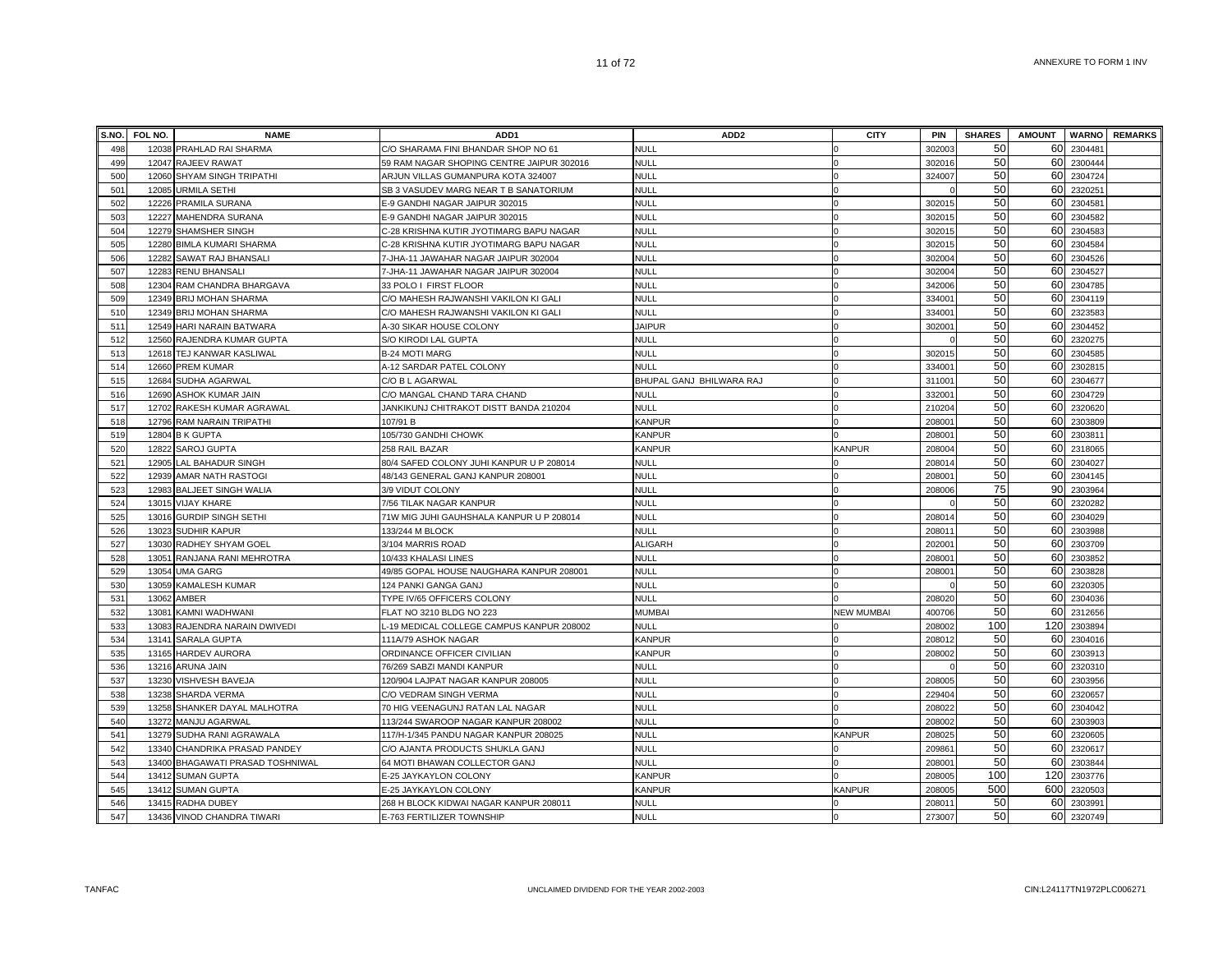|     | S.NO. FOL NO. | <b>NAME</b>                      | ADD <sub>1</sub>                          | ADD <sub>2</sub>         | <b>CITY</b>       | <b>PIN</b> | <b>SHARES</b> | <b>AMOUNT</b>         |            | <b>WARNO</b> REMARKS |
|-----|---------------|----------------------------------|-------------------------------------------|--------------------------|-------------------|------------|---------------|-----------------------|------------|----------------------|
| 498 |               | 12038 PRAHLAD RAI SHARMA         | C/O SHARAMA FINI BHANDAR SHOP NO 61       | <b>NULL</b>              |                   | 302003     | 50            | 60                    | 230448     |                      |
| 499 |               | 12047 RAJEEV RAWAT               | 59 RAM NAGAR SHOPING CENTRE JAIPUR 302016 | <b>NULL</b>              |                   | 302016     | 50            | 60                    | 2300444    |                      |
| 500 |               | 12060 SHYAM SINGH TRIPATHI       | ARJUN VILLAS GUMANPURA KOTA 324007        | NULL                     |                   | 324007     | 50            | 60                    | 2304724    |                      |
| 501 |               | 12085 URMILA SETHI               | SB 3 VASUDEV MARG NEAR T B SANATORIUM     | NULL                     |                   |            | 50            | 60                    | 232025     |                      |
| 502 |               | 12226 PRAMILA SURANA             | E-9 GANDHI NAGAR JAIPUR 302015            | <b>NULL</b>              |                   | 302015     | 50            | 60                    | 230458     |                      |
| 503 |               | 12227 MAHENDRA SURANA            | E-9 GANDHI NAGAR JAIPUR 302015            | <b>NULL</b>              |                   | 302015     | 50            | 60                    | 2304582    |                      |
| 504 |               | 12279 SHAMSHER SINGH             | C-28 KRISHNA KUTIR JYOTIMARG BAPU NAGAR   | <b>NULL</b>              |                   | 302015     | 50            | 60                    | 2304583    |                      |
| 505 |               | 12280 BIMLA KUMARI SHARMA        | C-28 KRISHNA KUTIR JYOTIMARG BAPU NAGAR   | NULL                     |                   | 302015     | 50            | 60                    | 2304584    |                      |
| 506 |               | 12282 SAWAT RAJ BHANSALI         | 7-JHA-11 JAWAHAR NAGAR JAIPUR 302004      | NULL                     |                   | 302004     | 50            | 60                    | 2304526    |                      |
| 507 |               | 12283 RENU BHANSALI              | 7-JHA-11 JAWAHAR NAGAR JAIPUR 302004      | <b>NULL</b>              |                   | 302004     | 50            | 60                    | 2304527    |                      |
| 508 |               | 12304 RAM CHANDRA BHARGAVA       | 33 POLO I FIRST FLOOR                     | NULL                     |                   | 342006     | 50            | 60                    | 2304785    |                      |
| 509 |               | 12349 BRIJ MOHAN SHARMA          | C/O MAHESH RAJWANSHI VAKILON KI GALI      | NULL                     |                   | 33400      | 50            | 60                    | 2304119    |                      |
| 510 |               | 12349 BRIJ MOHAN SHARMA          | C/O MAHESH RAJWANSHI VAKILON KI GALI      | NULL                     |                   | 334001     | 50            | 60                    | 2323583    |                      |
| 511 |               | 12549 HARI NARAIN BATWARA        | A-30 SIKAR HOUSE COLONY                   | <b>AIPUR</b>             |                   | 302001     | 50            | 60                    | 2304452    |                      |
| 512 |               | 12560 RAJENDRA KUMAR GUPTA       | S/O KIRODI LAL GUPTA                      | NULL                     |                   |            | 50            | 60                    | 2320275    |                      |
| 513 |               | 12618 TEJ KANWAR KASLIWAL        | <b>B-24 MOTI MARG</b>                     | NULL                     |                   | 302015     | 50            | 60                    | 2304585    |                      |
| 514 |               | 12660 PREM KUMAR                 | A-12 SARDAR PATEL COLONY                  | <b>NULL</b>              |                   | 334001     | 50            | 60                    | 2302815    |                      |
| 515 |               | 12684 SUDHA AGARWAL              | C/O B L AGARWAL                           | BHUPAL GANJ BHILWARA RAJ |                   | 311001     | 50            | 60                    | 2304677    |                      |
| 516 |               | 12690 ASHOK KUMAR JAIN           | C/O MANGAL CHAND TARA CHAND               | <b>NULL</b>              |                   | 33200      | 50            | 60                    | 2304729    |                      |
| 517 |               | 12702 RAKESH KUMAR AGRAWAL       | JANKIKUNJ CHITRAKOT DISTT BANDA 210204    | NULL                     |                   | 210204     | 50            | 60                    | 2320620    |                      |
| 518 |               | 12796 RAM NARAIN TRIPATHI        | 107/91 B                                  | KANPUR                   |                   | 20800      | 50            |                       | 60 2303809 |                      |
| 519 |               | 12804 B K GUPTA                  | 105/730 GANDHI CHOWK                      | KANPUR                   |                   | 20800      | 50            | 60                    | 230381     |                      |
| 520 |               | 12822 SAROJ GUPTA                | 258 RAIL BAZAR                            | KANPUR                   | <b>KANPUR</b>     | 208004     | 50            | 60                    | 2318065    |                      |
| 521 |               | 12905 LAL BAHADUR SINGH          | 80/4 SAFED COLONY JUHI KANPUR U P 208014  | NULL                     |                   | 208014     | 50            | 60                    | 2304027    |                      |
| 522 |               | 12939 AMAR NATH RASTOGI          | 48/143 GENERAL GANJ KANPUR 208001         | NULL                     |                   | 20800      | 50            | 60                    | 2304145    |                      |
| 523 |               | 12983 BALJEET SINGH WALIA        | 3/9 VIDUT COLONY                          | <b>NULL</b>              |                   | 208006     | 75            | 90                    | 2303964    |                      |
| 524 |               | 13015 VIJAY KHARE                | 7/56 TILAK NAGAR KANPUR                   | <b>NULL</b>              |                   |            | 50            | 60                    | 2320282    |                      |
| 525 |               | 13016 GURDIP SINGH SETHI         | 71W MIG JUHI GAUHSHALA KANPUR U P 208014  | <b>NULL</b>              |                   | 20801      | 50            | 60                    | 2304029    |                      |
| 526 |               | 13023 SUDHIR KAPUR               | 133/244 M BLOCK                           | <b>NULL</b>              |                   | 20801      | 50            | 60                    | 2303988    |                      |
| 527 |               | 13030 RADHEY SHYAM GOEL          | 3/104 MARRIS ROAD                         | ALIGARH                  |                   | 20200      | 50            | 60                    | 2303709    |                      |
| 528 |               | 13051 RANJANA RANI MEHROTRA      | 10/433 KHALASI LINES                      | <b>NULL</b>              |                   | 20800      | 50            | 60                    | 2303852    |                      |
| 529 |               | 13054 UMA GARG                   | 49/85 GOPAL HOUSE NAUGHARA KANPUR 208001  | <b>NULL</b>              |                   | 20800      | 50            | 60                    | 2303828    |                      |
| 530 | 13059         | KAMALESH KUMAR                   | 124 PANKI GANGA GANJ                      | NULL                     |                   |            | 50            | 60                    | 2320305    |                      |
| 531 |               | 13062 AMBER                      | TYPE IV/65 OFFICERS COLONY                | <b>NULL</b>              |                   | 208020     | 50            | 60                    | 2304036    |                      |
| 532 |               | 13081 KAMNI WADHWANI             | FLAT NO 3210 BLDG NO 223                  | <b>MUMBAI</b>            | <b>NEW MUMBAI</b> | 400706     | 50            | 60                    | 2312656    |                      |
| 533 |               | 13083 RAJENDRA NARAIN DWIVEDI    | L-19 MEDICAL COLLEGE CAMPUS KANPUR 208002 | NULL                     |                   | 208002     | 100           | 120                   | 2303894    |                      |
| 534 |               | 13141 SARALA GUPTA               | 111A/79 ASHOK NAGAR                       | KANPUR                   |                   | 208012     | 50            | 60                    | 2304016    |                      |
| 535 |               | 13165 HARDEV AURORA              | ORDINANCE OFFICER CIVILIAN                | KANPUR                   |                   | 208002     | 50            | 60                    | 2303913    |                      |
| 536 |               | 13216 ARUNA JAIN                 | 76/269 SABZI MANDI KANPUR                 | <b>NULL</b>              |                   |            | 50            | 60                    | 2320310    |                      |
| 537 |               | 13230 VISHVESH BAVEJA            | 120/904 LAJPAT NAGAR KANPUR 208005        | NULL                     |                   | 208005     | 50            | 60                    | 2303956    |                      |
| 538 | 13238         | <b>SHARDA VERMA</b>              | C/O VEDRAM SINGH VERMA                    | NULL                     |                   | 229404     | 50            | 60                    | 2320657    |                      |
| 539 |               | 13258 SHANKER DAYAL MALHOTRA     | 70 HIG VEENAGUNJ RATAN LAL NAGAR          | <b>NULL</b>              |                   | 208022     | 50            | 60                    | 2304042    |                      |
| 540 |               | 13272 MANJU AGARWAL              | 113/244 SWAROOP NAGAR KANPUR 208002       | <b>NULL</b>              |                   | 208002     | 50            | 60                    | 2303903    |                      |
| 541 |               | 13279 SUDHA RANI AGRAWALA        | 117/H-1/345 PANDU NAGAR KANPUR 208025     | NULL                     | <b>KANPUR</b>     | 208025     | 50            | 60                    | 2320605    |                      |
| 542 |               | 13340 CHANDRIKA PRASAD PANDEY    | C/O AJANTA PRODUCTS SHUKLA GANJ           | NULL                     |                   | 209861     | 50            | 60                    | 2320617    |                      |
| 543 |               | 13400 BHAGAWATI PRASAD TOSHNIWAL | 64 MOTI BHAWAN COLLECTOR GANJ             | <b>NULL</b>              |                   | 208001     | 50            | 60                    | 2303844    |                      |
| 544 |               | 13412 SUMAN GUPTA                | E-25 JAYKAYLON COLONY                     | KANPUR                   |                   | 208005     | 100           | 120                   | 2303776    |                      |
| 545 |               | 13412 SUMAN GUPTA                | E-25 JAYKAYLON COLONY                     | <b><i>KANPUR</i></b>     | KANPUR            | 208005     | 500           | 600                   | 2320503    |                      |
| 546 |               | 13415 RADHA DUBEY                | 268 H BLOCK KIDWAI NAGAR KANPUR 208011    | NULL                     |                   | 20801      | 50<br>50      | 60<br>60 <sup>1</sup> | 2303991    |                      |
| 547 |               | 13436 VINOD CHANDRA TIWARI       | E-763 FERTILIZER TOWNSHIP                 | NULL                     |                   | 273007     |               |                       | 2320749    |                      |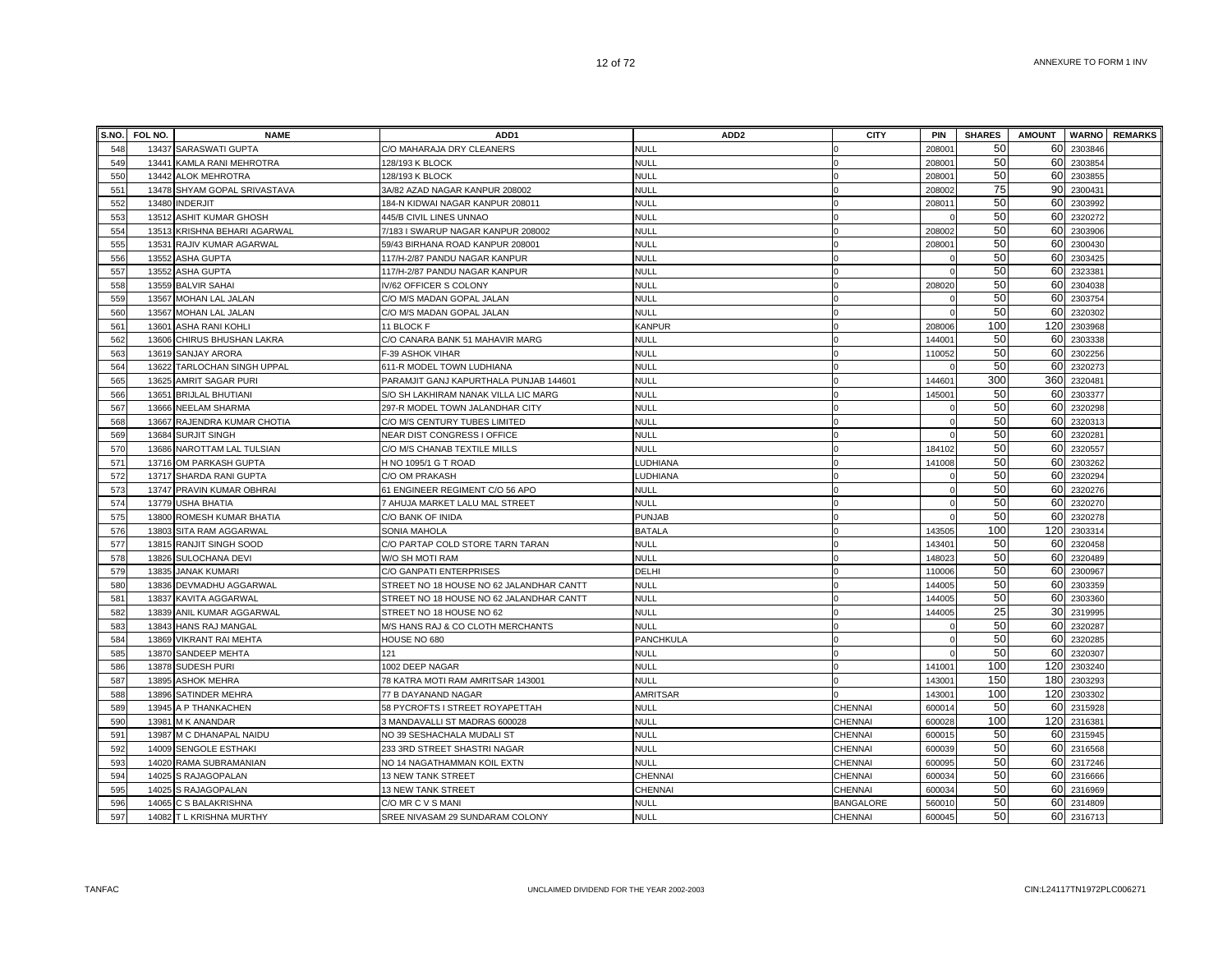|     | S.NO. FOL NO. | <b>NAME</b>                  | ADD <sub>1</sub>                         | ADD <sub>2</sub> | <b>CITY</b>      | <b>PIN</b> | <b>SHARES</b> | <b>AMOUNT</b> |         | <b>WARNO</b> REMARKS |
|-----|---------------|------------------------------|------------------------------------------|------------------|------------------|------------|---------------|---------------|---------|----------------------|
| 548 | 13437         | <b>SARASWATI GUPTA</b>       | C/O MAHARAJA DRY CLEANERS                | <b>NULL</b>      |                  | 20800      | 50            | 60            | 2303846 |                      |
| 549 | 13441         | KAMLA RANI MEHROTRA          | 128/193 K BLOCK                          | <b>NULL</b>      |                  | 208001     | 50            | 60            | 2303854 |                      |
| 550 | 13442         | <b>ALOK MEHROTRA</b>         | 128/193 K BLOCK                          | NULL             |                  | 208001     | 50            | 60            | 2303855 |                      |
| 551 | 13478         | SHYAM GOPAL SRIVASTAVA       | 3A/82 AZAD NAGAR KANPUR 208002           | <b>NULL</b>      |                  | 208002     | 75            | 90            | 2300431 |                      |
| 552 | 13480         | <b>INDERJIT</b>              | 184-N KIDWAI NAGAR KANPUR 208011         | <b>NULL</b>      |                  | 208011     | 50            | 60            | 2303992 |                      |
| 553 | 13512         | ASHIT KUMAR GHOSH            | 445/B CIVIL LINES UNNAO                  | <b>NULL</b>      |                  |            | 50            | 60            | 2320272 |                      |
| 554 |               | 13513 KRISHNA BEHARI AGARWAL | 7/183 I SWARUP NAGAR KANPUR 208002       | <b>NULL</b>      |                  | 208002     | 50            | 60            | 2303906 |                      |
| 555 |               | 13531 RAJIV KUMAR AGARWAL    | 59/43 BIRHANA ROAD KANPUR 208001         | <b>NULL</b>      |                  | 208001     | 50            | 60            | 2300430 |                      |
| 556 | 13552         | <b>ASHA GUPTA</b>            | 117/H-2/87 PANDU NAGAR KANPUR            | <b>NULL</b>      |                  |            | 50            | 60            | 2303425 |                      |
| 557 | 13552         | <b>ASHA GUPTA</b>            | 117/H-2/87 PANDU NAGAR KANPUR            | <b>NULL</b>      |                  |            | 50            | 60            | 232338  |                      |
| 558 | 13559         | <b>BALVIR SAHAI</b>          | V/62 OFFICER S COLONY                    | <b>NULL</b>      |                  | 208020     | 50            | 60            | 2304038 |                      |
| 559 | 13567         | <b>MOHAN LAL JALAN</b>       | C/O M/S MADAN GOPAL JALAN                | <b>NULL</b>      |                  |            | 50            | 60            | 2303754 |                      |
| 560 | 13567         | MOHAN LAL JALAN              | C/O M/S MADAN GOPAL JALAN                | <b>NULL</b>      |                  |            | 50            | 60            | 232030  |                      |
| 561 | 13601         | <b>ASHA RANI KOHLI</b>       | 11 BLOCK F                               | KANPUR           |                  | 208006     | 100           | 120           | 2303968 |                      |
| 562 | 13606         | CHIRUS BHUSHAN LAKRA         | C/O CANARA BANK 51 MAHAVIR MARG          | <b>NULL</b>      |                  | 144001     | 50            | 60            | 2303338 |                      |
| 563 | 13619         | SANJAY ARORA                 | F-39 ASHOK VIHAR                         | <b>NULL</b>      |                  | 110052     | 50            | 60            | 2302256 |                      |
| 564 | 13622         | TARLOCHAN SINGH UPPAL        | 611-R MODEL TOWN LUDHIANA                | <b>NULL</b>      |                  |            | 50            | 60            | 2320273 |                      |
| 565 | 13625         | AMRIT SAGAR PURI             | PARAMJIT GANJ KAPURTHALA PUNJAB 144601   | <b>NULL</b>      |                  | 144601     | 300           | 360           | 2320481 |                      |
| 566 |               | 13651 BRIJLAL BHUTIANI       | S/O SH LAKHIRAM NANAK VILLA LIC MARG     | <b>NULL</b>      |                  | 145001     | 50            | 60            | 2303377 |                      |
| 567 |               | 13666 NEELAM SHARMA          | 297-R MODEL TOWN JALANDHAR CITY          | <b>NULL</b>      |                  |            | 50            | 60            | 2320298 |                      |
| 568 | 13667         | RAJENDRA KUMAR CHOTIA        | C/O M/S CENTURY TUBES LIMITED            | <b>NULL</b>      |                  |            | 50            | 60            | 2320313 |                      |
| 569 |               | 13684 SURJIT SINGH           | NEAR DIST CONGRESS I OFFICE              | <b>NULL</b>      |                  |            | 50            | 60            | 232028  |                      |
| 570 | 13686         | NAROTTAM LAL TULSIAN         | C/O M/S CHANAB TEXTILE MILLS             | <b>NULL</b>      |                  | 184102     | 50            | 60            | 232055  |                      |
| 571 | 13716         | OM PARKASH GUPTA             | H NO 1095/1 G T ROAD                     | LUDHIANA         |                  | 141008     | 50            | 60            | 230326  |                      |
| 572 | 13717         | SHARDA RANI GUPTA            | C/O OM PRAKASH                           | LUDHIANA         |                  |            | 50            | 60            | 2320294 |                      |
| 573 | 13747         | PRAVIN KUMAR OBHRAI          | 61 ENGINEER REGIMENT C/O 56 APO          | <b>NULL</b>      |                  |            | 50            | 60            | 2320276 |                      |
| 574 | 13779         | <b>USHA BHATIA</b>           | 7 AHUJA MARKET LALU MAL STREET           | <b>NULL</b>      |                  |            | 50            | 60            | 2320270 |                      |
| 575 |               | 13800 ROMESH KUMAR BHATIA    | C/O BANK OF INIDA                        | <b>PUNJAB</b>    |                  |            | 50            | 60            | 2320278 |                      |
| 576 |               | 13803 SITA RAM AGGARWAL      | SONIA MAHOLA                             | <b>BATALA</b>    |                  | 143505     | 100           | 120           | 2303314 |                      |
| 577 |               | 13815 RANJIT SINGH SOOD      | C/O PARTAP COLD STORE TARN TARAN         | <b>NULL</b>      |                  | 143401     | 50            | 60            | 2320458 |                      |
| 578 |               | 13826 SULOCHANA DEVI         | W/O SH MOTI RAM                          | <b>NULL</b>      |                  | 148023     | 50            | 60            | 2320489 |                      |
| 579 | 13835         | <b>JANAK KUMARI</b>          | C/O GANPATI ENTERPRISES                  | DELHI            |                  | 110006     | 50            | 60            | 2300967 |                      |
| 580 |               | 13836 DEVMADHU AGGARWAL      | STREET NO 18 HOUSE NO 62 JALANDHAR CANTT | <b>NULL</b>      |                  | 144005     | 50            | 60            | 2303359 |                      |
| 581 | 13837         | KAVITA AGGARWAL              | STREET NO 18 HOUSE NO 62 JALANDHAR CANTT | <b>NULL</b>      |                  | 144005     | 50            | 60            | 2303360 |                      |
| 582 | 13839         | ANIL KUMAR AGGARWAL          | STREET NO 18 HOUSE NO 62                 | <b>NULL</b>      |                  | 144005     | 25            | 30            | 2319995 |                      |
| 583 | 13843         | HANS RAJ MANGAL              | M/S HANS RAJ & CO CLOTH MERCHANTS        | <b>NULL</b>      |                  |            | 50            | 60            | 2320287 |                      |
| 584 | 13869         | <b>VIKRANT RAI MEHTA</b>     | HOUSE NO 680                             | <b>PANCHKULA</b> |                  |            | 50            | 60            | 2320285 |                      |
| 585 |               | 13870 SANDEEP MEHTA          | 121                                      | <b>NULL</b>      |                  |            | 50            | 60            | 2320307 |                      |
| 586 |               | 13878 SUDESH PURI            | 1002 DEEP NAGAR                          | <b>NULL</b>      |                  | 141001     | 100           | 120           | 2303240 |                      |
| 587 | 13895         | <b>ASHOK MEHRA</b>           | 78 KATRA MOTI RAM AMRITSAR 143001        | <b>NULL</b>      |                  | 143001     | 150           | 180           | 2303293 |                      |
| 588 | 13896         | <b>SATINDER MEHRA</b>        | 77 B DAYANAND NAGAR                      | <b>AMRITSAR</b>  |                  | 143001     | 100           | 120           | 2303302 |                      |
| 589 |               | 13945 A P THANKACHEN         | 58 PYCROFTS I STREET ROYAPETTAH          | <b>NULL</b>      | <b>CHENNAI</b>   | 600014     | 50            | 60            | 2315928 |                      |
| 590 |               | 13981 M K ANANDAR            | 3 MANDAVALLI ST MADRAS 600028            | <b>NULL</b>      | CHENNAI          | 600028     | 100           | 120           | 2316381 |                      |
| 591 |               | 13987 M C DHANAPAL NAIDU     | NO 39 SESHACHALA MUDALI ST               | <b>NULL</b>      | CHENNAI          | 600015     | 50            | 60            | 2315945 |                      |
| 592 |               | 14009 SENGOLE ESTHAKI        | 233 3RD STREET SHASTRI NAGAR             | <b>NULL</b>      | CHENNAI          | 600039     | 50            | 60            | 2316568 |                      |
| 593 | 14020         | RAMA SUBRAMANIAN             | NO 14 NAGATHAMMAN KOIL EXTN              | <b>NULL</b>      | <b>CHENNAI</b>   | 600095     | 50            | 60            | 2317246 |                      |
| 594 | 14025         | S RAJAGOPALAN                | 13 NEW TANK STREET                       | CHENNAI          | CHENNAI          | 600034     | 50            | 60            | 2316666 |                      |
| 595 | 14025         | S RAJAGOPALAN                | 13 NEW TANK STREET                       | CHENNAI          | CHENNAI          | 60003      | 50            | 60            | 2316969 |                      |
| 596 |               | 14065 C S BALAKRISHNA        | C/O MR C V S MANI                        | <b>NULL</b>      | <b>BANGALORE</b> | 560010     | 50            | 60            | 2314809 |                      |
| 597 |               | 14082 T L KRISHNA MURTHY     | SREE NIVASAM 29 SUNDARAM COLONY          | <b>NULL</b>      | CHENNAI          | 600045     | 50            | 60            | 2316713 |                      |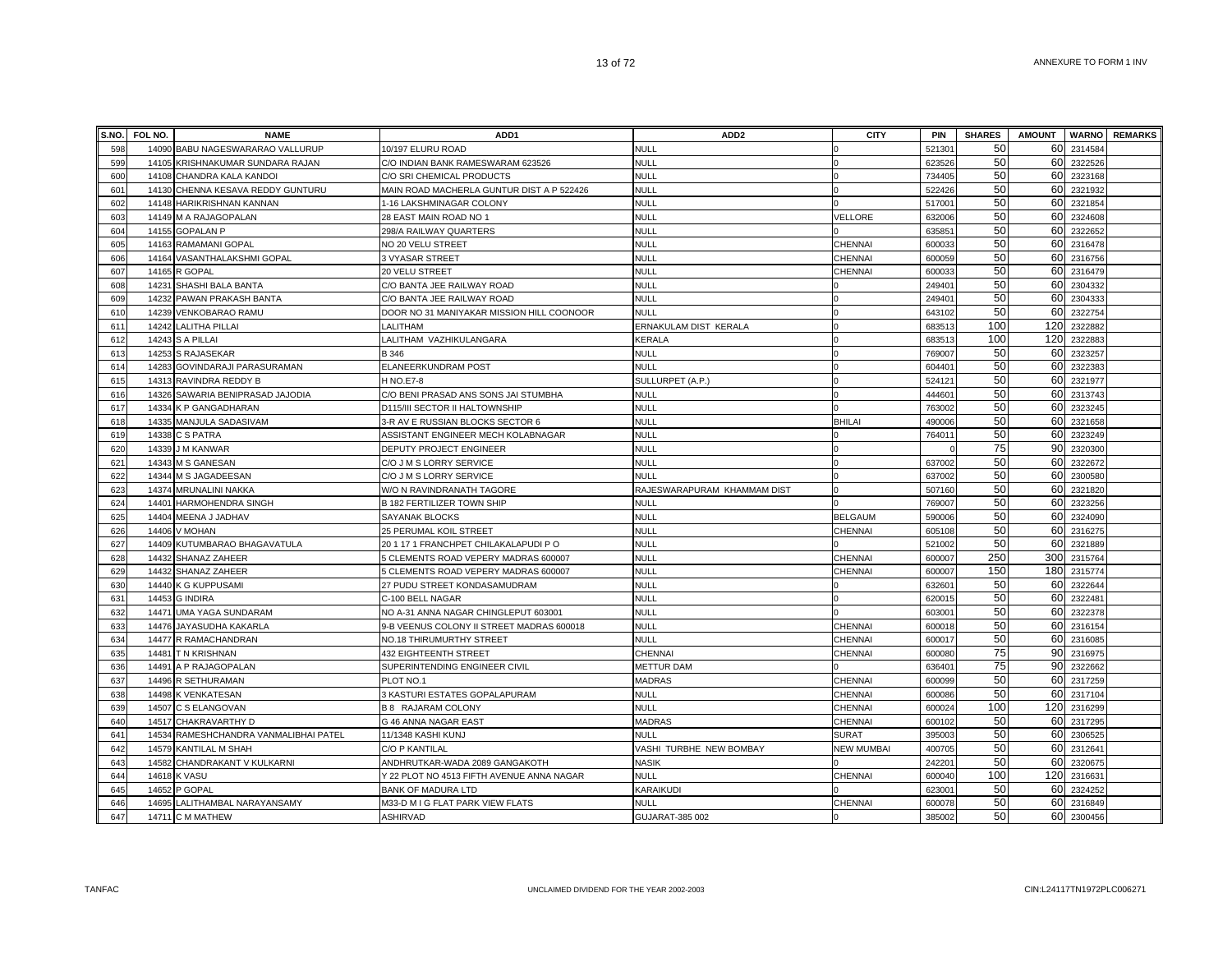|     | S.NO. FOL NO. | <b>NAME</b>                           | ADD <sub>1</sub>                          | ADD <sub>2</sub>            | <b>CITY</b>       | <b>PIN</b> | <b>SHARES</b> | <b>AMOUNT</b> | <b>WARNO</b> | <b>REMARKS</b> |
|-----|---------------|---------------------------------------|-------------------------------------------|-----------------------------|-------------------|------------|---------------|---------------|--------------|----------------|
| 598 |               | 14090 BABU NAGESWARARAO VALLURUP      | 10/197 ELURU ROAD                         | null                        |                   | 521301     | 50            | 60            | 2314584      |                |
| 599 |               | 14105 KRISHNAKUMAR SUNDARA RAJAN      | C/O INDIAN BANK RAMESWARAM 623526         | NULL                        |                   | 623526     | 50            | 60            | 2322526      |                |
| 600 |               | 14108 CHANDRA KALA KANDOI             | C/O SRI CHEMICAL PRODUCTS                 | NULL                        |                   | 734405     | 50            |               | 60 2323168   |                |
| 601 |               | 14130 CHENNA KESAVA REDDY GUNTURU     | MAIN ROAD MACHERLA GUNTUR DIST A P 522426 | NULL                        |                   | 522426     | 50            | 60            | 2321932      |                |
| 602 |               | 14148 HARIKRISHNAN KANNAN             | 1-16 LAKSHMINAGAR COLONY                  | NULL                        |                   | 51700      | 50            | 60            | 2321854      |                |
| 603 |               | 14149 M A RAJAGOPALAN                 | 28 EAST MAIN ROAD NO 1                    | NULL                        | VELLORE           | 632006     | 50            | 60            | 2324608      |                |
| 604 |               | 14155 GOPALAN P                       | 298/A RAILWAY QUARTERS                    | <b>NULL</b>                 |                   | 635851     | 50            | 60            | 2322652      |                |
| 605 |               | 14163 RAMAMANI GOPAL                  | NO 20 VELU STREET                         | <b>NULL</b>                 | CHENNAI           | 600033     | 50            | 60            | 2316478      |                |
| 606 |               | 14164 VASANTHALAKSHMI GOPAL           | 3 VYASAR STREET                           | <b>NULL</b>                 | CHENNAI           | 600059     | 50            | 60            | 2316756      |                |
| 607 |               | 14165 R GOPAL                         | 20 VELU STREET                            | NULL                        | CHENNAI           | 600033     | 50            | 60            | 2316479      |                |
| 608 |               | 14231 SHASHI BALA BANTA               | C/O BANTA JEE RAILWAY ROAD                | NULL                        |                   | 249401     | 50            | 60            | 2304332      |                |
| 609 |               | 14232 PAWAN PRAKASH BANTA             | C/O BANTA JEE RAILWAY ROAD                | <b>NULL</b>                 |                   | 24940      | 50            |               | 60 2304333   |                |
| 610 |               | 14239 VENKOBARAO RAMU                 | DOOR NO 31 MANIYAKAR MISSION HILL COONOOR | <b>NULL</b>                 |                   | 64310      | 50            | 60            | 2322754      |                |
| 611 |               | 14242 LALITHA PILLAI                  | LALITHAM                                  | ERNAKULAM DIST KERALA       |                   | 68351      | 100           | 120           | 2322882      |                |
| 612 |               | 14243 S A PILLAI                      | LALITHAM VAZHIKULANGARA                   | KERALA                      |                   | 68351      | 100           | 120           | 2322883      |                |
| 613 |               | 14253 S RAJASEKAR                     | B 346                                     | NULL                        |                   | 769007     | 50            | 60            | 2323257      |                |
| 614 |               | 14283 GOVINDARAJI PARASURAMAN         | ELANEERKUNDRAM POST                       | <b>NULL</b>                 |                   | 604401     | 50            | 60            | 2322383      |                |
| 615 |               | 14313 RAVINDRA REDDY B                | <b>H NO.E7-8</b>                          | SULLURPET (A.P.)            |                   | 524121     | 50            |               | 60 2321977   |                |
| 616 |               | 14326 SAWARIA BENIPRASAD JAJODIA      | C/O BENI PRASAD ANS SONS JAI STUMBHA      | NULL                        |                   | 444601     | 50            | 60            | 2313743      |                |
| 617 |               | 14334 K P GANGADHARAN                 | D115/III SECTOR II HALTOWNSHIP            | NULL                        |                   | 763002     | 50            | 60            | 2323245      |                |
| 618 |               | 14335 MANJULA SADASIVAM               | 3-R AV E RUSSIAN BLOCKS SECTOR 6          | <b>NULL</b>                 | <b>BHILAI</b>     | 490006     | 50            | 60            | 2321658      |                |
| 619 |               | 14338 C S PATRA                       | ASSISTANT ENGINEER MECH KOLABNAGAR        | NULL                        |                   | 764011     | 50            | 60            | 2323249      |                |
| 620 | 14339         | J M KANWAR                            | DEPUTY PROJECT ENGINEER                   | <b>NULL</b>                 |                   |            | 75            | 90            | 2320300      |                |
| 621 |               | 14343 M S GANESAN                     | C/O J M S LORRY SERVICE                   | <b>NULL</b>                 |                   | 637002     | 50            | 60            | 2322672      |                |
| 622 |               | 14344 M S JAGADEESAN                  | C/O J M S LORRY SERVICE                   | NULL                        |                   | 63700      | 50            | 60            | 2300580      |                |
| 623 |               | 14374 MRUNALINI NAKKA                 | W/O N RAVINDRANATH TAGORE                 | RAJESWARAPURAM KHAMMAM DIST |                   | 507160     | 50            | 60            | 2321820      |                |
| 624 |               | 14401 HARMOHENDRA SINGH               | <b>B 182 FERTILIZER TOWN SHIP</b>         | <b>NULL</b>                 |                   | 769007     | 50            | 60            | 2323256      |                |
| 625 |               | 14404 MEENA J JADHAV                  | <b>SAYANAK BLOCKS</b>                     | <b>NULL</b>                 | <b>BELGAUM</b>    | 590006     | 50            | 60            | 2324090      |                |
| 626 |               | 14406 V MOHAN                         | 25 PERUMAL KOIL STREET                    | <b>NULL</b>                 | CHENNAI           | 605108     | 50            | 60            | 2316275      |                |
| 627 |               | 14409 KUTUMBARAO BHAGAVATULA          | 20 1 17 1 FRANCHPET CHILAKALAPUDI P O     | NULL                        |                   | 521002     | 50            | 60            | 2321889      |                |
| 628 |               | 14432 SHANAZ ZAHEER                   | 5 CLEMENTS ROAD VEPERY MADRAS 600007      | NULL                        | CHENNAI           | 600007     | 250           | 300           | 2315764      |                |
| 629 | 14432         | SHANAZ ZAHEER                         | 5 CLEMENTS ROAD VEPERY MADRAS 600007      | NULL                        | CHENNAI           | 600007     | 150           | 180           | 2315774      |                |
| 630 |               | 14440 K G KUPPUSAMI                   | 27 PUDU STREET KONDASAMUDRAM              | NULL                        |                   | 63260      | 50            | 60            | 2322644      |                |
| 631 | 14453         | <b>G INDIRA</b>                       | C-100 BELL NAGAR                          | NULL                        |                   | 62001      | 50            | 60            | 232248       |                |
| 632 |               | 14471 UMA YAGA SUNDARAM               | NO A-31 ANNA NAGAR CHINGLEPUT 603001      | NULL                        |                   | 60300      | 50            | 60            | 2322378      |                |
| 633 | 14476         | JAYASUDHA KAKARLA                     | 9-B VEENUS COLONY II STREET MADRAS 600018 | NULL                        | CHENNAI           | 600018     | 50            | 60            | 2316154      |                |
| 634 |               | 14477 R RAMACHANDRAN                  | NO.18 THIRUMURTHY STREET                  | NULL                        | CHENNAI           | 600017     | 50            | 60            | 2316085      |                |
| 635 |               | 14481 TN KRISHNAN                     | 432 EIGHTEENTH STREET                     | CHENNAI                     | CHENNAI           | 600080     | 75            | 90            | 2316975      |                |
| 636 |               | 14491 A P RAJAGOPALAN                 | SUPERINTENDING ENGINEER CIVIL             | <b>METTUR DAM</b>           |                   | 636401     | 75            | 90            | 2322662      |                |
| 637 |               | 14496 R SETHURAMAN                    | PLOT NO.1                                 | <b>MADRAS</b>               | CHENNAI           | 600099     | 50            | 60            | 2317259      |                |
| 638 |               | 14498 K VENKATESAN                    | 3 KASTURI ESTATES GOPALAPURAM             | NULL                        | CHENNAI           | 600086     | 50            | 60            | 2317104      |                |
| 639 |               | 14507 C S ELANGOVAN                   | <b>B 8 RAJARAM COLONY</b>                 | <b>NULL</b>                 | CHENNAI           | 600024     | 100           | 120           | 2316299      |                |
| 640 |               | 14517 CHAKRAVARTHY D                  | G 46 ANNA NAGAR EAST                      | <b>MADRAS</b>               | CHENNAI           | 60010      | 50            | 60            | 2317295      |                |
| 641 |               | 14534 RAMESHCHANDRA VANMALIBHAI PATEL | 11/1348 KASHI KUNJ                        | NULL                        | <b>SURAT</b>      | 395003     | 50            | 60            | 2306525      |                |
| 642 |               | 14579 KANTILAL M SHAH                 | <b>C/O P KANTILAL</b>                     | VASHI TURBHE NEW BOMBAY     | <b>NEW MUMBAI</b> | 400705     | 50            | 60            | 231264       |                |
| 643 |               | 14582 CHANDRAKANT V KULKARNI          | ANDHRUTKAR-WADA 2089 GANGAKOTH            | NASIK                       |                   | 24220      | 50            | 60            | 2320675      |                |
| 644 | 14618         | <b>K VASU</b>                         | Y 22 PLOT NO 4513 FIFTH AVENUE ANNA NAGAR | <b>NULL</b>                 | CHENNAI           | 600040     | 100           | 120           | 231663       |                |
| 645 | 14652         | P GOPAL                               | <b>BANK OF MADURA LTD</b>                 | KARAIKUDI                   |                   | 62300      | 50            | 60            | 2324252      |                |
| 646 |               | 14695 LALITHAMBAL NARAYANSAMY         | M33-D M I G FLAT PARK VIEW FLATS          | <b>NULL</b>                 | <b>CHENNAI</b>    | 600078     | 50            | 60            | 2316849      |                |
| 647 |               | 14711 C M MATHEW                      | <b>ASHIRVAD</b>                           | GUJARAT-385 002             |                   | 385002     | 50            | 60            | 2300456      |                |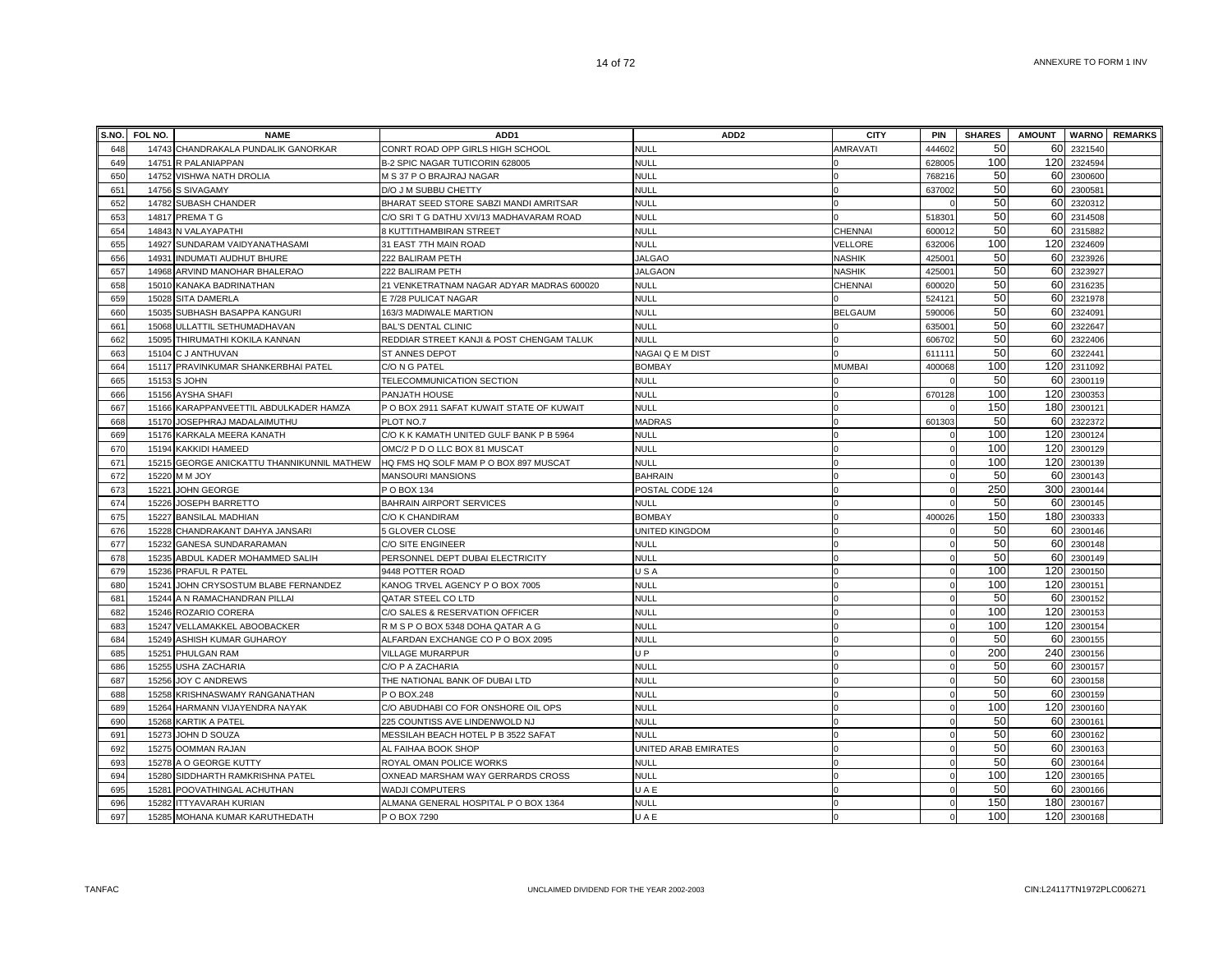|                 | S.NO. FOL NO.  | <b>NAME</b>                                       | ADD1                                                    | ADD <sub>2</sub>                    | <b>CITY</b>    | <b>PIN</b>         | <b>SHARES</b> |     |                           | AMOUNT WARNO REMARKS |
|-----------------|----------------|---------------------------------------------------|---------------------------------------------------------|-------------------------------------|----------------|--------------------|---------------|-----|---------------------------|----------------------|
| 648             |                | 14743 CHANDRAKALA PUNDALIK GANORKAR               | CONRT ROAD OPP GIRLS HIGH SCHOOL                        | <b>NULL</b>                         | AMRAVATI       | 44460              | 50            |     | 60 2321540                |                      |
| 649             | 14751          | R PALANIAPPAN                                     | B-2 SPIC NAGAR TUTICORIN 628005                         | <b>NULL</b>                         |                | 628005             | 100           | 120 | 2324594                   |                      |
| 650             | 14752          | VISHWA NATH DROLIA                                | M S 37 P O BRAJRAJ NAGAR                                | <b>NULL</b>                         |                | 76821              | 50            |     | 60 2300600                |                      |
| 651             | 14756          | S SIVAGAMY                                        | D/O J M SUBBU CHETTY                                    | <b>NULL</b>                         |                | 637002             | 50            | 60  | 2300581                   |                      |
| 652             | 14782          | <b>SUBASH CHANDER</b>                             | BHARAT SEED STORE SABZI MANDI AMRITSAR                  | <b>NULL</b>                         |                |                    | 50            |     | 60 2320312                |                      |
| 653             | 14817          | PREMA T G                                         | C/O SRI T G DATHU XVI/13 MADHAVARAM ROAD                | <b>NULL</b>                         |                | 51830              | 50            |     | 60 2314508                |                      |
| 654             |                | 14843 N VALAYAPATHI                               | 8 KUTTITHAMBIRAN STREET                                 | <b>NULL</b>                         | CHENNAI        | 600012             | 50            |     | 60 2315882                |                      |
| 655             |                | 14927 SUNDARAM VAIDYANATHASAMI                    | 31 EAST 7TH MAIN ROAD                                   | NULL                                | VELLORE        | 632006             | 100           | 120 | 2324609                   |                      |
| 656             | 14931          | INDUMATI AUDHUT BHURE                             | 222 BALIRAM PETH                                        | <b>JALGAO</b>                       | <b>NASHIK</b>  | 42500 <sup>-</sup> | 50            | 60  | 2323926                   |                      |
| 657             |                | 14968 ARVIND MANOHAR BHALERAO                     | 222 BALIRAM PETH                                        | <b>JALGAON</b>                      | <b>NASHIK</b>  | 42500 <sup>-</sup> | 50            |     | 60 2323927                |                      |
| 658             | 15010          | KANAKA BADRINATHAN                                | 21 VENKETRATNAM NAGAR ADYAR MADRAS 600020               | NULL                                | CHENNAI        | 600020             | 50            | 60  | 2316235                   |                      |
| 659             | 15028          | SITA DAMERLA                                      | E 7/28 PULICAT NAGAR                                    | <b>NULL</b>                         |                | 52412              | 50            | 60  | 2321978                   |                      |
| 660             | 15035          | SUBHASH BASAPPA KANGURI                           | 163/3 MADIWALE MARTION                                  | <b>NULL</b>                         | <b>BELGAUM</b> | 590006             | 50            |     | 60 2324091                |                      |
| 661             | 15068          | ULLATTIL SETHUMADHAVAN                            | <b>BAL'S DENTAL CLINIC</b>                              | <b>NULL</b>                         |                | 63500              | 50            | 60  | 2322647                   |                      |
| 662             |                | 15095 THIRUMATHI KOKILA KANNAN                    | REDDIAR STREET KANJI & POST CHENGAM TALUK               | <b>NULL</b>                         |                | 606702             | 50            | 60  | 2322406                   |                      |
| 663             |                | 15104 C J ANTHUVAN                                | ST ANNES DEPOT                                          | NAGAI Q E M DIST                    |                | 61111              | 50            |     | 60 2322441                |                      |
| 664             |                | 15117 PRAVINKUMAR SHANKERBHAI PATEL               | C/O N G PATEL                                           | <b>BOMBAY</b>                       | <b>MUMBAI</b>  | 400068             | 100           |     | 120 2311092               |                      |
| 665             |                | 15153 S JOHN                                      | TELECOMMUNICATION SECTION                               | <b>NULL</b>                         |                |                    | 50            |     | 60 2300119                |                      |
| 666             | 15156          | <b>AYSHA SHAFI</b>                                | PANJATH HOUSE                                           | <b>NULL</b>                         |                | 670128             | 100           |     | 120 2300353               |                      |
| 667             |                | 15166 KARAPPANVEETTIL ABDULKADER HAMZA            | P O BOX 2911 SAFAT KUWAIT STATE OF KUWAIT               | <b>NULL</b>                         |                |                    | 150           |     | 180 2300121               |                      |
| 668             | 15170          | JOSEPHRAJ MADALAIMUTHU                            | PLOT NO.7                                               | <b>MADRAS</b>                       |                | 601303             | 50            |     | 60 2322372                |                      |
| 669             | 15176          | KARKALA MEERA KANATH                              | C/O K K KAMATH UNITED GULF BANK P B 5964                | NULL                                |                |                    | 100           | 120 | 2300124                   |                      |
| 670             | 15194          | <b>KAKKIDI HAMEED</b>                             | OMC/2 P D O LLC BOX 81 MUSCAT                           | <b>NULL</b>                         |                |                    | 100           | 120 | 2300129                   |                      |
| 671             | 15215          | GEORGE ANICKATTU THANNIKUNNIL MATHEW              | HQ FMS HQ SOLF MAM P O BOX 897 MUSCAT                   | <b>NULL</b>                         |                |                    | 100           |     | 120 2300139               |                      |
| 672             | 15220          | YOU M M                                           | MANSOURI MANSIONS                                       | <b>BAHRAIN</b>                      |                |                    | 50            |     | 60 2300143                |                      |
| 673             | 15221          | JOHN GEORGE                                       | P O BOX 134                                             | POSTAL CODE 124                     |                |                    | 250           | 300 | 2300144                   |                      |
| 674             | 15226          | JOSEPH BARRETTO                                   | <b>BAHRAIN AIRPORT SERVICES</b>                         | <b>NULL</b>                         |                |                    | 50            |     | 60 2300145                |                      |
| 675             | 15227          | <b>BANSILAL MADHIAN</b>                           | C/O K CHANDIRAM                                         | <b>BOMBAY</b>                       |                | 400026             | 150           |     | 180 2300333               |                      |
| 676             |                | 15228 CHANDRAKANT DAHYA JANSARI                   | 5 GLOVER CLOSE                                          | UNITED KINGDOM                      |                |                    | 50            |     | 60 2300146                |                      |
| 677             | 15232          | <b>GANESA SUNDARARAMAN</b>                        | C/O SITE ENGINEER                                       | <b>NULL</b>                         |                |                    | 50            |     | 60 2300148                |                      |
| 678             | 15235          | ABDUL KADER MOHAMMED SALIH                        | PERSONNEL DEPT DUBAI ELECTRICITY                        | <b>NULL</b>                         |                |                    | 50            |     | 60 2300149                |                      |
| 679             | 15236          | PRAFUL R PATEL                                    | 9448 POTTER ROAD                                        | USA                                 |                |                    | 100           |     | 120 2300150               |                      |
| 680             | 15241          | JOHN CRYSOSTUM BLABE FERNANDEZ                    | KANOG TRVEL AGENCY P O BOX 7005                         | <b>NULL</b>                         |                |                    | 100           |     | 120 2300151               |                      |
| 681             | 15244          | A N RAMACHANDRAN PILLAI                           | QATAR STEEL CO LTD                                      | <b>NULL</b>                         |                |                    | 50            | 60  | 2300152                   |                      |
| 682             | 15246          | ROZARIO CORERA                                    | C/O SALES & RESERVATION OFFICER                         | <b>NULL</b>                         |                |                    | 100           |     | 120 2300153               |                      |
| 683             | 15247          | VELLAMAKKEL ABOOBACKER                            | R M S P O BOX 5348 DOHA QATAR A G                       | <b>NULL</b>                         |                |                    | 100           |     | 120 2300154               |                      |
| 684             |                | 15249 ASHISH KUMAR GUHAROY                        | ALFARDAN EXCHANGE CO P O BOX 2095                       | <b>NULL</b>                         |                | $\Omega$           | 50            | 60  | 2300155                   |                      |
| 685             | 15251          | PHULGAN RAM                                       | VILLAGE MURARPUR                                        | U <sub>P</sub>                      |                | O                  | 200           |     | 240 2300156               |                      |
| 686             |                | 15255 USHA ZACHARIA                               | C/O P A ZACHARIA                                        | <b>NULL</b>                         |                |                    | 50            |     | 60 2300157                |                      |
| 687             |                | 15256 JOY C ANDREWS                               | THE NATIONAL BANK OF DUBAI LTD                          | <b>NULL</b>                         |                |                    | 50            |     | 60 2300158                |                      |
| 688             |                | 15258 KRISHNASWAMY RANGANATHAN                    | P O BOX.248                                             | NULL                                |                |                    | 50<br>100     |     | 60 2300159<br>120 2300160 |                      |
| 689             |                | 15264 HARMANN VIJAYENDRA NAYAK                    | C/O ABUDHABI CO FOR ONSHORE OIL OPS                     | <b>NULL</b>                         |                |                    |               |     |                           |                      |
| 69 <sub>C</sub> | 15268          | KARTIK A PATEL                                    | 225 COUNTISS AVE LINDENWOLD NJ                          | <b>NULL</b>                         |                |                    | 50            |     | 60 2300161                |                      |
| 691             | 15273          | JOHN D SOUZA                                      | MESSILAH BEACH HOTEL P B 3522 SAFAT                     | <b>NULL</b>                         |                |                    | 50<br>50      |     | 60 2300162                |                      |
| 692             | 15275          | <b>OOMMAN RAJAN</b>                               | AL FAIHAA BOOK SHOP                                     | UNITED ARAB EMIRATES<br><b>NULL</b> |                |                    | 50            |     | 60 2300163                |                      |
| 693             | 15278          | A O GEORGE KUTTY                                  | ROYAL OMAN POLICE WORKS                                 |                                     |                |                    | 100           |     | 60 2300164                |                      |
| 694             | 15280          | SIDDHARTH RAMKRISHNA PATEL                        | OXNEAD MARSHAM WAY GERRARDS CROSS                       | <b>NULL</b><br>UAE                  |                |                    | 50            |     | 120 2300165<br>60 2300166 |                      |
| 695<br>696      | 15281<br>15282 | POOVATHINGAL ACHUTHAN<br><b>ITTYAVARAH KURIAN</b> | WADJI COMPUTERS<br>ALMANA GENERAL HOSPITAL P O BOX 1364 | <b>NULL</b>                         | $\Omega$       | $\Omega$           | 150           |     | 180 2300167               |                      |
| 697             |                | 15285 MOHANA KUMAR KARUTHEDATH                    | P O BOX 7290                                            | UAE                                 |                |                    | 100           |     | 120 2300168               |                      |
|                 |                |                                                   |                                                         |                                     |                |                    |               |     |                           |                      |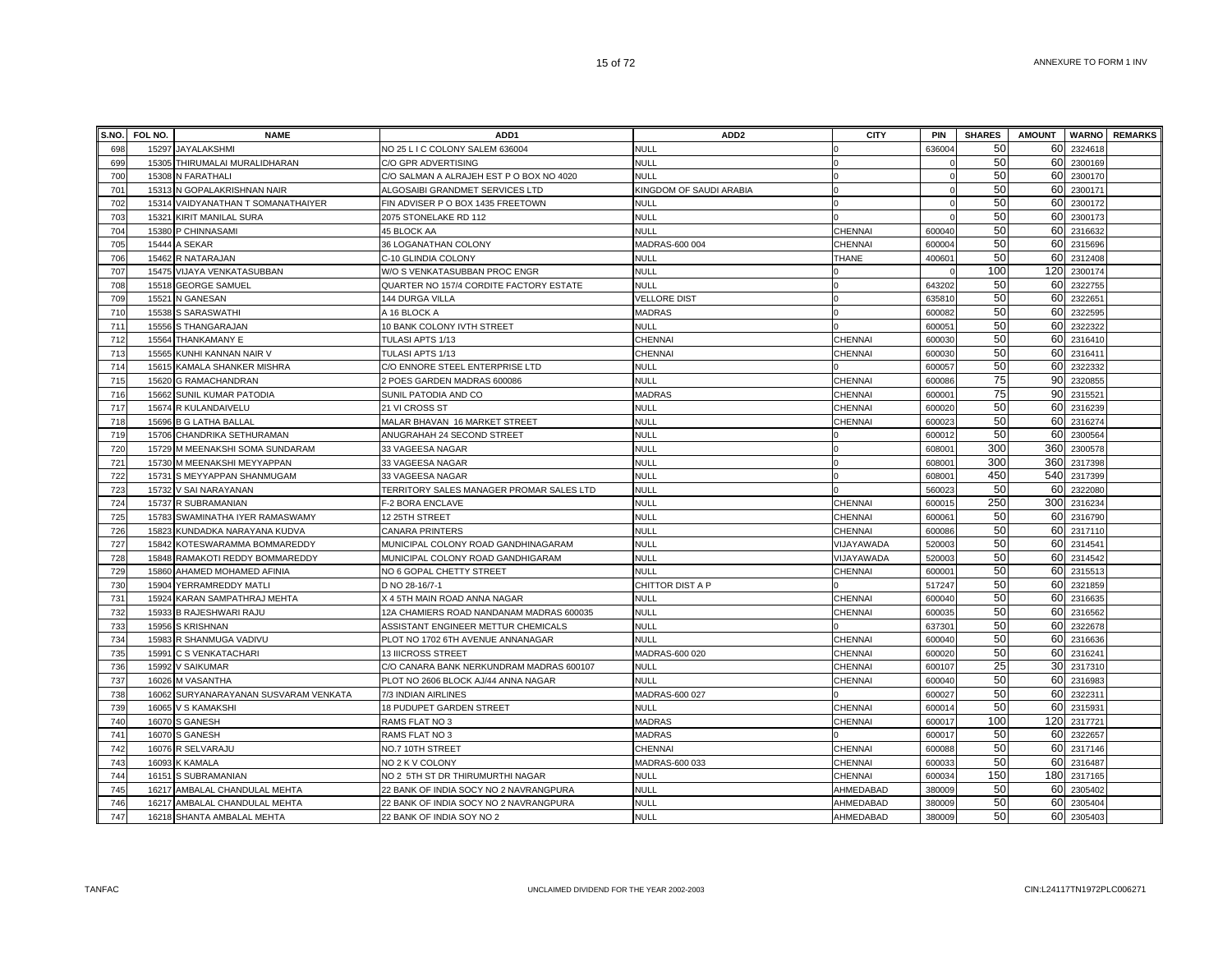|            | S.NO. FOL NO.  | <b>NAME</b>                                        | ADD <sub>1</sub>                                                                 | ADD <sub>2</sub>           | <b>CITY</b>            | <b>PIN</b>         | <b>SHARES</b> | <b>AMOUNT</b> |                           | <b>WARNO</b> REMARKS |
|------------|----------------|----------------------------------------------------|----------------------------------------------------------------------------------|----------------------------|------------------------|--------------------|---------------|---------------|---------------------------|----------------------|
| 698        | 15297          | <b>JAYALAKSHMI</b>                                 | NO 25 L I C COLONY SALEM 636004                                                  | <b>NULL</b>                |                        | 636004             | 50            |               | 60 2324618                |                      |
| 699        | 15305          | THIRUMALAI MURALIDHARAN                            | C/O GPR ADVERTISING                                                              | <b>NULL</b>                |                        |                    | 50            | 60            | 2300169                   |                      |
| 700        | 15308          | N FARATHALI                                        | C/O SALMAN A ALRAJEH EST P O BOX NO 4020                                         | <b>NULL</b>                |                        |                    | 50            |               | 60 2300170                |                      |
| 701        |                | 15313 N GOPALAKRISHNAN NAIR                        | ALGOSAIBI GRANDMET SERVICES LTD                                                  | KINGDOM OF SAUDI ARABIA    |                        |                    | 50            | 60            | 2300171                   |                      |
| 702        |                | 15314 VAIDYANATHAN T SOMANATHAIYER                 | FIN ADVISER P O BOX 1435 FREETOWN                                                | <b>NULL</b>                |                        |                    | 50            |               | 60 2300172                |                      |
| 703        | 15321          | KIRIT MANILAL SURA                                 | 2075 STONELAKE RD 112                                                            | <b>NULL</b>                |                        |                    | 50            | 60            | 2300173                   |                      |
| 704        |                | 15380 P CHINNASAMI                                 | 45 BLOCK AA                                                                      | <b>NULL</b>                | CHENNAI                | 600040             | 50            |               | 60 2316632                |                      |
| 705        | 15444          | A SEKAR                                            | 36 LOGANATHAN COLONY                                                             | MADRAS-600 004             | CHENNAI                | 600004             | 50            |               | 60 2315696                |                      |
| 706        | 15462          | R NATARAJAN                                        | C-10 GLINDIA COLONY                                                              | NULL                       | THANE                  | 40060 <sup>-</sup> | 50            | 60            | 2312408                   |                      |
| 707        | 15475          | VIJAYA VENKATASUBBAN                               | W/O S VENKATASUBBAN PROC ENGR                                                    | <b>NULL</b>                |                        |                    | 100           | 120           | 2300174                   |                      |
| 708        | 15518          | <b>GEORGE SAMUEL</b>                               | QUARTER NO 157/4 CORDITE FACTORY ESTATE                                          | NULL                       |                        | 64320              | 50            | 60            | 2322755                   |                      |
| 709        | 15521          | N GANESAN                                          | 144 DURGA VILLA                                                                  | <b>VELLORE DIST</b>        |                        | 63581              | 50            | 60            | 2322651                   |                      |
| 710        | 15538          | S SARASWATHI                                       | A 16 BLOCK A                                                                     | <b>MADRAS</b>              |                        | 600082             | 50            | 60            | 2322595                   |                      |
| 711        | 15556          | S THANGARAJAN                                      | 10 BANK COLONY IVTH STREET                                                       | <b>NULL</b>                |                        | 60005              | 50            | 60            | 2322322                   |                      |
| 712        | 15564          | <b>THANKAMANY E</b>                                | TULASI APTS 1/13                                                                 | CHENNAI                    | CHENNAI                | 60003              | 50            | 60            | 2316410                   |                      |
| 713        | 15565          | KUNHI KANNAN NAIR V                                | TULASI APTS 1/13                                                                 | <b>CHENNAI</b>             | <b>CHENNAI</b>         | 60003              | 50            | 60            | 2316411                   |                      |
| 714        | 15615          | KAMALA SHANKER MISHRA                              | C/O ENNORE STEEL ENTERPRISE LTD                                                  | <b>NULL</b>                |                        | 600057             | 50            | 60            | 2322332                   |                      |
| 715        |                | 15620 G RAMACHANDRAN                               | 2 POES GARDEN MADRAS 600086                                                      | <b>NULL</b>                | CHENNAI                | 600086             | 75            | 90            | 2320855                   |                      |
| 716        |                | 15662 SUNIL KUMAR PATODIA                          | SUNIL PATODIA AND CO                                                             | <b>MADRAS</b>              | CHENNAI                | 60000 <sup>-</sup> | 75            | 90            | 2315521                   |                      |
| 717        |                | 15674 R KULANDAIVELU                               | 21 VI CROSS ST                                                                   | NULL                       | CHENNAI                | 600020             | 50            | 60            | 2316239                   |                      |
| 718        | 15696          | <b>B G LATHA BALLAL</b>                            | MALAR BHAVAN 16 MARKET STREET                                                    | <b>NULL</b>                | CHENNAI                | 60002              | 50            |               | 60 2316274                |                      |
| 719        | 15706          | CHANDRIKA SETHURAMAN                               | ANUGRAHAH 24 SECOND STREET                                                       | <b>NULL</b>                |                        | 60001              | 50            | 60            | 2300564                   |                      |
| 720        | 15729          | M MEENAKSHI SOMA SUNDARAM                          | 33 VAGEESA NAGAR                                                                 | <b>NULL</b>                |                        | 60800              | 300           | 360           | 2300578                   |                      |
| 721        | 15730          | M MEENAKSHI MEYYAPPAN                              | 33 VAGEESA NAGAR                                                                 | <b>NULL</b>                |                        | 60800              | 300           | 360           | 2317398                   |                      |
| 722        | 15731          | S MEYYAPPAN SHANMUGAM                              | 33 VAGEESA NAGAR                                                                 | <b>NULL</b>                |                        | 60800              | 450           |               | 540 2317399               |                      |
| 723        | 15732          | V SAI NARAYANAN                                    | TERRITORY SALES MANAGER PROMAR SALES LTD                                         | <b>NULL</b>                |                        | 560023             | 50            | 60            | 2322080                   |                      |
| 724        |                | 15737 R SUBRAMANIAN                                | F-2 BORA ENCLAVE                                                                 | <b>NULL</b>                | <b>CHENNAI</b>         | 60001              | 250           |               | 300 2316234               |                      |
| 725        | 15783          | SWAMINATHA IYER RAMASWAMY                          | 12 25TH STREET                                                                   | <b>NULL</b>                | CHENNAI                | 60006              | 50            |               | 60 2316790                |                      |
| 726        | 15823          | KUNDADKA NARAYANA KUDVA                            | CANARA PRINTERS                                                                  | <b>NULL</b>                | CHENNAI                | 600086             | 50            |               | 60 2317110                |                      |
| 727        | 15842          | KOTESWARAMMA BOMMAREDDY                            | MUNICIPAL COLONY ROAD GANDHINAGARAM                                              | <b>NULL</b>                | VIJAYAWADA             | 52000              | 50            |               | 60 2314541                |                      |
| 728        | 15848          | RAMAKOTI REDDY BOMMAREDDY                          | MUNICIPAL COLONY ROAD GANDHIGARAM                                                | NULL                       | VIJAYAWADA             | 52000              | 50            |               | 60 2314542                |                      |
| 729        | 15860          | AHAMED MOHAMED AFINIA                              | NO 6 GOPAL CHETTY STREET                                                         | <b>NULL</b>                | CHENNAI                | 60000 <sup>-</sup> | 50            |               | 60 2315513                |                      |
| 730        | 15904          | YERRAMREDDY MATLI                                  | D NO 28-16/7-1                                                                   | CHITTOR DIST A P           |                        | 517247             | 50            | 60            | 2321859                   |                      |
| 731        | 15924          | KARAN SAMPATHRAJ MEHTA                             | X 4 5TH MAIN ROAD ANNA NAGAR                                                     | <b>NULL</b>                | CHENNAI                | 60004              | 50            |               | 60 2316635                |                      |
| 732        | 15933          | <b>B RAJESHWARI RAJU</b>                           | 12A CHAMIERS ROAD NANDANAM MADRAS 600035                                         | <b>NULL</b>                | <b>CHENNAI</b>         | 60003              | 50            | 60            | 2316562                   |                      |
| 733        | 15956          | <b>S KRISHNAN</b>                                  | ASSISTANT ENGINEER METTUR CHEMICALS                                              | <b>NULL</b>                |                        | 63730              | 50            | 60            | 2322678                   |                      |
| 734        | 15983          | R SHANMUGA VADIVU                                  | PLOT NO 1702 6TH AVENUE ANNANAGAR                                                | <b>NULL</b>                | <b>CHENNAI</b>         | 600040             | 50            |               | 60 2316636                |                      |
| 735        | 15991          | <b>C S VENKATACHARI</b>                            | <b>13 IIICROSS STREET</b>                                                        | MADRAS-600 020             | <b>CHENNAI</b>         | 600020             | 50            |               | 60 2316241                |                      |
| 736        | 15992          | <b>V SAIKUMAR</b>                                  | C/O CANARA BANK NERKUNDRAM MADRAS 600107                                         | <b>NULL</b>                | CHENNAI                | 600107             | 25            |               | 30 2317310                |                      |
| 737        |                | 16026 M VASANTHA                                   | PLOT NO 2606 BLOCK AJ/44 ANNA NAGAR                                              | <b>NULL</b>                | CHENNAI                | 600040             | 50            |               | 60 2316983                |                      |
| 738        | 16062          | SURYANARAYANAN SUSVARAM VENKATA                    | 7/3 INDIAN AIRLINES                                                              | MADRAS-600 027             |                        | 600027             | 50<br>50      |               | 60 2322311                |                      |
| 739        | 16065          | V S KAMAKSHI                                       | <b>18 PUDUPET GARDEN STREET</b>                                                  | <b>NULL</b>                | <b>CHENNAI</b>         | 60001              | 100           |               | 60 2315931                |                      |
| 740        | 16070          | S GANESH                                           | RAMS FLAT NO 3                                                                   | <b>MADRAS</b>              | <b>CHENNAI</b>         | 60001              |               |               | 120 2317721               |                      |
| 741        | 16070          | S GANESH                                           | RAMS FLAT NO 3                                                                   | <b>MADRAS</b>              |                        | 60001              | 50            | 60            | 2322657                   |                      |
| 742<br>743 | 16076          | R SELVARAJU                                        | NO.7 10TH STREET                                                                 | CHENNAI                    | CHENNAI                | 600088             | 50<br>50      | 60            | 2317146<br>60 2316487     |                      |
|            | 16093          | K KAMALA                                           | NO 2 K V COLONY                                                                  | MADRAS-600 033             | <b>CHENNAI</b>         | 60003              | 150           |               |                           |                      |
| 744<br>745 | 16151<br>16217 | S SUBRAMANIAN                                      | NO 2 5TH ST DR THIRUMURTHI NAGAR                                                 | <b>NULL</b><br><b>NULL</b> | <b>CHENNAI</b>         | 600034<br>380009   | 50            |               | 180 2317165<br>60 2305402 |                      |
| 746        | 16217          | AMBALAL CHANDULAL MEHTA<br>AMBALAL CHANDULAL MEHTA | 22 BANK OF INDIA SOCY NO 2 NAVRANGPURA<br>22 BANK OF INDIA SOCY NO 2 NAVRANGPURA | <b>NULL</b>                | AHMEDABAD<br>AHMEDABAD | 380009             | 50            |               | 60 2305404                |                      |
| 747        |                | 16218 SHANTA AMBALAL MEHTA                         | 22 BANK OF INDIA SOY NO 2                                                        | <b>NULL</b>                | AHMEDABAD              | 380009             | 50            |               | 60 2305403                |                      |
|            |                |                                                    |                                                                                  |                            |                        |                    |               |               |                           |                      |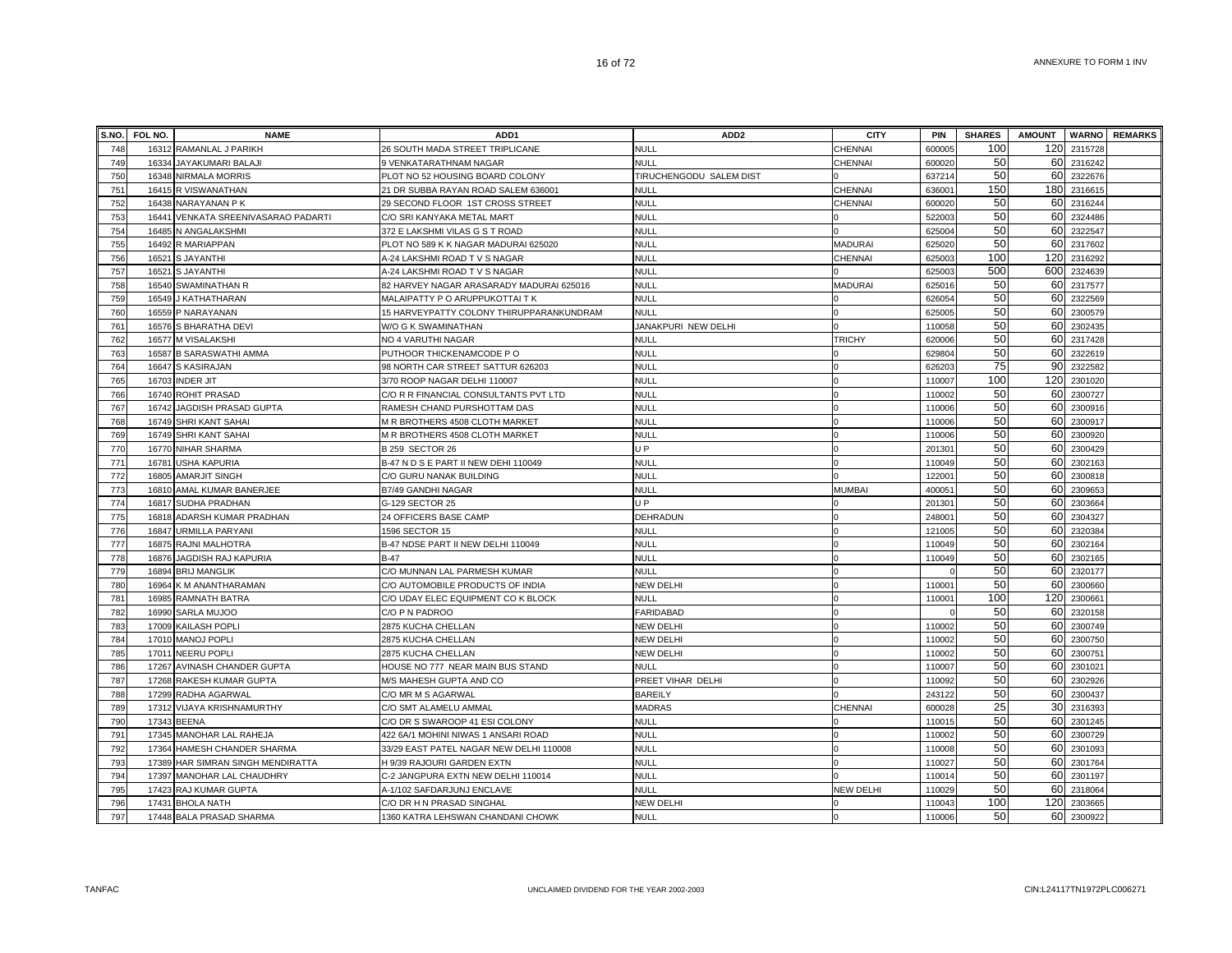|     | S.NO. FOL NO. | <b>NAME</b>                   | ADD <sub>1</sub>                         | ADD <sub>2</sub>        | <b>CITY</b>      | <b>PIN</b>         | <b>SHARES</b> | <b>AMOUNT</b> |         | <b>WARNO</b> REMARKS |
|-----|---------------|-------------------------------|------------------------------------------|-------------------------|------------------|--------------------|---------------|---------------|---------|----------------------|
| 748 | 16312         | RAMANLAL J PARIKH             | 26 SOUTH MADA STREET TRIPLICANE          | <b>NULL</b>             | CHENNAI          | 60000              | 100           | 120           | 2315728 |                      |
| 749 | 16334         | JAYAKUMARI BALAJI             | 9 VENKATARATHNAM NAGAR                   | <b>NULL</b>             | CHENNAI          | 600020             | 50            | 60            | 2316242 |                      |
| 750 | 16348         | NIRMALA MORRIS                | PLOT NO 52 HOUSING BOARD COLONY          | TIRUCHENGODU SALEM DIST |                  | 637214             | 50            | 60            | 2322676 |                      |
| 751 |               | 16415 R VISWANATHAN           | 21 DR SUBBA RAYAN ROAD SALEM 636001      | NULL                    | <b>CHENNAI</b>   | 63600              | 150           | 180           | 2316615 |                      |
| 752 | 16438         | NARAYANAN P K                 | 29 SECOND FLOOR 1ST CROSS STREET         | <b>NULL</b>             | <b>CHENNAI</b>   | 60002              | 50            | 60            | 2316244 |                      |
| 753 | 16441         | VENKATA SREENIVASARAO PADARTI | C/O SRI KANYAKA METAL MART               | <b>NULL</b>             |                  | 522003             | 50            | 60            | 2324486 |                      |
| 754 |               | 16485 N ANGALAKSHMI           | 372 E LAKSHMI VILAS G S T ROAD           | <b>NULL</b>             |                  | 625004             | 50            | 60            | 2322547 |                      |
| 755 | 16492         | R MARIAPPAN                   | PLOT NO 589 K K NAGAR MADURAI 625020     | <b>NULL</b>             | <b>MADURAI</b>   | 625020             | 50            | 60            | 2317602 |                      |
| 756 | 16521         | S JAYANTHI                    | A-24 LAKSHMI ROAD T V S NAGAR            | NULL                    | CHENNAI          | 625003             | 100           | 120           | 2316292 |                      |
| 757 | 16521         | <b>S JAYANTHI</b>             | A-24 LAKSHMI ROAD T V S NAGAR            | <b>NULL</b>             |                  | 625003             | 500           | 600           | 2324639 |                      |
| 758 | 16540         | SWAMINATHAN R                 | 82 HARVEY NAGAR ARASARADY MADURAI 625016 | NULL                    | MADURAI          | 625016             | 50            | 60            | 2317577 |                      |
| 759 | 16549         | J KATHATHARAN                 | MALAIPATTY P O ARUPPUKOTTAI T K          | <b>NULL</b>             |                  | 62605              | 50            | 60            | 2322569 |                      |
| 760 | 16559         | P NARAYANAN                   | 15 HARVEYPATTY COLONY THIRUPPARANKUNDRAM | <b>NULL</b>             |                  | 625005             | 50            | 60            | 2300579 |                      |
| 761 | 16576         | S BHARATHA DEVI               | W/O G K SWAMINATHAN                      | JANAKPURI NEW DELHI     |                  | 110058             | 50            | 60            | 2302435 |                      |
| 762 |               | 16577 M VISALAKSHI            | NO 4 VARUTHI NAGAR                       | <b>NULL</b>             | <b>TRICHY</b>    | 620006             | 50            | 60            | 2317428 |                      |
| 763 | 16587         | <b>B SARASWATHI AMMA</b>      | PUTHOOR THICKENAMCODE PO                 | <b>NULL</b>             |                  | 629804             | 50            | 60            | 2322619 |                      |
| 764 | 16647         | S KASIRAJAN                   | 98 NORTH CAR STREET SATTUR 626203        | <b>NULL</b>             |                  | 626203             | 75            | 90            | 2322582 |                      |
| 765 |               | 16703 INDER JIT               | 3/70 ROOP NAGAR DELHI 110007             | <b>NULL</b>             |                  | 110007             | 100           | 120           | 2301020 |                      |
| 766 |               | 16740 ROHIT PRASAD            | C/O R R FINANCIAL CONSULTANTS PVT LTD    | <b>NULL</b>             |                  | 110002             | 50            | 60            | 2300727 |                      |
| 767 |               | 16742 JAGDISH PRASAD GUPTA    | RAMESH CHAND PURSHOTTAM DAS              | <b>NULL</b>             |                  | 110006             | 50            | 60            | 2300916 |                      |
| 768 | 16749         | SHRI KANT SAHAI               | M R BROTHERS 4508 CLOTH MARKET           | <b>NULL</b>             |                  | 110006             | 50            | 60            | 2300917 |                      |
| 769 |               | 16749 SHRI KANT SAHAI         | M R BROTHERS 4508 CLOTH MARKET           | NULL                    |                  | 110006             | 50            | 60            | 230092  |                      |
| 770 | 16770         | NIHAR SHARMA                  | <b>B 259 SECTOR 26</b>                   | U P                     |                  | 20130              | 50            | 60            | 2300429 |                      |
| 771 | 16781         | <b>USHA KAPURIA</b>           | B-47 N D S E PART II NEW DEHI 110049     | <b>NULL</b>             |                  | 110049             | 50            | 60            | 2302163 |                      |
| 772 | 16805         | AMARJIT SINGH                 | C/O GURU NANAK BUILDING                  | <b>NULL</b>             |                  | 12200 <sup>-</sup> | 50            | 60            | 2300818 |                      |
| 773 |               | 16810 AMAL KUMAR BANERJEE     | B7/49 GANDHI NAGAR                       | NULL                    | <b>MUMBAI</b>    | 40005 <sup>-</sup> | 50            | 60            | 2309653 |                      |
| 774 |               | 16817 SUDHA PRADHAN           | G-129 SECTOR 25                          | U P                     |                  | 20130              | 50            | 60            | 2303664 |                      |
| 775 |               | 16818 ADARSH KUMAR PRADHAN    | 24 OFFICERS BASE CAMP                    | <b>DEHRADUN</b>         |                  | 24800              | 50            | 60            | 2304327 |                      |
| 776 |               | 16847 URMILLA PARYANI         | 1596 SECTOR 15                           | <b>NULL</b>             |                  | 121005             | 50            | 60            | 2320384 |                      |
| 777 |               | 16875 RAJNI MALHOTRA          | B-47 NDSE PART II NEW DELHI 110049       | <b>NULL</b>             |                  | 110049             | 50            | 60            | 2302164 |                      |
| 778 | 16876         | JAGDISH RAJ KAPURIA           | $B-47$                                   | <b>NULL</b>             |                  | 110049             | 50            | 60            | 2302165 |                      |
| 779 | 16894         | <b>BRIJ MANGLIK</b>           | C/O MUNNAN LAL PARMESH KUMAR             | <b>NULL</b>             |                  |                    | 50            | 60            | 2320177 |                      |
| 780 | 16964         | K M ANANTHARAMAN              | C/O AUTOMOBILE PRODUCTS OF INDIA         | <b>NEW DELHI</b>        |                  | 11000              | 50            | 60            | 2300660 |                      |
| 781 | 16985         | RAMNATH BATRA                 | C/O UDAY ELEC EQUIPMENT CO K BLOCK       | <b>NULL</b>             |                  | 11000              | 100           | 120           | 230066  |                      |
| 782 | 16990         | SARLA MUJOO                   | C/O P N PADROO                           | FARIDABAD               |                  |                    | 50            | 60            | 2320158 |                      |
| 783 | 17009         | <b>KAILASH POPLI</b>          | 2875 KUCHA CHELLAN                       | NEW DELHI               |                  | 110002             | 50            | 60            | 2300749 |                      |
| 784 |               | 17010 MANOJ POPLI             | 2875 KUCHA CHELLAN                       | NEW DELHI               |                  | 110002             | 50            | 60            | 2300750 |                      |
| 785 |               | 17011 NEERU POPLI             | 2875 KUCHA CHELLAN                       | NEW DELHI               |                  | 110002             | 50            | 60            | 2300751 |                      |
| 786 | 17267         | AVINASH CHANDER GUPTA         | HOUSE NO 777 NEAR MAIN BUS STAND         | <b>NULL</b>             |                  | 110007             | 50            | 60            | 2301021 |                      |
| 787 |               | 17268 RAKESH KUMAR GUPTA      | M/S MAHESH GUPTA AND CO                  | PREET VIHAR DELHI       |                  | 110092             | 50            | 60            | 2302926 |                      |
| 788 |               | 17299 RADHA AGARWAL           | C/O MR M S AGARWAL                       | <b>BAREILY</b>          |                  | 243122             | 50            | 60            | 2300437 |                      |
| 789 |               | 17312 VIJAYA KRISHNAMURTHY    | C/O SMT ALAMELU AMMAL                    | <b>MADRAS</b>           | <b>CHENNAI</b>   | 600028             | 25            | 30            | 2316393 |                      |
| 790 | 17343         | <b>BEENA</b>                  | C/O DR S SWAROOP 41 ESI COLONY           | <b>NULL</b>             |                  | 11001              | 50            | 60            | 2301245 |                      |
| 791 | 17345         | MANOHAR LAL RAHEJA            | 422 6A/1 MOHINI NIWAS 1 ANSARI ROAD      | <b>NULL</b>             |                  | 110002             | 50            | 60            | 2300729 |                      |
| 792 | 17364         | HAMESH CHANDER SHARMA         | 33/29 EAST PATEL NAGAR NEW DELHI 110008  | <b>NULL</b>             |                  | 11000              | 50            | 60            | 2301093 |                      |
| 793 | 17389         | HAR SIMRAN SINGH MENDIRATTA   | H 9/39 RAJOURI GARDEN EXTN               | <b>NULL</b>             |                  | 11002              | 50            | 60            | 2301764 |                      |
| 794 | 17397         | MANOHAR LAL CHAUDHRY          | C-2 JANGPURA EXTN NEW DELHI 110014       | NULL                    |                  | 11001              | 50            | 60            | 2301197 |                      |
| 795 |               | 17423 RAJ KUMAR GUPTA         | A-1/102 SAFDARJUNJ ENCLAVE               | <b>NULL</b>             | <b>NEW DELHI</b> | 110029             | 50            | 60            | 2318064 |                      |
| 796 |               | 17431 BHOLA NATH              | C/O DR H N PRASAD SINGHAL                | <b>NEW DELHI</b>        |                  | 110043             | 100           | 120           | 2303665 |                      |
| 797 |               | 17448 BALA PRASAD SHARMA      | 1360 KATRA LEHSWAN CHANDANI CHOWK        | <b>NULL</b>             |                  | 110006             | 50            | 60            | 2300922 |                      |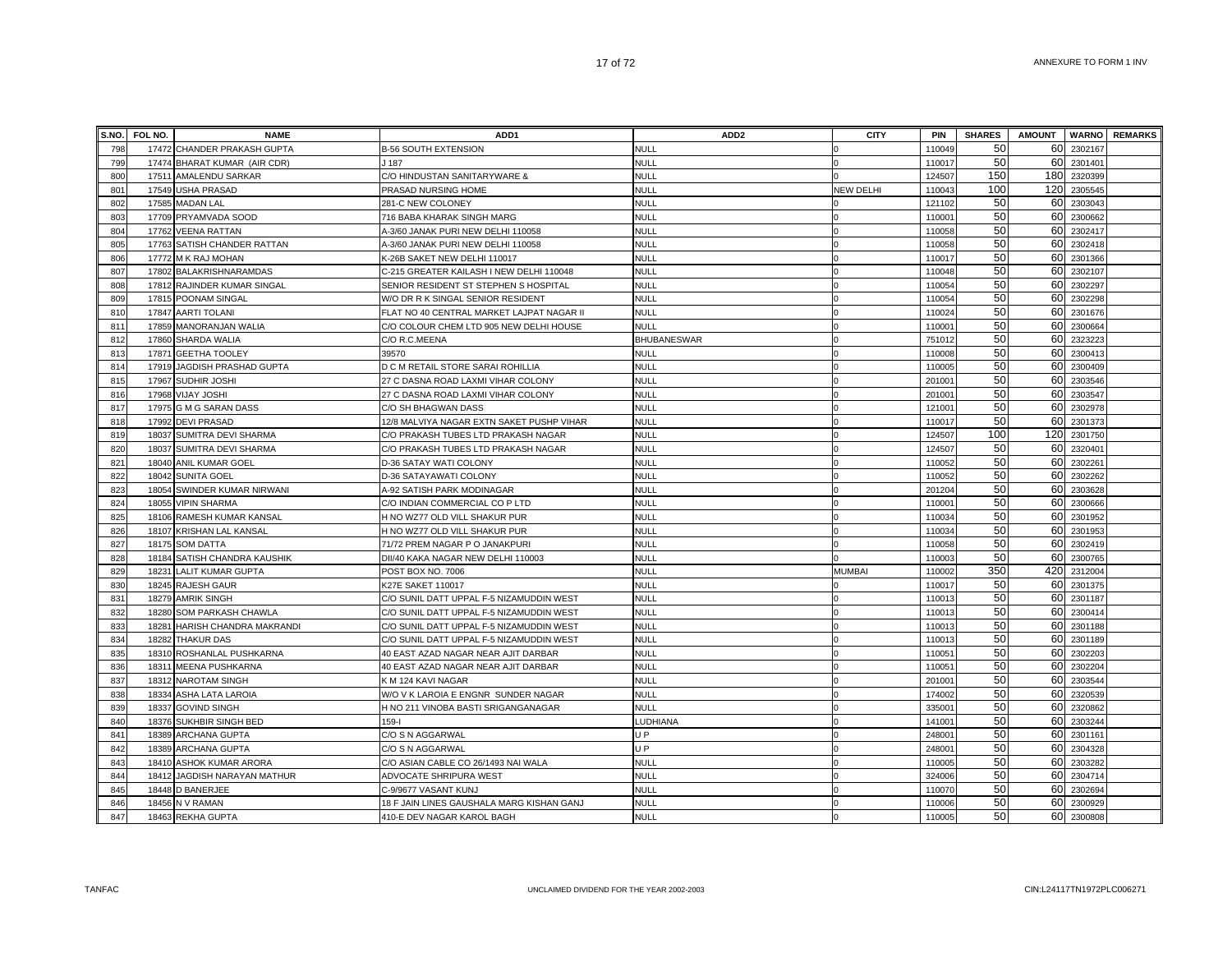|     | S.NO. FOL NO. | <b>NAME</b>                  | ADD <sub>1</sub>                          | ADD <sub>2</sub>   | <b>CITY</b>      | PIN    | <b>SHARES</b> | <b>AMOUNT</b> |         | <b>WARNO</b> REMARKS |
|-----|---------------|------------------------------|-------------------------------------------|--------------------|------------------|--------|---------------|---------------|---------|----------------------|
| 798 |               | 17472 CHANDER PRAKASH GUPTA  | <b>B-56 SOUTH EXTENSION</b>               | <b>NULL</b>        |                  | 110049 | 50            | 60            | 2302167 |                      |
| 799 |               | 17474 BHARAT KUMAR (AIR CDR) | J 187                                     | <b>NULL</b>        |                  | 110017 | 50            | 60            | 2301401 |                      |
| 800 | 17511         | AMALENDU SARKAR              | C/O HINDUSTAN SANITARYWARE &              | <b>NULL</b>        |                  | 124507 | 150           | 180           | 2320399 |                      |
| 801 | 17549         | <b>USHA PRASAD</b>           | PRASAD NURSING HOME                       | <b>NULL</b>        | <b>NEW DELHI</b> | 110043 | 100           | 120           | 2305545 |                      |
| 802 | 17585         | <b>MADAN LAL</b>             | 281-C NEW COLONEY                         | <b>NULL</b>        |                  | 121102 | 50            | 60            | 2303043 |                      |
| 803 |               | 17709 PRYAMVADA SOOD         | 716 BABA KHARAK SINGH MARG                | <b>NULL</b>        |                  | 110001 | 50            | 60            | 2300662 |                      |
| 804 |               | 17762 VEENA RATTAN           | A-3/60 JANAK PURI NEW DELHI 110058        | <b>NULL</b>        |                  | 110058 | 50            | 60            | 2302417 |                      |
| 805 |               | 17763 SATISH CHANDER RATTAN  | A-3/60 JANAK PURI NEW DELHI 110058        | <b>NULL</b>        |                  | 110058 | 50            | 60            | 2302418 |                      |
| 806 |               | 17772 M K RAJ MOHAN          | K-26B SAKET NEW DELHI 110017              | <b>NULL</b>        |                  | 110017 | 50            | 60            | 2301366 |                      |
| 807 |               | 17802 BALAKRISHNARAMDAS      | C-215 GREATER KAILASH I NEW DELHI 110048  | <b>NULL</b>        |                  | 110048 | 50            | 60            | 2302107 |                      |
| 808 | 17812         | RAJINDER KUMAR SINGAL        | SENIOR RESIDENT ST STEPHEN S HOSPITAL     | <b>NULL</b>        |                  | 110054 | 50            | 60            | 230229  |                      |
| 809 | 17815         | POONAM SINGAL                | W/O DR R K SINGAL SENIOR RESIDENT         | <b>NULL</b>        |                  | 110054 | 50            | 60            | 2302298 |                      |
| 810 | 17847         | AARTI TOLANI                 | FLAT NO 40 CENTRAL MARKET LAJPAT NAGAR II | <b>NULL</b>        |                  | 110024 | 50            | 60            | 2301676 |                      |
| 811 | 17859         | MANORANJAN WALIA             | C/O COLOUR CHEM LTD 905 NEW DELHI HOUSE   | <b>NULL</b>        |                  | 110001 | 50            | 60            | 2300664 |                      |
| 812 |               | 17860 SHARDA WALIA           | C/O R.C.MEENA                             | <b>BHUBANESWAR</b> |                  | 751012 | 50            | 60            | 2323223 |                      |
| 813 |               | 17871 GEETHA TOOLEY          | 39570                                     | <b>NULL</b>        |                  | 110008 | 50            | 60            | 2300413 |                      |
| 814 |               | 17919 JAGDISH PRASHAD GUPTA  | D C M RETAIL STORE SARAI ROHILLIA         | <b>NULL</b>        |                  | 110005 | 50            | 60            | 2300409 |                      |
| 815 |               | 17967 SUDHIR JOSHI           | 27 C DASNA ROAD LAXMI VIHAR COLONY        | <b>NULL</b>        |                  | 201001 | 50            | 60            | 2303546 |                      |
| 816 |               | 17968 VIJAY JOSHI            | 27 C DASNA ROAD LAXMI VIHAR COLONY        | <b>NULL</b>        |                  | 201001 | 50            | 60            | 2303547 |                      |
| 817 |               | 17975 G M G SARAN DASS       | C/O SH BHAGWAN DASS                       | <b>NULL</b>        |                  | 121001 | 50            | 60            | 2302978 |                      |
| 818 | 17992         | <b>DEVI PRASAD</b>           | 12/8 MALVIYA NAGAR EXTN SAKET PUSHP VIHAR | <b>NULL</b>        |                  | 110017 | 50            | 60            | 2301373 |                      |
| 819 | 18037         | SUMITRA DEVI SHARMA          | C/O PRAKASH TUBES LTD PRAKASH NAGAR       | <b>NULL</b>        |                  | 124507 | 100           | 120           | 2301750 |                      |
| 820 | 18037         | SUMITRA DEVI SHARMA          | C/O PRAKASH TUBES LTD PRAKASH NAGAR       | <b>NULL</b>        |                  | 12450  | 50            | 60            | 2320401 |                      |
| 821 | 18040         | ANIL KUMAR GOEL              | D-36 SATAY WATI COLONY                    | <b>NULL</b>        |                  | 110052 | 50            | 60            | 2302261 |                      |
| 822 | 18042         | SUNITA GOEL                  | D-36 SATAYAWATI COLONY                    | <b>NULL</b>        |                  | 110052 | 50            | 60            | 2302262 |                      |
| 823 | 18054         | SWINDER KUMAR NIRWANI        | A-92 SATISH PARK MODINAGAR                | <b>NULL</b>        |                  | 201204 | 50            | 60            | 2303628 |                      |
| 824 | 18055         | <b>VIPIN SHARMA</b>          | C/O INDIAN COMMERCIAL CO P LTD            | <b>NULL</b>        |                  | 110001 | 50            | 60            | 2300666 |                      |
| 825 |               | 18106 RAMESH KUMAR KANSAL    | H NO WZ77 OLD VILL SHAKUR PUR             | <b>NULL</b>        |                  | 110034 | 50            | 60            | 2301952 |                      |
| 826 |               | 18107 KRISHAN LAL KANSAL     | H NO WZ77 OLD VILL SHAKUR PUR             | <b>NULL</b>        |                  | 110034 | 50            | 60            | 2301953 |                      |
| 827 |               | 18175 SOM DATTA              | 71/72 PREM NAGAR P O JANAKPURI            | <b>NULL</b>        |                  | 110058 | 50            | 60            | 2302419 |                      |
| 828 | 18184         | SATISH CHANDRA KAUSHIK       | DII/40 KAKA NAGAR NEW DELHI 110003        | <b>NULL</b>        |                  | 110003 | 50            | 60            | 2300765 |                      |
| 829 | 18231         | LALIT KUMAR GUPTA            | POST BOX NO. 7006                         | <b>NULL</b>        | <b>MUMBAI</b>    | 110002 | 350           | 420           | 2312004 |                      |
| 830 | 18245         | RAJESH GAUR                  | K27E SAKET 110017                         | <b>NULL</b>        |                  | 110017 | 50            | 60            | 2301375 |                      |
| 831 | 18279         | AMRIK SINGH                  | C/O SUNIL DATT UPPAL F-5 NIZAMUDDIN WEST  | <b>NULL</b>        |                  | 11001  | 50            | 60            | 2301187 |                      |
| 832 | 18280         | SOM PARKASH CHAWLA           | C/O SUNIL DATT UPPAL F-5 NIZAMUDDIN WEST  | <b>NULL</b>        |                  | 110013 | 50            | 60            | 2300414 |                      |
| 833 | 18281         | HARISH CHANDRA MAKRANDI      | C/O SUNIL DATT UPPAL F-5 NIZAMUDDIN WEST  | <b>NULL</b>        |                  | 11001  | 50            | 60            | 2301188 |                      |
| 834 |               | 18282 THAKUR DAS             | C/O SUNIL DATT UPPAL F-5 NIZAMUDDIN WEST  | <b>NULL</b>        |                  | 11001  | 50            | 60            | 2301189 |                      |
| 835 |               | 18310 ROSHANLAL PUSHKARNA    | 40 EAST AZAD NAGAR NEAR AJIT DARBAR       | <b>NULL</b>        |                  | 110051 | 50            | 60            | 2302203 |                      |
| 836 |               | 18311 MEENA PUSHKARNA        | 40 EAST AZAD NAGAR NEAR AJIT DARBAR       | <b>NULL</b>        |                  | 110051 | 50            | 60            | 2302204 |                      |
| 837 |               | 18312 NAROTAM SINGH          | K M 124 KAVI NAGAR                        | <b>NULL</b>        |                  | 201001 | 50            | 60            | 2303544 |                      |
| 838 | 18334         | <b>ASHA LATA LAROIA</b>      | W/O V K LAROIA E ENGNR SUNDER NAGAR       | <b>NULL</b>        |                  | 174002 | 50            | 60            | 2320539 |                      |
| 839 | 18337         | <b>GOVIND SINGH</b>          | H NO 211 VINOBA BASTI SRIGANGANAGAR       | <b>NULL</b>        |                  | 335001 | 50            | 60            | 2320862 |                      |
| 840 | 18376         | SUKHBIR SINGH BED            | $159 - 1$                                 | LUDHIANA           |                  | 14100  | 50            | 60            | 2303244 |                      |
| 841 | 18389         | ARCHANA GUPTA                | C/O S N AGGARWAL                          | U <sub>P</sub>     |                  | 24800  | 50            | 60            | 2301161 |                      |
| 842 | 18389         | <b>ARCHANA GUPTA</b>         | C/O S N AGGARWAL                          | U <sub>P</sub>     |                  | 248001 | 50            | 60            | 2304328 |                      |
| 843 | 18410         | ASHOK KUMAR ARORA            | C/O ASIAN CABLE CO 26/1493 NAI WALA       | <b>NULL</b>        |                  | 110005 | 50            | 60            | 2303282 |                      |
| 844 | 18412         | JAGDISH NARAYAN MATHUR       | ADVOCATE SHRIPURA WEST                    | <b>NULL</b>        |                  | 324006 | 50            | 60            | 2304714 |                      |
| 845 | 18448         | <b>D BANERJEE</b>            | C-9/9677 VASANT KUNJ                      | <b>NULL</b>        |                  | 110070 | 50            | 60            | 2302694 |                      |
| 846 |               | 18456 N V RAMAN              | 18 F JAIN LINES GAUSHALA MARG KISHAN GANJ | <b>NULL</b>        |                  | 110006 | 50            | 60            | 2300929 |                      |
| 847 |               | 18463 REKHA GUPTA            | 410-E DEV NAGAR KAROL BAGH                | <b>NULL</b>        |                  | 110005 | 50            | 60            | 2300808 |                      |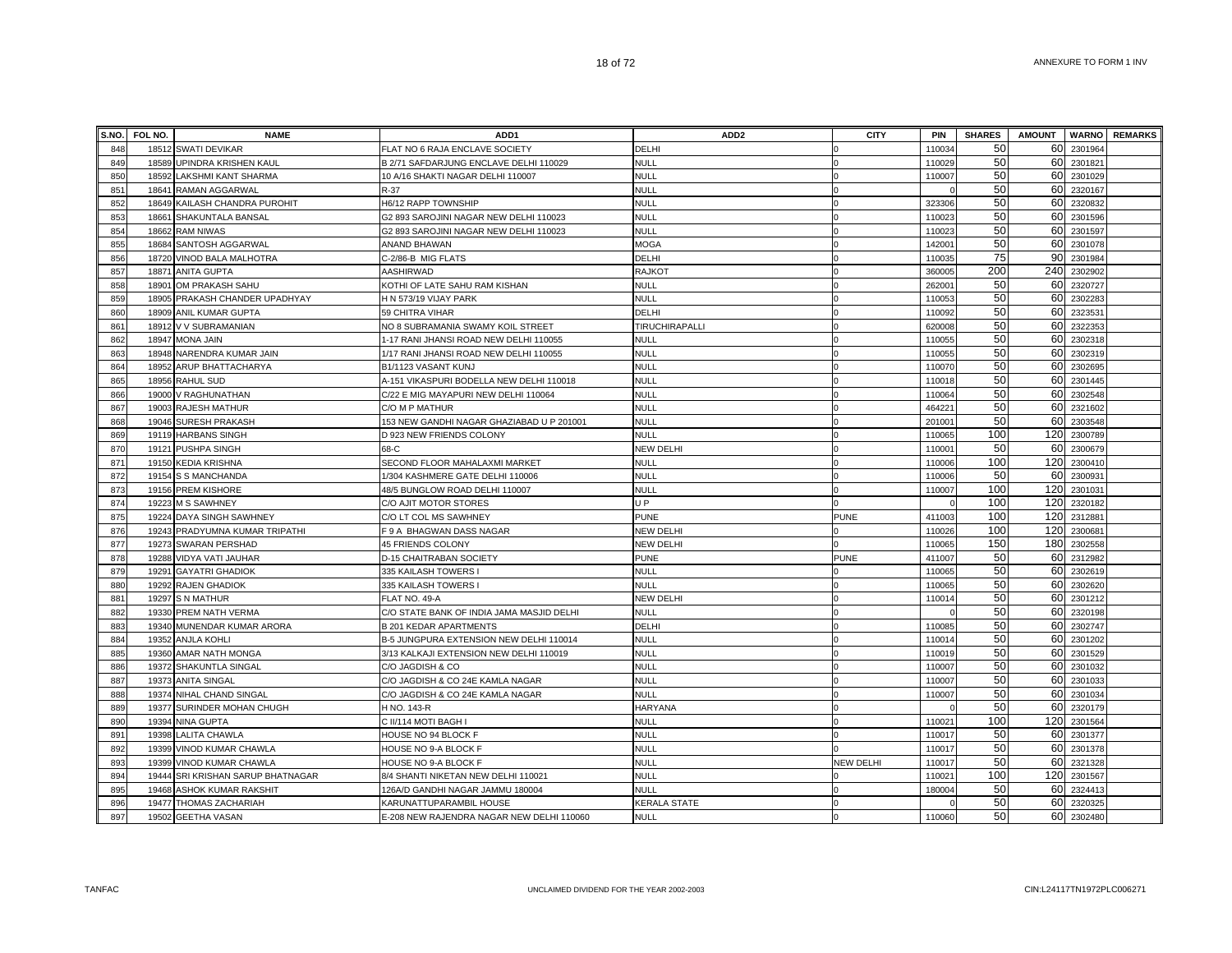|            | S.NO. FOL NO. | <b>NAME</b>                                                    | ADD <sub>1</sub>                                                        | ADD <sub>2</sub>              | <b>CITY</b>      | PIN             | <b>SHARES</b> | <b>AMOUNT</b> |                    | <b>WARNO</b> REMARKS |
|------------|---------------|----------------------------------------------------------------|-------------------------------------------------------------------------|-------------------------------|------------------|-----------------|---------------|---------------|--------------------|----------------------|
| 848        |               | 18512 SWATI DEVIKAR                                            | FLAT NO 6 RAJA ENCLAVE SOCIETY                                          | DELHI                         |                  | 110034          | 50            | 60            | 2301964            |                      |
| 849        |               | 18589 UPINDRA KRISHEN KAUL                                     | B 2/71 SAFDARJUNG ENCLAVE DELHI 110029                                  | <b>NULL</b>                   |                  | 110029          | 50            | 60            | 2301821            |                      |
| 850        | 18592         | <b>LAKSHMI KANT SHARMA</b>                                     | 10 A/16 SHAKTI NAGAR DELHI 110007                                       | <b>NULL</b>                   |                  | 110007          | 50            | 60            | 2301029            |                      |
| 851        |               | 18641 RAMAN AGGARWAL                                           | R-37                                                                    | <b>NULL</b>                   |                  |                 | 50            | 60            | 2320167            |                      |
| 852        |               | 18649 KAILASH CHANDRA PUROHIT                                  | H6/12 RAPP TOWNSHIP                                                     | <b>NULL</b>                   |                  | 323306          | 50            | 60            | 2320832            |                      |
| 853        |               | 18661 SHAKUNTALA BANSAL                                        | G2 893 SAROJINI NAGAR NEW DELHI 110023                                  | <b>NULL</b>                   |                  | 110023          | 50            | 60            | 2301596            |                      |
| 854        |               | 18662 RAM NIWAS                                                | G2 893 SAROJINI NAGAR NEW DELHI 110023                                  | <b>NULL</b>                   |                  | 110023          | 50            | 60            | 2301597            |                      |
| 855        |               | 18684 SANTOSH AGGARWAL                                         | ANAND BHAWAN                                                            | <b>MOGA</b>                   |                  | 142001          | 50            | 60            | 2301078            |                      |
| 856        |               | 18720 VINOD BALA MALHOTRA                                      | C-2/86-B MIG FLATS                                                      | DELHI                         |                  | 110035          | 75            | 90            | 2301984            |                      |
| 857        |               | 18871 ANITA GUPTA                                              | AASHIRWAD                                                               | <b>RAJKOT</b>                 |                  | 360005          | 200           | 240           | 2302902            |                      |
| 858        |               | 18901 OM PRAKASH SAHU                                          | KOTHI OF LATE SAHU RAM KISHAN                                           | <b>NULL</b>                   |                  | 262001          | 50            | 60            | 2320727            |                      |
| 859        |               | 18905 PRAKASH CHANDER UPADHYAY                                 | H N 573/19 VIJAY PARK                                                   | <b>NULL</b>                   |                  | 110053          | 50            | 60            | 230228             |                      |
| 860        |               | 18909 ANIL KUMAR GUPTA                                         | 59 CHITRA VIHAR                                                         | DELHI                         |                  | 110092          | 50            | 60            | 232353             |                      |
| 861        |               | 18912 V V SUBRAMANIAN                                          | NO 8 SUBRAMANIA SWAMY KOIL STREET                                       | TIRUCHIRAPALLI                |                  | 620008          | 50            | 60            | 232235             |                      |
| 862        |               | 18947 MONA JAIN                                                | 1-17 RANI JHANSI ROAD NEW DELHI 110055                                  | <b>NULL</b>                   |                  | 110055          | 50            | 60            | 2302318            |                      |
| 863        |               | 18948 NARENDRA KUMAR JAIN                                      | 1/17 RANI JHANSI ROAD NEW DELHI 110055                                  | <b>NULL</b>                   |                  | 110055          | 50            | 60            | 2302319            |                      |
| 864        |               | 18952 ARUP BHATTACHARYA                                        | B1/1123 VASANT KUNJ                                                     | <b>NULL</b>                   |                  | 110070          | 50            | 60            | 2302695            |                      |
| 865        |               | 18956 RAHUL SUD                                                | A-151 VIKASPURI BODELLA NEW DELHI 110018                                | <b>NULL</b>                   |                  | 110018          | 50            | 60            | 2301445            |                      |
| 866        |               | 19000 V RAGHUNATHAN                                            | C/22 E MIG MAYAPURI NEW DELHI 110064                                    | <b>NULL</b>                   |                  | 110064          | 50            | 60            | 2302548            |                      |
| 867        |               | 19003 RAJESH MATHUR                                            | C/O M P MATHUR                                                          | <b>NULL</b>                   |                  | 464221          | 50            | 60            | 2321602            |                      |
| 868        |               | 19046 SURESH PRAKASH                                           | 153 NEW GANDHI NAGAR GHAZIABAD U P 201001                               | <b>NULL</b>                   |                  | 201001          | 50            | 60            | 2303548            |                      |
| 869        |               | 19119 HARBANS SINGH                                            | D 923 NEW FRIENDS COLONY                                                | <b>NULL</b>                   |                  | 110065          | 100           | 120           | 2300789            |                      |
| 870        |               | 19121 PUSHPA SINGH                                             | 68-C                                                                    | <b>NEW DELHI</b>              |                  | 11000           | 50            | 60            | 2300679            |                      |
| 871        |               | 19150 KEDIA KRISHNA                                            | SECOND FLOOR MAHALAXMI MARKET                                           | <b>NULL</b>                   |                  | 110006          | 100           | 120           | 2300410            |                      |
| 872        |               | 19154 S S MANCHANDA                                            | 1/304 KASHMERE GATE DELHI 110006                                        | <b>NULL</b>                   |                  | 110006          | 50            | 60            | 230093             |                      |
| 873        |               | 19156 PREM KISHORE                                             | 48/5 BUNGLOW ROAD DELHI 110007                                          | <b>NULL</b>                   |                  | 110007          | 100           | 120           | 2301031            |                      |
| 874        |               | 19223 M S SAWHNEY                                              | C/O AJIT MOTOR STORES                                                   | U <sub>P</sub>                |                  |                 | 100           | 120           | 2320182            |                      |
| 875        |               | 19224 DAYA SINGH SAWHNEY                                       | C/O LT COL MS SAWHNEY                                                   | <b>PUNE</b>                   | <b>PUNE</b>      | 411003          | 100           | 120           | 2312881            |                      |
| 876        |               | 19243 PRADYUMNA KUMAR TRIPATHI                                 | F 9 A BHAGWAN DASS NAGAR                                                | <b>NEW DELHI</b>              |                  | 110026          | 100           | 120           | 2300681            |                      |
| 877        |               | 19273 SWARAN PERSHAD                                           | 45 FRIENDS COLONY                                                       | <b>NEW DELHI</b>              |                  | 110065          | 150           | 180           | 2302558            |                      |
| 878        |               | 19288 VIDYA VATI JAUHAR                                        | D-15 CHAITRABAN SOCIETY                                                 | <b>PUNE</b>                   | <b>PUNE</b>      | 411007          | 50            | 60            | 2312982            |                      |
| 879        |               | 19291 GAYATRI GHADIOK                                          | 335 KAILASH TOWERS                                                      | <b>NULL</b>                   |                  | 110065          | 50            | 60            | 2302619            |                      |
| 880        |               | 19292 RAJEN GHADIOK                                            | 335 KAILASH TOWERS I                                                    | <b>NULL</b>                   |                  | 110065          | 50            | 60            | 2302620            |                      |
| 881        | 19297         | <b>S N MATHUR</b>                                              | FLAT NO. 49-A                                                           | <b>NEW DELHI</b>              |                  | 11001           | 50            | 60            | 2301212            |                      |
| 882        |               | 19330 PREM NATH VERMA                                          | C/O STATE BANK OF INDIA JAMA MASJID DELHI                               | <b>NULL</b>                   |                  |                 | 50            | 60            | 2320198            |                      |
| 883        |               | 19340 MUNENDAR KUMAR ARORA                                     | <b>B 201 KEDAR APARTMENTS</b>                                           | DELHI                         |                  | 110085          | 50            | 60            | 2302747            |                      |
| 884        |               | 19352 ANJLA KOHLI                                              | B-5 JUNGPURA EXTENSION NEW DELHI 110014                                 | <b>NULL</b>                   |                  | 110014          | 50            | 60            | 2301202            |                      |
| 885        |               | 19360 AMAR NATH MONGA                                          | 3/13 KALKAJI EXTENSION NEW DELHI 110019                                 | <b>NULL</b>                   |                  | 110019          | 50            | 60            | 2301529            |                      |
| 886        |               | 19372 SHAKUNTLA SINGAL                                         | C/O JAGDISH & CO                                                        | <b>NULL</b>                   |                  | 110007          | 50            | 60            | 2301032            |                      |
| 887        |               | 19373 ANITA SINGAL                                             | C/O JAGDISH & CO 24E KAMLA NAGAR                                        | <b>NULL</b>                   |                  | 110007          | 50            | 60            | 2301033            |                      |
| 888        |               | 19374 NIHAL CHAND SINGAL                                       | C/O JAGDISH & CO 24E KAMLA NAGAR                                        | <b>NULL</b><br><b>HARYANA</b> |                  | 110007          | 50<br>50      | 60<br>60      | 2301034            |                      |
| 889<br>890 |               | 19377 SURINDER MOHAN CHUGH<br>19394 NINA GUPTA                 | H NO. 143-R<br>C II/114 MOTI BAGH I                                     | <b>NULL</b>                   |                  | 110021          | 100           | 120           | 2320179<br>2301564 |                      |
|            |               |                                                                |                                                                         | <b>NULL</b>                   |                  |                 | 50            | 60            | 2301377            |                      |
| 891        | 19398         | <b>LALITA CHAWLA</b>                                           | HOUSE NO 94 BLOCK F                                                     | <b>NULL</b>                   |                  | 110017          | 50            | 60            |                    |                      |
| 892<br>893 | 19399         | VINOD KUMAR CHAWLA<br>19399 VINOD KUMAR CHAWLA                 | HOUSE NO 9-A BLOCK F<br>HOUSE NO 9-A BLOCK F                            | <b>NULL</b>                   | <b>NEW DELHI</b> | 11001<br>110017 | 50            | 60            | 2301378<br>2321328 |                      |
| 894        |               |                                                                |                                                                         |                               |                  | 110021          | 100           | 120           | 2301567            |                      |
| 895        |               | 19444 SRI KRISHAN SARUP BHATNAGAR<br>19468 ASHOK KUMAR RAKSHIT | 8/4 SHANTI NIKETAN NEW DELHI 110021<br>126A/D GANDHI NAGAR JAMMU 180004 | <b>NULL</b><br><b>NULL</b>    |                  | 180004          | 50            | 60            | 2324413            |                      |
| 896        |               | 19477 THOMAS ZACHARIAH                                         | KARUNATTUPARAMBIL HOUSE                                                 | KERALA STATE                  |                  |                 | 50            | 60            | 2320325            |                      |
| 897        |               | 19502 GEETHA VASAN                                             | E-208 NEW RAJENDRA NAGAR NEW DELHI 110060                               | <b>NULL</b>                   |                  | 110060          | 50            | 60            | 2302480            |                      |
|            |               |                                                                |                                                                         |                               |                  |                 |               |               |                    |                      |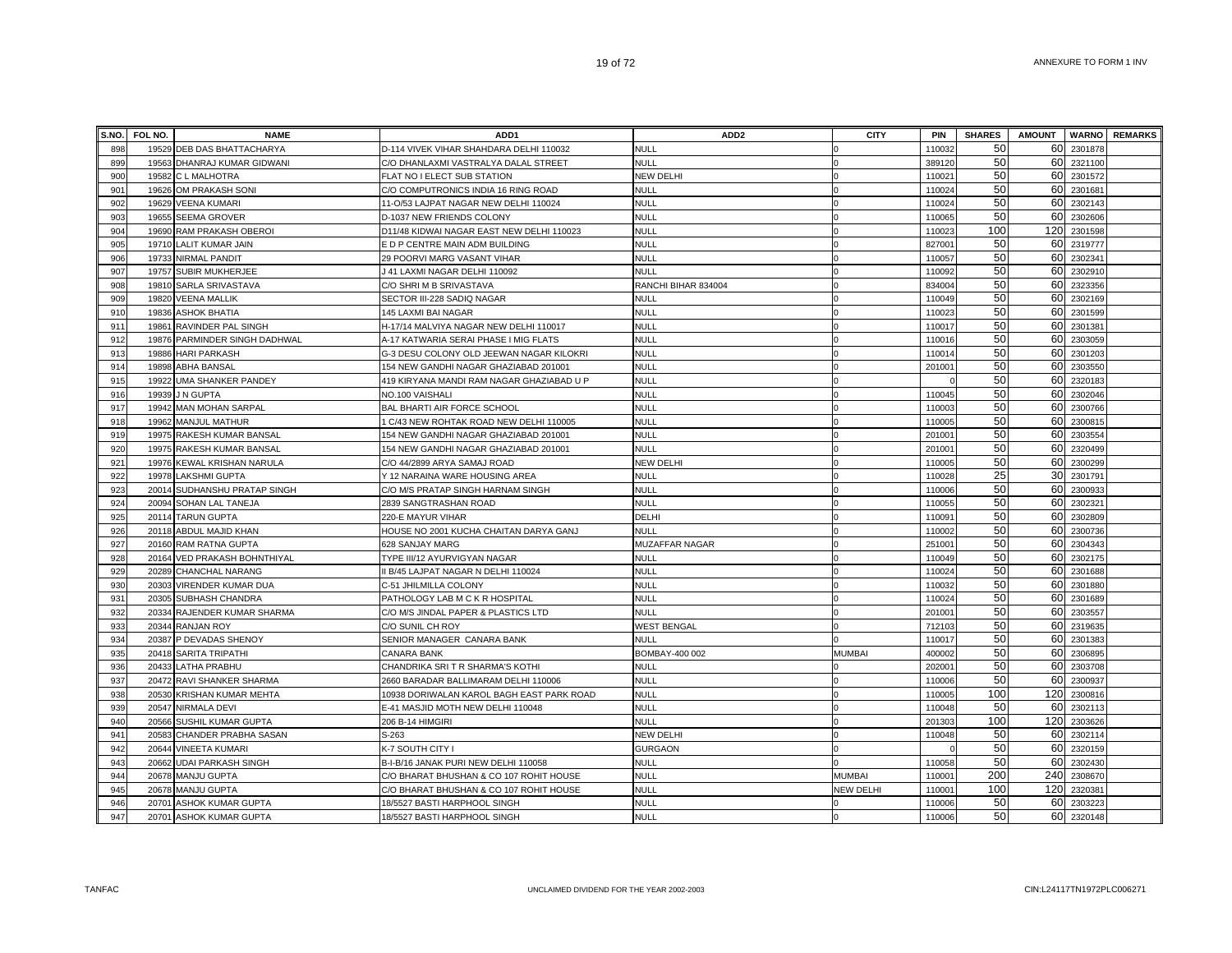|     | S.NO. FOL NO. | <b>NAME</b>                   | ADD <sub>1</sub>                          | ADD <sub>2</sub>      | <b>CITY</b>      | PIN    | <b>SHARES</b> | <b>AMOUNT</b> |         | <b>WARNO</b> REMARKS |
|-----|---------------|-------------------------------|-------------------------------------------|-----------------------|------------------|--------|---------------|---------------|---------|----------------------|
| 898 |               | 19529 DEB DAS BHATTACHARYA    | D-114 VIVEK VIHAR SHAHDARA DELHI 110032   | <b>NULL</b>           |                  | 110032 | 50            | 60            | 2301878 |                      |
| 899 | 19563         | DHANRAJ KUMAR GIDWANI         | C/O DHANLAXMI VASTRALYA DALAL STREET      | <b>NULL</b>           |                  | 389120 | 50            | 60            | 2321100 |                      |
| 900 | 19582         | C L MALHOTRA                  | FLAT NO I ELECT SUB STATION               | <b>NEW DELHI</b>      |                  | 110021 | 50            | 60            | 2301572 |                      |
| 901 | 19626         | OM PRAKASH SONI               | C/O COMPUTRONICS INDIA 16 RING ROAD       | <b>NULL</b>           |                  | 110024 | 50            | 60            | 2301681 |                      |
| 902 | 19629         | <b>VEENA KUMARI</b>           | 11-O/53 LAJPAT NAGAR NEW DELHI 110024     | <b>NULL</b>           |                  | 110024 | 50            | 60            | 2302143 |                      |
| 903 |               | 19655 SEEMA GROVER            | D-1037 NEW FRIENDS COLONY                 | <b>NULL</b>           |                  | 110065 | 50            | 60            | 2302606 |                      |
| 904 |               | 19690 RAM PRAKASH OBEROI      | D11/48 KIDWAI NAGAR EAST NEW DELHI 110023 | <b>NULL</b>           |                  | 110023 | 100           | 120           | 2301598 |                      |
| 905 | 19710         | LALIT KUMAR JAIN              | E D P CENTRE MAIN ADM BUILDING            | <b>NULL</b>           |                  | 827001 | 50            | 60            | 2319777 |                      |
| 906 | 19733         | <b>NIRMAL PANDIT</b>          | 29 POORVI MARG VASANT VIHAR               | <b>NULL</b>           |                  | 110057 | 50            | 60            | 2302341 |                      |
| 907 | 19757         | <b>SUBIR MUKHERJEE</b>        | J 41 LAXMI NAGAR DELHI 110092             | <b>NULL</b>           |                  | 110092 | 50            | 60            | 2302910 |                      |
| 908 | 19810         | SARLA SRIVASTAVA              | C/O SHRI M B SRIVASTAVA                   | RANCHI BIHAR 834004   |                  | 83400  | 50            | 60            | 2323356 |                      |
| 909 | 19820         | <b>VEENA MALLIK</b>           | SECTOR III-228 SADIQ NAGAR                | <b>NULL</b>           |                  | 110049 | 50            | 60            | 2302169 |                      |
| 910 | 19836         | <b>ASHOK BHATIA</b>           | 145 LAXMI BAI NAGAR                       | <b>NULL</b>           |                  | 110023 | 50            | 60            | 2301599 |                      |
| 911 | 19861         | RAVINDER PAL SINGH            | H-17/14 MALVIYA NAGAR NEW DELHI 110017    | <b>NULL</b>           |                  | 11001  | 50            | 60            | 2301381 |                      |
| 912 |               | 19876 PARMINDER SINGH DADHWAL | A-17 KATWARIA SERAI PHASE I MIG FLATS     | <b>NULL</b>           |                  | 110016 | 50            | 60            | 2303059 |                      |
| 913 |               | 19886 HARI PARKASH            | G-3 DESU COLONY OLD JEEWAN NAGAR KILOKRI  | <b>NULL</b>           |                  | 110014 | 50            | 60            | 2301203 |                      |
| 914 |               | 19898 ABHA BANSAL             | 154 NEW GANDHI NAGAR GHAZIABAD 201001     | <b>NULL</b>           |                  | 201001 | 50            | 60            | 2303550 |                      |
| 915 | 19922         | UMA SHANKER PANDEY            | 419 KIRYANA MANDI RAM NAGAR GHAZIABAD U P | <b>NULL</b>           |                  |        | 50            | 60            | 2320183 |                      |
| 916 | 19939         | <b>J N GUPTA</b>              | NO.100 VAISHALI                           | <b>NULL</b>           |                  | 110045 | 50            | 60            | 2302046 |                      |
| 917 | 19942         | <b>MAN MOHAN SARPAL</b>       | BAL BHARTI AIR FORCE SCHOOL               | <b>NULL</b>           |                  | 110003 | 50            | 60            | 2300766 |                      |
| 918 | 19962         | <b>MANJUL MATHUR</b>          | 1 C/43 NEW ROHTAK ROAD NEW DELHI 110005   | <b>NULL</b>           |                  | 110005 | 50            | 60            | 2300815 |                      |
| 919 | 19975         | RAKESH KUMAR BANSAL           | 154 NEW GANDHI NAGAR GHAZIABAD 201001     | NULL                  |                  | 201001 | 50            | 60            | 230355  |                      |
| 920 | 19975         | RAKESH KUMAR BANSAL           | 154 NEW GANDHI NAGAR GHAZIABAD 201001     | <b>NULL</b>           |                  | 201001 | 50            | 60            | 2320499 |                      |
| 921 | 19976         | <b>KEWAL KRISHAN NARULA</b>   | C/O 44/2899 ARYA SAMAJ ROAD               | <b>NEW DELHI</b>      |                  | 110005 | 50            | 60            | 2300299 |                      |
| 922 | 19978         | <b>LAKSHMI GUPTA</b>          | Y 12 NARAINA WARE HOUSING AREA            | <b>NULL</b>           |                  | 110028 | 25            | 30            | 2301791 |                      |
| 923 | 20014         | SUDHANSHU PRATAP SINGH        | C/O M/S PRATAP SINGH HARNAM SINGH         | <b>NULL</b>           |                  | 110006 | 50            | 60            | 2300933 |                      |
| 924 |               | 20094 SOHAN LAL TANEJA        | 2839 SANGTRASHAN ROAD                     | <b>NULL</b>           |                  | 110055 | 50            | 60            | 2302321 |                      |
| 925 |               | 20114 TARUN GUPTA             | 220-E MAYUR VIHAR                         | DELHI                 |                  | 110091 | 50            | 60            | 2302809 |                      |
| 926 |               | 20118 ABDUL MAJID KHAN        | HOUSE NO 2001 KUCHA CHAITAN DARYA GANJ    | <b>NULL</b>           |                  | 110002 | 50            | 60            | 2300736 |                      |
| 927 | 20160         | <b>RAM RATNA GUPTA</b>        | 628 SANJAY MARG                           | <b>MUZAFFAR NAGAR</b> |                  | 251001 | 50            | 60            | 2304343 |                      |
| 928 | 20164         | VED PRAKASH BOHNTHIYAL        | TYPE III/12 AYURVIGYAN NAGAR              | <b>NULL</b>           |                  | 110049 | 50            | 60            | 2302175 |                      |
| 929 | 20289         | CHANCHAL NARANG               | I B/45 LAJPAT NAGAR N DELHI 110024        | <b>NULL</b>           |                  | 110024 | 50            | 60            | 2301688 |                      |
| 930 | 20303         | VIRENDER KUMAR DUA            | C-51 JHILMILLA COLONY                     | <b>NULL</b>           |                  | 110032 | 50            | 60            | 2301880 |                      |
| 931 | 20305         | SUBHASH CHANDRA               | PATHOLOGY LAB M C K R HOSPITAL            | <b>NULL</b>           |                  | 110024 | 50            | 60            | 2301689 |                      |
| 932 |               | 20334 RAJENDER KUMAR SHARMA   | C/O M/S JINDAL PAPER & PLASTICS LTD       | <b>NULL</b>           |                  | 201001 | 50            | 60            | 2303557 |                      |
| 933 |               | 20344 RANJAN ROY              | C/O SUNIL CH ROY                          | <b>WEST BENGAL</b>    |                  | 712103 | 50            | 60            | 2319635 |                      |
| 934 |               | 20387 P DEVADAS SHENOY        | SENIOR MANAGER CANARA BANK                | NULL                  |                  | 110017 | 50            | 60            | 2301383 |                      |
| 935 |               | 20418 SARITA TRIPATHI         | CANARA BANK                               | BOMBAY-400 002        | <b>MUMBAI</b>    | 400002 | 50            | 60            | 2306895 |                      |
| 936 | 20433         | LATHA PRABHU                  | CHANDRIKA SRI T R SHARMA'S KOTHI          | <b>NULL</b>           |                  | 202001 | 50            | 60            | 2303708 |                      |
| 937 | 20472         | RAVI SHANKER SHARMA           | 2660 BARADAR BALLIMARAM DELHI 110006      | <b>NULL</b>           |                  | 110006 | 50            | 60            | 2300937 |                      |
| 938 | 20530         | KRISHAN KUMAR MEHTA           | 10938 DORIWALAN KAROL BAGH EAST PARK ROAD | <b>NULL</b>           |                  | 110005 | 100           | 120           | 2300816 |                      |
| 939 | 20547         | NIRMALA DEVI                  | E-41 MASJID MOTH NEW DELHI 110048         | <b>NULL</b>           |                  | 110048 | 50            | 60            | 2302113 |                      |
| 940 | 20566         | SUSHIL KUMAR GUPTA            | 206 B-14 HIMGIRI                          | <b>NULL</b>           |                  | 201303 | 100           | 120           | 2303626 |                      |
| 941 | 20583         | CHANDER PRABHA SASAN          | S-263                                     | NEW DELHI             |                  | 110048 | 50            | 60            | 2302114 |                      |
| 942 | 20644         | <b>VINEETA KUMARI</b>         | K-7 SOUTH CITY I                          | <b>GURGAON</b>        |                  |        | 50            | 60            | 2320159 |                      |
| 943 | 20662         | <b>UDAI PARKASH SINGH</b>     | B-I-B/16 JANAK PURI NEW DELHI 110058      | <b>NULL</b>           |                  | 110058 | 50            | 60            | 2302430 |                      |
| 944 | 20678         | <b>MANJU GUPTA</b>            | C/O BHARAT BHUSHAN & CO 107 ROHIT HOUSE   | <b>NULL</b>           | <b>MUMBAI</b>    | 110001 | 200           | 240           | 2308670 |                      |
| 945 |               | 20678 MANJU GUPTA             | C/O BHARAT BHUSHAN & CO 107 ROHIT HOUSE   | <b>NULL</b>           | <b>NEW DELHI</b> | 110001 | 100           | 120           | 2320381 |                      |
| 946 | 20701         | <b>ASHOK KUMAR GUPTA</b>      | 18/5527 BASTI HARPHOOL SINGH              | <b>NULL</b>           |                  | 110006 | 50            | 60            | 2303223 |                      |
| 947 |               | 20701 ASHOK KUMAR GUPTA       | 18/5527 BASTI HARPHOOL SINGH              | <b>NULL</b>           |                  | 110006 | 50            | 60            | 2320148 |                      |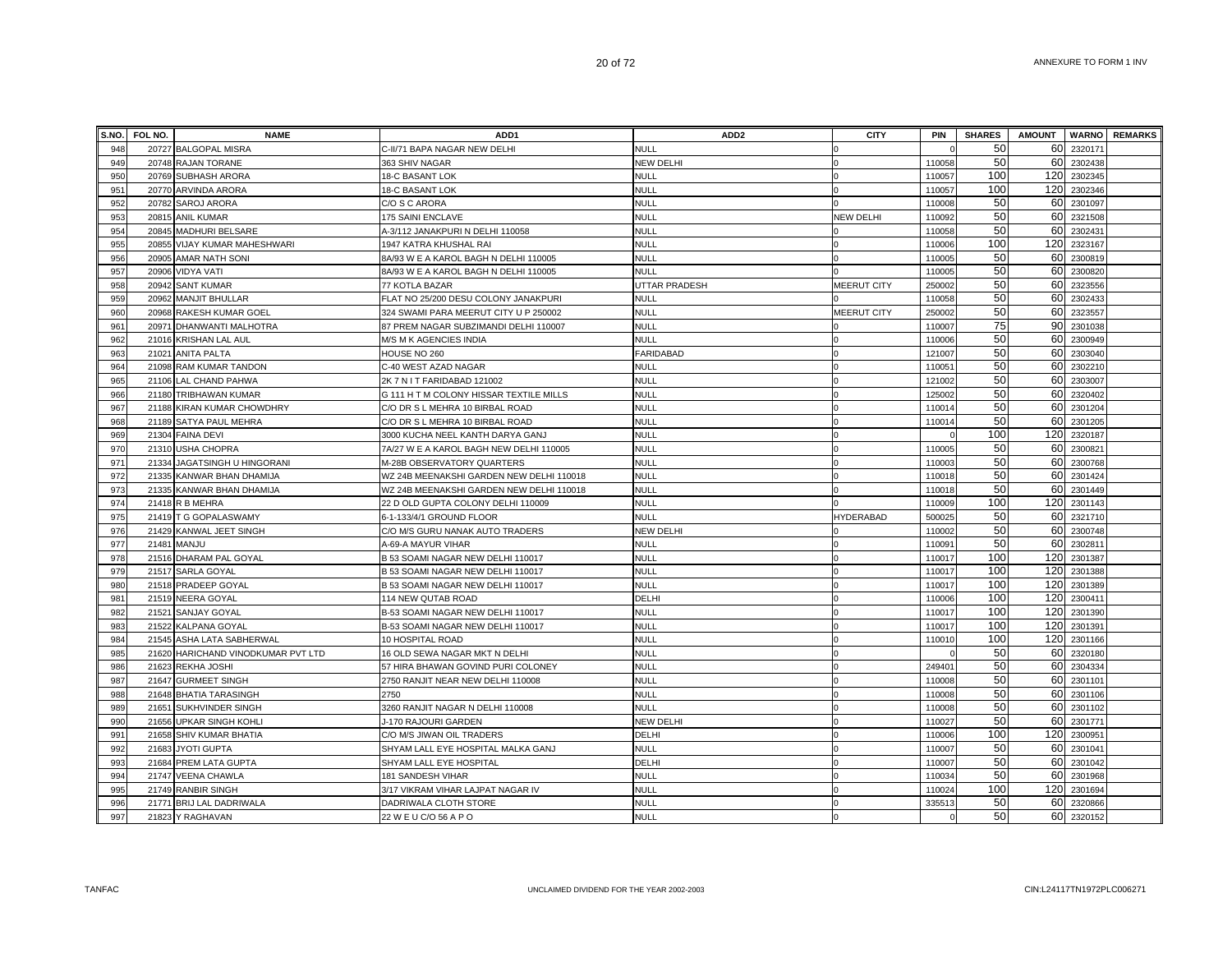|     | S.NO. FOL NO. | <b>NAME</b>                        | ADD <sub>1</sub>                         | ADD <sub>2</sub> | <b>CITY</b>        | PIN                | <b>SHARES</b> | <b>AMOUNT</b> |             | <b>WARNO</b> REMARKS |
|-----|---------------|------------------------------------|------------------------------------------|------------------|--------------------|--------------------|---------------|---------------|-------------|----------------------|
| 948 |               | 20727 BALGOPAL MISRA               | C-II/71 BAPA NAGAR NEW DELHI             | <b>NULL</b>      |                    |                    | 50            | 60            | 2320171     |                      |
| 949 |               | 20748 RAJAN TORANE                 | 363 SHIV NAGAR                           | <b>NEW DELHI</b> |                    | 110058             | 50            | 60            | 2302438     |                      |
| 950 |               | 20769 SUBHASH ARORA                | <b>18-C BASANT LOK</b>                   | <b>NULL</b>      | $\Omega$           | 110057             | 100           |               | 120 2302345 |                      |
| 951 |               | 20770 ARVINDA ARORA                | <b>18-C BASANT LOK</b>                   | <b>NULL</b>      |                    | 110057             | 100           |               | 120 2302346 |                      |
| 952 | 20782         | <b>SAROJ ARORA</b>                 | C/O S C ARORA                            | <b>NULL</b>      |                    | 110008             | 50            |               | 60 2301097  |                      |
| 953 | 20815         | <b>ANIL KUMAR</b>                  | 175 SAINI ENCLAVE                        | <b>NULL</b>      | <b>NEW DELHI</b>   | 110092             | 50            |               | 60 2321508  |                      |
| 954 | 20845         | MADHURI BELSARE                    | 4-3/112 JANAKPURI N DELHI 110058         | <b>NULL</b>      |                    | 110058             | 50            |               | 60 2302431  |                      |
| 955 | 20855         | VIJAY KUMAR MAHESHWARI             | 1947 KATRA KHUSHAL RAI                   | <b>NULL</b>      |                    | 110006             | 100           |               | 120 2323167 |                      |
| 956 |               | 20905 AMAR NATH SONI               | BA/93 W E A KAROL BAGH N DELHI 110005    | <b>NULL</b>      |                    | 110005             | 50            |               | 60 2300819  |                      |
| 957 | 20906         | <b>VIDYA VATI</b>                  | 8A/93 W E A KAROL BAGH N DELHI 110005    | <b>NULL</b>      |                    | 11000              | 50            |               | 60 2300820  |                      |
| 958 | 20942         | <b>SANT KUMAR</b>                  | 77 KOTLA BAZAR                           | UTTAR PRADESH    | <b>MEERUT CITY</b> | 250002             | 50            | 60            | 2323556     |                      |
| 959 | 20962         | <b>MANJIT BHULLAR</b>              | FLAT NO 25/200 DESU COLONY JANAKPURI     | <b>NULL</b>      |                    | 110058             | 50            |               | 60 2302433  |                      |
| 960 |               | 20968 RAKESH KUMAR GOEL            | 324 SWAMI PARA MEERUT CITY U P 250002    | <b>NULL</b>      | MEERUT CITY        | 250002             | 50            | 60            | 2323557     |                      |
| 961 | 20971         | DHANWANTI MALHOTRA                 | 87 PREM NAGAR SUBZIMANDI DELHI 110007    | <b>NULL</b>      |                    | 110007             | 75            | 90            | 2301038     |                      |
| 962 | 21016         | <b>KRISHAN LAL AUL</b>             | M/S M K AGENCIES INDIA                   | <b>NULL</b>      |                    | 110006             | 50            |               | 60 2300949  |                      |
| 963 | 21021         | <b>ANITA PALTA</b>                 | HOUSE NO 260                             | <b>FARIDABAD</b> |                    | 121007             | 50            | 60            | 2303040     |                      |
| 964 |               | 21098 RAM KUMAR TANDON             | C-40 WEST AZAD NAGAR                     | <b>NULL</b>      |                    | 11005              | 50            |               | 60 2302210  |                      |
| 965 |               | 21106 LAL CHAND PAHWA              | 2K 7 N I T FARIDABAD 121002              | <b>NULL</b>      |                    | 121002             | 50            |               | 60 2303007  |                      |
| 966 |               | 21180 TRIBHAWAN KUMAR              | G 111 H T M COLONY HISSAR TEXTILE MILLS  | <b>NULL</b>      |                    | 125002             | 50            | 60            | 2320402     |                      |
| 967 |               | 21188 KIRAN KUMAR CHOWDHRY         | C/O DR S L MEHRA 10 BIRBAL ROAD          | <b>NULL</b>      |                    | 11001              | 50            |               | 60 2301204  |                      |
| 968 | 21189         | <b>SATYA PAUL MEHRA</b>            | C/O DR S L MEHRA 10 BIRBAL ROAD          | <b>NULL</b>      |                    | 11001              | 50            |               | 60 2301205  |                      |
| 969 | 21304         | <b>FAINA DEVI</b>                  | 3000 KUCHA NEEL KANTH DARYA GANJ         | <b>NULL</b>      |                    |                    | 100           | 120           | 2320187     |                      |
| 970 | 21310         | <b>USHA CHOPRA</b>                 | 7A/27 W E A KAROL BAGH NEW DELHI 110005  | <b>NULL</b>      |                    | 11000              | 50            | 60            | 2300821     |                      |
| 971 |               | 21334 JAGATSINGH U HINGORANI       | M-28B OBSERVATORY QUARTERS               | <b>NULL</b>      |                    | 110003             | 50            | 60            | 2300768     |                      |
| 972 | 21335         | KANWAR BHAN DHAMIJA                | WZ 24B MEENAKSHI GARDEN NEW DELHI 110018 | <b>NULL</b>      |                    | 11001              | 50            | 60            | 2301424     |                      |
| 973 |               | 21335 KANWAR BHAN DHAMIJA          | WZ 24B MEENAKSHI GARDEN NEW DELHI 110018 | <b>NULL</b>      |                    | 110018             | 50            |               | 60 2301449  |                      |
| 974 |               | 21418 R B MEHRA                    | 22 D OLD GUPTA COLONY DELHI 110009       | <b>NULL</b>      |                    | 110009             | 100           |               | 120 2301143 |                      |
| 975 |               | 21419 T G GOPALASWAMY              | 6-1-133/4/1 GROUND FLOOR                 | <b>NULL</b>      | HYDERABAD          | 500025             | 50            |               | 60 2321710  |                      |
| 976 |               | 21429 KANWAL JEET SINGH            | C/O M/S GURU NANAK AUTO TRADERS          | NEW DELHI        |                    | 110002             | 50            |               | 60 2300748  |                      |
| 977 | 21481         | <b>MANJU</b>                       | A-69-A MAYUR VIHAR                       | <b>NULL</b>      |                    | 11009 <sup>-</sup> | 50            |               | 60 2302811  |                      |
| 978 |               | 21516 DHARAM PAL GOYAL             | B 53 SOAMI NAGAR NEW DELHI 110017        | <b>NULL</b>      |                    | 11001              | 100           | 120           | 2301387     |                      |
| 979 |               | 21517 SARLA GOYAL                  | B 53 SOAMI NAGAR NEW DELHI 110017        | <b>NULL</b>      |                    | 11001              | 100           |               | 120 2301388 |                      |
| 980 |               | 21518 PRADEEP GOYAL                | B 53 SOAMI NAGAR NEW DELHI 110017        | <b>NULL</b>      |                    | 11001              | 100           | 120           | 2301389     |                      |
| 981 |               | 21519 NEERA GOYAL                  | 114 NEW QUTAB ROAD                       | DELHI            |                    | 110006             | 100           |               | 120 2300411 |                      |
| 982 |               | 21521 SANJAY GOYAL                 | B-53 SOAMI NAGAR NEW DELHI 110017        | <b>NULL</b>      |                    | 110017             | 100           |               | 120 2301390 |                      |
| 983 |               | 21522 KALPANA GOYAL                | B-53 SOAMI NAGAR NEW DELHI 110017        | <b>NULL</b>      |                    | 110017             | 100           | 120           | 2301391     |                      |
| 984 | 21545         | ASHA LATA SABHERWAL                | 10 HOSPITAL ROAD                         | <b>NULL</b>      |                    | 110010             | 100           | 120           | 2301166     |                      |
| 985 |               | 21620 HARICHAND VINODKUMAR PVT LTD | 16 OLD SEWA NAGAR MKT N DELHI            | <b>NULL</b>      |                    |                    | 50            |               | 60 2320180  |                      |
| 986 |               | 21623 REKHA JOSHI                  | 57 HIRA BHAWAN GOVIND PURI COLONEY       | <b>NULL</b>      |                    | 24940              | 50            |               | 60 2304334  |                      |
| 987 |               | 21647 GURMEET SINGH                | 2750 RANJIT NEAR NEW DELHI 110008        | <b>NULL</b>      |                    | 110008             | 50            |               | 60 2301101  |                      |
| 988 |               | 21648 BHATIA TARASINGH             | 2750                                     | NULL             |                    | 110008             | 50            |               | 60 2301106  |                      |
| 989 | 21651         | <b>SUKHVINDER SINGH</b>            | 3260 RANJIT NAGAR N DELHI 110008         | <b>NULL</b>      |                    | 110008             | 50            |               | 60 2301102  |                      |
| 990 | 21656         | <b>UPKAR SINGH KOHLI</b>           | J-170 RAJOURI GARDEN                     | <b>NEW DELHI</b> |                    | 110027             | 50            |               | 60 2301771  |                      |
| 991 | 21658         | SHIV KUMAR BHATIA                  | C/O M/S JIWAN OIL TRADERS                | DELHI            |                    | 110006             | 100           | 120           | 2300951     |                      |
| 992 | 21683         | <b>JYOTI GUPTA</b>                 | SHYAM LALL EYE HOSPITAL MALKA GANJ       | <b>NULL</b>      |                    | 110007             | 50            | 60            | 2301041     |                      |
| 993 | 21684         | PREM LATA GUPTA                    | SHYAM LALL EYE HOSPITAL                  | DELHI            |                    | 110007             | 50            |               | 60 2301042  |                      |
| 994 |               | 21747 VEENA CHAWLA                 | 181 SANDESH VIHAR                        | <b>NULL</b>      |                    | 110034             | 50            |               | 60 2301968  |                      |
| 995 |               | 21749 RANBIR SINGH                 | 3/17 VIKRAM VIHAR LAJPAT NAGAR IV        | <b>NULL</b>      |                    | 110024             | 100           |               | 120 2301694 |                      |
| 996 |               | 21771 BRIJ LAL DADRIWALA           | DADRIWALA CLOTH STORE                    | <b>NULL</b>      |                    | 335513             | 50            |               | 60 2320866  |                      |
| 997 |               | 21823 Y RAGHAVAN                   | 22 W E U C/O 56 A P O                    | <b>NULL</b>      |                    |                    | 50            |               | 60 2320152  |                      |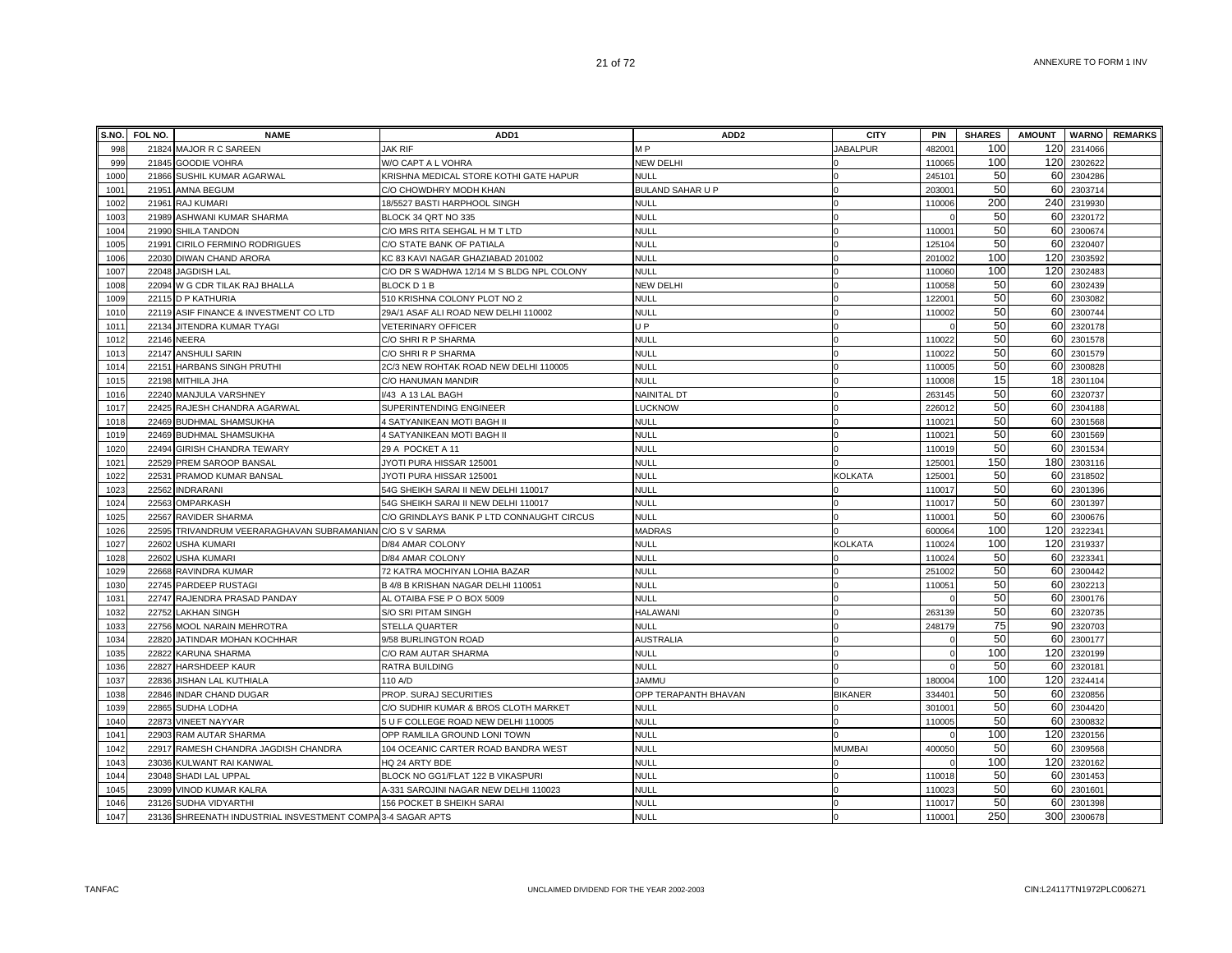| S.NO. | FOL NO. | <b>NAME</b>                                                 | ADD <sub>1</sub>                          | ADD <sub>2</sub>        | <b>CITY</b>     | PIN                | <b>SHARES</b> | <b>AMOUNT</b> |             | <b>WARNO</b> REMARKS |
|-------|---------|-------------------------------------------------------------|-------------------------------------------|-------------------------|-----------------|--------------------|---------------|---------------|-------------|----------------------|
| 998   |         | 21824 MAJOR R C SAREEN                                      | <b>JAK RIF</b>                            | M P                     | <b>JABALPUR</b> | 48200 <sup>-</sup> | 100           | 120           | 2314066     |                      |
| 999   |         | 21845 GOODIE VOHRA                                          | W/O CAPT A L VOHRA                        | NEW DELHI               |                 | 110065             | 100           | 120           | 2302622     |                      |
| 1000  |         | 21866 SUSHIL KUMAR AGARWAL                                  | KRISHNA MEDICAL STORE KOTHI GATE HAPUR    | <b>NULL</b>             |                 | 245101             | 50            | 60            | 2304286     |                      |
| 1001  |         | 21951 AMNA BEGUM                                            | C/O CHOWDHRY MODH KHAN                    | <b>BULAND SAHAR U P</b> |                 | 203001             | 50            | 60            | 2303714     |                      |
| 1002  |         | 21961 RAJ KUMARI                                            | 18/5527 BASTI HARPHOOL SINGH              | NULL                    |                 | 110006             | 200           | 240           | 2319930     |                      |
| 1003  |         | 21989 ASHWANI KUMAR SHARMA                                  | BLOCK 34 QRT NO 335                       | <b>NULL</b>             |                 |                    | 50            | 60            | 2320172     |                      |
| 1004  |         | 21990 SHILA TANDON                                          | C/O MRS RITA SEHGAL H M T LTD             | NULL                    |                 | 11000 <sup>-</sup> | 50            | 60            | 2300674     |                      |
| 1005  |         | 21991 CIRILO FERMINO RODRIGUES                              | C/O STATE BANK OF PATIALA                 | NULL                    |                 | 125104             | 50            | 60            | 2320407     |                      |
| 1006  |         | 22030 DIWAN CHAND ARORA                                     | KC 83 KAVI NAGAR GHAZIABAD 201002         | NULL                    |                 | 201002             | 100           | 120           | 2303592     |                      |
| 1007  |         | 22048 JAGDISH LAL                                           | C/O DR S WADHWA 12/14 M S BLDG NPL COLONY | <b>NULL</b>             |                 | 110060             | 100           | 120           | 2302483     |                      |
| 1008  |         | 22094 W G CDR TILAK RAJ BHALLA                              | BLOCK D 1 B                               | NEW DELHI               |                 | 110058             | 50            | 60            | 2302439     |                      |
| 1009  |         | 22115 D P KATHURIA                                          | 510 KRISHNA COLONY PLOT NO 2              | <b>NULL</b>             |                 | 12200 <sup>-</sup> | 50            | 60            | 2303082     |                      |
| 1010  |         | 22119 ASIF FINANCE & INVESTMENT CO LTD                      | 29A/1 ASAF ALI ROAD NEW DELHI 110002      | <b>NULL</b>             |                 | 110002             | 50            | 60            | 2300744     |                      |
| 1011  |         | 22134 JITENDRA KUMAR TYAGI                                  | <b>VETERINARY OFFICER</b>                 | U P                     |                 |                    | 50            | 60            | 2320178     |                      |
| 1012  |         | 22146 NEERA                                                 | C/O SHRI R P SHARMA                       | <b>NULL</b>             |                 | 110022             | 50            | 60            | 2301578     |                      |
| 1013  |         | 22147 ANSHULI SARIN                                         | C/O SHRI R P SHARMA                       | NULL                    |                 | 110022             | 50            | 60            | 2301579     |                      |
| 1014  |         | 22151 HARBANS SINGH PRUTHI                                  | 2C/3 NEW ROHTAK ROAD NEW DELHI 110005     | NULL                    |                 | 110005             | 50            | 60            | 2300828     |                      |
| 1015  |         | 22198 MITHILA JHA                                           | C/O HANUMAN MANDIR                        | NULL                    |                 | 110008             | 15            | 18            | 2301104     |                      |
| 1016  |         | 22240 MANJULA VARSHNEY                                      | I/43 A 13 LAL BAGH                        | <b>NAINITAL DT</b>      |                 | 26314              | 50            | 60            | 2320737     |                      |
| 1017  |         | 22425 RAJESH CHANDRA AGARWAL                                | SUPERINTENDING ENGINEER                   | <b>LUCKNOW</b>          |                 | 226012             | 50            | 60            | 2304188     |                      |
| 1018  |         | 22469 BUDHMAL SHAMSUKHA                                     | 4 SATYANIKEAN MOTI BAGH II                | <b>NULL</b>             |                 | 11002              | 50            | 60            | 2301568     |                      |
| 1019  |         | 22469 BUDHMAL SHAMSUKHA                                     | 4 SATYANIKEAN MOTI BAGH II                | <b>NULL</b>             |                 | 11002              | 50            | 60            | 2301569     |                      |
| 1020  |         | 22494 GIRISH CHANDRA TEWARY                                 | 29 A POCKET A 11                          | <b>NULL</b>             |                 | 110019             | 50            | 60            | 2301534     |                      |
| 1021  |         | 22529 PREM SAROOP BANSAL                                    | JYOTI PURA HISSAR 125001                  | <b>NULL</b>             |                 | 12500 <sup>-</sup> | 150           | 180           | 2303116     |                      |
| 1022  |         | 22531 PRAMOD KUMAR BANSAL                                   | JYOTI PURA HISSAR 125001                  | NULL                    | KOLKATA         | 12500 <sup>-</sup> | 50            | 60            | 2318502     |                      |
| 1023  |         | 22562 INDRARANI                                             | 54G SHEIKH SARAI II NEW DELHI 110017      | <b>NULL</b>             |                 | 110017             | 50            | 60            | 2301396     |                      |
| 1024  |         | 22563 OMPARKASH                                             | 54G SHEIKH SARAI II NEW DELHI 110017      | <b>NULL</b>             |                 | 110017             | 50            | 60            | 2301397     |                      |
| 1025  |         | 22567 RAVIDER SHARMA                                        | C/O GRINDLAYS BANK P LTD CONNAUGHT CIRCUS | <b>NULL</b>             |                 | 11000 <sup>-</sup> | 50            | 60            | 2300676     |                      |
| 1026  |         | 22595 TRIVANDRUM VEERARAGHAVAN SUBRAMANIAN C/O S V SARMA    |                                           | <b>MADRAS</b>           |                 | 600064             | 100           | 120           | 2322341     |                      |
| 1027  |         | 22602 USHA KUMARI                                           | D/84 AMAR COLONY                          | NULL                    | <b>KOLKATA</b>  | 110024             | 100           | 120           | 2319337     |                      |
| 1028  |         | 22602 USHA KUMARI                                           | D/84 AMAR COLONY                          | NULL                    |                 | 110024             | 50            | 60            | 2323341     |                      |
| 1029  |         | 22668 RAVINDRA KUMAR                                        | 72 KATRA MOCHIYAN LOHIA BAZAR             | <b>NULL</b>             |                 | 251002             | 50            | 60            | 2300442     |                      |
| 1030  |         | 22745 PARDEEP RUSTAGI                                       | B 4/8 B KRISHAN NAGAR DELHI 110051        | <b>NULL</b>             |                 | 11005              | 50            | 60            | 2302213     |                      |
| 1031  |         | 22747 RAJENDRA PRASAD PANDAY                                | AL OTAIBA FSE P O BOX 5009                | <b>NULL</b>             |                 |                    | 50            | 60            | 2300176     |                      |
| 1032  |         | 22752 LAKHAN SINGH                                          | S/O SRI PITAM SINGH                       | HALAWANI                |                 | 263139             | 50            | 60            | 2320735     |                      |
| 1033  |         | 22756 MOOL NARAIN MEHROTRA                                  | <b>STELLA QUARTER</b>                     | <b>NULL</b>             |                 | 248179             | 75            | 90            | 2320703     |                      |
| 1034  |         | 22820 JATINDAR MOHAN KOCHHAR                                | 9/58 BURLINGTON ROAD                      | <b>AUSTRALIA</b>        |                 |                    | 50            | 60            | 2300177     |                      |
| 1035  |         | 22822 KARUNA SHARMA                                         | C/O RAM AUTAR SHARMA                      | <b>NULL</b>             |                 |                    | 100           | 120           | 2320199     |                      |
| 1036  |         | 22827 HARSHDEEP KAUR                                        | RATRA BUILDING                            | <b>NULL</b>             |                 |                    | 50            | 60            | 2320181     |                      |
| 1037  |         | 22836 JISHAN LAL KUTHIALA                                   | 110 A/D                                   | <b>JAMMU</b>            |                 | 180004             | 100           | 120           | 2324414     |                      |
| 1038  |         | 22846 INDAR CHAND DUGAR                                     | PROP. SURAJ SECURITIES                    | OPP TERAPANTH BHAVAN    | <b>BIKANER</b>  | 334401             | 50            | 60            | 2320856     |                      |
| 1039  |         | 22865 SUDHA LODHA                                           | C/O SUDHIR KUMAR & BROS CLOTH MARKET      | NULL                    |                 | 301001             | 50            | 60            | 2304420     |                      |
| 1040  | 22873   | <b>VINEET NAYYAR</b>                                        | 5 U F COLLEGE ROAD NEW DELHI 110005       | <b>NULL</b>             |                 | 110005             | 50            | 60            | 2300832     |                      |
| 1041  |         | 22903 RAM AUTAR SHARMA                                      | OPP RAMLILA GROUND LONI TOWN              | <b>NULL</b>             |                 |                    | 100           | 120           | 2320156     |                      |
| 1042  |         | 22917 RAMESH CHANDRA JAGDISH CHANDRA                        | 104 OCEANIC CARTER ROAD BANDRA WEST       | <b>NULL</b>             | <b>MUMBAI</b>   | 400050             | 50            | 60            | 2309568     |                      |
| 1043  |         | 23036 KULWANT RAI KANWAL                                    | HQ 24 ARTY BDE                            | <b>NULL</b>             |                 |                    | 100           | 120           | 2320162     |                      |
| 1044  |         | 23048 SHADI LAL UPPAL                                       | BLOCK NO GG1/FLAT 122 B VIKASPURI         | <b>NULL</b>             |                 | 110018             | 50            | 60            | 2301453     |                      |
| 1045  |         | 23099 VINOD KUMAR KALRA                                     | A-331 SAROJINI NAGAR NEW DELHI 110023     | <b>NULL</b>             |                 | 110023             | 50            | 60            | 2301601     |                      |
| 1046  |         | 23126 SUDHA VIDYARTHI                                       | 156 POCKET B SHEIKH SARAI                 | <b>NULL</b>             |                 | 110017             | 50            | 60            | 2301398     |                      |
| 1047  |         | 23136 SHREENATH INDUSTRIAL INSVESTMENT COMPA 3-4 SAGAR APTS |                                           | <b>NULL</b>             |                 | 110001             | 250           |               | 300 2300678 |                      |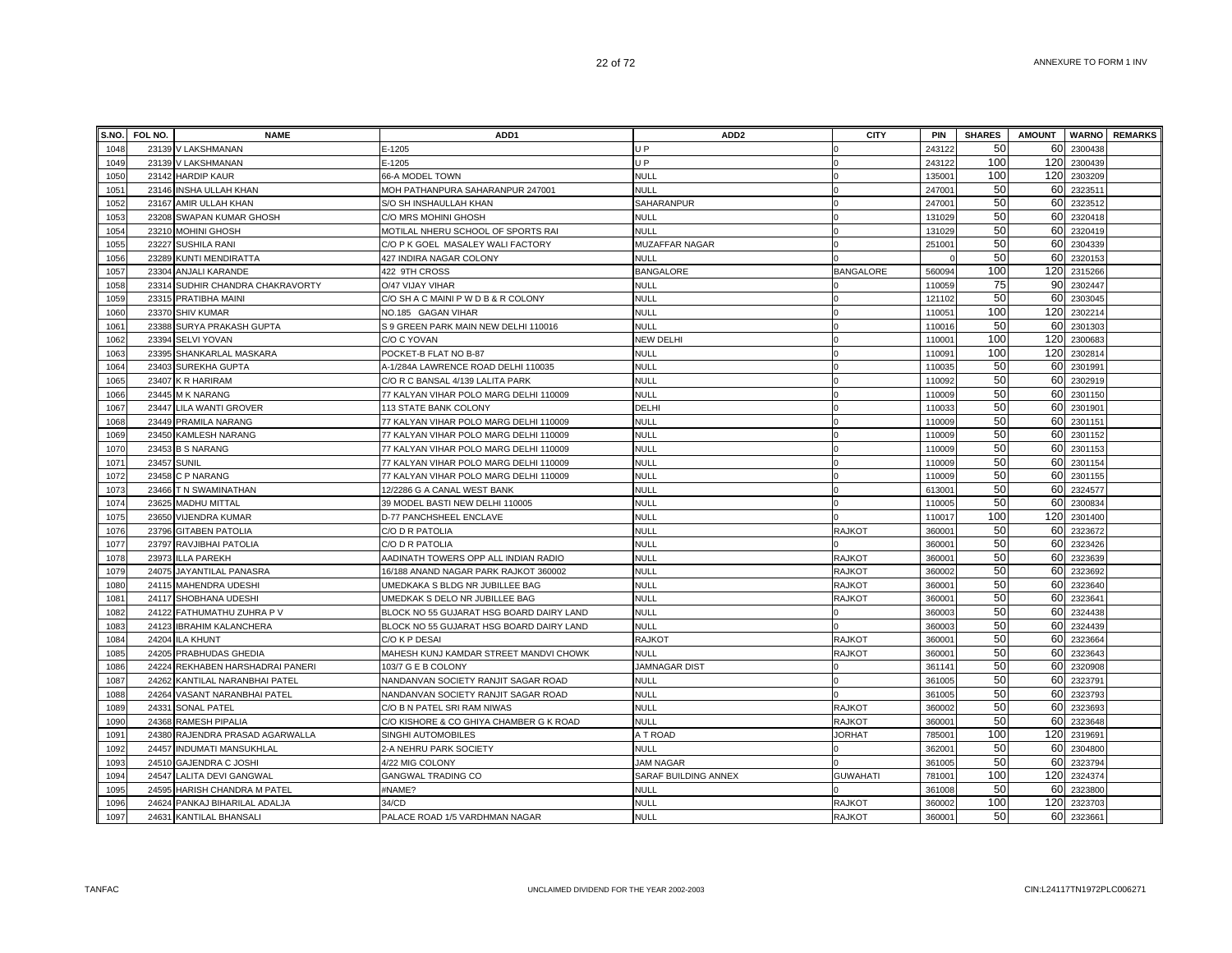|      | S.NO. FOL NO. | <b>NAME</b>                      | ADD <sub>1</sub>                         | ADD <sub>2</sub>     | <b>CITY</b>      | PIN                | <b>SHARES</b> | <b>AMOUNT</b> |         | <b>WARNO</b> REMARKS |
|------|---------------|----------------------------------|------------------------------------------|----------------------|------------------|--------------------|---------------|---------------|---------|----------------------|
| 1048 |               | 23139 V LAKSHMANAN               | E-1205                                   | U P                  |                  | 243122             | 50            | 60            | 2300438 |                      |
| 1049 |               | 23139 V LAKSHMANAN               | E-1205                                   | U P                  |                  | 243122             | 100           | 120           | 2300439 |                      |
| 1050 |               | 23142 HARDIP KAUR                | 66-A MODEL TOWN                          | <b>NULL</b>          |                  | 13500              | 100           | 120           | 2303209 |                      |
| 1051 |               | 23146 INSHA ULLAH KHAN           | MOH PATHANPURA SAHARANPUR 247001         | <b>NULL</b>          |                  | 24700              | 50            | 60            | 2323511 |                      |
| 1052 |               | 23167 AMIR ULLAH KHAN            | S/O SH INSHAULLAH KHAN                   | SAHARANPUR           |                  | 24700              | 50            | 60            | 2323512 |                      |
| 1053 |               | 23208 SWAPAN KUMAR GHOSH         | C/O MRS MOHINI GHOSH                     | <b>NULL</b>          |                  | 131029             | 50            | 60            | 2320418 |                      |
| 1054 |               | 23210 MOHINI GHOSH               | MOTILAL NHERU SCHOOL OF SPORTS RAI       | <b>NULL</b>          |                  | 131029             | 50            | 60            | 2320419 |                      |
| 1055 |               | 23227 SUSHILA RANI               | C/O P K GOEL MASALEY WALI FACTORY        | MUZAFFAR NAGAR       |                  | 251001             | 50            | 60            | 2304339 |                      |
| 1056 |               | 23289 KUNTI MENDIRATTA           | 427 INDIRA NAGAR COLONY                  | <b>NULL</b>          |                  |                    | 50            | 60            | 2320153 |                      |
| 1057 | 23304         | ANJALI KARANDE                   | 422 9TH CROSS                            | <b>BANGALORE</b>     | <b>BANGALORE</b> | 560094             | 100           | 120           | 2315266 |                      |
| 1058 |               | 23314 SUDHIR CHANDRA CHAKRAVORTY | O/47 VIJAY VIHAR                         | <b>NULL</b>          |                  | 110059             | 75            | 90            | 2302447 |                      |
| 1059 | 23315         | PRATIBHA MAINI                   | C/O SH A C MAINI P W D B & R COLONY      | <b>NULL</b>          |                  | 121102             | 50            | 60            | 2303045 |                      |
| 1060 | 23370         | <b>SHIV KUMAR</b>                | NO.185 GAGAN VIHAR                       | <b>NULL</b>          |                  | 11005              | 100           | 120           | 2302214 |                      |
| 1061 | 23388         | SURYA PRAKASH GUPTA              | S 9 GREEN PARK MAIN NEW DELHI 110016     | <b>NULL</b>          |                  | 11001              | 50            | 60            | 2301303 |                      |
| 1062 | 23394         | <b>SELVI YOVAN</b>               | C/O C YOVAN                              | NEW DELHI            |                  | 11000 <sup>-</sup> | 100           | 120           | 2300683 |                      |
| 1063 |               | 23395 SHANKARLAL MASKARA         | POCKET-B FLAT NO B-87                    | NULL                 |                  | 11009 <sup>-</sup> | 100           | 120           | 2302814 |                      |
| 1064 |               | 23403 SUREKHA GUPTA              | A-1/284A LAWRENCE ROAD DELHI 110035      | <b>NULL</b>          |                  | 110035             | 50            | 60            | 2301991 |                      |
| 1065 |               | 23407 K R HARIRAM                | C/O R C BANSAL 4/139 LALITA PARK         | <b>NULL</b>          |                  | 110092             | 50            | 60            | 2302919 |                      |
| 1066 |               | 23445 M K NARANG                 | 77 KALYAN VIHAR POLO MARG DELHI 110009   | NULL                 |                  | 110009             | 50            | 60            | 2301150 |                      |
| 1067 | 23447         | <b>LILA WANTI GROVER</b>         | 113 STATE BANK COLONY                    | DELHI                |                  | 11003              | 50            | 60            | 2301901 |                      |
| 1068 |               | 23449 PRAMILA NARANG             | 77 KALYAN VIHAR POLO MARG DELHI 110009   | <b>NULL</b>          |                  | 110009             | 50            | 60            | 2301151 |                      |
| 1069 | 23450         | KAMLESH NARANG                   | 77 KALYAN VIHAR POLO MARG DELHI 110009   | <b>NULL</b>          |                  | 110009             | 50            | 60            | 2301152 |                      |
| 1070 | 23453         | <b>B S NARANG</b>                | 77 KALYAN VIHAR POLO MARG DELHI 110009   | <b>NULL</b>          |                  | 110009             | 50            | 60            | 2301153 |                      |
| 1071 | 23457         | <b>SUNIL</b>                     | 77 KALYAN VIHAR POLO MARG DELHI 110009   | <b>NULL</b>          |                  | 110009             | 50            | 60            | 2301154 |                      |
| 1072 | 23458         | C P NARANG                       | 77 KALYAN VIHAR POLO MARG DELHI 110009   | <b>NULL</b>          |                  | 110009             | 50            | 60            | 2301155 |                      |
| 1073 |               | 23466 T N SWAMINATHAN            | 12/2286 G A CANAL WEST BANK              | NULL                 |                  | 61300              | 50            | 60            | 2324577 |                      |
| 1074 |               | 23625 MADHU MITTAL               | 39 MODEL BASTI NEW DELHI 110005          | <b>NULL</b>          |                  | 110005             | 50            | 60            | 2300834 |                      |
| 1075 |               | 23650 VIJENDRA KUMAR             | D-77 PANCHSHEEL ENCLAVE                  | <b>NULL</b>          |                  | 11001              | 100           | 120           | 2301400 |                      |
| 1076 |               | 23796 GITABEN PATOLIA            | C/O D R PATOLIA                          | <b>NULL</b>          | <b>RAJKOT</b>    | 360001             | 50            | 60            | 2323672 |                      |
| 1077 |               | 23797 RAVJIBHAI PATOLIA          | C/O D R PATOLIA                          | NULL                 |                  | 36000 <sup>-</sup> | 50            | 60            | 2323426 |                      |
| 1078 |               | 23973 ILLA PAREKH                | AADINATH TOWERS OPP ALL INDIAN RADIO     | <b>NULL</b>          | <b>RAJKOT</b>    | 36000 <sup>-</sup> | 50            | 60            | 2323639 |                      |
| 1079 | 24075         | JAYANTILAL PANASRA               | 16/188 ANAND NAGAR PARK RAJKOT 360002    | <b>NULL</b>          | <b>RAJKOT</b>    | 36000              | 50            | 60            | 2323692 |                      |
| 1080 |               | 24115 MAHENDRA UDESHI            | UMEDKAKA S BLDG NR JUBILLEE BAG          | <b>NULL</b>          | <b>RAJKOT</b>    | 36000              | 50            | 60            | 2323640 |                      |
| 1081 |               | 24117 SHOBHANA UDESHI            | UMEDKAK S DELO NR JUBILLEE BAG           | <b>NULL</b>          | <b>RAJKOT</b>    | 36000 <sup>-</sup> | 50            | 60            | 232364  |                      |
| 1082 |               | 24122 FATHUMATHU ZUHRA P V       | BLOCK NO 55 GUJARAT HSG BOARD DAIRY LAND | <b>NULL</b>          |                  | 36000              | 50            | 60            | 2324438 |                      |
| 1083 | 24123         | <b>IBRAHIM KALANCHERA</b>        | BLOCK NO 55 GUJARAT HSG BOARD DAIRY LAND | <b>NULL</b>          |                  | 36000              | 50            | 60            | 2324439 |                      |
| 1084 | 24204         | <b>ILA KHUNT</b>                 | C/O K P DESAI                            | <b>RAJKOT</b>        | <b>RAJKOT</b>    | 36000 <sup>-</sup> | 50            | 60            | 2323664 |                      |
| 1085 |               | 24205 PRABHUDAS GHEDIA           | MAHESH KUNJ KAMDAR STREET MANDVI CHOWK   | <b>NULL</b>          | <b>RAJKOT</b>    | 36000              | 50            | 60            | 2323643 |                      |
| 1086 | 24224         | REKHABEN HARSHADRAI PANERI       | 103/7 G E B COLONY                       | <b>JAMNAGAR DIST</b> |                  | 36114              | 50            | 60            | 2320908 |                      |
| 1087 |               | 24262 KANTILAL NARANBHAI PATEL   | NANDANVAN SOCIETY RANJIT SAGAR ROAD      | <b>NULL</b>          |                  | 361005             | 50            | 60            | 2323791 |                      |
| 1088 |               | 24264 VASANT NARANBHAI PATEL     | NANDANVAN SOCIETY RANJIT SAGAR ROAD      | <b>NULL</b>          |                  | 361005             | 50            | 60            | 2323793 |                      |
| 1089 | 24331         | <b>SONAL PATEL</b>               | C/O B N PATEL SRI RAM NIWAS              | <b>NULL</b>          | <b>RAJKOT</b>    | 360002             | 50            | 60            | 2323693 |                      |
| 1090 | 24368         | RAMESH PIPALIA                   | C/O KISHORE & CO GHIYA CHAMBER G K ROAD  | <b>NULL</b>          | <b>RAJKOT</b>    | 36000              | 50            | 60            | 2323648 |                      |
| 1091 | 24380         | RAJENDRA PRASAD AGARWALLA        | SINGHI AUTOMOBILES                       | A T ROAD             | <b>JORHAT</b>    | 78500              | 100           | 120           | 231969  |                      |
| 1092 | 24457         | <b>INDUMATI MANSUKHLAL</b>       | 2-A NEHRU PARK SOCIETY                   | <b>NULL</b>          |                  | 36200              | 50            | 60            | 2304800 |                      |
| 1093 | 24510         | <b>GAJENDRA C JOSHI</b>          | 4/22 MIG COLONY                          | <b>JAM NAGAR</b>     |                  | 36100              | 50            | 60            | 2323794 |                      |
| 1094 | 24547         | <b>LALITA DEVI GANGWAL</b>       | <b>GANGWAL TRADING CO</b>                | SARAF BUILDING ANNEX | <b>GUWAHATI</b>  | 78100 <sup>-</sup> | 100           | 120           | 2324374 |                      |
| 1095 | 24595         | HARISH CHANDRA M PATEL           | #NAME?                                   | <b>NULL</b>          |                  | 361008             | 50            | 60            | 2323800 |                      |
| 1096 |               | 24624 PANKAJ BIHARILAL ADALJA    | 34/CD                                    | <b>NULL</b>          | <b>RAJKOT</b>    | 360002             | 100           | 120           | 2323703 |                      |
| 1097 | 24631         | <b>KANTILAL BHANSALI</b>         | PALACE ROAD 1/5 VARDHMAN NAGAR           | NULL                 | <b>RAJKOT</b>    | 360001             | 50            | 60            | 2323661 |                      |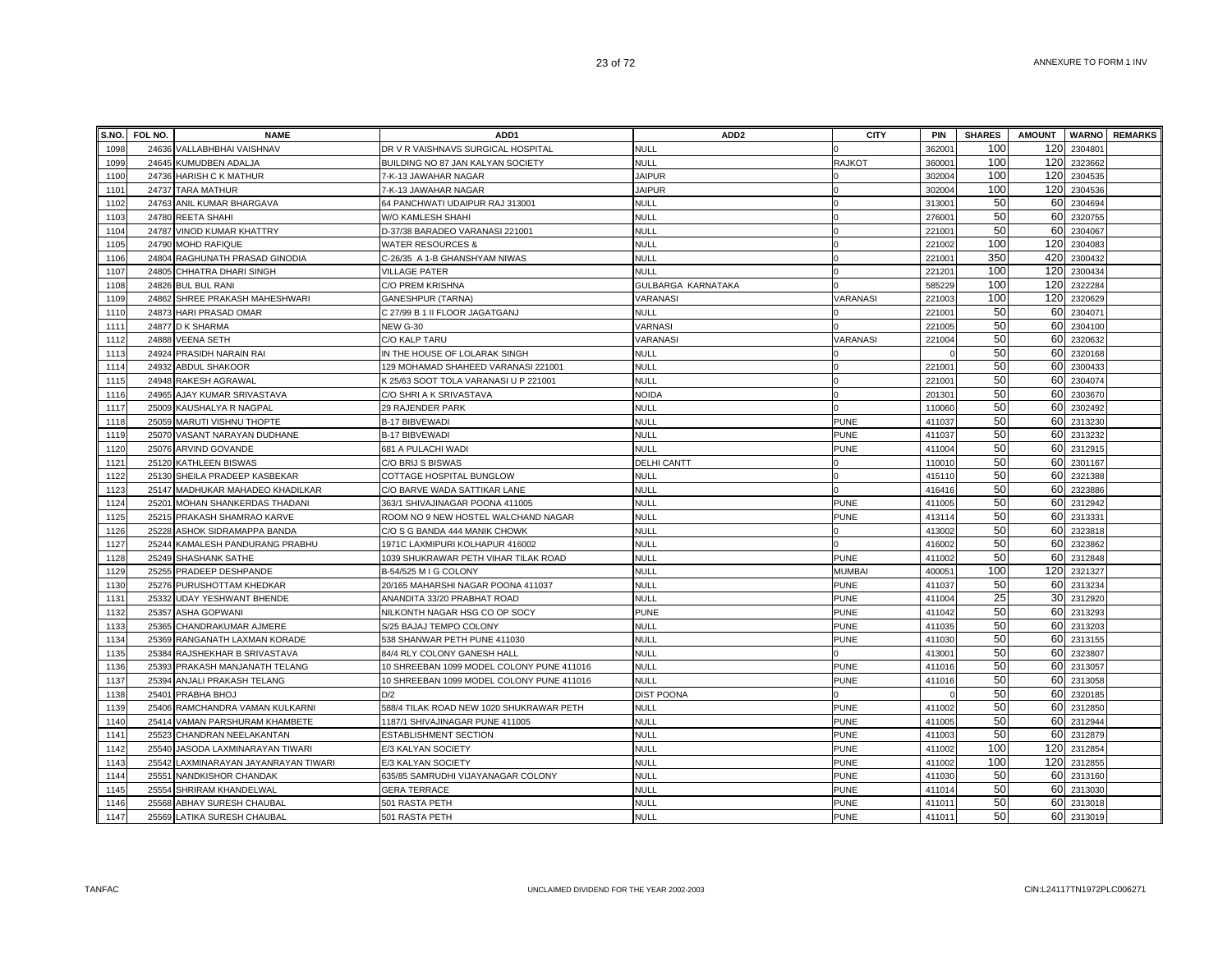| S.NO. | <b>FOL NO.</b> | <b>NAME</b>                      | ADD <sub>1</sub>                          | ADD <sub>2</sub>   | <b>CITY</b>   | <b>PIN</b>         | <b>SHARES</b> | <b>AMOUNT</b> |         | <b>WARNO</b> REMARKS |
|-------|----------------|----------------------------------|-------------------------------------------|--------------------|---------------|--------------------|---------------|---------------|---------|----------------------|
| 1098  |                | 24636 VALLABHBHAI VAISHNAV       | DR V R VAISHNAVS SURGICAL HOSPITAL        | <b>NULL</b>        |               | 36200 <sup>-</sup> | 100           | 120           | 2304801 |                      |
| 1099  | 24645          | KUMUDBEN ADALJA                  | BUILDING NO 87 JAN KALYAN SOCIETY         | NULL               | <b>RAJKOT</b> | 36000 <sup>-</sup> | 100           | 120           | 2323662 |                      |
| 1100  |                | 24736 HARISH C K MATHUR          | 7-K-13 JAWAHAR NAGAR                      | <b>JAIPUR</b>      |               | 302004             | 100           | 120           | 2304535 |                      |
| 1101  |                | 24737 TARA MATHUR                | 7-K-13 JAWAHAR NAGAR                      | <b>JAIPUR</b>      |               | 302004             | 100           | 120           | 2304536 |                      |
| 1102  |                | 24763 ANIL KUMAR BHARGAVA        | 64 PANCHWATI UDAIPUR RAJ 313001           | <b>NULL</b>        |               | 31300              | 50            | 60            | 2304694 |                      |
| 1103  |                | 24780 REETA SHAHI                | W/O KAMLESH SHAHI                         | <b>NULL</b>        |               | 276001             | 50            | 60            | 2320755 |                      |
| 1104  | 24787          | VINOD KUMAR KHATTRY              | D-37/38 BARADEO VARANASI 221001           | <b>NULL</b>        |               | 22100 <sup>-</sup> | 50            | 60            | 2304067 |                      |
| 1105  | 24790          | <b>MOHD RAFIQUE</b>              | <b>WATER RESOURCES &amp;</b>              | NULL               |               | 221002             | 100           | 120           | 230408  |                      |
| 1106  | 24804          | RAGHUNATH PRASAD GINODIA         | C-26/35 A 1-B GHANSHYAM NIWAS             | <b>NULL</b>        |               | 22100              | 350           | 420           | 230043  |                      |
| 1107  | 24805          | CHHATRA DHARI SINGH              | <b>VILLAGE PATER</b>                      | <b>NULL</b>        |               | 22120              | 100           | 120           | 2300434 |                      |
| 1108  | 24826          | <b>BUL BUL RANI</b>              | C/O PREM KRISHNA                          | GULBARGA KARNATAKA |               | 585229             | 100           | 120           | 2322284 |                      |
| 1109  | 24862          | SHREE PRAKASH MAHESHWARI         | <b>GANESHPUR (TARNA)</b>                  | VARANASI           | VARANASI      | 221003             | 100           | 120           | 2320629 |                      |
| 1110  | 24873          | HARI PRASAD OMAR                 | C 27/99 B 1 II FLOOR JAGATGANJ            | NULL               |               | 22100              | 50            | 60            | 2304071 |                      |
| 1111  | 24877          | <b>D K SHARMA</b>                | <b>NEW G-30</b>                           | VARNASI            |               | 221005             | 50            | 60            | 2304100 |                      |
| 1112  | 24888          | <b>VEENA SETH</b>                | C/O KALP TARU                             | VARANASI           | VARANASI      | 221004             | 50            | 60            | 2320632 |                      |
| 1113  | 24924          | PRASIDH NARAIN RAI               | IN THE HOUSE OF LOLARAK SINGH             | <b>NULL</b>        |               |                    | 50            | 60            | 2320168 |                      |
| 1114  | 24932          | ABDUL SHAKOOR                    | 129 MOHAMAD SHAHEED VARANASI 221001       | <b>NULL</b>        |               | 22100 <sup>-</sup> | 50            | 60            | 2300433 |                      |
| 1115  |                | 24948 RAKESH AGRAWAL             | K 25/63 SOOT TOLA VARANASI U P 221001     | <b>NULL</b>        |               | 22100 <sup>-</sup> | 50            | 60            | 2304074 |                      |
| 1116  | 24965          | AJAY KUMAR SRIVASTAVA            | C/O SHRI A K SRIVASTAVA                   | NOIDA              |               | 20130              | 50            | 60            | 2303670 |                      |
| 1117  | 25009          | KAUSHALYA R NAGPAL               | 29 RAJENDER PARK                          | <b>NULL</b>        |               | 110060             | 50            | 60            | 2302492 |                      |
| 1118  | 25059          | MARUTI VISHNU THOPTE             | <b>B-17 BIBVEWADI</b>                     | <b>NULL</b>        | <b>PUNE</b>   | 411037             | 50            | 60            | 2313230 |                      |
| 1119  | 25070          | VASANT NARAYAN DUDHANE           | <b>B-17 BIBVEWADI</b>                     | <b>NULL</b>        | <b>PUNE</b>   | 411037             | 50            | 60            | 231323  |                      |
| 1120  | 25076          | ARVIND GOVANDE                   | 681 A PULACHI WADI                        | <b>NULL</b>        | <b>PUNE</b>   | 411004             | 50            | 60            | 2312915 |                      |
| 1121  |                | 25120 KATHLEEN BISWAS            | C/O BRIJ S BISWAS                         | DELHI CANTT        |               | 11001              | 50            | 60            | 2301167 |                      |
| 1122  |                | 25130 SHEILA PRADEEP KASBEKAR    | COTTAGE HOSPITAL BUNGLOW                  | <b>NULL</b>        |               | 415110             | 50            | 60            | 2321388 |                      |
| 1123  |                | 25147 MADHUKAR MAHADEO KHADILKAR | C/O BARVE WADA SATTIKAR LANE              | <b>NULL</b>        |               | 416416             | 50            | 60            | 2323886 |                      |
| 1124  | 25201          | MOHAN SHANKERDAS THADANI         | 363/1 SHIVAJINAGAR POONA 411005           | <b>NULL</b>        | <b>PUNE</b>   | 411005             | 50            | 60            | 2312942 |                      |
| 1125  | 25215          | PRAKASH SHAMRAO KARVE            | ROOM NO 9 NEW HOSTEL WALCHAND NAGAR       | NULL               | <b>PUNE</b>   | 413114             | 50            | 60            | 2313331 |                      |
| 1126  | 25228          | ASHOK SIDRAMAPPA BANDA           | C/O S G BANDA 444 MANIK CHOWK             | <b>NULL</b>        |               | 413002             | 50            | 60            | 2323818 |                      |
| 1127  | 25244          | KAMALESH PANDURANG PRABHU        | 1971C LAXMIPURI KOLHAPUR 416002           | <b>NULL</b>        |               | 416002             | 50            | 60            | 2323862 |                      |
| 1128  | 25249          | SHASHANK SATHE                   | 1039 SHUKRAWAR PETH VIHAR TILAK ROAD      | <b>NULL</b>        | <b>PUNE</b>   | 411002             | 50            | 60            | 2312848 |                      |
| 1129  | 25255          | PRADEEP DESHPANDE                | B-54/525 M I G COLONY                     | <b>NULL</b>        | <b>MUMBA</b>  | 40005 <sup>-</sup> | 100           | 120           | 2321327 |                      |
| 1130  | 25276          | PURUSHOTTAM KHEDKAR              | 20/165 MAHARSHI NAGAR POONA 411037        | <b>NULL</b>        | <b>PUNE</b>   | 411037             | 50            | 60            | 2313234 |                      |
| 1131  | 25332          | <b>UDAY YESHWANT BHENDE</b>      | ANANDITA 33/20 PRABHAT ROAD               | <b>NULL</b>        | <b>PUNE</b>   | 411004             | 25            | 30            | 2312920 |                      |
| 1132  | 25357          | <b>ASHA GOPWANI</b>              | NILKONTH NAGAR HSG CO OP SOCY             | <b>PUNE</b>        | <b>PUNE</b>   | 411042             | 50            | 60            | 2313293 |                      |
| 1133  | 25365          | CHANDRAKUMAR AJMERE              | S/25 BAJAJ TEMPO COLONY                   | <b>NULL</b>        | <b>PUNE</b>   | 411035             | 50            | 60            | 2313203 |                      |
| 1134  | 25369          | RANGANATH LAXMAN KORADE          | 538 SHANWAR PETH PUNE 411030              | <b>NULL</b>        | <b>PUNE</b>   | 411030             | 50            | 60            | 2313155 |                      |
| 1135  | 25384          | RAJSHEKHAR B SRIVASTAVA          | 84/4 RLY COLONY GANESH HALL               | <b>NULL</b>        |               | 41300 <sup>-</sup> | 50            | 60            | 2323807 |                      |
| 1136  | 25393          | PRAKASH MANJANATH TELANG         | 10 SHREEBAN 1099 MODEL COLONY PUNE 411016 | <b>NULL</b>        | <b>PUNE</b>   | 411016             | 50            | 60            | 2313057 |                      |
| 1137  | 25394          | ANJALI PRAKASH TELANG            | 10 SHREEBAN 1099 MODEL COLONY PUNE 411016 | <b>NULL</b>        | <b>PUNE</b>   | 411016             | 50            | 60            | 2313058 |                      |
| 1138  | 25401          | PRABHA BHOJ                      | D/2                                       | DIST POONA         |               |                    | 50            | 60            | 2320185 |                      |
| 1139  | 25406          | RAMCHANDRA VAMAN KULKARNI        | 588/4 TILAK ROAD NEW 1020 SHUKRAWAR PETH  | <b>NULL</b>        | <b>PUNE</b>   | 411002             | 50            | 60            | 2312850 |                      |
| 1140  | 25414          | VAMAN PARSHURAM KHAMBETE         | 1187/1 SHIVAJINAGAR PUNE 411005           | <b>NULL</b>        | <b>PUNE</b>   | 411005             | 50            | 60            | 2312944 |                      |
| 1141  | 25523          | CHANDRAN NEELAKANTAN             | ESTABLISHMENT SECTION                     | <b>NULL</b>        | <b>PUNE</b>   | 411003             | 50            | 60            | 2312879 |                      |
| 1142  | 25540          | JASODA LAXMINARAYAN TIWARI       | E/3 KALYAN SOCIETY                        | <b>NULL</b>        | <b>PUNE</b>   | 411002             | 100           | 120           | 2312854 |                      |
| 1143  | 25542          | LAXMINARAYAN JAYANRAYAN TIWARI   | E/3 KALYAN SOCIETY                        | <b>NULL</b>        | <b>PUNE</b>   | 411002             | 100           | 120           | 2312855 |                      |
| 1144  | 25551          | NANDKISHOR CHANDAK               | 635/85 SAMRUDHI VIJAYANAGAR COLONY        | <b>NULL</b>        | <b>PUNE</b>   | 411030             | 50            | 60            | 2313160 |                      |
| 1145  | 25554          | SHRIRAM KHANDELWAL               | <b>GERA TERRACE</b>                       | <b>NULL</b>        | <b>PUNE</b>   | 411014             | 50            | 60            | 2313030 |                      |
| 1146  | 25568          | ABHAY SURESH CHAUBAL             | 501 RASTA PETH                            | <b>NULL</b>        | <b>PUNE</b>   | 41101              | 50            | 60            | 2313018 |                      |
| 1147  |                | 25569 LATIKA SURESH CHAUBAL      | 501 RASTA PETH                            | NULL               | <b>PUNE</b>   | 411011             | 50            | 60            | 2313019 |                      |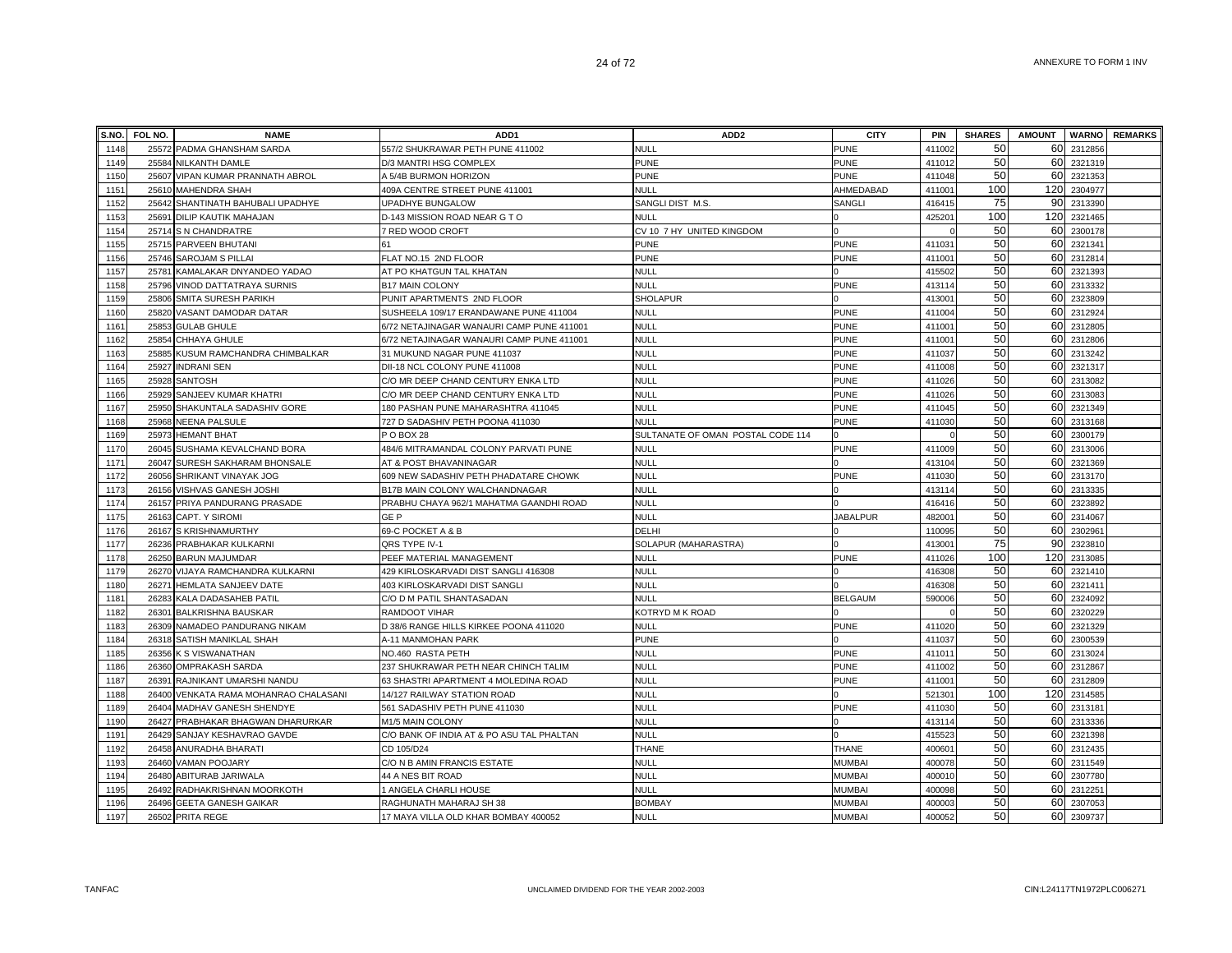| S.NO.        | FOL NO. | <b>NAME</b>                                               | ADD <sub>1</sub>                                 | ADD <sub>2</sub>                  | <b>CITY</b>                    | <b>PIN</b>         | <b>SHARES</b> | <b>AMOUNT</b> |                    | <b>WARNO REMARKS</b> |
|--------------|---------|-----------------------------------------------------------|--------------------------------------------------|-----------------------------------|--------------------------------|--------------------|---------------|---------------|--------------------|----------------------|
| 1148         |         | 25572 PADMA GHANSHAM SARDA                                | 557/2 SHUKRAWAR PETH PUNE 411002                 | NULL                              | PUNE                           | 411002             | 50            | 60            | 2312856            |                      |
| 1149         |         | 25584 NILKANTH DAMLE                                      | D/3 MANTRI HSG COMPLEX                           | <b>PUNE</b>                       | <b>PUNE</b>                    | 411012             | 50            | 60            | 2321319            |                      |
| 1150         | 25607   | VIPAN KUMAR PRANNATH ABROL                                | A 5/4B BURMON HORIZON                            | <b>PUNE</b>                       | <b>PUNE</b>                    | 411048             | 50            | 60            | 2321353            |                      |
| 1151         |         | 25610 MAHENDRA SHAH                                       | 409A CENTRE STREET PUNE 411001                   | <b>NULL</b>                       | AHMEDABAD                      | 411001             | 100           | 120           | 2304977            |                      |
| 1152         |         | 25642 SHANTINATH BAHUBALI UPADHYE                         | <b>UPADHYE BUNGALOW</b>                          | SANGLI DIST M.S.                  | SANGLI                         | 416415             | 75            | 90            | 2313390            |                      |
| 1153         |         | 25691 DILIP KAUTIK MAHAJAN                                | D-143 MISSION ROAD NEAR G TO                     | <b>NULL</b>                       |                                | 42520 <sup>-</sup> | 100           | 120           | 2321465            |                      |
| 1154         |         | 25714 S N CHANDRATRE                                      | 7 RED WOOD CROFT                                 | CV 10 7 HY UNITED KINGDOM         |                                |                    | 50            | 60            | 2300178            |                      |
| 1155         |         | 25715 PARVEEN BHUTANI                                     | 61                                               | <b>PUNE</b>                       | <b>PUNE</b>                    | 41103              | 50            | 60            | 2321341            |                      |
| 1156         |         | 25746 SAROJAM S PILLAI                                    | FLAT NO.15 2ND FLOOR                             | <b>PUNE</b>                       | <b>PUNE</b>                    | 411001             | 50            | 60            | 2312814            |                      |
| 1157         |         | 25781 KAMALAKAR DNYANDEO YADAO                            | AT PO KHATGUN TAL KHATAN                         | <b>NULL</b>                       |                                | 415502             | 50            | 60            | 2321393            |                      |
| 1158         |         | 25796 VINOD DATTATRAYA SURNIS                             | <b>B17 MAIN COLONY</b>                           | <b>NULL</b>                       | <b>PUNE</b>                    | 413114             | 50            | 60            | 2313332            |                      |
| 1159         | 25806   | <b>SMITA SURESH PARIKH</b>                                | PUNIT APARTMENTS 2ND FLOOR                       | <b>SHOLAPUR</b>                   |                                | 41300 <sup>-</sup> | 50            | 60            | 2323809            |                      |
| 1160         |         | 25820 VASANT DAMODAR DATAR                                | SUSHEELA 109/17 ERANDAWANE PUNE 411004           | <b>NULL</b>                       | <b>PUNE</b>                    | 411004             | 50            | 60            | 2312924            |                      |
| 1161         | 25853   | <b>GULAB GHULE</b>                                        | 6/72 NETAJINAGAR WANAURI CAMP PUNE 411001        | <b>NULL</b>                       | <b>PUNE</b>                    | 41100 <sup>-</sup> | 50            | 60            | 2312805            |                      |
| 1162         |         | 25854 CHHAYA GHULE                                        | 6/72 NETAJINAGAR WANAURI CAMP PUNE 411001        | <b>NULL</b>                       | <b>PUNE</b>                    | 41100 <sup>-</sup> | 50            | 60            | 2312806            |                      |
| 1163         |         | 25885 KUSUM RAMCHANDRA CHIMBALKAR                         | 31 MUKUND NAGAR PUNE 411037                      | <b>NULL</b>                       | <b>PUNE</b>                    | 41103              | 50            | 60            | 2313242            |                      |
| 1164         |         | 25927 INDRANI SEN                                         | DII-18 NCL COLONY PUNE 411008                    | <b>NULL</b>                       | <b>PUNE</b>                    | 411008             | 50            | 60            | 2321317            |                      |
| 1165         |         | 25928 SANTOSH                                             | C/O MR DEEP CHAND CENTURY ENKA LTD               | <b>NULL</b>                       | <b>PUNE</b>                    | 411026             | 50            | 60            | 2313082            |                      |
| 1166         |         | 25929 SANJEEV KUMAR KHATRI                                | C/O MR DEEP CHAND CENTURY ENKA LTD               | NULL                              | <b>PUNE</b>                    | 411026             | 50            | 60            | 2313083            |                      |
| 1167         |         | 25950 SHAKUNTALA SADASHIV GORE                            | 180 PASHAN PUNE MAHARASHTRA 411045               | <b>NULL</b>                       | <b>PUNE</b>                    | 411045             | 50            | 60            | 2321349            |                      |
| 1168         |         | 25968 NEENA PALSULE                                       | 727 D SADASHIV PETH POONA 411030                 | NULL                              | <b>PUNE</b>                    | 411030             | 50            | 60            | 2313168            |                      |
| 1169         |         | 25973 HEMANT BHAT                                         | P O BOX 28                                       | SULTANATE OF OMAN POSTAL CODE 114 |                                |                    | 50            | 60            | 2300179            |                      |
| 1170         | 26045   | SUSHAMA KEVALCHAND BORA                                   | 484/6 MITRAMANDAL COLONY PARVATI PUNE            | <b>NULL</b>                       | <b>PUNE</b>                    | 411009             | 50            | 60            | 2313006            |                      |
| 1171         |         | 26047 SURESH SAKHARAM BHONSALE                            | AT & POST BHAVANINAGAR                           | <b>NULL</b>                       |                                | 413104             | 50            | 60            | 2321369            |                      |
| 1172         | 26056   | SHRIKANT VINAYAK JOG                                      | 609 NEW SADASHIV PETH PHADATARE CHOWK            | <b>NULL</b>                       | <b>PUNE</b>                    | 411030             | 50            | 60            | 2313170            |                      |
| 1173         |         | 26156 VISHVAS GANESH JOSHI                                | B17B MAIN COLONY WALCHANDNAGAR                   | <b>NULL</b>                       |                                | 413114             | 50            | 60            | 2313335            |                      |
| 1174         |         | 26157 PRIYA PANDURANG PRASADE                             | PRABHU CHAYA 962/1 MAHATMA GAANDHI ROAD          | <b>NULL</b>                       |                                | 416416             | 50            | 60            | 2323892            |                      |
| 1175         |         | 26163 CAPT. Y SIROMI                                      | GE <sub>P</sub>                                  | <b>NULL</b>                       | <b>JABALPUR</b>                | 48200 <sup>-</sup> | 50            | 60            | 2314067            |                      |
| 1176         |         | 26167 S KRISHNAMURTHY                                     | 69-C POCKET A & B                                | DELHI                             |                                | 110095             | 50            | 60            | 2302961            |                      |
| 1177         |         | 26236 PRABHAKAR KULKARNI                                  | QRS TYPE IV-1                                    | SOLAPUR (MAHARASTRA)              |                                | 41300 <sup>-</sup> | 75            | 90            | 2323810            |                      |
| 1178         |         | 26250 BARUN MAJUMDAR                                      | PEEF MATERIAL MANAGEMENT                         | <b>NULL</b>                       | <b>PUNE</b>                    | 411026             | 100           | 120           | 2313085            |                      |
| 1179         |         | 26270 VIJAYA RAMCHANDRA KULKARNI                          | 429 KIRLOSKARVADI DIST SANGLI 416308             | <b>NULL</b>                       |                                | 416308             | 50            | 60            | 2321410            |                      |
| 1180         |         | 26271 HEMLATA SANJEEV DATE                                | 403 KIRLOSKARVADI DIST SANGL                     | NULL                              |                                | 416308             | 50            | 60            | 232141             |                      |
| 1181         |         | 26283 KALA DADASAHEB PATIL                                | C/O D M PATIL SHANTASADAN                        | <b>NULL</b>                       | <b>BELGAUM</b>                 | 590006             | 50            | 60            | 2324092            |                      |
| 1182         |         | 26301 BALKRISHNA BAUSKAR                                  | RAMDOOT VIHAR                                    | KOTRYD M K ROAD                   |                                |                    | 50            | 60            | 2320229            |                      |
| 1183         |         | 26309 NAMADEO PANDURANG NIKAM                             | D 38/6 RANGE HILLS KIRKEE POONA 411020           | <b>NULL</b>                       | <b>PUNE</b>                    | 411020             | 50            | 60            | 2321329            |                      |
| 1184         |         | 26318 SATISH MANIKLAL SHAH                                | A-11 MANMOHAN PARK                               | <b>PUNE</b>                       |                                | 411037             | 50            | 60            | 2300539            |                      |
| 1185         |         | 26356 K S VISWANATHAN                                     | NO.460 RASTA PETH                                | <b>NULL</b>                       | <b>PUNE</b>                    | 41101              | 50            | 60            | 2313024            |                      |
| 1186         |         | 26360 OMPRAKASH SARDA                                     | 237 SHUKRAWAR PETH NEAR CHINCH TALIM             | <b>NULL</b>                       | <b>PUNE</b>                    | 411002             | 50            | 60            | 2312867            |                      |
| 1187         |         | 26391 RAJNIKANT UMARSHI NANDU                             | 63 SHASTRI APARTMENT 4 MOLEDINA ROAD             | <b>NULL</b>                       | <b>PUNE</b>                    | 411001             | 50            | 60            | 2312809            |                      |
| 1188         |         | 26400 VENKATA RAMA MOHANRAO CHALASANI                     | 14/127 RAILWAY STATION ROAD                      | <b>NULL</b>                       |                                | 521301             | 100<br>50     | 120           | 2314585            |                      |
| 1189<br>1190 | 26427   | 26404 MADHAV GANESH SHENDYE                               | 561 SADASHIV PETH PUNE 411030                    | <b>NULL</b><br><b>NULL</b>        | <b>PUNE</b>                    | 411030<br>41311    | 50            | 60<br>60      | 2313181<br>2313336 |                      |
|              |         | PRABHAKAR BHAGWAN DHARURKAR                               | M1/5 MAIN COLONY                                 |                                   |                                |                    |               |               |                    |                      |
| 1191         |         | 26429 SANJAY KESHAVRAO GAVDE                              | C/O BANK OF INDIA AT & PO ASU TAL PHALTAN        | <b>NULL</b>                       |                                | 415523             | 50<br>50      | 60            | 2321398            |                      |
| 1192         | 26458   | ANURADHA BHARATI                                          | CD 105/D24                                       | <b>THANE</b><br><b>NULL</b>       | <b>THANE</b>                   | 40060              | 50            | 60<br>60      | 2312435            |                      |
| 1193         |         | 26460 VAMAN POOJARY                                       | C/O N B AMIN FRANCIS ESTATE                      |                                   | <b>MUMBAI</b>                  | 40007              | 50            |               | 2311549            |                      |
| 1194         |         | 26480 ABITURAB JARIWALA                                   | 44 A NES BIT ROAD                                | <b>NULL</b><br><b>NULL</b>        | <b>MUMBAI</b>                  | 40001              | 50            | 60<br>60      | 2307780            |                      |
| 1195<br>1196 |         | 26492 RADHAKRISHNAN MOORKOTH<br>26496 GEETA GANESH GAIKAR | 1 ANGELA CHARLI HOUSE<br>RAGHUNATH MAHARAJ SH 38 | <b>BOMBAY</b>                     | <b>MUMBAI</b><br><b>MUMBAI</b> | 400098<br>400003   | 50            | 60            | 2312251<br>2307053 |                      |
| 1197         |         | 26502 PRITA REGE                                          | 17 MAYA VILLA OLD KHAR BOMBAY 400052             | <b>NULL</b>                       | <b>MUMBA</b>                   | 400052             | 50            | 60            | 2309737            |                      |
|              |         |                                                           |                                                  |                                   |                                |                    |               |               |                    |                      |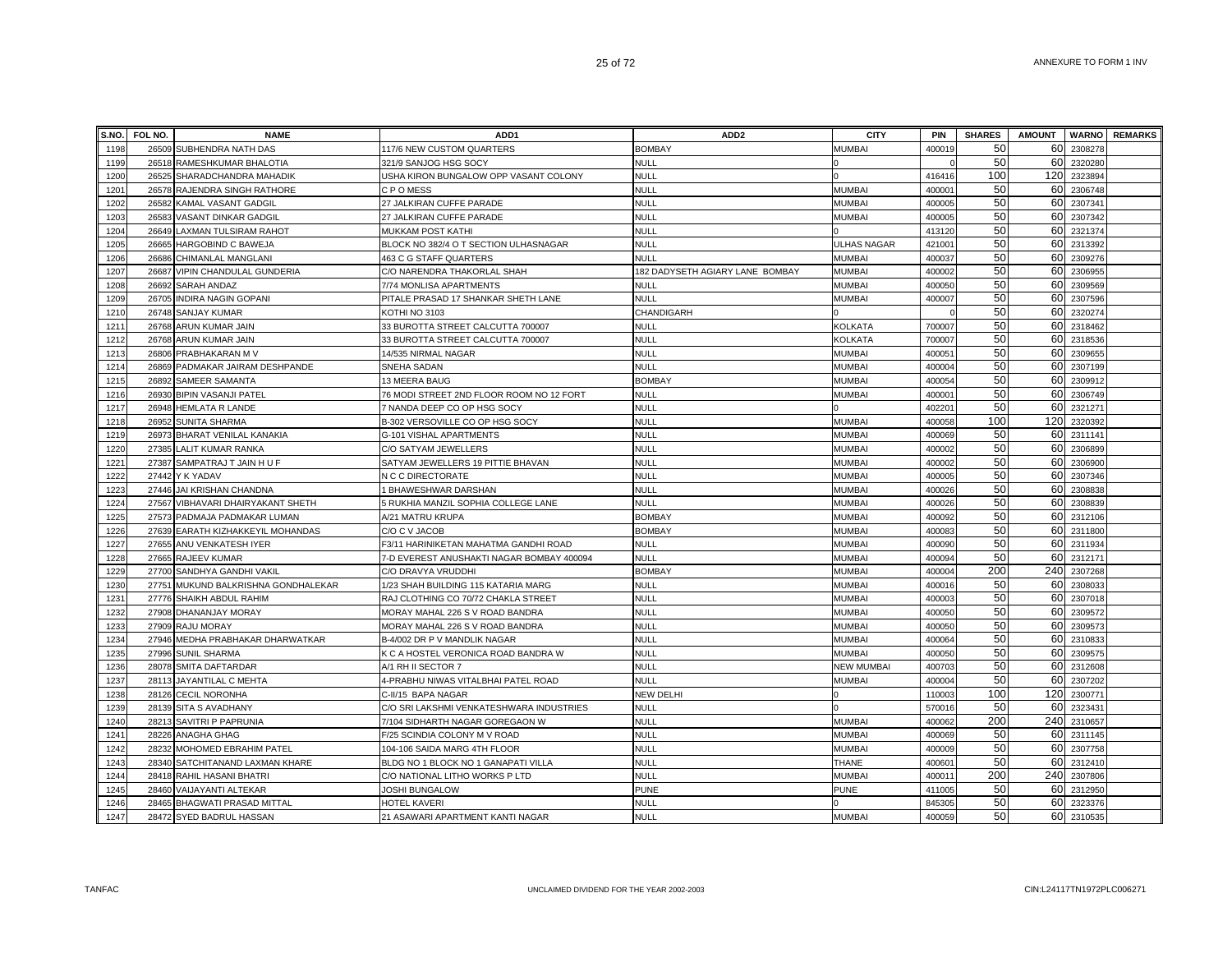| S.NO.        | FOL NO. | <b>NAME</b>                                      | ADD <sub>1</sub>                                                | ADD <sub>2</sub>                | <b>CITY</b>                    | PIN                | <b>SHARES</b> | <b>AMOUNT</b> |                    | <b>WARNO REMARKS</b> |
|--------------|---------|--------------------------------------------------|-----------------------------------------------------------------|---------------------------------|--------------------------------|--------------------|---------------|---------------|--------------------|----------------------|
| 1198         |         | 26509 SUBHENDRA NATH DAS                         | 117/6 NEW CUSTOM QUARTERS                                       | <b>BOMBAY</b>                   | <b>MUMBAI</b>                  | 400019             | 50            | 60            | 2308278            |                      |
| 1199         |         | 26518 RAMESHKUMAR BHALOTIA                       | 321/9 SANJOG HSG SOCY                                           | <b>NULL</b>                     |                                |                    | 50            | 60            | 2320280            |                      |
| 1200         |         | 26525 SHARADCHANDRA MAHADIK                      | USHA KIRON BUNGALOW OPP VASANT COLONY                           | NULL                            |                                | 416416             | 100           | 120           | 2323894            |                      |
| 1201         |         | 26578 RAJENDRA SINGH RATHORE                     | CPOMESS                                                         | <b>NULL</b>                     | <b>MUMBAI</b>                  | 400001             | 50            | 60            | 2306748            |                      |
| 1202         |         | 26582 KAMAL VASANT GADGIL                        | 27 JALKIRAN CUFFE PARADE                                        | <b>NULL</b>                     | <b>MUMBAI</b>                  | 400005             | 50            | 60            | 2307341            |                      |
| 1203         |         | 26583 VASANT DINKAR GADGIL                       | 27 JALKIRAN CUFFE PARADE                                        | <b>NULL</b>                     | <b>MUMBAI</b>                  | 400005             | 50            | 60            | 2307342            |                      |
| 1204         |         | 26649 LAXMAN TULSIRAM RAHOT                      | MUKKAM POST KATHI                                               | <b>NULL</b>                     |                                | 413120             | 50            | 60            | 2321374            |                      |
| 1205         |         | 26665 HARGOBIND C BAWEJA                         | BLOCK NO 382/4 O T SECTION ULHASNAGAR                           | <b>NULL</b>                     | <b>ULHAS NAGAR</b>             | 42100 <sup>-</sup> | 50            | 60            | 2313392            |                      |
| 1206         | 26686   | CHIMANLAL MANGLANI                               | 463 C G STAFF QUARTERS                                          | NULL                            | <b>MUMBAI</b>                  | 400037             | 50            | 60            | 2309276            |                      |
| 1207         | 26687   | VIPIN CHANDULAL GUNDERIA                         | C/O NARENDRA THAKORLAL SHAH                                     | 182 DADYSETH AGIARY LANE BOMBAY | <b>MUMBA</b>                   | 400002             | 50            | 60            | 2306955            |                      |
| 1208         | 26692   | SARAH ANDAZ                                      | 7/74 MONLISA APARTMENTS                                         | <b>NULL</b>                     | <b>MUMBA</b>                   | 400050             | 50            | 60            | 2309569            |                      |
| 1209         |         | 26705 INDIRA NAGIN GOPANI                        | PITALE PRASAD 17 SHANKAR SHETH LANE                             | <b>NULL</b>                     | <b>MUMBAI</b>                  | 400007             | 50            | 60            | 2307596            |                      |
| 1210         |         | 26748 SANJAY KUMAR                               | KOTHI NO 3103                                                   | CHANDIGARH                      |                                |                    | 50            | 60            | 2320274            |                      |
| 1211         |         | 26768 ARUN KUMAR JAIN                            | 33 BUROTTA STREET CALCUTTA 700007                               | <b>NULL</b>                     | <b>KOLKATA</b>                 | 70000              | 50            | 60            | 2318462            |                      |
| 1212         |         | 26768 ARUN KUMAR JAIN                            | 33 BUROTTA STREET CALCUTTA 700007                               | <b>NULL</b>                     | <b>KOLKATA</b>                 | 700007             | 50            | 60            | 2318536            |                      |
| 1213         |         | 26806 PRABHAKARAN M V                            | 14/535 NIRMAL NAGAR                                             | <b>NULL</b>                     | <b>MUMBAI</b>                  | 40005              | 50            | 60            | 2309655            |                      |
| 1214         |         | 26869 PADMAKAR JAIRAM DESHPANDE                  | SNEHA SADAN                                                     | <b>NULL</b>                     | <b>MUMBAI</b>                  | 400004             | 50            | 60            | 2307199            |                      |
| 1215         |         | 26892 SAMEER SAMANTA                             | 13 MEERA BAUG                                                   | <b>BOMBAY</b>                   | <b>MUMBAI</b>                  | 400054             | 50            | 60            | 2309912            |                      |
| 1216         |         | 26930 BIPIN VASANJI PATEL                        | 76 MODI STREET 2ND FLOOR ROOM NO 12 FORT                        | <b>NULL</b>                     | <b>MUMBAI</b>                  | 40000 <sup>-</sup> | 50            | 60            | 2306749            |                      |
| 1217         |         | 26948 HEMLATA R LANDE                            | 7 NANDA DEEP CO OP HSG SOCY                                     | <b>NULL</b>                     |                                | 40220 <sup>-</sup> | 50            | 60            | 2321271            |                      |
| 1218         |         | 26952 SUNITA SHARMA                              | B-302 VERSOVILLE CO OP HSG SOCY                                 | <b>NULL</b>                     | <b>MUMBA</b>                   | 400058             | 100           | 120           | 2320392            |                      |
| 1219         |         | 26973 BHARAT VENILAL KANAKIA                     | G-101 VISHAL APARTMENTS                                         | <b>NULL</b>                     | <b>MUMBA</b>                   | 400069             | 50            | 60            | 2311141            |                      |
| 1220         |         | 27385 LALIT KUMAR RANKA                          | C/O SATYAM JEWELLERS                                            | <b>NULL</b>                     | <b>MUMBA</b>                   | 400002             | 50            | 60            | 2306899            |                      |
| 1221         |         | 27387 SAMPATRAJ T JAIN H U F                     | SATYAM JEWELLERS 19 PITTIE BHAVAN                               | <b>NULL</b>                     | <b>MUMBA</b>                   | 400002             | 50            | 60            | 2306900            |                      |
| 1222         |         | 27442 Y K YADAV                                  | N C C DIRECTORATE                                               | <b>NULL</b>                     | <b>MUMBAI</b>                  | 40000              | 50            | 60            | 2307346            |                      |
| 1223         |         | 27446 JAI KRISHAN CHANDNA                        | 1 BHAWESHWAR DARSHAN                                            | <b>NULL</b>                     | <b>MUMBA</b>                   | 400026             | 50            | 60            | 2308838            |                      |
| 1224         |         | 27567 VIBHAVARI DHAIRYAKANT SHETH                | 5 RUKHIA MANZIL SOPHIA COLLEGE LANE                             | <b>NULL</b>                     | <b>MUMBAI</b>                  | 400026             | 50            | 60            | 2308839            |                      |
| 1225         |         | 27573 PADMAJA PADMAKAR LUMAN                     | A/21 MATRU KRUPA                                                | <b>BOMBAY</b>                   | <b>MUMBAI</b>                  | 400092             | 50            | 60            | 2312106            |                      |
| 1226         |         | 27639 EARATH KIZHAKKEYIL MOHANDAS                | C/O C V JACOB                                                   | <b>BOMBAY</b>                   | <b>MUMBAI</b>                  | 400083             | 50<br>50      | 60            | 2311800            |                      |
| 1227         |         | 27655 ANU VENKATESH IYER                         | F3/11 HARINIKETAN MAHATMA GANDHI ROAD                           | <b>NULL</b><br>NULL             | <b>MUMBAI</b>                  | 400090             | 50            | 60<br>60      | 2311934<br>2312171 |                      |
| 1228<br>1229 |         | 27665 RAJEEV KUMAR<br>27700 SANDHYA GANDHI VAKIL | 7-D EVEREST ANUSHAKTI NAGAR BOMBAY 400094<br>C/O DRAVYA VRUDDHI | <b>BOMBAY</b>                   | <b>MUMBAI</b><br><b>MUMBAI</b> | 400094<br>400004   | 200           | 240           | 2307268            |                      |
| 1230         |         | 27751 MUKUND BALKRISHNA GONDHALEKAR              | 1/23 SHAH BUILDING 115 KATARIA MARG                             | <b>NULL</b>                     | <b>MUMBA</b>                   | 400016             | 50            | 60            | 2308033            |                      |
| 1231         |         | 27776 SHAIKH ABDUL RAHIM                         | RAJ CLOTHING CO 70/72 CHAKLA STREET                             | <b>NULL</b>                     | <b>MUMBA</b>                   | 40000              | 50            | 60            | 2307018            |                      |
| 1232         |         | 27908 DHANANJAY MORAY                            | MORAY MAHAL 226 S V ROAD BANDRA                                 | <b>NULL</b>                     | <b>MUMBAI</b>                  | 400050             | 50            | 60            | 2309572            |                      |
| 1233         |         | 27909 RAJU MORAY                                 | MORAY MAHAL 226 S V ROAD BANDRA                                 | <b>NULL</b>                     | <b>MUMBA</b>                   | 400050             | 50            | 60            | 2309573            |                      |
| 1234         |         | 27946 MEDHA PRABHAKAR DHARWATKAR                 | B-4/002 DR P V MANDLIK NAGAR                                    | <b>NULL</b>                     | <b>MUMBAI</b>                  | 400064             | 50            | 60            | 2310833            |                      |
| 1235         |         | 27996 SUNIL SHARMA                               | K C A HOSTEL VERONICA ROAD BANDRA W                             | <b>NULL</b>                     | <b>MUMBAI</b>                  | 400050             | 50            | 60            | 2309575            |                      |
| 1236         |         | 28078 SMITA DAFTARDAR                            | A/1 RH II SECTOR 7                                              | <b>NULL</b>                     | <b>NEW MUMBAI</b>              | 400703             | 50            | 60            | 2312608            |                      |
| 1237         |         | 28113 JAYANTILAL C MEHTA                         | 4-PRABHU NIWAS VITALBHAI PATEL ROAD                             | <b>NULL</b>                     | <b>MUMBAI</b>                  | 400004             | 50            | 60            | 2307202            |                      |
| 1238         |         | 28126 CECIL NORONHA                              | C-II/15 BAPA NAGAR                                              | NEW DELHI                       |                                | 110003             | 100           | 120           | 2300771            |                      |
| 1239         |         | 28139 SITA S AVADHANY                            | C/O SRI LAKSHMI VENKATESHWARA INDUSTRIES                        | NULL                            |                                | 570016             | 50            | 60            | 2323431            |                      |
| 1240         |         | 28213 SAVITRI P PAPRUNIA                         | 7/104 SIDHARTH NAGAR GOREGAON W                                 | <b>NULL</b>                     | <b>MUMBAI</b>                  | 400062             | 200           | 240           | 2310657            |                      |
| 1241         | 28226   | <b>ANAGHA GHAG</b>                               | F/25 SCINDIA COLONY M V ROAD                                    | <b>NULL</b>                     | <b>MUMBAI</b>                  | 400069             | 50            | 60            | 2311145            |                      |
| 1242         |         | 28232 MOHOMED EBRAHIM PATEL                      | 104-106 SAIDA MARG 4TH FLOOR                                    | <b>NULL</b>                     | <b>MUMBA</b>                   | 400009             | 50            | 60            | 2307758            |                      |
| 1243         |         | 28340 SATCHITANAND LAXMAN KHARE                  | BLDG NO 1 BLOCK NO 1 GANAPATI VILLA                             | <b>NULL</b>                     | <b>THANE</b>                   | 40060              | 50            | 60            | 2312410            |                      |
| 1244         |         | 28418 RAHIL HASANI BHATRI                        | C/O NATIONAL LITHO WORKS P LTD                                  | <b>NULL</b>                     | <b>MUMBAI</b>                  | 40001              | 200           | 240           | 2307806            |                      |
| 1245         |         | 28460 VAIJAYANTI ALTEKAR                         | JOSHI BUNGALOW                                                  | <b>PUNE</b>                     | <b>PUNE</b>                    | 411005             | 50            | 60            | 2312950            |                      |
| 1246         |         | 28465 BHAGWATI PRASAD MITTAL                     | HOTEL KAVERI                                                    | <b>NULL</b>                     |                                | 845305             | 50            | 60            | 2323376            |                      |
| 1247         |         | 28472 SYED BADRUL HASSAN                         | 21 ASAWARI APARTMENT KANTI NAGAR                                | NULL                            | <b>MUMBAI</b>                  | 400059             | 50            | 60            | 2310535            |                      |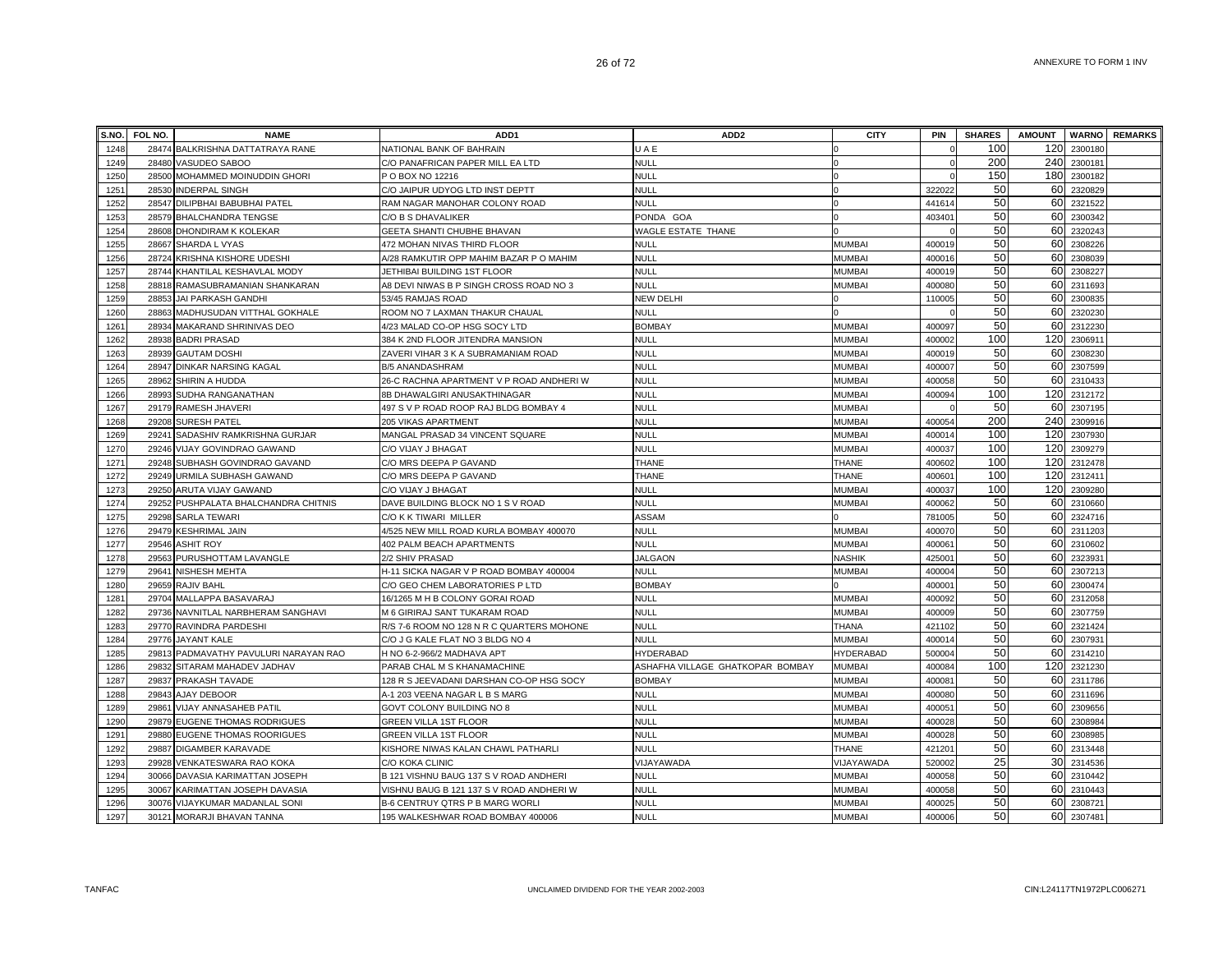|      | S.NO. FOL NO. | <b>NAME</b>                     | ADD1                                      | ADD <sub>2</sub>                 | <b>CITY</b>      | PIN    | <b>SHARES</b> | <b>AMOUNT</b> |         | <b>WARNO</b> REMARKS |
|------|---------------|---------------------------------|-------------------------------------------|----------------------------------|------------------|--------|---------------|---------------|---------|----------------------|
| 1248 | 28474         | BALKRISHNA DATTATRAYA RANE      | NATIONAL BANK OF BAHRAIN                  | UAE                              |                  |        | 100           | 120           | 2300180 |                      |
| 1249 | 28480         | VASUDEO SABOO                   | C/O PANAFRICAN PAPER MILL EA LTD          | <b>NULL</b>                      |                  |        | 200           | 240           | 230018  |                      |
| 1250 | 28500         | MOHAMMED MOINUDDIN GHORI        | P O BOX NO 12216                          | <b>NULL</b>                      |                  |        | 150           | 180           | 2300182 |                      |
| 1251 | 28530         | <b>INDERPAL SINGH</b>           | C/O JAIPUR UDYOG LTD INST DEPTT           | <b>NULL</b>                      |                  | 322022 | 50            | 60            | 2320829 |                      |
| 1252 | 28547         | DILIPBHAI BABUBHAI PATEL        | RAM NAGAR MANOHAR COLONY ROAD             | <b>NULL</b>                      |                  | 441614 | 50            | 60            | 2321522 |                      |
| 1253 | 28579         | <b>BHALCHANDRA TENGSE</b>       | C/O B S DHAVALIKER                        | PONDA GOA                        |                  | 403401 | 50            | 60            | 2300342 |                      |
| 1254 | 28608         | DHONDIRAM K KOLEKAR             | GEETA SHANTI CHUBHE BHAVAN                | WAGLE ESTATE THANE               |                  |        | 50            | 60            | 2320243 |                      |
| 1255 | 28667         | SHARDA L VYAS                   | 472 MOHAN NIVAS THIRD FLOOR               | <b>NULL</b>                      | <b>MUMBAI</b>    | 400019 | 50            | 60            | 2308226 |                      |
| 1256 | 28724         | KRISHNA KISHORE UDESHI          | A/28 RAMKUTIR OPP MAHIM BAZAR P O MAHIM   | NULL                             | MUMBAI           | 400016 | 50            | 60            | 2308039 |                      |
| 1257 | 28744         | KHANTILAL KESHAVLAL MODY        | JETHIBAI BUILDING 1ST FLOOR               | <b>NULL</b>                      | MUMBAI           | 400019 | 50            | 60            | 2308227 |                      |
| 1258 | 28818         | RAMASUBRAMANIAN SHANKARAN       | A8 DEVI NIWAS B P SINGH CROSS ROAD NO 3   | <b>NULL</b>                      | MUMBAI           | 400080 | 50            | 60            | 2311693 |                      |
| 1259 | 28853         | JAI PARKASH GANDHI              | 53/45 RAMJAS ROAD                         | <b>NEW DELHI</b>                 |                  | 110005 | 50            | 60            | 230083  |                      |
| 1260 | 28863         | MADHUSUDAN VITTHAL GOKHALE      | ROOM NO 7 LAXMAN THAKUR CHAUAL            | <b>NULL</b>                      |                  |        | 50            | 60            | 232023  |                      |
| 1261 | 28934         | MAKARAND SHRINIVAS DEO          | 4/23 MALAD CO-OP HSG SOCY LTD             | <b>BOMBAY</b>                    | <b>MUMBAI</b>    | 400097 | 50            | 60            | 231223  |                      |
| 1262 | 28938         | <b>BADRI PRASAD</b>             | 384 K 2ND FLOOR JITENDRA MANSION          | <b>NULL</b>                      | <b>MUMBAI</b>    | 400002 | 100           | 120           | 230691  |                      |
| 1263 | 28939         | <b>GAUTAM DOSHI</b>             | ZAVERI VIHAR 3 K A SUBRAMANIAM ROAD       | <b>NULL</b>                      | <b>MUMBAI</b>    | 400019 | 50            | 60            | 2308230 |                      |
| 1264 | 28947         | <b>DINKAR NARSING KAGAL</b>     | B/5 ANANDASHRAM                           | <b>NULL</b>                      | <b>MUMBAI</b>    | 400007 | 50            | 60            | 2307599 |                      |
| 1265 | 28962         | SHIRIN A HUDDA                  | 26-C RACHNA APARTMENT V P ROAD ANDHERI W  | <b>NULL</b>                      | <b>MUMBAI</b>    | 400058 | 50            | 60            | 2310433 |                      |
| 1266 | 28993         | SUDHA RANGANATHAN               | 8B DHAWALGIRI ANUSAKTHINAGAR              | <b>NULL</b>                      | <b>MUMBAI</b>    | 400094 | 100           | 120           | 2312172 |                      |
| 1267 |               | 29179 RAMESH JHAVERI            | 497 S V P ROAD ROOP RAJ BLDG BOMBAY 4     | <b>NULL</b>                      | MUMBAI           |        | 50            | 60            | 2307195 |                      |
| 1268 | 29208         | <b>SURESH PATEL</b>             | <b>205 VIKAS APARTMENT</b>                | <b>NULL</b>                      | <b>MUMBAI</b>    | 400054 | 200           | 240           | 2309916 |                      |
| 1269 | 29241         | SADASHIV RAMKRISHNA GURJAR      | MANGAL PRASAD 34 VINCENT SQUARE           | <b>NULL</b>                      | MUMBAI           | 400014 | 100           | 120           | 2307930 |                      |
| 1270 | 29246         | VIJAY GOVINDRAO GAWAND          | C/O VIJAY J BHAGAT                        | <b>NULL</b>                      | <b>MUMBA</b>     | 40003  | 100           | 120           | 2309279 |                      |
| 1271 | 29248         | SUBHASH GOVINDRAO GAVAND        | C/O MRS DEEPA P GAVAND                    | THANE                            | <b>THANE</b>     | 400602 | 100           | 120           | 2312478 |                      |
| 1272 | 29249         | URMILA SUBHASH GAWAND           | C/O MRS DEEPA P GAVAND                    | THANE                            | <b>THANE</b>     | 400601 | 100           | 120           | 231241  |                      |
| 1273 | 29250         | ARUTA VIJAY GAWAND              | C/O VIJAY J BHAGAT                        | <b>NULL</b>                      | <b>MUMBAI</b>    | 400037 | 100           | 120           | 2309280 |                      |
| 1274 | 29252         | PUSHPALATA BHALCHANDRA CHITNIS  | DAVE BUILDING BLOCK NO 1 S V ROAD         | <b>NULL</b>                      | <b>MUMBAI</b>    | 400062 | 50            | 60            | 2310660 |                      |
| 1275 | 29298         | SARLA TEWARI                    | C/O K K TIWARI MILLER                     | ASSAM                            |                  | 781005 | 50            | 60            | 2324716 |                      |
| 1276 |               | 29479 KESHRIMAL JAIN            | 4/525 NEW MILL ROAD KURLA BOMBAY 400070   | <b>NULL</b>                      | <b>MUMBAI</b>    | 400070 | 50            | 60            | 2311203 |                      |
| 1277 | 29546         | <b>ASHIT ROY</b>                | 402 PALM BEACH APARTMENTS                 | <b>NULL</b>                      | <b>MUMBAI</b>    | 400061 | 50            | 60            | 2310602 |                      |
| 1278 | 29563         | PURUSHOTTAM LAVANGLE            | 2/2 SHIV PRASAD                           | <b>JALGAON</b>                   | <b>NASHIK</b>    | 425001 | 50            | 60            | 232393  |                      |
| 1279 | 29641         | NISHESH MEHTA                   | H-11 SICKA NAGAR V P ROAD BOMBAY 400004   | <b>NULL</b>                      | <b>MUMBAI</b>    | 400004 | 50            | 60            | 2307213 |                      |
| 1280 | 29659         | RAJIV BAHL                      | C/O GEO CHEM LABORATORIES P LTD           | <b>BOMBAY</b>                    |                  | 40000  | 50            | 60            | 2300474 |                      |
| 1281 | 29704         | MALLAPPA BASAVARAJ              | 16/1265 M H B COLONY GORAI ROAD           | <b>NULL</b>                      | <b>MUMBAI</b>    | 40009  | 50            | 60            | 2312058 |                      |
| 1282 | 29736         | NAVNITLAL NARBHERAM SANGHAVI    | M 6 GIRIRAJ SANT TUKARAM ROAD             | <b>NULL</b>                      | <b>MUMBAI</b>    | 400009 | 50            | 60            | 2307759 |                      |
| 1283 |               | 29770 RAVINDRA PARDESHI         | R/S 7-6 ROOM NO 128 N R C QUARTERS MOHONE | <b>NULL</b>                      | THANA            | 421102 | 50            | 60            | 2321424 |                      |
| 1284 | 29776         | JAYANT KALE                     | C/O J G KALE FLAT NO 3 BLDG NO 4          | <b>NULL</b>                      | <b>MUMBAI</b>    | 400014 | 50            | 60            | 2307931 |                      |
| 1285 | 29813         | PADMAVATHY PAVULURI NARAYAN RAO | H NO 6-2-966/2 MADHAVA APT                | HYDERABAD                        | <b>HYDERABAD</b> | 500004 | 50            | 60            | 2314210 |                      |
| 1286 |               | 29832 SITARAM MAHADEV JADHAV    | PARAB CHAL M S KHANAMACHINE               | ASHAFHA VILLAGE GHATKOPAR BOMBAY | <b>MUMBAI</b>    | 400084 | 100           | 120           | 2321230 |                      |
| 1287 |               | 29837 PRAKASH TAVADE            | 128 R S JEEVADANI DARSHAN CO-OP HSG SOCY  | <b>BOMBAY</b>                    | MUMBAI           | 400081 | 50            | 60            | 2311786 |                      |
| 1288 | 29843         | AJAY DEBOOR                     | A-1 203 VEENA NAGAR L B S MARG            | <b>NULL</b>                      | <b>MUMBAI</b>    | 400080 | 50            | 60            | 2311696 |                      |
| 1289 | 29861         | VIJAY ANNASAHEB PATIL           | GOVT COLONY BUILDING NO 8                 | <b>NULL</b>                      | MUMBAI           | 400051 | 50            | 60            | 2309656 |                      |
| 1290 | 29879         | EUGENE THOMAS RODRIGUES         | <b>GREEN VILLA 1ST FLOOR</b>              | <b>NULL</b>                      | <b>MUMBAI</b>    | 400028 | 50            | 60            | 2308984 |                      |
| 1291 | 29880         | EUGENE THOMAS ROORIGUES         | GREEN VILLA 1ST FLOOR                     | <b>NULL</b>                      | <b>MUMBAI</b>    | 400028 | 50            | 60            | 230898  |                      |
| 1292 | 29887         | DIGAMBER KARAVADE               | KISHORE NIWAS KALAN CHAWL PATHARLI        | <b>NULL</b>                      | <b>THANE</b>     | 421201 | 50            | 60            | 2313448 |                      |
| 1293 | 29928         | VENKATESWARA RAO KOKA           | C/O KOKA CLINIC                           | VIJAYAWADA                       | VIJAYAWADA       | 520002 | 25            | 30            | 2314536 |                      |
| 1294 | 30066         | DAVASIA KARIMATTAN JOSEPH       | B 121 VISHNU BAUG 137 S V ROAD ANDHERI    | <b>NULL</b>                      | <b>MUMBAI</b>    | 400058 | 50            | 60            | 2310442 |                      |
| 1295 | 30067         | KARIMATTAN JOSEPH DAVASIA       | VISHNU BAUG B 121 137 S V ROAD ANDHERI W  | <b>NULL</b>                      | <b>MUMBAI</b>    | 400058 | 50            | 60            | 2310443 |                      |
| 1296 |               | 30076 VIJAYKUMAR MADANLAL SONI  | B-6 CENTRUY QTRS P B MARG WORLI           | <b>NULL</b>                      | <b>MUMBAI</b>    | 400025 | 50            | 60            | 2308721 |                      |
| 1297 |               | 30121 MORARJI BHAVAN TANNA      | 195 WALKESHWAR ROAD BOMBAY 400006         | <b>NULL</b>                      | <b>MUMBAI</b>    | 400006 | 50            | 60            | 2307481 |                      |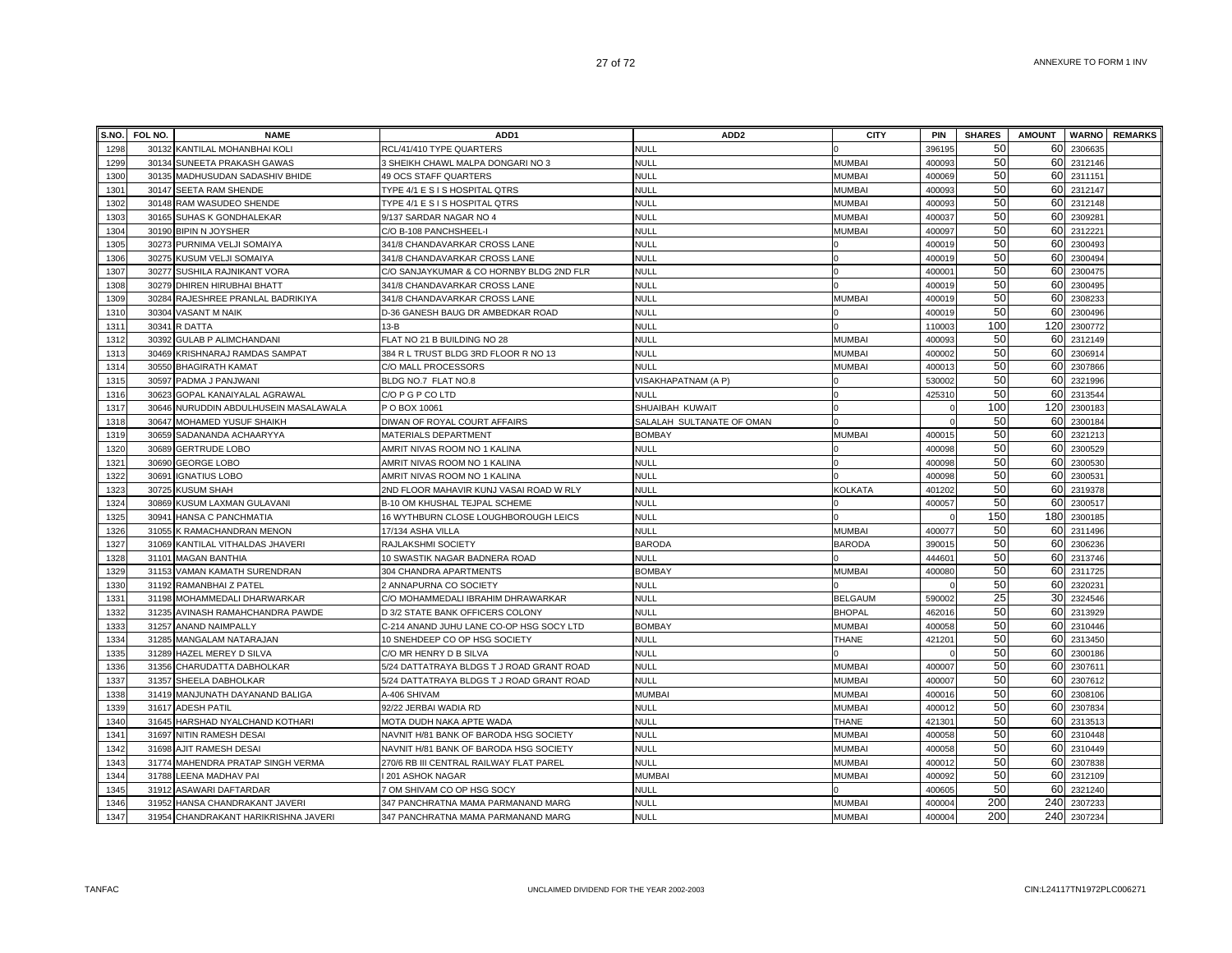|      | S.NO. FOL NO. | <b>NAME</b>                          | ADD <sub>1</sub>                          | ADD <sub>2</sub>          | <b>CITY</b>    | <b>PIN</b> | <b>SHARES</b> | <b>AMOUNT</b> |            | <b>WARNO</b> REMARKS |
|------|---------------|--------------------------------------|-------------------------------------------|---------------------------|----------------|------------|---------------|---------------|------------|----------------------|
| 1298 |               | 30132 KANTILAL MOHANBHAI KOL         | RCL/41/410 TYPE QUARTERS                  | <b>NULL</b>               |                | 396195     | 50            |               | 60 2306635 |                      |
| 1299 | 30134         | SUNEETA PRAKASH GAWAS                | 3 SHEIKH CHAWL MALPA DONGARI NO 3         | <b>NULL</b>               | <b>MUMBAI</b>  | 400093     | 50            | 60            | 2312146    |                      |
| 1300 | 30135         | MADHUSUDAN SADASHIV BHIDE            | <b>49 OCS STAFF QUARTERS</b>              | <b>NULL</b>               | <b>MUMBAI</b>  | 400069     | 50            |               | 60 2311151 |                      |
| 1301 | 30147         | <b>SEETA RAM SHENDE</b>              | TYPE 4/1 E S I S HOSPITAL QTRS            | <b>NULL</b>               | <b>MUMBAI</b>  | 400093     | 50            | 60            | 2312147    |                      |
| 1302 | 30148         | RAM WASUDEO SHENDE                   | TYPE 4/1 E S I S HOSPITAL QTRS            | <b>NULL</b>               | <b>MUMBAI</b>  | 400093     | 50            | 60            | 2312148    |                      |
| 1303 | 30165         | SUHAS K GONDHALEKAR                  | 9/137 SARDAR NAGAR NO 4                   | <b>NULL</b>               | <b>MUMBAI</b>  | 400037     | 50            | 60            | 2309281    |                      |
| 1304 |               | 30190 BIPIN N JOYSHER                | C/O B-108 PANCHSHEEL-I                    | <b>NULL</b>               | <b>MUMBAI</b>  | 400097     | 50            | 60            | 2312221    |                      |
| 1305 | 30273         | PURNIMA VELJI SOMAIYA                | 341/8 CHANDAVARKAR CROSS LANE             | <b>NULL</b>               |                | 400019     | 50            | 60            | 2300493    |                      |
| 1306 | 30275         | KUSUM VELJI SOMAIYA                  | 341/8 CHANDAVARKAR CROSS LANE             | <b>NULL</b>               |                | 400019     | 50            | 60            | 2300494    |                      |
| 1307 | 30277         | SUSHILA RAJNIKANT VORA               | C/O SANJAYKUMAR & CO HORNBY BLDG 2ND FLR  | <b>NULL</b>               |                | 400001     | 50            | 60            | 2300475    |                      |
| 1308 |               | 30279 DHIREN HIRUBHAI BHATT          | 341/8 CHANDAVARKAR CROSS LANE             | <b>NULL</b>               |                | 400019     | 50            | 60            | 2300495    |                      |
| 1309 | 30284         | RAJESHREE PRANLAL BADRIKIYA          | 341/8 CHANDAVARKAR CROSS LANE             | <b>NULL</b>               | MUMBAI         | 400019     | 50            | 60            | 2308233    |                      |
| 1310 | 30304         | VASANT M NAIK                        | D-36 GANESH BAUG DR AMBEDKAR ROAD         | <b>NULL</b>               |                | 40001      | 50            | 60            | 2300496    |                      |
| 1311 | 30341         | R DATTA                              | $13-B$                                    | <b>NULL</b>               |                | 11000      | 100           | 120           | 2300772    |                      |
| 1312 | 30392         | <b>GULAB P ALIMCHANDANI</b>          | FLAT NO 21 B BUILDING NO 28               | NULL                      | <b>MUMBAI</b>  | 400093     | 50            | 60            | 2312149    |                      |
| 1313 | 30469         | KRISHNARAJ RAMDAS SAMPAT             | 384 R L TRUST BLDG 3RD FLOOR R NO 13      | <b>NULL</b>               | <b>MUMBAI</b>  | 400002     | 50            | 60            | 2306914    |                      |
| 1314 | 30550         | <b>BHAGIRATH KAMAT</b>               | C/O MALL PROCESSORS                       | <b>NULL</b>               | <b>MUMBAI</b>  | 40001      | 50            | 60            | 2307866    |                      |
| 1315 | 30597         | PADMA J PANJWANI                     | BLDG NO.7 FLAT NO.8                       | VISAKHAPATNAM (A P)       |                | 530002     | 50            | 60            | 2321996    |                      |
| 1316 | 30623         | GOPAL KANAIYALAL AGRAWAL             | C/O P G P CO LTD                          | <b>NULL</b>               |                | 425310     | 50            | 60            | 2313544    |                      |
| 1317 | 30646         | NURUDDIN ABDULHUSEIN MASALAWALA      | P O BOX 10061                             | SHUAIBAH KUWAIT           |                |            | 100           | 120           | 2300183    |                      |
| 1318 |               | 30647 MOHAMED YUSUF SHAIKH           | DIWAN OF ROYAL COURT AFFAIRS              | SALALAH SULTANATE OF OMAN |                |            | 50            | 60            | 2300184    |                      |
| 1319 | 30659         | SADANANDA ACHAARYYA                  | MATERIALS DEPARTMENT                      | <b>BOMBAY</b>             | <b>MUMBAI</b>  | 400015     | 50            | 60            | 2321213    |                      |
| 1320 | 30689         | <b>GERTRUDE LOBO</b>                 | AMRIT NIVAS ROOM NO 1 KALINA              | <b>NULL</b>               |                | 400098     | 50            |               | 60 2300529 |                      |
| 1321 | 30690         | <b>GEORGE LOBO</b>                   | AMRIT NIVAS ROOM NO 1 KALINA              | <b>NULL</b>               |                | 400098     | 50            | 60            | 2300530    |                      |
| 1322 | 3069'         | <b>GNATIUS LOBO</b>                  | AMRIT NIVAS ROOM NO 1 KALINA              | <b>NULL</b>               |                | 400098     | 50            | 60            | 230053     |                      |
| 1323 | 30725         | KUSUM SHAH                           | 2ND FLOOR MAHAVIR KUNJ VASAI ROAD W RLY   | <b>NULL</b>               | KOLKATA        | 401202     | 50            | 60            | 2319378    |                      |
| 1324 | 30869         | KUSUM LAXMAN GULAVANI                | B-10 OM KHUSHAL TEJPAL SCHEME             | <b>NULL</b>               |                | 400057     | 50            | 60            | 2300517    |                      |
| 1325 | 30941         | HANSA C PANCHMATIA                   | 16 WYTHBURN CLOSE LOUGHBOROUGH LEICS      | <b>NULL</b>               |                |            | 150           | 180           | 2300185    |                      |
| 1326 | 31055         | K RAMACHANDRAN MENON                 | 17/134 ASHA VILLA                         | <b>NULL</b>               | <b>MUMBAI</b>  | 400077     | 50            | 60            | 2311496    |                      |
| 1327 | 31069         | KANTILAL VITHALDAS JHAVERI           | RAJLAKSHMI SOCIETY                        | <b>BARODA</b>             | <b>BARODA</b>  | 390015     | 50            | 60            | 2306236    |                      |
| 1328 | 31101         | <b>MAGAN BANTHIA</b>                 | 10 SWASTIK NAGAR BADNERA ROAD             | <b>NULL</b>               |                | 444601     | 50            | 60            | 2313746    |                      |
| 1329 |               | 31153 VAMAN KAMATH SURENDRAN         | 304 CHANDRA APARTMENTS                    | <b>BOMBAY</b>             | <b>MUMBAI</b>  | 400080     | 50            | 60            | 2311725    |                      |
| 1330 | 31192         | RAMANBHAI Z PATEL                    | 2 ANNAPURNA CO SOCIETY                    | null                      |                |            | 50            | 60            | 232023     |                      |
| 1331 | 31198         | MOHAMMEDALI DHARWARKAR               | C/O MOHAMMEDALI IBRAHIM DHRAWARKAR        | <b>NULL</b>               | <b>BELGAUM</b> | 590002     | 25            | 30            | 2324546    |                      |
| 1332 | 31235         | AVINASH RAMAHCHANDRA PAWDE           | D 3/2 STATE BANK OFFICERS COLONY          | <b>NULL</b>               | <b>BHOPAL</b>  | 462016     | 50            | 60            | 2313929    |                      |
| 1333 | 31257         | ANAND NAIMPALLY                      | C-214 ANAND JUHU LANE CO-OP HSG SOCY LTD  | <b>BOMBAY</b>             | <b>MUMBAI</b>  | 400058     | 50            | 60            | 2310446    |                      |
| 1334 | 31285         | MANGALAM NATARAJAN                   | 10 SNEHDEEP CO OP HSG SOCIETY             | <b>NULL</b>               | <b>THANE</b>   | 421201     | 50            | 60            | 2313450    |                      |
| 1335 | 31289         | HAZEL MEREY D SILVA                  | C/O MR HENRY D B SILVA                    | <b>NULL</b>               |                |            | 50            | 60            | 2300186    |                      |
| 1336 |               | 31356 CHARUDATTA DABHOLKAR           | 5/24 DATTATRAYA BLDGS T J ROAD GRANT ROAD | <b>NULL</b>               | <b>MUMBAI</b>  | 400007     | 50            | 60            | 2307611    |                      |
| 1337 |               | 31357 SHEELA DABHOLKAR               | 5/24 DATTATRAYA BLDGS T J ROAD GRANT ROAD | <b>NULL</b>               | <b>MUMBAI</b>  | 400007     | 50            | 60            | 2307612    |                      |
| 1338 |               | 31419 MANJUNATH DAYANAND BALIGA      | A-406 SHIVAM                              | <b>MUMBAI</b>             | <b>MUMBAI</b>  | 400016     | 50            | 60            | 2308106    |                      |
| 1339 |               | 31617 ADESH PATIL                    | 92/22 JERBAI WADIA RD                     | <b>NULL</b>               | <b>MUMBAI</b>  | 400012     | 50            | 60            | 2307834    |                      |
| 1340 | 31645         | HARSHAD NYALCHAND KOTHARI            | MOTA DUDH NAKA APTE WADA                  | <b>NULL</b>               | <b>THANE</b>   | 421301     | 50            |               | 60 2313513 |                      |
| 1341 | 31697         | <b>NITIN RAMESH DESAI</b>            | NAVNIT H/81 BANK OF BARODA HSG SOCIETY    | <b>NULL</b>               | <b>MUMBAI</b>  | 400058     | 50            | 60            | 2310448    |                      |
| 1342 | 31698         | AJIT RAMESH DESAI                    | NAVNIT H/81 BANK OF BARODA HSG SOCIETY    | <b>NULL</b>               | <b>MUMBAI</b>  | 400058     | 50            | 60            | 2310449    |                      |
| 1343 | 31774         | MAHENDRA PRATAP SINGH VERMA          | 270/6 RB III CENTRAL RAILWAY FLAT PAREL   | <b>NULL</b>               | <b>MUMBAI</b>  | 40001:     | 50            | 60            | 2307838    |                      |
| 1344 | 31788         | LEENA MADHAV PAI                     | 201 ASHOK NAGAR                           | <b>MUMBAI</b>             | <b>MUMBAI</b>  | 40009      | 50            | 60            | 2312109    |                      |
| 1345 | 31912         | ASAWARI DAFTARDAR                    | 7 OM SHIVAM CO OP HSG SOCY                | <b>NULL</b>               |                | 400605     | 50            | 60            | 2321240    |                      |
| 1346 | 31952         | HANSA CHANDRAKANT JAVERI             | 347 PANCHRATNA MAMA PARMANAND MARG        | <b>NULL</b>               | <b>MUMBAI</b>  | 400004     | 200           | 240           | 2307233    |                      |
| 1347 |               | 31954 CHANDRAKANT HARIKRISHNA JAVERI | 347 PANCHRATNA MAMA PARMANAND MARG        | <b>NULL</b>               | <b>MUMBAI</b>  | 400004     | 200           | 240           | 2307234    |                      |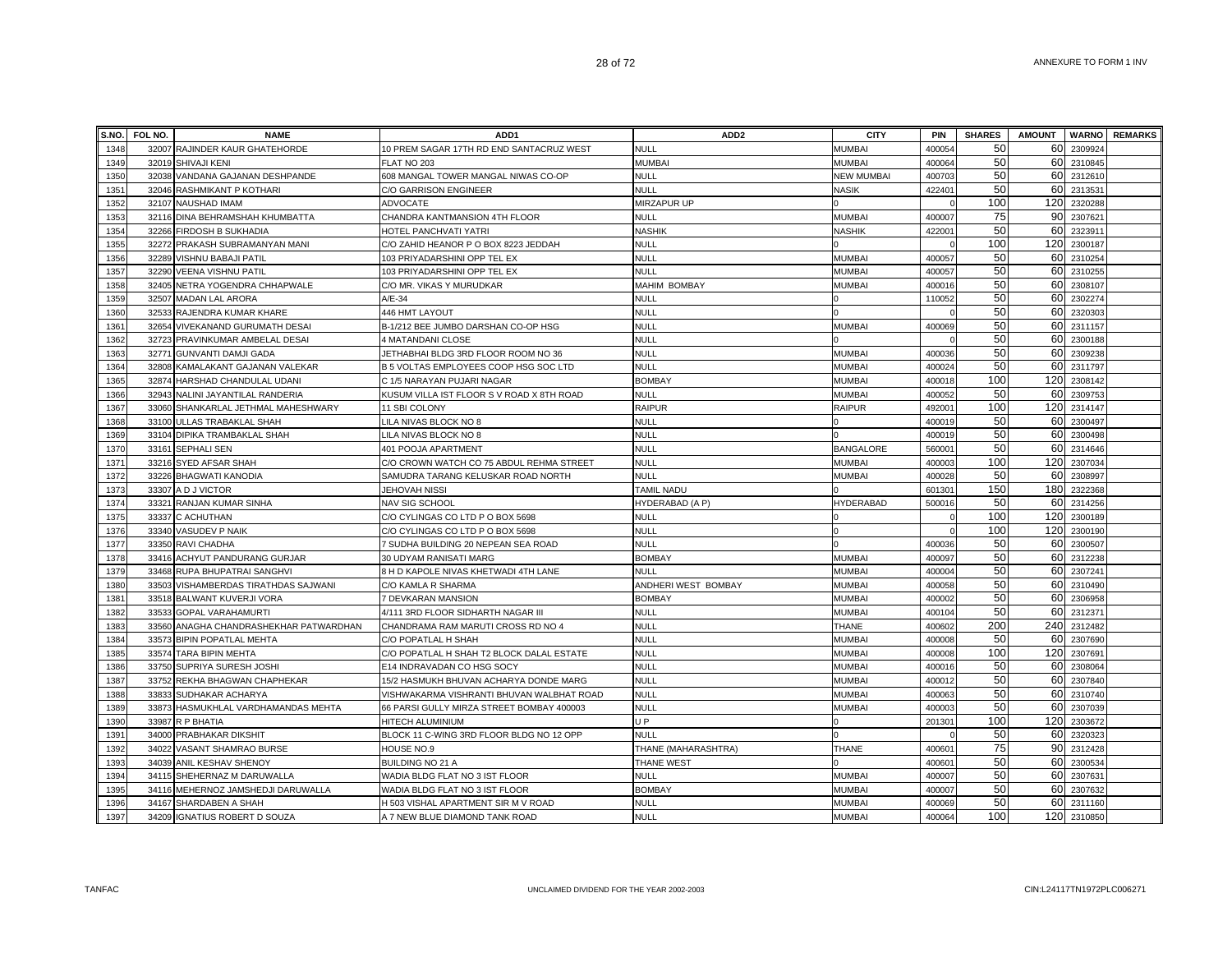| S.NO. | FOL NO. | <b>NAME</b>                            | ADD <sub>1</sub>                          | ADD <sub>2</sub>    | <b>CITY</b>       | <b>PIN</b>         | <b>SHARES</b> | <b>AMOUNT</b> |         | <b>WARNO</b> REMARKS |
|-------|---------|----------------------------------------|-------------------------------------------|---------------------|-------------------|--------------------|---------------|---------------|---------|----------------------|
| 1348  |         | 32007 RAJINDER KAUR GHATEHORDE         | 10 PREM SAGAR 17TH RD END SANTACRUZ WEST  | <b>NULL</b>         | <b>MUMBAI</b>     | 400054             | 50            | 60            | 230992  |                      |
| 1349  |         | 32019 SHIVAJI KENI                     | FLAT NO 203                               | <b>MUMBAI</b>       | <b>MUMBAI</b>     | 400064             | 50            | 60            | 2310845 |                      |
| 1350  |         | 32038 VANDANA GAJANAN DESHPANDE        | 608 MANGAL TOWER MANGAL NIWAS CO-OP       | <b>NULL</b>         | <b>NEW MUMBAI</b> | 400703             | 50            | 60            | 2312610 |                      |
| 1351  |         | 32046 RASHMIKANT P KOTHARI             | C/O GARRISON ENGINEER                     | <b>NULL</b>         | <b>NASIK</b>      | 422401             | 50            | 60            | 2313531 |                      |
| 1352  |         | 32107 NAUSHAD IMAM                     | <b>ADVOCATE</b>                           | <b>MIRZAPUR UP</b>  |                   |                    | 100           | 120           | 2320288 |                      |
| 1353  |         | 32116 DINA BEHRAMSHAH KHUMBATTA        | CHANDRA KANTMANSION 4TH FLOOR             | <b>NULL</b>         | <b>MUMBAI</b>     | 400007             | 75            | 90            | 2307621 |                      |
| 1354  |         | 32266 FIRDOSH B SUKHADIA               | HOTEL PANCHVATI YATRI                     | <b>NASHIK</b>       | NASHIK            | 422001             | 50            | 60            | 2323911 |                      |
| 1355  |         | 32272 PRAKASH SUBRAMANYAN MANI         | C/O ZAHID HEANOR P O BOX 8223 JEDDAH      | <b>NULL</b>         |                   |                    | 100           | 120           | 2300187 |                      |
| 1356  |         | 32289 VISHNU BABAJI PATIL              | 103 PRIYADARSHINI OPP TEL EX              | NULL                | <b>MUMBAI</b>     | 400057             | 50            | 60            | 2310254 |                      |
| 1357  |         | 32290 VEENA VISHNU PATIL               | 103 PRIYADARSHINI OPP TEL EX              | <b>NULL</b>         | <b>MUMBAI</b>     | 400057             | 50            | 60            | 2310255 |                      |
| 1358  |         | 32405 NETRA YOGENDRA CHHAPWALE         | C/O MR. VIKAS Y MURUDKAR                  | <b>MAHIM BOMBAY</b> | <b>MUMBAI</b>     | 400016             | 50            | 60            | 2308107 |                      |
| 1359  |         | 32507 MADAN LAL ARORA                  | $A/E-34$                                  | <b>NULL</b>         |                   | 110052             | 50            | 60            | 230227  |                      |
| 1360  |         | 32533 RAJENDRA KUMAR KHARE             | 446 HMT LAYOUT                            | <b>NULL</b>         |                   |                    | 50            | 60            | 2320303 |                      |
| 1361  |         | 32654 VIVEKANAND GURUMATH DESAI        | B-1/212 BEE JUMBO DARSHAN CO-OP HSG       | <b>NULL</b>         | <b>MUMBA</b>      | 400069             | 50            | 60            | 2311157 |                      |
| 1362  |         | 32723 PRAVINKUMAR AMBELAL DESAI        | 4 MATANDANI CLOSE                         | NULL                |                   |                    | 50            | 60            | 2300188 |                      |
| 1363  |         | 32771 GUNVANTI DAMJI GADA              | JETHABHAI BLDG 3RD FLOOR ROOM NO 36       | <b>NULL</b>         | <b>MUMBAI</b>     | 400036             | 50            | 60            | 2309238 |                      |
| 1364  |         | 32808 KAMALAKANT GAJANAN VALEKAR       | B 5 VOLTAS EMPLOYEES COOP HSG SOC LTD     | <b>NULL</b>         | <b>MUMBAI</b>     | 400024             | 50            | 60            | 2311797 |                      |
| 1365  |         | 32874 HARSHAD CHANDULAL UDANI          | C 1/5 NARAYAN PUJARI NAGAR                | <b>BOMBAY</b>       | <b>MUMBA</b>      | 400018             | 100           | 120           | 2308142 |                      |
| 1366  |         | 32943 NALINI JAYANTILAL RANDERIA       | KUSUM VILLA IST FLOOR S V ROAD X 8TH ROAD | <b>NULL</b>         | <b>MUMBAI</b>     | 400052             | 50            | 60            | 2309753 |                      |
| 1367  |         | 33060 SHANKARLAL JETHMAL MAHESHWARY    | 11 SBI COLONY                             | <b>RAIPUR</b>       | <b>RAIPUR</b>     | 492001             | 100           | 120           | 2314147 |                      |
| 1368  |         | 33100 ULLAS TRABAKLAL SHAH             | LILA NIVAS BLOCK NO 8                     | <b>NULL</b>         |                   | 400019             | 50            | 60            | 2300497 |                      |
| 1369  |         | 33104 DIPIKA TRAMBAKLAL SHAH           | LILA NIVAS BLOCK NO 8                     | <b>NULL</b>         |                   | 400019             | 50            | 60            | 2300498 |                      |
| 1370  |         | 33161 SEPHALI SEN                      | 401 POOJA APARTMENT                       | <b>NULL</b>         | <b>BANGALORE</b>  | 56000              | 50            | 60            | 2314646 |                      |
| 1371  |         | 33216 SYED AFSAR SHAH                  | C/O CROWN WATCH CO 75 ABDUL REHMA STREET  | <b>NULL</b>         | <b>MUMBAI</b>     | 40000              | 100           | 120           | 2307034 |                      |
| 1372  |         | 33226 BHAGWATI KANODIA                 | SAMUDRA TARANG KELUSKAR ROAD NORTH        | <b>NULL</b>         | <b>MUMBAI</b>     | 400028             | 50            | 60            | 2308997 |                      |
| 1373  |         | 33307 A D J VICTOR                     | <b>JEHOVAH NISSI</b>                      | <b>TAMIL NADU</b>   |                   | 60130              | 150           | 180           | 2322368 |                      |
| 1374  |         | 33321 RANJAN KUMAR SINHA               | <b>NAV SIG SCHOOL</b>                     | HYDERABAD (A P)     | <b>HYDERABAD</b>  | 500016             | 50            | 60            | 2314256 |                      |
| 1375  |         | 33337 C ACHUTHAN                       | C/O CYLINGAS CO LTD P O BOX 5698          | <b>NULL</b>         |                   |                    | 100           | 120           | 2300189 |                      |
| 1376  |         | 33340 VASUDEV P NAIK                   | C/O CYLINGAS CO LTD P O BOX 5698          | <b>NULL</b>         |                   |                    | 100           | 120           | 2300190 |                      |
| 1377  |         | 33350 RAVI CHADHA                      | 7 SUDHA BUILDING 20 NEPEAN SEA ROAD       | <b>NULL</b>         |                   | 400036             | 50            | 60            | 2300507 |                      |
| 1378  |         | 33416 ACHYUT PANDURANG GURJAR          | 30 UDYAM RANISATI MARG                    | <b>BOMBAY</b>       | <b>MUMBAI</b>     | 400097             | 50            | 60            | 2312238 |                      |
| 1379  |         | 33468 RUPA BHUPATRAI SANGHVI           | 8 H D KAPOLE NIVAS KHETWADI 4TH LANE      | <b>NULL</b>         | <b>MUMBAI</b>     | 40000              | 50            | 60            | 2307241 |                      |
| 1380  | 33503   | VISHAMBERDAS TIRATHDAS SAJWANI         | C/O KAMLA R SHARMA                        | ANDHERI WEST BOMBAY | <b>MUMBA</b>      | 400058             | 50            | 60            | 2310490 |                      |
| 1381  |         | 33518 BALWANT KUVERJI VORA             | 7 DEVKARAN MANSION                        | <b>BOMBAY</b>       | <b>MUMBA</b>      | 400002             | 50            | 60            | 2306958 |                      |
| 1382  |         | 33533 GOPAL VARAHAMURTI                | 4/111 3RD FLOOR SIDHARTH NAGAR III        | <b>NULL</b>         | <b>MUMBA</b>      | 400104             | 50            | 60            | 2312371 |                      |
| 1383  |         | 33560 ANAGHA CHANDRASHEKHAR PATWARDHAN | CHANDRAMA RAM MARUTI CROSS RD NO 4        | <b>NULL</b>         | THANE             | 400602             | 200           | 240           | 2312482 |                      |
| 1384  |         | 33573 BIPIN POPATLAL MEHTA             | C/O POPATLAL H SHAH                       | <b>NULL</b>         | <b>MUMBAI</b>     | 400008             | 50            | 60            | 2307690 |                      |
| 1385  |         | 33574 TARA BIPIN MEHTA                 | C/O POPATLAL H SHAH T2 BLOCK DALAL ESTATE | <b>NULL</b>         | <b>MUMBAI</b>     | 400008             | 100           | 120           | 2307691 |                      |
| 1386  |         | 33750 SUPRIYA SURESH JOSHI             | E14 INDRAVADAN CO HSG SOCY                | <b>NULL</b>         | <b>MUMBA</b>      | 400016             | 50            | 60            | 2308064 |                      |
| 1387  |         | 33752 REKHA BHAGWAN CHAPHEKAR          | 15/2 HASMUKH BHUVAN ACHARYA DONDE MARG    | NULL                | <b>MUMBAI</b>     | 400012             | 50            | 60            | 2307840 |                      |
| 1388  |         | 33833 SUDHAKAR ACHARYA                 | VISHWAKARMA VISHRANTI BHUVAN WALBHAT ROAD | NULL                | <b>MUMBAI</b>     | 400063             | 50            | 60            | 2310740 |                      |
| 1389  |         | 33873 HASMUKHLAL VARDHAMANDAS MEHTA    | 66 PARSI GULLY MIRZA STREET BOMBAY 400003 | <b>NULL</b>         | <b>MUMBAI</b>     | 400003             | 50            | 60            | 2307039 |                      |
| 1390  |         | 33987 R P BHATIA                       | HITECH ALUMINIUM                          | U <sub>P</sub>      |                   | 20130              | 100           | 120           | 2303672 |                      |
| 1391  |         | 34000 PRABHAKAR DIKSHIT                | BLOCK 11 C-WING 3RD FLOOR BLDG NO 12 OPP  | <b>NULL</b>         |                   |                    | 50            | 60            | 232032  |                      |
| 1392  |         | 34022 VASANT SHAMRAO BURSE             | HOUSE NO.9                                | THANE (MAHARASHTRA) | THANE             | 40060 <sup>-</sup> | 75            | 90            | 2312428 |                      |
| 1393  |         | 34039 ANIL KESHAV SHENOY               | BUILDING NO 21 A                          | THANE WEST          |                   | 40060 <sup>-</sup> | 50            | 60            | 2300534 |                      |
| 1394  |         | 34115 SHEHERNAZ M DARUWALLA            | WADIA BLDG FLAT NO 3 IST FLOOR            | <b>NULL</b>         | <b>MUMBAI</b>     | 400007             | 50            | 60            | 2307631 |                      |
| 1395  |         | 34116 MEHERNOZ JAMSHEDJI DARUWALLA     | WADIA BLDG FLAT NO 3 IST FLOOR            | <b>BOMBAY</b>       | <b>MUMBAI</b>     | 400007             | 50            | 60            | 2307632 |                      |
| 1396  |         | 34167 SHARDABEN A SHAH                 | H 503 VISHAL APARTMENT SIR M V ROAD       | <b>NULL</b>         | <b>MUMBA</b>      | 400069             | 50            | 60            | 2311160 |                      |
| 1397  |         | 34209 IGNATIUS ROBERT D SOUZA          | A 7 NEW BLUE DIAMOND TANK ROAD            | <b>NULL</b>         | <b>MUMBA</b>      | 400064             | 100           | 120           | 2310850 |                      |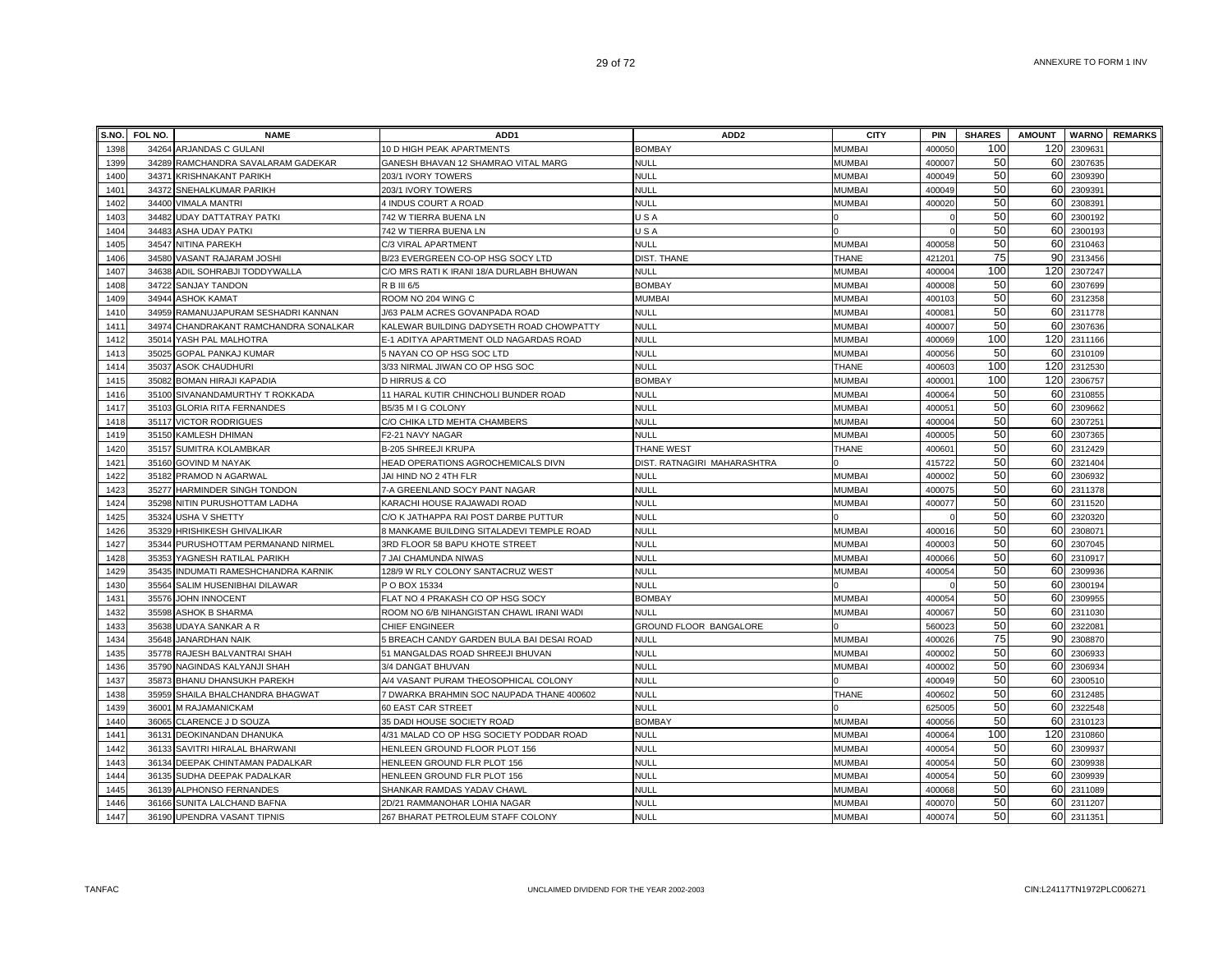| S.NO. | FOL NO. | <b>NAME</b>                           | ADD <sub>1</sub>                          | ADD <sub>2</sub>            | <b>CITY</b>   | PIN                | <b>SHARES</b> | <b>AMOUNT</b> |         | <b>WARNO</b> REMARKS |
|-------|---------|---------------------------------------|-------------------------------------------|-----------------------------|---------------|--------------------|---------------|---------------|---------|----------------------|
| 1398  |         | 34264 ARJANDAS C GULANI               | 10 D HIGH PEAK APARTMENTS                 | <b>BOMBAY</b>               | <b>MUMBAI</b> | 400050             | 100           | 120           | 230963  |                      |
| 1399  |         | 34289 RAMCHANDRA SAVALARAM GADEKAR    | GANESH BHAVAN 12 SHAMRAO VITAL MARG       | <b>NULL</b>                 | <b>MUMBAI</b> | 400007             | 50            | 60            | 2307635 |                      |
| 1400  |         | 34371 KRISHNAKANT PARIKH              | 203/1 IVORY TOWERS                        | <b>NULL</b>                 | <b>MUMBAI</b> | 400049             | 50            | 60            | 2309390 |                      |
| 1401  |         | 34372 SNEHALKUMAR PARIKH              | 203/1 IVORY TOWERS                        | <b>NULL</b>                 | <b>MUMBAI</b> | 400049             | 50            | 60            | 2309391 |                      |
| 1402  |         | 34400 VIMALA MANTRI                   | 4 INDUS COURT A ROAD                      | <b>NULL</b>                 | <b>MUMBAI</b> | 400020             | 50            | 60            | 2308391 |                      |
| 1403  |         | 34482 UDAY DATTATRAY PATKI            | 742 W TIERRA BUENA LN                     | USA                         |               |                    | 50            | 60            | 2300192 |                      |
| 1404  |         | 34483 ASHA UDAY PATKI                 | 742 W TIERRA BUENA LN                     | USA                         |               |                    | 50            | 60            | 2300193 |                      |
| 1405  |         | 34547 NITINA PAREKH                   | C/3 VIRAL APARTMENT                       | <b>NULL</b>                 | <b>MUMBAI</b> | 400058             | 50            | 60            | 2310463 |                      |
| 1406  |         | 34580 VASANT RAJARAM JOSHI            | B/23 EVERGREEN CO-OP HSG SOCY LTD         | <b>DIST. THANE</b>          | THANE         | 421201             | 75            | 90            | 2313456 |                      |
| 1407  | 34638   | ADIL SOHRABJI TODDYWALLA              | C/O MRS RATI K IRANI 18/A DURLABH BHUWAN  | <b>NULL</b>                 | <b>MUMBA</b>  | 400004             | 100           | 120           | 2307247 |                      |
| 1408  | 34722   | <b>SANJAY TANDON</b>                  | R B III 6/5                               | <b>BOMBAY</b>               | <b>MUMBAI</b> | 400008             | 50            | 60            | 2307699 |                      |
| 1409  |         | 34944 ASHOK KAMAT                     | ROOM NO 204 WING C                        | <b>MUMBAI</b>               | <b>MUMBA</b>  | 400103             | 50            | 60            | 2312358 |                      |
| 1410  |         | 34959 RAMANUJAPURAM SESHADRI KANNAN   | J/63 PALM ACRES GOVANPADA ROAD            | <b>NULL</b>                 | <b>MUMBAI</b> | 40008              | 50            | 60            | 2311778 |                      |
| 1411  |         | 34974 CHANDRAKANT RAMCHANDRA SONALKAR | KALEWAR BUILDING DADYSETH ROAD CHOWPATTY  | <b>NULL</b>                 | <b>MUMBAI</b> | 400007             | 50            | 60            | 2307636 |                      |
| 1412  |         | 35014 YASH PAL MALHOTRA               | E-1 ADITYA APARTMENT OLD NAGARDAS ROAD    | <b>NULL</b>                 | <b>MUMBAI</b> | 400069             | 100           | 120           | 2311166 |                      |
| 1413  |         | 35025 GOPAL PANKAJ KUMAR              | 5 NAYAN CO OP HSG SOC LTD                 | <b>NULL</b>                 | <b>MUMBAI</b> | 400056             | 50            | 60I           | 2310109 |                      |
| 1414  |         | 35037 ASOK CHAUDHURI                  | 3/33 NIRMAL JIWAN CO OP HSG SOC           | <b>NULL</b>                 | <b>THANE</b>  | 400603             | 100           | 120           | 2312530 |                      |
| 1415  |         | 35082 BOMAN HIRAJI KAPADIA            | <b>D HIRRUS &amp; CO</b>                  | <b>BOMBAY</b>               | <b>MUMBA</b>  | 40000 <sup>-</sup> | 100           | 120           | 2306757 |                      |
| 1416  |         | 35100 SIVANANDAMURTHY T ROKKADA       | 11 HARAL KUTIR CHINCHOLI BUNDER ROAD      | <b>NULL</b>                 | <b>MUMBA</b>  | 400064             | 50            | 60            | 2310855 |                      |
| 1417  |         | 35103 GLORIA RITA FERNANDES           | B5/35 M I G COLONY                        | <b>NULL</b>                 | <b>MUMBA</b>  | 40005              | 50            | 60            | 2309662 |                      |
| 1418  |         | 35117 VICTOR RODRIGUES                | C/O CHIKA LTD MEHTA CHAMBERS              | <b>NULL</b>                 | <b>MUMBAI</b> | 400004             | 50            | 60            | 230725  |                      |
| 1419  |         | 35150 KAMLESH DHIMAN                  | F2-21 NAVY NAGAR                          | <b>NULL</b>                 | <b>MUMBAI</b> | 40000              | 50            | 60            | 2307365 |                      |
| 1420  |         | 35157 SUMITRA KOLAMBKAR               | B-205 SHREEJI KRUPA                       | THANE WEST                  | THANE         | 40060              | 50            | 60            | 2312429 |                      |
| 1421  |         | 35160 GOVIND M NAYAK                  | HEAD OPERATIONS AGROCHEMICALS DIVN        | DIST. RATNAGIRI MAHARASHTRA |               | 415722             | 50            | 60            | 2321404 |                      |
| 1422  |         | 35182 PRAMOD N AGARWAL                | JAI HIND NO 2 4TH FLR                     | <b>NULL</b>                 | <b>MUMBAI</b> | 400002             | 50            | 60            | 2306932 |                      |
| 1423  |         | 35277 HARMINDER SINGH TONDON          | 7-A GREENLAND SOCY PANT NAGAR             | <b>NULL</b>                 | <b>MUMBAI</b> | 400075             | 50            | 60            | 2311378 |                      |
| 1424  |         | 35298 NITIN PURUSHOTTAM LADHA         | KARACHI HOUSE RAJAWADI ROAD               | <b>NULL</b>                 | <b>MUMBAI</b> | 400077             | 50            | 60            | 2311520 |                      |
| 1425  |         | 35324 USHA V SHETTY                   | C/O K JATHAPPA RAI POST DARBE PUTTUR      | <b>NULL</b>                 |               |                    | 50            | 60            | 2320320 |                      |
| 1426  |         | 35329 HRISHIKESH GHIVALIKAR           | 8 MANKAME BUILDING SITALADEVI TEMPLE ROAD | <b>NULL</b>                 | <b>MUMBAI</b> | 400016             | 50            | 60            | 2308071 |                      |
| 1427  |         | 35344 PURUSHOTTAM PERMANAND NIRMEL    | 3RD FLOOR 58 BAPU KHOTE STREET            | NULL                        | <b>MUMBAI</b> | 400003             | 50            | 60            | 2307045 |                      |
| 1428  |         | 35353 YAGNESH RATILAL PARIKH          | 7 JAI CHAMUNDA NIWAS                      | NULL                        | <b>MUMBAI</b> | 400066             | 50            | 60            | 2310917 |                      |
| 1429  |         | 35435 INDUMATI RAMESHCHANDRA KARNIK   | 128/9 W RLY COLONY SANTACRUZ WEST         | <b>NULL</b>                 | <b>MUMBAI</b> | 400054             | 50            | 60            | 2309936 |                      |
| 1430  | 35564   | SALIM HUSENIBHAI DILAWAR              | P O BOX 15334                             | <b>NULL</b>                 |               |                    | 50            | 60            | 230019  |                      |
| 1431  | 35576   | <b>JOHN INNOCENT</b>                  | FLAT NO 4 PRAKASH CO OP HSG SOCY          | <b>BOMBAY</b>               | <b>MUMBAI</b> | 400054             | 50            | 60            | 2309955 |                      |
| 1432  |         | 35598 ASHOK B SHARMA                  | ROOM NO 6/B NIHANGISTAN CHAWL IRANI WADI  | <b>NULL</b>                 | <b>MUMBAI</b> | 400067             | 50            | 60            | 2311030 |                      |
| 1433  |         | 35638 UDAYA SANKAR A R                | <b>CHIEF ENGINEER</b>                     | GROUND FLOOR BANGALORE      |               | 560023             | 50            | 60            | 2322081 |                      |
| 1434  |         | 35648 JANARDHAN NAIK                  | 5 BREACH CANDY GARDEN BULA BAI DESAI ROAD | <b>NULL</b>                 | <b>MUMBAI</b> | 400026             | 75            | 90            | 2308870 |                      |
| 1435  |         | 35778 RAJESH BALVANTRAI SHAH          | 51 MANGALDAS ROAD SHREEJI BHUVAN          | <b>NULL</b>                 | <b>MUMBAI</b> | 400002             | 50            | 60            | 2306933 |                      |
| 1436  |         | 35790 NAGINDAS KALYANJI SHAH          | 3/4 DANGAT BHUVAN                         | <b>NULL</b>                 | <b>MUMBAI</b> | 400002             | 50            | 60            | 2306934 |                      |
| 1437  |         | 35873 BHANU DHANSUKH PAREKH           | A/4 VASANT PURAM THEOSOPHICAL COLONY      | <b>NULL</b>                 |               | 400049             | 50            | 60            | 2300510 |                      |
| 1438  |         | 35959 SHAILA BHALCHANDRA BHAGWAT      | 7 DWARKA BRAHMIN SOC NAUPADA THANE 400602 | <b>NULL</b>                 | THANE         | 400602             | 50            | 60            | 2312485 |                      |
| 1439  |         | 36001 M RAJAMANICKAM                  | 60 EAST CAR STREET                        | NULL                        |               | 625005             | 50            | 60            | 2322548 |                      |
| 1440  |         | 36065 CLARENCE J D SOUZA              | 35 DADI HOUSE SOCIETY ROAD                | <b>BOMBAY</b>               | <b>MUMBAI</b> | 400056             | 50            | 60            | 2310123 |                      |
| 1441  |         | 36131 DEOKINANDAN DHANUKA             | 4/31 MALAD CO OP HSG SOCIETY PODDAR ROAD  | <b>NULL</b>                 | <b>MUMBAI</b> | 400064             | 100           | 120           | 2310860 |                      |
| 1442  |         | 36133 SAVITRI HIRALAL BHARWANI        | HENLEEN GROUND FLOOR PLOT 156             | <b>NULL</b>                 | <b>MUMBA</b>  | 40005              | 50            | 60            | 2309937 |                      |
| 1443  |         | 36134 DEEPAK CHINTAMAN PADALKAR       | HENLEEN GROUND FLR PLOT 156               | <b>NULL</b>                 | <b>MUMBAI</b> | 400054             | 50            | 60            | 2309938 |                      |
| 1444  |         | 36135 SUDHA DEEPAK PADALKAR           | HENLEEN GROUND FLR PLOT 156               | <b>NULL</b>                 | <b>MUMBAI</b> | 400054             | 50            | 60            | 2309939 |                      |
| 1445  |         | 36139 ALPHONSO FERNANDES              | SHANKAR RAMDAS YADAV CHAWL                | <b>NULL</b>                 | <b>MUMBAI</b> | 400068             | 50            | 60I           | 2311089 |                      |
| 1446  |         | 36166 SUNITA LALCHAND BAFNA           | 2D/21 RAMMANOHAR LOHIA NAGAR              | <b>NULL</b>                 | <b>MUMBAI</b> | 400070             | 50<br>50      | 60            | 2311207 |                      |
| 1447  |         | 36190 UPENDRA VASANT TIPNIS           | 267 BHARAT PETROLEUM STAFF COLONY         | NULL                        | <b>MUMBA</b>  | 400074             |               | 60            | 2311351 |                      |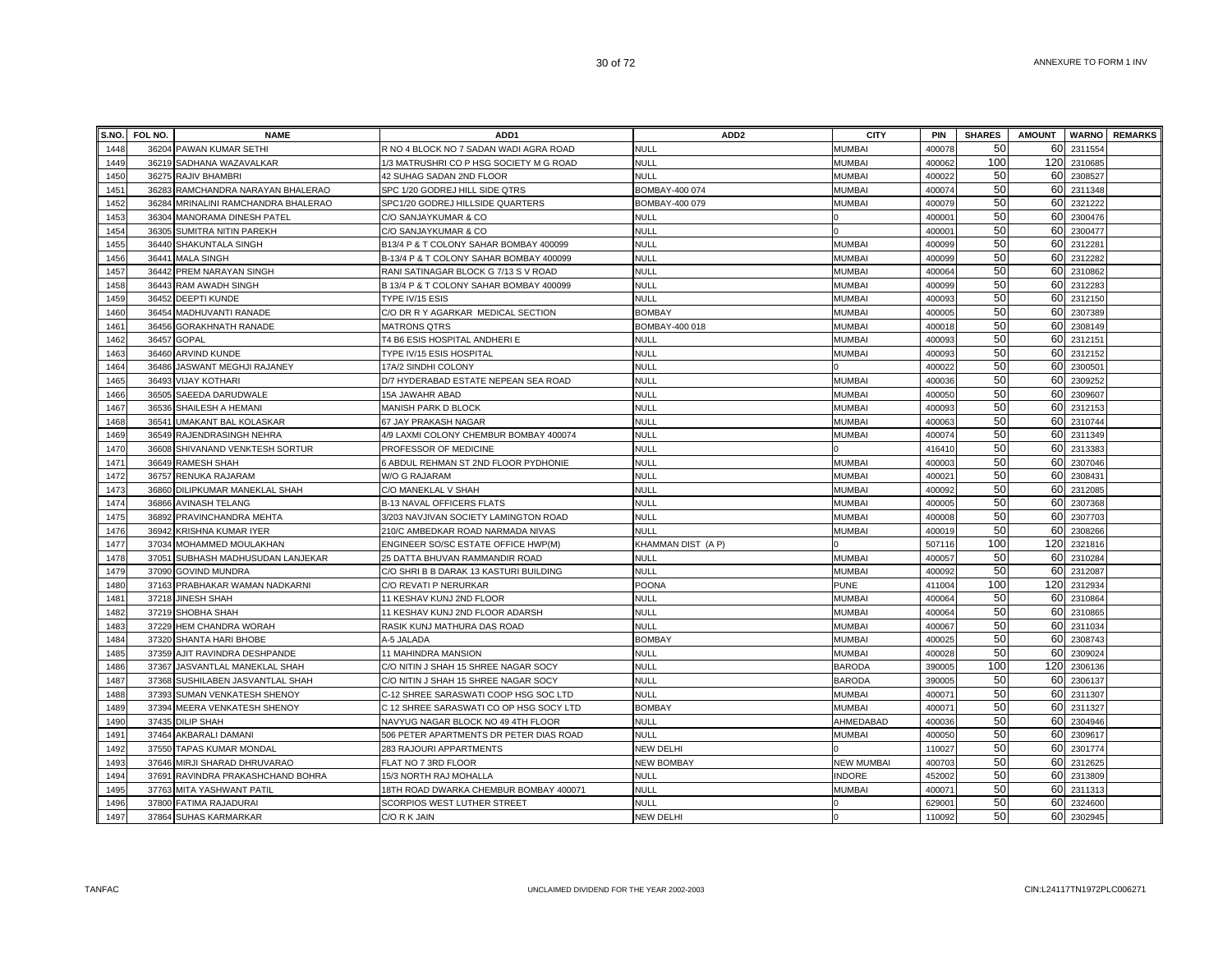| S.NO.        | FOL NO. | <b>NAME</b>                         | ADD1                                    | ADD <sub>2</sub>   | <b>CITY</b>       | <b>PIN</b>                   | <b>SHARES</b> | <b>AMOUNT</b> |                    | <b>WARNO</b> REMARKS |
|--------------|---------|-------------------------------------|-----------------------------------------|--------------------|-------------------|------------------------------|---------------|---------------|--------------------|----------------------|
| 1448         |         | 36204 PAWAN KUMAR SETHI             | R NO 4 BLOCK NO 7 SADAN WADI AGRA ROAD  | <b>NULL</b>        | <b>MUMBAI</b>     | 400078                       | 50            | 60            | 2311554            |                      |
| 1449         |         | 36219 SADHANA WAZAVALKAR            | 1/3 MATRUSHRI CO P HSG SOCIETY M G ROAD | <b>NULL</b>        | <b>MUMBA</b>      | 400062                       | 100           | 120           | 2310685            |                      |
| 1450         |         | 36275 RAJIV BHAMBRI                 | 42 SUHAG SADAN 2ND FLOOR                | <b>NULL</b>        | <b>MUMBA</b>      | 400022                       | 50            | 60            | 2308527            |                      |
| 1451         |         | 36283 RAMCHANDRA NARAYAN BHALERAO   | SPC 1/20 GODREJ HILL SIDE QTRS          | BOMBAY-400 074     | <b>MUMBAI</b>     | 400074                       | 50            | 60            | 2311348            |                      |
| 1452         |         | 36284 MRINALINI RAMCHANDRA BHALERAO | SPC1/20 GODREJ HILLSIDE QUARTERS        | BOMBAY-400 079     | <b>MUMBAI</b>     | 40007                        | 50            | 60            | 2321222            |                      |
| 1453         |         | 36304 MANORAMA DINESH PATEL         | C/O SANJAYKUMAR & CO                    | <b>NULL</b>        |                   | 40000 <sup>-</sup>           | 50            | 60            | 2300476            |                      |
| 1454         |         | 36305 SUMITRA NITIN PAREKH          | C/O SANJAYKUMAR & CO                    | <b>NULL</b>        |                   | 400001                       | 50            | 60            | 2300477            |                      |
| 1455         |         | 36440 SHAKUNTALA SINGH              | B13/4 P & T COLONY SAHAR BOMBAY 400099  | <b>NULL</b>        | <b>MUMBA</b>      | 400099                       | 50            | 60            | 2312281            |                      |
| 1456         |         | 36441 MALA SINGH                    | B-13/4 P & T COLONY SAHAR BOMBAY 400099 | <b>NULL</b>        | <b>MUMBAI</b>     | 400099                       | 50            | 60            | 2312282            |                      |
| 1457         |         | 36442 PREM NARAYAN SINGH            | RANI SATINAGAR BLOCK G 7/13 S V ROAD    | <b>NULL</b>        | <b>MUMBAI</b>     | 400064                       | 50            | 60            | 2310862            |                      |
| 1458         |         | 36443 RAM AWADH SINGH               | B 13/4 P & T COLONY SAHAR BOMBAY 400099 | NULL               | <b>MUMBA</b>      | 400099                       | 50            | 60            | 231228             |                      |
| 1459         |         | 36452 DEEPTI KUNDE                  | TYPE IV/15 ESIS                         | <b>NULL</b>        | <b>MUMBA</b>      | 400093                       | 50            | 60            | 2312150            |                      |
| 1460         |         | 36454 MADHUVANTI RANADE             | C/O DR R Y AGARKAR MEDICAL SECTION      | <b>BOMBAY</b>      | <b>MUMBA</b>      | 400005                       | 50            | 60            | 2307389            |                      |
| 1461         |         | 36456 GORAKHNATH RANADE             | <b>MATRONS QTRS</b>                     | BOMBAY-400 018     | <b>MUMBAI</b>     | 40001                        | 50            | 60            | 2308149            |                      |
| 1462         |         | 36457 GOPAL                         | T4 B6 ESIS HOSPITAL ANDHERI E           | <b>NULL</b>        | <b>MUMBAI</b>     | 400093                       | 50            | 60            | 2312151            |                      |
| 1463         |         | 36460 ARVIND KUNDE                  | TYPE IV/15 ESIS HOSPITAL                | <b>NULL</b>        | <b>MUMBAI</b>     | 400093                       | 50            | 60            | 2312152            |                      |
| 1464         | 36486   | JASWANT MEGHJI RAJANEY              | 17A/2 SINDHI COLONY                     | <b>NULL</b>        |                   | 400022                       | 50            | 60            | 2300501            |                      |
| 1465         |         | 36493 VIJAY KOTHARI                 | D/7 HYDERABAD ESTATE NEPEAN SEA ROAD    | <b>NULL</b>        | <b>MUMBA</b>      | 400036                       | 50            | 60            | 2309252            |                      |
| 1466         | 36505   | SAEEDA DARUDWALE                    | 15A JAWAHR ABAD                         | <b>NULL</b>        | <b>MUMBA</b>      | 400050                       | 50            | 60            | 2309607            |                      |
| 1467         |         | 36536 SHAILESH A HEMANI             | MANISH PARK D BLOCK                     | <b>NULL</b>        | <b>MUMBA</b>      | 400093                       | 50            | 60            | 2312153            |                      |
| 1468         |         | 36541 UMAKANT BAL KOLASKAR          | 67 JAY PRAKASH NAGAR                    | <b>NULL</b>        | <b>MUMBAI</b>     | 400063                       | 50            | 60            | 2310744            |                      |
| 1469         |         | 36549 RAJENDRASINGH NEHRA           | 4/9 LAXMI COLONY CHEMBUR BOMBAY 400074  | <b>NULL</b>        | <b>MUMBAI</b>     | 400074                       | 50            | 60            | 2311349            |                      |
| 1470         | 36608   | SHIVANAND VENKTESH SORTUR           | PROFESSOR OF MEDICINE                   | <b>NULL</b>        |                   | 41641                        | 50            | 60            | 2313383            |                      |
| 1471         |         | 36649 RAMESH SHAH                   | 6 ABDUL REHMAN ST 2ND FLOOR PYDHONIE    | <b>NULL</b>        | <b>MUMBAI</b>     | 40000                        | 50            | 60            | 2307046            |                      |
| 1472         |         | 36757 RENUKA RAJARAM                | W/O G RAJARAM                           | <b>NULL</b>        | <b>MUMBAI</b>     | 40002                        | 50            | 60            | 2308431            |                      |
| 1473         |         | 36860 DILIPKUMAR MANEKLAL SHAH      | C/O MANEKLAL V SHAH                     | <b>NULL</b>        | <b>MUMBAI</b>     | 400092                       | 50            | 60            | 2312085            |                      |
| 1474         |         | 36866 AVINASH TELANG                | B-13 NAVAL OFFICERS FLATS               | <b>NULL</b>        | <b>MUMBAI</b>     | 400005                       | 50            | 60            | 2307368            |                      |
| 1475         |         | 36892 PRAVINCHANDRA MEHTA           | 3/203 NAVJIVAN SOCIETY LAMINGTON ROAD   | NULL               | <b>MUMBAI</b>     | 400008                       | 50            | 60            | 2307703            |                      |
| 1476         |         | 36942 KRISHNA KUMAR IYER            | 210/C AMBEDKAR ROAD NARMADA NIVAS       | <b>NULL</b>        | <b>MUMBA</b>      | 400019                       | 50            | 60            | 2308266            |                      |
| 1477         |         | 37034 MOHAMMED MOULAKHAN            | ENGINEER SO/SC ESTATE OFFICE HWP(M)     | KHAMMAN DIST (A P) |                   | 507116                       | 100           | 120           | 2321816            |                      |
| 1478         |         | 37051 SUBHASH MADHUSUDAN LANJEKAR   | 25 DATTA BHUVAN RAMMANDIR ROAD          | <b>NULL</b>        | <b>MUMBAI</b>     | 400057                       | 50            | 60            | 2310284            |                      |
| 1479         |         | 37090 GOVIND MUNDRA                 | C/O SHRI B B DARAK 13 KASTURI BUILDING  | <b>NULL</b>        | <b>MUMBA</b>      | 400092                       | 50            | 60            | 2312087            |                      |
| 1480         |         | 37163 PRABHAKAR WAMAN NADKARNI      | C/O REVATI P NERURKAR                   | POONA              | <b>PUNE</b>       | 411004                       | 100           | 120           | 231293             |                      |
| 1481         | 37218   | <b>JINESH SHAH</b>                  | 11 KESHAV KUNJ 2ND FLOOR                | <b>NULL</b>        | <b>MUMBA</b>      | 400064                       | 50            | 60            | 2310864            |                      |
| 1482         |         | 37219 SHOBHA SHAH                   | 11 KESHAV KUNJ 2ND FLOOR ADARSH         | <b>NULL</b>        | <b>MUMBA</b>      | 400064                       | 50            | 60            | 2310865            |                      |
| 1483         |         | 37229 HEM CHANDRA WORAH             | RASIK KUNJ MATHURA DAS ROAD             | <b>NULL</b>        | <b>MUMBAI</b>     | 400067                       | 50            | 60            | 2311034            |                      |
| 1484         |         | 37320 SHANTA HARI BHOBE             | A-5 JALADA                              | <b>BOMBAY</b>      | <b>MUMBAI</b>     | 40002                        | 50            | 60            | 2308743            |                      |
| 1485         |         | 37359 AJIT RAVINDRA DESHPANDE       | 11 MAHINDRA MANSION                     | <b>NULL</b>        | <b>MUMBAI</b>     | 400028                       | 50            | 60            | 2309024            |                      |
| 1486         |         | 37367 JASVANTLAL MANEKLAL SHAH      | C/O NITIN J SHAH 15 SHREE NAGAR SOCY    | <b>NULL</b>        | <b>BARODA</b>     | 390005                       | 100           | 120           | 2306136            |                      |
| 1487         |         | 37368 SUSHILABEN JASVANTLAL SHAH    | C/O NITIN J SHAH 15 SHREE NAGAR SOCY    | <b>NULL</b>        | <b>BARODA</b>     | 390005                       | 50            | 60            | 2306137            |                      |
| 1488         |         | 37393 SUMAN VENKATESH SHENOY        | C-12 SHREE SARASWATI COOP HSG SOC LTD   | <b>NULL</b>        | <b>MUMBAI</b>     | 40007                        | 50            | 60            | 2311307            |                      |
| 1489         |         | 37394 MEERA VENKATESH SHENOY        | C 12 SHREE SARASWATI CO OP HSG SOCY LTD | <b>BOMBAY</b>      | <b>MUMBAI</b>     | 40007                        | 50            | 60            | 2311327            |                      |
| 1490         |         | 37435 DILIP SHAH                    | NAVYUG NAGAR BLOCK NO 49 4TH FLOOR      | <b>NULL</b>        | AHMEDABAD         | 400036                       | 50            | 60            | 2304946            |                      |
| 1491         |         | 37464 AKBARALI DAMANI               | 506 PETER APARTMENTS DR PETER DIAS ROAD | <b>NULL</b>        | <b>MUMBAI</b>     | 400050                       | 50            | 60            | 230961             |                      |
| 1492         |         | 37550 TAPAS KUMAR MONDAL            | 283 RAJOURI APPARTMENTS                 | <b>NEW DELHI</b>   |                   | 110027                       | 50            | 60            | 2301774            |                      |
| 1493         |         | 37646 MIRJI SHARAD DHRUVARAO        | FLAT NO 7 3RD FLOOR                     | <b>NEW BOMBAY</b>  | <b>NEW MUMBAI</b> | 400703                       | 50            | 60            | 2312625            |                      |
| 1494         |         | 37691 RAVINDRA PRAKASHCHAND BOHRA   | 15/3 NORTH RAJ MOHALLA                  | <b>NULL</b>        | <b>INDORE</b>     | 452002                       | 50            | 60            | 2313809            |                      |
| 1495         |         | 37763 MITA YASHWANT PATIL           | 18TH ROAD DWARKA CHEMBUR BOMBAY 400071  | <b>NULL</b>        | <b>MUMBAI</b>     | 40007                        | 50<br>50      | 60            | 2311313<br>2324600 |                      |
| 1496<br>1497 |         | 37800 FATIMA RAJADURAI              | SCORPIOS WEST LUTHER STREET             | <b>NULL</b>        |                   | 62900 <sup>-</sup><br>110092 | 50            | 60<br>60      |                    |                      |
|              |         | 37864 SUHAS KARMARKAR               | C/O R K JAIN                            | <b>NEW DELHI</b>   |                   |                              |               |               | 2302945            |                      |

TANFAC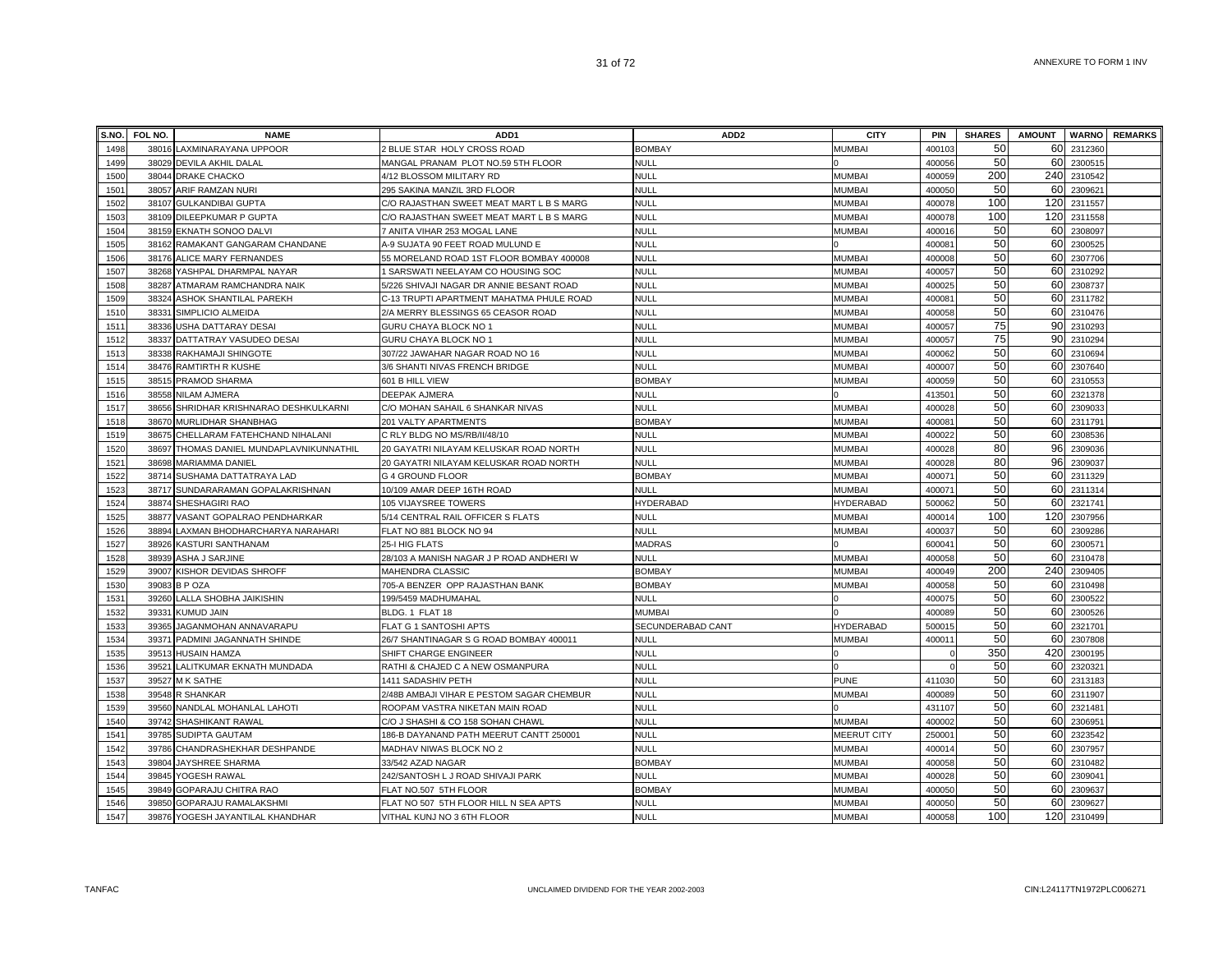| S.NO.        | FOL NO. | <b>NAME</b>                        | ADD <sub>1</sub>                          | ADD <sub>2</sub>           | <b>CITY</b>        | <b>PIN</b> | <b>SHARES</b> | <b>AMOUNT</b> |                        | <b>WARNO</b> REMARKS |
|--------------|---------|------------------------------------|-------------------------------------------|----------------------------|--------------------|------------|---------------|---------------|------------------------|----------------------|
| 1498         | 38016   | LAXMINARAYANA UPPOOR               | 2 BLUE STAR HOLY CROSS ROAD               | <b>BOMBAY</b>              | <b>MUMBAI</b>      | 40010      | 50            | 60            | 2312360                |                      |
| 1499         | 38029   | <b>DEVILA AKHIL DALAL</b>          | MANGAL PRANAM PLOT NO.59 5TH FLOOR        | null                       |                    | 400056     | 50            | 60            | 2300515                |                      |
| 1500         |         | 38044 DRAKE CHACKO                 | 4/12 BLOSSOM MILITARY RD                  | <b>NULL</b>                | <b>MUMBAI</b>      | 400059     | 200           |               | 240 2310542            |                      |
| 1501         |         | 38057 ARIF RAMZAN NURI             | 295 SAKINA MANZIL 3RD FLOOR               | <b>NULL</b>                | <b>MUMBAI</b>      | 400050     | 50            |               | 60 2309621             |                      |
| 1502         |         | 38107 GULKANDIBAI GUPTA            | C/O RAJASTHAN SWEET MEAT MART L B S MARG  | <b>NULL</b>                | <b>MUMBAI</b>      | 40007      | 100           | 120           | 2311557                |                      |
| 1503         |         | 38109 DILEEPKUMAR P GUPTA          | C/O RAJASTHAN SWEET MEAT MART L B S MARG  | NULL                       | <b>MUMBAI</b>      | 400078     | 100           | 120           | 2311558                |                      |
| 1504         |         | 38159 EKNATH SONOO DALVI           | 7 ANITA VIHAR 253 MOGAL LANE              | NULL                       | <b>MUMBAI</b>      | 400016     | 50            |               | 60 2308097             |                      |
| 1505         |         | 38162 RAMAKANT GANGARAM CHANDANE   | A-9 SUJATA 90 FEET ROAD MULUND E          | NULL                       |                    | 40008      | 50            | 60            | 2300525                |                      |
| 1506         |         | 38176 ALICE MARY FERNANDES         | 55 MORELAND ROAD 1ST FLOOR BOMBAY 400008  | null                       | MUMBAI             | 400008     | 50            | 60            | 2307706                |                      |
| 1507         | 38268   | YASHPAL DHARMPAL NAYAR             | 1 SARSWATI NEELAYAM CO HOUSING SOC        | <b>NULL</b>                | <b>MUMBAI</b>      | 40005      | 50            |               | 60 2310292             |                      |
| 1508         | 38287   | ATMARAM RAMCHANDRA NAIK            | 5/226 SHIVAJI NAGAR DR ANNIE BESANT ROAD  | NULL                       | <b>MUMBAI</b>      | 40002      | 50            | 60            | 2308737                |                      |
| 1509         | 38324   | ASHOK SHANTILAL PAREKH             | C-13 TRUPTI APARTMENT MAHATMA PHULE ROAD  | <b>NULL</b>                | <b>MUMBAI</b>      | 40008      | 50            | 60            | 2311782                |                      |
| 1510         | 38331   | SIMPLICIO ALMEIDA                  | 2/A MERRY BLESSINGS 65 CEASOR ROAD        | NULL                       | <b>MUMBAI</b>      | 400058     | 50            | 60            | 2310476                |                      |
| 1511         |         | 38336 USHA DATTARAY DESAI          | GURU CHAYA BLOCK NO 1                     | NULL                       | <b>MUMBAI</b>      | 400057     | 75            | 90            | 2310293                |                      |
| 1512         |         | 38337 DATTATRAY VASUDEO DESAI      | GURU CHAYA BLOCK NO 1                     | NULL                       | <b>MUMBAI</b>      | 40005      | 75            | 90            | 2310294                |                      |
| 1513         |         | 38338 RAKHAMAJI SHINGOTE           | 307/22 JAWAHAR NAGAR ROAD NO 16           | NULL                       | <b>MUMBAI</b>      | 400062     | 50            | 60            | 2310694                |                      |
| 1514         |         | 38476 RAMTIRTH R KUSHE             | 3/6 SHANTI NIVAS FRENCH BRIDGE            | <b>NULL</b>                | <b>MUMBAI</b>      | 400007     | 50            | 60            | 2307640                |                      |
| 1515         |         | 38515 PRAMOD SHARMA                | 601 B HILL VIEW                           | <b>BOMBAY</b>              | MUMBAI             | 400059     | 50            | 60            | 2310553                |                      |
| 1516         |         | 38558 NILAM AJMERA                 | DEEPAK AJMERA                             | <b>NULL</b>                |                    | 41350      | 50            |               | 60 2321378             |                      |
| 1517         | 38656   | SHRIDHAR KRISHNARAO DESHKULKARNI   | C/O MOHAN SAHAIL 6 SHANKAR NIVAS          | NULL                       | MUMBAI             | 400028     | 50            | 60            | 2309033                |                      |
| 1518         | 38670   | MURLIDHAR SHANBHAG                 | 201 VALTY APARTMENTS                      | <b>BOMBAY</b>              | <b>MUMBAI</b>      | 40008      | 50            | 60            | 2311791                |                      |
| 1519         | 38675   | CHELLARAM FATEHCHAND NIHALANI      | C RLY BLDG NO MS/RB/II/48/10              | NULL                       | <b>MUMBAI</b>      | 40002      | 50            | 60            | 2308536                |                      |
| 1520         | 38697   | THOMAS DANIEL MUNDAPLAVNIKUNNATHIL | 20 GAYATRI NILAYAM KELUSKAR ROAD NORTH    | <b>NULL</b>                | <b>MUMBAI</b>      | 40002      | 80            | 96            | 2309036                |                      |
| 1521         | 38698   | <b>MARIAMMA DANIEL</b>             | 20 GAYATRI NILAYAM KELUSKAR ROAD NORTH    | <b>NULL</b>                | <b>MUMBAI</b>      | 400028     | 80            | 96            | 2309037                |                      |
| 1522         | 38714   | SUSHAMA DATTATRAYA LAD             | <b>G 4 GROUND FLOOR</b>                   | <b>BOMBAY</b>              | <b>MUMBAI</b>      | 40007      | 50            |               | 60 2311329             |                      |
| 1523         | 38717   | SUNDARARAMAN GOPALAKRISHNAN        | 10/109 AMAR DEEP 16TH ROAD                | <b>NULL</b>                | <b>MUMBAI</b>      | 40007      | 50            |               | 60 2311314             |                      |
| 1524         | 38874   | SHESHAGIRI RAO                     | 105 VIJAYSREE TOWERS                      | <b>HYDERABAD</b>           | <b>HYDERABAD</b>   | 500062     | 50            | 60            | 2321741                |                      |
| 1525         | 38877   | VASANT GOPALRAO PENDHARKAR         | 5/14 CENTRAL RAIL OFFICER S FLATS         | <b>NULL</b>                | <b>MUMBAI</b>      | 40001      | 100           | 120           | 2307956                |                      |
| 1526         | 38894   | LAXMAN BHODHARCHARYA NARAHARI      | FLAT NO 881 BLOCK NO 94                   | NULL                       | <b>MUMBAI</b>      | 40003      | 50            |               | 60 2309286             |                      |
| 1527         | 38926   | <b>KASTURI SANTHANAM</b>           | 25-I HIG FLATS                            | <b>MADRAS</b>              |                    | 60004      | 50            | 60            | 2300571                |                      |
| 1528         | 38939   | <b>ASHA J SARJINE</b>              | 28/103 A MANISH NAGAR J P ROAD ANDHERI W  | NULL                       | <b>MUMBAI</b>      | 40005      | 50            |               | 60 2310478             |                      |
| 1529         | 39007   | KISHOR DEVIDAS SHROFF              | <b>MAHENDRA CLASSIC</b>                   | <b>BOMBAY</b>              | <b>MUMBAI</b>      | 40004      | 200           |               | 240 2309405            |                      |
| 1530         | 39083   | <b>BPOZA</b>                       | 705-A BENZER OPP RAJASTHAN BANK           | <b>BOMBAY</b>              | <b>MUMBAI</b>      | 40005      | 50            | 60            | 2310498                |                      |
| 1531         | 39260   | LALLA SHOBHA JAIKISHIN             | 199/5459 MADHUMAHAL                       | <b>NULL</b>                |                    | 40007      | 50            |               | 60 2300522             |                      |
| 1532         | 39331   | <b>KUMUD JAIN</b>                  | BLDG. 1 FLAT 18                           | MUMBAI                     |                    | 400089     | 50            | 60            | 2300526                |                      |
| 1533         |         | 39365 JAGANMOHAN ANNAVARAPU        | FLAT G 1 SANTOSHI APTS                    | SECUNDERABAD CANT          | <b>HYDERABAD</b>   | 50001      | 50            | 60            | 2321701                |                      |
| 1534         | 39371   | PADMINI JAGANNATH SHINDE           | 26/7 SHANTINAGAR S G ROAD BOMBAY 400011   | <b>NULL</b>                | MUMBAI             | 40001      | 50            | 60I           | 2307808                |                      |
| 1535         |         | 39513 HUSAIN HAMZA                 | SHIFT CHARGE ENGINEER                     | <b>NULL</b>                |                    |            | 350           | 420           | 2300195                |                      |
| 1536         | 39521   | LALITKUMAR EKNATH MUNDADA          | RATHI & CHAJED C A NEW OSMANPURA          | NULL                       |                    |            | 50            | 60            | 2320321                |                      |
| 1537         |         | 39527 M K SATHE                    | 1411 SADASHIV PETH                        | NULL                       | <b>PUNE</b>        | 411030     | 50            | 60            | 2313183                |                      |
| 1538         | 39548   | <b>R SHANKAR</b>                   | 2/48B AMBAJI VIHAR E PESTOM SAGAR CHEMBUR | NULL                       | <b>MUMBAI</b>      | 400089     | 50            |               | 60 2311907             |                      |
| 1539         | 39560   | NANDLAL MOHANLAL LAHOTI            | ROOPAM VASTRA NIKETAN MAIN ROAD           | NULL                       |                    | 431107     | 50            | 60            | 2321481                |                      |
| 1540         | 39742   | SHASHIKANT RAWAL                   | C/O J SHASHI & CO 158 SOHAN CHAWL         | <b>NULL</b>                | <b>MUMBAI</b>      | 40000      | 50            | 60            | 2306951                |                      |
| 1541         | 39785   | SUDIPTA GAUTAM                     | 186-B DAYANAND PATH MEERUT CANTT 250001   | NULL                       | <b>MEERUT CITY</b> | 25000      | 50            | 60            | 2323542                |                      |
| 1542         | 39786   | CHANDRASHEKHAR DESHPANDE           | MADHAV NIWAS BLOCK NO 2                   | NULL                       | <b>MUMBAI</b>      | 40001      | 50            | 60            | 2307957                |                      |
| 1543         | 39804   | JAYSHREE SHARMA                    | 33/542 AZAD NAGAR                         | <b>BOMBAY</b>              | <b>MUMBAI</b>      | 400058     | 50            | 60            | 2310482                |                      |
| 1544         | 39845   | YOGESH RAWAL                       | 242/SANTOSH L J ROAD SHIVAJI PARK         | NULL                       | <b>MUMBAI</b>      | 400028     | 50<br>50      | 60            | 2309041                |                      |
| 1545         | 39849   | <b>GOPARAJU CHITRA RAO</b>         | FLAT NO.507 5TH FLOOR                     | <b>BOMBAY</b>              | <b>MUMBAI</b>      | 400050     | 50            | 60<br>60      | 2309637                |                      |
| 1546<br>1547 | 39850   | GOPARAJU RAMALAKSHMI               | FLAT NO 507 5TH FLOOR HILL N SEA APTS     | <b>NULL</b><br><b>NULL</b> | <b>MUMBAI</b>      | 400050     | 100           |               | 2309627<br>120 2310499 |                      |
|              |         | 39876 YOGESH JAYANTILAL KHANDHAR   | VITHAL KUNJ NO 3 6TH FLOOR                |                            | <b>MUMBAI</b>      | 400058     |               |               |                        |                      |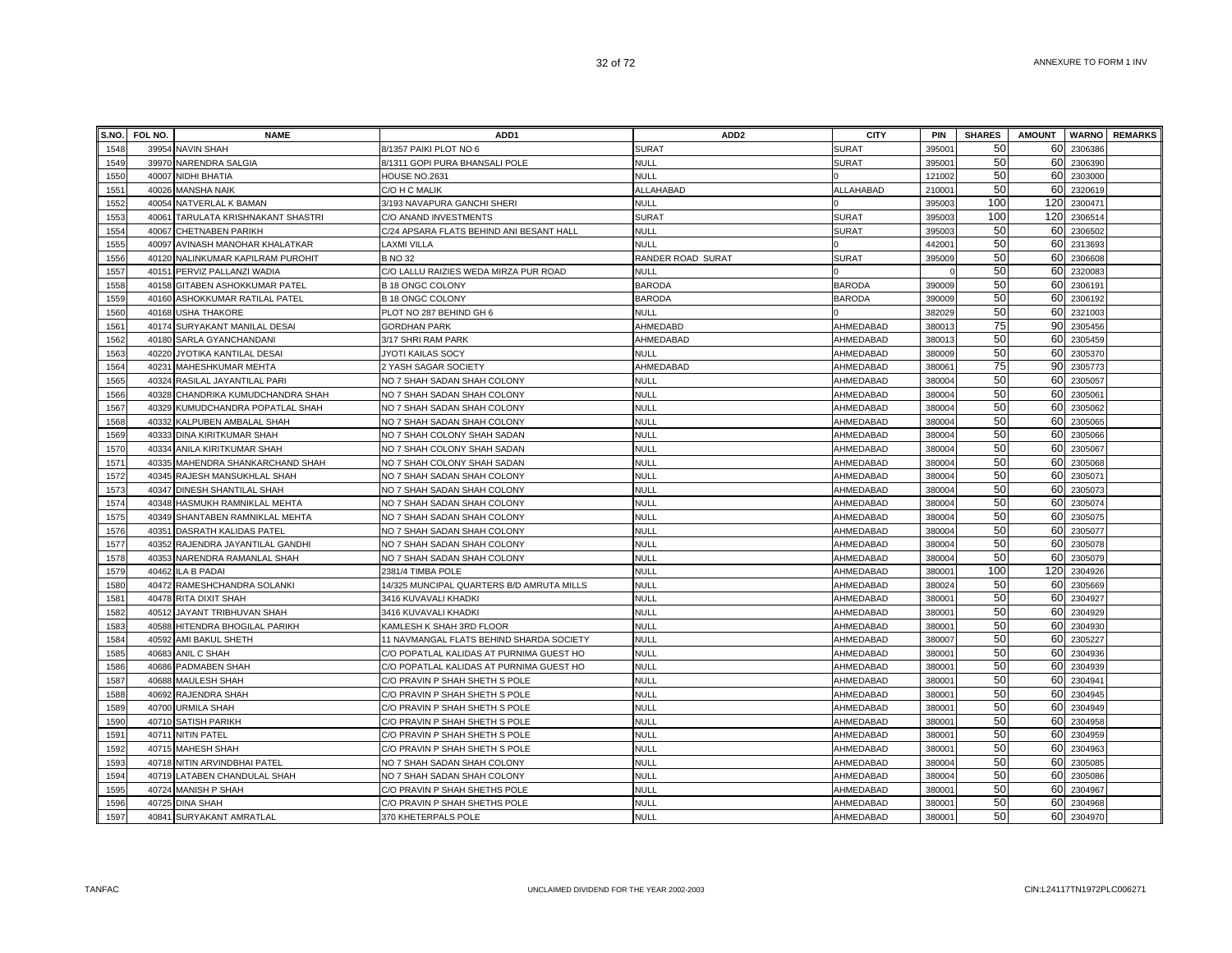| S.NO. | FOL NO. | <b>NAME</b>                       | ADD <sub>1</sub>                          | ADD <sub>2</sub>  | <b>CITY</b>   | <b>PIN</b>         | <b>SHARES</b> | <b>AMOUNT</b> | <b>WARNO</b> | <b>REMARKS</b> |
|-------|---------|-----------------------------------|-------------------------------------------|-------------------|---------------|--------------------|---------------|---------------|--------------|----------------|
| 1548  |         | 39954 NAVIN SHAH                  | 8/1357 PAIKI PLOT NO 6                    | <b>SURAT</b>      | <b>SURAT</b>  | 39500              | 50            | 60            | 2306386      |                |
| 1549  |         | 39970 NARENDRA SALGIA             | 8/1311 GOPI PURA BHANSALI POLE            | <b>NULL</b>       | <b>SURAT</b>  | 39500 <sup>-</sup> | 50            | 60            | 2306390      |                |
| 1550  |         | 40007 NIDHI BHATIA                | HOUSE NO.2631                             | <b>NULL</b>       |               | 121002             | 50            | 60            | 2303000      |                |
| 1551  |         | 40026 MANSHA NAIK                 | C/O H C MALIK                             | ALLAHABAD         | ALLAHABAD     | 210001             | 50            | 60            | 2320619      |                |
| 1552  |         | 40054 NATVERLAL K BAMAN           | 3/193 NAVAPURA GANCHI SHERI               | <b>NULL</b>       |               | 395003             | 100           | 120           | 2300471      |                |
| 1553  | 40061   | TARULATA KRISHNAKANT SHASTRI      | C/O ANAND INVESTMENTS                     | <b>SURAT</b>      | <b>SURAT</b>  | 395003             | 100           | 120           | 230651       |                |
| 1554  |         | 40067 CHETNABEN PARIKH            | C/24 APSARA FLATS BEHIND ANI BESANT HALL  | <b>NULL</b>       | <b>SURAT</b>  | 395003             | 50            | 60            | 2306502      |                |
| 1555  | 40097   | AVINASH MANOHAR KHALATKAR         | LAXMI VILLA                               | NULL              |               | 44200              | 50            | 60            | 2313693      |                |
| 1556  |         | 40120 NALINKUMAR KAPILRAM PUROHIT | <b>B NO 32</b>                            | RANDER ROAD SURAT | <b>SURAT</b>  | 395009             | 50            | 60            | 2306608      |                |
| 1557  |         | 40151 PERVIZ PALLANZI WADIA       | C/O LALLU RAIZIES WEDA MIRZA PUR ROAD     | <b>NULL</b>       |               |                    | 50            | 60            | 2320083      |                |
| 1558  |         | 40158 GITABEN ASHOKKUMAR PATEL    | <b>B 18 ONGC COLONY</b>                   | <b>BARODA</b>     | <b>BARODA</b> | 390009             | 50            | 60            | 2306191      |                |
| 1559  |         | 40160 ASHOKKUMAR RATILAL PATEL    | <b>B 18 ONGC COLONY</b>                   | <b>BARODA</b>     | <b>BARODA</b> | 390009             | 50            | 60            | 2306192      |                |
| 1560  |         | 40168 USHA THAKORE                | PLOT NO 287 BEHIND GH 6                   | <b>NULL</b>       |               | 382029             | 50            | 60            | 2321003      |                |
| 1561  |         | 40174 SURYAKANT MANILAL DESAI     | <b>GORDHAN PARK</b>                       | AHMEDABD          | AHMEDABAD     | 38001              | 75            | 90            | 2305456      |                |
| 1562  |         | 40180 SARLA GYANCHANDANI          | 3/17 SHRI RAM PARK                        | AHMEDABAD         | AHMEDABAD     | 38001              | 50            | 60            | 2305459      |                |
| 1563  | 40220   | JYOTIKA KANTILAL DESAI            | JYOTI KAILAS SOCY                         | NULL              | AHMEDABAD     | 380009             | 50            | 60            | 2305370      |                |
| 1564  |         | 40231 MAHESHKUMAR MEHTA           | 2 YASH SAGAR SOCIETY                      | AHMEDABAD         | AHMEDABAD     | 38006              | 75            | 90            | 2305773      |                |
| 1565  |         | 40324 RASILAL JAYANTILAL PARI     | NO 7 SHAH SADAN SHAH COLONY               | <b>NULL</b>       | AHMEDABAD     | 380004             | 50            | 60            | 2305057      |                |
| 1566  |         | 40328 CHANDRIKA KUMUDCHANDRA SHAH | NO 7 SHAH SADAN SHAH COLONY               | <b>NULL</b>       | AHMEDABAD     | 38000              | 50            | 60            | 2305061      |                |
| 1567  |         | 40329 KUMUDCHANDRA POPATLAL SHAH  | NO 7 SHAH SADAN SHAH COLONY               | <b>NULL</b>       | AHMEDABAD     | 38000              | 50            | 60            | 2305062      |                |
| 1568  |         | 40332 KALPUBEN AMBALAL SHAH       | NO 7 SHAH SADAN SHAH COLONY               | <b>NULL</b>       | AHMEDABAD     | 38000              | 50            | 60            | 2305065      |                |
| 1569  |         | 40333 DINA KIRITKUMAR SHAH        | NO 7 SHAH COLONY SHAH SADAN               | <b>NULL</b>       | AHMEDABAD     | 38000              | 50            | 60            | 2305066      |                |
| 1570  |         | 40334 ANILA KIRITKUMAR SHAH       | NO 7 SHAH COLONY SHAH SADAN               | <b>NULL</b>       | AHMEDABAD     | 38000              | 50            | 60            | 2305067      |                |
| 1571  |         | 40335 MAHENDRA SHANKARCHAND SHAH  | NO 7 SHAH COLONY SHAH SADAN               | <b>NULL</b>       | AHMEDABAD     | 380004             | 50            | 60            | 2305068      |                |
| 1572  |         | 40345 RAJESH MANSUKHLAL SHAH      | NO 7 SHAH SADAN SHAH COLONY               | <b>NULL</b>       | AHMEDABAD     | 380004             | 50            | 60            | 2305071      |                |
| 1573  |         | 40347 DINESH SHANTILAL SHAH       | NO 7 SHAH SADAN SHAH COLONY               | <b>NULL</b>       | AHMEDABAD     | 380004             | 50            | 60            | 2305073      |                |
| 1574  |         | 40348 HASMUKH RAMNIKLAL MEHTA     | NO 7 SHAH SADAN SHAH COLONY               | <b>NULL</b>       | AHMEDABAD     | 380004             | 50            | 60            | 2305074      |                |
| 1575  |         | 40349 SHANTABEN RAMNIKLAL MEHTA   | NO 7 SHAH SADAN SHAH COLONY               | NULL              | AHMEDABAD     | 380004             | 50            | 60            | 2305075      |                |
| 1576  |         | 40351 DASRATH KALIDAS PATEL       | NO 7 SHAH SADAN SHAH COLONY               | <b>NULL</b>       | AHMEDABAD     | 380004             | 50            | 60            | 2305077      |                |
| 1577  |         | 40352 RAJENDRA JAYANTILAL GANDHI  | NO 7 SHAH SADAN SHAH COLONY               | NULL              | AHMEDABAD     | 380004             | 50            | 60            | 2305078      |                |
| 1578  |         | 40353 NARENDRA RAMANLAL SHAH      | NO 7 SHAH SADAN SHAH COLONY               | <b>NULL</b>       | AHMEDABAD     | 380004             | 50            | 60            | 2305079      |                |
| 1579  |         | 40462 ILA B PADAI                 | 2381/4 TIMBA POLE                         | <b>NULL</b>       | AHMEDABAD     | 38000              | 100           | 120           | 2304926      |                |
| 1580  |         | 40472 RAMESHCHANDRA SOLANKI       | 14/325 MUNCIPAL QUARTERS B/D AMRUTA MILLS | <b>NULL</b>       | AHMEDABAD     | 38002              | 50            | 60            | 2305669      |                |
| 1581  |         | 40478 RITA DIXIT SHAH             | 3416 KUVAVALI KHADKI                      | <b>NULL</b>       | AHMEDABAD     | 38000              | 50            | 60            | 2304927      |                |
| 1582  |         | 40512 JAYANT TRIBHUVAN SHAH       | 3416 KUVAVALI KHADKI                      | <b>NULL</b>       | AHMEDABAD     | 38000 <sup>-</sup> | 50            | 60            | 2304929      |                |
| 1583  |         | 40588 HITENDRA BHOGILAL PARIKH    | KAMLESH K SHAH 3RD FLOOR                  | <b>NULL</b>       | AHMEDABAD     | 38000              | 50            | 60            | 2304930      |                |
| 1584  |         | 40592 AMI BAKUL SHETH             | 11 NAVMANGAL FLATS BEHIND SHARDA SOCIETY  | <b>NULL</b>       | AHMEDABAD     | 380007             | 50            | 60            | 2305227      |                |
| 1585  |         | 40683 ANIL C SHAH                 | C/O POPATLAL KALIDAS AT PURNIMA GUEST HO  | <b>NULL</b>       | AHMEDABAD     | 38000 <sup>-</sup> | 50            | 60            | 2304936      |                |
| 1586  |         | 40686 PADMABEN SHAH               | C/O POPATLAL KALIDAS AT PURNIMA GUEST HO  | <b>NULL</b>       | AHMEDABAD     | 38000 <sup>-</sup> | 50            | 60            | 2304939      |                |
| 1587  |         | 40688 MAULESH SHAH                | C/O PRAVIN P SHAH SHETH S POLE            | <b>NULL</b>       | AHMEDABAD     | 38000 <sup>-</sup> | 50            | 60            | 2304941      |                |
| 1588  |         | 40692 RAJENDRA SHAH               | C/O PRAVIN P SHAH SHETH S POLE            | <b>NULL</b>       | AHMEDABAD     | 38000 <sup>-</sup> | 50            | 60            | 2304945      |                |
| 1589  |         | 40700 URMILA SHAH                 | C/O PRAVIN P SHAH SHETH S POLE            | <b>NULL</b>       | AHMEDABAD     | 38000 <sup>-</sup> | 50            | 60            | 2304949      |                |
| 1590  |         | 40710 SATISH PARIKH               | C/O PRAVIN P SHAH SHETH S POLE            | <b>NULL</b>       | AHMEDABAD     | 38000              | 50            | 60            | 2304958      |                |
| 1591  |         | 40711 NITIN PATEL                 | C/O PRAVIN P SHAH SHETH S POLE            | <b>NULL</b>       | AHMEDABAD     | 38000              | 50            | 60            | 2304959      |                |
| 1592  |         | 40715 MAHESH SHAH                 | C/O PRAVIN P SHAH SHETH S POLE            | <b>NULL</b>       | AHMEDABAD     | 38000              | 50            | 60            | 2304963      |                |
| 1593  |         | 40718 NITIN ARVINDBHAI PATEL      | NO 7 SHAH SADAN SHAH COLONY               | <b>NULL</b>       | AHMEDABAD     | 380004             | 50            | 60            | 2305085      |                |
| 1594  |         | 40719 LATABEN CHANDULAL SHAH      | NO 7 SHAH SADAN SHAH COLONY               | <b>NULL</b>       | AHMEDABAD     | 38000              | 50            | 60            | 2305086      |                |
| 1595  |         | 40724 MANISH P SHAH               | C/O PRAVIN P SHAH SHETHS POLE             | <b>NULL</b>       | AHMEDABAD     | 38000              | 50            | 60            | 2304967      |                |
| 1596  |         | 40725 DINA SHAH                   | C/O PRAVIN P SHAH SHETHS POLE             | <b>NULL</b>       | AHMEDABAD     | 38000              | 50            | 60            | 2304968      |                |
| 1597  |         | 40841 SURYAKANT AMRATLAL          | 370 KHETERPALS POLE                       | NULL              | AHMEDABAD     | 380001             | 50            | 60            | 2304970      |                |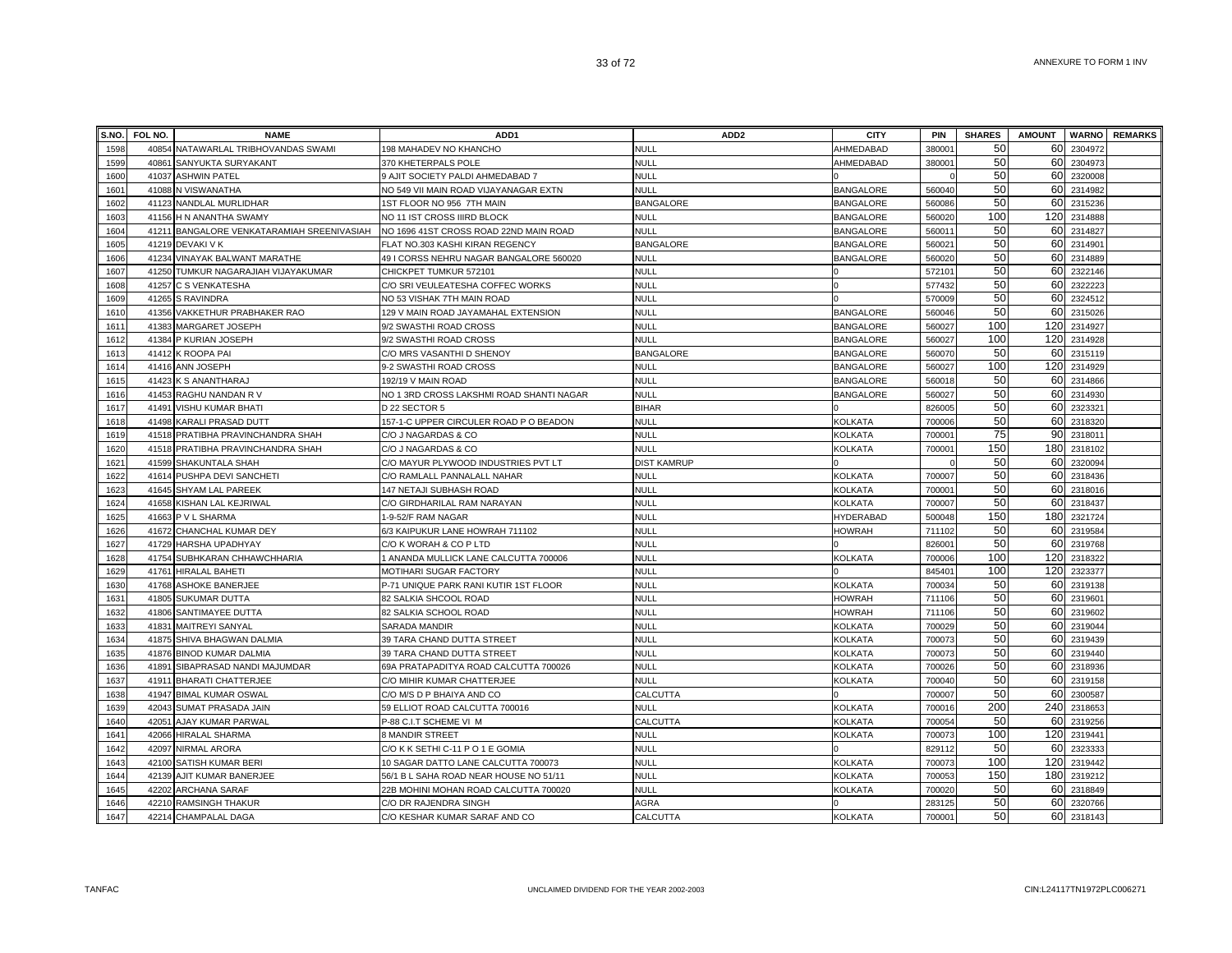|              | S.NO. FOL NO. | <b>NAME</b>                                   | ADD <sub>1</sub>                                               | ADD <sub>2</sub>           | <b>CITY</b>      | <b>PIN</b>      | <b>SHARES</b> | <b>AMOUNT</b> |                        | <b>WARNO REMARKS</b> |
|--------------|---------------|-----------------------------------------------|----------------------------------------------------------------|----------------------------|------------------|-----------------|---------------|---------------|------------------------|----------------------|
| 1598         | 40854         | NATAWARLAL TRIBHOVANDAS SWAMI                 | 198 MAHADEV NO KHANCHO                                         | NULL                       | AHMEDABAD        | 38000           | 50            |               | 60 2304972             |                      |
| 1599         | 40861         | SANYUKTA SURYAKANT                            | 370 KHETERPALS POLE                                            | <b>NULL</b>                | AHMEDABAD        | 38000           | 50            | 60            | 2304973                |                      |
| 1600         | 41037         | <b>ASHWIN PATEL</b>                           | 9 AJIT SOCIETY PALDI AHMEDABAD 7                               | NULL                       |                  |                 | 50            | 60            | 2320008                |                      |
| 1601         |               | 41088 N VISWANATHA                            | NO 549 VII MAIN ROAD VIJAYANAGAR EXTN                          | NULL                       | <b>BANGALORE</b> | 560040          | 50            | 60            | 2314982                |                      |
| 1602         |               | 41123 NANDLAL MURLIDHAR                       | 1ST FLOOR NO 956 7TH MAIN                                      | <b>BANGALORE</b>           | <b>BANGALORE</b> | 560086          | 50            | 60            | 2315236                |                      |
| 1603         |               | 41156 H N ANANTHA SWAMY                       | NO 11 IST CROSS IIIRD BLOCK                                    | NULL                       | <b>BANGALORE</b> | 560020          | 100           | 120           | 2314888                |                      |
| 1604         |               | 41211 BANGALORE VENKATARAMIAH SREENIVASIAH    | NO 1696 41ST CROSS ROAD 22ND MAIN ROAD                         | <b>NULL</b>                | <b>BANGALORE</b> | 56001           | 50            | 60            | 2314827                |                      |
| 1605         | 41219         | <b>DEVAKI V K</b>                             | FLAT NO.303 KASHI KIRAN REGENCY                                | <b>BANGALORE</b>           | <b>BANGALORE</b> | 56002           | 50            | 60            | 2314901                |                      |
| 1606         |               | 41234 VINAYAK BALWANT MARATHE                 | 49 I CORSS NEHRU NAGAR BANGALORE 560020                        | null                       | <b>BANGALORE</b> | 560020          | 50            | 60            | 2314889                |                      |
| 1607         | 41250         | TUMKUR NAGARAJIAH VIJAYAKUMAR                 | CHICKPET TUMKUR 572101                                         | NULL                       |                  | 57210           | 50            | 60            | 2322146                |                      |
| 1608         | 41257         | C S VENKATESHA                                | C/O SRI VEULEATESHA COFFEC WORKS                               | NULL                       |                  | 57743           | 50            | 60            | 2322223                |                      |
| 1609         | 41265         | <b>S RAVINDRA</b>                             | NO 53 VISHAK 7TH MAIN ROAD                                     | <b>NULL</b>                |                  | 57000           | 50            | 60            | 2324512                |                      |
| 1610         |               | 41356 VAKKETHUR PRABHAKER RAO                 | 129 V MAIN ROAD JAYAMAHAL EXTENSION                            | <b>NULL</b>                | <b>BANGALORE</b> | 560046          | 50            |               | 60 2315026             |                      |
| 1611         | 41383         | MARGARET JOSEPH                               | 9/2 SWASTHI ROAD CROSS                                         | <b>NULL</b>                | <b>BANGALORE</b> | 560027          | 100           |               | 120 2314927            |                      |
| 1612         |               | 41384 P KURIAN JOSEPH                         | 9/2 SWASTHI ROAD CROSS                                         | <b>NULL</b>                | <b>BANGALORE</b> | 560027          | 100           |               | 120 2314928            |                      |
| 1613         |               | 41412 K ROOPA PAI                             | C/O MRS VASANTHI D SHENOY                                      | <b>BANGALORE</b>           | <b>BANGALORE</b> | 56007           | 50            |               | 60 2315119             |                      |
| 1614         |               | 41416 ANN JOSEPH                              | 9-2 SWASTHI ROAD CROSS                                         | <b>NULL</b>                | <b>BANGALORE</b> | 560027          | 100           |               | 120 2314929            |                      |
| 1615         |               | 41423 K S ANANTHARAJ                          | 192/19 V MAIN ROAD                                             | <b>NULL</b>                | <b>BANGALORE</b> | 560018          | 50            |               | 60 2314866             |                      |
| 1616         |               | 41453 RAGHU NANDAN R V                        | NO 1 3RD CROSS LAKSHMI ROAD SHANTI NAGAR                       | <b>NULL</b>                | <b>BANGALORE</b> | 56002           | 50            |               | 60 2314930             |                      |
| 1617         |               | 41491 VISHU KUMAR BHATI                       | D 22 SECTOR 5                                                  | <b>BIHAR</b>               |                  | 826005          | 50            |               | 60 2323321             |                      |
| 1618         | 41498         | <b>KARALI PRASAD DUTT</b>                     | 157-1-C UPPER CIRCULER ROAD P O BEADON                         | <b>NULL</b>                | <b>KOLKATA</b>   | 70000           | 50            |               | 60 2318320             |                      |
| 1619         |               | 41518 PRATIBHA PRAVINCHANDRA SHAH             | C/O J NAGARDAS & CO                                            | NULL                       | KOLKATA          | 70000           | 75            | 90            | 2318011                |                      |
| 1620         | 41518         | PRATIBHA PRAVINCHANDRA SHAH                   | C/O J NAGARDAS & CO                                            | <b>NULL</b>                | <b>KOLKATA</b>   | 70000           | 150           | 180           | 2318102                |                      |
| 1621         |               | 41599 SHAKUNTALA SHAH                         | C/O MAYUR PLYWOOD INDUSTRIES PVT LT                            | <b>DIST KAMRUP</b>         |                  |                 | 50            |               | 60 2320094             |                      |
| 1622         |               | 41614 PUSHPA DEVI SANCHETI                    | C/O RAMLALL PANNALALL NAHAR                                    | <b>NULL</b>                | <b>KOLKATA</b>   | 700007          | 50            |               | 60 2318436             |                      |
| 1623         |               | 41645 SHYAM LAL PAREEK                        | 147 NETAJI SUBHASH ROAD                                        | <b>NULL</b>                | <b>KOLKATA</b>   | 70000           | 50            |               | 60 2318016             |                      |
| 1624         |               | 41658 KISHAN LAL KEJRIWAL                     | C/O GIRDHARILAL RAM NARAYAN                                    | <b>NULL</b>                | <b>KOLKATA</b>   | 700007          | 50            | 60            | 2318437                |                      |
| 1625         | 41663         | P V L SHARMA                                  | 1-9-52/F RAM NAGAR                                             | <b>NULL</b>                | <b>HYDERABAD</b> | 500048          | 150           | 180           | 2321724                |                      |
| 1626         |               | 41672 CHANCHAL KUMAR DEY                      | 6/3 KAIPUKUR LANE HOWRAH 711102                                | NULL                       | HOWRAH           | 711102          | 50            | 60            | 2319584                |                      |
| 1627         | 41729         | <b>HARSHA UPADHYAY</b>                        | C/O K WORAH & CO P LTD                                         | NULL                       |                  | 826001          | 50            | 60            | 2319768                |                      |
| 1628         | 41754         | SUBHKARAN CHHAWCHHARIA                        | 1 ANANDA MULLICK LANE CALCUTTA 700006                          | NULL                       | KOLKATA          | 700006          | 100           | 120           | 2318322                |                      |
| 1629         | 41761         | <b>HIRALAL BAHETI</b>                         | MOTIHARI SUGAR FACTORY                                         | <b>NULL</b>                |                  | 84540           | 100           | 120           | 2323377                |                      |
| 1630         | 41768         | <b>ASHOKE BANERJEE</b>                        | P-71 UNIQUE PARK RANI KUTIR 1ST FLOOR                          | NULL                       | <b>KOLKATA</b>   | 70003           | 50            | 60            | 2319138                |                      |
| 1631         | 41805         | SUKUMAR DUTTA                                 | 82 SALKIA SHCOOL ROAD                                          | <b>NULL</b>                | <b>HOWRAH</b>    | 71110           | 50            | 60            | 2319601                |                      |
| 1632         |               | 41806 SANTIMAYEE DUTTA                        | 82 SALKIA SCHOOL ROAD                                          | NULL                       | <b>HOWRAH</b>    | 711106          | 50            | 60            | 2319602                |                      |
| 1633         |               | 41831 MAITREYI SANYAL                         | SARADA MANDIR                                                  | <b>NULL</b>                | <b>KOLKATA</b>   | 700029          | 50            |               | 60 2319044             |                      |
| 1634         |               | 41875 SHIVA BHAGWAN DALMIA                    | 39 TARA CHAND DUTTA STREET                                     | <b>NULL</b>                | <b>KOLKATA</b>   | 700073          | 50            | 60            | 2319439                |                      |
| 1635         |               | 41876 BINOD KUMAR DALMIA                      | 39 TARA CHAND DUTTA STREET                                     | <b>NULL</b>                | <b>KOLKATA</b>   | 700073          | 50            | 60            | 2319440                |                      |
| 1636         | 41891         | SIBAPRASAD NANDI MAJUMDAR                     | 69A PRATAPADITYA ROAD CALCUTTA 700026                          | NULL                       | <b>KOLKATA</b>   | 700026          | 50            | 60            | 2318936                |                      |
| 1637         | 41911         | <b>BHARATI CHATTERJEE</b>                     | C/O MIHIR KUMAR CHATTERJEE                                     | <b>NULL</b>                | KOLKATA          | 700040          | 50            |               | 60 2319158             |                      |
| 1638         |               | 41947 BIMAL KUMAR OSWAL                       | C/O M/S D P BHAIYA AND CO                                      | CALCUTTA                   |                  | 700007          | 50<br>200     | 60            | 2300587                |                      |
| 1639         |               | 42043 SUMAT PRASADA JAIN                      | 59 ELLIOT ROAD CALCUTTA 700016                                 | <b>NULL</b>                | KOLKATA          | 700016          |               |               | 240 2318653            |                      |
| 1640         | 4205          | AJAY KUMAR PARWAL                             | P-88 C.I.T SCHEME VI M                                         | CALCUTTA                   | <b>KOLKATA</b>   | 70005           | 50<br>100     |               | 60 2319256             |                      |
| 1641         | 42066         | <b>HIRALAL SHARMA</b>                         | 8 MANDIR STREET                                                | <b>NULL</b>                | <b>KOLKATA</b>   | 70007           | 50            | 120<br>60     | 2319441                |                      |
| 1642         | 42097         | NIRMAL ARORA                                  | C/O K K SETHI C-11 P O 1 E GOMIA                               | <b>NULL</b>                |                  | 82911           | 100           |               | 2323333                |                      |
| 1643         | 42100         | SATISH KUMAR BERI                             | 10 SAGAR DATTO LANE CALCUTTA 700073                            | <b>NULL</b>                | <b>KOLKATA</b>   | 70007           | 150           |               | 120 2319442            |                      |
| 1644<br>1645 | 42202         | 42139 AJIT KUMAR BANERJEE                     | 56/1 B L SAHA ROAD NEAR HOUSE NO 51/11                         | <b>NULL</b><br><b>NULL</b> | <b>KOLKATA</b>   | 700053          | 50            | 60            | 180 2319212<br>2318849 |                      |
| 1646         |               | <b>ARCHANA SARAF</b><br>42210 RAMSINGH THAKUR | 22B MOHINI MOHAN ROAD CALCUTTA 700020<br>C/O DR RAJENDRA SINGH | AGRA                       | KOLKATA          | 70002<br>283125 | 50            | 60            | 2320766                |                      |
| 1647         |               |                                               |                                                                | CALCUTTA                   |                  | 700001          | 50            |               |                        |                      |
|              |               | 42214 CHAMPALAL DAGA                          | C/O KESHAR KUMAR SARAF AND CO                                  |                            | <b>KOLKATA</b>   |                 |               |               | 60 2318143             |                      |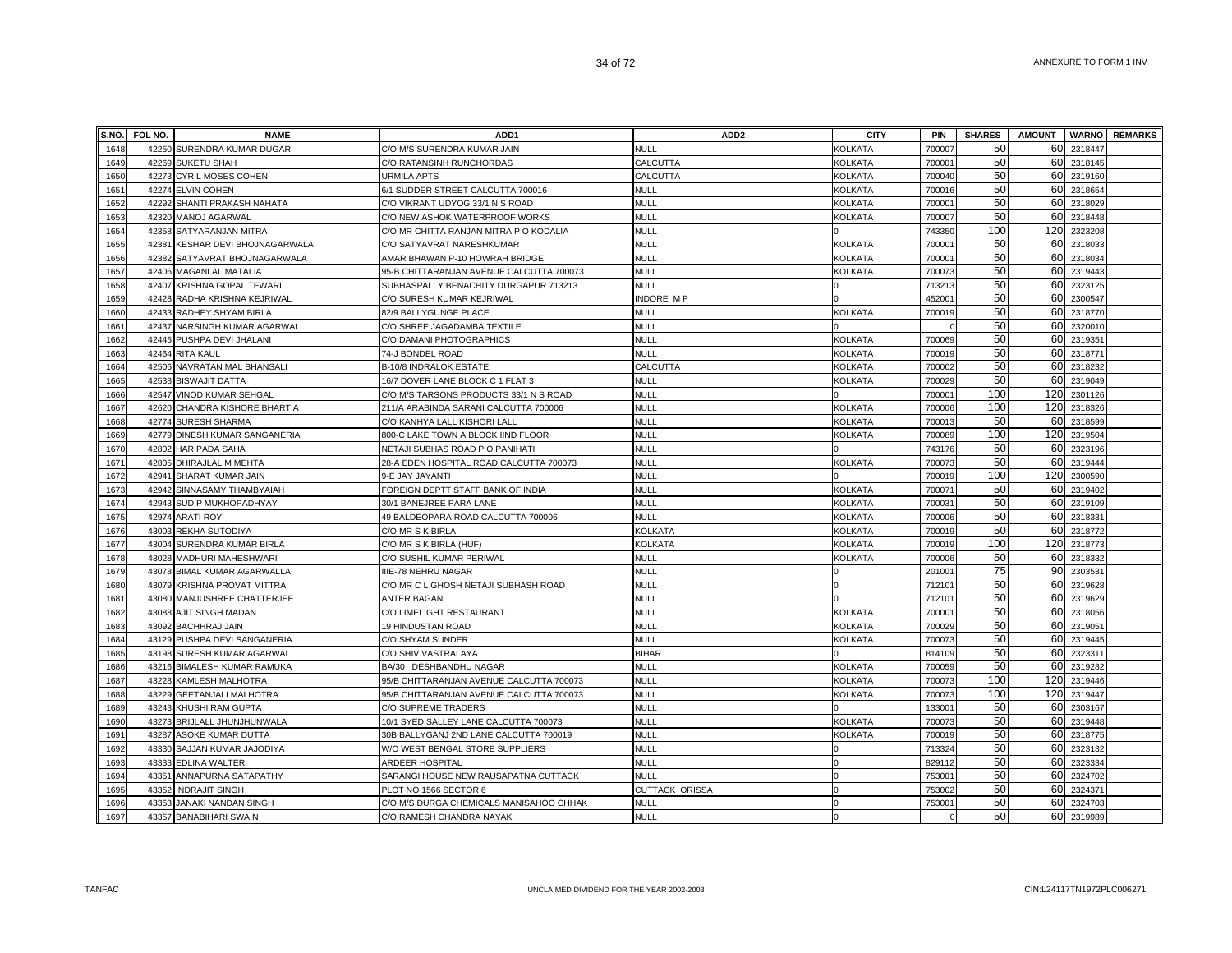|              | S.NO. FOL NO. | <b>NAME</b>                                        | ADD <sub>1</sub>                                                 | ADD <sub>2</sub>              | <b>CITY</b>    | <b>PIN</b>      | <b>SHARES</b> | <b>AMOUNT</b> |                    | <b>WARNO</b> REMARKS |
|--------------|---------------|----------------------------------------------------|------------------------------------------------------------------|-------------------------------|----------------|-----------------|---------------|---------------|--------------------|----------------------|
| 1648         | 42250         | SURENDRA KUMAR DUGAR                               | C/O M/S SURENDRA KUMAR JAIN                                      | <b>NULL</b>                   | <b>KOLKATA</b> | 70000           | 50            |               | 60 2318447         |                      |
| 1649         | 42269         | <b>SUKETU SHAH</b>                                 | C/O RATANSINH RUNCHORDAS                                         | CALCUTTA                      | <b>KOLKATA</b> | 70000           | 50            | 60            | 2318145            |                      |
| 1650         | 42273         | <b>CYRIL MOSES COHEN</b>                           | <b>URMILA APTS</b>                                               | CALCUTTA                      | <b>KOLKATA</b> | 700040          | 50            | 60            | 2319160            |                      |
| 1651         |               | 42274 ELVIN COHEN                                  | 6/1 SUDDER STREET CALCUTTA 700016                                | <b>NULL</b>                   | <b>KOLKATA</b> | 700016          | 50            | 60            | 2318654            |                      |
| 1652         |               | 42292 SHANTI PRAKASH NAHATA                        | C/O VIKRANT UDYOG 33/1 N S ROAD                                  | <b>NULL</b>                   | <b>KOLKATA</b> | 70000           | 50            |               | 60 2318029         |                      |
| 1653         |               | 42320 MANOJ AGARWAL                                | C/O NEW ASHOK WATERPROOF WORKS                                   | <b>NULL</b>                   | <b>KOLKATA</b> | 700007          | 50            | 60            | 2318448            |                      |
| 1654         |               | 42358 SATYARANJAN MITRA                            | C/O MR CHITTA RANJAN MITRA P O KODALIA                           | <b>NULL</b>                   |                | 743350          | 100           | 120           | 2323208            |                      |
| 1655         | 42381         | KESHAR DEVI BHOJNAGARWALA                          | C/O SATYAVRAT NARESHKUMAR                                        | NULL                          | <b>KOLKATA</b> | 700001          | 50            | 60            | 2318033            |                      |
| 1656         | 42382         | SATYAVRAT BHOJNAGARWALA                            | AMAR BHAWAN P-10 HOWRAH BRIDGE                                   | NULL                          | KOLKATA        | 70000           | 50            | 60            | 2318034            |                      |
| 1657         | 42406         | <b>MAGANLAL MATALIA</b>                            | 95-B CHITTARANJAN AVENUE CALCUTTA 700073                         | NULL                          | KOLKATA        | 70007           | 50            | 60            | 2319443            |                      |
| 1658         | 42407         | <b>KRISHNA GOPAL TEWARI</b>                        | SUBHASPALLY BENACHITY DURGAPUR 713213                            | VULL                          |                | 71321           | 50            | 60            | 2323125            |                      |
| 1659         | 42428         | RADHA KRISHNA KEJRIWAL                             | C/O SURESH KUMAR KEJRIWAL                                        | <b>INDORE MP</b>              |                | 45200           | 50            | 60            | 2300547            |                      |
| 1660         | 42433         | RADHEY SHYAM BIRLA                                 | 82/9 BALLYGUNGE PLACE                                            | <b>NULL</b>                   | <b>KOLKATA</b> | 700019          | 50            | 60            | 2318770            |                      |
| 1661         | 42437         | NARSINGH KUMAR AGARWAL                             | C/O SHREE JAGADAMBA TEXTILE                                      | NULL                          |                |                 | 50            |               | 60 2320010         |                      |
| 1662         |               | 42445 PUSHPA DEVI JHALANI                          | C/O DAMANI PHOTOGRAPHICS                                         | <b>NULL</b>                   | <b>KOLKATA</b> | 700069          | 50            | 60            | 2319351            |                      |
| 1663         | 42464         | <b>RITA KAUL</b>                                   | 74-J BONDEL ROAD                                                 | NULL                          | <b>KOLKATA</b> | 70001           | 50            | 60            | 2318771            |                      |
| 1664         |               | 42506 NAVRATAN MAL BHANSALI                        | <b>B-10/8 INDRALOK ESTATE</b>                                    | CALCUTTA                      | <b>KOLKATA</b> | 700002          | 50            |               | 60 2318232         |                      |
| 1665         |               | 42538 BISWAJIT DATTA                               | 16/7 DOVER LANE BLOCK C 1 FLAT 3                                 | <b>NULL</b>                   | <b>KOLKATA</b> | 700029          | 50            |               | 60 2319049         |                      |
| 1666         | 42547         | <b>VINOD KUMAR SEHGAL</b>                          | C/O M/S TARSONS PRODUCTS 33/1 N S ROAD                           | <b>NULL</b>                   |                | 70000           | 100           |               | 120 2301126        |                      |
| 1667         | 42620         | CHANDRA KISHORE BHARTIA                            | 211/A ARABINDA SARANI CALCUTTA 700006                            | NULL                          | <b>KOLKATA</b> | 700006          | 100           |               | 120 2318326        |                      |
| 1668         | 42774         | <b>SURESH SHARMA</b>                               | C/O KANHYA LALL KISHORI LALL                                     | <b>NULL</b>                   | <b>KOLKATA</b> | 70001           | 50            |               | 60 2318599         |                      |
| 1669         | 42779         | DINESH KUMAR SANGANERIA                            | 800-C LAKE TOWN A BLOCK IIND FLOOR                               | <b>NULL</b>                   | <b>KOLKATA</b> | 700089          | 100           | 120           | 2319504            |                      |
| 1670         | 42802         | <b>HARIPADA SAHA</b>                               | NETAJI SUBHAS ROAD P O PANIHATI                                  | <b>NULL</b>                   |                | 743176          | 50            | 60            | 2323196            |                      |
| 1671         | 42805         | DHIRAJLAL M MEHTA                                  | 28-A EDEN HOSPITAL ROAD CALCUTTA 700073                          | NULL                          | <b>KOLKATA</b> | 70007           | 50            | 60            | 2319444            |                      |
| 1672         | 42941         | <b>SHARAT KUMAR JAIN</b>                           | 9-E JAY JAYANTI                                                  | <b>NULL</b>                   |                | 70001           | 100           | 120           | 2300590            |                      |
| 1673         |               | 42942 SINNASAMY THAMBYAIAH                         | FOREIGN DEPTT STAFF BANK OF INDIA                                | <b>NULL</b>                   | <b>KOLKATA</b> | 70007           | 50            | 60            | 2319402            |                      |
| 1674         |               | 42943 SUDIP MUKHOPADHYAY                           | 30/1 BANEJREE PARA LANE                                          | <b>NULL</b>                   | <b>KOLKATA</b> | 700031          | 50            | 60            | 2319109            |                      |
| 1675         | 42974         | <b>ARATI ROY</b>                                   | 49 BALDEOPARA ROAD CALCUTTA 700006                               | NULL                          | <b>KOLKATA</b> | 700006          | 50            |               | 60 2318331         |                      |
| 1676         |               | 43003 REKHA SUTODIYA                               | C/O MR S K BIRLA                                                 | <b>KOLKATA</b>                | KOLKATA        | 700019          | 50            |               | 60 2318772         |                      |
| 1677         | 43004         | SURENDRA KUMAR BIRLA                               | C/O MR S K BIRLA (HUF)                                           | <b>KOLKATA</b>                | KOLKATA        | 700019          | 100           | 120           | 2318773            |                      |
| 1678         | 43028         | MADHURI MAHESHWARI                                 | C/O SUSHIL KUMAR PERIWAL                                         | NULL                          | KOLKATA        | 700006          | 50            |               | 60 2318332         |                      |
| 1679         | 43078         | <b>BIMAL KUMAR AGARWALLA</b>                       | IIIE-78 NEHRU NAGAR                                              | <b>NULL</b>                   |                | 20100           | 75            |               | 90 2303531         |                      |
| 1680         | 43079         | <b>KRISHNA PROVAT MITTRA</b>                       | C/O MR C L GHOSH NETAJI SUBHASH ROAD                             | <b>NULL</b>                   |                | 71210           | 50            | 60            | 2319628            |                      |
| 1681         | 43080         | MANJUSHREE CHATTERJEE                              | <b>ANTER BAGAN</b>                                               | NULL                          |                | 71210           | 50            | 60            | 2319629            |                      |
| 1682         |               | 43088 AJIT SINGH MADAN                             | C/O LIMELIGHT RESTAURANT                                         | <b>NULL</b>                   | <b>KOLKATA</b> | 70000           | 50            | 60            | 2318056            |                      |
| 1683         |               | 43092 BACHHRAJ JAIN                                | 19 HINDUSTAN ROAD                                                | <b>NULL</b>                   | <b>KOLKATA</b> | 700029          | 50            | 60            | 2319051            |                      |
| 1684         | 43129         | PUSHPA DEVI SANGANERIA                             | C/O SHYAM SUNDER                                                 | <b>NULL</b>                   | KOLKATA        | 700073          | 50            | 60            | 2319445            |                      |
| 1685         |               | 43198 SURESH KUMAR AGARWAL                         | C/O SHIV VASTRALAYA                                              | <b>BIHAR</b>                  |                | 814109          | 50            | 60            | 2323311            |                      |
| 1686         |               | 43216 BIMALESH KUMAR RAMUKA                        | BA/30 DESHBANDHU NAGAR                                           | <b>NULL</b>                   | KOLKATA        | 700059          | 50<br>100     | 60            | 2319282            |                      |
| 1687         |               | 43228 KAMLESH MALHOTRA                             | 95/B CHITTARANJAN AVENUE CALCUTTA 700073                         | NULL                          | KOLKATA        | 700073          | 100           | 120           | 2319446            |                      |
| 1688         | 43229         | <b>GEETANJALI MALHOTRA</b>                         | 95/B CHITTARANJAN AVENUE CALCUTTA 700073                         | <b>NULL</b>                   | KOLKATA        | 700073          | 50            | 60            | 120 2319447        |                      |
| 1689         | 43243         | KHUSHI RAM GUPTA                                   | C/O SUPREME TRADERS                                              | NULL                          |                | 13300           |               |               | 2303167            |                      |
| 1690         | 43273         | BRIJLALL JHUNJHUNWALA                              | 10/1 SYED SALLEY LANE CALCUTTA 700073                            | <b>NULL</b>                   | <b>KOLKATA</b> | 700073          | 50<br>50      |               | 60 2319448         |                      |
| 1691         | 43287         | ASOKE KUMAR DUTTA                                  | 30B BALLYGANJ 2ND LANE CALCUTTA 700019                           | <b>NULL</b>                   | <b>KOLKATA</b> | 70001           |               | 60            | 2318775            |                      |
| 1692         |               | 43330 SAJJAN KUMAR JAJODIYA                        | W/O WEST BENGAL STORE SUPPLIERS                                  | NULL<br><b>NULL</b>           |                | 713324          | 50<br>50      | 60<br>60      | 2323132            |                      |
| 1693         |               | 43333 EDLINA WALTER                                | ARDEER HOSPITAL                                                  |                               |                | 829112          | 50            |               | 2323334            |                      |
| 1694<br>1695 | 43352         | 43351 ANNAPURNA SATAPATHY                          | SARANGI HOUSE NEW RAUSAPATNA CUTTACK                             | NULL<br><b>CUTTACK ORISSA</b> |                | 75300<br>753002 | 50            | 60<br>60      | 2324702<br>2324371 |                      |
| 1696         |               | <b>INDRAJIT SINGH</b><br>43353 JANAKI NANDAN SINGH | PLOT NO 1566 SECTOR 6<br>C/O M/S DURGA CHEMICALS MANISAHOO CHHAK | <b>NULL</b>                   | $\Omega$       | 75300           | 50            | 60            | 2324703            |                      |
| 1697         |               | 43357 BANABIHARI SWAIN                             | C/O RAMESH CHANDRA NAYAK                                         | <b>NULL</b>                   |                |                 | 50            |               | 60 2319989         |                      |
|              |               |                                                    |                                                                  |                               |                |                 |               |               |                    |                      |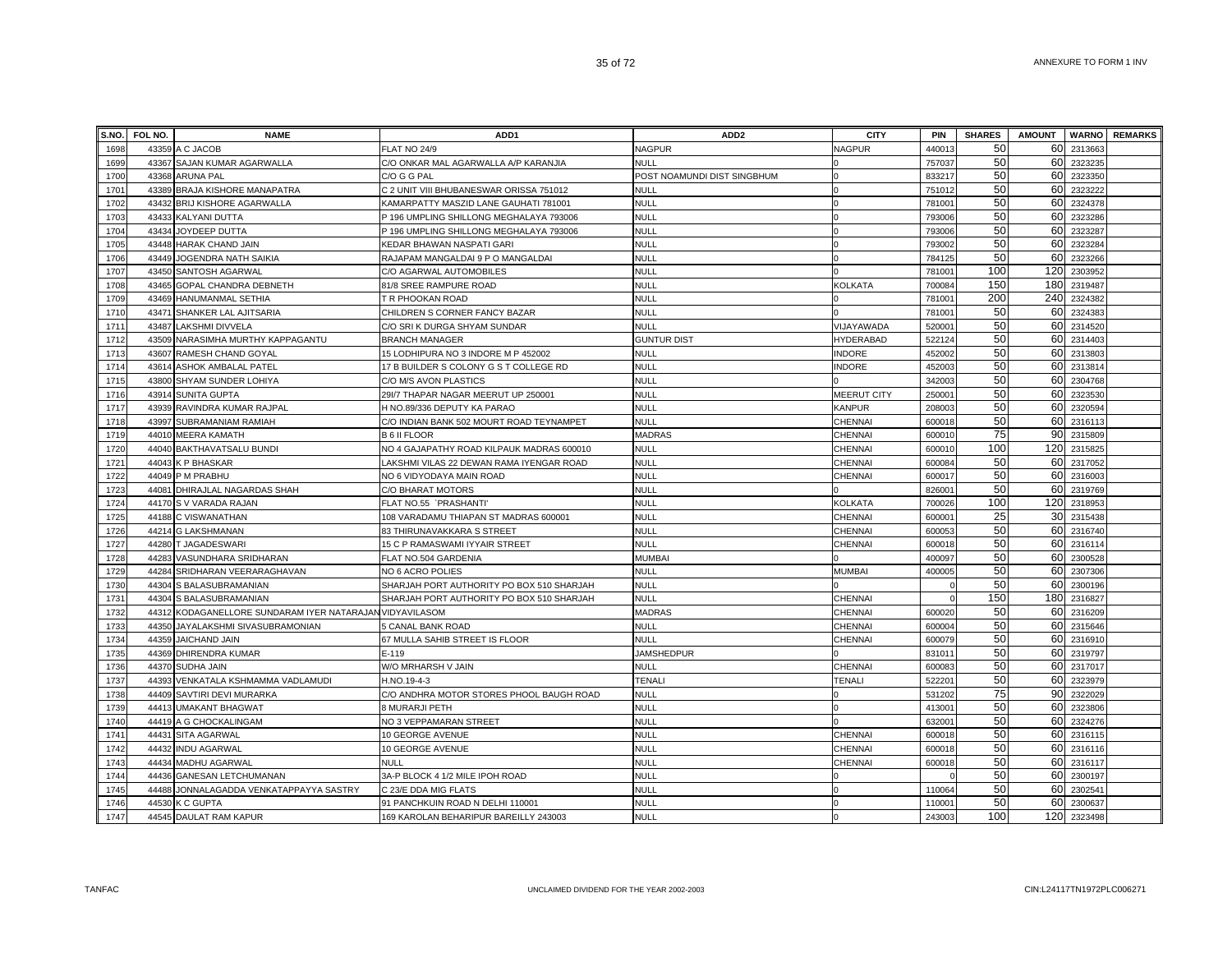| S.NO. | FOL NO. | <b>NAME</b>                                        | ADD <sub>1</sub>                          | ADD <sub>2</sub>            | <b>CITY</b>        | <b>PIN</b>         | <b>SHARES</b> | <b>AMOUNT</b> |             | <b>WARNO REMARKS</b> |
|-------|---------|----------------------------------------------------|-------------------------------------------|-----------------------------|--------------------|--------------------|---------------|---------------|-------------|----------------------|
| 1698  |         | 43359 A C JACOB                                    | <b>FLAT NO 24/9</b>                       | <b>NAGPUR</b>               | <b>NAGPUR</b>      | 440013             | 50            | 60            | 2313663     |                      |
| 1699  |         | 43367 SAJAN KUMAR AGARWALLA                        | C/O ONKAR MAL AGARWALLA A/P KARANJIA      | <b>NULL</b>                 |                    | 757037             | 50            | 60            | 2323235     |                      |
| 1700  |         | 43368 ARUNA PAL                                    | C/O G G PAL                               | POST NOAMUNDI DIST SINGBHUM |                    | 833217             | 50            | 60            | 2323350     |                      |
| 1701  |         | 43389 BRAJA KISHORE MANAPATRA                      | C 2 UNIT VIII BHUBANESWAR ORISSA 751012   | NULL                        |                    | 751012             | 50            | 60            | 232322      |                      |
| 1702  |         | 43432 BRIJ KISHORE AGARWALLA                       | KAMARPATTY MASZID LANE GAUHATI 781001     | NULL                        |                    | 781001             | 50            | 60            | 2324378     |                      |
| 1703  | 43433   | <b>KALYANI DUTTA</b>                               | P 196 UMPLING SHILLONG MEGHALAYA 793006   | <b>NULL</b>                 |                    | 793006             | 50            | 60            | 2323286     |                      |
| 1704  | 43434   | JOYDEEP DUTTA                                      | P 196 UMPLING SHILLONG MEGHALAYA 793006   | <b>NULL</b>                 |                    | 793006             | 50            | 60            | 2323287     |                      |
| 1705  | 43448   | HARAK CHAND JAIN                                   | KEDAR BHAWAN NASPATI GARI                 | <b>NULL</b>                 |                    | 793002             | 50            | 60            | 2323284     |                      |
| 1706  | 43449   | JOGENDRA NATH SAIKIA                               | RAJAPAM MANGALDAI 9 P O MANGALDAI         | <b>NULL</b>                 |                    | 784125             | 50            | 60            | 2323266     |                      |
| 1707  | 43450   | SANTOSH AGARWAL                                    | C/O AGARWAL AUTOMOBILES                   | <b>NULL</b>                 |                    | 78100 <sup>-</sup> | 100           | 120           | 2303952     |                      |
| 1708  |         | 43465 GOPAL CHANDRA DEBNETH                        | 81/8 SREE RAMPURE ROAD                    | <b>NULL</b>                 | <b>KOLKATA</b>     | 700084             | 150           | 180           | 2319487     |                      |
| 1709  |         | 43469 HANUMANMAL SETHIA                            | T R PHOOKAN ROAD                          | <b>NULL</b>                 |                    | 78100 <sup>-</sup> | 200           | 240           | 2324382     |                      |
| 1710  | 43471   | SHANKER LAL AJITSARIA                              | CHILDREN S CORNER FANCY BAZAR             | <b>NULL</b>                 |                    | 781001             | 50            | 60            | 2324383     |                      |
| 1711  |         | 43487 LAKSHMI DIVVELA                              | C/O SRI K DURGA SHYAM SUNDAR              | <b>NULL</b>                 | VIJAYAWADA         | 520001             | 50            | 60            | 2314520     |                      |
| 1712  |         | 43509 NARASIMHA MURTHY KAPPAGANTU                  | <b>BRANCH MANAGER</b>                     | <b>GUNTUR DIST</b>          | <b>HYDERABAD</b>   | 522124             | 50            | 60            | 2314403     |                      |
| 1713  |         | 43607 RAMESH CHAND GOYAL                           | 15 LODHIPURA NO 3 INDORE M P 452002       | NULL                        | <b>INDORE</b>      | 452002             | 50            | 60            | 2313803     |                      |
| 1714  | 43614   | <b>ASHOK AMBALAL PATEL</b>                         | 17 B BUILDER S COLONY G S T COLLEGE RD    | NULL                        | <b>INDORE</b>      | 452003             | 50            | 60            | 2313814     |                      |
| 1715  | 43800   | SHYAM SUNDER LOHIYA                                | C/O M/S AVON PLASTICS                     | <b>NULL</b>                 |                    | 342003             | 50            | 60            | 2304768     |                      |
| 1716  | 43914   | <b>SUNITA GUPTA</b>                                | 29I/7 THAPAR NAGAR MEERUT UP 250001       | <b>NULL</b>                 | <b>MEERUT CITY</b> | 25000              | 50            | 60            | 2323530     |                      |
| 1717  | 43939   | RAVINDRA KUMAR RAJPAL                              | H NO.89/336 DEPUTY KA PARAO               | <b>NULL</b>                 | <b>KANPUR</b>      | 208003             | 50            | 60            | 2320594     |                      |
| 1718  | 43997   | SUBRAMANIAM RAMIAH                                 | C/O INDIAN BANK 502 MOURT ROAD TEYNAMPET  | <b>NULL</b>                 | CHENNAI            | 600018             | 50            | 60            | 2316113     |                      |
| 1719  | 44010   | <b>MEERA KAMATH</b>                                | <b>B 6 II FLOOR</b>                       | <b>MADRAS</b>               | CHENNAI            | 600010             | 75            | 90            | 2315809     |                      |
| 1720  | 44040   | <b>BAKTHAVATSALU BUNDI</b>                         | NO 4 GAJAPATHY ROAD KILPAUK MADRAS 600010 | <b>NULL</b>                 | <b>CHENNAI</b>     | 60001              | 100           | 120           | 2315825     |                      |
| 1721  |         | 44043 K P BHASKAR                                  | LAKSHMI VILAS 22 DEWAN RAMA IYENGAR ROAD  | <b>NULL</b>                 | <b>CHENNAI</b>     | 600084             | 50            | 60            | 2317052     |                      |
| 1722  |         | 44049 P M PRABHU                                   | NO 6 VIDYODAYA MAIN ROAD                  | NULL                        | <b>CHENNAI</b>     | 600017             | 50            | 60            | 2316003     |                      |
| 1723  | 44081   | DHIRAJLAL NAGARDAS SHAH                            | C/O BHARAT MOTORS                         | <b>NULL</b>                 |                    | 826001             | 50            | 60            | 2319769     |                      |
| 1724  |         | 44170 S V VARADA RAJAN                             | FLAT NO.55 `PRASHANTI'                    | <b>NULL</b>                 | <b>KOLKATA</b>     | 700026             | 100           |               | 120 2318953 |                      |
| 1725  |         | 44188 C VISWANATHAN                                | 108 VARADAMU THIAPAN ST MADRAS 600001     | <b>NULL</b>                 | CHENNAI            | 60000 <sup>-</sup> | 25            |               | 30 2315438  |                      |
| 1726  |         | 44214 G LAKSHMANAN                                 | 83 THIRUNAVAKKARA S STREET                | <b>NULL</b>                 | <b>CHENNAI</b>     | 600053             | 50            | 60            | 2316740     |                      |
| 1727  |         | 44280 T JAGADESWARI                                | 15 C P RAMASWAMI IYYAIR STREET            | NULL                        | <b>CHENNAI</b>     | 60001              | 50            | 60            | 2316114     |                      |
| 1728  | 44283   | VASUNDHARA SRIDHARAN                               | FLAT NO.504 GARDENIA                      | MUMBAI                      |                    | 400097             | 50            | 60            | 2300528     |                      |
| 1729  | 44284   | SRIDHARAN VEERARAGHAVAN                            | NO 6 ACRO POLIES                          | <b>NULL</b>                 | <b>MUMBAI</b>      | 400005             | 50            | 60            | 2307306     |                      |
| 1730  | 44304   | S BALASUBRAMANIAN                                  | SHARJAH PORT AUTHORITY PO BOX 510 SHARJAH | <b>NULL</b>                 |                    |                    | 50            | 60            | 2300196     |                      |
| 1731  | 44304   | S BALASUBRAMANIAN                                  | SHARJAH PORT AUTHORITY PO BOX 510 SHARJAH | <b>NULL</b>                 | CHENNAI            |                    | 150           | 180           | 2316827     |                      |
| 1732  | 44312   | KODAGANELLORE SUNDARAM IYER NATARAJAN VIDYAVILASOM |                                           | MADRAS                      | CHENNAI            | 600020             | 50            | 60            | 2316209     |                      |
| 1733  | 44350   | JAYALAKSHMI SIVASUBRAMONIAN                        | 5 CANAL BANK ROAD                         | NULL                        | CHENNAI            | 600004             | 50            | 60            | 2315646     |                      |
| 1734  | 44359   | <b>JAICHAND JAIN</b>                               | 67 MULLA SAHIB STREET IS FLOOR            | NULL                        | <b>CHENNAI</b>     | 600079             | 50            | 60            | 2316910     |                      |
| 1735  |         | 44369 DHIRENDRA KUMAR                              | E-119                                     | <b>JAMSHEDPUR</b>           |                    | 83101              | 50            | 60            | 2319797     |                      |
| 1736  | 44370   | <b>SUDHA JAIN</b>                                  | W/O MRHARSH V JAIN                        | <b>NULL</b>                 | <b>CHENNAI</b>     | 600083             | 50            | 60            | 2317017     |                      |
| 1737  | 44393   | VENKATALA KSHMAMMA VADLAMUDI                       | H.NO.19-4-3                               | <b>TENALI</b>               | TENALI             | 52220              | 50            | 60            | 2323979     |                      |
| 1738  | 44409   | SAVTIRI DEVI MURARKA                               | C/O ANDHRA MOTOR STORES PHOOL BAUGH ROAD  | <b>NULL</b>                 |                    | 531202             | 75            | 90            | 2322029     |                      |
| 1739  | 44413   | <b>UMAKANT BHAGWAT</b>                             | 8 MURARJI PETH                            | <b>NULL</b>                 |                    | 413001             | 50            | 60            | 2323806     |                      |
| 1740  | 44419   | A G CHOCKALINGAM                                   | NO 3 VEPPAMARAN STREET                    | NULL                        |                    | 63200 <sup>-</sup> | 50            | 60            | 2324276     |                      |
| 1741  | 44431   | SITA AGARWAL                                       | 10 GEORGE AVENUE                          | NULL                        | <b>CHENNAI</b>     | 600018             | 50            | 60            | 2316115     |                      |
| 1742  | 44432   | <b>INDU AGARWAL</b>                                | 10 GEORGE AVENUE                          | <b>NULL</b>                 | <b>CHENNAI</b>     | 60001              | 50            | 60            | 2316116     |                      |
| 1743  | 44434   | MADHU AGARWAL                                      | <b>NULL</b>                               | <b>NULL</b>                 | <b>CHENNAI</b>     | 600018             | 50            | 60            | 2316117     |                      |
| 1744  | 44436   | <b>GANESAN LETCHUMANAN</b>                         | 3A-P BLOCK 4 1/2 MILE IPOH ROAD           | <b>NULL</b>                 |                    |                    | 50            | 60            | 2300197     |                      |
| 1745  | 44488   | JONNALAGADDA VENKATAPPAYYA SASTRY                  | C 23/E DDA MIG FLATS                      | <b>NULL</b>                 |                    | 110064             | 50            | 60            | 2302541     |                      |
| 1746  | 44530   | <b>K C GUPTA</b>                                   | 91 PANCHKUIN ROAD N DELHI 110001          | NULL                        |                    | 11000 <sup>-</sup> | 50            | 60            | 2300637     |                      |
| 1747  |         | 44545 DAULAT RAM KAPUR                             | 169 KAROLAN BEHARIPUR BAREILLY 243003     | <b>NULL</b>                 |                    | 243003             | 100           | 120           | 2323498     |                      |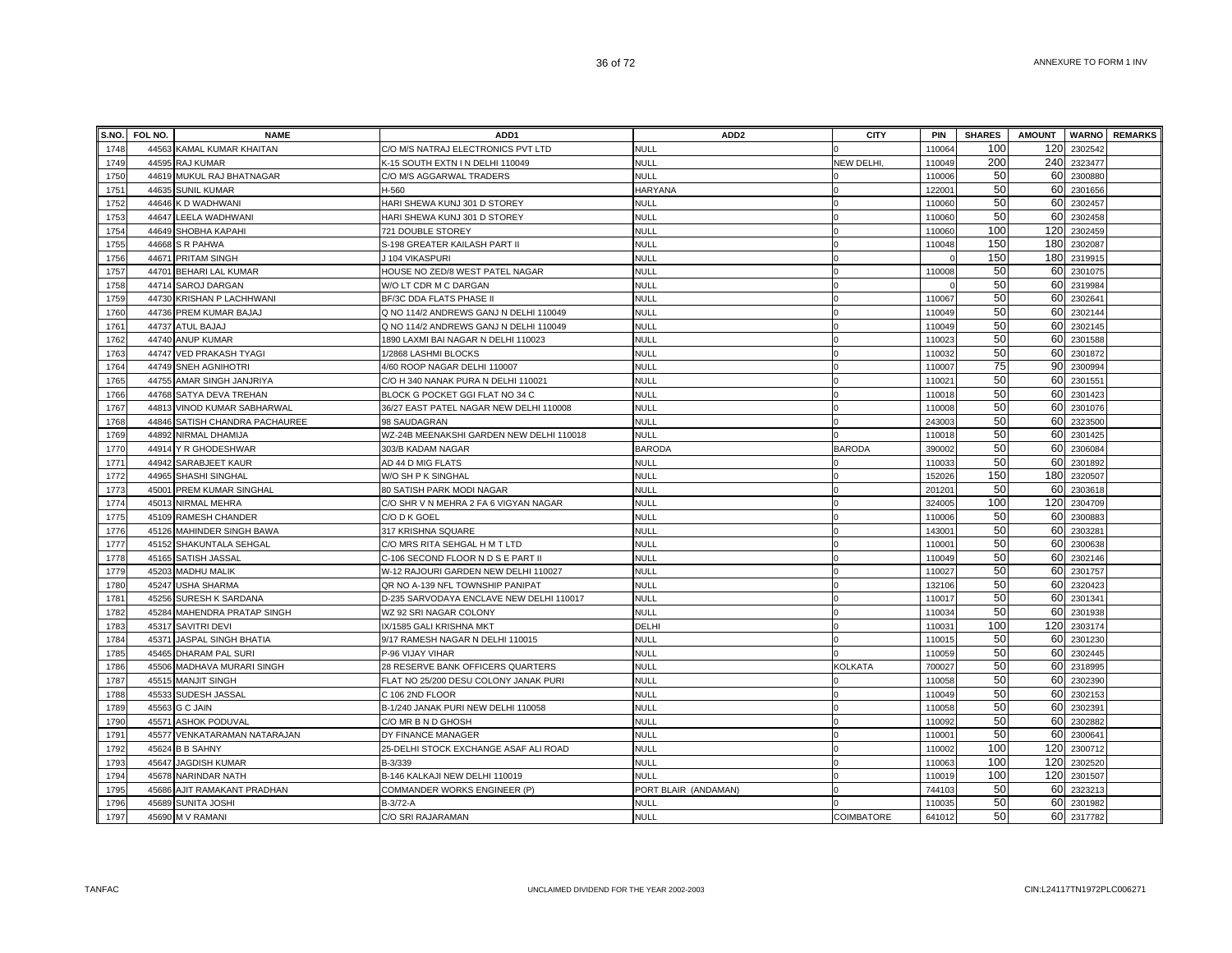| S.NO.        | FOL NO. | <b>NAME</b>                                       | ADD1                                     | ADD <sub>2</sub>                    | <b>CITY</b>       | <b>PIN</b>         | <b>SHARES</b> | <b>AMOUNT</b> |                    | <b>WARNO</b> REMARKS |
|--------------|---------|---------------------------------------------------|------------------------------------------|-------------------------------------|-------------------|--------------------|---------------|---------------|--------------------|----------------------|
| 1748         |         | 44563 KAMAL KUMAR KHAITAN                         | C/O M/S NATRAJ ELECTRONICS PVT LTD       | <b>NULL</b>                         |                   | 110064             | 100           | 120           | 2302542            |                      |
| 1749         |         | 44595 RAJ KUMAR                                   | K-15 SOUTH EXTN IN DELHI 110049          | <b>NULL</b>                         | NEW DELHI,        | 110049             | 200           | 240           | 2323477            |                      |
| 1750         |         | 44619 MUKUL RAJ BHATNAGAR                         | C/O M/S AGGARWAL TRADERS                 | <b>NULL</b>                         |                   | 110006             | 50            | 60            | 2300880            |                      |
| 1751         |         | 44635 SUNIL KUMAR                                 | H-560                                    | <b>HARYANA</b>                      |                   | 12200 <sup>-</sup> | 50            | 60            | 2301656            |                      |
| 1752         |         | 44646 K D WADHWANI                                | HARI SHEWA KUNJ 301 D STOREY             | <b>NULL</b>                         | $\Omega$          | 11006              | 50            | 60            | 2302457            |                      |
| 1753         |         | 44647 LEELA WADHWANI                              | HARI SHEWA KUNJ 301 D STOREY             | <b>NULL</b>                         |                   | 110060             | 50            | 60            | 2302458            |                      |
| 1754         |         | 44649 SHOBHA KAPAHI                               | 721 DOUBLE STOREY                        | <b>NULL</b>                         |                   | 110060             | 100           | 120           | 2302459            |                      |
| 1755         |         | 44668 S R PAHWA                                   | S-198 GREATER KAILASH PART II            | <b>NULL</b>                         |                   | 110048             | 150           | 180           | 2302087            |                      |
| 1756         |         | 44671 PRITAM SINGH                                | J 104 VIKASPURI                          | <b>NULL</b>                         |                   |                    | 150           | 180           | 2319915            |                      |
| 1757         |         | 44701 BEHARI LAL KUMAR                            | HOUSE NO ZED/8 WEST PATEL NAGAR          | <b>NULL</b>                         |                   | 110008             | 50            | 60            | 2301075            |                      |
| 1758         |         | 44714 SAROJ DARGAN                                | W/O LT CDR M C DARGAN                    | NULL                                |                   |                    | 50            | 60            | 231998             |                      |
| 1759         |         | 44730 KRISHAN P LACHHWANI                         | BF/3C DDA FLATS PHASE II                 | <b>NULL</b>                         |                   | 110067             | 50            | 60            | 230264             |                      |
| 1760         |         | 44736 PREM KUMAR BAJAJ                            | Q NO 114/2 ANDREWS GANJ N DELHI 110049   | <b>NULL</b>                         |                   | 110049             | 50            | 60            | 2302144            |                      |
| 1761         |         | 44737 ATUL BAJAJ                                  | Q NO 114/2 ANDREWS GANJ N DELHI 110049   | <b>NULL</b>                         |                   | 110049             | 50            | 60            | 2302145            |                      |
| 1762         |         | 44740 ANUP KUMAR                                  | 1890 LAXMI BAI NAGAR N DELHI 110023      | NULL                                |                   | 110023             | 50            | 60            | 2301588            |                      |
| 1763         |         | 44747 VED PRAKASH TYAGI                           | 1/2868 LASHMI BLOCKS                     | <b>NULL</b>                         |                   | 110032             | 50            | 60            | 2301872            |                      |
| 1764         |         | 44749 SNEH AGNIHOTRI                              | 4/60 ROOP NAGAR DELHI 110007             | <b>NULL</b>                         |                   | 110007             | 75            | 90            | 2300994            |                      |
| 1765         |         | 44755 AMAR SINGH JANJRIYA                         | C/O H 340 NANAK PURA N DELHI 110021      | <b>NULL</b>                         |                   | 11002              | 50            | 60            | 2301551            |                      |
| 1766         |         | 44768 SATYA DEVA TREHAN                           | BLOCK G POCKET GGI FLAT NO 34 C          | <b>NULL</b>                         |                   | 110018             | 50            | 60            | 2301423            |                      |
| 1767         |         | 44813 VINOD KUMAR SABHARWAL                       | 36/27 EAST PATEL NAGAR NEW DELHI 110008  | <b>NULL</b>                         |                   | 110008             | 50            | 60            | 2301076            |                      |
| 1768         | 44846   | SATISH CHANDRA PACHAUREE                          | 98 SAUDAGRAN                             | <b>NULL</b>                         |                   | 243003             | 50            | 60            | 2323500            |                      |
| 1769         |         | 44892 NIRMAL DHAMIJA                              | WZ-24B MEENAKSHI GARDEN NEW DELHI 110018 | <b>NULL</b>                         |                   | 110018             | 50            | 60            | 2301425            |                      |
| 1770         |         | 44914 Y R GHODESHWAR                              | 303/B KADAM NAGAR                        | <b>BARODA</b>                       | <b>BARODA</b>     | 39000              | 50            | 60            | 2306084            |                      |
| 1771         |         | 44942 SARABJEET KAUR                              | AD 44 D MIG FLATS                        | <b>NULL</b>                         |                   | 11003              | 50            | 60            | 2301892            |                      |
| 1772         |         | 44965 SHASHI SINGHAL                              | W/O SH P K SINGHAL                       | <b>NULL</b>                         |                   | 152026             | 150           | 180           | 2320507            |                      |
| 1773         |         | 45001 PREM KUMAR SINGHAL                          | 80 SATISH PARK MODI NAGAR                | <b>NULL</b>                         |                   | 20120              | 50            | 60            | 2303618            |                      |
| 1774         |         | 45013 NIRMAL MEHRA                                | C/O SHR V N MEHRA 2 FA 6 VIGYAN NAGAR    | <b>NULL</b>                         |                   | 324005             | 100           | 120           | 2304709            |                      |
| 1775         |         | 45109 RAMESH CHANDER                              | C/O D K GOEL                             | <b>NULL</b>                         |                   | 110006             | 50            | 60            | 2300883            |                      |
| 1776         |         | 45126 MAHINDER SINGH BAWA                         | 317 KRISHNA SQUARE                       | <b>NULL</b>                         |                   | 14300              | 50            | 60            | 2303281            |                      |
| 1777         |         | 45152 SHAKUNTALA SEHGAL                           | C/O MRS RITA SEHGAL H M T LTD            | <b>NULL</b>                         |                   | 11000 <sup>-</sup> | 50            | 60            | 2300638            |                      |
| 1778         |         | 45165 SATISH JASSAL                               | C-106 SECOND FLOOR N D S E PART II       | <b>NULL</b>                         |                   | 110049             | 50            | 60            | 2302146            |                      |
| 1779         |         | 45203 MADHU MALIK                                 | W-12 RAJOURI GARDEN NEW DELHI 110027     | <b>NULL</b>                         |                   | 11002              | 50            | 60            | 2301757            |                      |
| 1780         |         | 45247 USHA SHARMA                                 | QR NO A-139 NFL TOWNSHIP PANIPAT         | <b>NULL</b>                         |                   | 132106             | 50            | 60            | 2320423            |                      |
| 1781         |         | 45256 SURESH K SARDANA                            | D-235 SARVODAYA ENCLAVE NEW DELHI 110017 | <b>NULL</b>                         |                   | 11001              | 50            | 60            | 2301341            |                      |
| 1782         |         | 45284 MAHENDRA PRATAP SINGH                       | WZ 92 SRI NAGAR COLONY                   | <b>NULL</b>                         | $\Omega$          | 110034             | 50            | 60            | 2301938            |                      |
| 1783         |         | 45317 SAVITRI DEVI                                | IX/1585 GALI KRISHNA MKT                 | DELHI                               |                   | 11003              | 100           | 120           | 2303174            |                      |
| 1784         |         | 45371 JASPAL SINGH BHATIA                         | 9/17 RAMESH NAGAR N DELHI 110015         | <b>NULL</b>                         |                   | 110015             | 50            | 60            | 2301230            |                      |
| 1785         |         | 45465 DHARAM PAL SURI                             | P-96 VIJAY VIHAR                         | <b>NULL</b>                         |                   | 110059             | 50            | 60            | 2302445            |                      |
| 1786         |         | 45506 MADHAVA MURARI SINGH                        | 28 RESERVE BANK OFFICERS QUARTERS        | NULL                                | KOLKATA           | 700027             | 50            | 60            | 2318995            |                      |
| 1787         |         | 45515 MANJIT SINGH                                | FLAT NO 25/200 DESU COLONY JANAK PURI    | <b>NULL</b>                         |                   | 110058             | 50            | 60            | 2302390            |                      |
| 1788         |         | 45533 SUDESH JASSAL                               | C 106 2ND FLOOR                          | NULL                                |                   | 110049             | 50<br>50      | 60            | 2302153            |                      |
| 1789         |         | 45563 G C JAIN                                    | B-1/240 JANAK PURI NEW DELHI 110058      | <b>NULL</b>                         |                   | 110058             | 50            | 60            | 230239             |                      |
| 1790         | 45571   | <b>ASHOK PODUVAL</b>                              | C/O MR B N D GHOSH                       | <b>NULL</b>                         |                   | 110092             |               | 60            | 2302882            |                      |
| 1791         |         | 45577 VENKATARAMAN NATARAJAN                      | DY FINANCE MANAGER                       | <b>NULL</b>                         |                   | 11000              | 50<br>100     | 60            | 230064             |                      |
| 1792<br>1793 |         | 45624 B B SAHNY                                   | 25-DELHI STOCK EXCHANGE ASAF ALI ROAD    | <b>NULL</b>                         |                   | 110002             | 100           | 120<br>120    | 2300712            |                      |
|              |         | 45647 JAGDISH KUMAR                               | B-3/339                                  | <b>NULL</b>                         |                   | 110063             | 100           | 120           | 2302520            |                      |
| 1794<br>1795 |         | 45678 NARINDAR NATH                               | B-146 KALKAJI NEW DELHI 110019           | <b>NULL</b>                         |                   | 110019<br>744103   | 50            | 60            | 2301507<br>2323213 |                      |
| 1796         |         | 45686 AJIT RAMAKANT PRADHAN<br>45689 SUNITA JOSHI | COMMANDER WORKS ENGINEER (P)<br>B-3/72-A | PORT BLAIR (ANDAMAN)<br><b>NULL</b> |                   | 110035             | 50            | 60            | 2301982            |                      |
| 1797         |         | 45690 M V RAMANI                                  | C/O SRI RAJARAMAN                        | <b>NULL</b>                         | <b>COIMBATORE</b> | 641012             | 50            | 60            | 2317782            |                      |
|              |         |                                                   |                                          |                                     |                   |                    |               |               |                    |                      |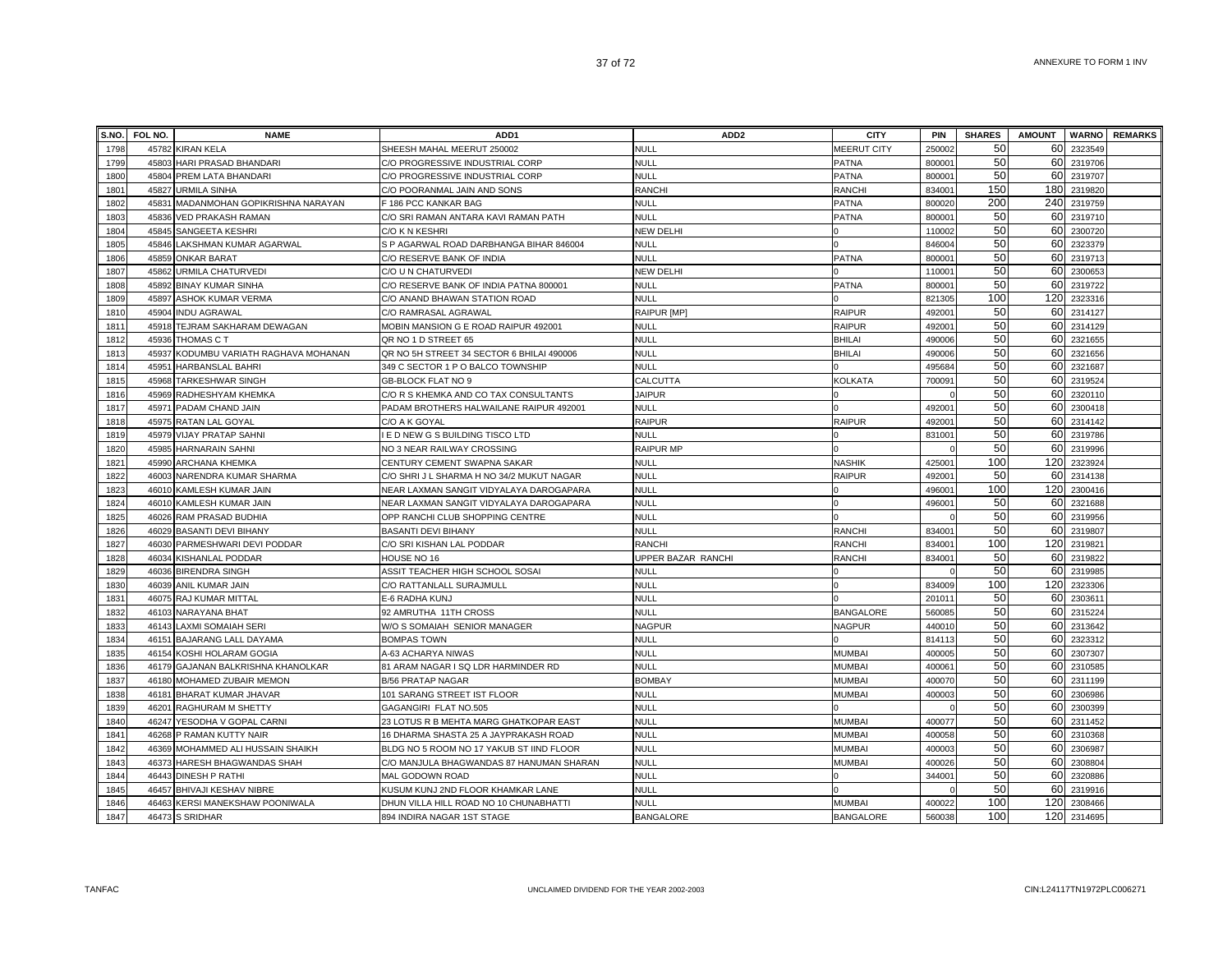|              | S.NO. FOL NO.  | <b>NAME</b>                                              | ADD <sub>1</sub>                                                                     | ADD <sub>2</sub>           | <b>CITY</b>                    | <b>PIN</b>      | <b>SHARES</b> | <b>AMOUNT</b> |                    | <b>WARNO</b> REMARKS |
|--------------|----------------|----------------------------------------------------------|--------------------------------------------------------------------------------------|----------------------------|--------------------------------|-----------------|---------------|---------------|--------------------|----------------------|
| 1798         | 45782          | <b>KIRAN KELA</b>                                        | SHEESH MAHAL MEERUT 250002                                                           | <b>NULL</b>                | <b>MEERUT CITY</b>             | 25000           | 50            | 60            | 2323549            |                      |
| 1799         | 45803          | HARI PRASAD BHANDARI                                     | C/O PROGRESSIVE INDUSTRIAL CORP                                                      | <b>NULL</b>                | <b>PATNA</b>                   | 80000           | 50            | 60            | 2319706            |                      |
| 1800         | 45804          | PREM LATA BHANDARI                                       | C/O PROGRESSIVE INDUSTRIAL CORP                                                      | NULL                       | <b>PATNA</b>                   | 80000           | 50            | 60            | 2319707            |                      |
| 1801         | 45827          | <b>URMILA SINHA</b>                                      | C/O POORANMAL JAIN AND SONS                                                          | <b>RANCHI</b>              | <b>RANCHI</b>                  | 83400           | 150           | 180           | 2319820            |                      |
| 1802         |                | 45831 MADANMOHAN GOPIKRISHNA NARAYAN                     | F 186 PCC KANKAR BAG                                                                 | <b>NULL</b>                | <b>PATNA</b>                   | 800020          | 200           |               | 240 2319759        |                      |
| 1803         |                | 45836 VED PRAKASH RAMAN                                  | C/O SRI RAMAN ANTARA KAVI RAMAN PATH                                                 | <b>NULL</b>                | <b>PATNA</b>                   | 80000           | 50            | 60            | 2319710            |                      |
| 1804         |                | 45845 SANGEETA KESHRI                                    | C/O K N KESHRI                                                                       | <b>NEW DELHI</b>           |                                | 110002          | 50            | 60            | 2300720            |                      |
| 1805         | 45846          | LAKSHMAN KUMAR AGARWAL                                   | S P AGARWAL ROAD DARBHANGA BIHAR 846004                                              | NULL                       |                                | 846004          | 50            | 60            | 2323379            |                      |
| 1806         |                | 45859 ONKAR BARAT                                        | C/O RESERVE BANK OF INDIA                                                            | <b>NULL</b>                | <b>PATNA</b>                   | 80000           | 50            | 60            | 2319713            |                      |
| 1807         | 45862          | URMILA CHATURVEDI                                        | C/O U N CHATURVEDI                                                                   | <b>NEW DELHI</b>           |                                | 11000           | 50            | 60            | 2300653            |                      |
| 1808         | 45892          | <b>BINAY KUMAR SINHA</b>                                 | C/O RESERVE BANK OF INDIA PATNA 800001                                               | NULL                       | <b>PATNA</b>                   | 80000           | 50            | 60            | 2319722            |                      |
| 1809         | 45897          | <b>ASHOK KUMAR VERMA</b>                                 | C/O ANAND BHAWAN STATION ROAD                                                        | <b>NULL</b>                |                                | 82130           | 100           | 120           | 2323316            |                      |
| 1810         | 45904          | <b>INDU AGRAWAL</b>                                      | C/O RAMRASAL AGRAWAL                                                                 | RAIPUR [MP]                | <b>RAIPUR</b>                  | 49200           | 50            | 60            | 2314127            |                      |
| 1811         | 45918          | TEJRAM SAKHARAM DEWAGAN                                  | MOBIN MANSION G E ROAD RAIPUR 492001                                                 | <b>NULL</b>                | <b>RAIPUR</b>                  | 49200           | 50            | 60            | 2314129            |                      |
| 1812         | 45936          | THOMAS C T                                               | QR NO 1 D STREET 65                                                                  | NULL                       | BHILAI                         | 490006          | 50            | 60            | 2321655            |                      |
| 1813         |                | 45937 KODUMBU VARIATH RAGHAVA MOHANAN                    | QR NO 5H STREET 34 SECTOR 6 BHILAI 490006                                            | NULL                       | <b>BHILAI</b>                  | 490006          | 50            | 60            | 2321656            |                      |
| 1814         | 45951          | <b>HARBANSLAL BAHRI</b>                                  | 349 C SECTOR 1 P O BALCO TOWNSHIP                                                    | <b>NULL</b>                |                                | 49568           | 50            | 60            | 2321687            |                      |
| 1815         |                | 45968 TARKESHWAR SINGH                                   | GB-BLOCK FLAT NO 9                                                                   | CALCUTTA                   | <b>KOLKATA</b>                 | 700091          | 50            | 60            | 2319524            |                      |
| 1816         | 45969          | RADHESHYAM KHEMKA                                        | C/O R S KHEMKA AND CO TAX CONSULTANTS                                                | <b>JAIPUR</b>              |                                |                 | 50            | 60            | 2320110            |                      |
| 1817         | 45971          | PADAM CHAND JAIN                                         | PADAM BROTHERS HALWAILANE RAIPUR 492001                                              | <b>NULL</b>                |                                | 49200           | 50            | 60            | 2300418            |                      |
| 1818         | 45975          | RATAN LAL GOYAL                                          | C/O A K GOYAL                                                                        | <b>RAIPUR</b>              | <b>RAIPUR</b>                  | 49200           | 50            | 60            | 2314142            |                      |
| 1819         | 45979          | <b>VIJAY PRATAP SAHNI</b>                                | I E D NEW G S BUILDING TISCO LTD                                                     | NULL                       |                                | 831001          | 50            | 60            | 2319786            |                      |
| 1820         | 45985          | <b>HARNARAIN SAHNI</b>                                   | NO 3 NEAR RAILWAY CROSSING                                                           | <b>RAIPUR MP</b>           |                                |                 | 50            |               | 60 2319996         |                      |
| 1821         | 45990          | <b>ARCHANA KHEMKA</b>                                    | CENTURY CEMENT SWAPNA SAKAR                                                          | <b>NULL</b>                | <b>NASHIK</b>                  | 42500           | 100           |               | 120 2323924        |                      |
| 1822         | 46003          | NARENDRA KUMAR SHARMA                                    | C/O SHRI J L SHARMA H NO 34/2 MUKUT NAGAR                                            | <b>NULL</b>                | <b>RAIPUR</b>                  | 49200           | 50            | 60            | 2314138            |                      |
| 1823         | 46010          | KAMLESH KUMAR JAIN                                       | NEAR LAXMAN SANGIT VIDYALAYA DAROGAPARA                                              | NULL                       |                                | 49600           | 100           | 120           | 2300416            |                      |
| 1824         | 46010          | KAMLESH KUMAR JAIN                                       | NEAR LAXMAN SANGIT VIDYALAYA DAROGAPARA                                              | <b>NULL</b>                |                                | 49600           | 50            | 60            | 2321688            |                      |
| 1825         |                | 46026 RAM PRASAD BUDHIA                                  | OPP RANCHI CLUB SHOPPING CENTRE                                                      | <b>NULL</b>                |                                |                 | 50            | 60            | 2319956            |                      |
| 1826         |                | 46029 BASANTI DEVI BIHANY                                | <b>BASANTI DEVI BIHANY</b>                                                           | <b>NULL</b>                | <b>RANCHI</b>                  | 834001          | 50            | 60            | 2319807            |                      |
| 1827         |                | 46030 PARMESHWARI DEVI PODDAR                            | C/O SRI KISHAN LAL PODDAR                                                            | RANCHI                     | <b>RANCHI</b>                  | 834001          | 100           | 120           | 2319821            |                      |
| 1828         |                | 46034 KISHANLAL PODDAR                                   | HOUSE NO 16                                                                          | JPPER BAZAR RANCHI         | RANCHI                         | 834001          | 50            |               | 60 2319822         |                      |
| 1829         | 46036          | <b>BIRENDRA SINGH</b>                                    | ASSIT TEACHER HIGH SCHOOL SOSAI                                                      | <b>NULL</b>                |                                |                 | 50            |               | 60 2319985         |                      |
| 1830         |                | 46039 ANIL KUMAR JAIN                                    | C/O RATTANLALL SURAJMULL                                                             | NULL                       |                                | 834009          | 100           | 120           | 2323306            |                      |
| 1831         | 46075          | RAJ KUMAR MITTAL                                         | E-6 RADHA KUNJ                                                                       | <b>NULL</b>                |                                | 20101           | 50            | 60            | 2303611            |                      |
| 1832         | 46103          | NARAYANA BHAT                                            | 92 AMRUTHA 11TH CROSS                                                                | <b>NULL</b>                | <b>BANGALORE</b>               | 560085          | 50            | 60            | 2315224            |                      |
| 1833         | 46143          | <b>LAXMI SOMAIAH SERI</b>                                | W/O S SOMAIAH SENIOR MANAGER                                                         | <b>NAGPUR</b>              | <b>NAGPUR</b>                  | 44001           | 50            | 60            | 2313642            |                      |
| 1834         | 46151          | <b>BAJARANG LALL DAYAMA</b>                              | <b>BOMPAS TOWN</b>                                                                   | <b>NULL</b>                |                                | 814113          | 50<br>50      | 60<br>60      | 2323312            |                      |
| 1835         |                | 46154 KOSHI HOLARAM GOGIA                                | A-63 ACHARYA NIWAS                                                                   | <b>NULL</b><br><b>NULL</b> | <b>MUMBAI</b>                  | 40000           | 50            | 60            | 2307307            |                      |
| 1836         | 46179          | GAJANAN BALKRISHNA KHANOLKAR                             | 81 ARAM NAGAR I SQ LDR HARMINDER RD                                                  | <b>BOMBAY</b>              | <b>MUMBAI</b>                  | 40006<br>400070 | 50            | 60            | 2310585            |                      |
| 1837         |                | 46180 MOHAMED ZUBAIR MEMON                               | <b>B/56 PRATAP NAGAR</b>                                                             |                            | <b>MUMBAI</b>                  |                 | 50            |               | 2311199            |                      |
| 1838         | 46181          | <b>BHARAT KUMAR JHAVAR</b>                               | 101 SARANG STREET IST FLOOR                                                          | NULL                       | <b>MUMBAI</b>                  | 400003          | 50            | 60<br>60      | 2306986            |                      |
| 1839         | 46201          | RAGHURAM M SHETTY                                        | GAGANGIRI FLAT NO.505                                                                | NULL<br>NULL               | <b>MUMBAI</b>                  |                 | 50            | 60            | 2300399<br>2311452 |                      |
| 1840         | 46247          | YESODHA V GOPAL CARNI                                    | 23 LOTUS R B MEHTA MARG GHATKOPAR EAST                                               | NULL                       |                                | 40007           | 50            | 60            |                    |                      |
| 1841<br>1842 | 46268          | P RAMAN KUTTY NAIR                                       | 16 DHARMA SHASTA 25 A JAYPRAKASH ROAD                                                |                            | MUMBAI                         | 40005           | 50            | 60            | 2310368            |                      |
| 1843         | 46369<br>46373 | MOHAMMED ALI HUSSAIN SHAIKH                              | BLDG NO 5 ROOM NO 17 YAKUB ST IIND FLOOR<br>C/O MANJULA BHAGWANDAS 87 HANUMAN SHARAN | <b>NULL</b><br><b>NULL</b> | <b>MUMBAI</b><br><b>MUMBAI</b> | 40000<br>400026 | 50            | 60            | 2306987<br>2308804 |                      |
| 1844         | 46443          | HARESH BHAGWANDAS SHAH                                   |                                                                                      | <b>NULL</b>                |                                |                 | 50            | 60            |                    |                      |
| 1845         | 46457          | <b>DINESH P RATHI</b>                                    | MAL GODOWN ROAD<br>KUSUM KUNJ 2ND FLOOR KHAMKAR LANE                                 | NULL                       |                                | 34400           | 50            | 60            | 2320886<br>2319916 |                      |
| 1846         | 46463          | BHIVAJI KESHAV NIBRE<br><b>KERSI MANEKSHAW POONIWALA</b> | DHUN VILLA HILL ROAD NO 10 CHUNABHATTI                                               | <b>NULL</b>                | <b>MUMBAI</b>                  | 400022          | 100           | 120           | 2308466            |                      |
| 1847         |                |                                                          |                                                                                      |                            |                                | 560038          | 100           |               | 120 2314695        |                      |
|              |                | 46473 S SRIDHAR                                          | 894 INDIRA NAGAR 1ST STAGE                                                           | <b>BANGALORE</b>           | <b>BANGALORE</b>               |                 |               |               |                    |                      |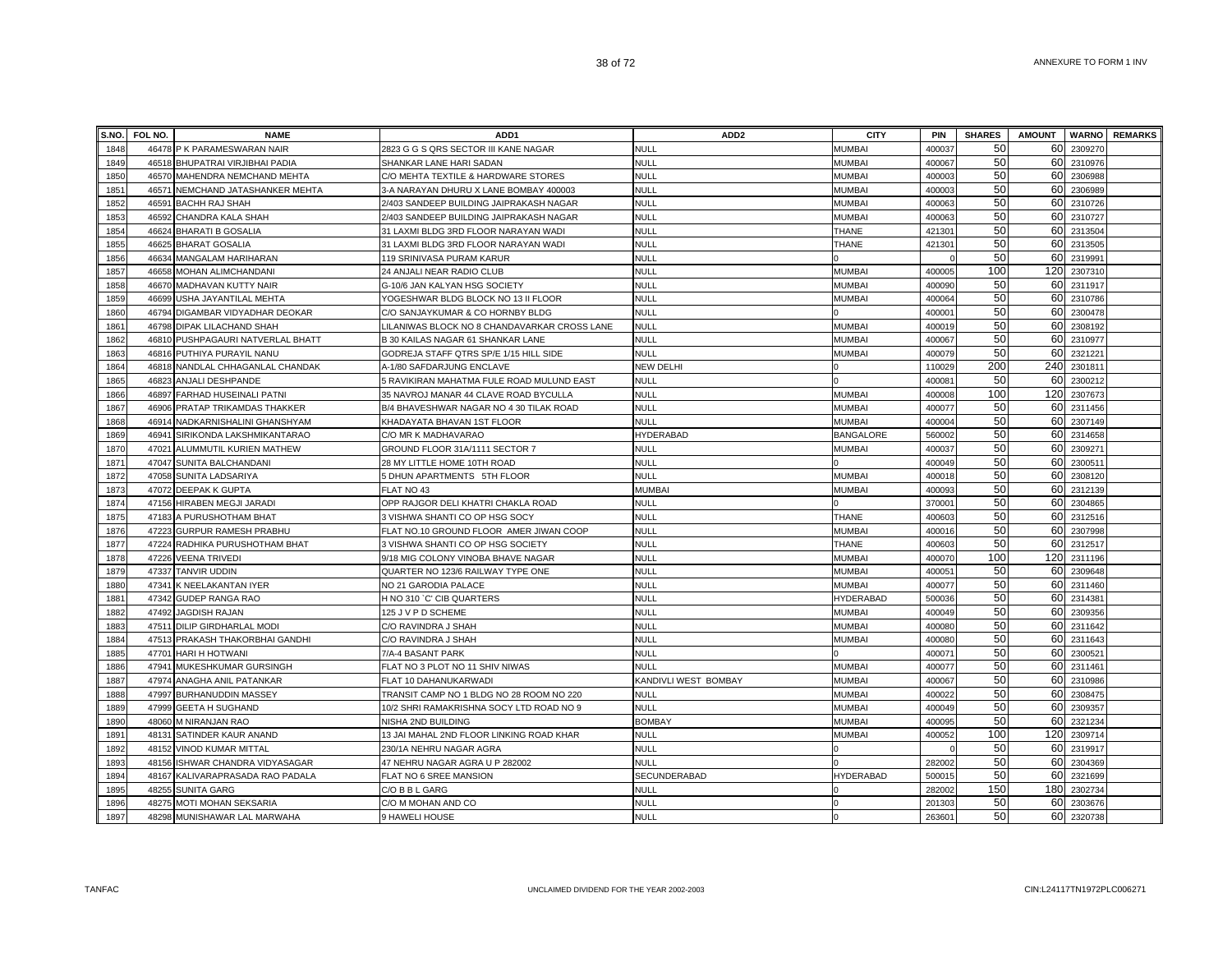|      | S.NO. FOL NO. | <b>NAME</b>                    | ADD <sub>1</sub>                             | ADD <sub>2</sub>     | <b>CITY</b>      | <b>PIN</b> | <b>SHARES</b> | <b>AMOUNT</b> |         | <b>WARNO</b> REMARKS |
|------|---------------|--------------------------------|----------------------------------------------|----------------------|------------------|------------|---------------|---------------|---------|----------------------|
| 1848 |               | 46478 P K PARAMESWARAN NAIR    | 2823 G G S QRS SECTOR III KANE NAGAR         | <b>NULL</b>          | MUMBAI           | 400037     | 50            | 60            | 2309270 |                      |
| 1849 | 46518         | BHUPATRAI VIRJIBHAI PADIA      | SHANKAR LANE HARI SADAN                      | <b>NULL</b>          | MUMBAI           | 400067     | 50            | 60            | 2310976 |                      |
| 1850 | 46570         | MAHENDRA NEMCHAND MEHTA        | C/O MEHTA TEXTILE & HARDWARE STORES          | <b>NULL</b>          | <b>MUMBAI</b>    | 400003     | 50            | 60            | 2306988 |                      |
| 1851 | 4657          | NEMCHAND JATASHANKER MEHTA     | 3-A NARAYAN DHURU X LANE BOMBAY 400003       | <b>NULL</b>          | <b>MUMBA</b>     | 400003     | 50            | 60            | 230698  |                      |
| 1852 | 46591         | <b>BACHH RAJ SHAH</b>          | 2/403 SANDEEP BUILDING JAIPRAKASH NAGAR      | <b>NULL</b>          | <b>MUMBAI</b>    | 400063     | 50            | 60            | 2310726 |                      |
| 1853 | 46592         | CHANDRA KALA SHAH              | 2/403 SANDEEP BUILDING JAIPRAKASH NAGAR      | <b>NULL</b>          | <b>MUMBAI</b>    | 400063     | 50            | 60            | 2310727 |                      |
| 1854 | 46624         | <b>BHARATI B GOSALIA</b>       | 31 LAXMI BLDG 3RD FLOOR NARAYAN WADI         | <b>NULL</b>          | <b>THANE</b>     | 42130      | 50            | 60            | 2313504 |                      |
| 1855 | 46625         | <b>BHARAT GOSALIA</b>          | 31 LAXMI BLDG 3RD FLOOR NARAYAN WADI         | <b>NULL</b>          | THANE            | 421301     | 50            | 60            | 2313505 |                      |
| 1856 |               | 46634 MANGALAM HARIHARAN       | 119 SRINIVASA PURAM KARUR                    | <b>NULL</b>          |                  |            | 50            | 60            | 2319991 |                      |
| 1857 | 46658         | MOHAN ALIMCHANDANI             | 24 ANJALI NEAR RADIO CLUB                    | <b>NULL</b>          | <b>MUMBAI</b>    | 400005     | 100           | 120           | 2307310 |                      |
| 1858 |               | 46670 MADHAVAN KUTTY NAIR      | G-10/6 JAN KALYAN HSG SOCIETY                | NULL                 | MUMBAI           | 400090     | 50            | 60            | 2311917 |                      |
| 1859 | 46699         | USHA JAYANTILAL MEHTA          | YOGESHWAR BLDG BLOCK NO 13 II FLOOR          | <b>NULL</b>          | MUMBAI           | 400064     | 50            | 60            | 2310786 |                      |
| 1860 | 46794         | DIGAMBAR VIDYADHAR DEOKAR      | C/O SANJAYKUMAR & CO HORNBY BLDG             | <b>NULL</b>          |                  | 40000      | 50            | 60            | 2300478 |                      |
| 1861 | 46798         | DIPAK LILACHAND SHAH           | LILANIWAS BLOCK NO 8 CHANDAVARKAR CROSS LANE | <b>NULL</b>          | <b>MUMBA</b>     | 40001      | 50            | 60            | 230819  |                      |
| 1862 | 46810         | PUSHPAGAURI NATVERLAL BHATT    | B 30 KAILAS NAGAR 61 SHANKAR LANE            | <b>NULL</b>          | MUMBAI           | 400067     | 50            | 60            | 2310977 |                      |
| 1863 | 46816         | PUTHIYA PURAYIL NANU           | GODREJA STAFF QTRS SP/E 1/15 HILL SIDE       | <b>NULL</b>          | <b>MUMBAI</b>    | 400079     | 50            | 60            | 2321221 |                      |
| 1864 | 46818         | NANDLAL CHHAGANLAL CHANDAK     | A-1/80 SAFDARJUNG ENCLAVE                    | <b>NEW DELHI</b>     |                  | 110029     | 200           | 240           | 230181  |                      |
| 1865 | 46823         | ANJALI DESHPANDE               | 5 RAVIKIRAN MAHATMA FULE ROAD MULUND EAST    | <b>NULL</b>          |                  | 400081     | 50            | 60            | 2300212 |                      |
| 1866 | 46897         | FARHAD HUSEINALI PATNI         | 35 NAVROJ MANAR 44 CLAVE ROAD BYCULLA        | <b>NULL</b>          | <b>MUMBAI</b>    | 400008     | 100           | 120           | 2307673 |                      |
| 1867 | 46906         | PRATAP TRIKAMDAS THAKKER       | B/4 BHAVESHWAR NAGAR NO 4 30 TILAK ROAD      | NULL                 | MUMBAI           | 400077     | 50            | 60            | 2311456 |                      |
| 1868 | 46914         | NADKARNISHALINI GHANSHYAM      | KHADAYATA BHAVAN 1ST FLOOR                   | <b>NULL</b>          | MUMBAI           | 400004     | 50            | 60            | 2307149 |                      |
| 1869 | 46941         | SIRIKONDA LAKSHMIKANTARAO      | C/O MR K MADHAVARAO                          | HYDERABAD            | <b>BANGALORE</b> | 560002     | 50            | 60            | 2314658 |                      |
| 1870 | 4702          | ALUMMUTIL KURIEN MATHEW        | GROUND FLOOR 31A/1111 SECTOR 7               | NULL                 | MUMBAI           | 40003      | 50            | 60            | 230927  |                      |
| 1871 | 47047         | SUNITA BALCHANDANI             | 28 MY LITTLE HOME 10TH ROAD                  | <b>NULL</b>          |                  | 400049     | 50            | 60            | 230051  |                      |
| 1872 | 47058         | SUNITA LADSARIYA               | 5 DHUN APARTMENTS 5TH FLOOR                  | <b>NULL</b>          | <b>MUMBAI</b>    | 40001      | 50            | 60            | 2308120 |                      |
| 1873 | 47072         | DEEPAK K GUPTA                 | FLAT NO 43                                   | <b>MUMBAI</b>        | <b>MUMBAI</b>    | 400093     | 50            | 60            | 2312139 |                      |
| 1874 |               | 47156 HIRABEN MEGJI JARADI     | OPP RAJGOR DELI KHATRI CHAKLA ROAD           | <b>NULL</b>          |                  | 370001     | 50            | 60            | 2304865 |                      |
| 1875 | 47183         | A PURUSHOTHAM BHAT             | 3 VISHWA SHANTI CO OP HSG SOCY               | <b>NULL</b>          | THANE            | 400603     | 50            | 60            | 2312516 |                      |
| 1876 | 47223         | <b>GURPUR RAMESH PRABHU</b>    | FLAT NO.10 GROUND FLOOR AMER JIWAN COOP      | <b>NULL</b>          | <b>MUMBA</b>     | 400016     | 50            | 60            | 2307998 |                      |
| 1877 |               | 47224 RADHIKA PURUSHOTHAM BHAT | 3 VISHWA SHANTI CO OP HSG SOCIETY            | <b>NULL</b>          | THANE            | 400603     | 50            | 60            | 2312517 |                      |
| 1878 |               | 47226 VEENA TRIVEDI            | 9/18 MIG COLONY VINOBA BHAVE NAGAR           | <b>NULL</b>          | <b>MUMBAI</b>    | 400070     | 100           | 120           | 2311196 |                      |
| 1879 | 47337         | TANVIR UDDIN                   | QUARTER NO 123/6 RAILWAY TYPE ONE            | <b>NULL</b>          | <b>MUMBAI</b>    | 40005      | 50            | 60            | 2309648 |                      |
| 1880 | 47341         | K NEELAKANTAN IYER             | NO 21 GARODIA PALACE                         | <b>NULL</b>          | <b>MUMBAI</b>    | 400077     | 50            | 60            | 2311460 |                      |
| 1881 | 47342         | GUDEP RANGA RAO                | H NO 310 `C' CIB QUARTERS                    | <b>NULL</b>          | HYDERABAD        | 50003      | 50            | 60            | 231438  |                      |
| 1882 | 47492         | JAGDISH RAJAN                  | 125 J V P D SCHEME                           | <b>NULL</b>          | <b>MUMBAI</b>    | 400049     | 50            | 60            | 2309356 |                      |
| 1883 | 47511         | DILIP GIRDHARLAL MODI          | C/O RAVINDRA J SHAH                          | <b>NULL</b>          | <b>MUMBAI</b>    | 400080     | 50            | 60            | 2311642 |                      |
| 1884 | 47513         | PRAKASH THAKORBHAI GANDHI      | C/O RAVINDRA J SHAH                          | <b>NULL</b>          | <b>MUMBAI</b>    | 400080     | 50            | 60            | 2311643 |                      |
| 1885 | 47701         | HARI H HOTWANI                 | 7/A-4 BASANT PARK                            | <b>NULL</b>          |                  | 40007      | 50            | 60            | 2300521 |                      |
| 1886 | 47941         | MUKESHKUMAR GURSINGH           | FLAT NO 3 PLOT NO 11 SHIV NIWAS              | <b>NULL</b>          | <b>MUMBAI</b>    | 400077     | 50            | 60            | 2311461 |                      |
| 1887 |               | 47974 ANAGHA ANIL PATANKAR     | FLAT 10 DAHANUKARWADI                        | KANDIVLI WEST BOMBAY | <b>MUMBAI</b>    | 400067     | 50            | 60            | 2310986 |                      |
| 1888 |               | 47997 BURHANUDDIN MASSEY       | TRANSIT CAMP NO 1 BLDG NO 28 ROOM NO 220     | <b>NULL</b>          | <b>MUMBAI</b>    | 400022     | 50            | 60            | 2308475 |                      |
| 1889 | 47999         | <b>GEETA H SUGHAND</b>         | 10/2 SHRI RAMAKRISHNA SOCY LTD ROAD NO 9     | <b>NULL</b>          | <b>MUMBAI</b>    | 400049     | 50            | 60            | 2309357 |                      |
| 1890 | 48060         | <b>M NIRANJAN RAO</b>          | NISHA 2ND BUILDING                           | <b>BOMBAY</b>        | <b>MUMBAI</b>    | 400095     | 50            | 60            | 2321234 |                      |
| 1891 | 48131         | SATINDER KAUR ANAND            | 13 JAI MAHAL 2ND FLOOR LINKING ROAD KHAR     | <b>NULL</b>          | <b>MUMBAI</b>    | 400052     | 100           | 120           | 230971  |                      |
| 1892 | 48152         | VINOD KUMAR MITTAL             | 230/1A NEHRU NAGAR AGRA                      | <b>NULL</b>          |                  |            | 50            | 60            | 231991  |                      |
| 1893 | 48156         | ISHWAR CHANDRA VIDYASAGAR      | 47 NEHRU NAGAR AGRA U P 282002               | <b>NULL</b>          |                  | 282002     | 50            | 60            | 2304369 |                      |
| 1894 | 48167         | KALIVARAPRASADA RAO PADALA     | FLAT NO 6 SREE MANSION                       | SECUNDERABAD         | <b>HYDERABAD</b> | 500015     | 50            | 60            | 2321699 |                      |
| 1895 | 48255         | <b>SUNITA GARG</b>             | C/O B B L GARG                               | <b>NULL</b>          |                  | 282002     | 150           | 180           | 2302734 |                      |
| 1896 |               | 48275 MOTI MOHAN SEKSARIA      | C/O M MOHAN AND CO                           | <b>NULL</b>          |                  | 201303     | 50            | 60            | 2303676 |                      |
| 1897 |               | 48298 MUNISHAWAR LAL MARWAHA   | 9 HAWELI HOUSE                               | <b>NULL</b>          |                  | 263601     | 50            | 60            | 2320738 |                      |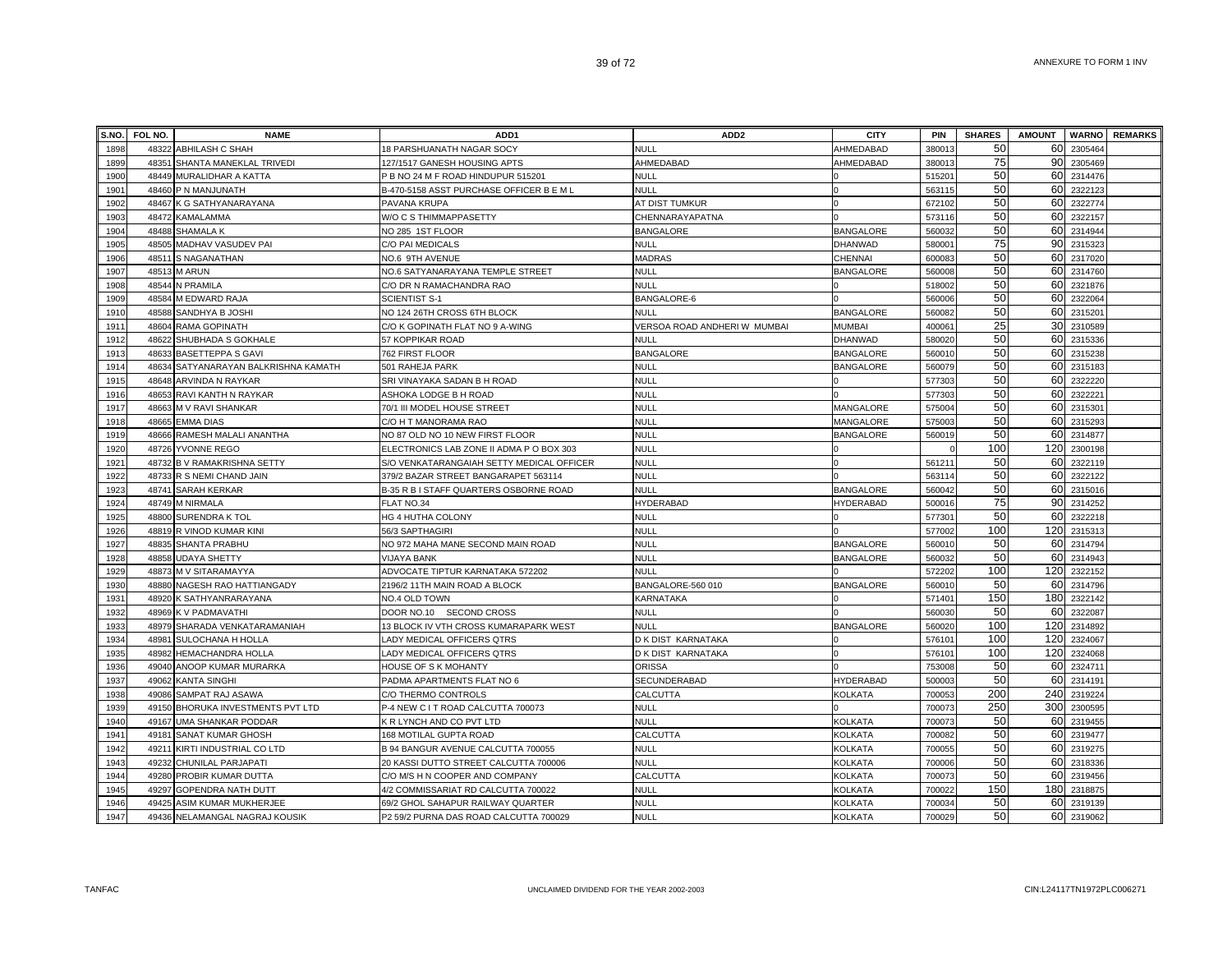| S.NO. | FOL NO. | <b>NAME</b>                          | ADD <sub>1</sub>                          | ADD <sub>2</sub>             | <b>CITY</b>      | <b>PIN</b>         | <b>SHARES</b> | <b>AMOUNT</b> |         | <b>WARNO REMARKS</b> |
|-------|---------|--------------------------------------|-------------------------------------------|------------------------------|------------------|--------------------|---------------|---------------|---------|----------------------|
| 1898  |         | 48322 ABHILASH C SHAH                | 18 PARSHUANATH NAGAR SOCY                 | <b>NULL</b>                  | AHMEDABAD        | 38001              | 50            | 60            | 2305464 |                      |
| 1899  |         | 48351 SHANTA MANEKLAL TRIVEDI        | 127/1517 GANESH HOUSING APTS              | AHMEDABAD                    | AHMEDABAD        | 380013             | 75            | 90            | 2305469 |                      |
| 1900  |         | 48449 MURALIDHAR A KATTA             | P B NO 24 M F ROAD HINDUPUR 515201        | NULL                         |                  | 51520              | 50            | 60            | 2314476 |                      |
| 1901  |         | 48460 P N MANJUNATH                  | B-470-5158 ASST PURCHASE OFFICER B E M L  | <b>NULL</b>                  |                  | 563115             | 50            | 60            | 2322123 |                      |
| 1902  |         | 48467 K G SATHYANARAYANA             | PAVANA KRUPA                              | AT DIST TUMKUR               |                  | 672102             | 50            | 60            | 2322774 |                      |
| 1903  |         | 48472 KAMALAMMA                      | W/O C S THIMMAPPASETTY                    | CHENNARAYAPATNA              |                  | 573116             | 50            | 60            | 2322157 |                      |
| 1904  |         | 48488 SHAMALA K                      | NO 285 1ST FLOOR                          | <b>BANGALORE</b>             | <b>BANGALORE</b> | 560032             | 50            | 60            | 2314944 |                      |
| 1905  |         | 48505 MADHAV VASUDEV PAI             | C/O PAI MEDICALS                          | <b>NULL</b>                  | <b>DHANWAD</b>   | 58000              | 75            | 90            | 2315323 |                      |
| 1906  | 48511   | S NAGANATHAN                         | NO.6 9TH AVENUE                           | <b>MADRAS</b>                | CHENNAI          | 60008              | 50            | 60            | 2317020 |                      |
| 1907  |         | 48513 M ARUN                         | NO.6 SATYANARAYANA TEMPLE STREET          | <b>NULL</b>                  | <b>BANGALORE</b> | 560008             | 50            | 60            | 2314760 |                      |
| 1908  |         | 48544 N PRAMILA                      | C/O DR N RAMACHANDRA RAO                  | <b>NULL</b>                  |                  | 518002             | 50            | 60            | 2321876 |                      |
| 1909  |         | 48584 M EDWARD RAJA                  | <b>SCIENTIST S-1</b>                      | BANGALORE-6                  |                  | 560006             | 50            | 60            | 2322064 |                      |
| 1910  |         | 48588 SANDHYA B JOSHI                | NO 124 26TH CROSS 6TH BLOCK               | <b>NULL</b>                  | <b>BANGALORE</b> | 560082             | 50            | 60            | 2315201 |                      |
| 1911  |         | 48604 RAMA GOPINATH                  | C/O K GOPINATH FLAT NO 9 A-WING           | VERSOA ROAD ANDHERI W MUMBAI | <b>MUMBAI</b>    | 40006              | 25            | 30            | 2310589 |                      |
| 1912  |         | 48622 SHUBHADA S GOKHALE             | 57 KOPPIKAR ROAD                          | <b>NULL</b>                  | DHANWAD          | 580020             | 50            | 60            | 2315336 |                      |
| 1913  |         | 48633 BASETTEPPA S GAVI              | 762 FIRST FLOOR                           | <b>BANGALORE</b>             | <b>BANGALORE</b> | 560010             | 50            | 60            | 2315238 |                      |
| 1914  |         | 48634 SATYANARAYAN BALKRISHNA KAMATH | 501 RAHEJA PARK                           | <b>NULL</b>                  | <b>BANGALORE</b> | 560079             | 50            | 60            | 2315183 |                      |
| 1915  |         | 48648 ARVINDA N RAYKAR               | SRI VINAYAKA SADAN B H ROAD               | <b>NULL</b>                  |                  | 577303             | 50            | 60            | 2322220 |                      |
| 1916  |         | 48653 RAVI KANTH N RAYKAR            | ASHOKA LODGE B H ROAD                     | <b>NULL</b>                  |                  | 577303             | 50            | 60            | 232222  |                      |
| 1917  |         | 48663 M V RAVI SHANKAR               | 70/1 III MODEL HOUSE STREET               | <b>NULL</b>                  | MANGALORE        | 57500              | 50            | 60            | 2315301 |                      |
| 1918  |         | 48665 EMMA DIAS                      | C/O H T MANORAMA RAO                      | <b>NULL</b>                  | MANGALORE        | 575003             | 50            | 60            | 2315293 |                      |
| 1919  |         | 48666 RAMESH MALALI ANANTHA          | NO 87 OLD NO 10 NEW FIRST FLOOR           | <b>NULL</b>                  | <b>BANGALORE</b> | 560019             | 50            | 60            | 2314877 |                      |
| 1920  |         | 48726 YVONNE REGO                    | ELECTRONICS LAB ZONE II ADMA P O BOX 303  | <b>NULL</b>                  |                  |                    | 100           | 120           | 2300198 |                      |
| 1921  |         | 48732 B V RAMAKRISHNA SETTY          | S/O VENKATARANGAIAH SETTY MEDICAL OFFICER | <b>NULL</b>                  |                  | 56121              | 50            | 60            | 2322119 |                      |
| 1922  |         | 48733 R S NEMI CHAND JAIN            | 379/2 BAZAR STREET BANGARAPET 563114      | <b>NULL</b>                  |                  | 56311              | 50            | 60            | 2322122 |                      |
| 1923  |         | 48741 SARAH KERKAR                   | B-35 R B I STAFF QUARTERS OSBORNE ROAD    | <b>NULL</b>                  | <b>BANGALORE</b> | 560042             | 50            | 60            | 2315016 |                      |
| 1924  |         | 48749 M NIRMALA                      | FLAT NO.34                                | <b>HYDERABAD</b>             | <b>HYDERABAD</b> | 500016             | 75            | 90            | 2314252 |                      |
| 1925  |         | 48800 SURENDRA K TOL                 | HG 4 HUTHA COLONY                         | <b>NULL</b>                  |                  | 57730              | 50            | 60            | 2322218 |                      |
| 1926  |         | 48819 R VINOD KUMAR KINI             | 56/3 SAPTHAGIRI                           | NULL                         |                  | 577002             | 100           | 120           | 2315313 |                      |
| 1927  |         | 48835 SHANTA PRABHU                  | NO 972 MAHA MANE SECOND MAIN ROAD         | <b>NULL</b>                  | <b>BANGALORE</b> | 560010             | 50            | 60            | 2314794 |                      |
| 1928  |         | 48858 UDAYA SHETTY                   | <b>VIJAYA BANK</b>                        | <b>NULL</b>                  | <b>BANGALORE</b> | 560032             | 50            | 60            | 2314943 |                      |
| 1929  |         | 48873 M V SITARAMAYYA                | ADVOCATE TIPTUR KARNATAKA 572202          | <b>NULL</b>                  |                  | 572202             | 100           | 120           | 2322152 |                      |
| 1930  |         | 48880 NAGESH RAO HATTIANGADY         | 2196/2 11TH MAIN ROAD A BLOCK             | BANGALORE-560 010            | <b>BANGALORE</b> | 560010             | 50            | 60            | 2314796 |                      |
| 1931  |         | 48920 K SATHYANRARAYANA              | NO.4 OLD TOWN                             | KARNATAKA                    |                  | 57140 <sup>-</sup> | 150           | 180           | 2322142 |                      |
| 1932  |         | 48969 K V PADMAVATHI                 | DOOR NO.10 SECOND CROSS                   | <b>NULL</b>                  |                  | 56003              | 50            | 60            | 2322087 |                      |
| 1933  |         | 48979 SHARADA VENKATARAMANIAH        | 13 BLOCK IV VTH CROSS KUMARAPARK WEST     | <b>NULL</b>                  | <b>BANGALORE</b> | 560020             | 100           | 120           | 2314892 |                      |
| 1934  |         | 48981 SULOCHANA H HOLLA              | LADY MEDICAL OFFICERS QTRS                | D K DIST KARNATAKA           |                  | 576101             | 100           | 120           | 2324067 |                      |
| 1935  |         | 48982 HEMACHANDRA HOLLA              | LADY MEDICAL OFFICERS QTRS                | D K DIST KARNATAKA           |                  | 576101             | 100           | 120           | 2324068 |                      |
| 1936  |         | 49040 ANOOP KUMAR MURARKA            | HOUSE OF S K MOHANTY                      | <b>ORISSA</b>                |                  | 753008             | 50            | 60            | 2324711 |                      |
| 1937  |         | 49062 KANTA SINGHI                   | PADMA APARTMENTS FLAT NO 6                | SECUNDERABAD                 | <b>HYDERABAD</b> | 500003             | 50            | 60            | 2314191 |                      |
| 1938  |         | 49086 SAMPAT RAJ ASAWA               | C/O THERMO CONTROLS                       | CALCUTTA                     | KOLKATA          | 700053             | 200           | 240           | 2319224 |                      |
| 1939  |         | 49150 BHORUKA INVESTMENTS PVT LTD    | P-4 NEW C I T ROAD CALCUTTA 700073        | <b>NULL</b>                  |                  | 700073             | 250           | 300           | 2300595 |                      |
| 1940  |         | 49167 UMA SHANKAR PODDAR             | K R LYNCH AND CO PVT LTD                  | <b>NULL</b>                  | <b>KOLKATA</b>   | 700073             | 50            | 60            | 2319455 |                      |
| 1941  |         | 49181 SANAT KUMAR GHOSH              | 168 MOTILAL GUPTA ROAD                    | CALCUTTA                     | <b>KOLKATA</b>   | 700082             | 50            | 60            | 2319477 |                      |
| 1942  |         | 49211 KIRTI INDUSTRIAL CO LTD        | B 94 BANGUR AVENUE CALCUTTA 700055        | <b>NULL</b>                  | <b>KOLKATA</b>   | 70005              | 50            | 60            | 2319275 |                      |
| 1943  |         | 49232 CHUNILAL PARJAPATI             | 20 KASSI DUTTO STREET CALCUTTA 700006     | <b>NULL</b>                  | <b>KOLKATA</b>   | 700006             | 50            | 60            | 2318336 |                      |
| 1944  |         | 49280 PROBIR KUMAR DUTTA             | C/O M/S H N COOPER AND COMPANY            | CALCUTTA                     | <b>KOLKATA</b>   | 70007              | 50            | 60            | 2319456 |                      |
| 1945  |         | 49297 GOPENDRA NATH DUTT             | 4/2 COMMISSARIAT RD CALCUTTA 700022       | <b>NULL</b>                  | <b>KOLKATA</b>   | 700022             | 150           | 180           | 2318875 |                      |
| 1946  |         | 49425 ASIM KUMAR MUKHERJEE           | 69/2 GHOL SAHAPUR RAILWAY QUARTER         | <b>NULL</b>                  | <b>KOLKATA</b>   | 700034             | 50<br>50      | 60            | 2319139 |                      |
| 1947  |         | 49436 NELAMANGAL NAGRAJ KOUSIK       | P2 59/2 PURNA DAS ROAD CALCUTTA 700029    | NULL                         | <b>KOLKATA</b>   | 700029             |               | 60            | 2319062 |                      |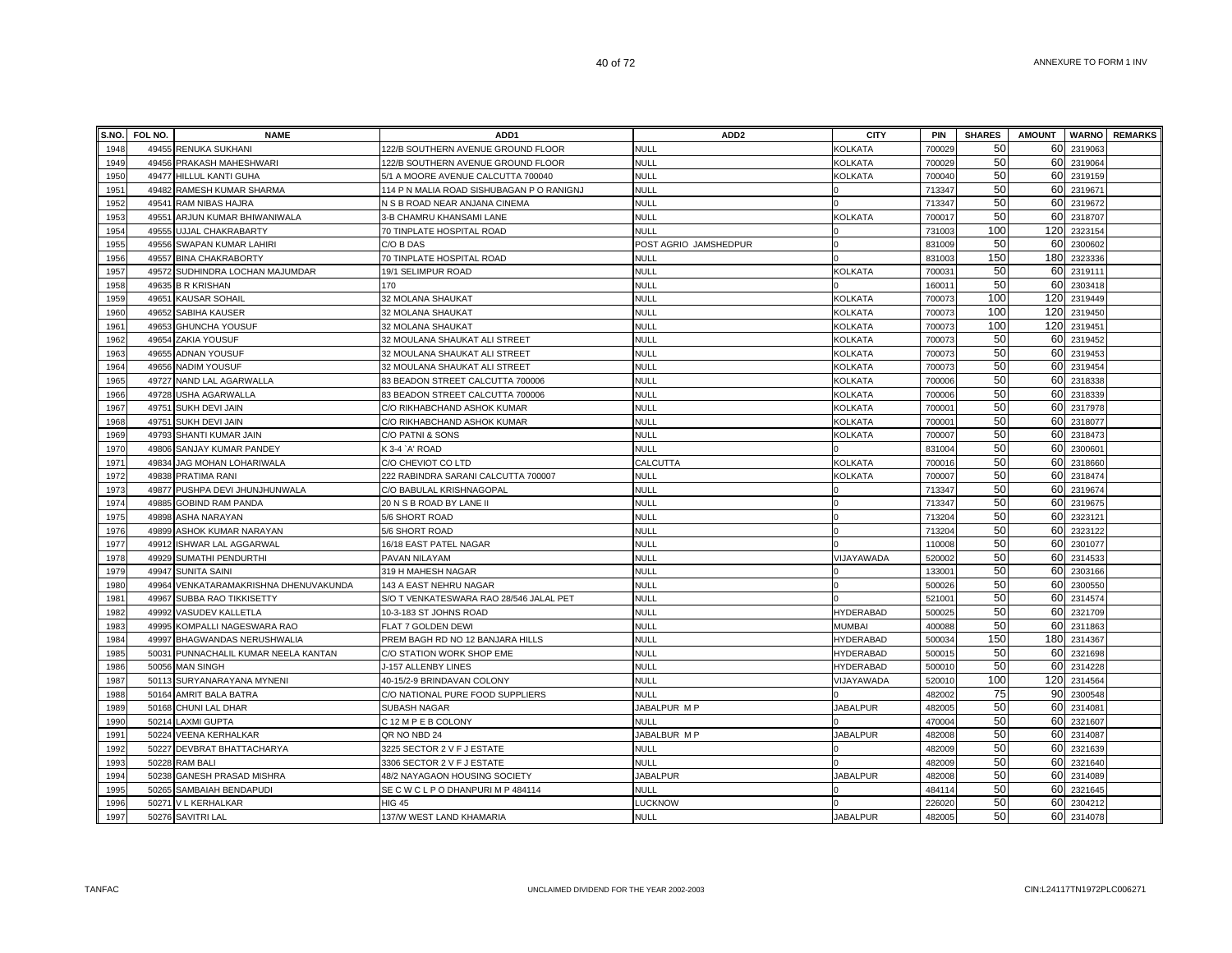| S.NO. | FOL NO. | <b>NAME</b>                          | ADD <sub>1</sub>                          | ADD <sub>2</sub>      | <b>CITY</b>      | <b>PIN</b>         | <b>SHARES</b> | <b>AMOUNT</b> |         | <b>WARNO REMARKS</b> |
|-------|---------|--------------------------------------|-------------------------------------------|-----------------------|------------------|--------------------|---------------|---------------|---------|----------------------|
| 1948  |         | 49455 RENUKA SUKHANI                 | 122/B SOUTHERN AVENUE GROUND FLOOR        | <b>NULL</b>           | KOLKATA          | 700029             | 50            | 60            | 2319063 |                      |
| 1949  |         | 49456 PRAKASH MAHESHWARI             | 122/B SOUTHERN AVENUE GROUND FLOOR        | <b>NULL</b>           | KOLKATA          | 700029             | 50            | 60            | 2319064 |                      |
| 1950  |         | 49477 HILLUL KANTI GUHA              | 5/1 A MOORE AVENUE CALCUTTA 700040        | <b>NULL</b>           | KOLKATA          | 700040             | 50            | 60            | 2319159 |                      |
| 1951  |         | 49482 RAMESH KUMAR SHARMA            | 114 P N MALIA ROAD SISHUBAGAN P O RANIGNJ | NULL                  |                  | 713347             | 50            | 60            | 2319671 |                      |
| 1952  |         | 49541 RAM NIBAS HAJRA                | N S B ROAD NEAR ANJANA CINEMA             | <b>NULL</b>           |                  | 713347             | 50            | 60            | 2319672 |                      |
| 1953  | 49551   | ARJUN KUMAR BHIWANIWALA              | 3-B CHAMRU KHANSAMI LANE                  | <b>NULL</b>           | <b>KOLKATA</b>   | 700017             | 50            | 60            | 2318707 |                      |
| 1954  |         | 49555 UJJAL CHAKRABARTY              | 70 TINPLATE HOSPITAL ROAD                 | <b>NULL</b>           |                  | 731003             | 100           | 120           | 2323154 |                      |
| 1955  | 49556   | <b>SWAPAN KUMAR LAHIRI</b>           | C/O B DAS                                 | POST AGRIO JAMSHEDPUR |                  | 831009             | 50            | 60            | 2300602 |                      |
| 1956  |         | 49557 BINA CHAKRABORTY               | 70 TINPLATE HOSPITAL ROAD                 | <b>NULL</b>           |                  | 831003             | 150           | 180           | 2323336 |                      |
| 1957  |         | 49572 SUDHINDRA LOCHAN MAJUMDAR      | 19/1 SELIMPUR ROAD                        | <b>NULL</b>           | <b>KOLKATA</b>   | 70003              | 50            | 60            | 231911  |                      |
| 1958  |         | 49635 B R KRISHAN                    | 170                                       | <b>NULL</b>           |                  | 16001              | 50            | 60            | 2303418 |                      |
| 1959  |         | 49651 KAUSAR SOHAIL                  | 32 MOLANA SHAUKAT                         | <b>NULL</b>           | <b>KOLKATA</b>   | 700073             | 100           | 120           | 2319449 |                      |
| 1960  |         | 49652 SABIHA KAUSER                  | 32 MOLANA SHAUKAT                         | <b>NULL</b>           | <b>KOLKATA</b>   | 700073             | 100           | 120           | 2319450 |                      |
| 1961  |         | 49653 GHUNCHA YOUSUF                 | 32 MOLANA SHAUKAT                         | <b>NULL</b>           | <b>KOLKATA</b>   | 700073             | 100           | 120           | 2319451 |                      |
| 1962  |         | 49654 ZAKIA YOUSUF                   | 32 MOULANA SHAUKAT ALI STREET             | <b>NULL</b>           | <b>KOLKATA</b>   | 700073             | 50            | 60            | 2319452 |                      |
| 1963  |         | 49655 ADNAN YOUSUF                   | 32 MOULANA SHAUKAT ALI STREET             | <b>NULL</b>           | <b>KOLKATA</b>   | 700073             | 50            | 60            | 2319453 |                      |
| 1964  |         | 49656 NADIM YOUSUF                   | 32 MOULANA SHAUKAT ALI STREET             | <b>NULL</b>           | KOLKATA          | 700073             | 50            | 60            | 2319454 |                      |
| 1965  |         | 49727 NAND LAL AGARWALLA             | 33 BEADON STREET CALCUTTA 700006          | <b>NULL</b>           | KOLKATA          | 700006             | 50            | 60            | 2318338 |                      |
| 1966  |         | 49728 USHA AGARWALLA                 | <b>83 BEADON STREET CALCUTTA 700006</b>   | <b>NULL</b>           | KOLKATA          | 700006             | 50            | 60            | 2318339 |                      |
| 1967  |         | 49751 SUKH DEVI JAIN                 | C/O RIKHABCHAND ASHOK KUMAR               | <b>NULL</b>           | <b>KOLKATA</b>   | 70000              | 50            | 60            | 2317978 |                      |
| 1968  |         | 49751 SUKH DEVI JAIN                 | C/O RIKHABCHAND ASHOK KUMAR               | <b>NULL</b>           | <b>KOLKATA</b>   | 70000              | 50            | 60            | 2318077 |                      |
| 1969  |         | 49793 SHANTI KUMAR JAIN              | C/O PATNI & SONS                          | <b>NULL</b>           | <b>KOLKATA</b>   | 700007             | 50            | 60            | 2318473 |                      |
| 1970  |         | 49806 SANJAY KUMAR PANDEY            | K3-4 `A' ROAD                             | <b>NULL</b>           |                  | 831004             | 50            | 60            | 2300601 |                      |
| 1971  |         | 49834 JAG MOHAN LOHARIWALA           | C/O CHEVIOT CO LTD                        | CALCUTTA              | <b>KOLKATA</b>   | 700016             | 50            | 60            | 2318660 |                      |
| 1972  |         | 49838 PRATIMA RANI                   | 222 RABINDRA SARANI CALCUTTA 700007       | <b>NULL</b>           | <b>KOLKATA</b>   | 700007             | 50            | 60            | 2318474 |                      |
| 1973  |         | 49877 PUSHPA DEVI JHUNJHUNWALA       | C/O BABULAL KRISHNAGOPAL                  | <b>NULL</b>           |                  | 713347             | 50            | 60            | 2319674 |                      |
| 1974  |         | 49885 GOBIND RAM PANDA               | 20 N S B ROAD BY LANE II                  | NULL                  |                  | 713347             | 50            | 60            | 2319675 |                      |
| 1975  | 49898   | <b>ASHA NARAYAN</b>                  | 5/6 SHORT ROAD                            | NULL                  |                  | 713204             | 50            | 60            | 2323121 |                      |
| 1976  | 49899   | ASHOK KUMAR NARAYAN                  | 5/6 SHORT ROAD                            | <b>NULL</b>           |                  | 713204             | 50            | 60            | 2323122 |                      |
| 1977  | 49912   | <b>ISHWAR LAL AGGARWAL</b>           | 16/18 EAST PATEL NAGAR                    | <b>NULL</b>           |                  | 110008             | 50            | 60            | 2301077 |                      |
| 1978  | 49929   | SUMATHI PENDURTHI                    | PAVAN NILAYAM                             | <b>NULL</b>           | VIJAYAWADA       | 520002             | 50            | 60            | 2314533 |                      |
| 1979  | 49947   | <b>SUNITA SAINI</b>                  | 319 H MAHESH NAGAR                        | <b>NULL</b>           |                  | 13300              | 50            | 60            | 2303166 |                      |
| 1980  | 49964   | VENKATARAMAKRISHNA DHENUVAKUNDA      | 143 A EAST NEHRU NAGAR                    | <b>NULL</b>           |                  | 500026             | 50            | 60            | 2300550 |                      |
| 1981  | 49967   | SUBBA RAO TIKKISETTY                 | S/O T VENKATESWARA RAO 28/546 JALAL PET   | <b>NULL</b>           |                  | 52100 <sup>-</sup> | 50            | 60            | 2314574 |                      |
| 1982  |         | 49992 VASUDEV KALLETLA               | 10-3-183 ST JOHNS ROAD                    | <b>NULL</b>           | <b>HYDERABAD</b> | 50002              | 50            | 60            | 2321709 |                      |
| 1983  |         | 49995 KOMPALLI NAGESWARA RAO         | FLAT 7 GOLDEN DEWI                        | <b>NULL</b>           | <b>MUMBAI</b>    | 400088             | 50            | 60            | 2311863 |                      |
| 1984  |         | 49997 BHAGWANDAS NERUSHWALIA         | PREM BAGH RD NO 12 BANJARA HILLS          | NULL                  | <b>HYDERABAD</b> | 500034             | 150           | 180           | 2314367 |                      |
| 1985  |         | 50031 PUNNACHALIL KUMAR NEELA KANTAN | C/O STATION WORK SHOP EME                 | <b>NULL</b>           | <b>HYDERABAD</b> | 50001              | 50            | 60            | 2321698 |                      |
| 1986  |         | 50056 MAN SINGH                      | J-157 ALLENBY LINES                       | <b>NULL</b>           | <b>HYDERABAD</b> | 500010             | 50            | 60            | 2314228 |                      |
| 1987  |         | 50113 SURYANARAYANA MYNENI           | 40-15/2-9 BRINDAVAN COLONY                | <b>NULL</b>           | VIJAYAWADA       | 520010             | 100           | 120           | 2314564 |                      |
| 1988  | 50164   | <b>AMRIT BALA BATRA</b>              | C/O NATIONAL PURE FOOD SUPPLIERS          | <b>NULL</b>           |                  | 482002             | 75            | 90            | 2300548 |                      |
| 1989  | 50168   | CHUNI LAL DHAR                       | <b>SUBASH NAGAR</b>                       | JABALPUR M P          | <b>JABALPUR</b>  | 48200              | 50            | 60            | 2314081 |                      |
| 1990  |         | 50214 LAXMI GUPTA                    | C 12 M P E B COLONY                       | <b>NULL</b>           |                  | 470004             | 50            | 60            | 2321607 |                      |
| 1991  |         | 50224 VEENA KERHALKAR                | QR NO NBD 24                              | JABALBUR M P          | <b>JABALPUR</b>  | 482008             | 50            | 60            | 2314087 |                      |
| 1992  |         | 50227 DEVBRAT BHATTACHARYA           | 3225 SECTOR 2 V F J ESTATE                | <b>NULL</b>           |                  | 482009             | 50            | 60            | 2321639 |                      |
| 1993  |         | 50228 RAM BALI                       | 3306 SECTOR 2 V F J ESTATE                | <b>NULL</b>           |                  | 482009             | 50            | 60            | 2321640 |                      |
| 1994  |         | 50238 GANESH PRASAD MISHRA           | 48/2 NAYAGAON HOUSING SOCIETY             | <b>JABALPUR</b>       | <b>JABALPUR</b>  | 482008             | 50            | 60            | 2314089 |                      |
| 1995  | 50265   | SAMBAIAH BENDAPUDI                   | SECWCLPODHANPURIMP484114                  | <b>NULL</b>           |                  | 484114             | 50            | 60            | 2321645 |                      |
| 1996  |         | 50271 V L KERHALKAR                  | HIG 45                                    | LUCKNOW               |                  | 226020             | 50            | 60            | 2304212 |                      |
| 1997  |         | 50276 SAVITRI LAL                    | 137/W WEST LAND KHAMARIA                  | <b>NULL</b>           | <b>JABALPUR</b>  | 482005             | 50            | 60            | 2314078 |                      |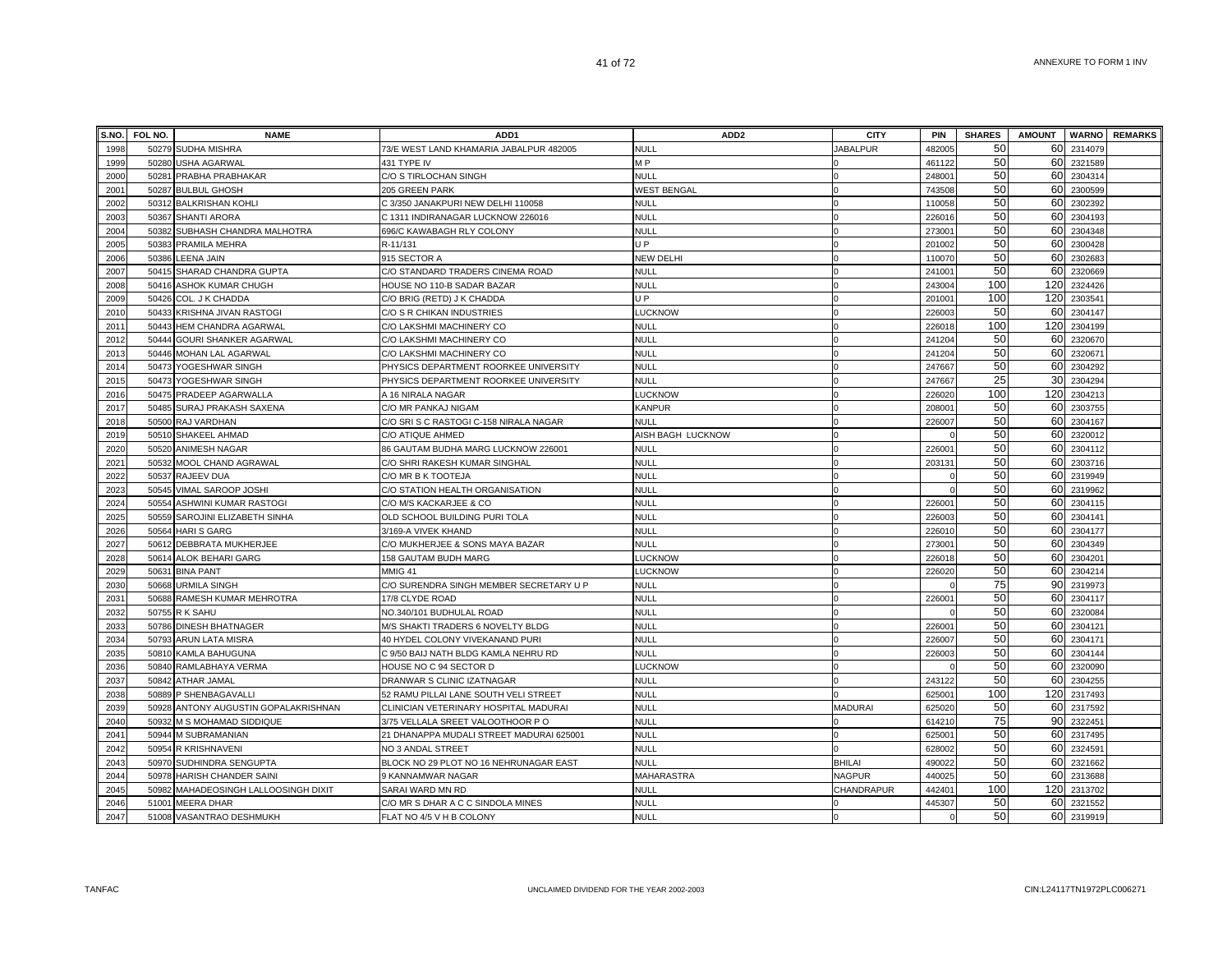| S.NO. | <b>FOL NO.</b> | <b>NAME</b>                          | ADD <sub>1</sub>                         | ADD <sub>2</sub>   | <b>CITY</b>     | <b>PIN</b>         | <b>SHARES</b> | <b>AMOUNT</b> |         | <b>WARNO</b> REMARKS |
|-------|----------------|--------------------------------------|------------------------------------------|--------------------|-----------------|--------------------|---------------|---------------|---------|----------------------|
| 1998  |                | 50279 SUDHA MISHRA                   | 73/E WEST LAND KHAMARIA JABALPUR 482005  | <b>NULL</b>        | <b>JABALPUR</b> | 482005             | 50            | 60            | 2314079 |                      |
| 1999  | 50280          | USHA AGARWAL                         | 431 TYPE IV                              | M <sub>P</sub>     |                 | 461122             | 50            | 60            | 2321589 |                      |
| 2000  | 50281          | PRABHA PRABHAKAR                     | C/O S TIRLOCHAN SINGH                    | <b>NULL</b>        |                 | 24800              | 50            | 60            | 2304314 |                      |
| 2001  | 50287          | <b>BULBUL GHOSH</b>                  | 205 GREEN PARK                           | <b>WEST BENGAL</b> |                 | 743508             | 50            | 60            | 2300599 |                      |
| 2002  |                | 50312 BALKRISHAN KOHLI               | C 3/350 JANAKPURI NEW DELHI 110058       | <b>NULL</b>        |                 | 110058             | 50            | 60            | 2302392 |                      |
| 2003  | 50367          | <b>SHANTI ARORA</b>                  | C 1311 INDIRANAGAR LUCKNOW 226016        | <b>NULL</b>        |                 | 226016             | 50            | 60            | 2304193 |                      |
| 2004  | 50382          | SUBHASH CHANDRA MALHOTRA             | 696/C KAWABAGH RLY COLONY                | <b>NULL</b>        |                 | 27300 <sup>-</sup> | 50            | 60            | 2304348 |                      |
| 2005  | 50383          | PRAMILA MEHRA                        | R-11/131                                 | U P                |                 | 201002             | 50            | 60            | 2300428 |                      |
| 2006  | 50386          | LEENA JAIN                           | 915 SECTOR A                             | NEW DELHI          |                 | 110070             | 50            | 60            | 2302683 |                      |
| 2007  | 50415          | SHARAD CHANDRA GUPTA                 | C/O STANDARD TRADERS CINEMA ROAD         | <b>NULL</b>        |                 | 24100              | 50            | 60            | 2320669 |                      |
| 2008  | 50416          | ASHOK KUMAR CHUGH                    | HOUSE NO 110-B SADAR BAZAR               | <b>NULL</b>        |                 | 243004             | 100           | 120           | 2324426 |                      |
| 2009  | 50426          | COL. J K CHADDA                      | C/O BRIG (RETD) J K CHADDA               | U P                |                 | 20100              | 100           | 120           | 2303541 |                      |
| 2010  | 50433          | KRISHNA JIVAN RASTOGI                | C/O S R CHIKAN INDUSTRIES                | <b>LUCKNOW</b>     |                 | 226003             | 50            | 60            | 2304147 |                      |
| 2011  | 50443          | HEM CHANDRA AGARWAL                  | C/O LAKSHMI MACHINERY CO                 | <b>NULL</b>        |                 | 22601              | 100           | 120           | 2304199 |                      |
| 2012  | 50444          | <b>GOURI SHANKER AGARWAL</b>         | C/O LAKSHMI MACHINERY CO                 | <b>NULL</b>        |                 | 241204             | 50            | 60            | 2320670 |                      |
| 2013  |                | 50446 MOHAN LAL AGARWAL              | C/O LAKSHMI MACHINERY CO                 | <b>NULL</b>        |                 | 241204             | 50            | 60            | 2320671 |                      |
| 2014  |                | 50473 YOGESHWAR SINGH                | PHYSICS DEPARTMENT ROORKEE UNIVERSITY    | <b>NULL</b>        |                 | 247667             | 50            | 60            | 2304292 |                      |
| 2015  |                | 50473 YOGESHWAR SINGH                | PHYSICS DEPARTMENT ROORKEE UNIVERSITY    | <b>NULL</b>        |                 | 247667             | 25            | 30            | 2304294 |                      |
| 2016  |                | 50475 PRADEEP AGARWALLA              | A 16 NIRALA NAGAR                        | LUCKNOW            |                 | 226020             | 100           | 120           | 2304213 |                      |
| 2017  |                | 50485 SURAJ PRAKASH SAXENA           | C/O MR PANKAJ NIGAM                      | <b>KANPUR</b>      |                 | 20800              | 50            | 60            | 2303755 |                      |
| 2018  |                | 50500 RAJ VARDHAN                    | C/O SRI S C RASTOGI C-158 NIRALA NAGAR   | <b>NULL</b>        |                 | 22600              | 50            | 60            | 2304167 |                      |
| 2019  |                | 50510 SHAKEEL AHMAD                  | C/O ATIQUE AHMED                         | AISH BAGH LUCKNOW  |                 |                    | 50            | 60            | 2320012 |                      |
| 2020  | 50520          | ANIMESH NAGAR                        | 86 GAUTAM BUDHA MARG LUCKNOW 226001      | <b>NULL</b>        |                 | 22600              | 50            | 60            | 2304112 |                      |
| 2021  | 50532          | MOOL CHAND AGRAWAL                   | C/O SHRI RAKESH KUMAR SINGHAL            | <b>NULL</b>        |                 | 20313              | 50            | 60            | 2303716 |                      |
| 2022  | 50537          | RAJEEV DUA                           | C/O MR B K TOOTEJA                       | <b>NULL</b>        |                 |                    | 50            | 60            | 2319949 |                      |
| 2023  | 50545          | VIMAL SAROOP JOSHI                   | C/O STATION HEALTH ORGANISATION          | <b>NULL</b>        |                 |                    | 50            | 60            | 2319962 |                      |
| 2024  |                | 50554 ASHWINI KUMAR RASTOGI          | C/O M/S KACKARJEE & CO                   | <b>NULL</b>        |                 | 226001             | 50            | 60            | 2304115 |                      |
| 2025  |                | 50559 SAROJINI ELIZABETH SINHA       | OLD SCHOOL BUILDING PURI TOLA            | <b>NULL</b>        |                 | 226003             | 50            | 60            | 2304141 |                      |
| 2026  |                | 50564 HARI S GARG                    | 3/169-A VIVEK KHAND                      | <b>NULL</b>        |                 | 226010             | 50            | 60            | 2304177 |                      |
| 2027  |                | 50612 DEBBRATA MUKHERJEE             | C/O MUKHERJEE & SONS MAYA BAZAR          | <b>NULL</b>        |                 | 27300 <sup>-</sup> | 50            | 60            | 2304349 |                      |
| 2028  |                | 50614 ALOK BEHARI GARG               | 158 GAUTAM BUDH MARG                     | <b>LUCKNOW</b>     |                 | 226018             | 50            | 60            | 2304201 |                      |
| 2029  | 50631          | <b>BINA PANT</b>                     | MMIG 41                                  | LUCKNOW            |                 | 226020             | 50            | 60            | 230421  |                      |
| 2030  | 50668          | <b>URMILA SINGH</b>                  | C/O SURENDRA SINGH MEMBER SECRETARY U P  | <b>NULL</b>        |                 |                    | 75            | 90            | 2319973 |                      |
| 2031  | 50688          | RAMESH KUMAR MEHROTRA                | 17/8 CLYDE ROAD                          | <b>NULL</b>        |                 | 22600              | 50            | 60            | 2304117 |                      |
| 2032  | 50755          | R K SAHU                             | NO.340/101 BUDHULAL ROAD                 | <b>NULL</b>        |                 |                    | 50            | 60            | 2320084 |                      |
| 2033  | 50786          | <b>DINESH BHATNAGER</b>              | M/S SHAKTI TRADERS 6 NOVELTY BLDG        | <b>NULL</b>        |                 | 22600              | 50            | 60            | 2304121 |                      |
| 2034  | 50793          | ARUN LATA MISRA                      | 40 HYDEL COLONY VIVEKANAND PURI          | <b>NULL</b>        |                 | 226007             | 50            | 60            | 2304171 |                      |
| 2035  |                | 50810 KAMLA BAHUGUNA                 | C 9/50 BAIJ NATH BLDG KAMLA NEHRU RD     | <b>NULL</b>        |                 | 226003             | 50            | 60            | 2304144 |                      |
| 2036  | 50840          | RAMLABHAYA VERMA                     | HOUSE NO C 94 SECTOR D                   | LUCKNOW            |                 |                    | 50            | 60            | 2320090 |                      |
| 2037  | 50842          | ATHAR JAMAL                          | DRANWAR S CLINIC IZATNAGAR               | <b>NULL</b>        |                 | 243122             | 50            | 60            | 2304255 |                      |
| 2038  |                | 50889 P SHENBAGAVALLI                | 52 RAMU PILLAI LANE SOUTH VELI STREET    | <b>NULL</b>        |                 | 62500 <sup>-</sup> | 100           | 120           | 2317493 |                      |
| 2039  |                | 50928 ANTONY AUGUSTIN GOPALAKRISHNAN | CLINICIAN VETERINARY HOSPITAL MADURAI    | <b>NULL</b>        | <b>MADURAI</b>  | 625020             | 50            | 60            | 2317592 |                      |
| 2040  | 50932          | M S MOHAMAD SIDDIQUE                 | 3/75 VELLALA SREET VALOOTHOOR PO         | <b>NULL</b>        |                 | 614210             | 75            | 90            | 2322451 |                      |
| 2041  |                | 50944 M SUBRAMANIAN                  | 21 DHANAPPA MUDALI STREET MADURAI 625001 | NULL               |                 | 62500 <sup>-</sup> | 50            | 60            | 2317495 |                      |
| 2042  | 50954          | R KRISHNAVENI                        | NO 3 ANDAL STREET                        | <b>NULL</b>        |                 | 62800              | 50            | 60            | 232459  |                      |
| 2043  |                | 50970 SUDHINDRA SENGUPTA             | BLOCK NO 29 PLOT NO 16 NEHRUNAGAR EAST   | <b>NULL</b>        | <b>BHILAI</b>   | 490022             | 50            | 60            | 2321662 |                      |
| 2044  | 50978          | HARISH CHANDER SAINI                 | 9 KANNAMWAR NAGAR                        | MAHARASTRA         | <b>NAGPUR</b>   | 44002              | 50            | 60            | 2313688 |                      |
| 2045  | 50982          | MAHADEOSINGH LALLOOSINGH DIXIT       | SARAI WARD MN RD                         | NULL               | CHANDRAPUR      | 44240              | 100           | 120           | 2313702 |                      |
| 2046  | 51001          | <b>MEERA DHAR</b>                    | C/O MR S DHAR A C C SINDOLA MINES        | <b>NULL</b>        |                 | 445307             | 50            | 60            | 2321552 |                      |
| 2047  |                | 51008 VASANTRAO DESHMUKH             | FLAT NO 4/5 V H B COLONY                 | <b>NULL</b>        |                 |                    | 50            | 60            | 2319919 |                      |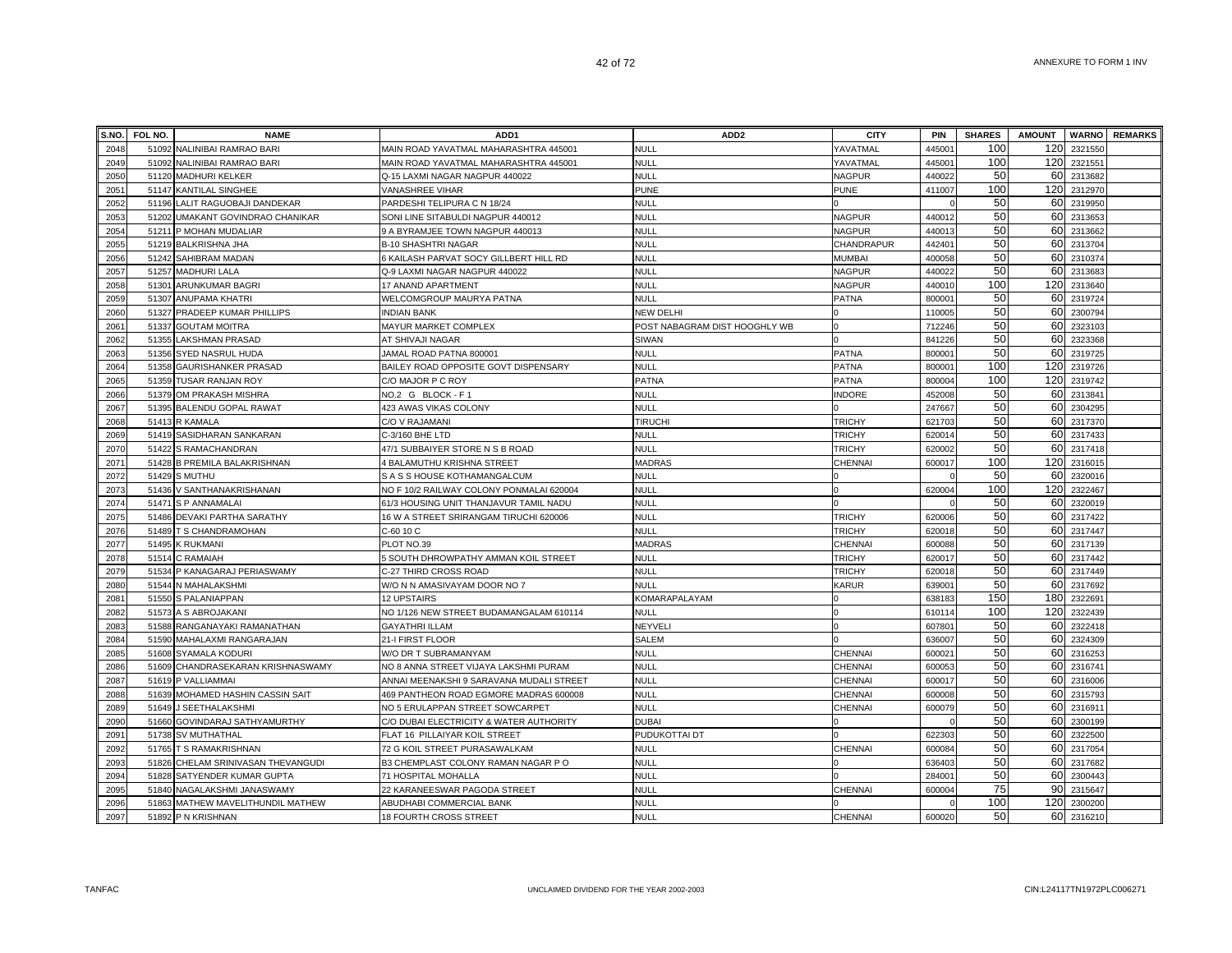|      | S.NO. FOL NO. | <b>NAME</b>                        | ADD <sub>1</sub>                         | ADD <sub>2</sub>              | <b>CITY</b>    | PIN                | <b>SHARES</b> | <b>AMOUNT</b> |         | <b>WARNO</b> REMARKS |
|------|---------------|------------------------------------|------------------------------------------|-------------------------------|----------------|--------------------|---------------|---------------|---------|----------------------|
| 2048 | 51092         | NALINIBAI RAMRAO BARI              | MAIN ROAD YAVATMAL MAHARASHTRA 445001    | <b>NULL</b>                   | YAVATMAL       | 44500 <sup>-</sup> | 100           | 120           | 2321550 |                      |
| 2049 | 51092         | NALINIBAI RAMRAO BARI              | MAIN ROAD YAVATMAL MAHARASHTRA 445001    | <b>NULL</b>                   | YAVATMAL       | 44500 <sup>-</sup> | 100           | 120           | 2321551 |                      |
| 2050 |               | 51120 MADHURI KELKER               | Q-15 LAXMI NAGAR NAGPUR 440022           | <b>NULL</b>                   | <b>NAGPUR</b>  | 440022             | 50            | 60            | 2313682 |                      |
| 2051 |               | 51147 KANTILAL SINGHEE             | VANASHREE VIHAR                          | <b>PUNE</b>                   | <b>PUNE</b>    | 411007             | 100           | 120           | 2312970 |                      |
| 2052 |               | 51196 LALIT RAGUOBAJI DANDEKAR     | PARDESHI TELIPURA C N 18/24              | <b>NULL</b>                   |                |                    | 50            | 60            | 2319950 |                      |
| 2053 |               | 51202 UMAKANT GOVINDRAO CHANIKAR   | SONI LINE SITABULDI NAGPUR 440012        | <b>NULL</b>                   | <b>NAGPUR</b>  | 44001              | 50            | 60            | 2313653 |                      |
| 2054 |               | 51211 P MOHAN MUDALIAR             | 9 A BYRAMJEE TOWN NAGPUR 440013          | <b>NULL</b>                   | <b>NAGPUR</b>  | 44001              | 50            | 60            | 2313662 |                      |
| 2055 |               | 51219 BALKRISHNA JHA               | <b>B-10 SHASHTRI NAGAR</b>               | <b>NULL</b>                   | CHANDRAPUR     | 44240 <sup>-</sup> | 50            | 60            | 2313704 |                      |
| 2056 |               | 51242 SAHIBRAM MADAN               | 6 KAILASH PARVAT SOCY GILLBERT HILL RD   | <b>NULL</b>                   | MUMBAI         | 400058             | 50            | 60            | 2310374 |                      |
| 2057 |               | 51257 MADHURI LALA                 | Q-9 LAXMI NAGAR NAGPUR 440022            | <b>NULL</b>                   | <b>NAGPUR</b>  | 44002              | 50            | 60            | 2313683 |                      |
| 2058 | 51301         | ARUNKUMAR BAGRI                    | 17 ANAND APARTMENT                       | <b>NULL</b>                   | <b>NAGPUR</b>  | 440010             | 100           | 120           | 2313640 |                      |
| 2059 | 51307         | <b>ANUPAMA KHATRI</b>              | WELCOMGROUP MAURYA PATNA                 | <b>NULL</b>                   | <b>PATNA</b>   | 80000              | 50            | 60            | 2319724 |                      |
| 2060 | 51327         | PRADEEP KUMAR PHILLIPS             | <b>INDIAN BANK</b>                       | NEW DELHI                     |                | 11000              | 50            | 60            | 2300794 |                      |
| 2061 |               | 51337 GOUTAM MOITRA                | MAYUR MARKET COMPLEX                     | POST NABAGRAM DIST HOOGHLY WB |                | 712246             | 50            | 60            | 2323103 |                      |
| 2062 |               | 51355 LAKSHMAN PRASAD              | AT SHIVAJI NAGAR                         | SIWAN                         |                | 841226             | 50            | 60            | 2323368 |                      |
| 2063 |               | 51356 SYED NASRUL HUDA             | JAMAL ROAD PATNA 800001                  | <b>NULL</b>                   | <b>PATNA</b>   | 80000              | 50            | 60            | 2319725 |                      |
| 2064 |               | 51358 GAURISHANKER PRASAD          | BAILEY ROAD OPPOSITE GOVT DISPENSARY     | <b>NULL</b>                   | <b>PATNA</b>   | 80000              | 100           | 120           | 2319726 |                      |
| 2065 |               | 51359 TUSAR RANJAN ROY             | C/O MAJOR P C ROY                        | PATNA                         | PATNA          | 800004             | 100           | 120           | 2319742 |                      |
| 2066 |               | 51379 OM PRAKASH MISHRA            | NO.2 G BLOCK - F1                        | <b>NULL</b>                   | <b>NDORE</b>   | 452008             | 50            | 60            | 2313841 |                      |
| 2067 |               | 51395 BALENDU GOPAL RAWAT          | 423 AWAS VIKAS COLONY                    | <b>NULL</b>                   |                | 247667             | 50            | 60            | 2304295 |                      |
| 2068 | 51413         | <b>R KAMALA</b>                    | C/O V RAJAMANI                           | <b>TIRUCHI</b>                | <b>TRICHY</b>  | 621703             | 50            | 60            | 2317370 |                      |
| 2069 | 51419         | SASIDHARAN SANKARAN                | C-3/160 BHE LTD                          | <b>NULL</b>                   | <b>TRICHY</b>  | 62001              | 50            | 60            | 2317433 |                      |
| 2070 |               | 51422 S RAMACHANDRAN               | 47/1 SUBBAIYER STORE N S B ROAD          | <b>NULL</b>                   | <b>TRICHY</b>  | 620002             | 50            | 60            | 2317418 |                      |
| 2071 |               | 51428 B PREMILA BALAKRISHNAN       | 4 BALAMUTHU KRISHNA STREET               | <b>MADRAS</b>                 | <b>CHENNAI</b> | 600017             | 100           | 120           | 2316015 |                      |
| 2072 |               | 51429 S MUTHU                      | S A S S HOUSE KOTHAMANGALCUM             | <b>NULL</b>                   |                |                    | 50            | 60            | 2320016 |                      |
| 2073 |               | 51436 V SANTHANAKRISHANAN          | NO F 10/2 RAILWAY COLONY PONMALAI 620004 | <b>NULL</b>                   |                | 620004             | 100           | 120           | 2322467 |                      |
| 2074 |               | 51471 S P ANNAMALAI                | 61/3 HOUSING UNIT THANJAVUR TAMIL NADU   | <b>NULL</b>                   |                |                    | 50            | 60            | 2320019 |                      |
| 2075 |               | 51486 DEVAKI PARTHA SARATHY        | 16 W A STREET SRIRANGAM TIRUCHI 620006   | <b>NULL</b>                   | <b>TRICHY</b>  | 620006             | 50            | 60            | 2317422 |                      |
| 2076 |               | 51489 T S CHANDRAMOHAN             | C-60 10 C                                | <b>NULL</b>                   | <b>TRICHY</b>  | 620018             | 50            | 60            | 2317447 |                      |
| 2077 |               | 51495 K RUKMANI                    | PLOT NO.39                               | <b>MADRAS</b>                 | CHENNAI        | 600088             | 50            | 60            | 2317139 |                      |
| 2078 | 51514         | C RAMAIAH                          | 5 SOUTH DHROWPATHY AMMAN KOIL STREET     | NULL                          | <b>TRICHY</b>  | 620017             | 50            | 60            | 2317442 |                      |
| 2079 | 51534         | P KANAGARAJ PERIASWAMY             | C-27 THIRD CROSS ROAD                    | <b>NULL</b>                   | <b>TRICHY</b>  | 62001              | 50            | 60            | 2317449 |                      |
| 2080 | 51544         | N MAHALAKSHMI                      | W/O N N AMASIVAYAM DOOR NO 7             | <b>NULL</b>                   | KARUR          | 63900              | 50            | 60            | 2317692 |                      |
| 2081 |               | 51550 S PALANIAPPAN                | 12 UPSTAIRS                              | KOMARAPALAYAM                 |                | 638183             | 150           | 180           | 2322691 |                      |
| 2082 |               | 51573 A S ABROJAKANI               | NO 1/126 NEW STREET BUDAMANGALAM 610114  | NULL                          |                | 610114             | 100           | 120           | 2322439 |                      |
| 2083 |               | 51588 RANGANAYAKI RAMANATHAN       | <b>GAYATHRI ILLAM</b>                    | NEYVELI                       |                | 60780              | 50            | 60            | 2322418 |                      |
| 2084 |               | 51590 MAHALAXMI RANGARAJAN         | 21-I FIRST FLOOR                         | SALEM                         |                | 636007             | 50            | 60            | 2324309 |                      |
| 2085 |               | 51608 SYAMALA KODURI               | W/O DR T SUBRAMANYAM                     | <b>NULL</b>                   | <b>CHENNAI</b> | 60002              | 50            | 60            | 2316253 |                      |
| 2086 |               | 51609 CHANDRASEKARAN KRISHNASWAMY  | NO 8 ANNA STREET VIJAYA LAKSHMI PURAM    | <b>NULL</b>                   | CHENNAI        | 60005              | 50            | 60            | 2316741 |                      |
| 2087 |               | 51619 P VALLIAMMAI                 | ANNAI MEENAKSHI 9 SARAVANA MUDALI STREET | <b>NULL</b>                   | <b>CHENNAI</b> | 600017             | 50            | 60            | 2316006 |                      |
| 2088 |               | 51639 MOHAMED HASHIN CASSIN SAIT   | 469 PANTHEON ROAD EGMORE MADRAS 600008   | NULL                          | CHENNAI        | 600008             | 50            | 60            | 2315793 |                      |
| 2089 | 51649         | J SEETHALAKSHMI                    | NO 5 ERULAPPAN STREET SOWCARPET          | <b>NULL</b>                   | CHENNAI        | 600079             | 50            | 60            | 231691  |                      |
| 2090 | 51660         | GOVINDARAJ SATHYAMURTHY            | C/O DUBAI ELECTRICITY & WATER AUTHORITY  | <b>DUBAI</b>                  |                |                    | 50            | 60            | 2300199 |                      |
| 2091 |               | 51738 SV MUTHATHAL                 | FLAT 16 PILLAIYAR KOIL STREET            | PUDUKOTTAI DT                 |                | 622303             | 50            | 60            | 2322500 |                      |
| 2092 |               | 51765 T S RAMAKRISHNAN             | 72 G KOIL STREET PURASAWALKAM            | <b>NULL</b>                   | <b>CHENNAI</b> | 600084             | 50            | 60            | 2317054 |                      |
| 2093 |               | 51826 CHELAM SRINIVASAN THEVANGUDI | B3 CHEMPLAST COLONY RAMAN NAGAR PO       | <b>NULL</b>                   |                | 636403             | 50            | 60            | 2317682 |                      |
| 2094 |               | 51828 SATYENDER KUMAR GUPTA        | 71 HOSPITAL MOHALLA                      | <b>NULL</b>                   |                | 28400              | 50            | 60            | 2300443 |                      |
| 2095 |               | 51840 NAGALAKSHMI JANASWAMY        | 22 KARANEESWAR PAGODA STREET             | <b>NULL</b>                   | CHENNAI        | 600004             | 75<br>100     | 90            | 2315647 |                      |
| 2096 |               | 51863 MATHEW MAVELITHUNDIL MATHEW  | ABUDHABI COMMERCIAL BANK                 | <b>NULL</b>                   |                |                    | 50            | 120           | 2300200 |                      |
| 2097 |               | 51892 P N KRISHNAN                 | 18 FOURTH CROSS STREET                   | <b>NULL</b>                   | <b>CHENNAI</b> | 600020             |               | 60            | 2316210 |                      |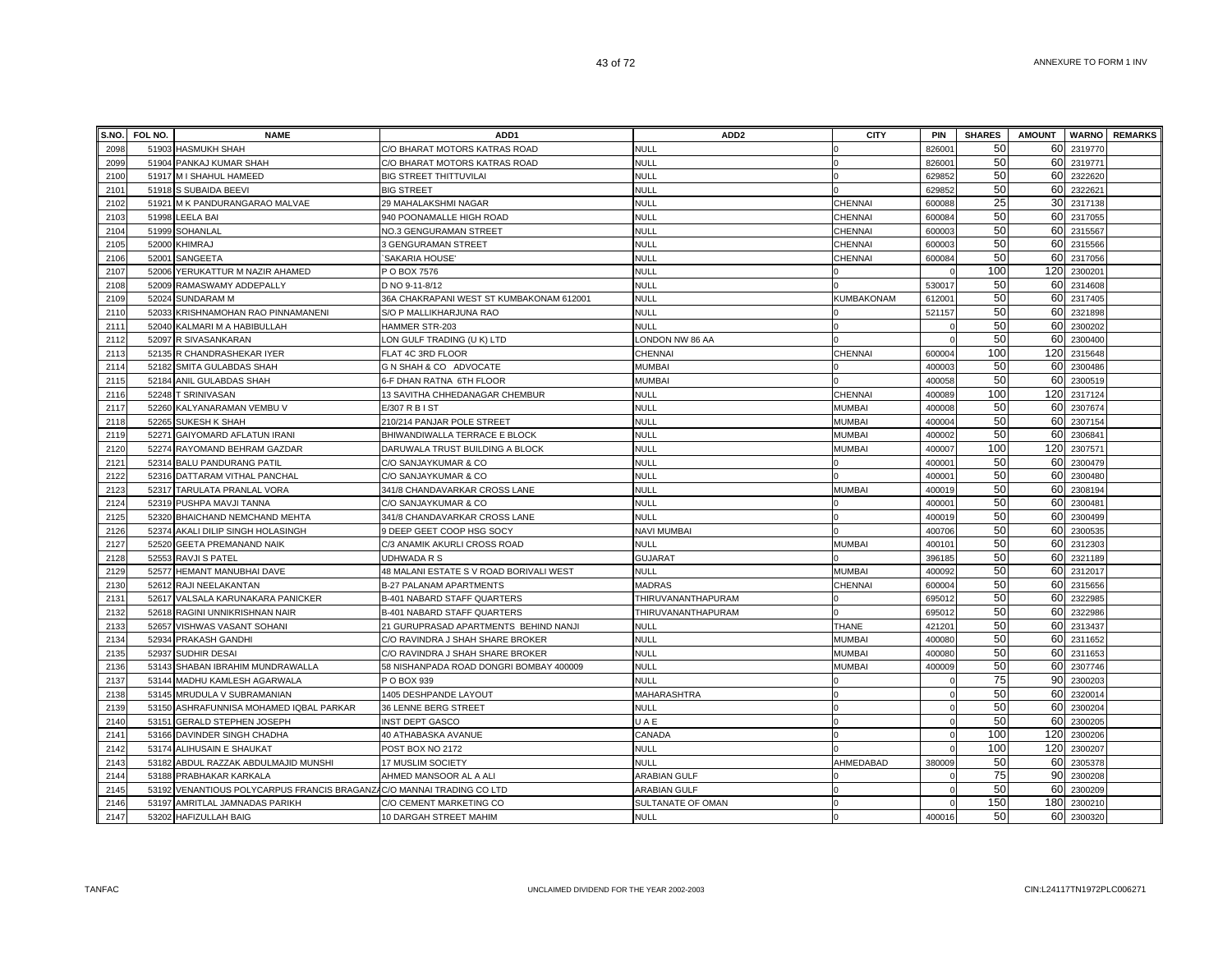| S.NO. | FOL NO. | <b>NAME</b>                                                           | ADD <sub>1</sub>                         | ADD <sub>2</sub>    | <b>CITY</b>       | <b>PIN</b>         | <b>SHARES</b> | <b>AMOUNT</b> |         | <b>WARNO</b> REMARKS |
|-------|---------|-----------------------------------------------------------------------|------------------------------------------|---------------------|-------------------|--------------------|---------------|---------------|---------|----------------------|
| 2098  |         | 51903 HASMUKH SHAH                                                    | C/O BHARAT MOTORS KATRAS ROAD            | <b>NULL</b>         |                   | 82600              | 50            | 60            | 2319770 |                      |
| 2099  |         | 51904 PANKAJ KUMAR SHAH                                               | C/O BHARAT MOTORS KATRAS ROAD            | <b>NULL</b>         |                   | 82600              | 50            | 60            | 231977  |                      |
| 2100  |         | 51917 M I SHAHUL HAMEED                                               | <b>BIG STREET THITTUVILAI</b>            | <b>NULL</b>         |                   | 629852             | 50            | 60            | 2322620 |                      |
| 2101  |         | 51918 S SUBAIDA BEEVI                                                 | <b>BIG STREET</b>                        | <b>NULL</b>         |                   | 629852             | 50            | 60            | 2322621 |                      |
| 2102  |         | 51921 M K PANDURANGARAO MALVAE                                        | 29 MAHALAKSHMI NAGAR                     | <b>NULL</b>         | CHENNAI           | 600088             | 25            | 30            | 2317138 |                      |
| 2103  |         | 51998 LEELA BAI                                                       | 940 POONAMALLE HIGH ROAD                 | <b>NULL</b>         | CHENNAI           | 600084             | 50            | 60            | 2317055 |                      |
| 2104  |         | 51999 SOHANLAL                                                        | NO.3 GENGURAMAN STREET                   | <b>NULL</b>         | CHENNAI           | 600003             | 50            | 60            | 2315567 |                      |
| 2105  |         | 52000 KHIMRAJ                                                         | 3 GENGURAMAN STREET                      | NULL                | CHENNAI           | 600003             | 50            | 60            | 2315566 |                      |
| 2106  |         | 52001 SANGEETA                                                        | SAKARIA HOUSE'                           | <b>NULL</b>         | CHENNAI           | 600084             | 50            | 60            | 2317056 |                      |
| 2107  |         | 52006 YERUKATTUR M NAZIR AHAMED                                       | P O BOX 7576                             | <b>NULL</b>         |                   |                    | 100           | 120           | 2300201 |                      |
| 2108  |         | 52009 RAMASWAMY ADDEPALLY                                             | D NO 9-11-8/12                           | <b>NULL</b>         |                   | 53001              | 50            | 60            | 2314608 |                      |
| 2109  | 52024   | <b>SUNDARAM M</b>                                                     | 36A CHAKRAPANI WEST ST KUMBAKONAM 612001 | <b>NULL</b>         | <b>KUMBAKONAM</b> | 61200              | 50            | 60            | 2317405 |                      |
| 2110  |         | 52033 KRISHNAMOHAN RAO PINNAMANENI                                    | S/O P MALLIKHARJUNA RAO                  | <b>NULL</b>         |                   | 521157             | 50            | 60            | 2321898 |                      |
| 2111  |         | 52040 KALMARI M A HABIBULLAH                                          | HAMMER STR-203                           | <b>NULL</b>         |                   |                    | 50            | 60            | 2300202 |                      |
| 2112  |         | 52097 R SIVASANKARAN                                                  | LON GULF TRADING (U K) LTD               | LONDON NW 86 AA     |                   |                    | 50            | 60            | 2300400 |                      |
| 2113  |         | 52135 R CHANDRASHEKAR IYER                                            | FLAT 4C 3RD FLOOR                        | CHENNAI             | <b>CHENNAI</b>    | 600004             | 100           | 120           | 2315648 |                      |
| 2114  |         | 52182 SMITA GULABDAS SHAH                                             | G N SHAH & CO ADVOCATE                   | <b>MUMBAI</b>       |                   | 400003             | 50            | 60            | 2300486 |                      |
| 2115  |         | 52184 ANIL GULABDAS SHAH                                              | 6-F DHAN RATNA 6TH FLOOR                 | <b>MUMBAI</b>       |                   | 400058             | 50            | 60            | 2300519 |                      |
| 2116  |         | 52248 T SRINIVASAN                                                    | 13 SAVITHA CHHEDANAGAR CHEMBUR           | <b>NULL</b>         | CHENNAI           | 400089             | 100           | 120           | 2317124 |                      |
| 2117  |         | 52260 KALYANARAMAN VEMBU V                                            | E/307 R B I ST                           | <b>NULL</b>         | <b>MUMBAI</b>     | 400008             | 50            | 60            | 2307674 |                      |
| 2118  |         | 52265 SUKESH K SHAH                                                   | 210/214 PANJAR POLE STREET               | <b>NULL</b>         | <b>MUMBAI</b>     | 400004             | 50            | 60            | 2307154 |                      |
| 2119  |         | 52271 GAIYOMARD AFLATUN IRANI                                         | BHIWANDIWALLA TERRACE E BLOCK            | <b>NULL</b>         | <b>MUMBAI</b>     | 400002             | 50            | 60            | 230684  |                      |
| 2120  |         | 52274 RAYOMAND BEHRAM GAZDAR                                          | DARUWALA TRUST BUILDING A BLOCK          | <b>NULL</b>         | <b>MUMBAI</b>     | 40000              | 100           | 120           | 230757  |                      |
| 2121  |         | 52314 BALU PANDURANG PATIL                                            | C/O SANJAYKUMAR & CO                     | <b>NULL</b>         |                   | 40000 <sup>-</sup> | 50            | 60            | 2300479 |                      |
| 2122  |         | 52316 DATTARAM VITHAL PANCHAL                                         | C/O SANJAYKUMAR & CO                     | <b>NULL</b>         |                   | 40000 <sup>-</sup> | 50            | 60            | 2300480 |                      |
| 2123  |         | 52317 TARULATA PRANLAL VORA                                           | 341/8 CHANDAVARKAR CROSS LANE            | <b>NULL</b>         | <b>MUMBAI</b>     | 400019             | 50            | 60            | 2308194 |                      |
| 2124  |         | 52319 PUSHPA MAVJI TANNA                                              | C/O SANJAYKUMAR & CO                     | <b>NULL</b>         |                   | 40000              | 50            | 60            | 2300481 |                      |
| 2125  |         | 52320 BHAICHAND NEMCHAND MEHTA                                        | 341/8 CHANDAVARKAR CROSS LANE            | <b>NULL</b>         |                   | 400019             | 50            | 60            | 2300499 |                      |
| 2126  |         | 52374 AKALI DILIP SINGH HOLASINGH                                     | 9 DEEP GEET COOP HSG SOCY                | <b>NAVI MUMBAI</b>  |                   | 400706             | 50            | 60            | 2300535 |                      |
| 2127  |         | 52520 GEETA PREMANAND NAIK                                            | C/3 ANAMIK AKURLI CROSS ROAD             | NULL                | <b>MUMBAI</b>     | 40010 <sup>-</sup> | 50            | 60            | 2312303 |                      |
| 2128  |         | 52553 RAVJI S PATEL                                                   | UDHWADA R S                              | <b>GUJARAT</b>      |                   | 396185             | 50            | 60            | 2321189 |                      |
| 2129  |         | 52577 HEMANT MANUBHAI DAVE                                            | 48 MALANI ESTATE S V ROAD BORIVALI WEST  | <b>NULL</b>         | <b>MUMBAI</b>     | 400092             | 50            | 60            | 2312017 |                      |
| 2130  |         | 52612 RAJI NEELAKANTAN                                                | <b>B-27 PALANAM APARTMENTS</b>           | MADRAS              | <b>CHENNAI</b>    | 600004             | 50            | 60            | 2315656 |                      |
| 2131  |         | 52617 VALSALA KARUNAKARA PANICKER                                     | B-401 NABARD STAFF QUARTERS              | THIRUVANANTHAPURAM  |                   | 69501              | 50            | 60            | 2322985 |                      |
| 2132  |         | 52618 RAGINI UNNIKRISHNAN NAIR                                        | B-401 NABARD STAFF QUARTERS              | THIRUVANANTHAPURAM  |                   | 69501              | 50            | 60            | 2322986 |                      |
| 2133  | 52657   | VISHWAS VASANT SOHANI                                                 | 21 GURUPRASAD APARTMENTS BEHIND NANJI    | <b>NULL</b>         | <b>THANE</b>      | 42120 <sup>-</sup> | 50            | 60            | 2313437 |                      |
| 2134  |         | 52934 PRAKASH GANDHI                                                  | C/O RAVINDRA J SHAH SHARE BROKER         | <b>NULL</b>         | <b>MUMBA</b>      | 40008              | 50            | 60            | 2311652 |                      |
| 2135  |         | 52937 SUDHIR DESAI                                                    | C/O RAVINDRA J SHAH SHARE BROKER         | <b>NULL</b>         | <b>MUMBAI</b>     | 40008              | 50            | 60I           | 2311653 |                      |
| 2136  |         | 53143 SHABAN IBRAHIM MUNDRAWALLA                                      | 58 NISHANPADA ROAD DONGRI BOMBAY 400009  | <b>NULL</b>         | <b>MUMBAI</b>     | 400009             | 50            | 60            | 2307746 |                      |
| 2137  |         | 53144 MADHU KAMLESH AGARWALA                                          | P O BOX 939                              | NULL                |                   |                    | 75            | 90            | 2300203 |                      |
| 2138  |         | 53145 MRUDULA V SUBRAMANIAN                                           | 1405 DESHPANDE LAYOUT                    | MAHARASHTRA         |                   |                    | 50            | 60            | 2320014 |                      |
| 2139  |         | 53150 ASHRAFUNNISA MOHAMED IQBAL PARKAR                               | <b>36 LENNE BERG STREET</b>              | NULL                |                   |                    | 50            | 60            | 2300204 |                      |
| 2140  |         | 53151 GERALD STEPHEN JOSEPH                                           | <b>INST DEPT GASCO</b>                   | UAE                 |                   |                    | 50            | 60            | 2300205 |                      |
| 2141  |         | 53166 DAVINDER SINGH CHADHA                                           | 40 ATHABASKA AVANUE                      | CANADA              |                   |                    | 100           | 120           | 2300206 |                      |
| 2142  |         | 53174 ALIHUSAIN E SHAUKAT                                             | POST BOX NO 2172                         | <b>NULL</b>         |                   |                    | 100           | 120           | 2300207 |                      |
| 2143  |         | 53182 ABDUL RAZZAK ABDULMAJID MUNSHI                                  | 17 MUSLIM SOCIETY                        | <b>NULL</b>         | AHMEDABAD         | 380009             | 50            | 60            | 2305378 |                      |
| 2144  |         | 53188 PRABHAKAR KARKALA                                               | AHMED MANSOOR AL A ALI                   | <b>ARABIAN GULF</b> |                   |                    | 75            | 90            | 2300208 |                      |
| 2145  |         | 53192 VENANTIOUS POLYCARPUS FRANCIS BRAGANZAC/O MANNAI TRADING CO LTD |                                          | <b>ARABIAN GULF</b> |                   |                    | 50            | 60            | 2300209 |                      |
| 2146  |         | 53197 AMRITLAL JAMNADAS PARIKH                                        | C/O CEMENT MARKETING CO                  | SULTANATE OF OMAN   |                   |                    | 150           | 180           | 2300210 |                      |
| 2147  |         | 53202 HAFIZULLAH BAIG                                                 | 10 DARGAH STREET MAHIM                   | <b>NULL</b>         | $\Omega$          | 400016             | 50            | 60            | 2300320 |                      |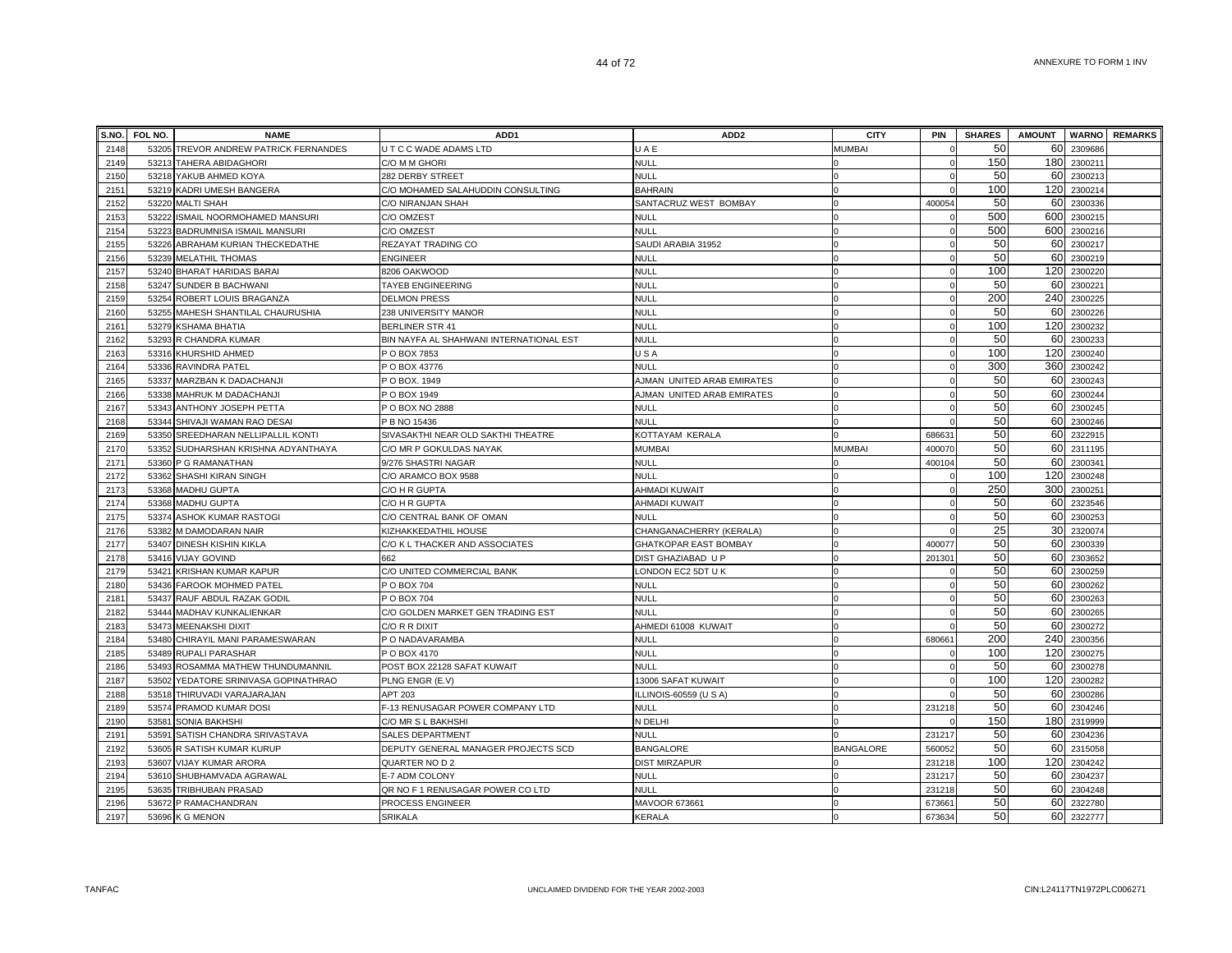| S.NO. | FOL NO. | <b>NAME</b>                           | ADD <sub>1</sub>                        | ADD <sub>2</sub>           | <b>CITY</b>      | PIN      | <b>SHARES</b> | <b>AMOUNT</b>   |             | <b>WARNO</b> REMARKS |
|-------|---------|---------------------------------------|-----------------------------------------|----------------------------|------------------|----------|---------------|-----------------|-------------|----------------------|
| 2148  |         | 53205 TREVOR ANDREW PATRICK FERNANDES | U T C C WADE ADAMS LTD                  | UAE                        | MUMBAI           |          | 50            | 60              | 2309686     |                      |
| 2149  |         | 53213 TAHERA ABIDAGHORI               | C/O M M GHORI                           | <b>NULL</b>                |                  |          | 150           | 180             | 2300211     |                      |
| 2150  |         | 53218 YAKUB AHMED KOYA                | 282 DERBY STREET                        | NULL                       |                  |          | 50            | 60              | 2300213     |                      |
| 2151  | 53219   | KADRI UMESH BANGERA                   | C/O MOHAMED SALAHUDDIN CONSULTING       | <b>BAHRAIN</b>             |                  |          | 100           | 120             | 2300214     |                      |
| 2152  | 53220   | <b>MALTI SHAH</b>                     | C/O NIRANJAN SHAH                       | SANTACRUZ WEST BOMBAY      |                  | 400054   | 50            | 60              | 2300336     |                      |
| 2153  | 53222   | ISMAIL NOORMOHAMED MANSURI            | C/O OMZEST                              | <b>NULL</b>                |                  |          | 500           | 600             | 2300215     |                      |
| 2154  | 53223   | BADRUMNISA ISMAIL MANSURI             | C/O OMZEST                              | <b>NULL</b>                |                  |          | 500           |                 | 600 2300216 |                      |
| 2155  | 53226   | ABRAHAM KURIAN THECKEDATHE            | REZAYAT TRADING CO                      | SAUDI ARABIA 31952         |                  |          | 50            | 60              | 2300217     |                      |
| 2156  | 53239   | <b>MELATHIL THOMAS</b>                | <b>ENGINEER</b>                         | NULL                       |                  |          | 50            | 60              | 2300219     |                      |
| 2157  | 53240   | <b>BHARAT HARIDAS BARAI</b>           | 8206 OAKWOOD                            | <b>NULL</b>                |                  |          | 100           | 120             | 2300220     |                      |
| 2158  | 53247   | <b>SUNDER B BACHWANI</b>              | <b>TAYEB ENGINEERING</b>                | <b>NULL</b>                |                  |          | 50            | 60              | 2300221     |                      |
| 2159  | 53254   | ROBERT LOUIS BRAGANZA                 | <b>DELMON PRESS</b>                     | <b>NULL</b>                |                  |          | 200           |                 | 240 2300225 |                      |
| 2160  |         | 53255 MAHESH SHANTILAL CHAURUSHIA     | 238 UNIVERSITY MANOR                    | <b>NULL</b>                |                  | $\Omega$ | 50            | 60              | 2300226     |                      |
| 2161  | 53279   | <b>KSHAMA BHATIA</b>                  | <b>BERLINER STR 41</b>                  | NULL                       |                  | $\Omega$ | 100           | 120             | 2300232     |                      |
| 2162  |         | 53293 R CHANDRA KUMAR                 | BIN NAYFA AL SHAHWANI INTERNATIONAL EST | <b>NULL</b>                |                  | $\Omega$ | 50            | 60              | 2300233     |                      |
| 2163  |         | 53316 KHURSHID AHMED                  | P O BOX 7853                            | USA                        |                  |          | 100           | 120             | 2300240     |                      |
| 2164  |         | 53336 RAVINDRA PATEL                  | P O BOX 43776                           | NULL                       |                  |          | 300           | 360             | 2300242     |                      |
| 2165  |         | 53337 MARZBAN K DADACHANJI            | P O BOX. 1949                           | AJMAN UNITED ARAB EMIRATES |                  |          | 50            | 60              | 2300243     |                      |
| 2166  |         | 53338 MAHRUK M DADACHANJI             | P O BOX 1949                            | AJMAN UNITED ARAB EMIRATES |                  |          | 50            | 60              | 2300244     |                      |
| 2167  |         | 53343 ANTHONY JOSEPH PETTA            | P O BOX NO 2888                         | NULL                       |                  |          | 50            | 60              | 2300245     |                      |
| 2168  | 53344   | SHIVAJI WAMAN RAO DESAI               | P B NO 15436                            | <b>NULL</b>                |                  |          | 50            | 60              | 2300246     |                      |
| 2169  | 53350   | SREEDHARAN NELLIPALLIL KONTI          | SIVASAKTHI NEAR OLD SAKTHI THEATRE      | KOTTAYAM KERALA            |                  | 68663    | 50            | 60              | 2322915     |                      |
| 2170  | 53352   | SUDHARSHAN KRISHNA ADYANTHAYA         | C/O MR P GOKULDAS NAYAK                 | MUMBAI                     | <b>MUMBAI</b>    | 400070   | 50            | 60              | 2311195     |                      |
| 2171  | 53360   | P G RAMANATHAN                        | 9/276 SHASTRI NAGAR                     | <b>NULL</b>                |                  | 400104   | 50            | 60              | 2300341     |                      |
| 2172  | 53362   | SHASHI KIRAN SINGH                    | C/O ARAMCO BOX 9588                     | <b>NULL</b>                |                  |          | 100           | 120             | 2300248     |                      |
| 2173  | 53368   | <b>MADHU GUPTA</b>                    | C/O H R GUPTA                           | <b>AHMADI KUWAIT</b>       |                  |          | 250           | 300             | 2300251     |                      |
| 2174  |         | 53368 MADHU GUPTA                     | C/O H R GUPTA                           | AHMADI KUWAIT              |                  |          | 50            | 60              | 2323546     |                      |
| 2175  | 53374   | <b>ASHOK KUMAR RASTOGI</b>            | C/O CENTRAL BANK OF OMAN                | <b>NULL</b>                |                  |          | 50            | 60              | 2300253     |                      |
| 2176  |         | 53382 M DAMODARAN NAIR                | KIZHAKKEDATHIL HOUSE                    | CHANGANACHERRY (KERALA)    |                  |          | 25            | 30 <sup>1</sup> | 2320074     |                      |
| 2177  |         | 53407 DINESH KISHIN KIKLA             | C/O K L THACKER AND ASSOCIATES          | GHATKOPAR EAST BOMBAY      |                  | 40007    | 50            | 60              | 2300339     |                      |
| 2178  |         | 53416 VIJAY GOVIND                    | 662                                     | DIST GHAZIABAD U P         |                  | 20130    | 50            | 60              | 2303652     |                      |
| 2179  | 5342'   | KRISHAN KUMAR KAPUR                   | C/O UNITED COMMERCIAL BANK              | LONDON EC2 5DT U K         |                  |          | 50            | 60              | 2300259     |                      |
| 2180  | 53436   | <b>FAROOK MOHMED PATEL</b>            | P O BOX 704                             | <b>NULL</b>                |                  |          | 50            | 60              | 2300262     |                      |
| 2181  | 53437   | RAUF ABDUL RAZAK GODIL                | P O BOX 704                             | <b>NULL</b>                |                  |          | 50            | 60              | 2300263     |                      |
| 2182  | 53444   | MADHAV KUNKALIENKAR                   | C/O GOLDEN MARKET GEN TRADING EST       | <b>NULL</b>                |                  |          | 50            | 60              | 2300265     |                      |
| 2183  | 53473   | <b>MEENAKSHI DIXIT</b>                | C/O R R DIXIT                           | AHMEDI 61008 KUWAIT        |                  |          | 50            | 60              | 2300272     |                      |
| 2184  | 53480   | CHIRAYIL MANI PARAMESWARAN            | P O NADAVARAMBA                         | <b>NULL</b>                |                  | 680661   | 200           | 240             | 2300356     |                      |
| 2185  | 53489   | <b>RUPALI PARASHAR</b>                | P O BOX 4170                            | <b>NULL</b>                |                  |          | 100           | 120             | 2300275     |                      |
| 2186  | 53493   | ROSAMMA MATHEW THUNDUMANNIL           | POST BOX 22128 SAFAT KUWAIT             | <b>NULL</b>                |                  |          | 50            | 60              | 2300278     |                      |
| 2187  |         | 53502 YEDATORE SRINIVASA GOPINATHRAO  | PLNG ENGR (E.V)                         | 13006 SAFAT KUWAIT         |                  |          | 100           | 120             | 2300282     |                      |
| 2188  |         | 53518 THIRUVADI VARAJARAJAN           | APT 203                                 | LLINOIS-60559 (U S A)      |                  |          | 50            | 60              | 2300286     |                      |
| 2189  | 53574   | PRAMOD KUMAR DOSI                     | F-13 RENUSAGAR POWER COMPANY LTD        | NULL                       |                  | 231218   | 50            | 60              | 2304246     |                      |
| 2190  | 5358    | SONIA BAKHSHI                         | C/O MR S L BAKHSHI                      | N DELHI                    |                  |          | 150           | 180             | 2319999     |                      |
| 2191  | 53591   | SATISH CHANDRA SRIVASTAVA             | <b>SALES DEPARTMENT</b>                 | VULL                       |                  | 231217   | 50            | 60              | 2304236     |                      |
| 2192  | 53605   | R SATISH KUMAR KURUP                  | DEPUTY GENERAL MANAGER PROJECTS SCD     | <b>BANGALORE</b>           | <b>BANGALORE</b> | 56005    | 50            | 60              | 2315058     |                      |
| 2193  | 53607   | <b>VIJAY KUMAR ARORA</b>              | QUARTER NO D 2                          | <b>DIST MIRZAPUR</b>       |                  | 231218   | 100           | 120             | 2304242     |                      |
| 2194  | 53610   | SHUBHAMVADA AGRAWAL                   | E-7 ADM COLONY                          | NULL                       |                  | 231217   | 50            | 60              | 2304237     |                      |
| 2195  | 53635   | TRIBHUBAN PRASAD                      | QR NO F 1 RENUSAGAR POWER CO LTD        | NULL                       |                  | 23121    | 50            | 60              | 2304248     |                      |
| 2196  |         | 53672 P RAMACHANDRAN                  | PROCESS ENGINEER                        | MAVOOR 673661              |                  | 67366    | 50            | 60              | 2322780     |                      |
| 2197  |         | 53696 K G MENON                       | <b>SRIKALA</b>                          | <b>KERALA</b>              |                  | 673634   | 50            |                 | 60 2322777  |                      |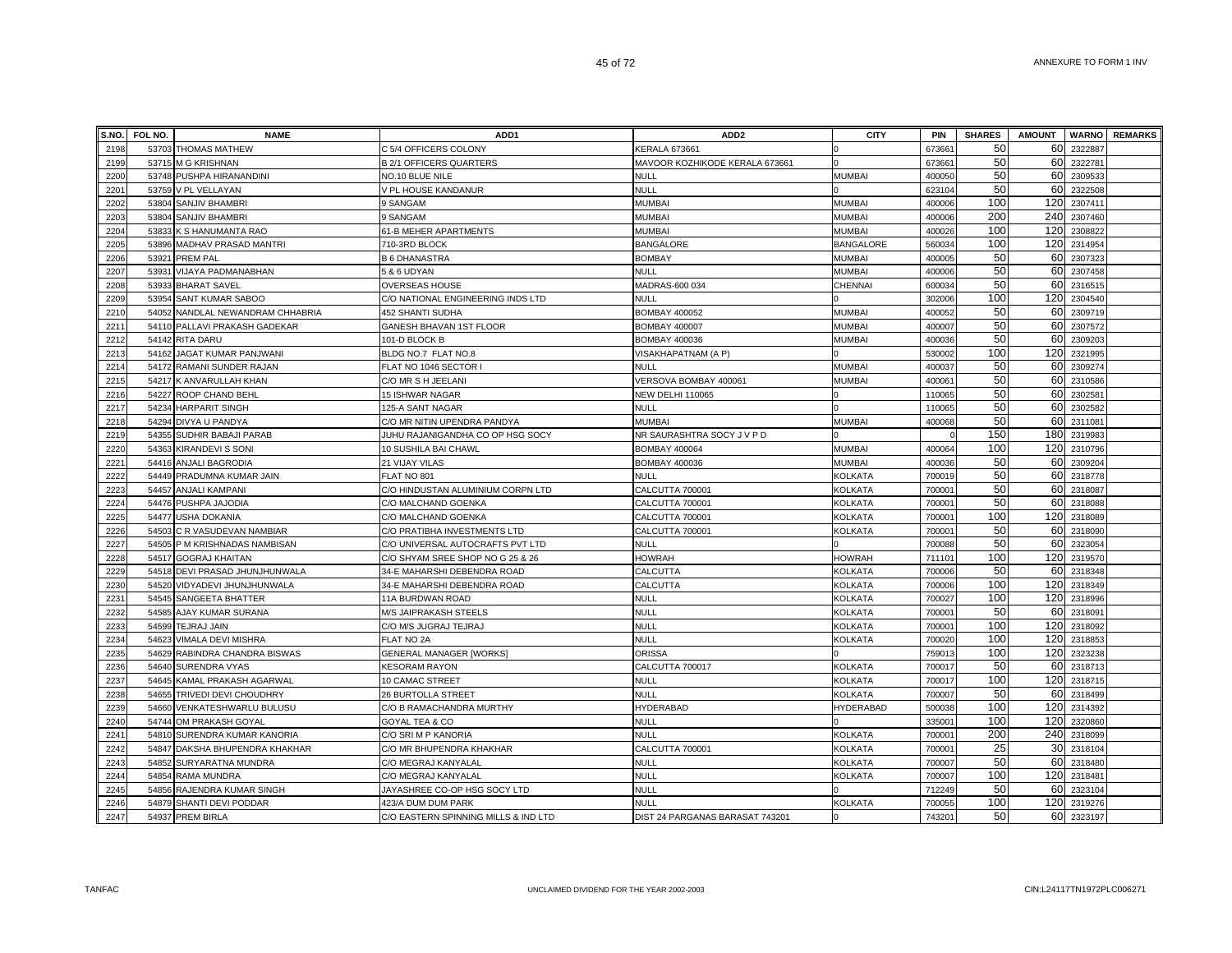| S.NO. | FOL NO. | <b>NAME</b>                      | ADD1                                 | ADD <sub>2</sub>                | <b>CITY</b>      | <b>PIN</b>         | <b>SHARES</b> | <b>AMOUNT</b> | <b>WARNO</b> | <b>REMARKS</b> |
|-------|---------|----------------------------------|--------------------------------------|---------------------------------|------------------|--------------------|---------------|---------------|--------------|----------------|
| 2198  |         | 53703 THOMAS MATHEW              | C 5/4 OFFICERS COLONY                | KERALA 673661                   |                  | 67366              | 50            | 60            | 2322887      |                |
| 2199  |         | 53715 M G KRISHNAN               | <b>B 2/1 OFFICERS QUARTERS</b>       | MAVOOR KOZHIKODE KERALA 673661  |                  | 673661             | 50            | 60            | 2322781      |                |
| 2200  |         | 53748 PUSHPA HIRANANDINI         | NO.10 BLUE NILE                      | <b>NULL</b>                     | MUMBAI           | 400050             | 50            | 60            | 2309533      |                |
| 2201  |         | 53759 V PL VELLAYAN              | V PL HOUSE KANDANUR                  | <b>NULL</b>                     |                  | 623104             | 50            | 60            | 2322508      |                |
| 2202  |         | 53804 SANJIV BHAMBRI             | 9 SANGAM                             | <b>MUMBAI</b>                   | MUMBAI           | 400006             | 100           | 120           | 2307411      |                |
| 2203  | 53804   | <b>SANJIV BHAMBRI</b>            | 9 SANGAM                             | <b>MUMBAI</b>                   | MUMBAI           | 400006             | 200           | 240           | 2307460      |                |
| 2204  | 53833   | K S HANUMANTA RAO                | 61-B MEHER APARTMENTS                | <b>MUMBAI</b>                   | MUMBAI           | 400026             | 100           | 120           | 2308822      |                |
| 2205  | 53896   | MADHAV PRASAD MANTRI             | 710-3RD BLOCK                        | <b>BANGALORE</b>                | <b>BANGALORE</b> | 560034             | 100           | 120           | 2314954      |                |
| 2206  | 53921   | <b>PREM PAL</b>                  | <b>B 6 DHANASTRA</b>                 | <b>BOMBAY</b>                   | <b>MUMBA</b>     | 400005             | 50            | 60            | 2307323      |                |
| 2207  | 53931   | VIJAYA PADMANABHAN               | 5 & 6 UDYAN                          | <b>NULL</b>                     | <b>MUMBAI</b>    | 400006             | 50            | 60            | 2307458      |                |
| 2208  | 53933   | <b>BHARAT SAVEL</b>              | OVERSEAS HOUSE                       | MADRAS-600 034                  | CHENNAI          | 600034             | 50            | 60            | 2316515      |                |
| 2209  | 53954   | <b>SANT KUMAR SABOO</b>          | C/O NATIONAL ENGINEERING INDS LTD    | NULL                            |                  | 302006             | 100           | 120           | 2304540      |                |
| 2210  |         | 54052 NANDLAL NEWANDRAM CHHABRIA | <b>452 SHANTI SUDHA</b>              | <b>BOMBAY 400052</b>            | <b>MUMBAI</b>    | 400052             | 50            | 60            | 2309719      |                |
| 2211  |         | 54110 PALLAVI PRAKASH GADEKAR    | GANESH BHAVAN 1ST FLOOR              | <b>BOMBAY 400007</b>            | MUMBAI           | 400007             | 50            | 60            | 2307572      |                |
| 2212  |         | 54142 RITA DARU                  | 101-D BLOCK B                        | <b>BOMBAY 400036</b>            | MUMBAI           | 400036             | 50            | 60            | 2309203      |                |
| 2213  |         | 54162 JAGAT KUMAR PANJWANI       | BLDG NO.7 FLAT NO.8                  | VISAKHAPATNAM (A P)             |                  | 530002             | 100           | 120           | 2321995      |                |
| 2214  |         | 54172 RAMANI SUNDER RAJAN        | FLAT NO 1046 SECTOR I                | NULL                            | MUMBAI           | 400037             | 50            | 60            | 2309274      |                |
| 2215  |         | 54217 K ANVARULLAH KHAN          | C/O MR S H JEELANI                   | VERSOVA BOMBAY 400061           | MUMBAI           | 40006              | 50            | 60            | 2310586      |                |
| 2216  | 54227   | ROOP CHAND BEHL                  | 15 ISHWAR NAGAR                      | <b>NEW DELHI 110065</b>         |                  | 110065             | 50            | 60            | 230258       |                |
| 2217  | 54234   | <b>HARPARIT SINGH</b>            | 125-A SANT NAGAR                     | <b>NULL</b>                     |                  | 110065             | 50            | 60            | 2302582      |                |
| 2218  | 54294   | DIVYA U PANDYA                   | C/O MR NITIN UPENDRA PANDYA          | <b>MUMBAI</b>                   | <b>MUMBA</b>     | 400068             | 50            | 60            | 2311081      |                |
| 2219  | 54355   | SUDHIR BABAJI PARAB              | JUHU RAJANIGANDHA CO OP HSG SOCY     | NR SAURASHTRA SOCY J V P D      |                  |                    | 150           | 180           | 2319983      |                |
| 2220  | 54363   | <b>KIRANDEVI S SONI</b>          | 10 SUSHILA BAI CHAWL                 | <b>BOMBAY 400064</b>            | MUMBAI           | 400064             | 100           | 120           | 2310796      |                |
| 2221  |         | 54416 ANJALI BAGRODIA            | 21 VIJAY VILAS                       | <b>BOMBAY 400036</b>            | MUMBAI           | 400036             | 50            | 60            | 2309204      |                |
| 2222  |         | 54449 PRADUMNA KUMAR JAIN        | FLAT NO 801                          | NULL                            | KOLKATA          | 700019             | 50            | 60            | 2318778      |                |
| 2223  | 54457   | <b>ANJALI KAMPANI</b>            | C/O HINDUSTAN ALUMINIUM CORPN LTD    | CALCUTTA 700001                 | KOLKATA          | 70000 <sup>-</sup> | 50            | 60            | 2318087      |                |
| 2224  |         | 54476 PUSHPA JAJODIA             | C/O MALCHAND GOENKA                  | CALCUTTA 700001                 | KOLKATA          | 70000              | 50            | 60            | 2318088      |                |
| 2225  | 54477   | <b>USHA DOKANIA</b>              | C/O MALCHAND GOENKA                  | CALCUTTA 700001                 | KOLKATA          | 70000 <sup>-</sup> | 100           | 120           | 2318089      |                |
| 2226  |         | 54503 C R VASUDEVAN NAMBIAR      | C/O PRATIBHA INVESTMENTS LTD         | CALCUTTA 700001                 | <b>KOLKATA</b>   | 70000              | 50            | 60            | 2318090      |                |
| 2227  |         | 54505 P M KRISHNADAS NAMBISAN    | C/O UNIVERSAL AUTOCRAFTS PVT LTD     | <b>NULL</b>                     |                  | 700088             | 50            | 60            | 2323054      |                |
| 2228  | 54517   | <b>GOGRAJ KHAITAN</b>            | C/O SHYAM SREE SHOP NO G 25 & 26     | <b>HOWRAH</b>                   | <b>HOWRAH</b>    | 711101             | 100           | 120           | 2319570      |                |
| 2229  | 54518   | DEVI PRASAD JHUNJHUNWALA         | 34-E MAHARSHI DEBENDRA ROAD          | CALCUTTA                        | KOLKATA          | 700006             | 50            | 60            | 2318348      |                |
| 2230  | 54520   | VIDYADEVI JHUNJHUNWALA           | 34-E MAHARSHI DEBENDRA ROAD          | CALCUTTA                        | KOLKATA          | 700006             | 100           | 120           | 2318349      |                |
| 2231  | 54545   | SANGEETA BHATTER                 | 11A BURDWAN ROAD                     | <b>NULL</b>                     | KOLKATA          | 700027             | 100           | 120           | 2318996      |                |
| 2232  |         | 54585 AJAY KUMAR SURANA          | M/S JAIPRAKASH STEELS                | <b>NULL</b>                     | KOLKATA          | 70000 <sup>-</sup> | 50            | 60            | 2318091      |                |
| 2233  | 54599   | <b>TEJRAJ JAIN</b>               | C/O M/S JUGRAJ TEJRAJ                | NULL                            | <b>KOLKATA</b>   | 70000 <sup>-</sup> | 100           | 120           | 2318092      |                |
| 2234  | 54623   | VIMALA DEVI MISHRA               | FLAT NO 2A                           | <b>NULL</b>                     | <b>KOLKATA</b>   | 700020             | 100           | 120           | 2318853      |                |
| 2235  |         | 54629 RABINDRA CHANDRA BISWAS    | <b>GENERAL MANAGER [WORKS]</b>       | <b>ORISSA</b>                   |                  | 759013             | 100           | 120           | 2323238      |                |
| 2236  | 54640   | SURENDRA VYAS                    | <b>KESORAM RAYON</b>                 | CALCUTTA 700017                 | <b>KOLKATA</b>   | 700017             | 50            | 60            | 2318713      |                |
| 2237  |         | 54645 KAMAL PRAKASH AGARWAL      | 10 CAMAC STREET                      | NULL                            | <b>KOLKATA</b>   | 700017             | 100           | 120           | 2318715      |                |
| 2238  |         | 54655 TRIVEDI DEVI CHOUDHRY      | <b>26 BURTOLLA STREET</b>            | NULL                            | <b>KOLKATA</b>   | 700007             | 50            | 60            | 2318499      |                |
| 2239  | 54660   | VENKATESHWARLU BULUSU            | C/O B RAMACHANDRA MURTHY             | HYDERABAD                       | <b>IYDERABAD</b> | 500038             | 100           | 120           | 2314392      |                |
| 2240  | 54744   | OM PRAKASH GOYAL                 | <b>GOYAL TEA &amp; CO</b>            | <b>NULL</b>                     |                  | 33500              | 100           | 120           | 2320860      |                |
| 2241  | 54810   | SURENDRA KUMAR KANORIA           | C/O SRI M P KANORIA                  | <b>NULL</b>                     | KOLKATA          | 70000              | 200           | 240           | 2318099      |                |
| 2242  | 54847   | DAKSHA BHUPENDRA KHAKHAR         | C/O MR BHUPENDRA KHAKHAR             | CALCUTTA 700001                 | KOLKATA          | 70000              | 25            | 30            | 2318104      |                |
| 2243  | 54852   | SURYARATNA MUNDRA                | C/O MEGRAJ KANYALAL                  | <b>NULL</b>                     | KOLKATA          | 700007             | 50            | 60            | 2318480      |                |
| 2244  | 54854   | <b>RAMA MUNDRA</b>               | C/O MEGRAJ KANYALAL                  | <b>NULL</b>                     | <b>KOLKATA</b>   | 700007             | 100           | 120           | 2318481      |                |
| 2245  | 54856   | RAJENDRA KUMAR SINGH             | JAYASHREE CO-OP HSG SOCY LTD         | <b>NULL</b>                     |                  | 712249             | 50            | 60            | 2323104      |                |
| 2246  |         | 54879 SHANTI DEVI PODDAR         | 423/A DUM DUM PARK                   | <b>NULL</b>                     | <b>KOLKATA</b>   | 700055             | 100           | 120           | 2319276      |                |
| 2247  |         | 54937 PREM BIRLA                 | C/O EASTERN SPINNING MILLS & IND LTD | DIST 24 PARGANAS BARASAT 743201 |                  | 743201             | 50            | 60            | 2323197      |                |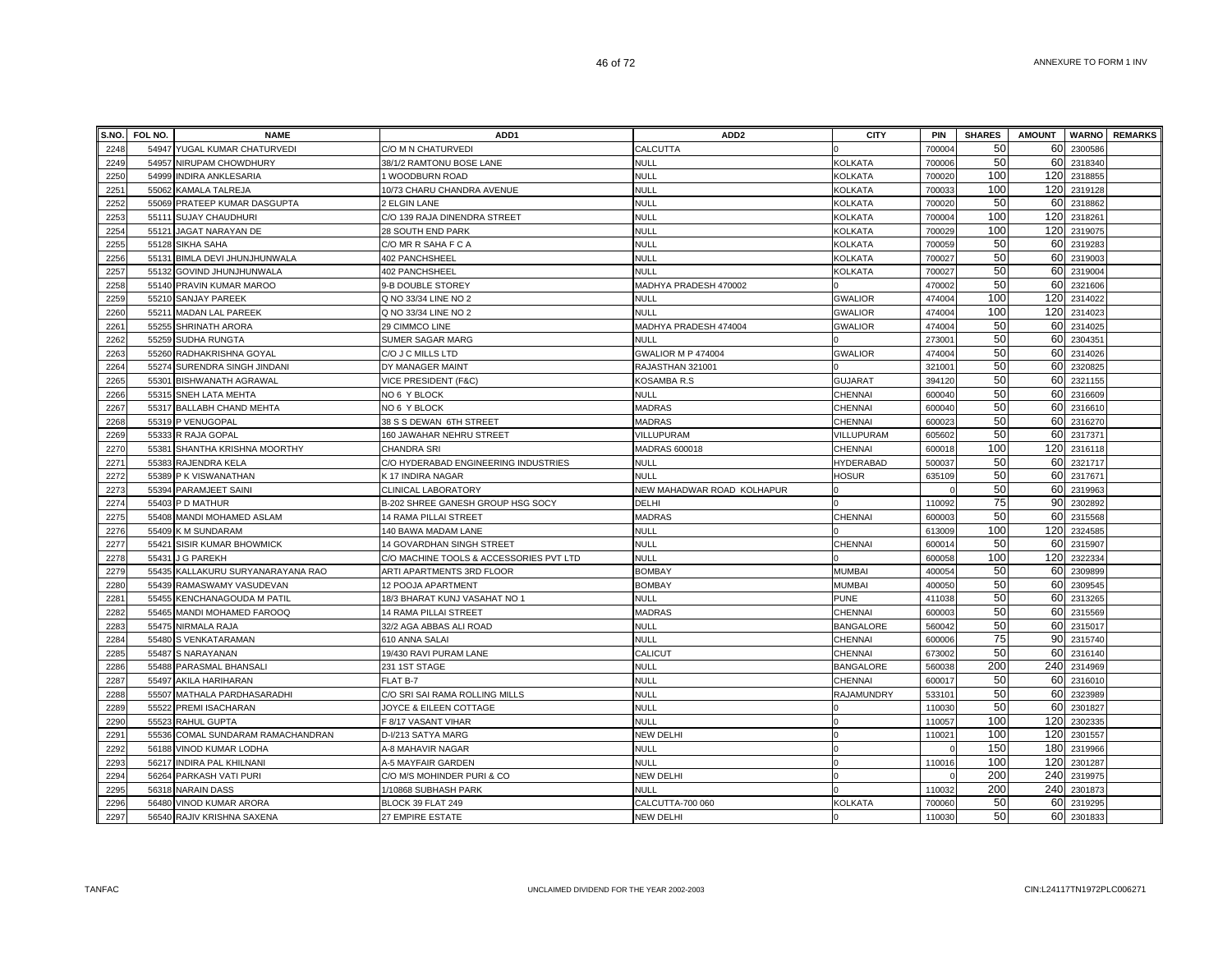|              | S.NO. FOL NO. | <b>NAME</b>                  | ADD <sub>1</sub>                        | ADD <sub>2</sub>           | <b>CITY</b>      | PIN                | <b>SHARES</b> | <b>AMOUNT</b> |                    | <b>WARNO</b> REMARKS |
|--------------|---------------|------------------------------|-----------------------------------------|----------------------------|------------------|--------------------|---------------|---------------|--------------------|----------------------|
| 2248         | 54947         | YUGAL KUMAR CHATURVEDI       | C/O M N CHATURVEDI                      | CALCUTTA                   |                  | 70000              | 50            | 60            | 2300586            |                      |
| 2249         | 54957         | NIRUPAM CHOWDHURY            | 38/1/2 RAMTONU BOSE LANE                | <b>NULL</b>                | <b>KOLKATA</b>   | 700006             | 50            | 60            | 2318340            |                      |
| 2250         | 54999         | INDIRA ANKLESARIA            | 1 WOODBURN ROAD                         | <b>NULL</b>                | <b>KOLKATA</b>   | 700020             | 100           | 120           | 2318855            |                      |
| 2251         | 55062         | KAMALA TALREJA               | 10/73 CHARU CHANDRA AVENUE              | <b>NULL</b>                | <b>KOLKATA</b>   | 70003              | 100           | 120           | 2319128            |                      |
| 2252         | 55069         | PRATEEP KUMAR DASGUPTA       | 2 ELGIN LANE                            | <b>NULL</b>                | KOLKATA          | 700020             | 50            | 60            | 2318862            |                      |
| 2253         |               | 55111 SUJAY CHAUDHURI        | C/O 139 RAJA DINENDRA STREET            | <b>NULL</b>                | <b>KOLKATA</b>   | 700004             | 100           | 120           | 2318261            |                      |
| 2254         | 55121         | JAGAT NARAYAN DE             | 28 SOUTH END PARK                       | <b>NULL</b>                | <b>KOLKATA</b>   | 700029             | 100           | 120           | 2319075            |                      |
| 2255         |               | 55128 SIKHA SAHA             | C/O MR R SAHA F C A                     | <b>NULL</b>                | KOLKATA          | 700059             | 50            | 60            | 2319283            |                      |
| 2256         | 55131         | BIMLA DEVI JHUNJHUNWALA      | 402 PANCHSHEEL                          | <b>NULL</b>                | KOLKATA          | 700027             | 50            | 60            | 2319003            |                      |
| 2257         | 55132         | GOVIND JHUNJHUNWALA          | 402 PANCHSHEEL                          | <b>NULL</b>                | <b>KOLKATA</b>   | 70002              | 50            | 60            | 2319004            |                      |
| 2258         | 55140         | PRAVIN KUMAR MAROO           | 9-B DOUBLE STOREY                       | MADHYA PRADESH 470002      |                  | 470002             | 50            | 60            | 2321606            |                      |
| 2259         | 55210         | <b>SANJAY PAREEK</b>         | Q NO 33/34 LINE NO 2                    | <b>NULL</b>                | <b>GWALIOR</b>   | 474004             | 100           | 120           | 2314022            |                      |
| 2260         | 55211         | <b>MADAN LAL PAREEK</b>      | Q NO 33/34 LINE NO 2                    | NULL                       | <b>GWALIOR</b>   | 474004             | 100           | 120           | 2314023            |                      |
| 2261         | 55255         | SHRINATH ARORA               | 29 CIMMCO LINE                          | MADHYA PRADESH 474004      | <b>GWALIOR</b>   | 474004             | 50            | 60            | 2314025            |                      |
| 2262         | 55259         | SUDHA RUNGTA                 | SUMER SAGAR MARG                        | <b>NULL</b>                |                  | 27300              | 50            | 60            | 2304351            |                      |
| 2263         | 55260         | RADHAKRISHNA GOYAL           | C/O J C MILLS LTD                       | <b>GWALIOR M P 474004</b>  | <b>GWALIOR</b>   | 474004             | 50            | 60            | 2314026            |                      |
| 2264         |               | 55274 SURENDRA SINGH JINDANI | DY MANAGER MAINT                        | RAJASTHAN 321001           |                  | 32100 <sup>-</sup> | 50            | 60            | 2320825            |                      |
| 2265         | 55301         | <b>BISHWANATH AGRAWAL</b>    | VICE PRESIDENT (F&C)                    | KOSAMBA R.S                | <b>GUJARAT</b>   | 394120             | 50            | 60            | 2321155            |                      |
| 2266         | 55315         | <b>SNEH LATA MEHTA</b>       | NO 6 Y BLOCK                            | NULL                       | CHENNAI          | 60004              | 50            | 60            | 2316609            |                      |
| 2267         | 55317         | <b>BALLABH CHAND MEHTA</b>   | NO 6 Y BLOCK                            | <b>MADRAS</b>              | <b>CHENNAI</b>   | 600040             | 50            | 60            | 2316610            |                      |
| 2268         | 55319         | P VENUGOPAL                  | 38 S S DEWAN 6TH STREET                 | <b>MADRAS</b>              | CHENNAI          | 60002              | 50            | 60            | 2316270            |                      |
| 2269         | 55333         | R RAJA GOPAL                 | 160 JAWAHAR NEHRU STREET                | VILLUPURAM                 | VILLUPURAM       | 605602             | 50            | 60            | 2317371            |                      |
| 2270         | 55381         | SHANTHA KRISHNA MOORTHY      | <b>CHANDRA SRI</b>                      | <b>MADRAS 600018</b>       | CHENNAI          | 60001              | 100           | 120           | 2316118            |                      |
| 2271         | 55383         | RAJENDRA KELA                | C/O HYDERABAD ENGINEERING INDUSTRIES    | NULL                       | <b>HYDERABAD</b> | 500037             | 50            | 60            | 2321717            |                      |
| 2272         | 55389         | P K VISWANATHAN              | K 17 INDIRA NAGAR                       | <b>NULL</b>                | <b>HOSUR</b>     | 635109             | 50            | 60            | 2317671            |                      |
| 2273         | 55394         | PARAMJEET SAINI              | CLINICAL LABORATORY                     | NEW MAHADWAR ROAD KOLHAPUR |                  |                    | 50            | 60            | 2319963            |                      |
| 2274         |               | 55403 P D MATHUR             | B-202 SHREE GANESH GROUP HSG SOCY       | <b>DELHI</b>               |                  | 110092             | 75            | 90            | 2302892            |                      |
| 2275         | 55408         | MANDI MOHAMED ASLAM          | 14 RAMA PILLAI STREET                   | <b>MADRAS</b>              | CHENNAI          | 600003             | 50            | 60            | 2315568            |                      |
| 2276         | 55409         | K M SUNDARAM                 | 140 BAWA MADAM LANE                     | NULL                       |                  | 613009             | 100           | 120           | 2324585            |                      |
| 2277         | 55421         | SISIR KUMAR BHOWMICK         | <b>14 GOVARDHAN SINGH STREET</b>        | NULL                       | <b>CHENNAI</b>   | 600014             | 50            | 60            | 2315907            |                      |
| 2278         | 55431         | <b>G PAREKH</b>              | C/O MACHINE TOOLS & ACCESSORIES PVT LTD | NULL                       |                  | 600058             | 100           | 120           | 232233             |                      |
| 2279         | 55435         | KALLAKURU SURYANARAYANA RAO  | ARTI APARTMENTS 3RD FLOOR               | <b>BOMBAY</b>              | <b>MUMBAI</b>    | 40005              | 50            | 60            | 2309899            |                      |
| 2280         | 55439         | RAMASWAMY VASUDEVAN          | 12 POOJA APARTMENT                      | <b>BOMBAY</b>              | <b>MUMBAI</b>    | 400050             | 50            | 60            | 2309545            |                      |
| 2281         | 55455         | KENCHANAGOUDA M PATIL        | 18/3 BHARAT KUNJ VASAHAT NO 1           | <b>NULL</b>                | <b>PUNE</b>      | 411038             | 50            | 60            | 2313265            |                      |
| 2282         | 55465         | MANDI MOHAMED FAROOQ         | 14 RAMA PILLAI STREET                   | <b>MADRAS</b>              | <b>CHENNAI</b>   | 60000              | 50            | 60            | 2315569            |                      |
| 2283         | 55475         | NIRMALA RAJA                 | 32/2 AGA ABBAS ALI ROAD                 | <b>NULL</b>                | <b>BANGALORE</b> | 560042             | 50            | 60            | 2315017            |                      |
| 2284         | 55480         | S VENKATARAMAN               | 610 ANNA SALAI                          | <b>NULL</b>                | <b>CHENNAI</b>   | 600006             | 75            | 90            | 2315740            |                      |
| 2285         | 55487         | S NARAYANAN                  | 19/430 RAVI PURAM LANE                  | CALICUT                    | CHENNAI          | 673002             | 50            | 60            | 2316140            |                      |
| 2286         | 55488         | PARASMAL BHANSALI            | 231 1ST STAGE                           | <b>NULL</b>                | <b>BANGALORE</b> | 560038             | 200           | 240           | 2314969            |                      |
| 2287         | 55497         | AKILA HARIHARAN              | FLAT B-7                                | <b>NULL</b>                | CHENNAI          | 60001              | 50            | 60            | 2316010            |                      |
| 2288         | 55507         | MATHALA PARDHASARADHI        | C/O SRI SAI RAMA ROLLING MILLS          | NULL                       | RAJAMUNDRY       | 53310              | 50            | 60            | 2323989            |                      |
| 2289         | 55522         | PREMI ISACHARAN              | JOYCE & EILEEN COTTAGE                  | <b>NULL</b>                |                  | 11003              | 50            | 60            | 2301827            |                      |
| 2290         | 55523         | RAHUL GUPTA                  | F 8/17 VASANT VIHAR                     | <b>NULL</b>                |                  | 110057             | 100           | 120           | 2302335            |                      |
| 2291         | 55536         | COMAL SUNDARAM RAMACHANDRAN  | D-I/213 SATYA MARG                      | <b>NEW DELHI</b>           |                  | 11002              | 100           | 120           | 2301557            |                      |
| 2292         | 56188         | VINOD KUMAR LODHA            | A-8 MAHAVIR NAGAR                       | <b>NULL</b>                |                  |                    | 150<br>100    | 180<br>120    | 2319966            |                      |
| 2293         | 56217         | INDIRA PAL KHILNANI          | A-5 MAYFAIR GARDEN                      | <b>NULL</b>                |                  | 110016             |               |               | 2301287            |                      |
| 2294         | 56264         | PARKASH VATI PURI            | C/O M/S MOHINDER PURI & CO              | NEW DELHI                  |                  |                    | 200           | 240           | 2319975            |                      |
| 2295         | 56318         | <b>NARAIN DASS</b>           | 1/10868 SUBHASH PARK                    | <b>NULL</b>                |                  | 110032             | 200<br>50     | 240<br>60     | 2301873<br>2319295 |                      |
| 2296<br>2297 |               | 56480 VINOD KUMAR ARORA      | BLOCK 39 FLAT 249                       | CALCUTTA-700 060           | <b>KOLKATA</b>   | 700060<br>110030   | 50            | 60            |                    |                      |
|              |               | 56540 RAJIV KRISHNA SAXENA   | 27 EMPIRE ESTATE                        | <b>NEW DELHI</b>           |                  |                    |               |               | 2301833            |                      |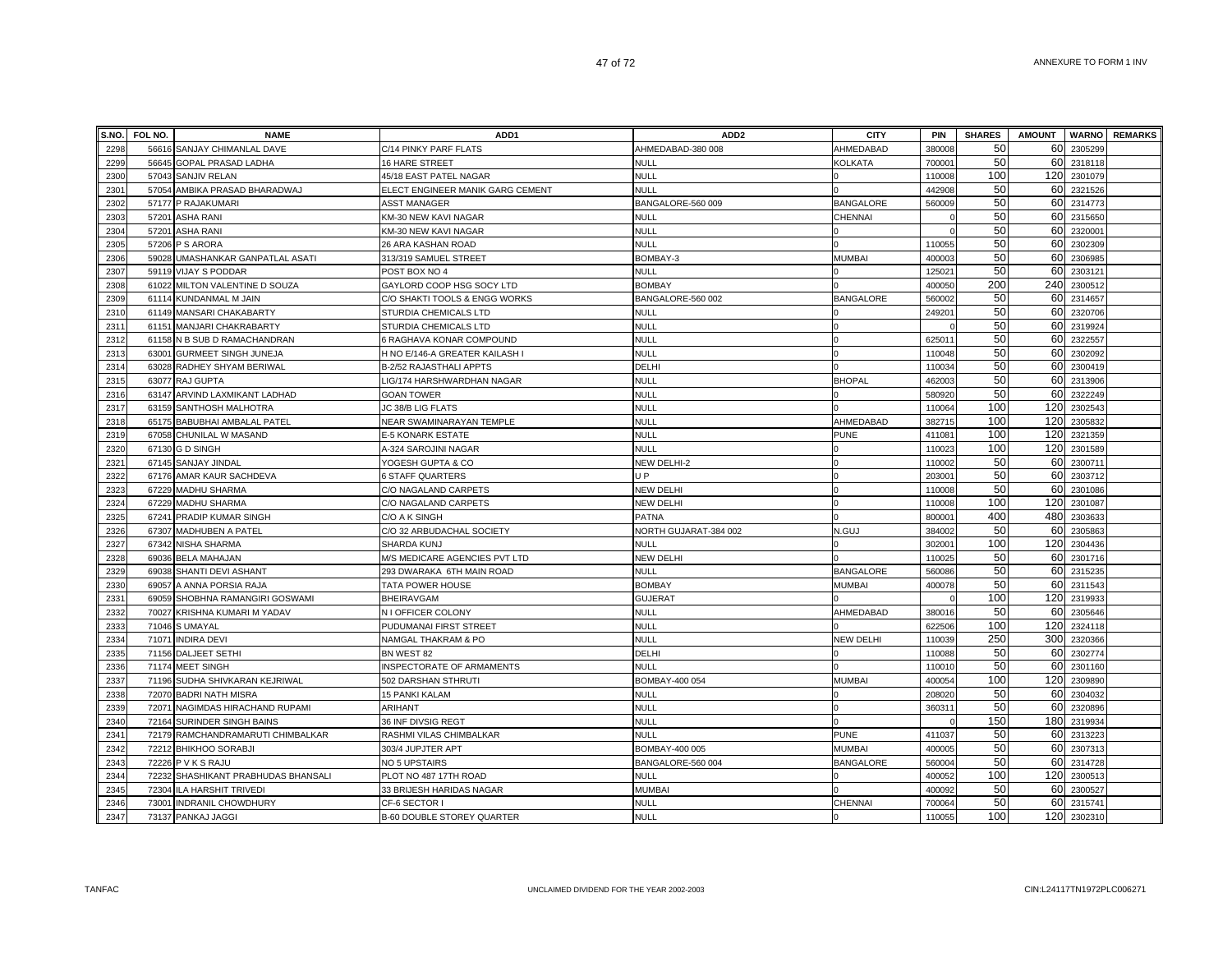| S.NO. | FOL NO. | <b>NAME</b>                         | ADD <sub>1</sub>                  | ADD <sub>2</sub>      | <b>CITY</b>      | <b>PIN</b>         | <b>SHARES</b> | <b>AMOUNT</b> |         | <b>WARNO</b> REMARKS |
|-------|---------|-------------------------------------|-----------------------------------|-----------------------|------------------|--------------------|---------------|---------------|---------|----------------------|
| 2298  |         | 56616 SANJAY CHIMANLAL DAVE         | C/14 PINKY PARF FLATS             | AHMEDABAD-380 008     | AHMEDABAD        | 380008             | 50            | 60            | 2305299 |                      |
| 2299  |         | 56645 GOPAL PRASAD LADHA            | 16 HARE STREET                    | <b>NULL</b>           | KOLKATA          | 70000 <sup>-</sup> | 50            | 60            | 2318118 |                      |
| 2300  |         | 57043 SANJIV RELAN                  | 45/18 EAST PATEL NAGAR            | <b>NULL</b>           |                  | 110008             | 100           | 120           | 2301079 |                      |
| 2301  |         | 57054 AMBIKA PRASAD BHARADWAJ       | ELECT ENGINEER MANIK GARG CEMENT  | <b>NULL</b>           |                  | 442908             | 50            | 60            | 2321526 |                      |
| 2302  |         | 57177 P RAJAKUMARI                  | ASST MANAGER                      | BANGALORE-560 009     | <b>BANGALORE</b> | 560009             | 50            | 60            | 2314773 |                      |
| 2303  |         | 57201 ASHA RANI                     | KM-30 NEW KAVI NAGAR              | <b>NULL</b>           | CHENNAI          |                    | 50            | 60            | 2315650 |                      |
| 2304  |         | 57201 ASHA RANI                     | KM-30 NEW KAVI NAGAR              | <b>NULL</b>           |                  |                    | 50            | 60            | 2320001 |                      |
| 2305  |         | 57206 P S ARORA                     | 26 ARA KASHAN ROAD                | NULL                  |                  | 110055             | 50            | 60            | 2302309 |                      |
| 2306  |         | 59028 UMASHANKAR GANPATLAL ASATI    | 313/319 SAMUEL STREET             | BOMBAY-3              | <b>MUMBAI</b>    | 40000              | 50            | 60            | 230698  |                      |
| 2307  |         | 59119 VIJAY S PODDAR                | POST BOX NO 4                     | <b>NULL</b>           |                  | 12502              | 50            | 60            | 2303121 |                      |
| 2308  |         | 61022 MILTON VALENTINE D SOUZA      | GAYLORD COOP HSG SOCY LTD         | <b>BOMBAY</b>         |                  | 400050             | 200           | 240           | 2300512 |                      |
| 2309  |         | 61114 KUNDANMAL M JAIN              | C/O SHAKTI TOOLS & ENGG WORKS     | BANGALORE-560 002     | <b>BANGALORE</b> | 560002             | 50            | 60            | 2314657 |                      |
| 2310  |         | 61149 MANSARI CHAKABARTY            | STURDIA CHEMICALS LTD             | <b>NULL</b>           |                  | 24920              | 50            | 60            | 2320706 |                      |
| 2311  |         | 61151 MANJARI CHAKRABARTY           | STURDIA CHEMICALS LTD             | <b>NULL</b>           |                  |                    | 50            | 60            | 2319924 |                      |
| 2312  |         | 61158 N B SUB D RAMACHANDRAN        | 6 RAGHAVA KONAR COMPOUND          | <b>NULL</b>           |                  | 62501              | 50            | 60            | 2322557 |                      |
| 2313  |         | 63001 GURMEET SINGH JUNEJA          | H NO E/146-A GREATER KAILASH I    | NULL                  |                  | 110048             | 50            | 60            | 2302092 |                      |
| 2314  |         | 63028 RADHEY SHYAM BERIWAL          | B-2/52 RAJASTHALI APPTS           | DELHI                 |                  | 110034             | 50            | 60            | 2300419 |                      |
| 2315  |         | 63077 RAJ GUPTA                     | <b>LIG/174 HARSHWARDHAN NAGAR</b> | <b>NULL</b>           | <b>BHOPAL</b>    | 462003             | 50            | 60            | 2313906 |                      |
| 2316  |         | 63147 ARVIND LAXMIKANT LADHAD       | <b>GOAN TOWER</b>                 | <b>NULL</b>           |                  | 580920             | 50            | 60            | 2322249 |                      |
| 2317  |         | 63159 SANTHOSH MALHOTRA             | JC 38/B LIG FLATS                 | <b>NULL</b>           |                  | 110064             | 100           | 120           | 2302543 |                      |
| 2318  |         | 65175 BABUBHAI AMBALAL PATEL        | NEAR SWAMINARAYAN TEMPLE          | <b>NULL</b>           | AHMEDABAD        | 382715             | 100           | 120           | 2305832 |                      |
| 2319  |         | 67058 CHUNILAL W MASAND             | E-5 KONARK ESTATE                 | <b>NULL</b>           | <b>PUNE</b>      | 41108              | 100           | 120           | 2321359 |                      |
| 2320  |         | 67130 G D SINGH                     | A-324 SAROJINI NAGAR              | <b>NULL</b>           |                  | 110023             | 100           | 120           | 2301589 |                      |
| 2321  |         | 67145 SANJAY JINDAL                 | YOGESH GUPTA & CO                 | NEW DELHI-2           | $\Omega$         | 110002             | 50            | 60            | 2300711 |                      |
| 2322  |         | 67176 AMAR KAUR SACHDEVA            | 6 STAFF QUARTERS                  | U P                   |                  | 20300              | 50            | 60            | 2303712 |                      |
| 2323  |         | 67229 MADHU SHARMA                  | C/O NAGALAND CARPETS              | <b>NEW DELHI</b>      |                  | 110008             | 50            | 60            | 2301086 |                      |
| 2324  |         | 67229 MADHU SHARMA                  | C/O NAGALAND CARPETS              | <b>NEW DELHI</b>      |                  | 110008             | 100           | 120           | 2301087 |                      |
| 2325  |         | 67241 PRADIP KUMAR SINGH            | C/O A K SINGH                     | <b>PATNA</b>          |                  | 80000              | 400           | 480           | 2303633 |                      |
| 2326  |         | 67307 MADHUBEN A PATEL              | C/O 32 ARBUDACHAL SOCIETY         | NORTH GUJARAT-384 002 | N.GUJ            | 384002             | 50            | 60            | 2305863 |                      |
| 2327  |         | 67342 NISHA SHARMA                  | <b>SHARDA KUNJ</b>                | <b>NULL</b>           |                  | 30200 <sup>-</sup> | 100           | 120           | 2304436 |                      |
| 2328  |         | 69036 BELA MAHAJAN                  | M/S MEDICARE AGENCIES PVT LTD     | NEW DELHI             |                  | 110025             | 50            | 60            | 2301716 |                      |
| 2329  |         | 69038 SHANTI DEVI ASHANT            | 293 DWARAKA 6TH MAIN ROAD         | <b>NULL</b>           | <b>BANGALORE</b> | 560086             | 50            | 60            | 2315235 |                      |
| 2330  |         | 69057 A ANNA PORSIA RAJA            | TATA POWER HOUSE                  | <b>BOMBAY</b>         | <b>MUMBAI</b>    | 400078             | 50            | 60            | 2311543 |                      |
| 2331  |         | 69059 SHOBHNA RAMANGIRI GOSWAMI     | <b>BHEIRAVGAM</b>                 | <b>GUJERAT</b>        |                  |                    | 100           | 120           | 2319933 |                      |
| 2332  |         | 70027 KRISHNA KUMARI M YADAV        | N I OFFICER COLONY                | <b>NULL</b>           | AHMEDABAD        | 380016             | 50            | 60            | 2305646 |                      |
| 2333  |         | 71046 SUMAYAL                       | PUDUMANAI FIRST STREET            | <b>NULL</b>           |                  | 622506             | 100           | 120           | 2324118 |                      |
| 2334  |         | 71071 INDIRA DEVI                   | NAMGAL THAKRAM & PO               | <b>NULL</b>           | <b>NEW DELHI</b> | 110039             | 250           | 300           | 2320366 |                      |
| 2335  |         | 71156 DALJEET SETHI                 | BN WEST 82                        | DELHI                 |                  | 110088             | 50            | 60            | 2302774 |                      |
| 2336  |         | 71174 MEET SINGH                    | INSPECTORATE OF ARMAMENTS         | <b>NULL</b>           |                  | 110010             | 50            | 60            | 2301160 |                      |
| 2337  |         | 71196 SUDHA SHIVKARAN KEJRIWAL      | 502 DARSHAN STHRUTI               | BOMBAY-400 054        | <b>MUMBAI</b>    | 400054             | 100           | 120           | 2309890 |                      |
| 2338  |         | 72070 BADRI NATH MISRA              | <b>15 PANKI KALAM</b>             | <b>NULL</b>           |                  | 208020             | 50            | 60            | 2304032 |                      |
| 2339  |         | 72071 NAGIMDAS HIRACHAND RUPAMI     | ARIHANT                           | <b>NULL</b>           |                  | 36031              | 50            | 60            | 2320896 |                      |
| 2340  |         | 72164 SURINDER SINGH BAINS          | 36 INF DIVSIG REGT                | <b>NULL</b>           |                  |                    | 150           | 180           | 2319934 |                      |
| 234'  |         | 72179 RAMCHANDRAMARUTI CHIMBALKAR   | RASHMI VILAS CHIMBALKAR           | <b>NULL</b>           | <b>PUNE</b>      | 411037             | 50            | 60            | 231322  |                      |
| 2342  |         | 72212 BHIKHOO SORABJI               | 303/4 JUPJTER APT                 | BOMBAY-400 005        | <b>MUMBAI</b>    | 40000              | 50            | 60            | 2307313 |                      |
| 2343  |         | 72226 P V K S RAJU                  | <b>NO 5 UPSTAIRS</b>              | BANGALORE-560 004     | <b>BANGALORE</b> | 560004             | 50            | 60            | 2314728 |                      |
| 2344  |         | 72232 SHASHIKANT PRABHUDAS BHANSALI | PLOT NO 487 17TH ROAD             | <b>NULL</b>           |                  | 400052             | 100           | 120           | 2300513 |                      |
| 2345  |         | 72304 ILA HARSHIT TRIVEDI           | 33 BRIJESH HARIDAS NAGAR          | <b>MUMBAI</b>         |                  | 400092             | 50            | 60            | 2300527 |                      |
| 2346  |         | 73001 INDRANIL CHOWDHURY            | CF-6 SECTOR I                     | <b>NULL</b>           | <b>CHENNAI</b>   | 700064             | 50            | 60            | 2315741 |                      |
| 2347  |         | 73137 PANKAJ JAGGI                  | <b>B-60 DOUBLE STOREY QUARTER</b> | <b>NULL</b>           |                  | 110055             | 100           | 120           | 2302310 |                      |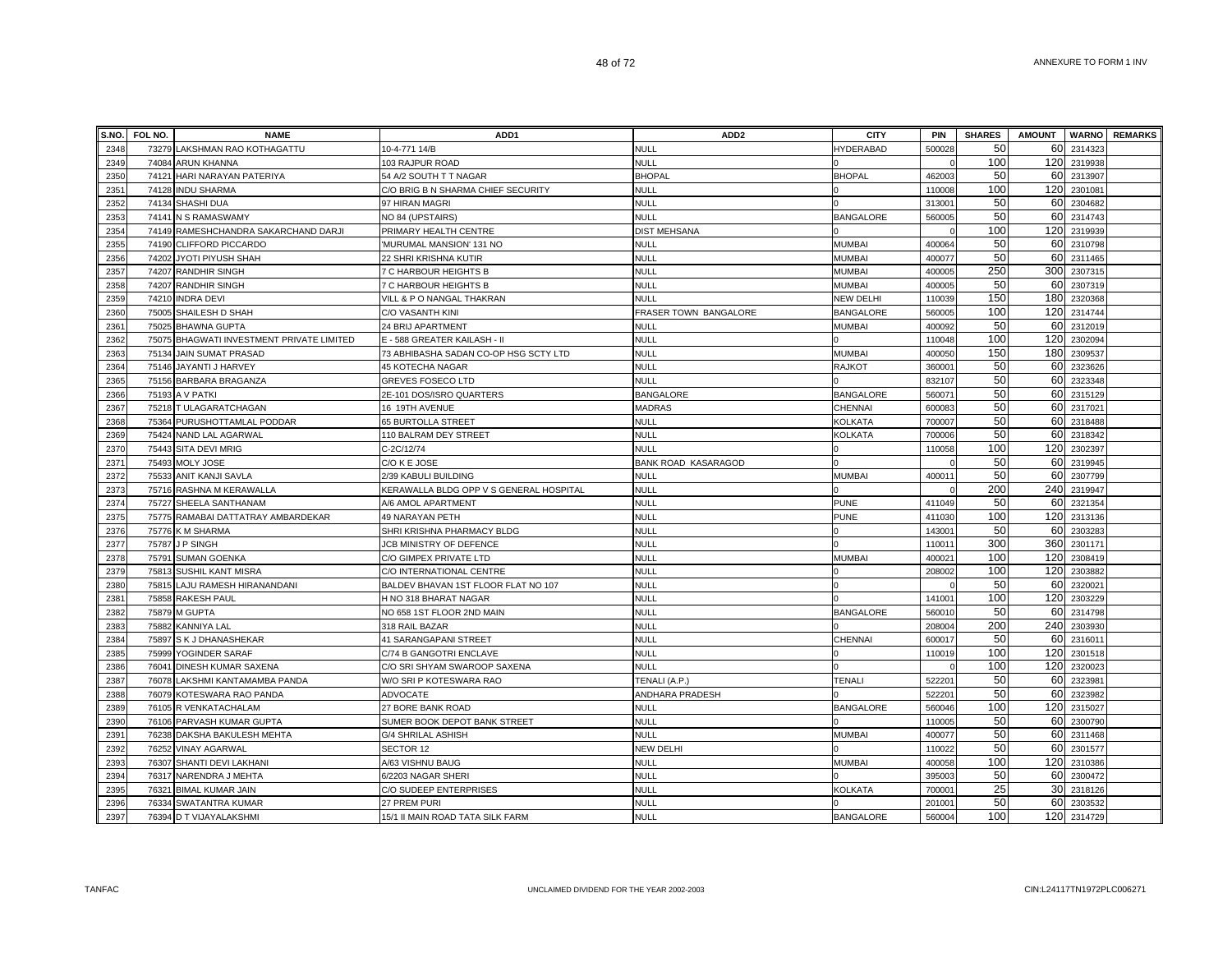| S.NO. | FOL NO. | <b>NAME</b>                               | ADD <sub>1</sub>                        | ADD <sub>2</sub>           | <b>CITY</b>      | <b>PIN</b>         | <b>SHARES</b> | <b>AMOUNT</b> |         | <b>WARNO</b> REMARKS |
|-------|---------|-------------------------------------------|-----------------------------------------|----------------------------|------------------|--------------------|---------------|---------------|---------|----------------------|
| 2348  |         | 73279 LAKSHMAN RAO KOTHAGATTU             | 10-4-771 14/B                           | <b>NULL</b>                | HYDERABAD        | 500028             | 50            | 60            | 2314323 |                      |
| 2349  | 74084   | ARUN KHANNA                               | 103 RAJPUR ROAD                         | <b>NULL</b>                |                  |                    | 100           | 120           | 2319938 |                      |
| 2350  |         | 74121 HARI NARAYAN PATERIYA               | 54 A/2 SOUTH T T NAGAR                  | <b>BHOPAL</b>              | <b>BHOPAL</b>    | 462003             | 50            | 60            | 2313907 |                      |
| 2351  | 74128   | <b>INDU SHARMA</b>                        | C/O BRIG B N SHARMA CHIEF SECURITY      | <b>NULL</b>                |                  | 110008             | 100           | 120           | 2301081 |                      |
| 2352  |         | 74134 SHASHI DUA                          | 97 HIRAN MAGRI                          | NULL                       |                  | 313001             | 50            | 60            | 2304682 |                      |
| 2353  |         | 74141 N S RAMASWAMY                       | NO 84 (UPSTAIRS)                        | NULL                       | <b>BANGALORE</b> | 560005             | 50            | 60            | 2314743 |                      |
| 2354  |         | 74149 RAMESHCHANDRA SAKARCHAND DARJI      | PRIMARY HEALTH CENTRE                   | <b>DIST MEHSANA</b>        |                  |                    | 100           | 120           | 2319939 |                      |
| 2355  | 74190   | CLIFFORD PICCARDO                         | MURUMAL MANSION' 131 NO                 | <b>NULL</b>                | <b>MUMBAI</b>    | 400064             | 50            | 60            | 2310798 |                      |
| 2356  | 74202   | JYOTI PIYUSH SHAH                         | 22 SHRI KRISHNA KUTIR                   | <b>NULL</b>                | <b>MUMBAI</b>    | 400077             | 50            | 60            | 2311465 |                      |
| 2357  | 74207   | <b>RANDHIR SINGH</b>                      | 7 C HARBOUR HEIGHTS B                   | <b>NULL</b>                | <b>MUMBAI</b>    | 400005             | 250           | 300           | 2307315 |                      |
| 2358  |         | 74207 RANDHIR SINGH                       | 7 C HARBOUR HEIGHTS B                   | <b>NULL</b>                | <b>MUMBAI</b>    | 400005             | 50            | 60            | 2307319 |                      |
| 2359  | 74210   | <b>INDRA DEVI</b>                         | VILL & P O NANGAL THAKRAN               | <b>NULL</b>                | <b>NEW DELHI</b> | 110039             | 150           | 180           | 2320368 |                      |
| 2360  | 75005   | SHAILESH D SHAH                           | C/O VASANTH KINI                        | FRASER TOWN BANGALORE      | <b>BANGALORE</b> | 560005             | 100           | 120           | 2314744 |                      |
| 2361  |         | 75025 BHAWNA GUPTA                        | 24 BRIJ APARTMENT                       | <b>NULL</b>                | MUMBAI           | 400092             | 50            | 60            | 2312019 |                      |
| 2362  |         | 75075 BHAGWATI INVESTMENT PRIVATE LIMITED | E - 588 GREATER KAILASH - II            | <b>NULL</b>                |                  | 110048             | 100           | 120           | 2302094 |                      |
| 2363  |         | 75134 JAIN SUMAT PRASAD                   | 73 ABHIBASHA SADAN CO-OP HSG SCTY LTD   | null                       | <b>MUMBAI</b>    | 400050             | 150           | 180           | 2309537 |                      |
| 2364  |         | 75146 JAYANTI J HARVEY                    | 45 KOTECHA NAGAR                        | <b>NULL</b>                | <b>RAJKOT</b>    | 36000 <sup>-</sup> | 50            | 60            | 2323626 |                      |
| 2365  |         | 75156 BARBARA BRAGANZA                    | <b>GREVES FOSECO LTD</b>                | <b>NULL</b>                |                  | 832107             | 50            | 60            | 2323348 |                      |
| 2366  | 75193   | A V PATKI                                 | 2E-101 DOS/ISRO QUARTERS                | <b>BANGALORE</b>           | <b>BANGALORE</b> | 56007              | 50            | 60            | 2315129 |                      |
| 2367  | 75218   | T ULAGARATCHAGAN                          | 16 19TH AVENUE                          | <b>MADRAS</b>              | CHENNAI          | 60008              | 50            | 60            | 231702  |                      |
| 2368  | 75364   | PURUSHOTTAMLAL PODDAR                     | 65 BURTOLLA STREET                      | <b>NULL</b>                | <b>KOLKATA</b>   | 700007             | 50            | 60            | 2318488 |                      |
| 2369  | 75424   | NAND LAL AGARWAL                          | 110 BALRAM DEY STREET                   | <b>NULL</b>                | <b>KOLKATA</b>   | 700006             | 50            | 60            | 2318342 |                      |
| 2370  | 75443   | SITA DEVI MRIG                            | C-2C/12/74                              | <b>NULL</b>                |                  | 110058             | 100           | 120           | 2302397 |                      |
| 2371  | 75493   | MOLY JOSE                                 | C/O K E JOSE                            | <b>BANK ROAD KASARAGOD</b> |                  |                    | 50            | 60            | 2319945 |                      |
| 2372  |         | 75533 ANIT KANJI SAVLA                    | 2/39 KABULI BUILDING                    | <b>NULL</b>                | <b>MUMBAI</b>    | 40001              | 50            | 60            | 2307799 |                      |
| 2373  |         | 75716 RASHNA M KERAWALLA                  | KERAWALLA BLDG OPP V S GENERAL HOSPITAL | <b>NULL</b>                |                  |                    | 200           | 240           | 2319947 |                      |
| 2374  | 75727   | SHEELA SANTHANAM                          | A/6 AMOL APARTMENT                      | <b>NULL</b>                | <b>PUNE</b>      | 411049             | 50            | 60            | 2321354 |                      |
| 2375  |         | 75775 RAMABAI DATTATRAY AMBARDEKAR        | 49 NARAYAN PETH                         | <b>NULL</b>                | PUNE             | 411030             | 100           | 120           | 2313136 |                      |
| 2376  |         | 75776 K M SHARMA                          | SHRI KRISHNA PHARMACY BLDG              | <b>NULL</b>                |                  | 14300 <sup>-</sup> | 50            | 60            | 2303283 |                      |
| 2377  | 75787   | <b>P SINGH</b>                            | JCB MINISTRY OF DEFENCE                 | <b>NULL</b>                |                  | 11001              | 300           | 360           | 2301171 |                      |
| 2378  | 75791   | <b>SUMAN GOENKA</b>                       | C/O GIMPEX PRIVATE LTD                  | <b>NULL</b>                | <b>MUMBAI</b>    | 40002              | 100           | 120           | 2308419 |                      |
| 2379  | 75813   | SUSHIL KANT MISRA                         | C/O INTERNATIONAL CENTRE                | <b>NULL</b>                |                  | 208002             | 100           | 120           | 2303882 |                      |
| 2380  | 75815   | LAJU RAMESH HIRANANDANI                   | BALDEV BHAVAN 1ST FLOOR FLAT NO 107     | <b>NULL</b>                |                  |                    | 50            | 60            | 232002  |                      |
| 2381  | 75858   | <b>RAKESH PAUL</b>                        | H NO 318 BHARAT NAGAR                   | <b>NULL</b>                |                  | 14100 <sup>-</sup> | 100           | 120           | 2303229 |                      |
| 2382  | 75879   | M GUPTA                                   | NO 658 1ST FLOOR 2ND MAIN               | <b>NULL</b>                | <b>BANGALORE</b> | 560010             | 50            | 60            | 2314798 |                      |
| 2383  | 75882   | KANNIYA LAL                               | 318 RAIL BAZAR                          | <b>NULL</b>                |                  | 208004             | 200           | 240           | 2303930 |                      |
| 2384  |         | 75897 S K J DHANASHEKAR                   | 41 SARANGAPANI STREET                   | <b>NULL</b>                | CHENNAI          | 600017             | 50            | 60            | 2316011 |                      |
| 2385  |         | 75999 YOGINDER SARAF                      | C/74 B GANGOTRI ENCLAVE                 | <b>NULL</b>                |                  | 110019             | 100           | 120           | 2301518 |                      |
| 2386  | 76041   | DINESH KUMAR SAXENA                       | C/O SRI SHYAM SWAROOP SAXENA            | <b>NULL</b>                |                  |                    | 100           | 120           | 2320023 |                      |
| 2387  | 76078   | LAKSHMI KANTAMAMBA PANDA                  | W/O SRI P KOTESWARA RAO                 | TENALI (A.P.)              | TENALI           | 52220              | 50            | 60            | 232398  |                      |
| 2388  | 76079   | KOTESWARA RAO PANDA                       | ADVOCATE                                | ANDHARA PRADESH            |                  | 52220              | 50            | 60            | 232398  |                      |
| 2389  | 76105   | R VENKATACHALAM                           | 27 BORE BANK ROAD                       | <b>NULL</b>                | <b>BANGALORE</b> | 560046             | 100           | 120           | 2315027 |                      |
| 2390  | 76106   | PARVASH KUMAR GUPTA                       | SUMER BOOK DEPOT BANK STREET            | <b>NULL</b>                |                  | 110005             | 50            | 60            | 2300790 |                      |
| 2391  | 76238   | DAKSHA BAKULESH MEHTA                     | <b>G/4 SHRILAL ASHISH</b>               | <b>NULL</b>                | <b>MUMBAI</b>    | 400077             | 50            | 60            | 2311468 |                      |
| 2392  | 76252   | <b>VINAY AGARWAL</b>                      | SECTOR 12                               | NEW DELHI                  |                  | 110022             | 50            | 60            | 2301577 |                      |
| 2393  | 76307   | SHANTI DEVI LAKHANI                       | A/63 VISHNU BAUG                        | <b>NULL</b>                | <b>MUMBAI</b>    | 400058             | 100           | 120           | 2310386 |                      |
| 2394  | 76317   | NARENDRA J MEHTA                          | 6/2203 NAGAR SHERI                      | <b>NULL</b>                |                  | 39500              | 50            | 60            | 2300472 |                      |
| 2395  | 76321   | <b>BIMAL KUMAR JAIN</b>                   | C/O SUDEEP ENTERPRISES                  | <b>NULL</b>                | KOLKATA          | 70000 <sup>-</sup> | 25            | 30            | 2318126 |                      |
| 2396  |         | 76334 SWATANTRA KUMAR                     | 27 PREM PURI                            | <b>NULL</b>                |                  | 20100 <sup>-</sup> | 50            | 60            | 2303532 |                      |
| 2397  |         | 76394 D T VIJAYALAKSHMI                   | 15/1 II MAIN ROAD TATA SILK FARM        | NULL                       | <b>BANGALORE</b> | 560004             | 100           | 120           | 2314729 |                      |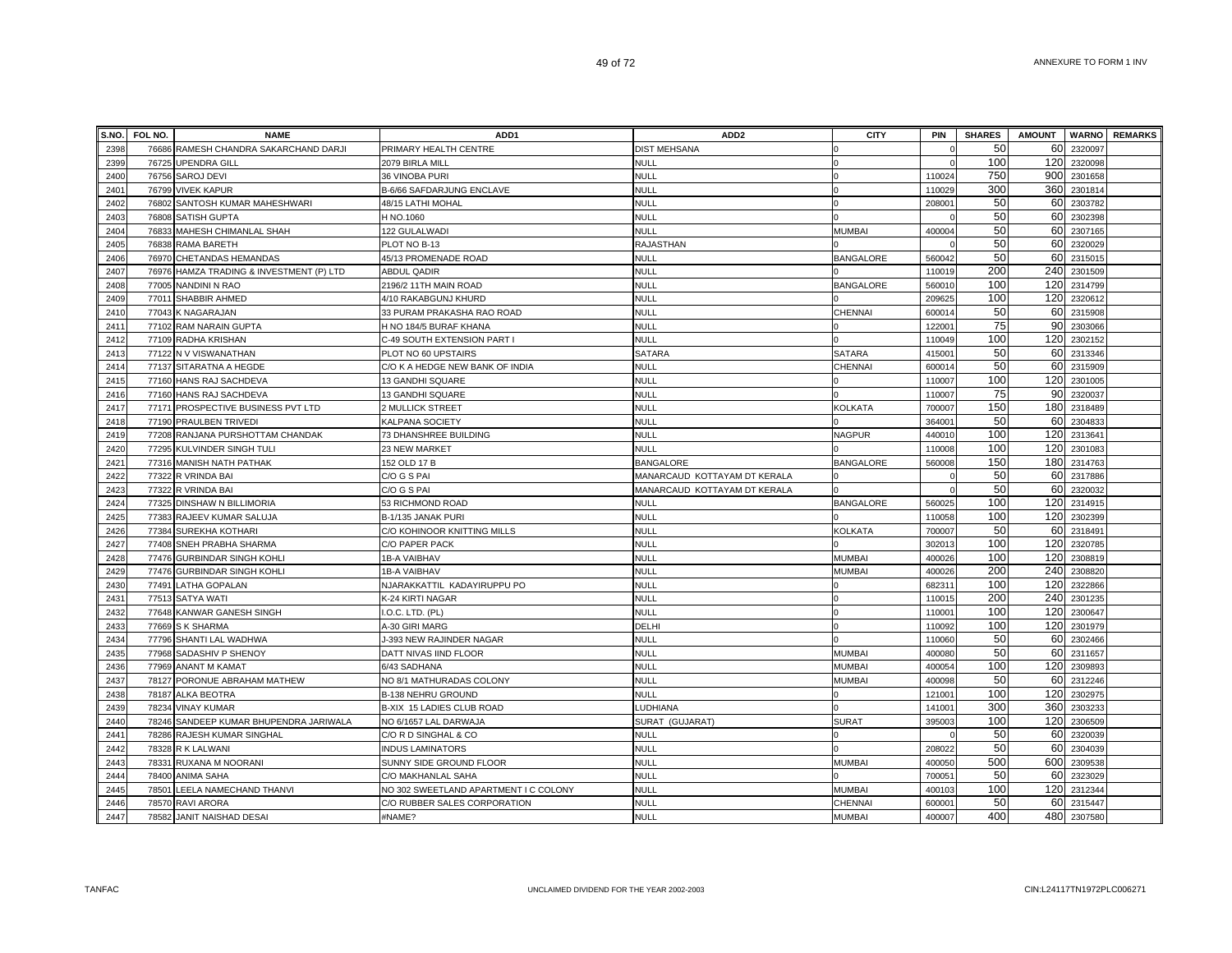| S.NO. | FOL NO. | <b>NAME</b>                        | ADD <sub>1</sub>                      | ADD <sub>2</sub>             | <b>CITY</b>      | <b>PIN</b>         | <b>SHARES</b> | <b>AMOUNT</b> |         | <b>WARNO REMARKS</b> |
|-------|---------|------------------------------------|---------------------------------------|------------------------------|------------------|--------------------|---------------|---------------|---------|----------------------|
| 2398  | 76686   | RAMESH CHANDRA SAKARCHAND DARJI    | PRIMARY HEALTH CENTRE                 | <b>DIST MEHSANA</b>          |                  |                    | 50            | 60            | 2320097 |                      |
| 2399  | 76725   | <b>UPENDRA GILL</b>                | 2079 BIRLA MILL                       | <b>NULL</b>                  |                  |                    | 100           | 120           | 2320098 |                      |
| 2400  | 76756   | <b>SAROJ DEVI</b>                  | 36 VINOBA PURI                        | <b>NULL</b>                  |                  | 110024             | 750           | 900           | 2301658 |                      |
| 2401  | 76799   | <b>VIVEK KAPUR</b>                 | B-6/66 SAFDARJUNG ENCLAVE             | <b>NULL</b>                  |                  | 110029             | 300           | 360           | 2301814 |                      |
| 2402  |         | 76802 SANTOSH KUMAR MAHESHWARI     | 48/15 LATHI MOHAL                     | <b>NULL</b>                  |                  | 20800              | 50            | 60            | 2303782 |                      |
| 2403  |         | 76808 SATISH GUPTA                 | H NO.1060                             | <b>NULL</b>                  |                  |                    | 50            | 60            | 2302398 |                      |
| 2404  |         | 76833 MAHESH CHIMANLAL SHAH        | 122 GULALWADI                         | <b>NULL</b>                  | <b>MUMBAI</b>    | 400004             | 50            | 60            | 2307165 |                      |
| 2405  | 76838   | RAMA BARETH                        | PLOT NO B-13                          | <b>RAJASTHAN</b>             |                  |                    | 50            | 60            | 2320029 |                      |
| 2406  | 76970   | CHETANDAS HEMANDAS                 | 45/13 PROMENADE ROAD                  | <b>NULL</b>                  | <b>BANGALORE</b> | 56004              | 50            | 60            | 231501  |                      |
| 2407  | 76976   | HAMZA TRADING & INVESTMENT (P) LTD | <b>ABDUL QADIR</b>                    | <b>NULL</b>                  |                  | 110019             | 200           | 240           | 2301509 |                      |
| 2408  | 77005   | NANDINI N RAO                      | 2196/2 11TH MAIN ROAD                 | <b>NULL</b>                  | <b>BANGALORE</b> | 560010             | 100           | 120           | 2314799 |                      |
| 2409  | 77011   | SHABBIR AHMED                      | 4/10 RAKABGUNJ KHURD                  | <b>NULL</b>                  |                  | 209625             | 100           | 120           | 2320612 |                      |
| 2410  | 77043   | K NAGARAJAN                        | 33 PURAM PRAKASHA RAO ROAD            | <b>NULL</b>                  | <b>CHENNAI</b>   | 600014             | 50            | 60            | 2315908 |                      |
| 2411  | 77102   | <b>RAM NARAIN GUPTA</b>            | H NO 184/5 BURAF KHANA                | <b>NULL</b>                  |                  | 12200 <sup>-</sup> | 75            | 90            | 2303066 |                      |
| 2412  |         | 77109 RADHA KRISHAN                | C-49 SOUTH EXTENSION PART I           | <b>NULL</b>                  |                  | 110049             | 100           | 120           | 2302152 |                      |
| 2413  |         | 77122 N V VISWANATHAN              | PLOT NO 60 UPSTAIRS                   | <b>SATARA</b>                | <b>SATARA</b>    | 41500 <sup>-</sup> | 50            | 60            | 2313346 |                      |
| 2414  |         | 77137 SITARATNA A HEGDE            | C/O K A HEDGE NEW BANK OF INDIA       | <b>NULL</b>                  | CHENNAI          | 60001              | 50            | 60            | 2315909 |                      |
| 2415  |         | 77160 HANS RAJ SACHDEVA            | 13 GANDHI SQUARE                      | <b>NULL</b>                  |                  | 110007             | 100           | 120           | 2301005 |                      |
| 2416  | 77160   | HANS RAJ SACHDEVA                  | 13 GANDHI SQUARE                      | <b>NULL</b>                  |                  | 11000              | 75            | 90            | 2320037 |                      |
| 2417  | 77171   | PROSPECTIVE BUSINESS PVT LTD       | 2 MULLICK STREET                      | <b>NULL</b>                  | <b>KOLKATA</b>   | 70000              | 150           | 180           | 2318489 |                      |
| 2418  | 77190   | PRAULBEN TRIVEDI                   | KALPANA SOCIETY                       | <b>NULL</b>                  |                  | 36400              | 50            | 60            | 2304833 |                      |
| 2419  | 77208   | RANJANA PURSHOTTAM CHANDAK         | 73 DHANSHREE BUILDING                 | <b>NULL</b>                  | <b>NAGPUR</b>    | 440010             | 100           | 120           | 2313641 |                      |
| 2420  | 77295   | KULVINDER SINGH TULI               | 23 NEW MARKET                         | <b>NULL</b>                  |                  | 110008             | 100           | 120           | 2301083 |                      |
| 2421  | 77316   | MANISH NATH PATHAK                 | 152 OLD 17 B                          | <b>BANGALORE</b>             | <b>BANGALORE</b> | 560008             | 150           | 180           | 2314763 |                      |
| 2422  |         | 77322 R VRINDA BAI                 | C/O G S PAI                           | MANARCAUD KOTTAYAM DT KERALA |                  |                    | 50            | 60            | 2317886 |                      |
| 2423  | 77322   | R VRINDA BAI                       | C/O G S PAI                           | MANARCAUD KOTTAYAM DT KERALA |                  |                    | 50            | 60            | 2320032 |                      |
| 2424  |         | 77325 DINSHAW N BILLIMORIA         | 53 RICHMOND ROAD                      | <b>NULL</b>                  | <b>BANGALORE</b> | 560025             | 100           | 120           | 2314915 |                      |
| 2425  |         | 77383 RAJEEV KUMAR SALUJA          | B-1/135 JANAK PURI                    | <b>NULL</b>                  |                  | 110058             | 100           | 120           | 2302399 |                      |
| 2426  |         | 77384 SUREKHA KOTHARI              | C/O KOHINOOR KNITTING MILLS           | <b>NULL</b>                  | <b>KOLKATA</b>   | 700007             | 50            | 60            | 2318491 |                      |
| 2427  | 77408   | SNEH PRABHA SHARMA                 | C/O PAPER PACK                        | <b>NULL</b>                  |                  | 30201              | 100           | 120           | 2320785 |                      |
| 2428  | 77476   | <b>GURBINDAR SINGH KOHL</b>        | 1B-A VAIBHAV                          | <b>NULL</b>                  | <b>MUMBAI</b>    | 400026             | 100           | 120           | 230881  |                      |
| 2429  | 77476   | <b>GURBINDAR SINGH KOHL</b>        | 1B-A VAIBHAV                          | <b>NULL</b>                  | <b>MUMBAI</b>    | 400026             | 200           | 240           | 2308820 |                      |
| 2430  | 77491   | LATHA GOPALAN                      | NJARAKKATTIL KADAYIRUPPU PO           | <b>NULL</b>                  |                  | 68231              | 100           | 120           | 2322866 |                      |
| 2431  | 77513   | SATYA WATI                         | K-24 KIRTI NAGAR                      | <b>NULL</b>                  |                  | 11001              | 200           | 240           | 2301235 |                      |
| 2432  | 77648   | KANWAR GANESH SINGH                | I.O.C. LTD. (PL)                      | <b>NULL</b>                  |                  | 11000 <sup>-</sup> | 100           | 120           | 2300647 |                      |
| 2433  |         | 77669 S K SHARMA                   | A-30 GIRI MARG                        | <b>DELHI</b>                 |                  | 110092             | 100           | 120           | 2301979 |                      |
| 2434  | 77796   | SHANTI LAL WADHWA                  | J-393 NEW RAJINDER NAGAR              | <b>NULL</b>                  |                  | 110060             | 50            | 60            | 2302466 |                      |
| 2435  |         | 77968 SADASHIV P SHENOY            | DATT NIVAS IIND FLOOR                 | <b>NULL</b>                  | <b>MUMBAI</b>    | 400080             | 50            | 60            | 2311657 |                      |
| 2436  | 77969   | <b>ANANT M KAMAT</b>               | 6/43 SADHANA                          | NULL                         | MUMBAI           | 400054             | 100           | 120           | 2309893 |                      |
| 2437  | 78127   | PORONUE ABRAHAM MATHEW             | NO 8/1 MATHURADAS COLONY              | <b>NULL</b>                  | MUMBAI           | 400098             | 50            | 60            | 2312246 |                      |
| 2438  | 78187   | <b>ALKA BEOTRA</b>                 | <b>B-138 NEHRU GROUND</b>             | <b>NULL</b>                  |                  | 12100              | 100           | 120           | 230297  |                      |
| 2439  | 78234   | <b><i>INAY KUMAR</i></b>           | B-XIX 15 LADIES CLUB ROAD             | LUDHIANA                     |                  | 14100 <sup>-</sup> | 300           | 360           | 230323  |                      |
| 2440  | 78246   | SANDEEP KUMAR BHUPENDRA JARIWALA   | NO 6/1657 LAL DARWAJA                 | SURAT (GUJARAT)              | <b>SURAT</b>     | 395003             | 100           | 120           | 2306509 |                      |
| 2441  | 78286   | RAJESH KUMAR SINGHAL               | C/O R D SINGHAL & CO                  | <b>NULL</b>                  |                  |                    | 50            | 60            | 2320039 |                      |
| 2442  | 78328   | R K LALWANI                        | <b>INDUS LAMINATORS</b>               | NULL                         |                  | 208022             | 50            | 60            | 2304039 |                      |
| 2443  | 78331   | RUXANA M NOORANI                   | SUNNY SIDE GROUND FLOOR               | <b>NULL</b>                  | <b>MUMBAI</b>    | 400050             | 500           | 600           | 2309538 |                      |
| 2444  | 78400   | ANIMA SAHA                         | C/O MAKHANLAL SAHA                    | <b>NULL</b>                  |                  | 70005              | 50            | 60            | 2323029 |                      |
| 2445  | 78501   | <b>LEELA NAMECHAND THANVI</b>      | NO 302 SWEETLAND APARTMENT I C COLONY | NULL                         | MUMBAI           | 400103             | 100           | 120           | 2312344 |                      |
| 2446  |         | 78570 RAVI ARORA                   | C/O RUBBER SALES CORPORATION          | <b>NULL</b>                  | CHENNAI          | 60000              | 50            | 60            | 2315447 |                      |
| 2447  | 78582   | <b>JANIT NAISHAD DESAI</b>         | #NAME?                                | NULL                         | <b>MUMBAI</b>    | 400007             | 400           | 480           | 2307580 |                      |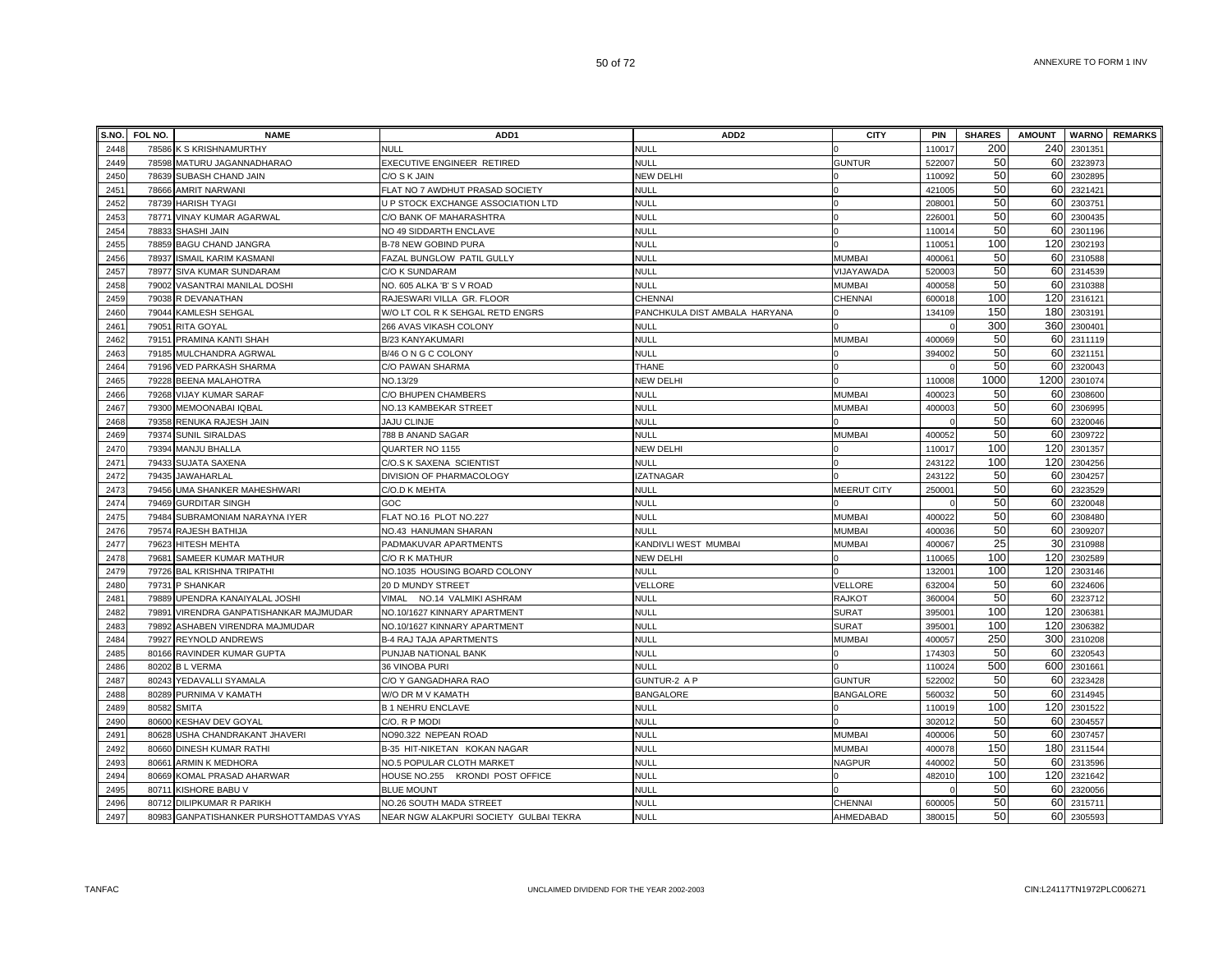| S.NO. | FOL NO. | <b>NAME</b>                             | ADD <sub>1</sub>                       | ADD <sub>2</sub>              | <b>CITY</b>        | PIN                | <b>SHARES</b> | <b>AMOUNT</b> |         | <b>WARNO</b> REMARKS |
|-------|---------|-----------------------------------------|----------------------------------------|-------------------------------|--------------------|--------------------|---------------|---------------|---------|----------------------|
| 2448  |         | 78586 K S KRISHNAMURTHY                 | <b>NULL</b>                            | NULL                          |                    | 110017             | 200           | 240           | 2301351 |                      |
| 2449  |         | 78598 MATURU JAGANNADHARAO              | EXECUTIVE ENGINEER RETIRED             | <b>NULL</b>                   | <b>GUNTUR</b>      | 522007             | 50            | 60            | 2323973 |                      |
| 2450  |         | 78639 SUBASH CHAND JAIN                 | C/O S K JAIN                           | <b>NEW DELHI</b>              |                    | 110092             | 50            | 60            | 2302895 |                      |
| 2451  |         | 78666 AMRIT NARWANI                     | FLAT NO 7 AWDHUT PRASAD SOCIETY        | NULL                          |                    | 421005             | 50            | 60            | 2321421 |                      |
| 2452  |         | 78739 HARISH TYAGI                      | U P STOCK EXCHANGE ASSOCIATION LTD     | NULL                          |                    | 20800              | 50            | 60            | 2303751 |                      |
| 2453  |         | 78771 VINAY KUMAR AGARWAL               | C/O BANK OF MAHARASHTRA                | NULL                          |                    | 22600 <sup>-</sup> | 50            | 60            | 2300435 |                      |
| 2454  |         | 78833 SHASHI JAIN                       | NO 49 SIDDARTH ENCLAVE                 | NULL                          |                    | 110014             | 50            | 60            | 2301196 |                      |
| 2455  |         | 78859 BAGU CHAND JANGRA                 | <b>B-78 NEW GOBIND PURA</b>            | NULL                          |                    | 11005              | 100           | 120           | 2302193 |                      |
| 2456  | 78937   | <b>ISMAIL KARIM KASMANI</b>             | FAZAL BUNGLOW PATIL GULLY              | NULL                          | <b>MUMBAI</b>      | 40006              | 50            | 60            | 2310588 |                      |
| 2457  |         | 78977 SIVA KUMAR SUNDARAM               | C/O K SUNDARAM                         | <b>NULL</b>                   | VIJAYAWADA         | 52000              | 50            | 60            | 2314539 |                      |
| 2458  |         | 79002 VASANTRAI MANILAL DOSHI           | NO. 605 ALKA 'B' S V ROAD              | NULL                          | <b>MUMBAI</b>      | 400058             | 50            | 60            | 2310388 |                      |
| 2459  |         | 79038 R DEVANATHAN                      | RAJESWARI VILLA GR. FLOOR              | <b>CHENNAI</b>                | CHENNAI            | 600018             | 100           | 120           | 2316121 |                      |
| 2460  |         | 79044 KAMLESH SEHGAL                    | W/O LT COL R K SEHGAL RETD ENGRS       | PANCHKULA DIST AMBALA HARYANA |                    | 134109             | 150           | 180           | 2303191 |                      |
| 2461  |         | 79051 RITA GOYAL                        | 266 AVAS VIKASH COLONY                 | NULL                          |                    |                    | 300           | 360           | 2300401 |                      |
| 2462  |         | 79151 PRAMINA KANTI SHAH                | B/23 KANYAKUMARI                       | <b>NULL</b>                   | MUMBAI             | 400069             | 50            | 60            | 2311119 |                      |
| 2463  |         | 79185 MULCHANDRA AGRWAL                 | B/46 O N G C COLONY                    | NULL                          |                    | 394002             | 50            | 60            | 2321151 |                      |
| 2464  |         | 79196 VED PARKASH SHARMA                | C/O PAWAN SHARMA                       | THANE                         |                    |                    | 50            | 60            | 2320043 |                      |
| 2465  |         | 79228 BEENA MALAHOTRA                   | NO.13/29                               | NEW DELHI                     |                    | 110008             | 1000          | 1200          | 2301074 |                      |
| 2466  |         | 79268 VIJAY KUMAR SARAF                 | C/O BHUPEN CHAMBERS                    | null                          | MUMBAI             | 40002              | 50            | 60            | 2308600 |                      |
| 2467  |         | 79300 MEMOONABAI IQBAL                  | NO.13 KAMBEKAR STREET                  | NULL                          | MUMBAI             | 400003             | 50            | 60            | 2306995 |                      |
| 2468  |         | 79358 RENUKA RAJESH JAIN                | <b>JAJU CLINJE</b>                     | <b>NULL</b>                   |                    |                    | 50            | 60            | 2320046 |                      |
| 2469  |         | 79374 SUNIL SIRALDAS                    | 788 B ANAND SAGAR                      | <b>NULL</b>                   | <b>MUMBAI</b>      | 400052             | 50            | 60            | 2309722 |                      |
| 2470  |         | 79394 MANJU BHALLA                      | QUARTER NO 1155                        | NEW DELHI                     |                    | 110017             | 100           | 120           | 2301357 |                      |
| 2471  |         | 79433 SUJATA SAXENA                     | C/O.S K SAXENA SCIENTIST               | <b>NULL</b>                   |                    | 243122             | 100           | 120           | 2304256 |                      |
| 2472  |         | 79435 JAWAHARLAL                        | DIVISION OF PHARMACOLOGY               | <b>IZATNAGAR</b>              |                    | 243122             | 50            | 60            | 2304257 |                      |
| 2473  |         | 79456 UMA SHANKER MAHESHWARI            | C/O.D K MEHTA                          | <b>NULL</b>                   | <b>MEERUT CITY</b> | 250001             | 50            | 60            | 2323529 |                      |
| 2474  |         | 79469 GURDITAR SINGH                    | GOC                                    | <b>NULL</b>                   |                    |                    | 50            | 60            | 2320048 |                      |
| 2475  |         | 79484 SUBRAMONIAM NARAYNA IYER          | FLAT NO.16 PLOT NO.227                 | <b>NULL</b>                   | <b>MUMBAI</b>      | 400022             | 50            | 60            | 2308480 |                      |
| 2476  |         | 79574 RAJESH BATHIJA                    | NO.43 HANUMAN SHARAN                   | NULL                          | MUMBAI             | 400036             | 50            | 60            | 2309207 |                      |
| 2477  |         | 79623 HITESH MEHTA                      | PADMAKUVAR APARTMENTS                  | KANDIVLI WEST MUMBAI          | MUMBAI             | 400067             | 25            | 30            | 2310988 |                      |
| 2478  | 79681   | SAMEER KUMAR MATHUR                     | C/O R K MATHUR                         | NEW DELHI                     |                    | 11006              | 100           | 120           | 2302589 |                      |
| 2479  |         | 79726 BAL KRISHNA TRIPATHI              | NO.1035 HOUSING BOARD COLONY           | <b>NULL</b>                   |                    | 13200              | 100           | 120           | 2303146 |                      |
| 2480  |         | 79731 P SHANKAR                         | 20 D MUNDY STREET                      | VELLORE                       | VELLORE            | 632004             | 50            | 60            | 2324606 |                      |
| 2481  |         | 79889 UPENDRA KANAIYALAL JOSHI          | VIMAL NO.14 VALMIKI ASHRAM             | NULL                          | <b>RAJKOT</b>      | 360004             | 50            | 60            | 2323712 |                      |
| 2482  |         | 79891 VIRENDRA GANPATISHANKAR MAJMUDAR  | NO.10/1627 KINNARY APARTMENT           | <b>NULL</b>                   | <b>SURAT</b>       | 39500 <sup>-</sup> | 100           | 120           | 2306381 |                      |
| 2483  |         | 79892 ASHABEN VIRENDRA MAJMUDAR         | NO.10/1627 KINNARY APARTMENT           | NULL                          | <b>SURAT</b>       | 39500 <sup>-</sup> | 100           | 120           | 2306382 |                      |
| 2484  |         | 79927 REYNOLD ANDREWS                   | <b>B-4 RAJ TAJA APARTMENTS</b>         | <b>NULL</b>                   | <b>MUMBAI</b>      | 400057             | 250           | 300           | 2310208 |                      |
| 2485  |         | 80166 RAVINDER KUMAR GUPTA              | PUNJAB NATIONAL BANK                   | <b>NULL</b>                   |                    | 174303             | 50            | 60            | 2320543 |                      |
| 2486  |         | 80202 B L VERMA                         | 36 VINOBA PURI                         | <b>NULL</b>                   |                    | 110024             | 500           | 600           | 2301661 |                      |
| 2487  |         | 80243 YEDAVALLI SYAMALA                 | C/O Y GANGADHARA RAO                   | GUNTUR-2 A P                  | <b>GUNTUR</b>      | 522002             | 50            | 60            | 2323428 |                      |
| 2488  |         | 80289 PURNIMA V KAMATH                  | W/O DR M V KAMATH                      | <b>BANGALORE</b>              | BANGALORE          | 560032             | 50            | 60            | 2314945 |                      |
| 2489  | 80582   | <b>SMITA</b>                            | <b>B 1 NEHRU ENCLAVE</b>               | NULL                          |                    | 110019             | 100           | 120           | 2301522 |                      |
| 2490  | 80600   | <b>KESHAV DEV GOYAL</b>                 | C/O. R P MODI                          | <b>NULL</b>                   |                    | 302012             | 50            | 60            | 2304557 |                      |
| 2491  | 80628   | USHA CHANDRAKANT JHAVERI                | NO90.322 NEPEAN ROAD                   | <b>NULL</b>                   | <b>MUMBAI</b>      | 400006             | 50            | 60            | 2307457 |                      |
| 2492  |         | 80660 DINESH KUMAR RATHI                | B-35 HIT-NIKETAN KOKAN NAGAR           | <b>NULL</b>                   | <b>MUMBAI</b>      | 400078             | 150           | 180           | 2311544 |                      |
| 2493  |         | 80661 ARMIN K MEDHORA                   | NO.5 POPULAR CLOTH MARKET              | NULL                          | NAGPUR             | 440002             | 50            | 60            | 2313596 |                      |
| 2494  |         | 80669 KOMAL PRASAD AHARWAR              | HOUSE NO.255 KRONDI POST OFFICE        | <b>NULL</b>                   |                    | 482010             | 100           | 120           | 2321642 |                      |
| 2495  |         | 80711 KISHORE BABU V                    | <b>BLUE MOUNT</b>                      | NULL                          |                    |                    | 50            | 60            | 2320056 |                      |
| 2496  |         | 80712 DILIPKUMAR R PARIKH               | NO.26 SOUTH MADA STREET                | <b>NULL</b>                   | <b>CHENNAI</b>     | 600005             | 50            | 60            | 2315711 |                      |
| 2497  |         | 80983 GANPATISHANKER PURSHOTTAMDAS VYAS | NEAR NGW ALAKPURI SOCIETY GULBAI TEKRA | <b>NULL</b>                   | AHMEDABAD          | 380015             | 50            | 60            | 2305593 |                      |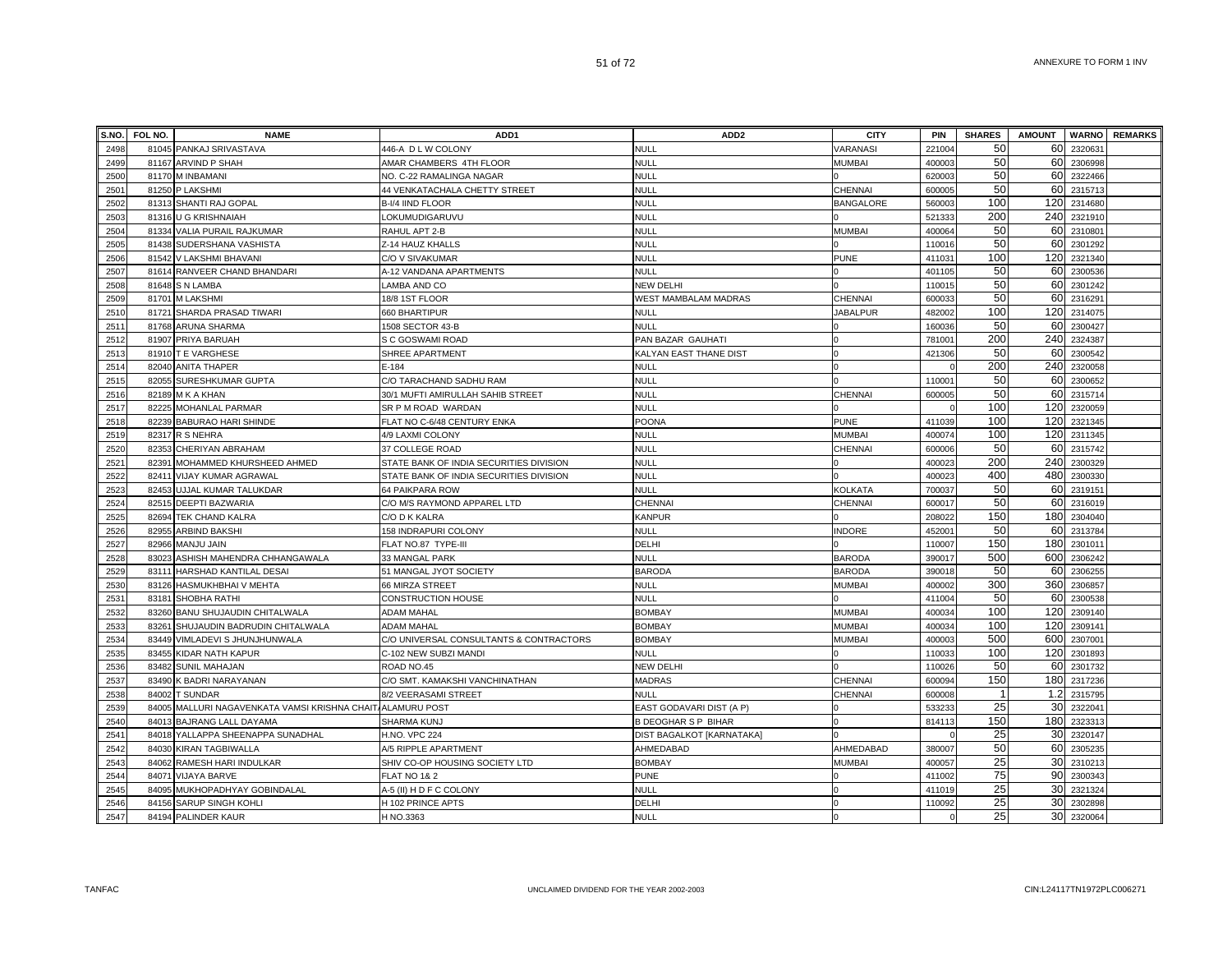| S.NO. | FOL NO. | <b>NAME</b>                                                | ADD <sub>1</sub>                        | ADD <sub>2</sub>           | <b>CITY</b>      | <b>PIN</b>         | <b>SHARES</b> | <b>AMOUNT</b> |         | <b>WARNO</b> REMARKS |
|-------|---------|------------------------------------------------------------|-----------------------------------------|----------------------------|------------------|--------------------|---------------|---------------|---------|----------------------|
| 2498  |         | 81045 PANKAJ SRIVASTAVA                                    | 446-A D L W COLONY                      | <b>NULL</b>                | VARANASI         | 221004             | 50            | 60            | 232063  |                      |
| 2499  |         | 81167 ARVIND P SHAH                                        | AMAR CHAMBERS 4TH FLOOR                 | NULL                       | <b>MUMBAI</b>    | 400003             | 50            | 60            | 2306998 |                      |
| 2500  |         | 81170 M INBAMANI                                           | NO. C-22 RAMALINGA NAGAR                | <b>NULL</b>                |                  | 62000              | 50            | 60            | 2322466 |                      |
| 2501  |         | 81250 P LAKSHMI                                            | 44 VENKATACHALA CHETTY STREET           | <b>NULL</b>                | CHENNAI          | 600005             | 50            | 60            | 2315713 |                      |
| 2502  |         | 81313 SHANTI RAJ GOPAL                                     | B-I/4 IIND FLOOR                        | <b>NULL</b>                | <b>BANGALORE</b> | 560003             | 100           | 120           | 2314680 |                      |
| 2503  |         | 81316 U G KRISHNAIAH                                       | LOKUMUDIGARUVU                          | <b>NULL</b>                |                  | 521333             | 200           | 240           | 2321910 |                      |
| 2504  |         | 81334 VALIA PURAIL RAJKUMAR                                | RAHUL APT 2-B                           | <b>NULL</b>                | <b>MUMBAI</b>    | 400064             | 50            | 60            | 2310801 |                      |
| 2505  |         | 81438 SUDERSHANA VASHISTA                                  | Z-14 HAUZ KHALLS                        | <b>NULL</b>                |                  | 110016             | 50            | 60            | 2301292 |                      |
| 2506  |         | 81542 V LAKSHMI BHAVANI                                    | C/O V SIVAKUMAR                         | NULL                       | <b>PUNE</b>      | 41103              | 100           | 120           | 2321340 |                      |
| 2507  |         | 81614 RANVEER CHAND BHANDARI                               | A-12 VANDANA APARTMENTS                 | <b>NULL</b>                |                  | 401105             | 50            | 60            | 2300536 |                      |
| 2508  |         | 81648 S N LAMBA                                            | LAMBA AND CO                            | <b>NEW DELHI</b>           |                  | 110015             | 50            | 60            | 2301242 |                      |
| 2509  |         | 81701 M LAKSHMI                                            | 18/8 1ST FLOOR                          | WEST MAMBALAM MADRAS       | CHENNAI          | 60003              | 50            | 60            | 2316291 |                      |
| 2510  |         | 81721 SHARDA PRASAD TIWARI                                 | 660 BHARTIPUR                           | <b>NULL</b>                | <b>JABALPUR</b>  | 482002             | 100           | 120           | 2314075 |                      |
| 2511  |         | 81768 ARUNA SHARMA                                         | 1508 SECTOR 43-B                        | <b>NULL</b>                |                  | 160036             | 50            | 60            | 2300427 |                      |
| 2512  |         | 81907 PRIYA BARUAH                                         | S C GOSWAMI ROAD                        | PAN BAZAR GAUHATI          |                  | 78100 <sup>-</sup> | 200           | 240           | 2324387 |                      |
| 2513  |         | 81910 T E VARGHESE                                         | SHREE APARTMENT                         | KALYAN EAST THANE DIST     | $\Omega$         | 421306             | 50            | 60            | 2300542 |                      |
| 2514  |         | 82040 ANITA THAPER                                         | E-184                                   | <b>NULL</b>                |                  |                    | 200           | 240           | 2320058 |                      |
| 2515  |         | 82055 SURESHKUMAR GUPTA                                    | C/O TARACHAND SADHU RAM                 | <b>NULL</b>                |                  | 110001             | 50            | 60            | 2300652 |                      |
| 2516  |         | 82189 M K A KHAN                                           | 30/1 MUFTI AMIRULLAH SAHIB STREET       | <b>NULL</b>                | CHENNAI          | 600005             | 50            | 60            | 2315714 |                      |
| 2517  |         | 82225 MOHANLAL PARMAR                                      | SR P M ROAD WARDAN                      | NULL                       |                  |                    | 100           | 120           | 2320059 |                      |
| 2518  |         | 82239 BABURAO HARI SHINDE                                  | FLAT NO C-6/48 CENTURY ENKA             | POONA                      | <b>PUNE</b>      | 411039             | 100           | 120           | 2321345 |                      |
| 2519  |         | 82317 R S NEHRA                                            | 4/9 LAXMI COLONY                        | NULL                       | MUMBAI           | 400074             | 100           | 120           | 2311345 |                      |
| 2520  | 82353   | CHERIYAN ABRAHAM                                           | 37 COLLEGE ROAD                         | <b>NULL</b>                | CHENNAI          | 600006             | 50            | 60            | 2315742 |                      |
| 2521  | 82391   | MOHAMMED KHURSHEED AHMED                                   | STATE BANK OF INDIA SECURITIES DIVISION | <b>NULL</b>                |                  | 400023             | 200           | 240           | 2300329 |                      |
| 2522  | 82411   | VIJAY KUMAR AGRAWAL                                        | STATE BANK OF INDIA SECURITIES DIVISION | <b>NULL</b>                |                  | 400023             | 400           | 480           | 2300330 |                      |
| 2523  |         | 82453 UJJAL KUMAR TALUKDAR                                 | 64 PAIKPARA ROW                         | <b>NULL</b>                | <b>KOLKATA</b>   | 700037             | 50            | 60            | 2319151 |                      |
| 2524  |         | 82515 DEEPTI BAZWARIA                                      | C/O M/S RAYMOND APPAREL LTD             | CHENNAI                    | <b>CHENNAI</b>   | 60001              | 50            | 60            | 2316019 |                      |
| 2525  |         | 82694 TEK CHAND KALRA                                      | C/O D K KALRA                           | <b>KANPUR</b>              |                  | 208022             | 150           | 180           | 2304040 |                      |
| 2526  |         | 82955 ARBIND BAKSHI                                        | 158 INDRAPURI COLONY                    | <b>NULL</b>                | <b>INDORE</b>    | 45200 <sup>-</sup> | 50            | 60            | 2313784 |                      |
| 2527  |         | 82966 MANJU JAIN                                           | FLAT NO.87 TYPE-III                     | DELHI                      |                  | 110007             | 150           | 180           | 2301011 |                      |
| 2528  |         | 83023 ASHISH MAHENDRA CHHANGAWALA                          | 33 MANGAL PARK                          | <b>NULL</b>                | <b>BARODA</b>    | 390017             | 500           | 600           | 2306242 |                      |
| 2529  |         | 83111 HARSHAD KANTILAL DESAI                               | 51 MANGAL JYOT SOCIETY                  | <b>BARODA</b>              | <b>BARODA</b>    | 39001              | 50            | 60            | 2306255 |                      |
| 2530  |         | 83126 HASMUKHBHAI V MEHTA                                  | 66 MIRZA STREET                         | <b>NULL</b>                | MUMBAI           | 400002             | 300           | 360           | 2306857 |                      |
| 2531  |         | 83181 SHOBHA RATHI                                         | CONSTRUCTION HOUSE                      | <b>NULL</b>                |                  | 411004             | 50            | 60            | 2300538 |                      |
| 2532  |         | 83260 BANU SHUJAUDIN CHITALWALA                            | ADAM MAHAL                              | <b>BOMBAY</b>              | <b>MUMBAI</b>    | 40003              | 100           | 120           | 2309140 |                      |
| 2533  | 83261   | SHUJAUDIN BADRUDIN CHITALWALA                              | ADAM MAHAL                              | <b>BOMBAY</b>              | <b>MUMBAI</b>    | 400034             | 100           | 120           | 2309141 |                      |
| 2534  |         | 83449 VIMLADEVI S JHUNJHUNWALA                             | C/O UNIVERSAL CONSULTANTS & CONTRACTORS | <b>BOMBAY</b>              | <b>MUMBAI</b>    | 40000              | 500           | 600           | 2307001 |                      |
| 2535  | 83455   | KIDAR NATH KAPUR                                           | C-102 NEW SUBZI MANDI                   | <b>NULL</b>                |                  | 11003              | 100           | 120           | 2301893 |                      |
| 2536  | 83482   | <b>SUNIL MAHAJAN</b>                                       | ROAD NO.45                              | <b>NEW DELHI</b>           |                  | 110026             | 50            | 60            | 2301732 |                      |
| 2537  |         | 83490 K BADRI NARAYANAN                                    | C/O SMT. KAMAKSHI VANCHINATHAN          | <b>MADRAS</b>              | CHENNAI          | 600094             | 150           | 180           | 2317236 |                      |
| 2538  | 84002   | <b>T SUNDAR</b>                                            | 8/2 VEERASAMI STREET                    | <b>NULL</b>                | <b>CHENNAI</b>   | 600008             | $\mathbf{1}$  | 1.2           | 2315795 |                      |
| 2539  |         | 84005 MALLURI NAGAVENKATA VAMSI KRISHNA CHAIT/ALAMURU POST |                                         | EAST GODAVARI DIST (A P)   |                  | 533233             | 25            | 30            | 2322041 |                      |
| 2540  |         | 84013 BAJRANG LALL DAYAMA                                  | SHARMA KUNJ                             | <b>B DEOGHAR S P BIHAR</b> |                  | 814113             | 150           | 180           | 2323313 |                      |
| 2541  |         | 84018 YALLAPPA SHEENAPPA SUNADHAL                          | H.NO. VPC 224                           | DIST BAGALKOT [KARNATAKA]  |                  |                    | 25            | 30            | 2320147 |                      |
| 2542  |         | 84030 KIRAN TAGBIWALLA                                     | A/5 RIPPLE APARTMENT                    | AHMEDABAD                  | AHMEDABAD        | 380007             | 50            | 60            | 2305235 |                      |
| 2543  |         | 84062 RAMESH HARI INDULKAR                                 | SHIV CO-OP HOUSING SOCIETY LTD          | <b>BOMBAY</b>              | <b>MUMBAI</b>    | 400057             | 25            | 30            | 2310213 |                      |
| 2544  | 84071   | <b>VIJAYA BARVE</b>                                        | <b>FLAT NO 1&amp; 2</b>                 | <b>PUNE</b>                |                  | 411002             | 75            | 90            | 2300343 |                      |
| 2545  |         | 84095 MUKHOPADHYAY GOBINDALAL                              | 4-5 (II) H D F C COLONY                 | <b>NULL</b>                |                  | 411019             | 25            | 30            | 232132  |                      |
| 2546  |         | 84156 SARUP SINGH KOHLI                                    | H 102 PRINCE APTS                       | DELHI                      |                  | 110092             | 25            | 30            | 2302898 |                      |
| 2547  |         | 84194 PALINDER KAUR                                        | H NO.3363                               | <b>NULL</b>                |                  |                    | 25            | 30            | 2320064 |                      |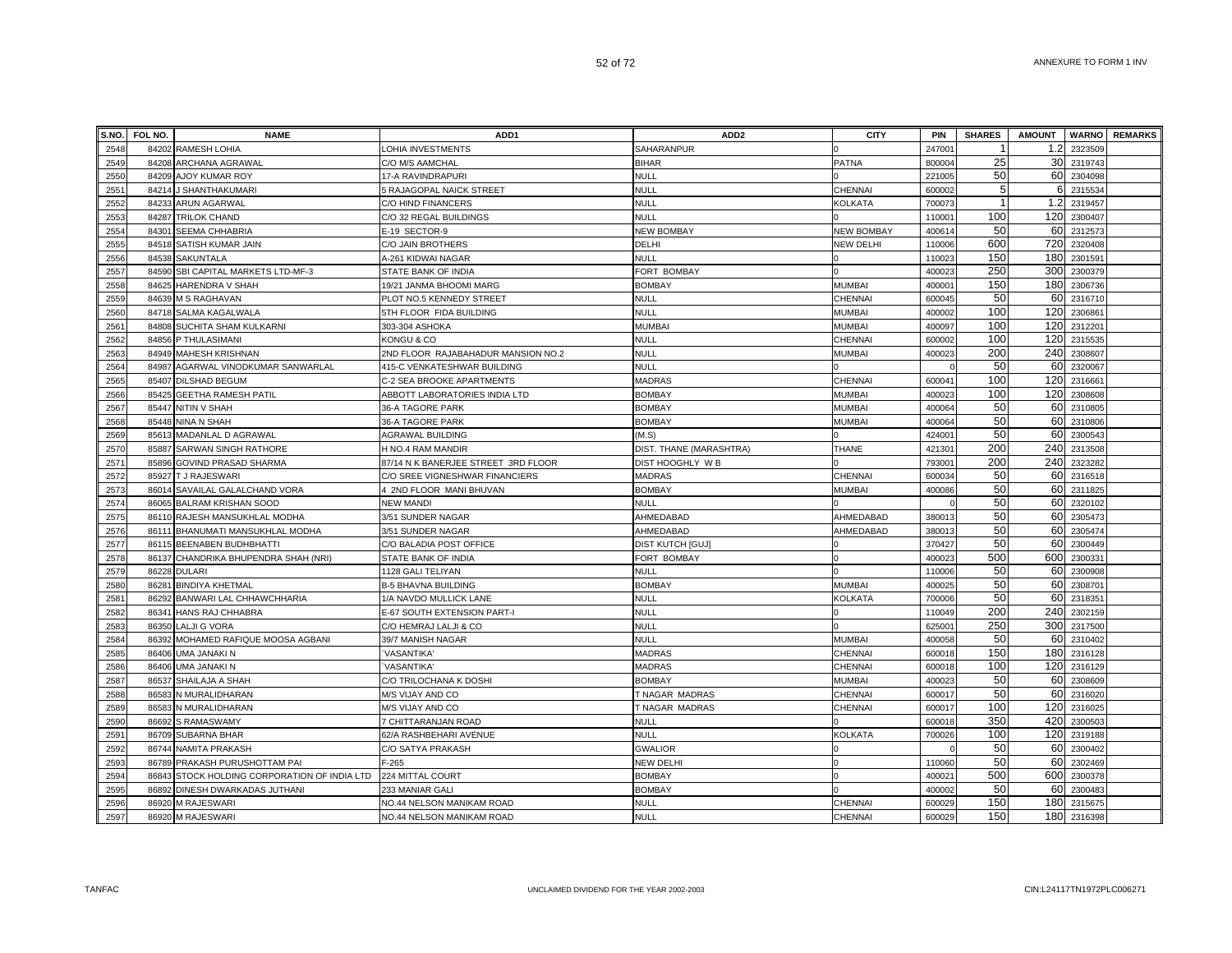| S.NO. | FOL NO. | <b>NAME</b>                            | ADD <sub>1</sub>                    | ADD <sub>2</sub>        | <b>CITY</b>       | <b>PIN</b>         | <b>SHARES</b> | <b>AMOUNT</b> |         | <b>WARNO</b> REMARKS |
|-------|---------|----------------------------------------|-------------------------------------|-------------------------|-------------------|--------------------|---------------|---------------|---------|----------------------|
| 2548  | 84202   | <b>RAMESH LOHIA</b>                    | LOHIA INVESTMENTS                   | SAHARANPUR              |                   | 24700              |               | 1.2           | 2323509 |                      |
| 2549  | 84208   | ARCHANA AGRAWAL                        | C/O M/S AAMCHAL                     | <b>BIHAR</b>            | <b>PATNA</b>      | 800004             | 25            | 30            | 2319743 |                      |
| 2550  | 84209   | AJOY KUMAR ROY                         | 17-A RAVINDRAPURI                   | <b>NULL</b>             |                   | 221005             | 50            | 60            | 2304098 |                      |
| 2551  | 84214   | J SHANTHAKUMARI                        | 5 RAJAGOPAL NAICK STREET            | <b>NULL</b>             | CHENNAI           | 600002             | 5             | 61            | 2315534 |                      |
| 2552  | 84233   | ARUN AGARWAL                           | C/O HIND FINANCERS                  | <b>NULL</b>             | <b>KOLKATA</b>    | 700073             |               | 1.2           | 2319457 |                      |
| 2553  | 84287   | TRILOK CHAND                           | C/O 32 REGAL BUILDINGS              | NULL                    |                   | 11000 <sup>-</sup> | 100           | 120           | 2300407 |                      |
| 2554  | 84301   | SEEMA CHHABRIA                         | E-19 SECTOR-9                       | <b>NEW BOMBAY</b>       | <b>NEW BOMBAY</b> | 40061              | 50            | 60            | 2312573 |                      |
| 2555  | 84518   | SATISH KUMAR JAIN                      | C/O JAIN BROTHERS                   | DELHI                   | NEW DELHI         | 110006             | 600           | 720           | 2320408 |                      |
| 2556  | 84538   | SAKUNTALA                              | A-261 KIDWAI NAGAR                  | NULL                    |                   | 110023             | 150           | 180           | 230159  |                      |
| 2557  | 84590   | SBI CAPITAL MARKETS LTD-MF-3           | STATE BANK OF INDIA                 | <b>FORT BOMBAY</b>      |                   | 400023             | 250           | 300           | 2300379 |                      |
| 2558  | 84625   | HARENDRA V SHAH                        | 19/21 JANMA BHOOMI MARG             | <b>BOMBAY</b>           | <b>MUMBAI</b>     | 40000 <sup>-</sup> | 150           | 180           | 2306736 |                      |
| 2559  |         | 84639 M S RAGHAVAN                     | PLOT NO.5 KENNEDY STREET            | <b>NULL</b>             | CHENNAI           | 600045             | 50            | 60            | 2316710 |                      |
| 2560  | 84718   | SALMA KAGALWALA                        | 5TH FLOOR FIDA BUILDING             | <b>NULL</b>             | <b>MUMBAI</b>     | 400002             | 100           | 120           | 2306861 |                      |
| 2561  | 84808   | SUCHITA SHAM KULKARNI                  | 303-304 ASHOKA                      | <b>MUMBAI</b>           | <b>MUMBAI</b>     | 400097             | 100           | 120           | 2312201 |                      |
| 2562  | 84856   | P THULASIMANI                          | KONGU & CO                          | <b>NULL</b>             | CHENNAI           | 600002             | 100           | 120           | 2315535 |                      |
| 2563  |         | 84949 MAHESH KRISHNAN                  | 2ND FLOOR RAJABAHADUR MANSION NO.2  | <b>NULL</b>             | MUMBAI            | 400023             | 200           | 240           | 2308607 |                      |
| 2564  | 84987   | AGARWAL VINODKUMAR SANWARLAL           | 415-C VENKATESHWAR BUILDING         | <b>NULL</b>             |                   |                    | 50            | 60            | 2320067 |                      |
| 2565  |         | 85407 DILSHAD BEGUM                    | C-2 SEA BROOKE APARTMENTS           | <b>MADRAS</b>           | CHENNAI           | 60004              | 100           | 120           | 2316661 |                      |
| 2566  | 85425   | <b>GEETHA RAMESH PATIL</b>             | ABBOTT LABORATORIES INDIA LTD       | <b>BOMBAY</b>           | <b>MUMBAI</b>     | 40002              | 100           | 120           | 2308608 |                      |
| 2567  | 85447   | NITIN V SHAH                           | 36-A TAGORE PARK                    | <b>BOMBAY</b>           | <b>MUMBAI</b>     | 400064             | 50            | 60            | 2310805 |                      |
| 2568  | 85448   | NINA N SHAH                            | 36-A TAGORE PARK                    | <b>BOMBAY</b>           | <b>MUMBAI</b>     | 400064             | 50            | 60            | 2310806 |                      |
| 2569  | 8561    | MADANLAL D AGRAWAL                     | <b>AGRAWAL BUILDING</b>             | (M.S)                   |                   | 42400 <sup>-</sup> | 50            | 60            | 2300543 |                      |
| 2570  | 85887   | SARWAN SINGH RATHORE                   | H NO.4 RAM MANDIR                   | DIST. THANE (MARASHTRA) | THANE             | 42130 <sup>-</sup> | 200           | 240           | 2313508 |                      |
| 2571  | 85896   | <b>GOVIND PRASAD SHARMA</b>            | 87/14 N K BANERJEE STREET 3RD FLOOR | DIST HOOGHLY W B        |                   | 79300 <sup>-</sup> | 200           | 240           | 2323282 |                      |
| 2572  | 85927   | T J RAJESWARI                          | C/O SREE VIGNESHWAR FINANCIERS      | <b>MADRAS</b>           | CHENNAI           | 600034             | 50            | 60            | 2316518 |                      |
| 2573  |         | 86014 SAVAILAL GALALCHAND VORA         | 4 2ND FLOOR MANI BHUVAN             | <b>BOMBAY</b>           | <b>MUMBAI</b>     | 400086             | 50            | 60            | 2311825 |                      |
| 2574  |         | 86065 BALRAM KRISHAN SOOD              | <b>NEW MANDI</b>                    | <b>NULL</b>             |                   |                    | 50            | 60            | 2320102 |                      |
| 2575  |         | 86110 RAJESH MANSUKHLAL MODHA          | 3/51 SUNDER NAGAR                   | AHMEDABAD               | AHMEDABAD         | 38001              | 50            | 60            | 2305473 |                      |
| 2576  |         | 86111 BHANUMATI MANSUKHLAL MODHA       | 3/51 SUNDER NAGAR                   | AHMEDABAD               | AHMEDABAD         | 38001              | 50            | 60            | 2305474 |                      |
| 2577  | 86115   | <b>BEENABEN BUDHBHATTI</b>             | C/O BALADIA POST OFFICE             | <b>DIST KUTCH [GUJ]</b> |                   | 370427             | 50            | 60            | 2300449 |                      |
| 2578  | 86137   | CHANDRIKA BHUPENDRA SHAH (NRI)         | STATE BANK OF INDIA                 | <b>FORT BOMBAY</b>      |                   | 40002              | 500           | 600           | 230033  |                      |
| 2579  | 86228   | <b>DULARI</b>                          | 1128 GALI TELIYAN                   | <b>NULL</b>             |                   | 110006             | 50            | 60            | 2300908 |                      |
| 2580  | 86281   | <b>BINDIYA KHETMAL</b>                 | <b>B-5 BHAVNA BUILDING</b>          | <b>BOMBAY</b>           | <b>MUMBAI</b>     | 40002              | 50            | 60            | 2308701 |                      |
| 2581  | 86292   | BANWARI LAL CHHAWCHHARIA               | 1/A NAVDO MULLICK LANE              | <b>NULL</b>             | KOLKATA           | 700006             | 50            | 60            | 231835  |                      |
| 2582  | 86341   | HANS RAJ CHHABRA                       | E-67 SOUTH EXTENSION PART-I         | <b>NULL</b>             |                   | 110049             | 200           | 240           | 2302159 |                      |
| 2583  | 86350   | LALJI G VORA                           | C/O HEMRAJ LALJI & CO               | <b>NULL</b>             |                   | 62500 <sup>-</sup> | 250           | 300           | 2317500 |                      |
| 2584  | 86392   | MOHAMED RAFIQUE MOOSA AGBANI           | 39/7 MANISH NAGAR                   | <b>NULL</b>             | <b>MUMBAI</b>     | 400058             | 50            | 60            | 2310402 |                      |
| 2585  |         | 86406 UMA JANAKI N                     | <b>VASANTIKA</b>                    | <b>MADRAS</b>           | CHENNAI           | 600018             | 150           | 180           | 2316128 |                      |
| 2586  | 86406   | UMA JANAKI N                           | <b>VASANTIKA</b>                    | <b>MADRAS</b>           | CHENNAI           | 600018             | 100           | 120           | 2316129 |                      |
| 2587  |         | 86537 SHAILAJA A SHAH                  | C/O TRILOCHANA K DOSHI              | <b>BOMBAY</b>           | <b>MUMBAI</b>     | 400023             | 50            | 60            | 2308609 |                      |
| 2588  | 86583   | N MURALIDHARAN                         | M/S VIJAY AND CO                    | T NAGAR MADRAS          | CHENNAI           | 60001              | 50            | 60            | 2316020 |                      |
| 2589  | 86583   | N MURALIDHARAN                         | M/S VIJAY AND CO                    | T NAGAR MADRAS          | CHENNAI           | 600017             | 100           | 120           | 2316025 |                      |
| 2590  | 86692   | S RAMASWAMY                            | 7 CHITTARANJAN ROAD                 | <b>NULL</b>             |                   | 60001              | 350           | 420           | 2300503 |                      |
| 2591  | 86709   | <b>SUBARNA BHAR</b>                    | 62/A RASHBEHARI AVENUE              | <b>NULL</b>             | <b>KOLKATA</b>    | 700026             | 100           | 120           | 2319188 |                      |
| 2592  | 86744   | NAMITA PRAKASH                         | C/O SATYA PRAKASH                   | <b>GWALIOR</b>          |                   |                    | 50            | 60            | 2300402 |                      |
| 2593  | 86789   | PRAKASH PURUSHOTTAM PAI                | $F-265$                             | <b>NEW DELHI</b>        |                   | 11006              | 50            | 60            | 2302469 |                      |
| 2594  | 86843   | STOCK HOLDING CORPORATION OF INDIA LTD | 224 MITTAL COURT                    | <b>BOMBAY</b>           |                   | 40002              | 500           | 600           | 2300378 |                      |
| 2595  | 86892   | DINESH DWARKADAS JUTHANI               | 233 MANIAR GALI                     | <b>BOMBAY</b>           |                   | 400002             | 50            | 60            | 2300483 |                      |
| 2596  | 86920   | <b>M RAJESWARI</b>                     | NO.44 NELSON MANIKAM ROAD           | <b>NULL</b>             | <b>CHENNAI</b>    | 600029             | 150           | 180           | 2315675 |                      |
| 2597  |         | 86920 M RAJESWARI                      | NO.44 NELSON MANIKAM ROAD           | <b>NULL</b>             | CHENNAI           | 600029             | 150           | 180           | 2316398 |                      |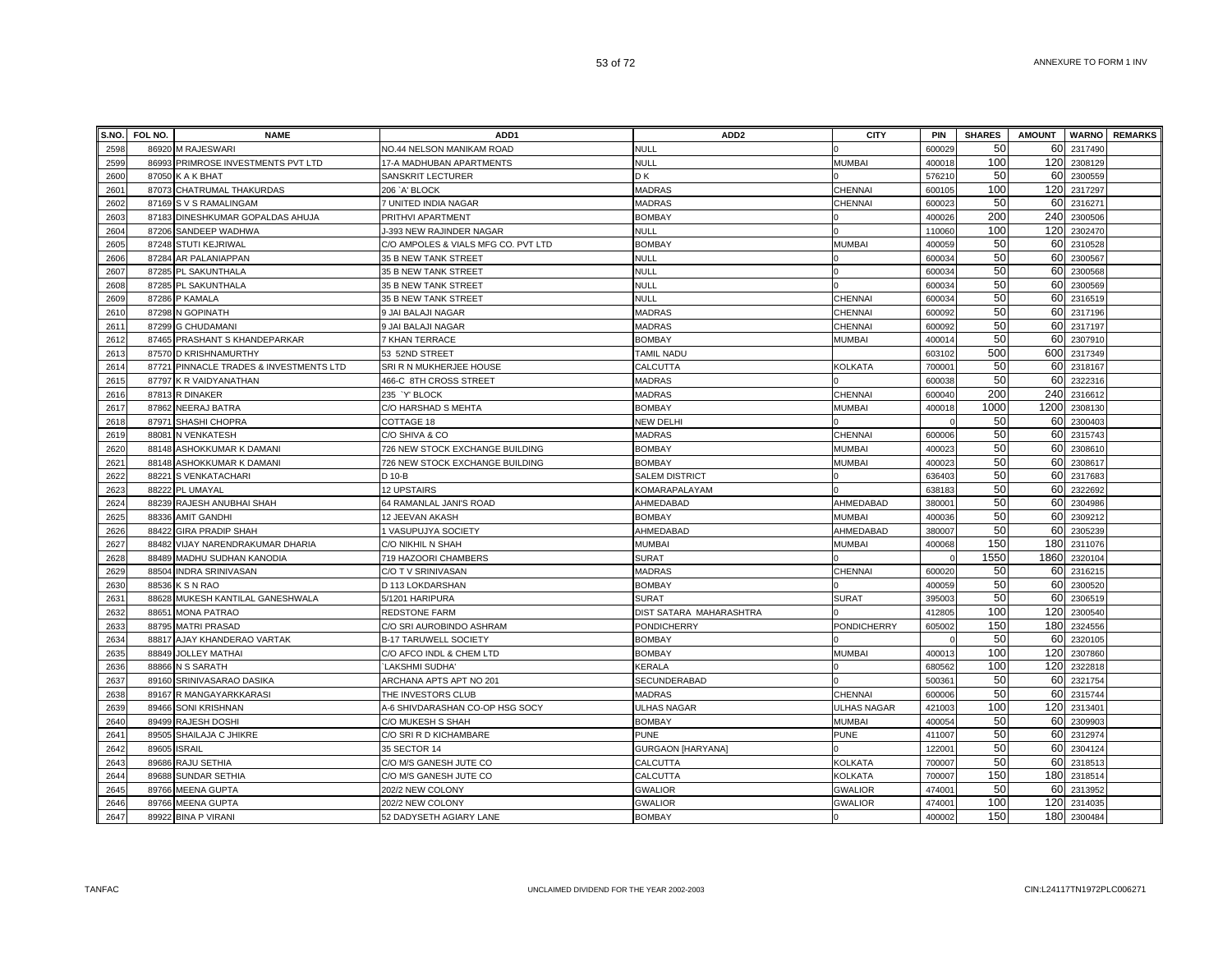| S.NO. | <b>FOL NO.</b> | <b>NAME</b>                       | ADD <sub>1</sub>                    | ADD <sub>2</sub>         | <b>CITY</b>        | <b>PIN</b>         | <b>SHARES</b> | <b>AMOUNT</b> |         | <b>WARNO</b> REMARKS |
|-------|----------------|-----------------------------------|-------------------------------------|--------------------------|--------------------|--------------------|---------------|---------------|---------|----------------------|
| 2598  | 86920          | M RAJESWARI                       | NO.44 NELSON MANIKAM ROAD           | <b>NULL</b>              |                    | 600029             | 50            | 60            | 2317490 |                      |
| 2599  | 86993          | PRIMROSE INVESTMENTS PVT LTD      | 17-A MADHUBAN APARTMENTS            | <b>NULL</b>              | <b>MUMBAI</b>      | 400018             | 100           | 120           | 2308129 |                      |
| 2600  | 87050          | K A K BHAT                        | SANSKRIT LECTURER                   | DK                       |                    | 576210             | 50            | 60            | 2300559 |                      |
| 2601  |                | 87073 CHATRUMAL THAKURDAS         | 206 `A' BLOCK                       | <b>MADRAS</b>            | <b>CHENNAI</b>     | 600105             | 100           | 120           | 2317297 |                      |
| 2602  |                | 87169 S V S RAMALINGAM            | 7 UNITED INDIA NAGAR                | <b>MADRAS</b>            | <b>CHENNAI</b>     | 600023             | 50            | 60            | 2316271 |                      |
| 2603  | 87183          | DINESHKUMAR GOPALDAS AHUJA        | PRITHVI APARTMENT                   | <b>BOMBAY</b>            |                    | 400026             | 200           | 240           | 2300506 |                      |
| 2604  |                | 87206 SANDEEP WADHWA              | J-393 NEW RAJINDER NAGAR            | NULL                     |                    | 110060             | 100           | 120           | 2302470 |                      |
| 2605  |                | 87248 STUTI KEJRIWAL              | C/O AMPOLES & VIALS MFG CO. PVT LTD | <b>BOMBAY</b>            | MUMBAI             | 400059             | 50            | 60            | 2310528 |                      |
| 2606  |                | 87284 AR PALANIAPPAN              | <b>35 B NEW TANK STREET</b>         | <b>NULL</b>              |                    | 600034             | 50            | 60            | 2300567 |                      |
| 2607  |                | 87285 PL SAKUNTHALA               | <b>35 B NEW TANK STREET</b>         | <b>NULL</b>              |                    | 600034             | 50            | 60            | 2300568 |                      |
| 2608  | 87285          | PL SAKUNTHALA                     | <b>35 B NEW TANK STREET</b>         | NULL                     |                    | 60003              | 50            | 60            | 2300569 |                      |
| 2609  | 87286          | P KAMALA                          | 35 B NEW TANK STREET                | <b>NULL</b>              | CHENNAI            | 600034             | 50            | 60            | 2316519 |                      |
| 2610  | 87298          | N GOPINATH                        | 9 JAI BALAJI NAGAR                  | <b>MADRAS</b>            | CHENNAI            | 600092             | 50            | 60            | 2317196 |                      |
| 2611  | 87299          | <b>G CHUDAMANI</b>                | 9 JAI BALAJI NAGAR                  | <b>MADRAS</b>            | CHENNAI            | 600092             | 50            | 60            | 2317197 |                      |
| 2612  | 87465          | PRASHANT S KHANDEPARKAR           | 7 KHAN TERRACE                      | <b>BOMBAY</b>            | <b>MUMBAI</b>      | 400014             | 50            | 60            | 2307910 |                      |
| 2613  |                | 87570 D KRISHNAMURTHY             | 53 52ND STREET                      | <b>TAMIL NADU</b>        |                    | 603102             | 500           | 600           | 2317349 |                      |
| 2614  | 87721          | PINNACLE TRADES & INVESTMENTS LTD | SRI R N MUKHERJEE HOUSE             | CALCUTTA                 | <b>KOLKATA</b>     | 70000 <sup>-</sup> | 50            | 60            | 2318167 |                      |
| 2615  |                | 87797 K R VAIDYANATHAN            | 466-C 8TH CROSS STREET              | <b>MADRAS</b>            |                    | 600038             | 50            | 60            | 2322316 |                      |
| 2616  | 87813          | R DINAKER                         | 235 'Y' BLOCK                       | <b>MADRAS</b>            | CHENNAI            | 600040             | 200           | 240           | 2316612 |                      |
| 2617  | 87862          | NEERAJ BATRA                      | C/O HARSHAD S MEHTA                 | <b>BOMBAY</b>            | <b>MUMBAI</b>      | 400018             | 1000          | 1200          | 2308130 |                      |
| 2618  | 87971          | SHASHI CHOPRA                     | COTTAGE 18                          | <b>NEW DELHI</b>         |                    |                    | 50            | 60            | 2300403 |                      |
| 2619  | 88081          | N VENKATESH                       | C/O SHIVA & CO                      | <b>MADRAS</b>            | <b>CHENNAI</b>     | 600006             | 50            | 60            | 2315743 |                      |
| 2620  | 88148          | ASHOKKUMAR K DAMANI               | 726 NEW STOCK EXCHANGE BUILDING     | <b>BOMBAY</b>            | <b>MUMBAI</b>      | 40002              | 50            | 60            | 2308610 |                      |
| 2621  | 88148          | ASHOKKUMAR K DAMANI               | 726 NEW STOCK EXCHANGE BUILDING     | <b>BOMBAY</b>            | <b>MUMBAI</b>      | 400023             | 50            | 60            | 2308617 |                      |
| 2622  | 88221          | S VENKATACHARI                    | D 10-B                              | <b>SALEM DISTRICT</b>    |                    | 636403             | 50            | 60            | 2317683 |                      |
| 2623  | 88222          | PL UMAYAL                         | <b>12 UPSTAIRS</b>                  | KOMARAPALAYAM            |                    | 638183             | 50            | 60            | 2322692 |                      |
| 2624  |                | 88239 RAJESH ANUBHAI SHAH         | 64 RAMANLAL JANI'S ROAD             | AHMEDABAD                | AHMEDABAD          | 38000              | 50            | 60            | 2304986 |                      |
| 2625  | 88336          | <b>AMIT GANDHI</b>                | 12 JEEVAN AKASH                     | <b>BOMBAY</b>            | <b>MUMBAI</b>      | 400036             | 50            | 60            | 2309212 |                      |
| 2626  |                | 88422 GIRA PRADIP SHAH            | I VASUPUJYA SOCIETY                 | AHMEDABAD                | AHMEDABAD          | 380007             | 50            | 60            | 2305239 |                      |
| 2627  | 88482          | VIJAY NARENDRAKUMAR DHARIA        | C/O NIKHIL N SHAH                   | <b>MUMBAI</b>            | <b>MUMBAI</b>      | 400068             | 150           | 180           | 2311076 |                      |
| 2628  | 88489          | MADHU SUDHAN KANODIA              | 719 HAZOORI CHAMBERS                | <b>SURAT</b>             |                    |                    | 1550          | 1860          | 2320104 |                      |
| 2629  | 88504          | <b>NDRA SRINIVASAN</b>            | C/O T V SRINIVASAN                  | <b>MADRAS</b>            | <b>CHENNAI</b>     | 600020             | 50            | 60            | 2316215 |                      |
| 2630  | 88536          | <b>SNRAO</b>                      | D 113 LOKDARSHAN                    | <b>BOMBAY</b>            |                    | 400059             | 50            | 60            | 2300520 |                      |
| 2631  | 88628          | MUKESH KANTILAL GANESHWALA        | 5/1201 HARIPURA                     | <b>SURAT</b>             | <b>SURAT</b>       | 395003             | 50            | 60            | 2306519 |                      |
| 2632  | 88651          | <b>MONA PATRAO</b>                | <b>REDSTONE FARM</b>                | DIST SATARA MAHARASHTRA  |                    | 412805             | 100           | 120           | 2300540 |                      |
| 2633  | 88795          | <b>MATRI PRASAD</b>               | C/O SRI AUROBINDO ASHRAM            | PONDICHERRY              | PONDICHERRY        | 605002             | 150           | 180           | 2324556 |                      |
| 2634  | 88817          | AJAY KHANDERAO VARTAK             | <b>B-17 TARUWELL SOCIETY</b>        | <b>BOMBAY</b>            |                    |                    | 50            | 60            | 2320105 |                      |
| 2635  | 88849          | JOLLEY MATHAI                     | C/O AFCO INDL & CHEM LTD            | <b>BOMBAY</b>            | <b>MUMBAI</b>      | 400013             | 100           | 120           | 2307860 |                      |
| 2636  | 88866          | N S SARATH                        | `LAKSHMI SUDHA'                     | KERALA                   |                    | 680562             | 100           | 120           | 2322818 |                      |
| 2637  |                | 89160 SRINIVASARAO DASIKA         | ARCHANA APTS APT NO 201             | SECUNDERABAD             |                    | 50036              | 50            | 60            | 2321754 |                      |
| 2638  | 89167          | R MANGAYARKKARASI                 | THE INVESTORS CLUB                  | <b>MADRAS</b>            | <b>CHENNAI</b>     | 600006             | 50            | 60            | 2315744 |                      |
| 2639  | 89466          | SONI KRISHNAN                     | A-6 SHIVDARASHAN CO-OP HSG SOCY     | ULHAS NAGAR              | <b>ULHAS NAGAR</b> | 421003             | 100           | 120           | 2313401 |                      |
| 2640  | 89499          | RAJESH DOSHI                      | C/O MUKESH S SHAH                   | <b>BOMBAY</b>            | <b>MUMBAI</b>      | 400054             | 50            | 60            | 2309903 |                      |
| 2641  | 89505          | SHAILAJA C JHIKRE                 | C/O SRI R D KICHAMBARE              | <b>PUNE</b>              | <b>PUNE</b>        | 411007             | 50            | 60            | 231297  |                      |
| 2642  | 89605          | SRAIL                             | 35 SECTOR 14                        | <b>GURGAON [HARYANA]</b> |                    | 12200 <sup>-</sup> | 50            | 60            | 2304124 |                      |
| 2643  | 89686          | RAJU SETHIA                       | C/O M/S GANESH JUTE CO              | CALCUTTA                 | <b>KOLKATA</b>     | 700007             | 50            | 60            | 2318513 |                      |
| 2644  | 89688          | <b>SUNDAR SETHIA</b>              | C/O M/S GANESH JUTE CO              | CALCUTTA                 | KOLKATA            | 700007             | 150           | 180           | 2318514 |                      |
| 2645  | 89766          | MEENA GUPTA                       | 202/2 NEW COLONY                    | <b>GWALIOR</b>           | <b>GWALIOR</b>     | 47400              | 50            | 60            | 2313952 |                      |
| 2646  | 89766          | <b>MEENA GUPTA</b>                | 202/2 NEW COLONY                    | <b>GWALIOR</b>           | <b>GWALIOR</b>     | 47400 <sup>-</sup> | 100           | 120           | 2314035 |                      |
| 2647  |                | 89922 BINA P VIRANI               | 52 DADYSETH AGIARY LANE             | <b>BOMBAY</b>            |                    | 400002             | 150           | 180           | 2300484 |                      |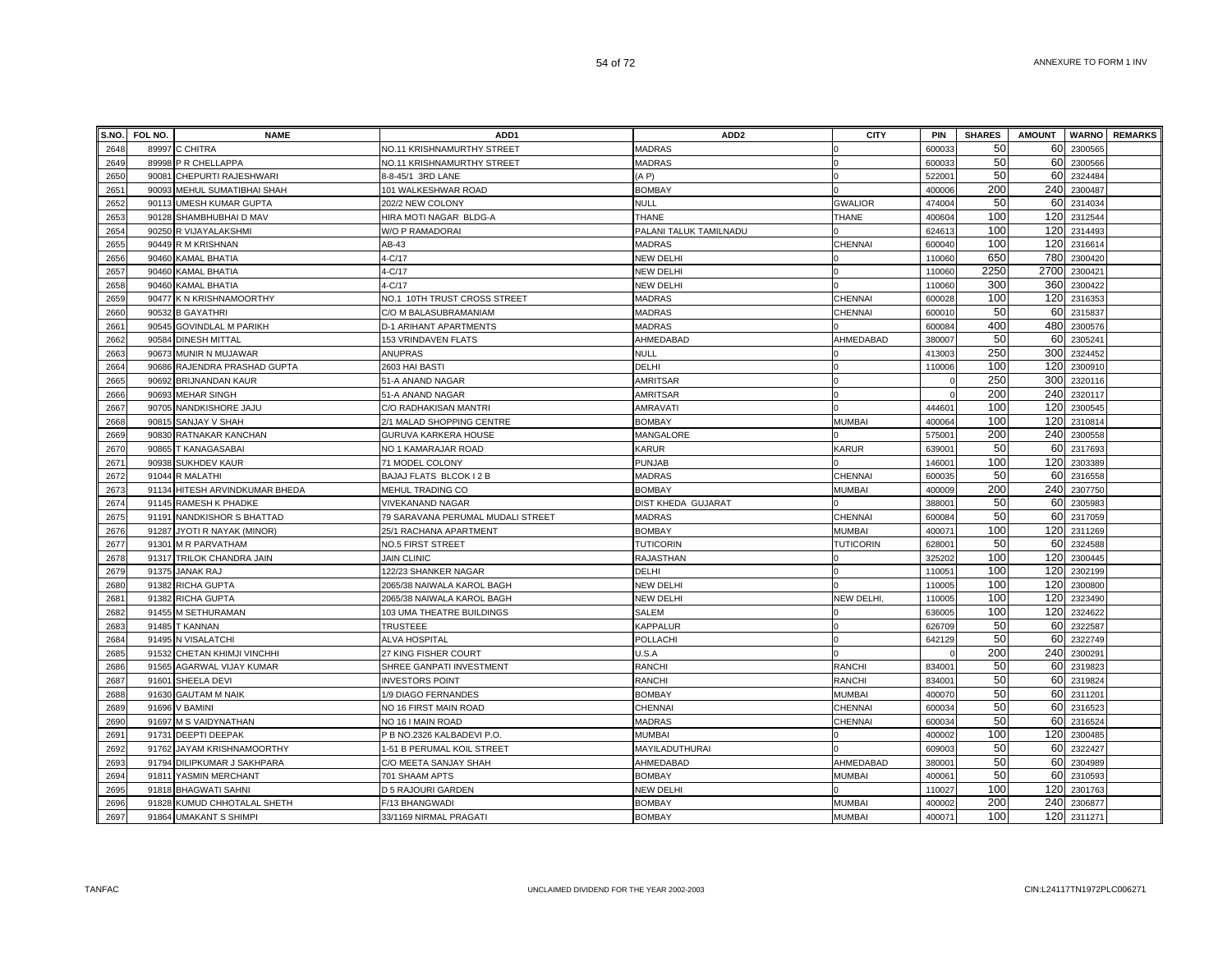| S.NO. | FOL NO. | <b>NAME</b>                  | ADD1                              | ADD <sub>2</sub>          | <b>CITY</b>      | PIN    | <b>SHARES</b> | <b>AMOUNT</b> |              | <b>WARNO</b> REMARKS |
|-------|---------|------------------------------|-----------------------------------|---------------------------|------------------|--------|---------------|---------------|--------------|----------------------|
| 2648  |         | 89997 C CHITRA               | NO.11 KRISHNAMURTHY STREET        | MADRAS                    |                  | 60003  | 50            | 60            | 2300565      |                      |
| 2649  |         | 89998 P R CHELLAPPA          | NO.11 KRISHNAMURTHY STREET        | MADRAS                    |                  | 600033 | 50            | 60            | 2300566      |                      |
| 2650  | 90081   | CHEPURTI RAJESHWARI          | 8-8-45/1 3RD LANE                 | (AP)                      |                  | 522001 | 50            | 60            | 2324484      |                      |
| 2651  | 90093   | MEHUL SUMATIBHAI SHAH        | 101 WALKESHWAR ROAD               | <b>BOMBAY</b>             |                  | 400006 | 200           | 240           | 2300487      |                      |
| 2652  | 90113   | <b>UMESH KUMAR GUPTA</b>     | 202/2 NEW COLONY                  | NULL                      | <b>GWALIOR</b>   | 474004 | 50            | 60            | 2314034      |                      |
| 2653  | 90128   | SHAMBHUBHAI D MAV            | HIRA MOTI NAGAR BLDG-A            | THANE                     | THANE            | 40060  | 100           | 120           | 2312544      |                      |
| 2654  | 90250   | R VIJAYALAKSHMI              | W/O P RAMADORAI                   | PALANI TALUK TAMILNADU    |                  | 62461  | 100           | 120           | 2314493      |                      |
| 2655  | 90449   | R M KRISHNAN                 | AB-43                             | <b>MADRAS</b>             | CHENNAI          | 60004  | 100           | 120           | 2316614      |                      |
| 2656  | 90460   | KAMAL BHATIA                 | 4-C/17                            | NEW DELHI                 |                  | 110060 | 650           | 780           | 2300420      |                      |
| 2657  | 90460   | KAMAL BHATIA                 | $4-C/17$                          | NEW DELHI                 |                  | 110060 | 2250          |               | 2700 2300421 |                      |
| 2658  | 90460   | KAMAL BHATIA                 | 4-C/17                            | NEW DELHI                 |                  | 110060 | 300           | 360           | 2300422      |                      |
| 2659  | 90477   | K N KRISHNAMOORTHY           | NO.1 10TH TRUST CROSS STREET      | <b>MADRAS</b>             | <b>CHENNAI</b>   | 600028 | 100           | 120           | 2316353      |                      |
| 2660  | 90532   | <b>B GAYATHRI</b>            | C/O M BALASUBRAMANIAM             | MADRAS                    | CHENNAI          | 600010 | 50            | 60            | 2315837      |                      |
| 2661  | 90545   | <b>GOVINDLAL M PARIKH</b>    | D-1 ARIHANT APARTMENTS            | MADRAS                    |                  | 600084 | 400           | 480           | 2300576      |                      |
| 2662  | 90584   | <b>DINESH MITTAL</b>         | 153 VRINDAVEN FLATS               | AHMEDABAD                 | AHMEDABAD        | 380007 | 50            | 60            | 2305241      |                      |
| 2663  |         | 90673 MUNIR N MUJAWAR        | <b>ANUPRAS</b>                    | NULL                      |                  | 413003 | 250           | 300           | 2324452      |                      |
| 2664  | 90686   | RAJENDRA PRASHAD GUPTA       | 2603 HAI BASTI                    | DELHI                     |                  | 110006 | 100           | 120           | 2300910      |                      |
| 2665  | 90692   | <b>BRIJNANDAN KAUR</b>       | 51-A ANAND NAGAR                  | <b>AMRITSAR</b>           |                  |        | 250           | 300           | 2320116      |                      |
| 2666  | 90693   | <b>MEHAR SINGH</b>           | 51-A ANAND NAGAR                  | <b>AMRITSAR</b>           |                  |        | 200           | 240           | 2320117      |                      |
| 2667  | 90705   | NANDKISHORE JAJU             | C/O RADHAKISAN MANTRI             | AMRAVATI                  |                  | 444601 | 100           | 120           | 2300545      |                      |
| 2668  | 90815   | SANJAY V SHAH                | 2/1 MALAD SHOPPING CENTRE         | <b>BOMBAY</b>             | <b>MUMBAI</b>    | 400064 | 100           | 120           | 2310814      |                      |
| 2669  | 90830   | RATNAKAR KANCHAN             | GURUVA KARKERA HOUSE              | MANGALORE                 |                  | 57500  | 200           | 240           | 2300558      |                      |
| 2670  | 90865   | <b>T KANAGASABAI</b>         | NO 1 KAMARAJAR ROAD               | KARUR                     | KARUR            | 63900  | 50            | 60            | 2317693      |                      |
| 2671  | 90938   | <b>SUKHDEV KAUR</b>          | 71 MODEL COLONY                   | <b>PUNJAB</b>             |                  | 14600  | 100           | 120           | 2303389      |                      |
| 2672  |         | 91044 R MALATHI              | BAJAJ FLATS BLCOK I 2 B           | <b>MADRAS</b>             | CHENNAI          | 600035 | 50            | 60            | 2316558      |                      |
| 2673  | 91134   | HITESH ARVINDKUMAR BHEDA     | MEHUL TRADING CO                  | <b>BOMBAY</b>             | <b>MUMBAI</b>    | 400009 | 200           | 240           | 2307750      |                      |
| 2674  |         | 91145 RAMESH K PHADKE        | <b>VIVEKANAND NAGAR</b>           | <b>DIST KHEDA GUJARAT</b> |                  | 38800  | 50            | 60            | 2305983      |                      |
| 2675  | 91191   | NANDKISHOR S BHATTAD         | 79 SARAVANA PERUMAL MUDALI STREET | <b>MADRAS</b>             | CHENNAI          | 60008  | 50            | 60            | 2317059      |                      |
| 2676  | 91287   | JYOTI R NAYAK (MINOR)        | 25/1 RACHANA APARTMENT            | <b>BOMBAY</b>             | <b>MUMBAI</b>    | 40007  | 100           | 120           | 2311269      |                      |
| 2677  | 9130'   | <b>M R PARVATHAM</b>         | <b>NO.5 FIRST STREET</b>          | <b>TUTICORIN</b>          | <b>TUTICORIN</b> | 62800  | 50            | 60            | 2324588      |                      |
| 2678  | 91317   | TRILOK CHANDRA JAIN          | <b>JAIN CLINIC</b>                | RAJASTHAN                 |                  | 32520  | 100           | 120           | 2300445      |                      |
| 2679  | 91375   | JANAK RAJ                    | 122/23 SHANKER NAGAR              | DELHI                     |                  | 11005  | 100           | 120           | 2302199      |                      |
| 2680  | 91382   | RICHA GUPTA                  | 2065/38 NAIWALA KAROL BAGH        | NEW DELHI                 |                  | 11000  | 100           | 120           | 2300800      |                      |
| 2681  |         | 91382 RICHA GUPTA            | 2065/38 NAIWALA KAROL BAGH        | NEW DELHI                 | NEW DELHI.       | 11000  | 100           | 120           | 2323490      |                      |
| 2682  |         | 91455 M SETHURAMAN           | 103 UMA THEATRE BUILDINGS         | <b>SALEM</b>              |                  | 636005 | 100           | 120           | 2324622      |                      |
| 2683  |         | 91485 T KANNAN               | <b>TRUSTEEE</b>                   | KAPPALUR                  |                  | 626709 | 50            | 60            | 2322587      |                      |
| 2684  |         | 91495 N VISALATCHI           | <b>ALVA HOSPITAL</b>              | POLLACHI                  |                  | 642129 | 50            | 60            | 2322749      |                      |
| 2685  | 91532   | CHETAN KHIMJI VINCHHI        | 27 KING FISHER COURT              | U.S.A                     |                  |        | 200           | 240           | 2300291      |                      |
| 2686  | 91565   | AGARWAL VIJAY KUMAR          | SHREE GANPATI INVESTMENT          | <b>RANCHI</b>             | RANCHI           | 83400  | 50            | 60            | 2319823      |                      |
| 2687  | 91601   | SHEELA DEVI                  | <b>INVESTORS POINT</b>            | <b>RANCHI</b>             | <b>RANCHI</b>    | 83400  | 50            | 60            | 2319824      |                      |
| 2688  | 91630   | <b>GAUTAM M NAIK</b>         | 1/9 DIAGO FERNANDES               | <b>BOMBAY</b>             | <b>MUMBAI</b>    | 40007  | 50            | 60            | 2311201      |                      |
| 2689  | 91696   | V BAMINI                     | NO 16 FIRST MAIN ROAD             | CHENNAI                   | CHENNAI          | 60003  | 50            | 60            | 2316523      |                      |
| 2690  | 91697   | M S VAIDYNATHAN              | NO 16 I MAIN ROAD                 | MADRAS                    | CHENNAI          | 60003  | 50            | 60            | 2316524      |                      |
| 2691  | 91731   | <b>DEEPTI DEEPAK</b>         | P B NO.2326 KALBADEVI P.O.        | MUMBAI                    |                  | 40000  | 100           | 120           | 2300485      |                      |
| 2692  |         | 91762 JAYAM KRISHNAMOORTHY   | 1-51 B PERUMAL KOIL STREET        | MAYILADUTHURAI            |                  | 60900  | 50            | 60            | 2322427      |                      |
| 2693  | 91794   | <b>DILIPKUMAR J SAKHPARA</b> | C/O MEETA SANJAY SHAH             | AHMEDABAD                 | AHMEDABAD        | 38000  | 50            | 60            | 2304989      |                      |
| 2694  | 91811   | YASMIN MERCHANT              | 701 SHAAM APTS                    | <b>BOMBAY</b>             | <b>MUMBAI</b>    | 40006  | 50            | 60            | 2310593      |                      |
| 2695  | 91818   | <b>BHAGWATI SAHNI</b>        | D 5 RAJOURI GARDEN                | NEW DELHI                 |                  | 11002  | 100           | 120           | 2301763      |                      |
| 2696  | 91828   | KUMUD CHHOTALAL SHETH        | F/13 BHANGWADI                    | <b>BOMBAY</b>             | <b>MUMBAI</b>    | 40000  | 200           | 240           | 2306877      |                      |
| 2697  |         | 91864 UMAKANT S SHIMPI       | 33/1169 NIRMAL PRAGATI            | <b>BOMBAY</b>             | <b>MUMBAI</b>    | 40007  | 100           |               | 120 2311271  |                      |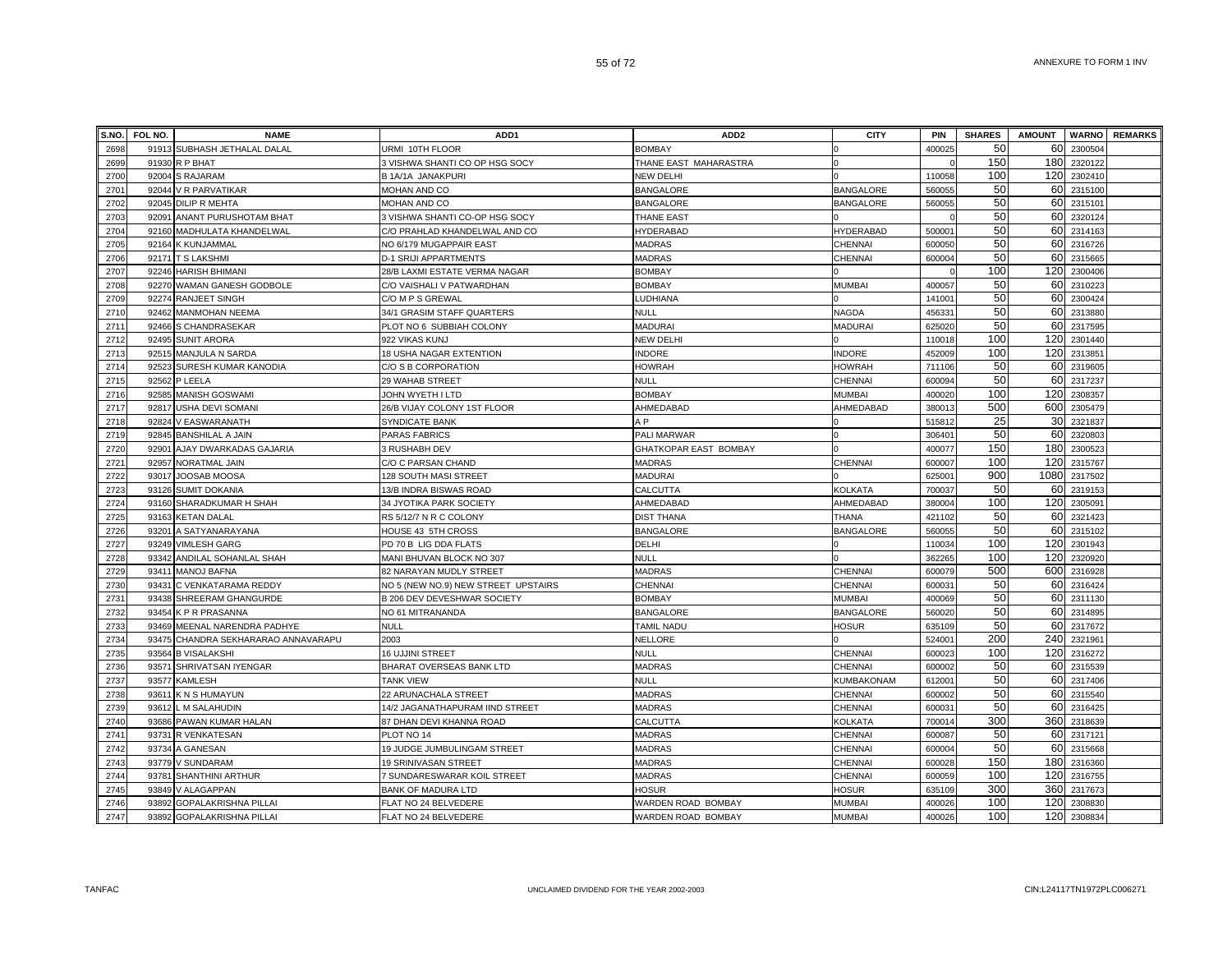| S.NO. | FOL NO. | <b>NAME</b>                         | ADD1                                | ADD <sub>2</sub>             | <b>CITY</b>       | <b>PIN</b>         | <b>SHARES</b> | <b>AMOUNT</b> |         | <b>WARNO</b> REMARKS |
|-------|---------|-------------------------------------|-------------------------------------|------------------------------|-------------------|--------------------|---------------|---------------|---------|----------------------|
| 2698  |         | 91913 SUBHASH JETHALAL DALAL        | URMI 10TH FLOOR                     | <b>BOMBAY</b>                |                   | 40002              | 50            | 60            | 2300504 |                      |
| 2699  |         | 91930 R P BHAT                      | 3 VISHWA SHANTI CO OP HSG SOCY      | THANE EAST MAHARASTRA        |                   |                    | 150           | 180           | 2320122 |                      |
| 2700  |         | 92004 S RAJARAM                     | B 1A/1A JANAKPURI                   | NEW DELHI                    |                   | 110058             | 100           | 120           | 2302410 |                      |
| 2701  |         | 92044 V R PARVATIKAR                | MOHAN AND CO                        | <b>BANGALORE</b>             | <b>BANGALORE</b>  | 560055             | 50            | 60            | 2315100 |                      |
| 2702  |         | 92045 DILIP R MEHTA                 | MOHAN AND CO                        | <b>BANGALORE</b>             | <b>BANGALORE</b>  | 560055             | 50            | 60            | 2315101 |                      |
| 2703  |         | 92091 ANANT PURUSHOTAM BHAT         | 3 VISHWA SHANTI CO-OP HSG SOCY      | THANE EAST                   |                   |                    | 50            | 60            | 2320124 |                      |
| 2704  |         | 92160 MADHULATA KHANDELWAL          | C/O PRAHLAD KHANDELWAL AND CO       | HYDERABAD                    | HYDERABAD         | 50000              | 50            | 60            | 2314163 |                      |
| 2705  | 92164   | <b>K KUNJAMMAL</b>                  | NO 6/179 MUGAPPAIR EAST             | <b>MADRAS</b>                | CHENNAI           | 60005              | 50            | 60            | 2316726 |                      |
| 2706  |         | 92171 T S LAKSHMI                   | <b>D-1 SRIJI APPARTMENTS</b>        | <b>MADRAS</b>                | CHENNAI           | 600004             | 50            | 60            | 2315665 |                      |
| 2707  |         | 92246 HARISH BHIMANI                | 28/B LAXMI ESTATE VERMA NAGAR       | <b>BOMBAY</b>                |                   |                    | 100           | 120           | 2300406 |                      |
| 2708  |         | 92270 WAMAN GANESH GODBOLE          | C/O VAISHALI V PATWARDHAN           | <b>BOMBAY</b>                | <b>MUMBAI</b>     | 400057             | 50            | 60            | 2310223 |                      |
| 2709  |         | 92274 RANJEET SINGH                 | C/O M P S GREWAL                    | LUDHIANA                     |                   | 14100              | 50            | 60            | 2300424 |                      |
| 2710  |         | 92462 MANMOHAN NEEMA                | 34/1 GRASIM STAFF QUARTERS          | <b>NULL</b>                  | <b>NAGDA</b>      | 45633              | 50            | 60            | 2313880 |                      |
| 2711  |         | 92466 S CHANDRASEKAR                | PLOT NO 6 SUBBIAH COLONY            | <b>MADURAI</b>               | <b>MADURAI</b>    | 625020             | 50            | 60            | 2317595 |                      |
| 2712  |         | 92495 SUNIT ARORA                   | 922 VIKAS KUNJ                      | <b>NEW DELHI</b>             |                   | 110018             | 100           | 120           | 2301440 |                      |
| 2713  |         | 92515 MANJULA N SARDA               | 18 USHA NAGAR EXTENTION             | <b>INDORE</b>                | <b>INDORE</b>     | 452009             | 100           | 120           | 2313851 |                      |
| 2714  | 92523   | SURESH KUMAR KANODIA                | C/O S B CORPORATION                 | HOWRAH                       | <b>HOWRAH</b>     | 711106             | 50            | 60            | 2319605 |                      |
| 2715  |         | 92562 P LEELA                       | 29 WAHAB STREET                     | <b>NULL</b>                  | CHENNAI           | 600094             | 50            | 60            | 2317237 |                      |
| 2716  |         | 92585 MANISH GOSWAMI                | JOHN WYETH I LTD                    | <b>BOMBAY</b>                | <b>MUMBAI</b>     | 400020             | 100           | 120           | 230835  |                      |
| 2717  |         | 92817 USHA DEVI SOMANI              | 26/B VIJAY COLONY 1ST FLOOR         | AHMEDABAD                    | AHMEDABAD         | 380013             | 500           | 600           | 2305479 |                      |
| 2718  |         | 92824 V EASWARANATH                 | SYNDICATE BANK                      | A <sub>P</sub>               |                   | 51581              | 25            | 30            | 2321837 |                      |
| 2719  |         | 92845 BANSHILAL A JAIN              | PARAS FABRICS                       | PALI MARWAR                  |                   | 30640 <sup>-</sup> | 50            | 60            | 2320803 |                      |
| 2720  |         | 92901 AJAY DWARKADAS GAJARIA        | 3 RUSHABH DEV                       | <b>GHATKOPAR EAST BOMBAY</b> |                   | 40007              | 150           | 180           | 2300523 |                      |
| 2721  |         | 92957 NORATMAL JAIN                 | C/O C PARSAN CHAND                  | <b>MADRAS</b>                | <b>CHENNAI</b>    | 600007             | 100           | 120           | 2315767 |                      |
| 2722  |         | 93017 JOOSAB MOOSA                  | 128 SOUTH MASI STREET               | <b>MADURAI</b>               |                   | 62500 <sup>-</sup> | 900           | 1080          | 2317502 |                      |
| 2723  |         | 93126 SUMIT DOKANIA                 | 13/B INDRA BISWAS ROAD              | CALCUTTA                     | <b>KOLKATA</b>    | 700037             | 50            | 60            | 2319153 |                      |
| 2724  |         | 93160 SHARADKUMAR H SHAH            | 34 JYOTIKA PARK SOCIETY             | AHMEDABAD                    | AHMEDABAD         | 380004             | 100           | 120           | 2305091 |                      |
| 2725  |         | 93163 KETAN DALAL                   | RS 5/12/7 N R C COLONY              | <b>DIST THANA</b>            | THANA             | 421102             | 50            | 60            | 2321423 |                      |
| 2726  |         | 93201 A SATYANARAYANA               | HOUSE 43 5TH CROSS                  | <b>BANGALORE</b>             | <b>BANGALORE</b>  | 560055             | 50            | 60            | 2315102 |                      |
| 2727  |         | 93249 VIMLESH GARG                  | PD 70 B LIG DDA FLATS               | DELHI                        |                   | 110034             | 100           | 120           | 2301943 |                      |
| 2728  | 93342   | ANDILAL SOHANLAL SHAH               | MANI BHUVAN BLOCK NO 307            | <b>NULL</b>                  |                   | 362265             | 100           | 120           | 2320920 |                      |
| 2729  | 93411   | <b>MANOJ BAFNA</b>                  | 82 NARAYAN MUDLY STREET             | <b>MADRAS</b>                | CHENNAI           | 600079             | 500           | 600           | 2316928 |                      |
| 2730  | 93431   | C VENKATARAMA REDDY                 | NO 5 (NEW NO.9) NEW STREET UPSTAIRS | CHENNAI                      | CHENNAI           | 60003              | 50            | 60            | 2316424 |                      |
| 2731  | 93438   | SHREERAM GHANGURDE                  | B 206 DEV DEVESHWAR SOCIETY         | <b>BOMBAY</b>                | <b>MUMBAI</b>     | 400069             | 50            | 60            | 2311130 |                      |
| 2732  |         | 93454 K P R PRASANNA                | NO 61 MITRANANDA                    | <b>BANGALORE</b>             | <b>BANGALORE</b>  | 560020             | 50            | 60            | 2314895 |                      |
| 2733  |         | 93469 MEENAL NARENDRA PADHYE        | <b>NULL</b>                         | TAMIL NADU                   | HOSUR             | 635109             | 50            | 60            | 2317672 |                      |
| 2734  |         | 93475 CHANDRA SEKHARARAO ANNAVARAPU | 2003                                | <b>NELLORE</b>               |                   | 524001             | 200           | 240           | 2321961 |                      |
| 2735  |         | 93564 B VISALAKSHI                  | <b>16 UJJINI STREET</b>             | <b>NULL</b>                  | CHENNAI           | 600023             | 100           | 120           | 2316272 |                      |
| 2736  | 93571   | SHRIVATSAN IYENGAR                  | BHARAT OVERSEAS BANK LTD            | <b>MADRAS</b>                | CHENNAI           | 600002             | 50            | 60            | 2315539 |                      |
| 2737  |         | 93577 KAMLESH                       | <b>TANK VIEW</b>                    | <b>NULL</b>                  | <b>KUMBAKONAM</b> | 612001             | 50            | 60            | 2317406 |                      |
| 2738  |         | 93611 K N S HUMAYUN                 | 22 ARUNACHALA STREET                | <b>MADRAS</b>                | CHENNAI           | 600002             | 50            | 60            | 2315540 |                      |
| 2739  |         | 93612 L M SALAHUDIN                 | 14/2 JAGANATHAPURAM IIND STREET     | <b>MADRAS</b>                | <b>CHENNAI</b>    | 60003              | 50            | 60            | 2316425 |                      |
| 2740  |         | 93686 PAWAN KUMAR HALAN             | 87 DHAN DEVI KHANNA ROAD            | CALCUTTA                     | <b>KOLKATA</b>    | 70001              | 300           | 360           | 2318639 |                      |
| 2741  |         | 93731 R VENKATESAN                  | PLOT NO 14                          | <b>MADRAS</b>                | CHENNAI           | 60008              | 50            | 60            | 2317121 |                      |
| 2742  |         | 93734 A GANESAN                     | 19 JUDGE JUMBULINGAM STREET         | <b>MADRAS</b>                | <b>CHENNAI</b>    | 60000              | 50            | 60            | 2315668 |                      |
| 2743  |         | 93779 V SUNDARAM                    | 19 SRINIVASAN STREET                | <b>MADRAS</b>                | CHENNAI           | 600028             | 150           | 180           | 2316360 |                      |
| 2744  |         | 93781 SHANTHINI ARTHUR              | 7 SUNDARESWARAR KOIL STREET         | <b>MADRAS</b>                | CHENNAI           | 600059             | 100           | 120           | 2316755 |                      |
| 2745  |         | 93849 V ALAGAPPAN                   | BANK OF MADURA LTD                  | <b>HOSUR</b>                 | <b>HOSUR</b>      | 635109             | 300           | 360           | 2317673 |                      |
| 2746  |         | 93892 GOPALAKRISHNA PILLAI          | FLAT NO 24 BELVEDERE                | WARDEN ROAD BOMBAY           | <b>MUMBA</b>      | 400026             | 100           | 120           | 2308830 |                      |
| 2747  |         | 93892 GOPALAKRISHNA PILLAI          | FLAT NO 24 BELVEDERE                | WARDEN ROAD BOMBAY           | <b>MUMBA</b>      | 400026             | 100           | 120           | 2308834 |                      |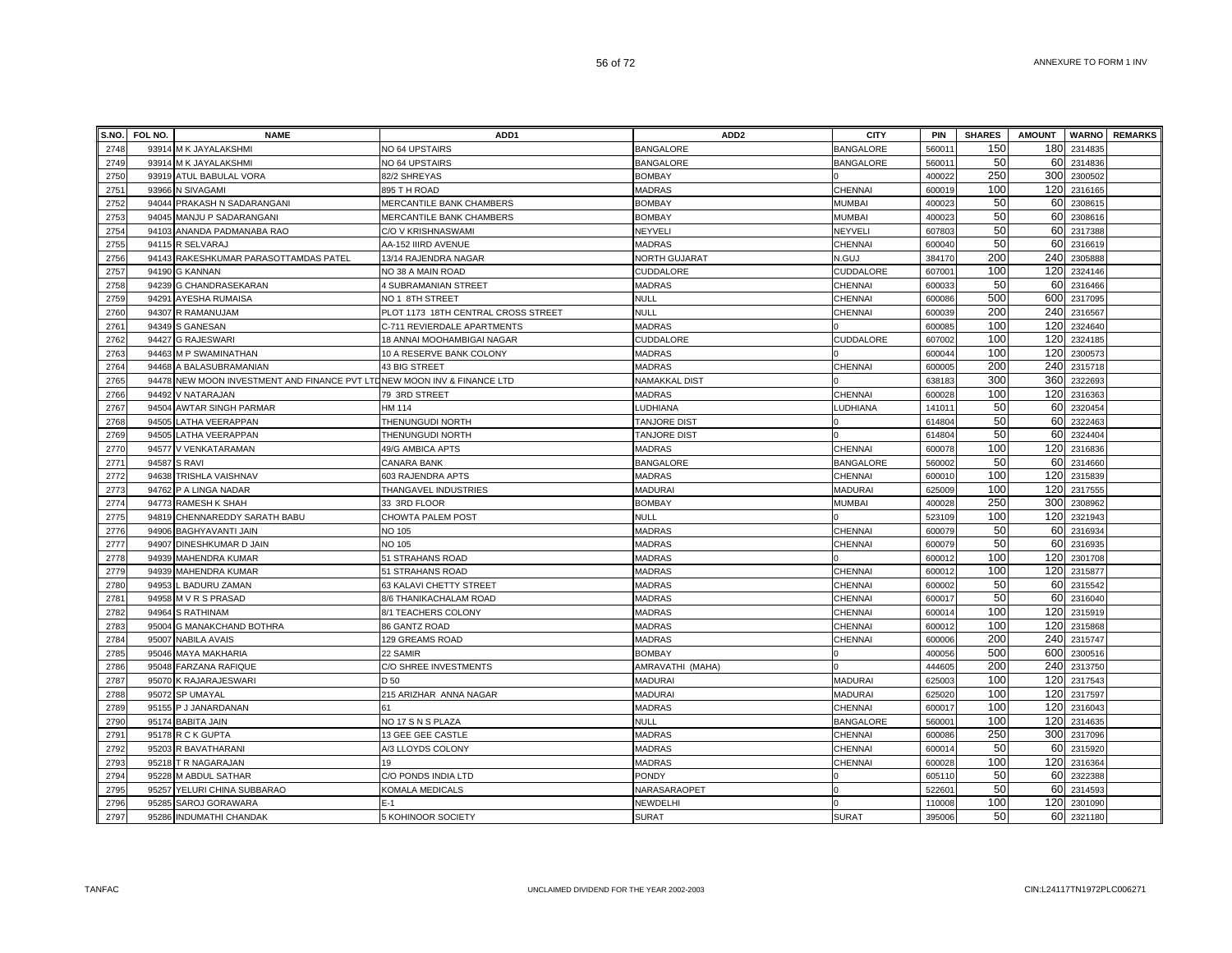| S.NO. | FOL NO. | <b>NAME</b>                                                             | ADD <sub>1</sub>                    | ADD <sub>2</sub>     | <b>CITY</b>      | <b>PIN</b> | <b>SHARES</b> | <b>AMOUNT</b> |         | <b>WARNO</b> REMARKS |
|-------|---------|-------------------------------------------------------------------------|-------------------------------------|----------------------|------------------|------------|---------------|---------------|---------|----------------------|
| 2748  |         | 93914 M K JAYALAKSHMI                                                   | NO 64 UPSTAIRS                      | <b>BANGALORE</b>     | <b>BANGALORE</b> | 56001      | 150           | 180           | 2314835 |                      |
| 2749  |         | 93914 M K JAYALAKSHMI                                                   | NO 64 UPSTAIRS                      | <b>BANGALORE</b>     | <b>BANGALORE</b> | 56001      | 50            | 60            | 2314836 |                      |
| 2750  |         | 93919 ATUL BABULAL VORA                                                 | 82/2 SHREYAS                        | <b>BOMBAY</b>        |                  | 400022     | 250           | 300           | 2300502 |                      |
| 2751  |         | 93966 N SIVAGAMI                                                        | 895 T H ROAD                        | <b>MADRAS</b>        | CHENNAI          | 600019     | 100           | 120           | 2316165 |                      |
| 2752  |         | 94044 PRAKASH N SADARANGANI                                             | MERCANTILE BANK CHAMBERS            | <b>BOMBAY</b>        | <b>MUMBAI</b>    | 400023     | 50            | 60            | 2308615 |                      |
| 2753  |         | 94045 MANJU P SADARANGANI                                               | MERCANTILE BANK CHAMBERS            | <b>BOMBAY</b>        | <b>MUMBAI</b>    | 400023     | 50            | 60            | 2308616 |                      |
| 2754  |         | 94103 ANANDA PADMANABA RAO                                              | C/O V KRISHNASWAMI                  | NEYVELI              | <b>NEYVEL</b>    | 607803     | 50            | 60            | 2317388 |                      |
| 2755  |         | 94115 R SELVARAJ                                                        | AA-152 IIIRD AVENUE                 | <b>MADRAS</b>        | CHENNAI          | 600040     | 50            | 60            | 2316619 |                      |
| 2756  | 94143   | RAKESHKUMAR PARASOTTAMDAS PATEL                                         | 13/14 RAJENDRA NAGAR                | NORTH GUJARAT        | N.GUJ            | 384170     | 200           | 240           | 230588  |                      |
| 2757  | 94190   | <b>G KANNAN</b>                                                         | NO 38 A MAIN ROAD                   | CUDDALORE            | CUDDALORE        | 60700      | 100           | 120           | 2324146 |                      |
| 2758  | 94239   | G CHANDRASEKARAN                                                        | 4 SUBRAMANIAN STREET                | <b>MADRAS</b>        | CHENNAI          | 60003      | 50            | 60            | 2316466 |                      |
| 2759  | 94291   | AYESHA RUMAISA                                                          | NO 1 8TH STREET                     | <b>NULL</b>          | CHENNAI          | 600086     | 500           | 600           | 2317095 |                      |
| 2760  |         | 94307 R RAMANUJAM                                                       | PLOT 1173 18TH CENTRAL CROSS STREET | <b>NULL</b>          | <b>CHENNAI</b>   | 600039     | 200           | 240           | 2316567 |                      |
| 2761  |         | 94349 S GANESAN                                                         | C-711 REVIERDALE APARTMENTS         | <b>MADRAS</b>        |                  | 600085     | 100           | 120           | 2324640 |                      |
| 2762  | 94427   | <b>G RAJESWARI</b>                                                      | 18 ANNAI MOOHAMBIGAI NAGAR          | CUDDALORE            | <b>CUDDALORE</b> | 607002     | 100           | 120           | 2324185 |                      |
| 2763  |         | 94463 M P SWAMINATHAN                                                   | 10 A RESERVE BANK COLONY            | <b>MADRAS</b>        |                  | 600044     | 100           | 120           | 2300573 |                      |
| 2764  | 94468   | A BALASUBRAMANIAN                                                       | 43 BIG STREET                       | <b>MADRAS</b>        | CHENNAI          | 600005     | 200           | 240           | 2315718 |                      |
| 2765  |         | 94478 NEW MOON INVESTMENT AND FINANCE PVT LTDNEW MOON INV & FINANCE LTD |                                     | <b>NAMAKKAL DIST</b> |                  | 638183     | 300           | 360           | 2322693 |                      |
| 2766  | 94492   | V NATARAJAN                                                             | 79 3RD STREET                       | <b>MADRAS</b>        | CHENNAI          | 600028     | 100           | 120           | 2316363 |                      |
| 2767  | 94504   | AWTAR SINGH PARMAR                                                      | HM 114                              | LUDHIANA             | LUDHIANA         | 14101      | 50            | 60            | 2320454 |                      |
| 2768  |         | 94505 LATHA VEERAPPAN                                                   | THENUNGUDI NORTH                    | <b>TANJORE DIST</b>  |                  | 614804     | 50            | 60            | 2322463 |                      |
| 2769  | 94505   | LATHA VEERAPPAN                                                         | THENUNGUDI NORTH                    | <b>TANJORE DIST</b>  |                  | 614804     | 50            | 60            | 2324404 |                      |
| 2770  | 94577   | V VENKATARAMAN                                                          | 49/G AMBICA APTS                    | <b>MADRAS</b>        | <b>CHENNAI</b>   | 60007      | 100           | 120           | 2316836 |                      |
| 2771  | 94587   | S RAVI                                                                  | <b>CANARA BANK</b>                  | <b>BANGALORE</b>     | <b>BANGALORE</b> | 560002     | 50            | 60            | 2314660 |                      |
| 2772  |         | 94638 TRISHLA VAISHNAV                                                  | 603 RAJENDRA APTS                   | <b>MADRAS</b>        | <b>CHENNAI</b>   | 60001      | 100           | 120           | 2315839 |                      |
| 2773  |         | 94762 P A LINGA NADAR                                                   | THANGAVEL INDUSTRIES                | <b>MADURAI</b>       | <b>MADURAI</b>   | 625009     | 100           | 120           | 2317555 |                      |
| 2774  |         | 94773 RAMESH K SHAH                                                     | 33 3RD FLOOR                        | <b>BOMBAY</b>        | <b>MUMBAI</b>    | 400028     | 250           | 300           | 2308962 |                      |
| 2775  |         | 94819 CHENNAREDDY SARATH BABU                                           | CHOWTA PALEM POST                   | <b>NULL</b>          |                  | 523109     | 100           | 120           | 2321943 |                      |
| 2776  |         | 94906 BAGHYAVANTI JAIN                                                  | NO 105                              | <b>MADRAS</b>        | <b>CHENNAI</b>   | 600079     | 50            | 60            | 2316934 |                      |
| 2777  |         | 94907 DINESHKUMAR D JAIN                                                | <b>NO 105</b>                       | <b>MADRAS</b>        | CHENNAI          | 600079     | 50            | 60            | 2316935 |                      |
| 2778  |         | 94939 MAHENDRA KUMAR                                                    | 51 STRAHANS ROAD                    | <b>MADRAS</b>        |                  | 60001      | 100           | 120           | 2301708 |                      |
| 2779  |         | 94939 MAHENDRA KUMAR                                                    | 51 STRAHANS ROAD                    | <b>MADRAS</b>        | CHENNAI          | 60001      | 100           | 120           | 2315877 |                      |
| 2780  |         | 94953 L BADURU ZAMAN                                                    | 63 KALAVI CHETTY STREET             | <b>MADRAS</b>        | CHENNAI          | 600002     | 50            | 60            | 2315542 |                      |
| 2781  |         | 94958 M V R S PRASAD                                                    | 8/6 THANIKACHALAM ROAD              | <b>MADRAS</b>        | <b>CHENNAI</b>   | 60001      | 50            | 60            | 2316040 |                      |
| 2782  |         | 94964 S RATHINAM                                                        | 8/1 TEACHERS COLONY                 | <b>MADRAS</b>        | <b>CHENNAI</b>   | 60001      | 100           | 120           | 2315919 |                      |
| 2783  |         | 95004 G MANAKCHAND BOTHRA                                               | 86 GANTZ ROAD                       | <b>MADRAS</b>        | <b>CHENNAI</b>   | 600012     | 100           | 120           | 2315868 |                      |
| 2784  |         | 95007 NABILA AVAIS                                                      | 129 GREAMS ROAD                     | <b>MADRAS</b>        | <b>CHENNAI</b>   | 600006     | 200           | 240           | 2315747 |                      |
| 2785  |         | 95046 MAYA MAKHARIA                                                     | 22 SAMIR                            | <b>BOMBAY</b>        |                  | 400056     | 500           | 600           | 2300516 |                      |
| 2786  |         | 95048 FARZANA RAFIQUE                                                   | C/O SHREE INVESTMENTS               | AMRAVATHI (MAHA)     |                  | 444605     | 200           | 240           | 2313750 |                      |
| 2787  |         | 95070 K RAJARAJESWARI                                                   | D 50                                | <b>MADURAI</b>       | <b>MADURAI</b>   | 625003     | 100           | 120           | 2317543 |                      |
| 2788  | 95072   | <b>SP UMAYAL</b>                                                        | 215 ARIZHAR ANNA NAGAR              | <b>MADURAI</b>       | MADURAI          | 625020     | 100           | 120           | 2317597 |                      |
| 2789  |         | 95155 P J JANARDANAN                                                    | 61                                  | <b>MADRAS</b>        | CHENNAI          | 60001      | 100           | 120           | 2316043 |                      |
| 2790  |         | 95174 BABITA JAIN                                                       | NO 17 S N S PLAZA                   | <b>NULL</b>          | <b>BANGALORE</b> | 56000      | 100           | 120           | 2314635 |                      |
| 2791  |         | 95178 R C K GUPTA                                                       | 13 GEE GEE CASTLE                   | <b>MADRAS</b>        | CHENNAI          | 600086     | 250           | 300           | 2317096 |                      |
| 2792  |         | 95203 R BAVATHARANI                                                     | A/3 LLOYDS COLONY                   | <b>MADRAS</b>        | CHENNAI          | 60001      | 50            | 60            | 2315920 |                      |
| 2793  |         | 95218 T R NAGARAJAN                                                     | 19                                  | <b>MADRAS</b>        | <b>CHENNAI</b>   | 600028     | 100           | 120           | 2316364 |                      |
| 2794  |         | 95228 M ABDUL SATHAR                                                    | C/O PONDS INDIA LTD                 | <b>PONDY</b>         |                  | 605110     | 50            | 60            | 2322388 |                      |
| 2795  | 95257   | YELURI CHINA SUBBARAO                                                   | KOMALA MEDICALS                     | NARASARAOPET         |                  | 52260      | 50            | 60            | 2314593 |                      |
| 2796  | 95285   | SAROJ GORAWARA                                                          | $E-1$                               | NEWDELHI             |                  | 110008     | 100           | 120           | 2301090 |                      |
| 2797  |         | 95286 INDUMATHI CHANDAK                                                 | <b>5 KOHINOOR SOCIETY</b>           | <b>SURAT</b>         | <b>SURAT</b>     | 395006     | 50            | 60            | 2321180 |                      |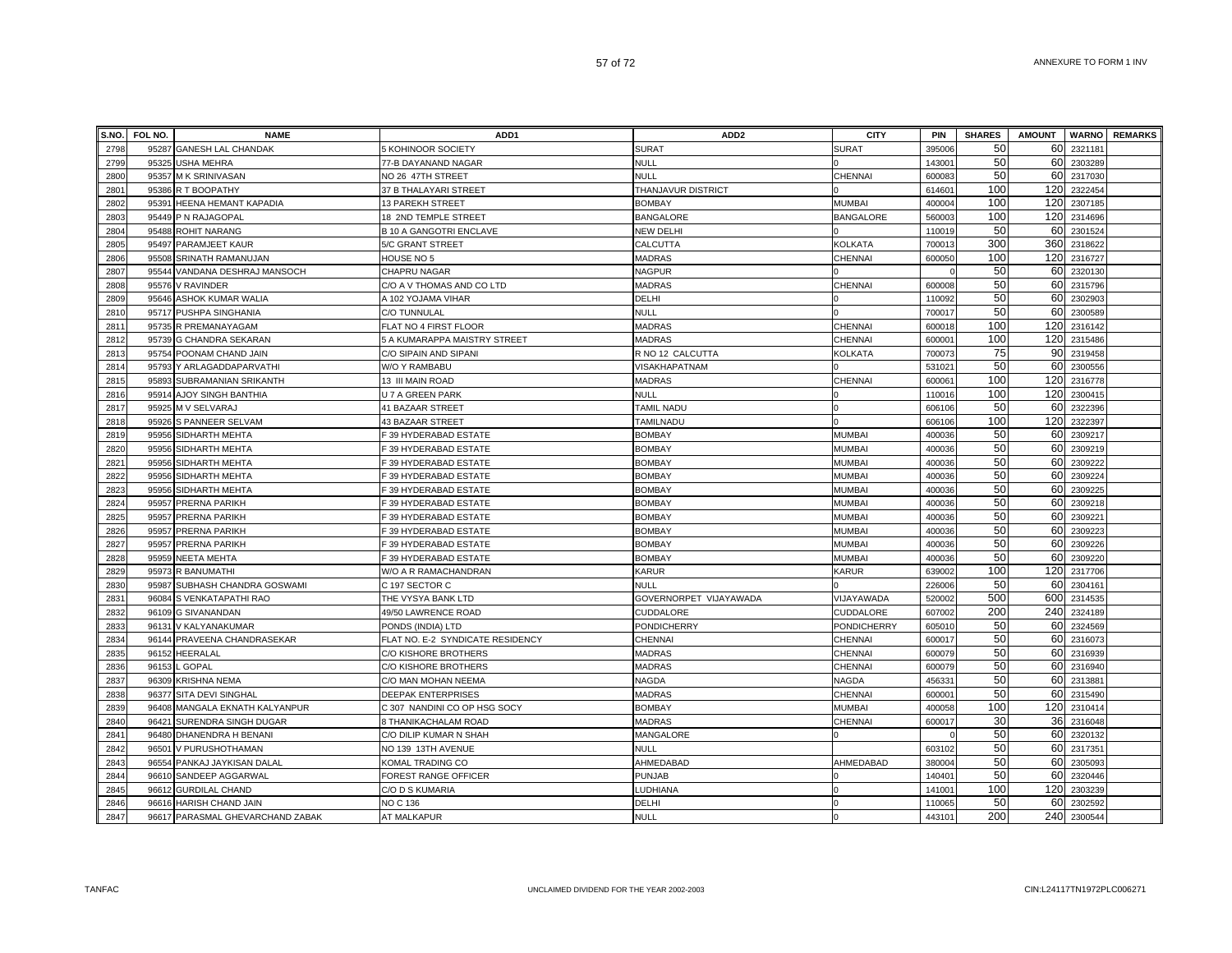| S.NO. | FOL NO. | <b>NAME</b>                      | ADD <sub>1</sub>                 | ADD <sub>2</sub>       | <b>CITY</b>        | <b>PIN</b> | <b>SHARES</b> | <b>AMOUNT</b>   |             | <b>WARNO</b> REMARKS |
|-------|---------|----------------------------------|----------------------------------|------------------------|--------------------|------------|---------------|-----------------|-------------|----------------------|
| 2798  |         | 95287 GANESH LAL CHANDAK         | 5 KOHINOOR SOCIETY               | <b>SURAT</b>           | <b>SURAT</b>       | 395006     | 50            | 60              | 2321181     |                      |
| 2799  | 95325   | <b>USHA MEHRA</b>                | 77-B DAYANAND NAGAR              | <b>NULL</b>            |                    | 143001     | 50            | 60              | 2303289     |                      |
| 2800  |         | 95357 M K SRINIVASAN             | NO 26 47TH STREET                | <b>NULL</b>            | CHENNAI            | 600083     | 50            | 60              | 2317030     |                      |
| 2801  |         | 95386 R T BOOPATHY               | 37 B THALAYARI STREET            | THANJAVUR DISTRICT     |                    | 61460      | 100           |                 | 120 2322454 |                      |
| 2802  | 95391   | <b>HEENA HEMANT KAPADIA</b>      | <b>13 PAREKH STREET</b>          | <b>BOMBAY</b>          | MUMBAI             | 40000      | 100           | 120             | 2307185     |                      |
| 2803  | 95449   | P N RAJAGOPAL                    | 18 2ND TEMPLE STREET             | <b>BANGALORE</b>       | <b>BANGALORE</b>   | 56000      | 100           | 120             | 2314696     |                      |
| 2804  | 95488   | <b>ROHIT NARANG</b>              | <b>B 10 A GANGOTRI ENCLAVE</b>   | <b>NEW DELHI</b>       |                    | 110019     | 50            | 60              | 2301524     |                      |
| 2805  | 95497   | PARAMJEET KAUR                   | 5/C GRANT STREET                 | CALCUTTA               | <b>KOLKATA</b>     | 70001      | 300           | 360             | 2318622     |                      |
| 2806  | 95508   | SRINATH RAMANUJAN                | HOUSE NO 5                       | <b>MADRAS</b>          | CHENNAI            | 600050     | 100           | 120             | 2316727     |                      |
| 2807  | 95544   | VANDANA DESHRAJ MANSOCH          | CHAPRU NAGAR                     | NAGPUR                 |                    |            | 50            | 60              | 2320130     |                      |
| 2808  | 95576   | <b>V RAVINDER</b>                | C/O A V THOMAS AND CO LTD        | <b>MADRAS</b>          | <b>CHENNAI</b>     | 600008     | 50            | 60              | 2315796     |                      |
| 2809  |         | 95646 ASHOK KUMAR WALIA          | A 102 YOJAMA VIHAR               | <b>DELHI</b>           |                    | 11009      | 50            | 60              | 2302903     |                      |
| 2810  |         | 95717 PUSHPA SINGHANIA           | C/O TUNNULAL                     | <b>NULL</b>            |                    | 700017     | 50            | 60              | 2300589     |                      |
| 2811  | 95735   | R PREMANAYAGAM                   | FLAT NO 4 FIRST FLOOR            | <b>MADRAS</b>          | CHENNAI            | 600018     | 100           | 120             | 2316142     |                      |
| 2812  | 95739   | <b>G CHANDRA SEKARAN</b>         | 5 A KUMARAPPA MAISTRY STREET     | <b>MADRAS</b>          | CHENNAI            | 60000      | 100           | 120             | 2315486     |                      |
| 2813  | 95754   | POONAM CHAND JAIN                | C/O SIPAIN AND SIPANI            | R NO 12 CALCUTTA       | KOLKATA            | 700073     | 75            | 90 <sub>l</sub> | 2319458     |                      |
| 2814  | 95793   | Y ARLAGADDAPARVATHI              | W/O Y RAMBABU                    | <b>/ISAKHAPATNAM</b>   |                    | 53102      | 50            | 60              | 2300556     |                      |
| 2815  | 95893   | SUBRAMANIAN SRIKANTH             | 13 III MAIN ROAD                 | MADRAS                 | CHENNAI            | 60006      | 100           | 120             | 2316778     |                      |
| 2816  | 9591    | AJOY SINGH BANTHIA               | U 7 A GREEN PARK                 | <b>NULL</b>            |                    | 11001      | 100           | 120             | 2300415     |                      |
| 2817  | 95925   | M V SELVARAJ                     | 41 BAZAAR STREET                 | TAMIL NADU             |                    | 606106     | 50            | 60              | 2322396     |                      |
| 2818  | 95926   | S PANNEER SELVAM                 | 43 BAZAAR STREET                 | <b>TAMILNADU</b>       |                    | 606106     | 100           | 120             | 2322397     |                      |
| 2819  | 95956   | SIDHARTH MEHTA                   | F 39 HYDERABAD ESTATE            | <b>BOMBAY</b>          | <b>MUMBAI</b>      | 400036     | 50            | 60              | 2309217     |                      |
| 2820  | 95956   | SIDHARTH MEHTA                   | F 39 HYDERABAD ESTATE            | <b>BOMBAY</b>          | <b>MUMBAI</b>      | 400036     | 50            | 60              | 2309219     |                      |
| 2821  | 95956   | SIDHARTH MEHTA                   | F 39 HYDERABAD ESTATE            | <b>BOMBAY</b>          | <b>MUMBAI</b>      | 400036     | 50            | 60              | 2309222     |                      |
| 2822  | 95956   | SIDHARTH MEHTA                   | F 39 HYDERABAD ESTATE            | <b>BOMBAY</b>          | <b>MUMBAI</b>      | 400036     | 50            | 60              | 2309224     |                      |
| 2823  | 95956   | <b>SIDHARTH MEHTA</b>            | F 39 HYDERABAD ESTATE            | <b>BOMBAY</b>          | <b>MUMBAI</b>      | 400036     | 50            | 60              | 2309225     |                      |
| 2824  | 95957   | PRERNA PARIKH                    | F 39 HYDERABAD ESTATE            | <b>BOMBAY</b>          | <b>MUMBAI</b>      | 400036     | 50            | 60              | 2309218     |                      |
| 2825  | 95957   | PRERNA PARIKH                    | F 39 HYDERABAD ESTATE            | <b>BOMBAY</b>          | <b>MUMBAI</b>      | 400036     | 50            | 60              | 2309221     |                      |
| 2826  | 95957   | PRERNA PARIKH                    | F 39 HYDERABAD ESTATE            | <b>BOMBAY</b>          | <b>MUMBAI</b>      | 400036     | 50            | 60              | 2309223     |                      |
| 2827  | 95957   | PRERNA PARIKH                    | F 39 HYDERABAD ESTATE            | <b>BOMBAY</b>          | <b>MUMBAI</b>      | 40003      | 50            | 60              | 2309226     |                      |
| 2828  | 95959   | <b>NEETA MEHTA</b>               | F 39 HYDERABAD ESTATE            | <b>BOMBAY</b>          | <b>MUMBAI</b>      | 40003      | 50            | 60              | 2309220     |                      |
| 2829  | 95973   | <b>R BANUMATHI</b>               | W/O A R RAMACHANDRAN             | KARUR                  | <b>KARUR</b>       | 63900      | 100           | 120             | 2317706     |                      |
| 2830  | 95987   | SUBHASH CHANDRA GOSWAMI          | C 197 SECTOR C                   | <b>NULL</b>            |                    | 22600      | 50            | 60              | 2304161     |                      |
| 2831  | 96084   | S VENKATAPATHI RAO               | THE VYSYA BANK LTD               | GOVERNORPET VIJAYAWADA | VIJAYAWADA         | 52000      | 500           | 600             | 2314535     |                      |
| 2832  | 96109   | <b>G SIVANANDAN</b>              | 49/50 LAWRENCE ROAD              | CUDDALORE              | CUDDALORE          | 60700      | 200           | 240             | 2324189     |                      |
| 2833  | 96131   | V KALYANAKUMAR                   | PONDS (INDIA) LTD                | <b>PONDICHERRY</b>     | <b>PONDICHERRY</b> | 605010     | 50            | 60              | 2324569     |                      |
| 2834  |         | 96144 PRAVEENA CHANDRASEKAR      | FLAT NO. E-2 SYNDICATE RESIDENCY | CHENNAI                | CHENNAI            | 600017     | 50            | 60              | 2316073     |                      |
| 2835  | 96152   | <b>HEERALAL</b>                  | C/O KISHORE BROTHERS             | <b>MADRAS</b>          | CHENNAI            | 600079     | 50            | 60              | 2316939     |                      |
| 2836  | 96153   | GOPAL                            | C/O KISHORE BROTHERS             | <b>MADRAS</b>          | CHENNAI            | 60007      | 50            | 60              | 2316940     |                      |
| 2837  | 96309   | KRISHNA NEMA                     | C/O MAN MOHAN NEEMA              | NAGDA                  | NAGDA              | 45633      | 50            | 60              | 2313881     |                      |
| 2838  | 96377   | SITA DEVI SINGHAL                | <b>DEEPAK ENTERPRISES</b>        | <b>MADRAS</b>          | CHENNAI            | 60000      | 50            |                 | 60 2315490  |                      |
| 2839  | 96408   | MANGALA EKNATH KALYANPUR         | C 307 NANDINI CO OP HSG SOCY     | <b>BOMBAY</b>          | <b>MUMBAI</b>      | 40005      | 100           | 120             | 2310414     |                      |
| 2840  | 9642'   | SURENDRA SINGH DUGAR             | 8 THANIKACHALAM ROAD             | MADRAS                 | CHENNAI            | 60001      | 30            | 36              | 2316048     |                      |
| 2841  | 96480   | DHANENDRA H BENANI               | C/O DILIP KUMAR N SHAH           | MANGALORE              |                    |            | 50            | 60              | 2320132     |                      |
| 2842  | 96501   | V PURUSHOTHAMAN                  | NO 139 13TH AVENUE               | <b>NULL</b>            |                    | 603102     | 50            | 60              | 2317351     |                      |
| 2843  | 96554   | PANKAJ JAYKISAN DALAL            | KOMAL TRADING CO                 | AHMEDABAD              | AHMEDABAD          | 38000      | 50            | 60              | 2305093     |                      |
| 2844  | 96610   | SANDEEP AGGARWAL                 | FOREST RANGE OFFICER             | <b>PUNJAB</b>          |                    | 14040      | 50            | 60              | 2320446     |                      |
| 2845  | 96612   | <b>GURDILAL CHAND</b>            | C/O D S KUMARIA                  | LUDHIANA               |                    | 14100      | 100           | 120             | 2303239     |                      |
| 2846  | 96616   | <b>HARISH CHAND JAIN</b>         | NO C 136                         | <b>DELHI</b>           |                    | 110065     | 50            | 60              | 2302592     |                      |
| 2847  |         | 96617 PARASMAL GHEVARCHAND ZABAK | AT MALKAPUR                      | <b>NULL</b>            |                    | 443101     | 200           |                 | 240 2300544 |                      |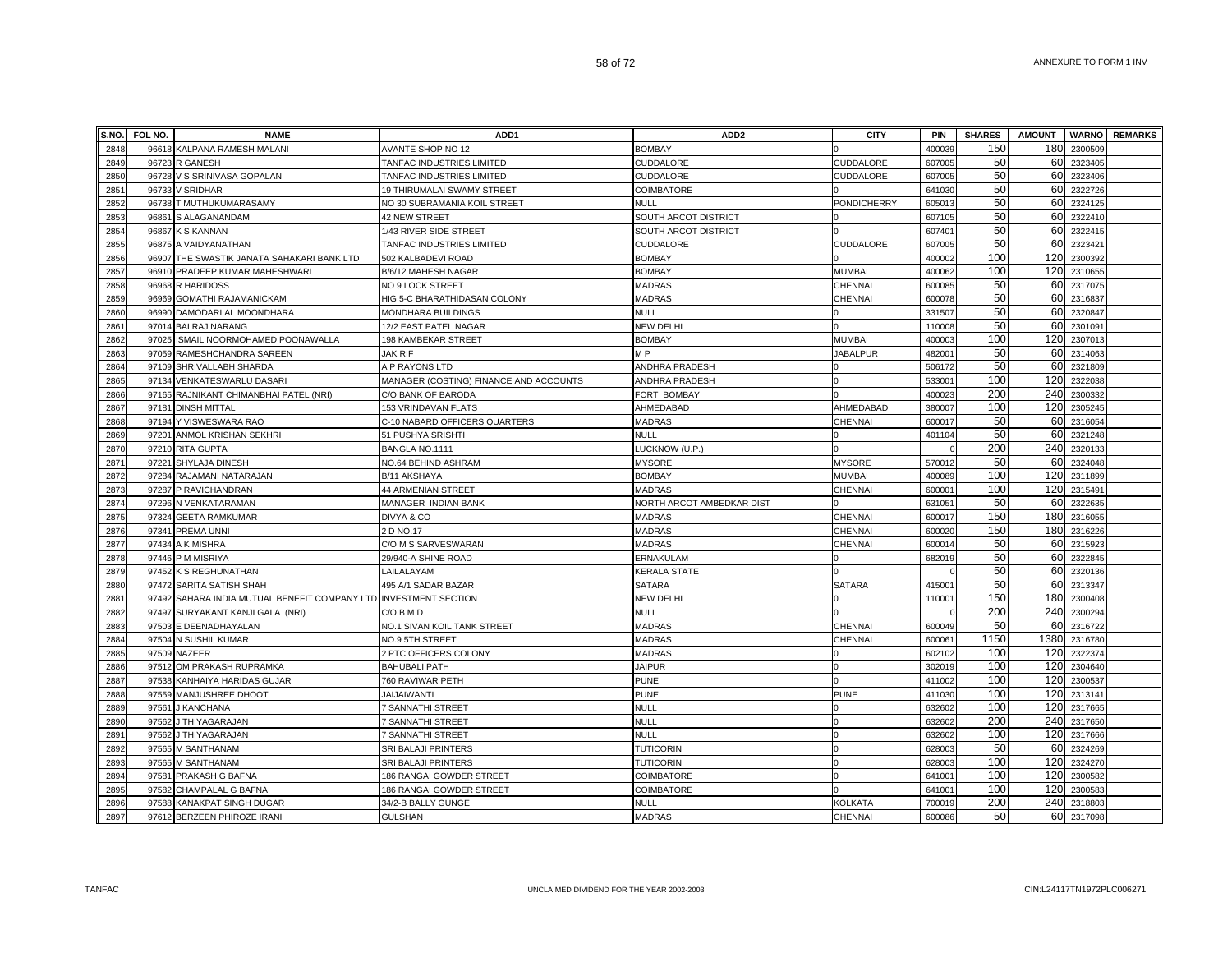| S.NO. | FOL NO. | <b>NAME</b>                                                | ADD <sub>1</sub>                       | ADD <sub>2</sub>          | <b>CITY</b>        | PIN    | <b>SHARES</b> | <b>AMOUNT</b> |             | <b>WARNO</b> REMARKS |
|-------|---------|------------------------------------------------------------|----------------------------------------|---------------------------|--------------------|--------|---------------|---------------|-------------|----------------------|
| 2848  | 96618   | KALPANA RAMESH MALANI                                      | AVANTE SHOP NO 12                      | <b>BOMBAY</b>             |                    | 400039 | 150           | 180           | 2300509     |                      |
| 2849  | 96723   | <b>R GANESH</b>                                            | TANFAC INDUSTRIES LIMITED              | CUDDALORE                 | CUDDALORE          | 607005 | 50            | 60            | 2323405     |                      |
| 2850  | 96728   | V S SRINIVASA GOPALAN                                      | TANFAC INDUSTRIES LIMITED              | CUDDALORE                 | <b>CUDDALORE</b>   | 607005 | 50            | 60            | 2323406     |                      |
| 2851  | 96733   | <b>V SRIDHAR</b>                                           | 19 THIRUMALAI SWAMY STREET             | COIMBATORE                |                    | 641030 | 50            | 60            | 2322726     |                      |
| 2852  |         | 96738 T MUTHUKUMARASAMY                                    | NO 30 SUBRAMANIA KOIL STREET           | NULL                      | <b>PONDICHERRY</b> | 60501  | 50            | 60            | 2324125     |                      |
| 2853  | 96861   | S ALAGANANDAM                                              | 42 NEW STREET                          | SOUTH ARCOT DISTRICT      |                    | 607105 | 50            | 60            | 2322410     |                      |
| 2854  | 96867   | <b>K S KANNAN</b>                                          | 1/43 RIVER SIDE STREET                 | SOUTH ARCOT DISTRICT      |                    | 60740  | 50            | 60            | 2322415     |                      |
| 2855  | 96875   | A VAIDYANATHAN                                             | TANFAC INDUSTRIES LIMITED              | CUDDALORE                 | CUDDALORE          | 60700  | 50            | 60            | 2323421     |                      |
| 2856  | 96907   | THE SWASTIK JANATA SAHAKARI BANK LTD                       | 502 KALBADEVI ROAD                     | <b>BOMBAY</b>             |                    | 40000  | 100           | 120           | 2300392     |                      |
| 2857  | 96910   | PRADEEP KUMAR MAHESHWARI                                   | B/6/12 MAHESH NAGAR                    | <b>BOMBAY</b>             | <b>MUMBAI</b>      | 40006  | 100           | 120           | 2310655     |                      |
| 2858  | 96968   | R HARIDOSS                                                 | NO 9 LOCK STREET                       | <b>MADRAS</b>             | CHENNAI            | 60008  | 50            | 60            | 2317075     |                      |
| 2859  | 96969   | GOMATHI RAJAMANICKAM                                       | HIG 5-C BHARATHIDASAN COLONY           | MADRAS                    | CHENNAI            | 60007  | 50            |               | 60 2316837  |                      |
| 2860  | 96990   | DAMODARLAL MOONDHARA                                       | MONDHARA BUILDINGS                     | NULL                      |                    | 331507 | 50            | 60            | 2320847     |                      |
| 2861  | 97014   | <b>BALRAJ NARANG</b>                                       | 12/2 EAST PATEL NAGAR                  | NEW DELHI                 |                    | 11000  | 50            | 60            | 2301091     |                      |
| 2862  | 97025   | ISMAIL NOORMOHAMED POONAWALLA                              | 198 KAMBEKAR STREET                    | <b>BOMBAY</b>             | <b>MUMBAI</b>      | 40000  | 100           | 120           | 2307013     |                      |
| 2863  | 97059   | RAMESHCHANDRA SAREEN                                       | <b>JAK RIF</b>                         | M P                       | <b>JABALPUR</b>    | 482001 | 50            | 60            | 2314063     |                      |
| 2864  | 97109   | SHRIVALLABH SHARDA                                         | A P RAYONS LTD                         | ANDHRA PRADESH            |                    | 506172 | 50            | 60            | 2321809     |                      |
| 2865  | 97134   | <b>VENKATESWARLU DASARI</b>                                | MANAGER (COSTING) FINANCE AND ACCOUNTS | ANDHRA PRADESH            |                    | 53300  | 100           | 120           | 2322038     |                      |
| 2866  | 97165   | RAJNIKANT CHIMANBHAI PATEL (NRI)                           | C/O BANK OF BARODA                     | FORT BOMBAY               |                    | 40002  | 200           | 240           | 2300332     |                      |
| 2867  | 97181   | <b>DINSH MITTAL</b>                                        | 153 VRINDAVAN FLATS                    | AHMEDABAD                 | AHMEDABAD          | 380007 | 100           | 120           | 2305245     |                      |
| 2868  | 97194   | Y VISWESWARA RAO                                           | C-10 NABARD OFFICERS QUARTERS          | <b>MADRAS</b>             | CHENNAI            | 60001  | 50            | 60            | 2316054     |                      |
| 2869  | 9720'   | ANMOL KRISHAN SEKHRI                                       | 51 PUSHYA SRISHTI                      | NULL                      |                    | 40110  | 50            | 60            | 2321248     |                      |
| 2870  | 97210   | <b>RITA GUPTA</b>                                          | BANGLA NO.1111                         | LUCKNOW (U.P.)            |                    |        | 200           | 240           | 2320133     |                      |
| 2871  | 97221   | SHYLAJA DINESH                                             | NO.64 BEHIND ASHRAM                    | <b>MYSORE</b>             | <b>MYSORE</b>      | 57001  | 50            | 60            | 2324048     |                      |
| 2872  | 97284   | RAJAMANI NATARAJAN                                         | B/11 AKSHAYA                           | <b>BOMBAY</b>             | <b>MUMBAI</b>      | 400089 | 100           | 120           | 2311899     |                      |
| 2873  | 97287   | P RAVICHANDRAN                                             | 44 ARMENIAN STREET                     | <b>MADRAS</b>             | CHENNAI            | 60000  | 100           | 120           | 2315491     |                      |
| 2874  |         | 97296 N VENKATARAMAN                                       | MANAGER INDIAN BANK                    | NORTH ARCOT AMBEDKAR DIST |                    | 631051 | 50            | 60            | 2322635     |                      |
| 2875  | 97324   | <b>GEETA RAMKUMAR</b>                                      | DIVYA & CO                             | <b>MADRAS</b>             | CHENNAI            | 600017 | 150           | 180           | 2316055     |                      |
| 2876  | 97341   | PREMA UNNI                                                 | 2 D NO.17                              | <b>MADRAS</b>             | CHENNAI            | 600020 | 150           | 180           | 2316226     |                      |
| 2877  | 97434   | A K MISHRA                                                 | C/O M S SARVESWARAN                    | MADRAS                    | CHENNAI            | 60001  | 50            | 60            | 2315923     |                      |
| 2878  | 97446   | P M MISRIYA                                                | 29/940-A SHINE ROAD                    | ERNAKULAM                 |                    | 682019 | 50            | 60            | 2322845     |                      |
| 2879  | 97452   | <b>K S REGHUNATHAN</b>                                     | LAILALAYAM                             | <b>KERALA STATE</b>       |                    |        | 50            | 60            | 2320136     |                      |
| 2880  | 97472   | SARITA SATISH SHAH                                         | 495 A/1 SADAR BAZAR                    | <b>SATARA</b>             | <b>SATARA</b>      | 41500  | 50            | 60            | 2313347     |                      |
| 2881  | 97492   | SAHARA INDIA MUTUAL BENEFIT COMPANY LTD INVESTMENT SECTION |                                        | <b>NEW DELHI</b>          |                    | 11000  | 150           | 180           | 2300408     |                      |
| 2882  | 97497   | SURYAKANT KANJI GALA (NRI)                                 | C/O B M D                              | <b>NULL</b>               |                    |        | 200           | 240           | 2300294     |                      |
| 2883  | 97503   | E DEENADHAYALAN                                            | NO.1 SIVAN KOIL TANK STREET            | <b>MADRAS</b>             | CHENNAI            | 600049 | 50            | 60            | 2316722     |                      |
| 2884  | 97504   | N SUSHIL KUMAR                                             | NO.9 5TH STREET                        | <b>MADRAS</b>             | <b>CHENNAI</b>     | 60006  | 1150          | 1380          | 2316780     |                      |
| 2885  | 97509   | <b>NAZEER</b>                                              | 2 PTC OFFICERS COLONY                  | <b>MADRAS</b>             |                    | 602102 | 100           | 120           | 2322374     |                      |
| 2886  | 97512   | OM PRAKASH RUPRAMKA                                        | <b>BAHUBALI PATH</b>                   | <b>JAIPUR</b>             |                    | 302019 | 100           | 120           | 2304640     |                      |
| 2887  |         | 97538 KANHAIYA HARIDAS GUJAR                               | 760 RAVIWAR PETH                       | PUNE                      |                    | 411002 | 100           | 120           | 2300537     |                      |
| 2888  | 97559   | MANJUSHREE DHOOT                                           | <b>JAIJAIWANTI</b>                     | PUNE                      | PUNE               | 411030 | 100           | 120           | 2313141     |                      |
| 2889  | 97561   | J KANCHANA                                                 | 7 SANNATHI STREET                      | NULL                      |                    | 632602 | 100           | 120           | 2317665     |                      |
| 2890  | 97562   | J THIYAGARAJAN                                             | 7 SANNATHI STREET                      | <b>NULL</b>               |                    | 63260  | 200           |               | 240 2317650 |                      |
| 2891  | 97562   | J THIYAGARAJAN                                             | 7 SANNATHI STREET                      | <b>NULL</b>               |                    | 63260  | 100           | 120           | 2317666     |                      |
| 2892  | 97565   | M SANTHANAM                                                | SRI BALAJI PRINTERS                    | <b>TUTICORIN</b>          |                    | 62800  | 50            | 60            | 2324269     |                      |
| 2893  | 97565   | <b>M SANTHANAM</b>                                         | SRI BALAJI PRINTERS                    | <b>TUTICORIN</b>          |                    | 62800  | 100           | 120           | 2324270     |                      |
| 2894  | 97581   | PRAKASH G BAFNA                                            | 186 RANGAI GOWDER STREET               | COIMBATORE                | $\Omega$           | 64100  | 100           | 120           | 2300582     |                      |
| 2895  | 97582   | CHAMPALAL G BAFNA                                          | 186 RANGAI GOWDER STREET               | COIMBATORE                |                    | 64100  | 100           | 120           | 2300583     |                      |
| 2896  |         | 97588 KANAKPAT SINGH DUGAR                                 | 34/2-B BALLY GUNGE                     | <b>NULL</b>               | <b>KOLKATA</b>     | 700019 | 200           | 240           | 2318803     |                      |
| 2897  |         | 97612 BERZEEN PHIROZE IRANI                                | <b>GULSHAN</b>                         | <b>MADRAS</b>             | CHENNAI            | 600086 | 50            |               | 60 2317098  |                      |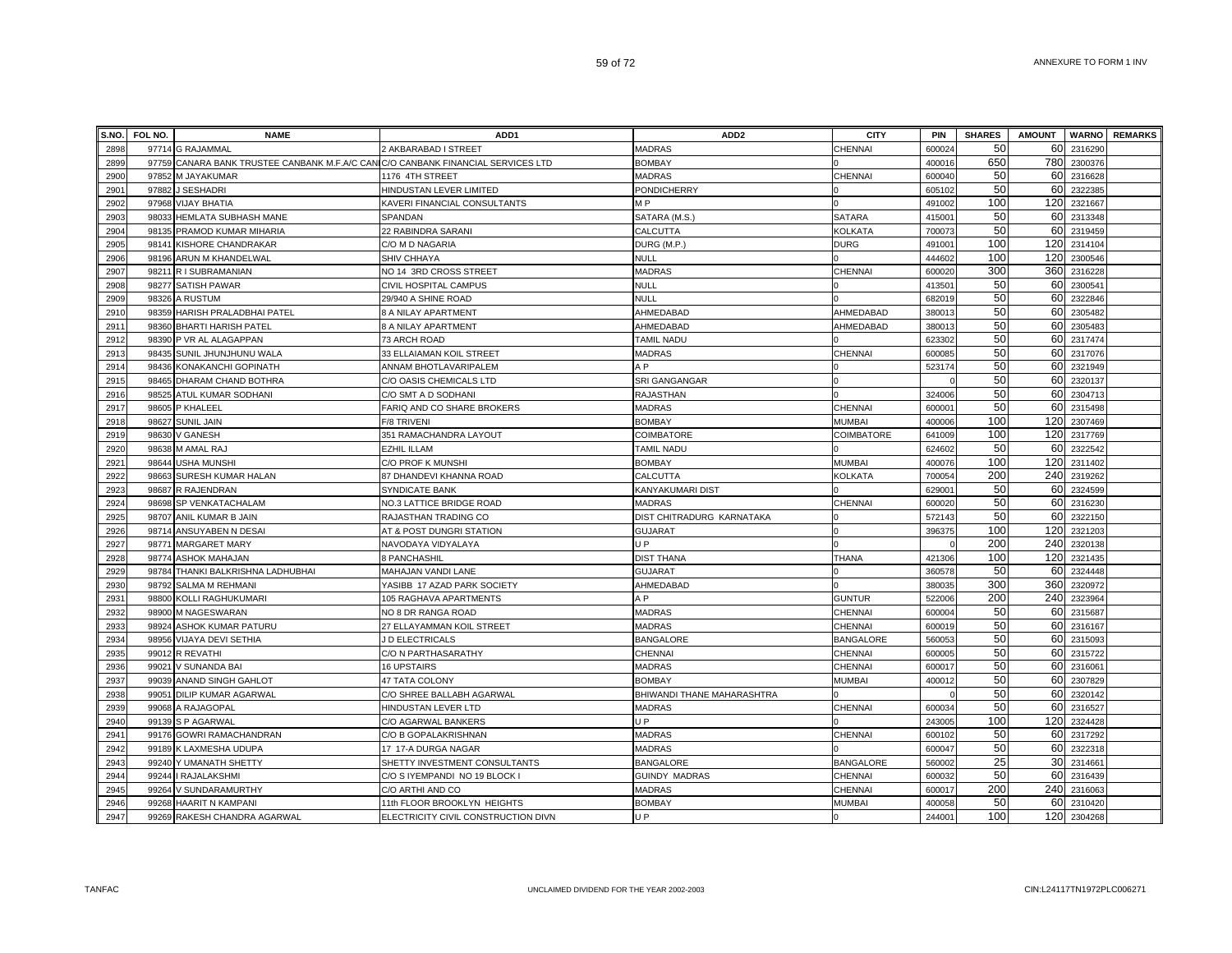| S.NO. | FOL NO. | <b>NAME</b>                                                                      | ADD <sub>1</sub>                    | ADD <sub>2</sub>           | <b>CITY</b>      | PIN                | <b>SHARES</b> | <b>AMOUNT</b> |         | <b>WARNO</b> REMARKS |
|-------|---------|----------------------------------------------------------------------------------|-------------------------------------|----------------------------|------------------|--------------------|---------------|---------------|---------|----------------------|
| 2898  |         | 97714 G RAJAMMAL                                                                 | 2 AKBARABAD I STREET                | <b>MADRAS</b>              | CHENNAI          | 600024             | 50            | 60            | 2316290 |                      |
| 2899  |         | 97759 CANARA BANK TRUSTEE CANBANK M.F.A/C CANIC/O CANBANK FINANCIAL SERVICES LTD |                                     | <b>BOMBAY</b>              |                  | 400016             | 650           | 780           | 2300376 |                      |
| 2900  |         | 97852 M JAYAKUMAR                                                                | 1176 4TH STREET                     | <b>MADRAS</b>              | CHENNAI          | 600040             | 50            | 60            | 2316628 |                      |
| 2901  |         | 97882 J SESHADRI                                                                 | HINDUSTAN LEVER LIMITED             | PONDICHERRY                |                  | 605102             | 50            | 60            | 2322385 |                      |
| 2902  |         | 97968 VIJAY BHATIA                                                               | KAVERI FINANCIAL CONSULTANTS        | M <sub>P</sub>             |                  | 491002             | 100           | 120           | 2321667 |                      |
| 2903  |         | 98033 HEMLATA SUBHASH MANE                                                       | SPANDAN                             | SATARA (M.S.)              | <b>SATARA</b>    | 41500 <sup>-</sup> | 50            | 60            | 2313348 |                      |
| 2904  |         | 98135 PRAMOD KUMAR MIHARIA                                                       | 22 RABINDRA SARANI                  | CALCUTTA                   | <b>KOLKATA</b>   | 700073             | 50            | 60            | 2319459 |                      |
| 2905  | 98141   | <b>KISHORE CHANDRAKAR</b>                                                        | C/O M D NAGARIA                     | DURG (M.P.                 | <b>DURG</b>      | 49100              | 100           | 120           | 2314104 |                      |
| 2906  |         | 98196 ARUN M KHANDELWAL                                                          | SHIV CHHAYA                         | <b>NULL</b>                |                  | 444602             | 100           | 120           | 2300546 |                      |
| 2907  |         | 98211 R I SUBRAMANIAN                                                            | NO 14 3RD CROSS STREET              | MADRAS                     | <b>CHENNAI</b>   | 600020             | 300           | 360           | 2316228 |                      |
| 2908  |         | 98277 SATISH PAWAR                                                               | CIVIL HOSPITAL CAMPUS               | <b>NULL</b>                |                  | 41350 <sup>-</sup> | 50            | 60            | 2300541 |                      |
| 2909  |         | 98326 A RUSTUM                                                                   | 29/940 A SHINE ROAD                 | <b>NULL</b>                |                  | 68201              | 50            | 60            | 2322846 |                      |
| 2910  |         | 98359 HARISH PRALADBHAI PATEL                                                    | 8 A NILAY APARTMENT                 | AHMEDABAD                  | AHMEDABAD        | 380013             | 50            | 60            | 2305482 |                      |
| 2911  |         | 98360 BHARTI HARISH PATEL                                                        | 8 A NILAY APARTMENT                 | AHMEDABAD                  | AHMEDABAD        | 38001              | 50            | 60            | 2305483 |                      |
| 2912  |         | 98390 P VR AL ALAGAPPAN                                                          | 73 ARCH ROAD                        | TAMIL NADU                 |                  | 623302             | 50            | 60            | 2317474 |                      |
| 2913  |         | 98435 SUNIL JHUNJHUNU WALA                                                       | 33 ELLAIAMAN KOIL STREET            | MADRAS                     | CHENNAI          | 600085             | 50            | 60            | 2317076 |                      |
| 2914  |         | 98436 KONAKANCHI GOPINATH                                                        | ANNAM BHOTLAVARIPALEM               | A <sub>P</sub>             |                  | 523174             | 50            | 60            | 2321949 |                      |
| 2915  |         | 98465 DHARAM CHAND BOTHRA                                                        | C/O OASIS CHEMICALS LTD             | SRI GANGANGAR              |                  |                    | 50            | 60            | 2320137 |                      |
| 2916  | 98525   | ATUL KUMAR SODHANI                                                               | C/O SMT A D SODHANI                 | <b>RAJASTHAN</b>           |                  | 324006             | 50            | 60            | 2304713 |                      |
| 2917  |         | 98605 P KHALEEL                                                                  | FARIQ AND CO SHARE BROKERS          | <b>MADRAS</b>              | CHENNAI          | 600001             | 50            | 60            | 2315498 |                      |
| 2918  | 98627   | <b>SUNIL JAIN</b>                                                                | F/8 TRIVENI                         | <b>BOMBAY</b>              | <b>MUMBAI</b>    | 400006             | 100           | 120           | 2307469 |                      |
| 2919  | 98630   | V GANESH                                                                         | 351 RAMACHANDRA LAYOUT              | COIMBATORE                 | COIMBATORE       | 641009             | 100           | 120           | 2317769 |                      |
| 2920  |         | 98638 M AMAL RAJ                                                                 | <b>EZHIL ILLAM</b>                  | TAMIL NADU                 |                  | 624602             | 50            | 60            | 2322542 |                      |
| 2921  |         | 98644 USHA MUNSHI                                                                | C/O PROF K MUNSHI                   | <b>BOMBAY</b>              | <b>MUMBAI</b>    | 400076             | 100           | 120           | 2311402 |                      |
| 2922  |         | 98663 SURESH KUMAR HALAN                                                         | 87 DHANDEVI KHANNA ROAD             | CALCUTTA                   | KOLKATA          | 700054             | 200           | 240           | 2319262 |                      |
| 2923  |         | 98687 R RAJENDRAN                                                                | SYNDICATE BANK                      | KANYAKUMARI DIST           |                  | 629001             | 50            | 60            | 2324599 |                      |
| 2924  |         | 98698 SP VENKATACHALAM                                                           | NO.3 LATTICE BRIDGE ROAD            | MADRAS                     | <b>CHENNAI</b>   | 600020             | 50            | 60            | 2316230 |                      |
| 2925  |         | 98707 ANIL KUMAR B JAIN                                                          | RAJASTHAN TRADING CO                | DIST CHITRADURG KARNATAKA  |                  | 572143             | 50            | 60            | 2322150 |                      |
| 2926  |         | 98714 ANSUYABEN N DESAI                                                          | AT & POST DUNGRI STATION            | <b>GUJARAT</b>             |                  | 396375             | 100           | 120           | 2321203 |                      |
| 2927  |         | 98771 MARGARET MARY                                                              | NAVODAYA VIDYALAYA                  | UP.                        |                  |                    | 200           | 240           | 2320138 |                      |
| 2928  |         | 98774 ASHOK MAHAJAN                                                              | 8 PANCHASHIL                        | <b>DIST THANA</b>          | <b>THANA</b>     | 421306             | 100           | 120           | 2321435 |                      |
| 2929  |         | 98784 THANKI BALKRISHNA LADHUBHAI                                                | MAHAJAN VANDI LANE                  | <b>GUJARAT</b>             |                  | 360578             | 50            | 60            | 2324448 |                      |
| 2930  | 98792   | <b>SALMA M REHMANI</b>                                                           | YASIBB 17 AZAD PARK SOCIETY         | AHMEDABAD                  |                  | 38003              | 300           | 360           | 2320972 |                      |
| 2931  |         | 98800 KOLLI RAGHUKUMARI                                                          | 105 RAGHAVA APARTMENTS              | A <sub>P</sub>             | <b>GUNTUR</b>    | 522006             | 200           | 240           | 2323964 |                      |
| 2932  |         | 98900 M NAGESWARAN                                                               | NO 8 DR RANGA ROAD                  | <b>MADRAS</b>              | <b>CHENNAI</b>   | 600004             | 50            | 60            | 2315687 |                      |
| 2933  |         | 98924 ASHOK KUMAR PATURU                                                         | 27 ELLAYAMMAN KOIL STREET           | <b>MADRAS</b>              | <b>CHENNAI</b>   | 60001              | 50            | 60            | 2316167 |                      |
| 2934  |         | 98956 VIJAYA DEVI SETHIA                                                         | J D ELECTRICALS                     | <b>BANGALORE</b>           | <b>BANGALORE</b> | 56005              | 50            | 60            | 2315093 |                      |
| 2935  |         | 99012 R REVATHI                                                                  | C/O N PARTHASARATHY                 | <b>CHENNAI</b>             | CHENNAI          | 600005             | 50            | 60            | 2315722 |                      |
| 2936  | 99021   | V SUNANDA BAI                                                                    | <b>16 UPSTAIRS</b>                  | <b>MADRAS</b>              | CHENNAI          | 60001              | 50            | 60            | 2316061 |                      |
| 2937  |         | 99039 ANAND SINGH GAHLOT                                                         | 47 TATA COLONY                      | <b>BOMBAY</b>              | <b>MUMBAI</b>    | 400012             | 50            | 60            | 2307829 |                      |
| 2938  |         | 99051 DILIP KUMAR AGARWAL                                                        | C/O SHREE BALLABH AGARWAL           | BHIWANDI THANE MAHARASHTRA |                  |                    | 50            | 60            | 2320142 |                      |
| 2939  |         | 99068 A RAJAGOPAL                                                                | HINDUSTAN LEVER LTD                 | <b>MADRAS</b>              | CHENNAI          | 600034             | 50            | 60            | 2316527 |                      |
| 2940  | 99139   | S P AGARWAL                                                                      | C/O AGARWAL BANKERS                 | UP.                        |                  | 24300              | 100           | 120           | 2324428 |                      |
| 294   | 99176   | <b>GOWRI RAMACHANDRAN</b>                                                        | C/O B GOPALAKRISHNAN                | <b>MADRAS</b>              | CHENNAI          | 600102             | 50            | 60            | 2317292 |                      |
| 2942  |         | 99189 K LAXMESHA UDUPA                                                           | 17 17-A DURGA NAGAR                 | <b>MADRAS</b>              |                  | 60004              | 50            | 60            | 2322318 |                      |
| 2943  |         | 99240 Y UMANATH SHETTY                                                           | SHETTY INVESTMENT CONSULTANTS       | <b>BANGALORE</b>           | <b>BANGALORE</b> | 560002             | 25            | 30            | 2314661 |                      |
| 2944  |         | 99244   RAJALAKSHMI                                                              | C/O S IYEMPANDI NO 19 BLOCK I       | <b>GUINDY MADRAS</b>       | CHENNAI          | 60003              | 50            | 60            | 2316439 |                      |
| 2945  | 99264   | V SUNDARAMURTHY                                                                  | C/O ARTHI AND CO                    | <b>MADRAS</b>              | <b>CHENNAI</b>   | 60001              | 200           | 240           | 2316063 |                      |
| 2946  |         | 99268 HAARIT N KAMPANI                                                           | 11th FLOOR BROOKLYN HEIGHTS         | <b>BOMBAY</b>              | <b>MUMBAI</b>    | 400058             | 50            | 60            | 2310420 |                      |
| 2947  |         | 99269 RAKESH CHANDRA AGARWAL                                                     | ELECTRICITY CIVIL CONSTRUCTION DIVN | U P                        |                  | 244001             | 100           | 120           | 2304268 |                      |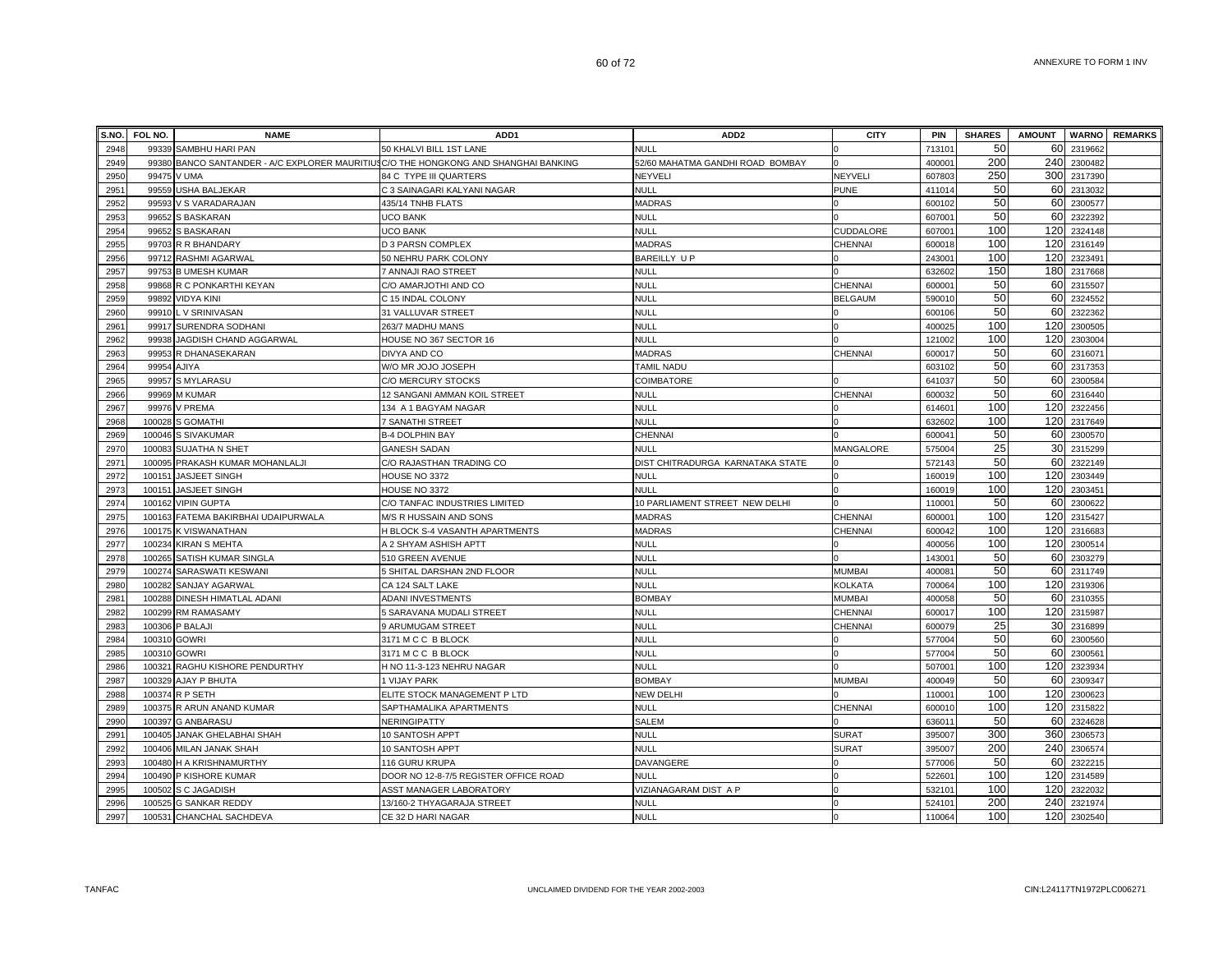| S.NO.        | FOL NO.      | <b>NAME</b>                                                                         | ADD <sub>1</sub>                        | ADD <sub>2</sub>                 | <b>CITY</b>    | PIN                | <b>SHARES</b> | <b>AMOUNT</b>   |                  | <b>WARNO</b> REMARKS |
|--------------|--------------|-------------------------------------------------------------------------------------|-----------------------------------------|----------------------------------|----------------|--------------------|---------------|-----------------|------------------|----------------------|
| 2948         |              | 99339 SAMBHU HARI PAN                                                               | 50 KHALVI BILL 1ST LANE                 | <b>NULL</b>                      |                | 71310 <sup>-</sup> | 50            | 60              | 2319662          |                      |
| 2949         |              | 99380 BANCO SANTANDER - A/C EXPLORER MAURITIUSC/O THE HONGKONG AND SHANGHAI BANKING |                                         | 52/60 MAHATMA GANDHI ROAD BOMBAY |                | 400001             | 200           | 240             | 2300482          |                      |
| 2950         | 99475        | V UMA                                                                               | 84 C TYPE III QUARTERS                  | NEYVELI                          | <b>NEYVEL</b>  | 607803             | 250           | 300             | 2317390          |                      |
| 2951         |              | 99559 USHA BALJEKAR                                                                 | C 3 SAINAGARI KALYANI NAGAR             | <b>NULL</b>                      | <b>PUNE</b>    | 411014             | 50            | 60              | 2313032          |                      |
| 2952         |              | 99593 V S VARADARAJAN                                                               | 435/14 TNHB FLATS                       | <b>MADRAS</b>                    |                | 600102             | 50            | 60              | 2300577          |                      |
| 2953         | 99652        | S BASKARAN                                                                          | UCO BANK                                | <b>NULL</b>                      |                | 60700              | 50            | 60              | 2322392          |                      |
| 2954         | 99652        | <b>S BASKARAN</b>                                                                   | <b>UCO BANK</b>                         | <b>NULL</b>                      | CUDDALORE      | 60700              | 100           | 120             | 2324148          |                      |
| 2955         |              | 99703 R R BHANDARY                                                                  | D 3 PARSN COMPLEX                       | <b>MADRAS</b>                    | CHENNAI        | 60001              | 100           | 120             | 2316149          |                      |
| 2956         |              | 99712 RASHMI AGARWAL                                                                | 50 NEHRU PARK COLONY                    | <b>BAREILLY UP</b>               |                | 24300 <sup>-</sup> | 100           | 120             | 2323491          |                      |
| 2957         |              | 99753 B UMESH KUMAR                                                                 | 7 ANNAJI RAO STREET                     | <b>NULL</b>                      |                | 632602             | 150           | 180             | 2317668          |                      |
| 2958         |              | 99868 R C PONKARTHI KEYAN                                                           | C/O AMARJOTHI AND CO                    | <b>NULL</b>                      | CHENNAI        | 60000 <sup>-</sup> | 50            | 60              | 2315507          |                      |
| 2959         |              | 99892 VIDYA KINI                                                                    | C 15 INDAL COLONY                       | <b>NULL</b>                      | <b>BELGAUM</b> | 59001              | 50            | 60              | 2324552          |                      |
| 2960         |              | 99910 L V SRINIVASAN                                                                | 31 VALLUVAR STREET                      | <b>NULL</b>                      |                | 600106             | 50            | 60              | 2322362          |                      |
| 2961         |              | 99917 SURENDRA SODHANI                                                              | 263/7 MADHU MANS                        | <b>NULL</b>                      |                | 400025             | 100           | 120             | 2300505          |                      |
| 2962         | 99938        | JAGDISH CHAND AGGARWAL                                                              | HOUSE NO 367 SECTOR 16                  | NULL                             |                | 121002             | 100           | 120             | 2303004          |                      |
| 2963         |              | 99953 R DHANASEKARAN                                                                | DIVYA AND CO                            | <b>MADRAS</b>                    | CHENNAI        | 600017             | 50            | 60              | 2316071          |                      |
| 2964         | 99954        | AJIYA                                                                               | W/O MR JOJO JOSEPH                      | TAMIL NADU                       |                | 603102             | 50            | 60              | 2317353          |                      |
| 2965         | 99957        | S MYLARASU                                                                          | C/O MERCURY STOCKS                      | COIMBATORE                       |                | 64103              | 50            | 60              | 230058           |                      |
| 2966         | 99969        | <b>M KUMAR</b>                                                                      | 12 SANGANI AMMAN KOIL STREET            | <b>NULL</b>                      | CHENNAI        | 60003              | 50            | 60              | 2316440          |                      |
| 2967         | 99976        | V PREMA                                                                             | 134 A 1 BAGYAM NAGAR                    | <b>NULL</b>                      |                | 61460              | 100           | 120             | 2322456          |                      |
| 2968         |              | 100028 S GOMATHI                                                                    | 7 SANATHI STREET                        | <b>NULL</b>                      |                | 632602             | 100           | 120             | 2317649          |                      |
| 2969         |              | 100046 S SIVAKUMAR                                                                  | <b>B-4 DOLPHIN BAY</b>                  | <b>CHENNAI</b>                   |                | 60004              | 50            | 60              | 2300570          |                      |
| 2970         |              | 100083 SUJATHA N SHET                                                               | <b>GANESH SADAN</b>                     | <b>NULL</b>                      | MANGALORE      | 57500              | 25            | 30              | 2315299          |                      |
| 2971         |              | 100095 PRAKASH KUMAR MOHANLALJI                                                     | C/O RAJASTHAN TRADING CO                | DIST CHITRADURGA KARNATAKA STATE |                | 572143             | 50            | 60              | 2322149          |                      |
| 2972         |              | 100151 JASJEET SINGH                                                                | HOUSE NO 3372                           | <b>NULL</b>                      |                | 160019             | 100           | 120             | 2303449          |                      |
| 2973         |              | 100151 JASJEET SINGH                                                                | HOUSE NO 3372                           | <b>NULL</b>                      |                | 160019             | 100           | 120             | 2303451          |                      |
| 2974         |              | 100162 VIPIN GUPTA                                                                  | C/O TANFAC INDUSTRIES LIMITED           | 10 PARLIAMENT STREET NEW DELHI   |                | 11000 <sup>-</sup> | 50            | 60              | 2300622          |                      |
| 2975         |              | 100163 FATEMA BAKIRBHAI UDAIPURWALA                                                 | M/S R HUSSAIN AND SONS                  | <b>MADRAS</b>                    | CHENNAI        | 60000 <sup>-</sup> | 100           | 120             | 2315427          |                      |
| 2976         |              | 100175 K VISWANATHAN                                                                | H BLOCK S-4 VASANTH APARTMENTS          | <b>MADRAS</b>                    | CHENNAI        | 600042             | 100           | 120             | 2316683          |                      |
| 2977         | 100234       | <b>KIRAN S MEHTA</b>                                                                | A 2 SHYAM ASHISH APTT                   | <b>NULL</b>                      |                | 400056             | 100           | 120             | 230051           |                      |
| 2978         | 100265       | SATISH KUMAR SINGLA                                                                 | 510 GREEN AVENUE                        | <b>NULL</b>                      |                | 14300              | 50            | 60              | 2303279          |                      |
| 2979         |              | 100274 SARASWATI KESWANI                                                            | 5 SHITAL DARSHAN 2ND FLOOR              | <b>NULL</b>                      | <b>MUMBAI</b>  | 40008              | 50            | 60              | 2311749          |                      |
| 2980         |              | 100282 SANJAY AGARWAL                                                               | CA 124 SALT LAKE                        | <b>NULL</b>                      | <b>KOLKATA</b> | 700064             | 100           | 120             | 2319306          |                      |
| 2981         |              | 100288 DINESH HIMATLAL ADANI                                                        | <b>ADANI INVESTMENTS</b>                | <b>BOMBAY</b>                    | <b>MUMBAI</b>  | 400058             | 50            | 60              | 2310355          |                      |
| 2982         |              | 100299 RM RAMASAMY                                                                  | 5 SARAVANA MUDALI STREET                | <b>NULL</b>                      | <b>CHENNAI</b> | 60001              | 100           | 120             | 2315987          |                      |
| 2983         |              | 100306 P BALAJI                                                                     | 9 ARUMUGAM STREET                       | <b>NULL</b>                      | CHENNAI        | 600079             | 25            | 30 <sup>l</sup> | 2316899          |                      |
| 2984         | 100310 GOWRI |                                                                                     | 3171 M C C B BLOCK                      | <b>NULL</b>                      |                | 577004             | 50<br>50      | 60              | 2300560          |                      |
| 2985         | 100310 GOWRI |                                                                                     | 3171 M C C B BLOCK                      | <b>NULL</b>                      |                | 577004             |               | 60              | 2300561          |                      |
| 2986         |              | 100321 RAGHU KISHORE PENDURTHY                                                      | H NO 11-3-123 NEHRU NAGAR               | <b>NULL</b>                      | <b>MUMBA</b>   | 50700              | 100<br>50     | 120<br>60       | 2323934          |                      |
| 2987         |              | 100329 AJAY P BHUTA                                                                 | 1 VIJAY PARK                            | <b>BOMBAY</b>                    |                | 400049             | 100           | 120             | 2309347          |                      |
| 2988         |              | 100374 R P SETH                                                                     | ELITE STOCK MANAGEMENT P LTD            | <b>NEW DELHI</b>                 |                | 11000              | 100           | 120             | 230062<br>231582 |                      |
| 2989<br>2990 |              | 100375 R ARUN ANAND KUMAR<br>100397 G ANBARASU                                      | SAPTHAMALIKA APARTMENTS<br>NERINGIPATTY | <b>NULL</b><br><b>SALEM</b>      | CHENNAI        | 60001<br>63601     | 50            | 60              | 2324628          |                      |
| 299          | 100405       | JANAK GHELABHAI SHAH                                                                | 10 SANTOSH APPT                         | <b>NULL</b>                      | <b>SURAT</b>   | 395007             | 300           | 360             | 2306573          |                      |
| 2992         |              | 100406 MILAN JANAK SHAH                                                             | 10 SANTOSH APPT                         | <b>NULL</b>                      | <b>SURAT</b>   | 395007             | 200           | 240             | 2306574          |                      |
| 2993         |              | 100480 H A KRISHNAMURTHY                                                            | 116 GURU KRUPA                          | DAVANGERE                        |                | 577006             | 50            | 60              | 2322215          |                      |
| 2994         |              | 100490 P KISHORE KUMAR                                                              | DOOR NO 12-8-7/5 REGISTER OFFICE ROAD   | <b>NULL</b>                      |                | 52260              | 100           | 120             | 2314589          |                      |
| 2995         |              | 100502 S C JAGADISH                                                                 | <b>ASST MANAGER LABORATORY</b>          | VIZIANAGARAM DIST A P            |                | 532101             | 100           | 120             | 2322032          |                      |
| 2996         |              | 100525 G SANKAR REDDY                                                               | 13/160-2 THYAGARAJA STREET              | <b>NULL</b>                      |                | 52410              | 200           | 240             | 2321974          |                      |
| 2997         |              | 100531 CHANCHAL SACHDEVA                                                            | CE 32 D HARI NAGAR                      | <b>NULL</b>                      |                | 110064             | 100           | 120             | 2302540          |                      |
|              |              |                                                                                     |                                         |                                  |                |                    |               |                 |                  |                      |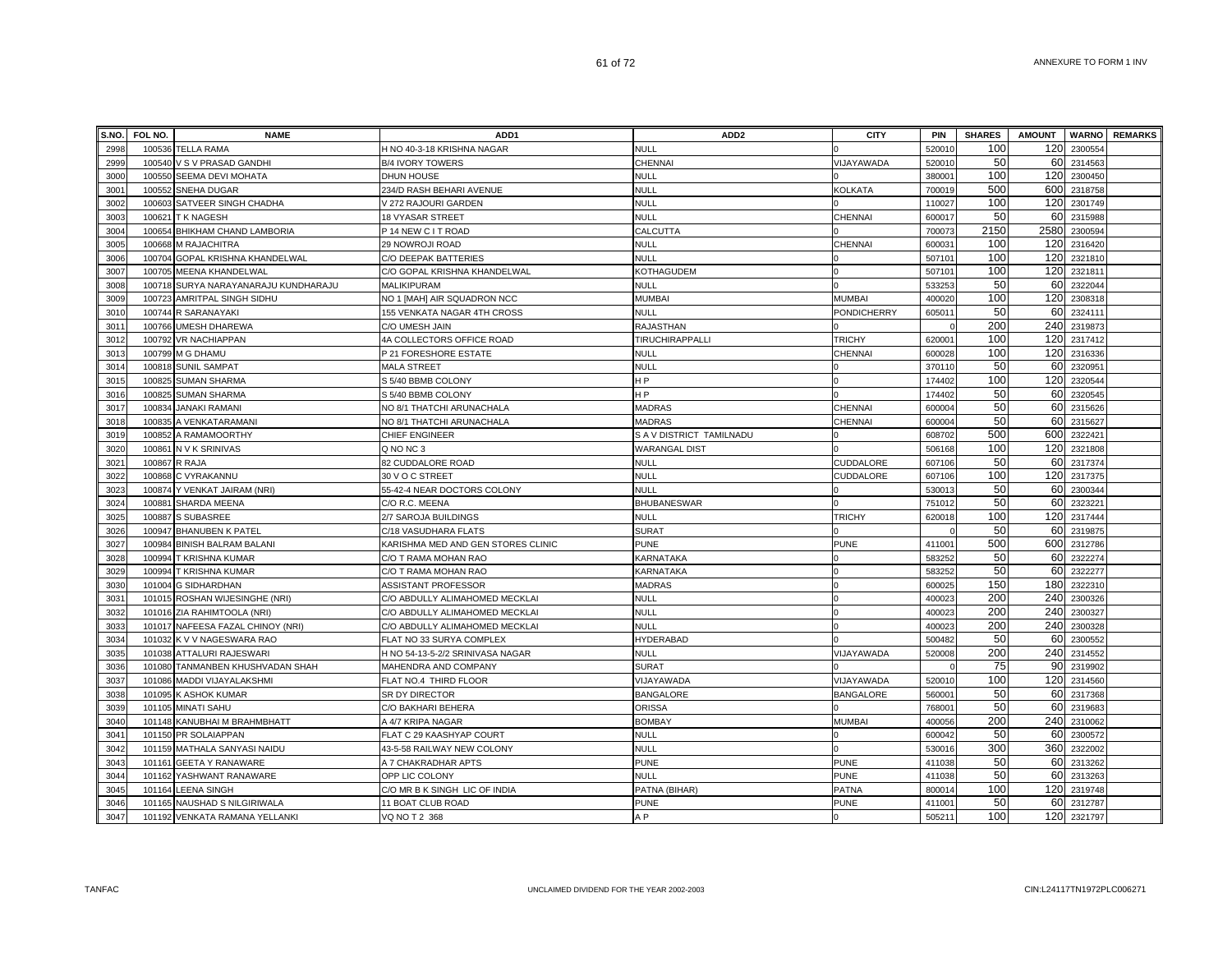| S.NO.        | FOL NO. | <b>NAME</b>                                          | ADD <sub>1</sub>                                       | ADD <sub>2</sub>               | <b>CITY</b>      | <b>PIN</b>         | <b>SHARES</b> | <b>AMOUNT</b> |                    | <b>WARNO</b> REMARKS |
|--------------|---------|------------------------------------------------------|--------------------------------------------------------|--------------------------------|------------------|--------------------|---------------|---------------|--------------------|----------------------|
| 2998         |         | 100536 TELLA RAMA                                    | H NO 40-3-18 KRISHNA NAGAR                             | <b>NULL</b>                    |                  | 520010             | 100           | 120           | 2300554            |                      |
| 2999         |         | 100540 V S V PRASAD GANDHI                           | <b>B/4 IVORY TOWERS</b>                                | <b>CHENNAI</b>                 | VIJAYAWADA       | 520010             | 50            | 60            | 2314563            |                      |
| 3000         | 100550  | SEEMA DEVI MOHATA                                    | <b>DHUN HOUSE</b>                                      | <b>NULL</b>                    |                  | 38000 <sup>-</sup> | 100           | 120           | 2300450            |                      |
| 3001         |         | 100552 SNEHA DUGAR                                   | 234/D RASH BEHARI AVENUE                               | <b>NULL</b>                    | <b>KOLKATA</b>   | 700019             | 500           | 600           | 2318758            |                      |
| 3002         |         | 100603 SATVEER SINGH CHADHA                          | V 272 RAJOURI GARDEN                                   | <b>NULL</b>                    |                  | 110027             | 100           | 120           | 2301749            |                      |
| 3003         |         | 100621 T K NAGESH                                    | 18 VYASAR STREET                                       | <b>NULL</b>                    | CHENNAI          | 600017             | 50            | 60            | 2315988            |                      |
| 3004         |         | 100654 BHIKHAM CHAND LAMBORIA                        | P 14 NEW C I T ROAD                                    | CALCUTTA                       |                  | 700073             | 2150          | 2580          | 2300594            |                      |
| 3005         |         | 100668 M RAJACHITRA                                  | 29 NOWROJI ROAD                                        | NULL                           | CHENNAI          | 60003              | 100           | 120           | 2316420            |                      |
| 3006         |         | 100704 GOPAL KRISHNA KHANDELWAL                      | C/O DEEPAK BATTERIES                                   | <b>NULL</b>                    |                  | 507101             | 100           | 120           | 2321810            |                      |
| 3007         |         | 100705 MEENA KHANDELWAL                              | C/O GOPAL KRISHNA KHANDELWAL                           | KOTHAGUDEM                     |                  | 50710              | 100           | 120           | 232181             |                      |
| 3008         |         | 100718 SURYA NARAYANARAJU KUNDHARAJU                 | <b>MALIKIPURAM</b>                                     | NULL                           |                  | 533253             | 50            | 60            | 2322044            |                      |
| 3009         | 100723  | AMRITPAL SINGH SIDHU                                 | NO 1 [MAH] AIR SQUADRON NCC                            | <b>MUMBAI</b>                  | <b>MUMBAI</b>    | 400020             | 100           | 120           | 2308318            |                      |
| 3010         |         | 100744 R SARANAYAKI                                  | 155 VENKATA NAGAR 4TH CROSS                            | <b>NULL</b>                    | PONDICHERRY      | 60501              | 50            | 60            | 232411             |                      |
| 3011         |         | 100766 UMESH DHAREWA                                 | C/O UMESH JAIN                                         | <b>RAJASTHAN</b>               |                  |                    | 200           | 240           | 2319873            |                      |
| 3012         |         | 100792 VR NACHIAPPAN                                 | 4A COLLECTORS OFFICE ROAD                              | TIRUCHIRAPPALLI                | <b>TRICHY</b>    | 620001             | 100           | 120           | 2317412            |                      |
| 3013         |         | 100799 M G DHAMU                                     | P 21 FORESHORE ESTATE                                  | <b>NULL</b>                    | <b>CHENNAI</b>   | 600028             | 100           | 120           | 2316336            |                      |
| 3014         |         | 100818 SUNIL SAMPAT                                  | <b>MALA STREET</b>                                     | <b>NULL</b>                    |                  | 370110             | 50            | 60            | 2320951            |                      |
| 3015         |         | 100825 SUMAN SHARMA                                  | S 5/40 BBMB COLONY                                     | H P                            |                  | 174402             | 100           | 120           | 2320544            |                      |
| 3016         |         | 100825 SUMAN SHARMA                                  | S 5/40 BBMB COLONY                                     | H <sub>P</sub>                 |                  | 174402             | 50            | 60            | 2320545            |                      |
| 3017         | 100834  | <b>JANAKI RAMANI</b>                                 | NO 8/1 THATCHI ARUNACHALA                              | <b>MADRAS</b>                  | <b>CHENNAI</b>   | 600004             | 50            | 60            | 2315626            |                      |
| 3018         | 100835  | A VENKATARAMANI                                      | NO 8/1 THATCHI ARUNACHALA                              | <b>MADRAS</b>                  | <b>CHENNAI</b>   | 600004             | 50            | 60            | 2315627            |                      |
| 3019         | 100852  | A RAMAMOORTHY                                        | CHIEF ENGINEER                                         | S A V DISTRICT TAMILNADU       |                  | 608702             | 500           | 600           | 232242             |                      |
| 3020         | 100861  | N V K SRINIVAS                                       | Q NO NC 3                                              | <b>WARANGAL DIST</b>           |                  | 506168             | 100           | 120           | 2321808            |                      |
| 3021         |         | 100867 R RAJA                                        | 82 CUDDALORE ROAD                                      | <b>NULL</b>                    | <b>CUDDALORE</b> | 607106             | 50            | 60            | 2317374            |                      |
| 3022         |         | 100868 C VYRAKANNU                                   | 30 V O C STREET                                        | <b>NULL</b>                    | CUDDALORE        | 607106             | 100           | 120           | 2317375            |                      |
| 3023         |         | 100874 Y VENKAT JAIRAM (NRI)                         | 55-42-4 NEAR DOCTORS COLONY                            | <b>NULL</b>                    |                  | 53001              | 50            | 60            | 2300344            |                      |
| 3024         |         | 100881 SHARDA MEENA                                  | C/O R.C. MEENA                                         | <b>BHUBANESWAR</b>             |                  | 751012             | 50            | 60            | 2323221            |                      |
| 3025         |         | 100887 S SUBASREE                                    | 2/7 SAROJA BUILDINGS                                   | <b>NULL</b>                    | <b>TRICHY</b>    | 620018             | 100           | 120           | 2317444            |                      |
| 3026         |         | 100947 BHANUBEN K PATEL                              | C/18 VASUDHARA FLATS                                   | <b>SURAT</b>                   |                  |                    | 50            | 60            | 2319875            |                      |
| 3027         |         | 100984 BINISH BALRAM BALANI                          | KARISHMA MED AND GEN STORES CLINIC                     | <b>PUNE</b>                    | <b>PUNE</b>      | 411001             | 500           | 600           | 2312786            |                      |
| 3028         |         | 100994 T KRISHNA KUMAR                               | C/O T RAMA MOHAN RAO                                   | KARNATAKA                      |                  | 583252             | 50            | 60            | 232227             |                      |
| 3029         |         | 100994 T KRISHNA KUMAR                               | C/O T RAMA MOHAN RAO                                   | KARNATAKA                      |                  | 583252             | 50            | 60            | 2322277            |                      |
| 3030         |         | 101004 G SIDHARDHAN                                  | <b>ASSISTANT PROFESSOR</b>                             | <b>MADRAS</b>                  |                  | 600025             | 150           | 180           | 232231             |                      |
| 3031         |         | 101015 ROSHAN WIJESINGHE (NRI)                       | C/O ABDULLY ALIMAHOMED MECKLAI                         | <b>NULL</b>                    |                  | 400023             | 200           | 240           | 2300326            |                      |
| 3032         |         | 101016 ZIA RAHIMTOOLA (NRI)                          | C/O ABDULLY ALIMAHOMED MECKLAI                         | <b>NULL</b>                    |                  | 400023             | 200           | 240           | 2300327            |                      |
| 3033         |         | 101017 NAFEESA FAZAL CHINOY (NRI)                    | C/O ABDULLY ALIMAHOMED MECKLAI                         | <b>NULL</b>                    |                  | 400023             | 200           | 240           | 2300328            |                      |
| 3034         |         | 101032 K V V NAGESWARA RAO                           | FLAT NO 33 SURYA COMPLEX                               | HYDERABAD                      |                  | 500482             | 50<br>200     | 60            | 2300552            |                      |
| 3035         |         | 101038 ATTALURI RAJESWARI                            | H NO 54-13-5-2/2 SRINIVASA NAGAR                       | NULL                           | VIJAYAWADA       | 520008             |               | 240           | 2314552            |                      |
| 3036         |         | 101080 TANMANBEN KHUSHVADAN SHAH                     | MAHENDRA AND COMPANY                                   | <b>SURAT</b>                   |                  |                    | 75<br>100     | 90            | 2319902            |                      |
| 3037         |         | 101086 MADDI VIJAYALAKSHMI                           | FLAT NO.4 THIRD FLOOR                                  | VIJAYAWADA                     | VIJAYAWADA       | 520010             | 50            | 120           | 2314560            |                      |
| 3038<br>3039 |         | 101095 K ASHOK KUMAR                                 | SR DY DIRECTOR                                         | <b>BANGALORE</b>               | <b>BANGALORE</b> | 560001<br>76800    | 50            | 60<br>60      | 2317368<br>2319683 |                      |
| 3040         |         | 101105 MINATI SAHU                                   | C/O BAKHARI BEHERA                                     | <b>ORISSA</b><br><b>BOMBAY</b> | <b>MUMBAI</b>    |                    | 200           | 240           |                    |                      |
| 3041         |         | 101148 KANUBHAI M BRAHMBHATT<br>101150 PR SOLAIAPPAN | A 4/7 KRIPA NAGAR                                      | <b>NULL</b>                    |                  | 400056<br>600042   | 50            | 60            | 2310062<br>2300572 |                      |
| 3042         |         | 101159 MATHALA SANYASI NAIDU                         | FLAT C 29 KAASHYAP COURT<br>43-5-58 RAILWAY NEW COLONY | <b>NULL</b>                    |                  | 53001              | 300           | 360           | 2322002            |                      |
| 3043         |         | 101161 GEETA Y RANAWARE                              | A 7 CHAKRADHAR APTS                                    | <b>PUNE</b>                    | <b>PUNE</b>      | 411038             | 50            | 60            | 2313262            |                      |
| 3044         |         |                                                      | OPP LIC COLONY                                         | <b>NULL</b>                    | <b>PUNE</b>      | 411038             | 50            | 60            | 2313263            |                      |
| 3045         |         | 101162 YASHWANT RANAWARE<br>101164 LEENA SINGH       | C/O MR B K SINGH LIC OF INDIA                          | PATNA (BIHAR)                  | <b>PATNA</b>     | 80001              | 100           | 120           | 2319748            |                      |
| 3046         |         | 101165 NAUSHAD S NILGIRIWALA                         | 11 BOAT CLUB ROAD                                      | <b>PUNE</b>                    | <b>PUNE</b>      | 41100 <sup>-</sup> | 50            | 60            | 2312787            |                      |
| 3047         |         | 101192 VENKATA RAMANA YELLANKI                       | VQ NO T 2 368                                          | A <sub>P</sub>                 |                  | 505211             | 100           | 120           | 2321797            |                      |
|              |         |                                                      |                                                        |                                |                  |                    |               |               |                    |                      |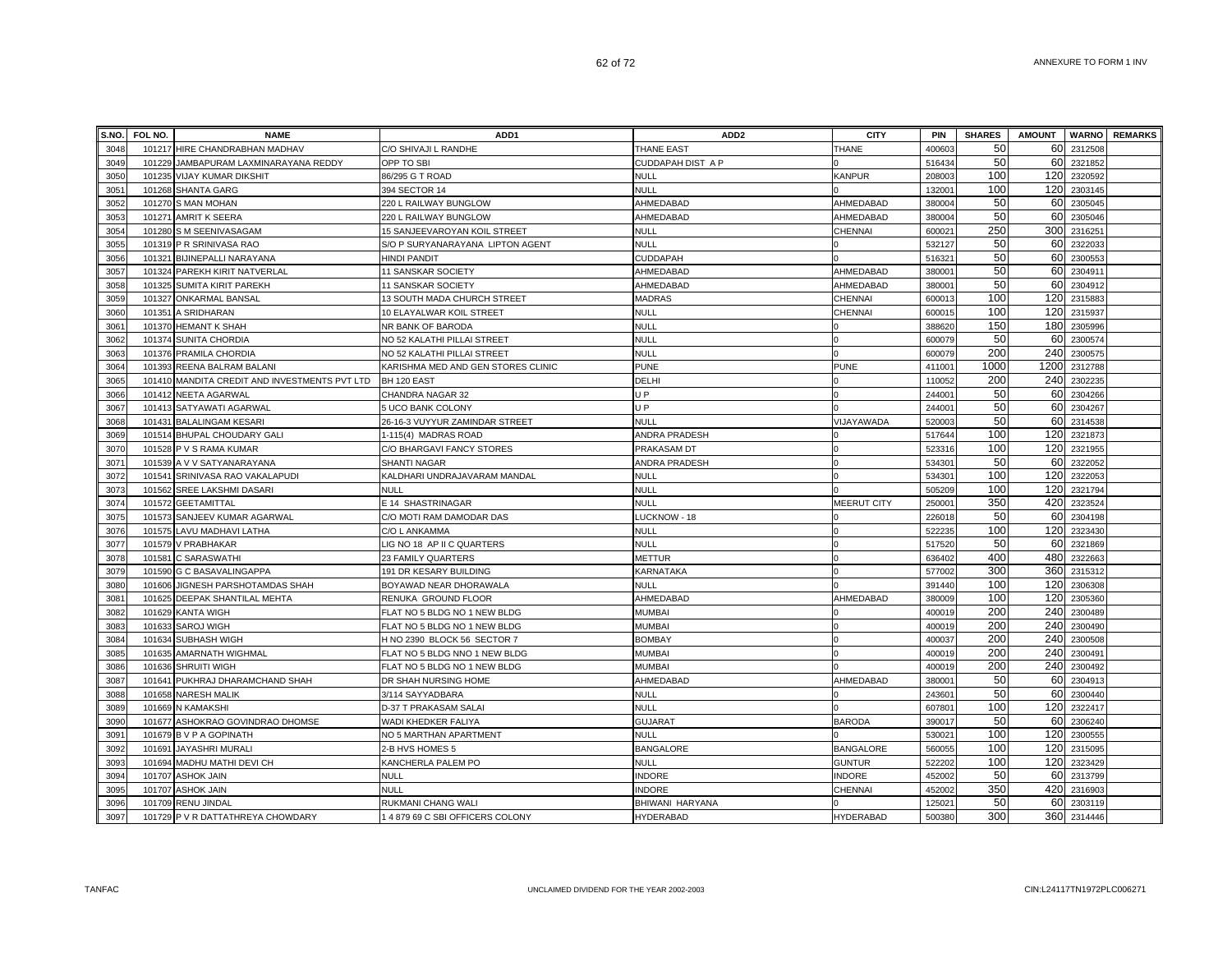| S.NO. | FOL NO. | <b>NAME</b>                                   | ADD <sub>1</sub>                   | ADD <sub>2</sub>  | <b>CITY</b>        | <b>PIN</b>         | <b>SHARES</b> | <b>AMOUNT</b> |         | <b>WARNO</b> REMARKS |
|-------|---------|-----------------------------------------------|------------------------------------|-------------------|--------------------|--------------------|---------------|---------------|---------|----------------------|
| 3048  |         | 101217 HIRE CHANDRABHAN MADHAV                | C/O SHIVAJI L RANDHE               | <b>THANE EAST</b> | THANE              | 400603             | 50            | 60            | 2312508 |                      |
| 3049  |         | 101229 JAMBAPURAM LAXMINARAYANA REDDY         | OPP TO SBI                         | CUDDAPAH DIST A P |                    | 516434             | 50            | 60            | 2321852 |                      |
| 3050  |         | 101235 VIJAY KUMAR DIKSHIT                    | 86/295 G T ROAD                    | NULL              | <b>KANPUR</b>      | 208003             | 100           | 120           | 2320592 |                      |
| 305   |         | 101268 SHANTA GARG                            | 394 SECTOR 14                      | <b>NULL</b>       |                    | 13200              | 100           | 120           | 2303145 |                      |
| 3052  |         | 101270 S MAN MOHAN                            | 220 L RAILWAY BUNGLOW              | AHMEDABAD         | AHMEDABAD          | 380004             | 50            | 60            | 2305045 |                      |
| 3053  |         | 101271 AMRIT K SEERA                          | 220 L RAILWAY BUNGLOW              | AHMEDABAD         | AHMEDABAD          | 38000              | 50            | 60            | 2305046 |                      |
| 3054  |         | 101280 S M SEENIVASAGAM                       | 15 SANJEEVAROYAN KOIL STREET       | <b>NULL</b>       | CHENNAI            | 60002              | 250           | 300           | 2316251 |                      |
| 3055  |         | 101319 P R SRINIVASA RAO                      | S/O P SURYANARAYANA LIPTON AGENT   | <b>NULL</b>       |                    | 532127             | 50            | 60            | 2322033 |                      |
| 3056  |         | 101321 BIJINEPALLI NARAYANA                   | <b>HINDI PANDIT</b>                | CUDDAPAH          |                    | 51632              | 50            | 60            | 2300553 |                      |
| 3057  |         | 101324 PAREKH KIRIT NATVERLAL                 | 11 SANSKAR SOCIETY                 | AHMEDABAD         | AHMEDABAD          | 38000 <sup>-</sup> | 50            | 60            | 2304911 |                      |
| 3058  |         | 101325 SUMITA KIRIT PAREKH                    | 11 SANSKAR SOCIETY                 | AHMEDABAD         | AHMEDABAD          | 38000 <sup>-</sup> | 50            | 60            | 2304912 |                      |
| 3059  |         | 101327 ONKARMAL BANSAL                        | 13 SOUTH MADA CHURCH STREET        | <b>MADRAS</b>     | CHENNAI            | 600013             | 100           | 120           | 2315883 |                      |
| 3060  |         | 101351 A SRIDHARAN                            | 10 ELAYALWAR KOIL STREET           | <b>NULL</b>       | CHENNAI            | 600015             | 100           | 120           | 2315937 |                      |
| 3061  |         | 101370 HEMANT K SHAH                          | NR BANK OF BARODA                  | <b>NULL</b>       |                    | 388620             | 150           | 180           | 2305996 |                      |
| 3062  |         | 101374 SUNITA CHORDIA                         | NO 52 KALATHI PILLAI STREET        | <b>NULL</b>       |                    | 600079             | 50            | 60            | 2300574 |                      |
| 3063  |         | 101376 PRAMILA CHORDIA                        | NO 52 KALATHI PILLAI STREET        | NULL              |                    | 600079             | 200           | 240           | 2300575 |                      |
| 3064  |         | 101393 REENA BALRAM BALANI                    | KARISHMA MED AND GEN STORES CLINIC | <b>PUNE</b>       | <b>PUNE</b>        | 411001             | 1000          | 1200          | 2312788 |                      |
| 3065  |         | 101410 MANDITA CREDIT AND INVESTMENTS PVT LTD | BH 120 EAST                        | DELHI             |                    | 110052             | 200           | 240           | 230223  |                      |
| 3066  |         | 101412 NEETA AGARWAL                          | CHANDRA NAGAR 32                   | U <sub>P</sub>    |                    | 24400              | 50            | 60            | 2304266 |                      |
| 3067  |         | 101413 SATYAWATI AGARWAL                      | 5 UCO BANK COLONY                  | U <sub>P</sub>    |                    | 24400              | 50            | 60            | 2304267 |                      |
| 3068  |         | 101431 BALALINGAM KESARI                      | 26-16-3 VUYYUR ZAMINDAR STREET     | <b>NULL</b>       | VIJAYAWADA         | 52000              | 50            | 60            | 2314538 |                      |
| 3069  |         | 101514 BHUPAL CHOUDARY GALI                   | 1-115(4) MADRAS ROAD               | ANDRA PRADESH     |                    | 517644             | 100           | 120           | 2321873 |                      |
| 3070  |         | 101528 P V S RAMA KUMAR                       | C/O BHARGAVI FANCY STORES          | PRAKASAM DT       |                    | 52331              | 100           | 120           | 2321955 |                      |
| 3071  |         | 101539 A V V SATYANARAYANA                    | SHANTI NAGAR                       | ANDRA PRADESH     | $\Omega$           | 53430              | 50            | 60            | 2322052 |                      |
| 3072  |         | 101541 SRINIVASA RAO VAKALAPUDI               | KALDHARI UNDRAJAVARAM MANDAL       | <b>NULL</b>       |                    | 53430              | 100           | 120           | 2322053 |                      |
| 3073  |         | 101562 SREE LAKSHMI DASARI                    | <b>NULL</b>                        | <b>NULL</b>       |                    | 505209             | 100           | 120           | 2321794 |                      |
| 3074  |         | 101572 GEETAMITTAL                            | E 14 SHASTRINAGAR                  | <b>NULL</b>       | <b>MEERUT CITY</b> | 250001             | 350           | 420           | 2323524 |                      |
| 3075  |         | 101573 SANJEEV KUMAR AGARWAL                  | C/O MOTI RAM DAMODAR DAS           | LUCKNOW - 18      |                    | 226018             | 50            | 60            | 2304198 |                      |
| 3076  |         | 101575 LAVU MADHAVI LATHA                     | C/O L ANKAMMA                      | NULL              |                    | 522235             | 100           | 120           | 2323430 |                      |
| 3077  |         | 101579 V PRABHAKAR                            | LIG NO 18 AP II C QUARTERS         | <b>NULL</b>       |                    | 517520             | 50            | 60            | 2321869 |                      |
| 3078  |         | 101581 C SARASWATHI                           | 23 FAMILY QUARTERS                 | METTUR            |                    | 636402             | 400           | 480           | 2322663 |                      |
| 3079  |         | 101590 G C BASAVALINGAPPA                     | 191 DR KESARY BUILDING             | KARNATAKA         |                    | 577002             | 300           | 360           | 2315312 |                      |
| 3080  | 101606  | JIGNESH PARSHOTAMDAS SHAH                     | BOYAWAD NEAR DHORAWALA             | <b>NULL</b>       |                    | 391440             | 100           | 120           | 2306308 |                      |
| 308'  |         | 101625 DEEPAK SHANTILAL MEHTA                 | RENUKA GROUND FLOOR                | AHMEDABAD         | AHMEDABAD          | 380009             | 100           | 120           | 2305360 |                      |
| 3082  |         | 101629 KANTA WIGH                             | FLAT NO 5 BLDG NO 1 NEW BLDG       | <b>MUMBAI</b>     |                    | 400019             | 200           | 240           | 2300489 |                      |
| 3083  |         | 101633 SAROJ WIGH                             | FLAT NO 5 BLDG NO 1 NEW BLDG       | <b>MUMBAI</b>     |                    | 400019             | 200           | 240           | 2300490 |                      |
| 3084  |         | 101634 SUBHASH WIGH                           | H NO 2390 BLOCK 56 SECTOR 7        | <b>BOMBAY</b>     | $\Omega$           | 400037             | 200           | 240           | 2300508 |                      |
| 3085  |         | 101635 AMARNATH WIGHMAL                       | FLAT NO 5 BLDG NNO 1 NEW BLDG      | <b>MUMBAI</b>     | $\Omega$           | 400019             | 200           | 240           | 2300491 |                      |
| 3086  |         | 101636 SHRUITI WIGH                           | FLAT NO 5 BLDG NO 1 NEW BLDG       | <b>MUMBAI</b>     |                    | 400019             | 200           | 240           | 2300492 |                      |
| 3087  |         | 101641 PUKHRAJ DHARAMCHAND SHAH               | DR SHAH NURSING HOME               | AHMEDABAD         | AHMEDABAD          | 380001             | 50            | 60            | 2304913 |                      |
| 3088  |         | 101658 NARESH MALIK                           | 3/114 SAYYADBARA                   | <b>NULL</b>       |                    | 24360              | 50            | 60            | 2300440 |                      |
| 3089  |         | 101669 N KAMAKSHI                             | D-37 T PRAKASAM SALAI              | <b>NULL</b>       |                    | 60780              | 100           | 120           | 2322417 |                      |
| 3090  |         | 101677 ASHOKRAO GOVINDRAO DHOMSE              | WADI KHEDKER FALIYA                | <b>GUJARAT</b>    | <b>BARODA</b>      | 39001              | 50            | 60            | 2306240 |                      |
| 3091  |         | 101679 B V P A GOPINATH                       | NO 5 MARTHAN APARTMENT             | <b>NULL</b>       |                    | 53002              | 100           | 120           | 2300555 |                      |
| 3092  | 101691  | <b>JAYASHRI MURALI</b>                        | 2-B HVS HOMES 5                    | <b>BANGALORE</b>  | <b>BANGALORE</b>   | 560055             | 100           | 120           | 2315095 |                      |
| 3093  |         | 101694 MADHU MATHI DEVI CH                    | KANCHERLA PALEM PO                 | <b>NULL</b>       | <b>GUNTUR</b>      | 522202             | 100           | 120           | 2323429 |                      |
| 3094  | 101707  | <b>ASHOK JAIN</b>                             | <b>NULL</b>                        | <b>INDORE</b>     | <b>INDORE</b>      | 452002             | 50            | 60            | 2313799 |                      |
| 3095  | 101707  | <b>ASHOK JAIN</b>                             | <b>NULL</b>                        | <b>INDORE</b>     | CHENNAI            | 452002             | 350           | 420           | 2316903 |                      |
| 3096  |         | 101709 RENU JINDAL                            | RUKMANI CHANG WALI                 | BHIWANI HARYANA   |                    | 12502 <sup>-</sup> | 50            | 60            | 2303119 |                      |
| 3097  |         | 101729 P V R DATTATHREYA CHOWDARY             | 1 4 879 69 C SBI OFFICERS COLONY   | <b>HYDERABAD</b>  | <b>HYDERABAD</b>   | 500380             | 300           | 360           | 2314446 |                      |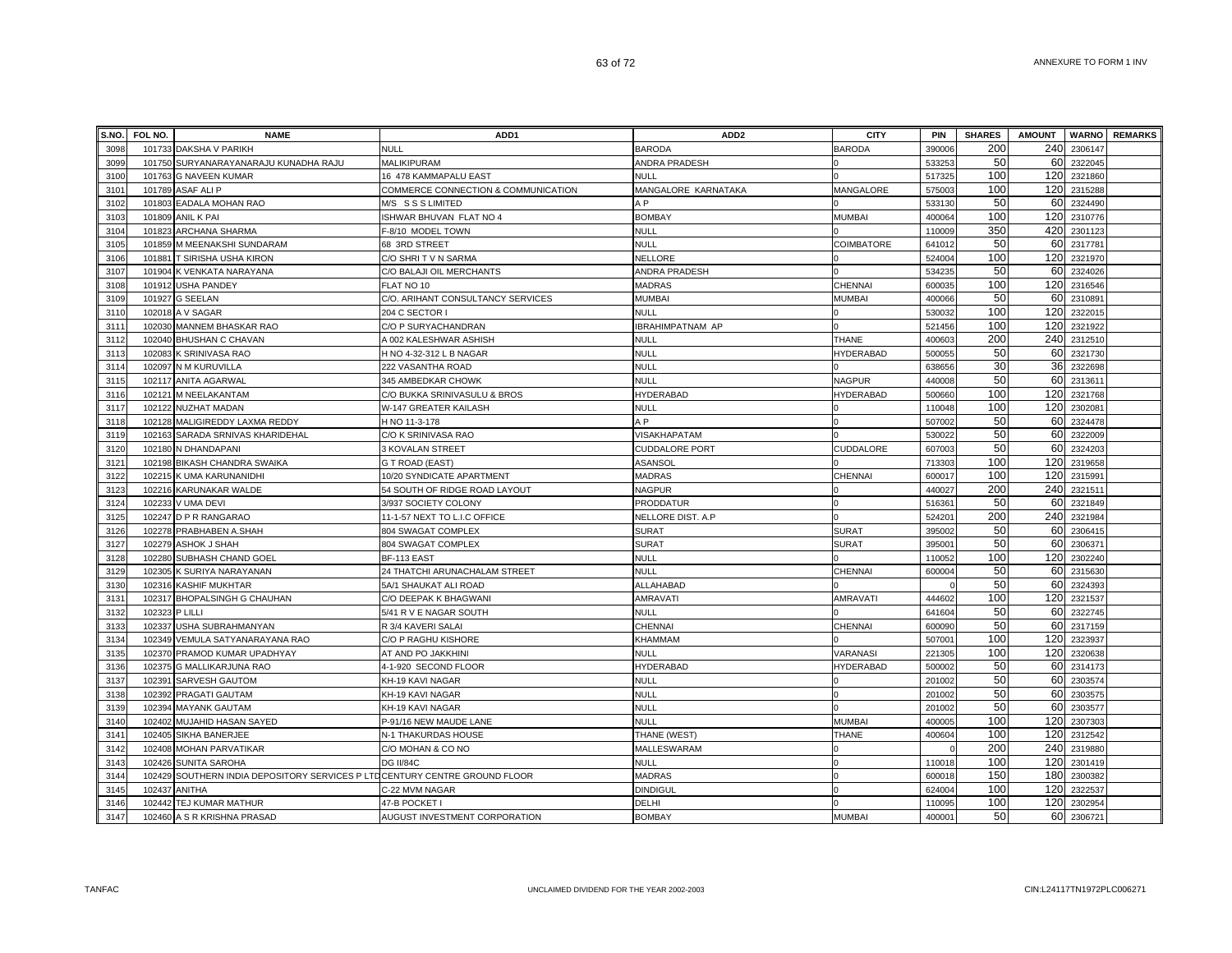| S.NO.        | FOL NO. | <b>NAME</b>                                                         | ADD <sub>1</sub>                          | ADD <sub>2</sub>       | <b>CITY</b>    | PIN             | <b>SHARES</b> | <b>AMOUNT</b> |                    | <b>WARNO</b> REMARKS |
|--------------|---------|---------------------------------------------------------------------|-------------------------------------------|------------------------|----------------|-----------------|---------------|---------------|--------------------|----------------------|
| 3098         |         | 101733 DAKSHA V PARIKH                                              | NULL                                      | <b>BARODA</b>          | <b>BARODA</b>  | 390006          | 200           | 240           | 2306147            |                      |
| 3099         | 101750  | SURYANARAYANARAJU KUNADHA RAJU                                      | MALIKIPURAM                               | ANDRA PRADESH          |                | 533253          | 50            | 60            | 2322045            |                      |
| 3100         |         | 101763 G NAVEEN KUMAR                                               | 16 478 KAMMAPALU EAST                     | NULL                   |                | 517325          | 100           | 120           | 2321860            |                      |
| 3101         | 101789  | <b>ASAF ALI P</b>                                                   | COMMERCE CONNECTION & COMMUNICATION       | MANGALORE KARNATAKA    | MANGALORE      | 575003          | 100           | 120           | 2315288            |                      |
| 3102         | 101803  | <b>EADALA MOHAN RAO</b>                                             | M/S SSSLIMITED                            | AΡ                     |                | 533130          | 50            | 60            | 2324490            |                      |
| 3103         | 101809  | <b>ANIL K PAI</b>                                                   | ISHWAR BHUVAN FLAT NO 4                   | <b>BOMBAY</b>          | <b>MUMBA</b>   | 400064          | 100           | 120           | 2310776            |                      |
| 3104         | 101823  | ARCHANA SHARMA                                                      | F-8/10 MODEL TOWN                         | <b>NULL</b>            |                | 110009          | 350           | 420           | 2301123            |                      |
| 3105         |         | 101859 M MEENAKSHI SUNDARAM                                         | 68 3RD STREET                             | <b>NULL</b>            | COIMBATORE     | 64101           | 50            | 60            | 2317781            |                      |
| 3106         |         | 101881 T SIRISHA USHA KIRON                                         | C/O SHRIT V N SARMA                       | NELLORE                |                | 524004          | 100           | 120           | 2321970            |                      |
| 3107         |         | 101904 K VENKATA NARAYANA                                           | C/O BALAJI OIL MERCHANTS                  | ANDRA PRADESH          |                | 534235          | 50            | 60            | 2324026            |                      |
| 3108         |         | 101912 USHA PANDEY                                                  | FLAT NO 10                                | <b>MADRAS</b>          | <b>CHENNAI</b> | 600035          | 100           | 120           | 2316546            |                      |
| 3109         |         | 101927 G SEELAN                                                     | C/O. ARIHANT CONSULTANCY SERVICES         | <b>MUMBAI</b>          | <b>MUMBAI</b>  | 400066          | 50            | 60            | 2310891            |                      |
| 3110         |         | 102018 A V SAGAR                                                    | 204 C SECTOR I                            | <b>NULL</b>            |                | 530032          | 100           | 120           | 2322015            |                      |
| 3111         |         | 102030 MANNEM BHASKAR RAO                                           | C/O P SURYACHANDRAN                       | IBRAHIMPATNAM AP       |                | 521456          | 100           | 120           | 2321922            |                      |
| 3112         | 102040  | <b>BHUSHAN C CHAVAN</b>                                             | A 002 KALESHWAR ASHISH                    | NULL                   | THANE          | 400603          | 200           | 240           | 2312510            |                      |
| 3113         | 102083  | K SRINIVASA RAO                                                     | H NO 4-32-312 L B NAGAR                   | NULL                   | HYDERABAD      | 500055          | 50            | 60            | 2321730            |                      |
| 3114         | 102097  | N M KURUVILLA                                                       | 222 VASANTHA ROAD                         | <b>NULL</b>            |                | 638656          | 30            | 36            | 2322698            |                      |
| 3115         |         | 102117 ANITA AGARWAL                                                | 345 AMBEDKAR CHOWK                        | <b>NULL</b>            | <b>NAGPUR</b>  | 440008          | 50            | 60            | 231361             |                      |
| 3116         | 102121  | M NEELAKANTAM                                                       | C/O BUKKA SRINIVASULU & BROS              | HYDERABAD              | HYDERABAD      | 500660          | 100           | 120           | 2321768            |                      |
| 3117         |         | 102122 NUZHAT MADAN                                                 | W-147 GREATER KAILASH                     | <b>NULL</b>            |                | 110048          | 100           | 120           | 2302081            |                      |
| 3118         |         | 102128 MALIGIREDDY LAXMA REDDY                                      | H NO 11-3-178                             | A P                    |                | 507002          | 50            | 60            | 2324478            |                      |
| 3119         | 102163  | SARADA SRNIVAS KHARIDEHAL                                           | C/O K SRINIVASA RAO                       | <b>VISAKHAPATAM</b>    |                | 530022          | 50            | 60            | 2322009            |                      |
| 3120         |         | 102180 N DHANDAPANI                                                 | 3 KOVALAN STREET                          | <b>CUDDALORE PORT</b>  | CUDDALORE      | 607003          | 50            | 60            | 2324203            |                      |
| 3121         |         | 102198 BIKASH CHANDRA SWAIKA                                        | G T ROAD (EAST)                           | ASANSOL                |                | 713303          | 100           | 120           | 2319658            |                      |
| 3122         |         | 102215 K UMA KARUNANIDHI                                            | 10/20 SYNDICATE APARTMENT                 | <b>MADRAS</b>          | CHENNAI        | 600017          | 100           | 120           | 2315991            |                      |
| 3123         |         | 102216 KARUNAKAR WALDE                                              | 54 SOUTH OF RIDGE ROAD LAYOUT             | <b>NAGPUR</b>          |                | 440027          | 200           | 240           | 2321511            |                      |
| 3124         | 102233  | <b>V UMA DEVI</b>                                                   | 3/937 SOCIETY COLONY                      | <b>PRODDATUR</b>       |                | 51636           | 50            | 60            | 2321849            |                      |
| 3125         | 102247  | D P R RANGARAO                                                      | 11-1-57 NEXT TO L.I.C OFFICE              | NELLORE DIST. A.P      |                | 52420           | 200           | 240           | 2321984            |                      |
| 3126         | 102278  | PRABHABEN A.SHAH                                                    | 804 SWAGAT COMPLEX                        | <b>SURAT</b>           | <b>SURAT</b>   | 395002          | 50            | 60            | 2306415            |                      |
| 3127         | 102279  | ASHOK J SHAH                                                        | 804 SWAGAT COMPLEX                        | <b>SURAT</b>           | <b>SURAT</b>   | 39500           | 50            | 60            | 230637             |                      |
| 3128         | 102280  | SUBHASH CHAND GOEL                                                  | BF-113 EAST                               | <b>NULL</b>            |                | 110052          | 100           | 120           | 2302240            |                      |
| 3129         | 102305  | K SURIYA NARAYANAN                                                  | 24 THATCHI ARUNACHALAM STREET             | <b>NULL</b>            | CHENNAI        | 600004          | 50            | 60            | 2315630            |                      |
| 3130         | 102316  | <b>KASHIF MUKHTAR</b>                                               | 5A/1 SHAUKAT ALI ROAD                     | ALLAHABAD              |                |                 | 50<br>100     | 60            | 2324393            |                      |
| 3131<br>3132 |         | 102317 BHOPALSINGH G CHAUHAN                                        | C/O DEEPAK K BHAGWANI                     | AMRAVATI               | AMRAVATI       | 444602          | 50            | 120<br>60     | 2321537<br>2322745 |                      |
| 3133         | 102323  | P LILLI                                                             | 5/41 R V E NAGAR SOUTH                    | <b>NULL</b>            |                | 641604          | 50            | 60            | 2317159            |                      |
| 3134         |         | 102337 USHA SUBRAHMANYAN                                            | R 3/4 KAVERI SALAI                        | CHENNAI                | CHENNAI        | 600090          | 100           | 120           | 2323937            |                      |
| 3135         | 102370  | 102349 VEMULA SATYANARAYANA RAO<br>PRAMOD KUMAR UPADHYAY            | C/O P RAGHU KISHORE<br>AT AND PO JAKKHINI | KHAMMAM<br><b>NULL</b> | VARANASI       | 50700<br>221305 | 100           | 120           | 2320638            |                      |
| 3136         | 102375  | <b>G MALLIKARJUNA RAO</b>                                           | 4-1-920 SECOND FLOOR                      | <b>HYDERABAD</b>       | HYDERABAD      | 500002          | 50            | 60            | 2314173            |                      |
| 3137         | 102391  | <b>SARVESH GAUTOM</b>                                               | KH-19 KAVI NAGAR                          | <b>NULL</b>            |                | 201002          | 50            | 60            | 2303574            |                      |
| 3138         | 102392  | PRAGATI GAUTAM                                                      | KH-19 KAVI NAGAR                          | <b>NULL</b>            |                | 201002          | 50            | 60            | 2303575            |                      |
| 3139         | 102394  | <b>MAYANK GAUTAM</b>                                                | KH-19 KAVI NAGAR                          | <b>NULL</b>            |                | 201002          | 50            | 60            | 2303577            |                      |
| 3140         | 102402  | MUJAHID HASAN SAYED                                                 | P-91/16 NEW MAUDE LANE                    | <b>NULL</b>            | <b>MUMBAI</b>  | 400005          | 100           | 120           | 2307303            |                      |
| 3141         | 102405  | SIKHA BANERJEE                                                      | N-1 THAKURDAS HOUSE                       | THANE (WEST)           | <b>THANE</b>   | 400604          | 100           | 120           | 2312542            |                      |
| 3142         | 102408  | <b>MOHAN PARVATIKAR</b>                                             | C/O MOHAN & CO NO                         | MALLESWARAM            |                |                 | 200           | 240           | 2319880            |                      |
| 3143         | 102426  | <b>SUNITA SAROHA</b>                                                | <b>DG II/84C</b>                          | <b>NULL</b>            |                | 110018          | 100           | 120           | 2301419            |                      |
| 3144         | 102429  | SOUTHERN INDIA DEPOSITORY SERVICES P LTDCENTURY CENTRE GROUND FLOOR |                                           | <b>MADRAS</b>          |                | 600018          | 150           | 180           | 2300382            |                      |
| 3145         | 102437  | <b>ANITHA</b>                                                       | C-22 MVM NAGAR                            | <b>DINDIGUL</b>        |                | 624004          | 100           | 120           | 2322537            |                      |
| 3146         |         | 102442 TEJ KUMAR MATHUR                                             | 47-B POCKET I                             | DELHI                  |                | 110095          | 100           | 120           | 2302954            |                      |
| 3147         |         | 102460 A S R KRISHNA PRASAD                                         | AUGUST INVESTMENT CORPORATION             | <b>BOMBAY</b>          | <b>MUMBAI</b>  | 400001          | 50            | 60            | 2306721            |                      |
|              |         |                                                                     |                                           |                        |                |                 |               |               |                    |                      |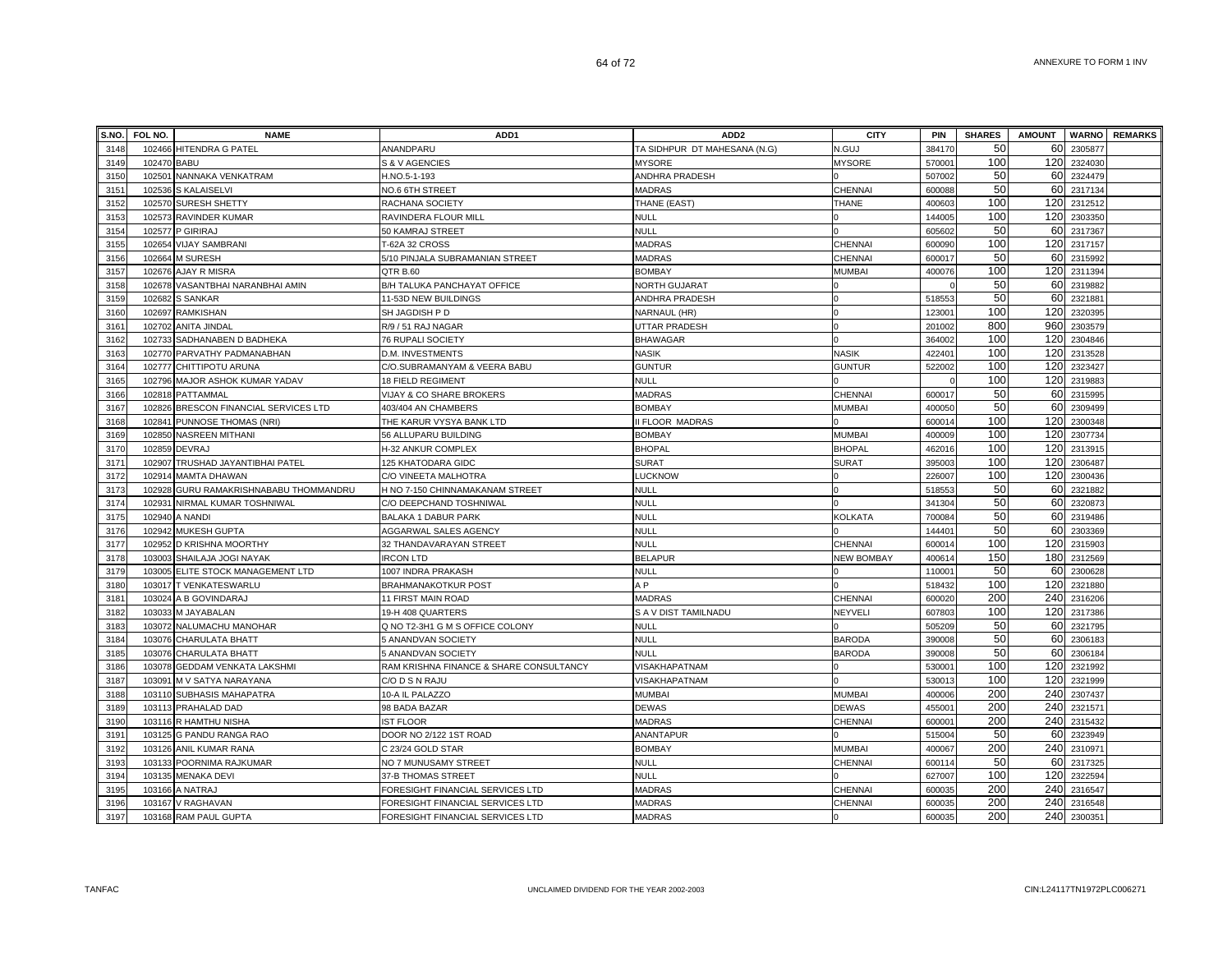| S.NO. | FOL NO.     | <b>NAME</b>                      | ADD <sub>1</sub>                        | ADD <sub>2</sub>             | <b>CITY</b>       | PIN                | <b>SHARES</b> | <b>AMOUNT</b> | <b>WARNO</b> | <b>REMARKS</b> |
|-------|-------------|----------------------------------|-----------------------------------------|------------------------------|-------------------|--------------------|---------------|---------------|--------------|----------------|
| 3148  |             | 102466 HITENDRA G PATEL          | ANANDPARU                               | TA SIDHPUR DT MAHESANA (N.G) | N.GUJ             | 384170             | 50            | 60            | 2305877      |                |
| 3149  | 102470 BABU |                                  | S & V AGENCIES                          | <b>MYSORE</b>                | <b>MYSORE</b>     | 570001             | 100           | 120           | 2324030      |                |
| 3150  | 102501      | NANNAKA VENKATRAM                | H.NO.5-1-193                            | ANDHRA PRADESH               |                   | 507002             | 50            | 60            | 2324479      |                |
| 3151  |             | 102536 S KALAISELVI              | NO.6 6TH STREET                         | <b>MADRAS</b>                | CHENNAI           | 600088             | 50            | 60            | 2317134      |                |
| 3152  |             | 102570 SURESH SHETTY             | RACHANA SOCIETY                         | THANE (EAST)                 | <b>THANE</b>      | 400603             | 100           | 120           | 2312512      |                |
| 3153  | 102573      | <b>RAVINDER KUMAR</b>            | RAVINDERA FLOUR MILL                    | <b>NULL</b>                  |                   | 144005             | 100           | 120           | 2303350      |                |
| 3154  | 102577      | P GIRIRAJ                        | 50 KAMRAJ STREET                        | <b>NULL</b>                  |                   | 605602             | 50            | 60            | 2317367      |                |
| 3155  | 102654      | <b>VIJAY SAMBRANI</b>            | T-62A 32 CROSS                          | <b>MADRAS</b>                | CHENNA            | 60009              | 100           | 120           | 2317157      |                |
| 3156  | 102664      | <b>M SURESH</b>                  | 5/10 PINJALA SUBRAMANIAN STREET         | <b>MADRAS</b>                | CHENNA            | 600017             | 50            | 60            | 2315992      |                |
| 3157  | 102676      | <b>AJAY R MISRA</b>              | QTR B.60                                | <b>BOMBAY</b>                | MUMBAI            | 400076             | 100           | 120           | 2311394      |                |
| 3158  | 102678      | VASANTBHAI NARANBHAI AMIN        | B/H TALUKA PANCHAYAT OFFICE             | <b>NORTH GUJARAT</b>         |                   |                    | 50            | 60            | 2319882      |                |
| 3159  | 102682      | <b>S SANKAR</b>                  | 11-53D NEW BUILDINGS                    | ANDHRA PRADESH               |                   | 518553             | 50            | 60            | 2321881      |                |
| 3160  |             | 102697 RAMKISHAN                 | SH JAGDISH P D                          | NARNAUL (HR)                 |                   | 123001             | 100           | 120           | 2320395      |                |
| 3161  |             | 102702 ANITA JINDAL              | R/9 / 51 RAJ NAGAR                      | UTTAR PRADESH                |                   | 201002             | 800           | 960           | 2303579      |                |
| 3162  |             | 102733 SADHANABEN D BADHEKA      | 76 RUPALI SOCIETY                       | <b>BHAWAGAR</b>              |                   | 364002             | 100           | 120           | 2304846      |                |
| 3163  |             | 102770 PARVATHY PADMANABHAN      | D.M. INVESTMENTS                        | <b>NASIK</b>                 | <b>NASIK</b>      | 422401             | 100           | 120           | 2313528      |                |
| 3164  | 102777      | CHITTIPOTU ARUNA                 | C/O.SUBRAMANYAM & VEERA BABU            | <b>GUNTUR</b>                | GUNTUR            | 522002             | 100           | 120           | 2323427      |                |
| 3165  | 102796      | MAJOR ASHOK KUMAR YADAV          | <b>18 FIELD REGIMENT</b>                | <b>NULL</b>                  |                   |                    | 100           | 120           | 2319883      |                |
| 3166  | 102818      | PATTAMMAL                        | VIJAY & CO SHARE BROKERS                | <b>MADRAS</b>                | CHENNAI           | 600017             | 50            | 60            | 2315995      |                |
| 3167  | 102826      | BRESCON FINANCIAL SERVICES LTD   | 403/404 AN CHAMBERS                     | <b>BOMBAY</b>                | <b>MUMBAI</b>     | 400050             | 50            | 60            | 2309499      |                |
| 3168  | 102841      | PUNNOSE THOMAS (NRI)             | THE KARUR VYSYA BANK LTD                | II FLOOR MADRAS              |                   | 60001              | 100           | 120           | 2300348      |                |
| 3169  | 102850      | <b>NASREEN MITHANI</b>           | 56 ALLUPARU BUILDING                    | <b>BOMBAY</b>                | <b>MUMBAI</b>     | 400009             | 100           | 120           | 2307734      |                |
| 3170  | 102859      | <b>DEVRAJ</b>                    | H-32 ANKUR COMPLEX                      | <b>BHOPAL</b>                | <b>BHOPAL</b>     | 462016             | 100           | 120           | 2313915      |                |
| 3171  |             | 102907 TRUSHAD JAYANTIBHAI PATEL | 125 KHATODARA GIDC                      | <b>SURAT</b>                 | SURAT             | 395003             | 100           | 120           | 2306487      |                |
| 3172  | 102914      | <b>MAMTA DHAWAN</b>              | C/O VINEETA MALHOTRA                    | LUCKNOW                      |                   | 226007             | 100           | 120           | 2300436      |                |
| 3173  | 102928      | GURU RAMAKRISHNABABU THOMMANDRU  | H NO 7-150 CHINNAMAKANAM STREET         | <b>NULL</b>                  |                   | 51855              | 50            | 60            | 2321882      |                |
| 3174  | 102931      | NIRMAL KUMAR TOSHNIWAL           | C/O DEEPCHAND TOSHNIWAL                 | <b>NULL</b>                  |                   | 341304             | 50            | 60            | 2320873      |                |
| 3175  | 102940      | A NANDI                          | BALAKA 1 DABUR PARK                     | NULL                         | <b>KOLKATA</b>    | 700084             | 50            | 60            | 2319486      |                |
| 3176  | 102942      | <b>MUKESH GUPTA</b>              | AGGARWAL SALES AGENCY                   | <b>NULL</b>                  |                   | 14440              | 50            | 60            | 2303369      |                |
| 3177  | 102952      | D KRISHNA MOORTHY                | 32 THANDAVARAYAN STREET                 | <b>NULL</b>                  | CHENNAI           | 60001              | 100           | 120           | 2315903      |                |
| 3178  | 103003      | SHAILAJA JOGI NAYAK              | <b>IRCON LTD</b>                        | <b>BELAPUR</b>               | <b>NEW BOMBAY</b> | 40061              | 150           | 180           | 2312569      |                |
| 3179  | 103005      | ELITE STOCK MANAGEMENT LTD       | 1007 INDRA PRAKASH                      | <b>NULL</b>                  |                   | 11000              | 50            | 60            | 2300628      |                |
| 3180  |             | 103017 T VENKATESWARLU           | <b>BRAHMANAKOTKUR POST</b>              | A <sub>P</sub>               |                   | 518432             | 100           | 120           | 2321880      |                |
| 3181  | 103024      | A B GOVINDARAJ                   | 11 FIRST MAIN ROAD                      | <b>MADRAS</b>                | CHENNAI           | 60002              | 200           | 240           | 2316206      |                |
| 3182  |             | 103033 M JAYABALAN               | 19-H 408 QUARTERS                       | S A V DIST TAMILNADU         | NEYVELI           | 607803             | 100           | 120           | 2317386      |                |
| 3183  |             | 103072 NALUMACHU MANOHAR         | Q NO T2-3H1 G M S OFFICE COLONY         | <b>NULL</b>                  |                   | 505209             | 50            | 60            | 2321795      |                |
| 3184  |             | 103076 CHARULATA BHATT           | 5 ANANDVAN SOCIETY                      | <b>NULL</b>                  | <b>BARODA</b>     | 390008             | 50            | 60            | 2306183      |                |
| 3185  |             | 103076 CHARULATA BHATT           | 5 ANANDVAN SOCIETY                      | NULL                         | <b>BARODA</b>     | 390008             | 50            | 60            | 2306184      |                |
| 3186  |             | 103078 GEDDAM VENKATA LAKSHMI    | RAM KRISHNA FINANCE & SHARE CONSULTANCY | VISAKHAPATNAM                |                   | 53000 <sup>-</sup> | 100           | 120           | 2321992      |                |
| 3187  |             | 103091 M V SATYA NARAYANA        | C/O D S N RAJU                          | <b>VISAKHAPATNAM</b>         |                   | 53001              | 100           | 120           | 2321999      |                |
| 3188  | 103110      | <b>SUBHASIS MAHAPATRA</b>        | 10-A IL PALAZZO                         | <b>MUMBAI</b>                | <b>MUMBAI</b>     | 400006             | 200           | 240           | 2307437      |                |
| 3189  | 103113      | PRAHALAD DAD                     | 98 BADA BAZAR                           | <b>DEWAS</b>                 | <b>DEWAS</b>      | 45500 <sup>-</sup> | 200           | 240           | 2321571      |                |
| 3190  |             | 103116 R HAMTHU NISHA            | <b>IST FLOOR</b>                        | <b>MADRAS</b>                | CHENNAI           | 60000              | 200           | 240           | 2315432      |                |
| 3191  | 103125      | <b>G PANDU RANGA RAO</b>         | DOOR NO 2/122 1ST ROAD                  | ANANTAPUR                    |                   | 515004             | 50            | 60            | 2323949      |                |
| 3192  |             | 103126 ANIL KUMAR RANA           | C 23/24 GOLD STAR                       | <b>BOMBAY</b>                | <b>MUMBAI</b>     | 400067             | 200           | 240           | 2310971      |                |
| 3193  |             | 103133 POORNIMA RAJKUMAR         | NO 7 MUNUSAMY STREET                    | <b>NULL</b>                  | CHENNAI           | 600114             | 50            | 60            | 2317325      |                |
| 3194  |             | 103135 MENAKA DEVI               | 37-B THOMAS STREET                      | <b>NULL</b>                  |                   | 627007             | 100           | 120           | 2322594      |                |
| 3195  | 103166      | A NATRAJ                         | FORESIGHT FINANCIAL SERVICES LTD        | <b>MADRAS</b>                | CHENNAI           | 600035             | 200           | 240           | 2316547      |                |
| 3196  |             | 103167 V RAGHAVAN                | FORESIGHT FINANCIAL SERVICES LTD        | <b>MADRAS</b>                | CHENNAI           | 600035             | 200<br>200    | 240           | 2316548      |                |
| 3197  |             | 103168 RAM PAUL GUPTA            | FORESIGHT FINANCIAL SERVICES LTD        | <b>MADRAS</b>                |                   | 600035             |               | 240           | 2300351      |                |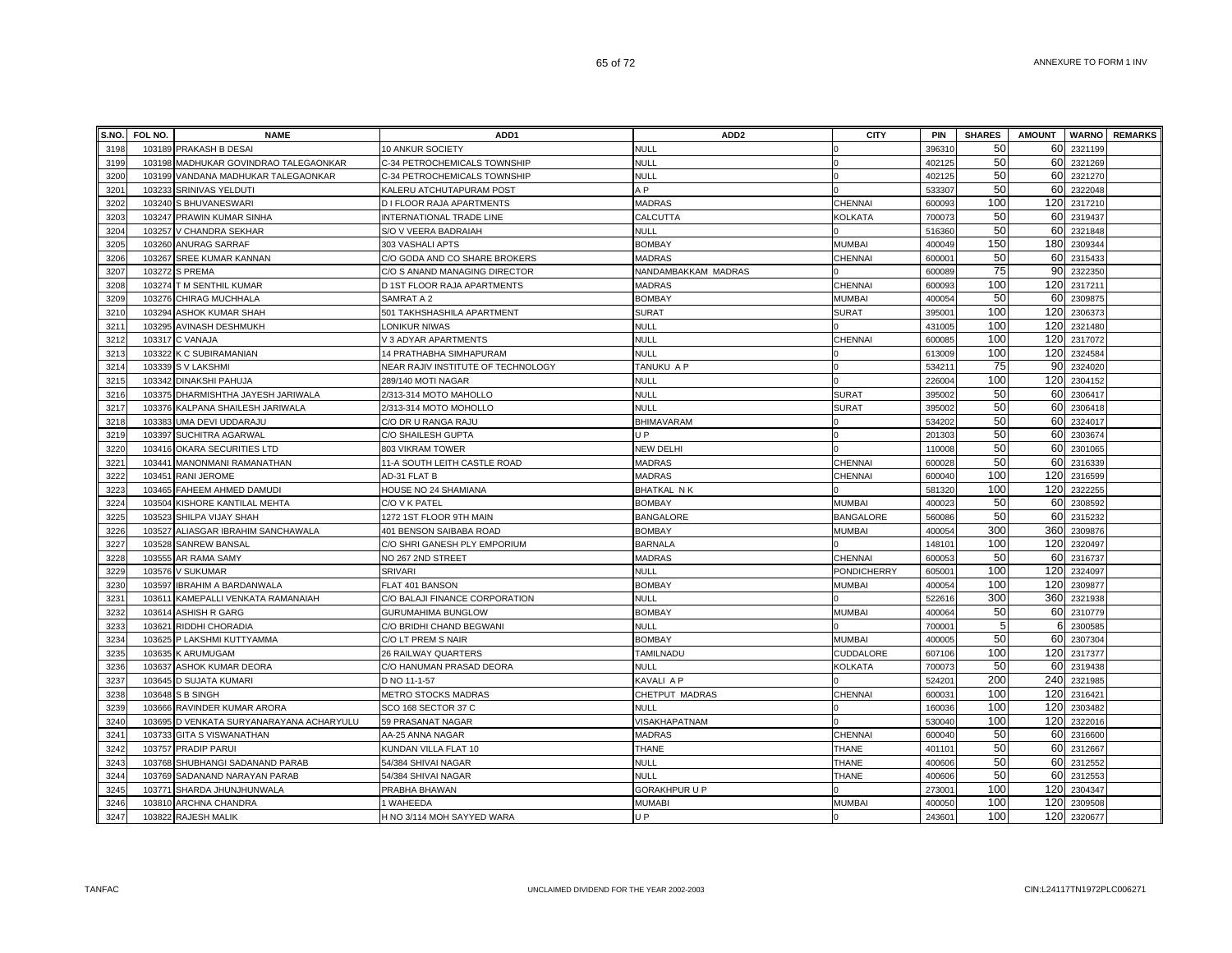| S.NO. | FOL NO. | <b>NAME</b>                           | ADD <sub>1</sub>                   | ADD <sub>2</sub>    | <b>CITY</b>      | PIN                | <b>SHARES</b> | <b>AMOUNT</b> |             | <b>WARNO</b> REMARKS |
|-------|---------|---------------------------------------|------------------------------------|---------------------|------------------|--------------------|---------------|---------------|-------------|----------------------|
| 3198  | 103189  | PRAKASH B DESAI                       | 10 ANKUR SOCIETY                   | <b>NULL</b>         |                  | 39631              | 50            | 60            | 2321199     |                      |
| 3199  |         | 103198 MADHUKAR GOVINDRAO TALEGAONKAR | C-34 PETROCHEMICALS TOWNSHIP       | <b>NULL</b>         |                  | 402125             | 50            | 60            | 2321269     |                      |
| 3200  |         | 103199 VANDANA MADHUKAR TALEGAONKAR   | C-34 PETROCHEMICALS TOWNSHIP       | <b>NULL</b>         | $\Omega$         | 402125             | 50            | 60            | 2321270     |                      |
| 3201  | 103233  | SRINIVAS YELDUTI                      | KALERU ATCHUTAPURAM POST           | A <sub>P</sub>      |                  | 533307             | 50            |               | 60 2322048  |                      |
| 3202  |         | 103240 S BHUVANESWARI                 | D I FLOOR RAJA APARTMENTS          | <b>MADRAS</b>       | <b>CHENNAI</b>   | 600093             | 100           | 120           | 2317210     |                      |
| 3203  |         | 103247 PRAWIN KUMAR SINHA             | INTERNATIONAL TRADE LINE           | CALCUTTA            | <b>KOLKATA</b>   | 700073             | 50            |               | 60 2319437  |                      |
| 3204  |         | 103257 V CHANDRA SEKHAR               | S/O V VEERA BADRAIAH               | <b>NULL</b>         |                  | 516360             | 50            |               | 60 2321848  |                      |
| 3205  |         | 103260 ANURAG SARRAF                  | 303 VASHALI APTS                   | <b>BOMBAY</b>       | <b>MUMBAI</b>    | 400049             | 150           | 180           | 2309344     |                      |
| 3206  | 103267  | <b>SREE KUMAR KANNAN</b>              | C/O GODA AND CO SHARE BROKERS      | <b>MADRAS</b>       | CHENNAI          | 60000 <sup>-</sup> | 50            |               | 60 2315433  |                      |
| 3207  | 103272  | <b>S PREMA</b>                        | C/O S ANAND MANAGING DIRECTOR      | NANDAMBAKKAM MADRAS |                  | 600089             | 75            | 90            | 2322350     |                      |
| 3208  |         | 103274 T M SENTHIL KUMAR              | D 1ST FLOOR RAJA APARTMENTS        | <b>MADRAS</b>       | CHENNAI          | 60009              | 100           | 120           | 2317211     |                      |
| 3209  | 103276  | CHIRAG MUCHHALA                       | SAMRAT A 2                         | <b>BOMBAY</b>       | <b>MUMBAI</b>    | 40005              | 50            | 60            | 2309875     |                      |
| 3210  | 103294  | ASHOK KUMAR SHAH                      | 501 TAKHSHASHILA APARTMENT         | <b>SURAT</b>        | <b>SURAT</b>     | 39500              | 100           | 120           | 2306373     |                      |
| 3211  | 103295  | AVINASH DESHMUKH                      | ONIKUR NIWAS                       | <b>NULL</b>         |                  | 43100              | 100           | 120           | 2321480     |                      |
| 3212  | 103317  | C VANAJA                              | V 3 ADYAR APARTMENTS               | <b>NULL</b>         | <b>CHENNAI</b>   | 60008              | 100           | 120           | 2317072     |                      |
| 3213  |         | 103322 K C SUBIRAMANIAN               | 14 PRATHABHA SIMHAPURAM            | <b>NULL</b>         |                  | 613009             | 100           | 120           | 2324584     |                      |
| 3214  |         | 103339 S V LAKSHMI                    | NEAR RAJIV INSTITUTE OF TECHNOLOGY | TANUKU A P          |                  | 53421              | 75            | 90            | 2324020     |                      |
| 3215  |         | 103342 DINAKSHI PAHUJA                | 289/140 MOTI NAGAR                 | <b>NULL</b>         |                  | 226004             | 100           | 120           | 2304152     |                      |
| 3216  |         | 103375 DHARMISHTHA JAYESH JARIWALA    | 2/313-314 MOTO MAHOLLO             | NULL                | <b>SURAT</b>     | 395002             | 50            |               | 60 2306417  |                      |
| 3217  |         | 103376 KALPANA SHAILESH JARIWALA      | 2/313-314 MOTO MOHOLLO             | <b>NULL</b>         | SURAT            | 395002             | 50            | 60            | 2306418     |                      |
| 3218  | 103383  | UMA DEVI UDDARAJU                     | C/O DR U RANGA RAJU                | <b>BHIMAVARAM</b>   |                  | 534202             | 50            |               | 60 2324017  |                      |
| 3219  | 103397  | SUCHITRA AGARWAL                      | C/O SHAILESH GUPTA                 | U P                 |                  | 201303             | 50            | 60            | 2303674     |                      |
| 3220  | 103416  | OKARA SECURITIES LTD                  | 803 VIKRAM TOWER                   | <b>NEW DELHI</b>    |                  | 110008             | 50            | 60            | 2301065     |                      |
| 3221  | 103441  | MANONMANI RAMANATHAN                  | 11-A SOUTH LEITH CASTLE ROAD       | <b>MADRAS</b>       | CHENNAI          | 600028             | 50            | 60            | 2316339     |                      |
| 3222  | 103451  | <b>RANI JEROME</b>                    | AD-31 FLAT B                       | <b>MADRAS</b>       | <b>CHENNAI</b>   | 600040             | 100           | 120           | 2316599     |                      |
| 3223  |         | 103465 FAHEEM AHMED DAMUDI            | <b>HOUSE NO 24 SHAMIANA</b>        | <b>BHATKAL NK</b>   |                  | 581320             | 100           | 120           | 2322255     |                      |
| 3224  | 103504  | KISHORE KANTILAL MEHTA                | C/O V K PATEL                      | <b>BOMBAY</b>       | <b>MUMBAI</b>    | 40002              | 50            | 60            | 2308592     |                      |
| 3225  |         | 103523 SHILPA VIJAY SHAH              | 1272 1ST FLOOR 9TH MAIN            | <b>BANGALORE</b>    | <b>BANGALORE</b> | 560086             | 50            | 60            | 2315232     |                      |
| 3226  |         | 103527 ALIASGAR IBRAHIM SANCHAWALA    | 401 BENSON SAIBABA ROAD            | <b>BOMBAY</b>       | <b>MUMBAI</b>    | 400054             | 300           |               | 360 2309876 |                      |
| 3227  |         | 103528 SANREW BANSAL                  | C/O SHRI GANESH PLY EMPORIUM       | <b>BARNALA</b>      |                  | 14810              | 100           | 120           | 2320497     |                      |
| 3228  | 103555  | AR RAMA SAMY                          | NO 267 2ND STREET                  | <b>MADRAS</b>       | <b>CHENNAI</b>   | 60005              | 50            | 60            | 2316737     |                      |
| 3229  | 103576  | V SUKUMAR                             | <b>SRIVARI</b>                     | <b>NULL</b>         | PONDICHERRY      | 60500              | 100           |               | 120 2324097 |                      |
| 3230  | 103597  | IBRAHIM A BARDANWALA                  | FLAT 401 BANSON                    | <b>BOMBAY</b>       | <b>MUMBAI</b>    | 400054             | 100           | 120           | 2309877     |                      |
| 3231  | 103611  | KAMEPALLI VENKATA RAMANAIAH           | C/O BALAJI FINANCE CORPORATION     | <b>NULL</b>         |                  | 52261              | 300           | 360           | 2321938     |                      |
| 3232  | 103614  | ASHISH R GARG                         | GURUMAHIMA BUNGLOW                 | <b>BOMBAY</b>       | <b>MUMBAI</b>    | 400064             | 50            |               | 60 2310779  |                      |
| 3233  | 103621  | RIDDHI CHORADIA                       | C/O BRIDHI CHAND BEGWANI           | <b>NULL</b>         |                  | 70000              | 5             | 6             | 2300585     |                      |
| 3234  | 103625  | P LAKSHMI KUTTYAMMA                   | C/O LT PREM S NAIR                 | <b>BOMBAY</b>       | <b>MUMBAI</b>    | 40000              | 50            | 60            | 2307304     |                      |
| 3235  | 103635  | K ARUMUGAM                            | 26 RAILWAY QUARTERS                | TAMILNADU           | CUDDALORE        | 607106             | 100           | 120           | 2317377     |                      |
| 3236  | 103637  | ASHOK KUMAR DEORA                     | C/O HANUMAN PRASAD DEORA           | <b>NULL</b>         | <b>KOLKATA</b>   | 700073             | 50            |               | 60 2319438  |                      |
| 3237  |         | 103645 D SUJATA KUMARI                | D NO 11-1-57                       | KAVALI A P          |                  | 524201             | 200           |               | 240 2321985 |                      |
| 3238  |         | 103648 S B SINGH                      | METRO STOCKS MADRAS                | CHETPUT MADRAS      | CHENNAI          | 60003              | 100           | 120           | 2316421     |                      |
| 3239  |         | 103666 RAVINDER KUMAR ARORA           | SCO 168 SECTOR 37 C                | NULL                |                  | 160036             | 100           |               | 120 2303482 |                      |
| 3240  | 103695  | D VENKATA SURYANARAYANA ACHARYULU     | 59 PRASANAT NAGAR                  | VISAKHAPATNAM       |                  | 530040             | 100           |               | 120 2322016 |                      |
| 3241  | 103733  | <b>GITA S VISWANATHAN</b>             | AA-25 ANNA NAGAR                   | <b>MADRAS</b>       | CHENNAI          | 60004              | 50            | 60            | 2316600     |                      |
| 3242  | 103757  | <b>PRADIP PARUI</b>                   | KUNDAN VILLA FLAT 10               | <b>THANE</b>        | <b>THANE</b>     | 40110              | 50            |               | 60 2312667  |                      |
| 3243  |         | 103768 SHUBHANGI SADANAND PARAB       | 54/384 SHIVAI NAGAR                | <b>NULL</b>         | <b>THANE</b>     | 400606             | 50            |               | 60 2312552  |                      |
| 3244  | 103769  | SADANAND NARAYAN PARAB                | 54/384 SHIVAI NAGAR                | <b>NULL</b>         | <b>THANE</b>     | 400606             | 50            | 60            | 2312553     |                      |
| 3245  | 103771  | SHARDA JHUNJHUNWALA                   | PRABHA BHAWAN                      | GORAKHPUR U P       |                  | 27300 <sup>-</sup> | 100           | 120           | 2304347     |                      |
| 3246  | 103810  | <b>ARCHNA CHANDRA</b>                 | 1 WAHEEDA                          | <b>MUMABI</b>       | <b>MUMBAI</b>    | 400050             | 100           |               | 120 2309508 |                      |
| 3247  |         | 103822 RAJESH MALIK                   | H NO 3/114 MOH SAYYED WARA         | U P                 |                  | 243601             | 100           |               | 120 2320677 |                      |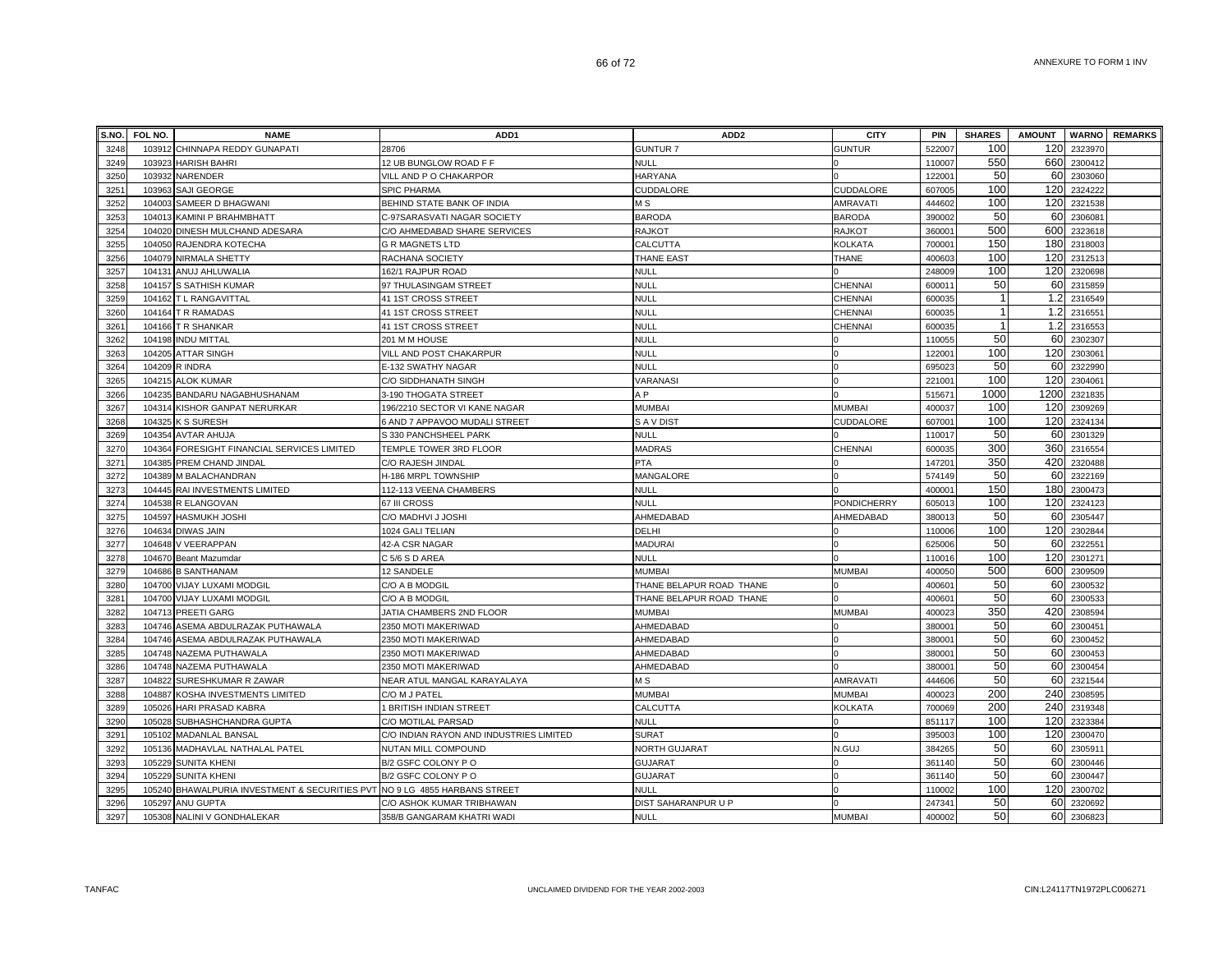| S.NO. | FOL NO. | <b>NAME</b>                                                         | ADD <sub>1</sub>                        | ADD <sub>2</sub>         | <b>CITY</b>        | PIN    | <b>SHARES</b>  | <b>AMOUNT</b> |             | <b>WARNO</b> REMARKS |
|-------|---------|---------------------------------------------------------------------|-----------------------------------------|--------------------------|--------------------|--------|----------------|---------------|-------------|----------------------|
| 3248  | 103912  | CHINNAPA REDDY GUNAPATI                                             | 28706                                   | <b>GUNTUR 7</b>          | <b>GUNTUR</b>      | 522007 | 100            | 120           | 2323970     |                      |
| 3249  | 103923  | <b>HARISH BAHRI</b>                                                 | 12 UB BUNGLOW ROAD F F                  | NULL                     |                    | 110007 | 550            | 660           | 2300412     |                      |
| 3250  |         | 103932 NARENDER                                                     | VILL AND P O CHAKARPOR                  | HARYANA                  |                    | 122001 | 50             | 60            | 2303060     |                      |
| 3251  | 103963  | SAJI GEORGE                                                         | SPIC PHARMA                             | CUDDALORE                | CUDDALORE          | 607005 | 100            | 120           | 2324222     |                      |
| 3252  |         | 104003 SAMEER D BHAGWANI                                            | BEHIND STATE BANK OF INDIA              | МS                       | <b>AMRAVATI</b>    | 444602 | 100            | 120           | 2321538     |                      |
| 3253  |         | 104013 KAMINI P BRAHMBHATT                                          | C-97SARASVATI NAGAR SOCIETY             | <b>BARODA</b>            | <b>BARODA</b>      | 390002 | 50             | 60            | 2306081     |                      |
| 3254  | 104020  | DINESH MULCHAND ADESARA                                             | C/O AHMEDABAD SHARE SERVICES            | RAJKOT                   | <b>RAJKOT</b>      | 36000  | 500            | 600           | 2323618     |                      |
| 3255  | 104050  | RAJENDRA KOTECHA                                                    | <b>G R MAGNETS LTD</b>                  | CALCUTTA                 | KOLKATA            | 70000  | 150            | 180           | 2318003     |                      |
| 3256  | 104079  | NIRMALA SHETTY                                                      | RACHANA SOCIETY                         | <b>THANE EAST</b>        | <b>THANE</b>       | 40060  | 100            | 120           | 2312513     |                      |
| 3257  | 10413'  | ANUJ AHLUWALIA                                                      | 162/1 RAJPUR ROAD                       | <b>NULL</b>              |                    | 248009 | 100            | 120           | 2320698     |                      |
| 3258  | 104157  | S SATHISH KUMAR                                                     | 97 THULASINGAM STREET                   | <b>NULL</b>              | CHENNAI            | 60001  | 50             | 60            | 2315859     |                      |
| 3259  | 104162  | T L RANGAVITTAL                                                     | 41 1ST CROSS STREET                     | <b>NULL</b>              | CHENNAI            | 60003  | $\mathbf{1}$   | 1.2           | 2316549     |                      |
| 3260  |         | 104164 T R RAMADAS                                                  | 41 1ST CROSS STREET                     | <b>NULL</b>              | <b>CHENNAI</b>     | 600035 | $\mathbf{1}$   | 1.2           | 2316551     |                      |
| 3261  |         | 104166 T R SHANKAR                                                  | 41 1ST CROSS STREET                     | <b>NULL</b>              | <b>CHENNAI</b>     | 60003  | $\overline{1}$ | 1.2           | 2316553     |                      |
| 3262  | 104198  | <b>INDU MITTAL</b>                                                  | 201 M M HOUSE                           | <b>NULL</b>              |                    | 110055 | 50             | 60            | 2302307     |                      |
| 3263  |         | 104205 ATTAR SINGH                                                  | VILL AND POST CHAKARPUR                 | NULL                     |                    | 122001 | 100            | 120           | 2303061     |                      |
| 3264  |         | 104209 R INDRA                                                      | E-132 SWATHY NAGAR                      | <b>NULL</b>              |                    | 69502  | 50             | 60            | 2322990     |                      |
| 3265  |         | 104215 ALOK KUMAR                                                   | C/O SIDDHANATH SINGH                    | VARANASI                 |                    | 221001 | 100            | 120           | 2304061     |                      |
| 3266  | 104235  | BANDARU NAGABHUSHANAM                                               | 3-190 THOGATA STREET                    | A <sub>P</sub>           |                    | 51567  | 1000           | 1200          | 2321835     |                      |
| 3267  | 104314  | KISHOR GANPAT NERURKAR                                              | 196/2210 SECTOR VI KANE NAGAR           | MUMBAI                   | <b>MUMBAI</b>      | 40003  | 100            | 120           | 2309269     |                      |
| 3268  | 104325  | <b>K S SURESH</b>                                                   | 6 AND 7 APPAVOO MUDALI STREET           | S A V DIST               | CUDDALORE          | 60700  | 100            | 120           | 2324134     |                      |
| 3269  | 104354  | <b>AVTAR AHUJA</b>                                                  | S 330 PANCHSHEEL PARK                   | <b>NULL</b>              |                    | 11001  | 50             | 60            | 2301329     |                      |
| 3270  | 104364  | FORESIGHT FINANCIAL SERVICES LIMITED                                | TEMPLE TOWER 3RD FLOOR                  | <b>MADRAS</b>            | <b>CHENNAI</b>     | 60003  | 300            |               | 360 2316554 |                      |
| 3271  |         | 104385 PREM CHAND JINDAL                                            | C/O RAJESH JINDAL                       | <b>PTA</b>               |                    | 14720  | 350            | 420           | 2320488     |                      |
| 3272  |         | 104389 M BALACHANDRAN                                               | H-186 MRPL TOWNSHIP                     | MANGALORE                |                    | 574149 | 50             | 60            | 2322169     |                      |
| 3273  |         | 104445 RAI INVESTMENTS LIMITED                                      | 112-113 VEENA CHAMBERS                  | NULL                     |                    | 40000  | 150            | 180           | 2300473     |                      |
| 3274  |         | 104538 R ELANGOVAN                                                  | 67 III CROSS                            | <b>NULL</b>              | <b>PONDICHERRY</b> | 605013 | 100            | 120           | 2324123     |                      |
| 3275  |         | 104597 HASMUKH JOSHI                                                | C/O MADHVI J JOSHI                      | AHMEDABAD                | AHMEDABAD          | 38001  | 50             | 60            | 2305447     |                      |
| 3276  |         | 104634 DIWAS JAIN                                                   | 1024 GALI TELIAN                        | DELHI                    |                    | 110006 | 100            | 120           | 2302844     |                      |
| 3277  | 104648  | <b>V VEERAPPAN</b>                                                  | 42-A CSR NAGAR                          | MADURAI                  |                    | 62500  | 50             | 60            | 2322551     |                      |
| 3278  | 104670  | Beant Mazumdar                                                      | C 5/6 S D AREA                          | <b>NULL</b>              |                    | 11001  | 100            | 120           | 2301271     |                      |
| 3279  | 104686  | <b>B SANTHANAM</b>                                                  | 12 SANDELE                              | <b>MUMBAI</b>            | <b>MUMBAI</b>      | 400050 | 500            | 600           | 2309509     |                      |
| 3280  | 104700  | VIJAY LUXAMI MODGIL                                                 | C/O A B MODGIL                          | THANE BELAPUR ROAD THANE |                    | 40060  | 50             | 60            | 2300532     |                      |
| 3281  | 104700  | VIJAY LUXAMI MODGIL                                                 | C/O A B MODGIL                          | THANE BELAPUR ROAD THANE |                    | 40060  | 50             | 60            | 2300533     |                      |
| 3282  |         | 104713 PREETI GARG                                                  | JATIA CHAMBERS 2ND FLOOR                | MUMBAI                   | <b>MUMBAI</b>      | 40002  | 350            | 420           | 2308594     |                      |
| 3283  |         | 104746 ASEMA ABDULRAZAK PUTHAWALA                                   | 2350 MOTI MAKERIWAD                     | AHMEDABAD                |                    | 38000  | 50             | 60            | 2300451     |                      |
| 3284  |         | 104746 ASEMA ABDULRAZAK PUTHAWALA                                   | 2350 MOTI MAKERIWAD                     | AHMEDABAD                |                    | 38000  | 50             | 60            | 2300452     |                      |
| 3285  |         | 104748 NAZEMA PUTHAWALA                                             | 2350 MOTI MAKERIWAD                     | AHMEDABAD                |                    | 38000  | 50             | 60            | 2300453     |                      |
| 3286  |         | 104748 NAZEMA PUTHAWALA                                             | 2350 MOTI MAKERIWAD                     | AHMEDABAD                |                    | 38000  | 50             | 60            | 2300454     |                      |
| 3287  | 104822  | SURESHKUMAR R ZAWAR                                                 | NEAR ATUL MANGAL KARAYALAYA             | МS                       | <b>AMRAVATI</b>    | 44460  | 50             | 60            | 2321544     |                      |
| 3288  | 104887  | KOSHA INVESTMENTS LIMITED                                           | C/O M J PATEL                           | MUMBAI                   | MUMBAI             | 40002  | 200            | 240           | 2308595     |                      |
| 3289  | 105026  | <b>HARI PRASAD KABRA</b>                                            | 1 BRITISH INDIAN STREET                 | CALCUTTA                 | KOLKATA            | 700069 | 200            | 240           | 2319348     |                      |
| 3290  | 105028  | SUBHASHCHANDRA GUPTA                                                | C/O MOTILAL PARSAD                      | <b>NULL</b>              |                    | 851117 | 100            | 120           | 2323384     |                      |
| 3291  | 105102  | <b>MADANLAL BANSAL</b>                                              | C/O INDIAN RAYON AND INDUSTRIES LIMITED | <b>SURAT</b>             |                    | 39500  | 100            | 120           | 2300470     |                      |
| 3292  |         | 105136 MADHAVLAL NATHALAL PATEL                                     | NUTAN MILL COMPOUND                     | NORTH GUJARAT            | N.GUJ              | 384265 | 50             | 60            | 2305911     |                      |
| 3293  | 105229  | <b>SUNITA KHENI</b>                                                 | B/2 GSFC COLONY P O                     | GUJARAT                  |                    | 361140 | 50             | 60            | 2300446     |                      |
| 3294  | 105229  | <b>SUNITA KHENI</b>                                                 | B/2 GSFC COLONY P O                     | <b>GUJARAT</b>           |                    | 361140 | 50             | 60            | 2300447     |                      |
| 3295  | 105240  | BHAWALPURIA INVESTMENT & SECURITIES PVT NO 9 LG 4855 HARBANS STREET |                                         | <b>NULL</b>              |                    | 110002 | 100            | 120           | 2300702     |                      |
| 3296  |         | 105297 ANU GUPTA                                                    | C/O ASHOK KUMAR TRIBHAWAN               | DIST SAHARANPUR U P      |                    | 24734  | 50<br>50       | 60            | 2320692     |                      |
| 3297  |         | 105308 NALINI V GONDHALEKAR                                         | 358/B GANGARAM KHATRI WADI              | <b>NULL</b>              | <b>MUMBAI</b>      | 400002 |                |               | 60 2306823  |                      |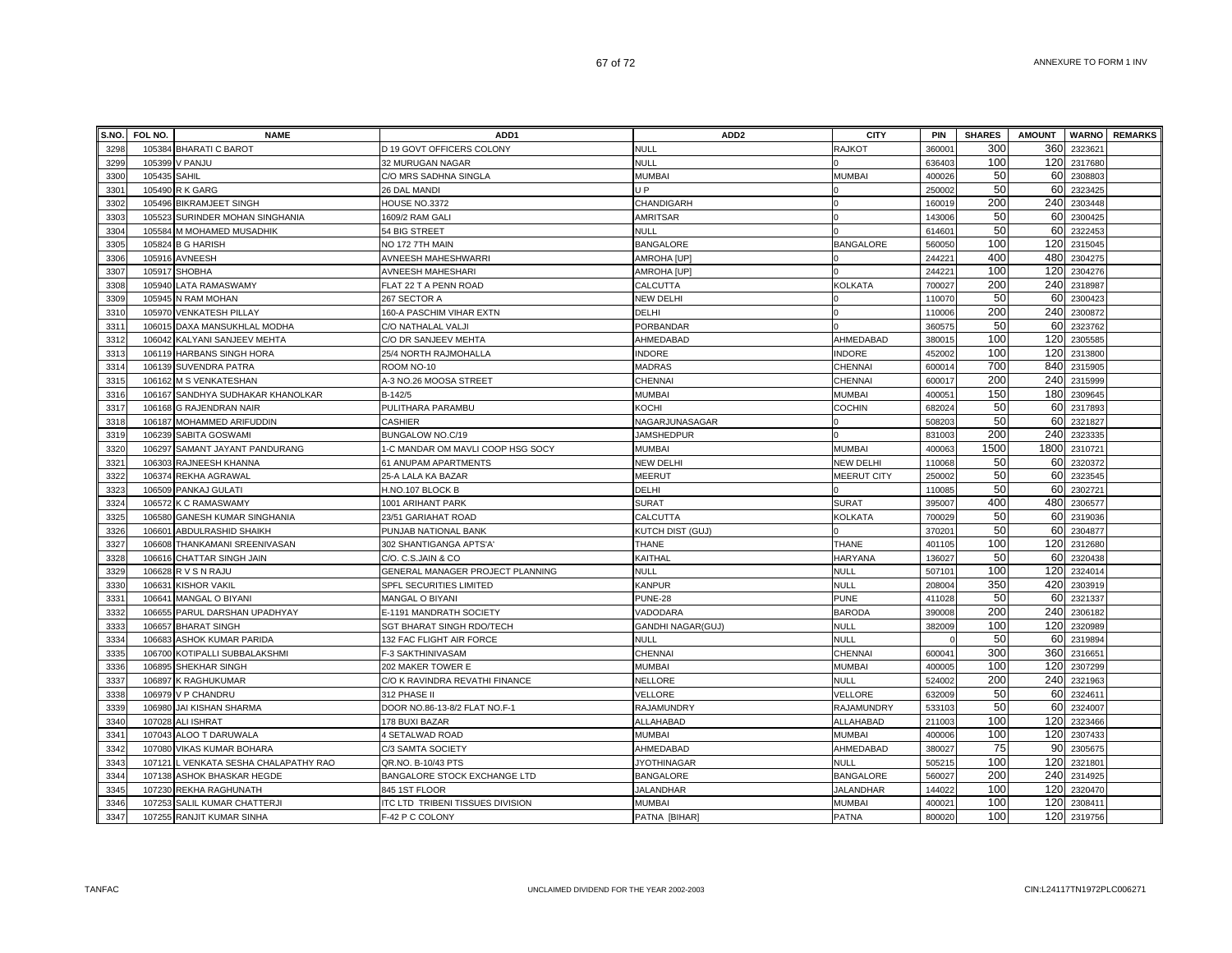| S.NO. | FOL NO.      | <b>NAME</b>                           | ADD <sub>1</sub>                  | ADD <sub>2</sub>         | <b>CITY</b>        | <b>PIN</b>         | <b>SHARES</b> | <b>AMOUNT</b> |         | <b>WARNO</b> REMARKS |
|-------|--------------|---------------------------------------|-----------------------------------|--------------------------|--------------------|--------------------|---------------|---------------|---------|----------------------|
| 3298  |              | 105384 BHARATI C BAROT                | D 19 GOVT OFFICERS COLONY         | <b>NULL</b>              | <b>RAJKOT</b>      | 36000 <sup>-</sup> | 300           | 360           | 2323621 |                      |
| 3299  |              | 105399 V PANJU                        | 32 MURUGAN NAGAR                  | <b>NULL</b>              |                    | 636403             | 100           | 120           | 2317680 |                      |
| 3300  | 105435 SAHIL |                                       | C/O MRS SADHNA SINGLA             | <b>MUMBAI</b>            | <b>MUMBAI</b>      | 400026             | 50            | 60            | 2308803 |                      |
| 3301  |              | 105490 R K GARG                       | 26 DAL MANDI                      | J P                      |                    | 250002             | 50            | 60            | 2323425 |                      |
| 3302  |              | 105496 BIKRAMJEET SINGH               | HOUSE NO.3372                     | CHANDIGARH               |                    | 160019             | 200           | 240           | 2303448 |                      |
| 3303  |              | 105523 SURINDER MOHAN SINGHANIA       | 1609/2 RAM GALI                   | <b>AMRITSAR</b>          |                    | 143006             | 50            | 60            | 2300425 |                      |
| 3304  |              | 105584 M MOHAMED MUSADHIK             | 54 BIG STREET                     | <b>NULL</b>              |                    | 61460              | 50            | 60            | 232245  |                      |
| 3305  |              | 105824 B G HARISH                     | NO 172 7TH MAIN                   | <b>BANGALORE</b>         | <b>BANGALORE</b>   | 56005              | 100           | 120           | 2315045 |                      |
| 3306  | 105916       | <b>AVNEESH</b>                        | AVNEESH MAHESHWARRI               | AMROHA [UP]              |                    | 24422              | 400           | 480           | 2304275 |                      |
| 3307  |              | 105917 SHOBHA                         | AVNEESH MAHESHARI                 | AMROHA [UP]              |                    | 24422              | 100           | 120           | 2304276 |                      |
| 3308  |              | 105940 LATA RAMASWAMY                 | FLAT 22 T A PENN ROAD             | CALCUTTA                 | <b>KOLKATA</b>     | 700027             | 200           | 240           | 2318987 |                      |
| 3309  |              | 105945 N RAM MOHAN                    | 267 SECTOR A                      | <b>NEW DELHI</b>         |                    | 110070             | 50            | 60            | 2300423 |                      |
| 3310  |              | 105970 VENKATESH PILLAY               | 160-A PASCHIM VIHAR EXTN          | DELHI                    |                    | 110006             | 200           | 240           | 2300872 |                      |
| 3311  |              | 106015 DAXA MANSUKHLAL MODHA          | C/O NATHALAL VALJI                | PORBANDAR                |                    | 360575             | 50            | 60            | 2323762 |                      |
| 3312  |              | 106042 KALYANI SANJEEV MEHTA          | C/O DR SANJEEV MEHTA              | AHMEDABAD                | AHMEDABAD          | 38001              | 100           | 120           | 2305585 |                      |
| 3313  |              | 106119 HARBANS SINGH HORA             | 25/4 NORTH RAJMOHALLA             | <b>INDORE</b>            | <b>INDORE</b>      | 452002             | 100           | 120           | 2313800 |                      |
| 3314  |              | 106139 SUVENDRA PATRA                 | ROOM NO-10                        | <b>MADRAS</b>            | CHENNAI            | 60001              | 700           | 840           | 2315905 |                      |
| 3315  |              | 106162 M S VENKATESHAN                | A-3 NO.26 MOOSA STREET            | <b>CHENNAI</b>           | CHENNAI            | 60001              | 200           | 240           | 2315999 |                      |
| 3316  | 106167       | SANDHYA SUDHAKAR KHANOLKAR            | B-142/5                           | <b>MUMBAI</b>            | <b>MUMBAI</b>      | 40005              | 150           | 180           | 2309645 |                      |
| 3317  |              | 106168 G RAJENDRAN NAIR               | PULITHARA PARAMBU                 | KOCHI                    | <b>COCHIN</b>      | 682024             | 50            | 60            | 2317893 |                      |
| 3318  |              | 106187 MOHAMMED ARIFUDDIN             | <b>CASHIER</b>                    | NAGARJUNASAGAR           |                    | 508203             | 50            | 60            | 2321827 |                      |
| 3319  |              | 106239 SABITA GOSWAMI                 | BUNGALOW NO.C/19                  | JAMSHEDPUR               |                    | 831003             | 200           | 240           | 2323335 |                      |
| 3320  |              | 106297 SAMANT JAYANT PANDURANG        | 1-C MANDAR OM MAVLI COOP HSG SOCY | <b>MUMBAI</b>            | <b>MUMBAI</b>      | 40006              | 1500          | 1800          | 2310721 |                      |
| 3321  |              | 106303 RAJNEESH KHANNA                | 61 ANUPAM APARTMENTS              | <b>NEW DELHI</b>         | <b>NEW DELHI</b>   | 110068             | 50            | 60            | 2320372 |                      |
| 3322  |              | 106374 REKHA AGRAWAL                  | 25-A LALA KA BAZAR                | <b>MEERUT</b>            | <b>MEERUT CITY</b> | 250002             | 50            | 60            | 2323545 |                      |
| 3323  |              | 106509 PANKAJ GULATI                  | H.NO.107 BLOCK B                  | DELHI                    |                    | 110085             | 50            | 60            | 2302721 |                      |
| 3324  |              | 106572 K C RAMASWAMY                  | 1001 ARIHANT PARK                 | <b>SURAT</b>             | <b>SURAT</b>       | 395007             | 400           | 480           | 2306577 |                      |
| 3325  | 106580       | <b>GANESH KUMAR SINGHANIA</b>         | 23/51 GARIAHAT ROAD               | CALCUTTA                 | KOLKATA            | 700029             | 50            | 60            | 2319036 |                      |
| 3326  | 106601       | <b>ABDULRASHID SHAIKH</b>             | PUNJAB NATIONAL BANK              | KUTCH DIST (GUJ)         |                    | 37020              | 50            | 60            | 2304877 |                      |
| 3327  | 106608       | THANKAMANI SREENIVASAN                | 302 SHANTIGANGA APTS'A            | <b>THANE</b>             | <b>THANE</b>       | 401105             | 100           | 120           | 2312680 |                      |
| 3328  |              | 106616 CHATTAR SINGH JAIN             | C/O. C.S.JAIN & CO                | KAITHAL                  | <b>HARYANA</b>     | 136027             | 50            | 60            | 2320438 |                      |
| 3329  |              | 106628 R V S N RAJU                   | GENERAL MANAGER PROJECT PLANNING  | <b>NULL</b>              | <b>NULL</b>        | 50710              | 100           | 120           | 2324014 |                      |
| 3330  |              | 106631 KISHOR VAKIL                   | SPFL SECURITIES LIMITED           | <b>KANPUR</b>            | <b>NULL</b>        | 208004             | 350           | 420           | 2303919 |                      |
| 3331  |              | 106641 MANGAL O BIYANI                | MANGAL O BIYANI                   | PUNE-28                  | <b>PUNE</b>        | 411028             | 50            | 60            | 2321337 |                      |
| 3332  |              | 106655 PARUL DARSHAN UPADHYAY         | E-1191 MANDRATH SOCIETY           | VADODARA                 | <b>BARODA</b>      | 390008             | 200           | 240           | 2306182 |                      |
| 3333  |              | 106657 BHARAT SINGH                   | SGT BHARAT SINGH RDO/TECH         | <b>GANDHI NAGAR(GUJ)</b> | <b>NULL</b>        | 382009             | 100           | 120           | 2320989 |                      |
| 3334  |              | 106683 ASHOK KUMAR PARIDA             | 132 FAC FLIGHT AIR FORCE          | <b>NULL</b>              | <b>NULL</b>        |                    | 50            | 60            | 2319894 |                      |
| 3335  |              | 106700 KOTIPALLI SUBBALAKSHMI         | F-3 SAKTHINIVASAM                 | <b>CHENNAI</b>           | <b>CHENNAI</b>     | 60004              | 300           | 360           | 2316651 |                      |
| 3336  | 106895       | SHEKHAR SINGH                         | 202 MAKER TOWER E                 | <b>MUMBAI</b>            | <b>MUMBAI</b>      | 400005             | 100           | 120           | 2307299 |                      |
| 3337  |              | 106897 K RAGHUKUMAR                   | C/O K RAVINDRA REVATHI FINANCE    | <b>NELLORE</b>           | <b>NULL</b>        | 524002             | 200           | 240           | 2321963 |                      |
| 3338  | 106979       | V P CHANDRU                           | 312 PHASE II                      | VELLORE                  | VELLORE            | 632009             | 50            | 60            | 232461  |                      |
| 3339  | 106980       | JAI KISHAN SHARMA                     | DOOR NO.86-13-8/2 FLAT NO.F-1     | RAJAMUNDRY               | RAJAMUNDRY         | 533103             | 50            | 60            | 2324007 |                      |
| 3340  |              | 107028 ALI ISHRAT                     | 178 BUXI BAZAR                    | ALLAHABAD                | ALLAHABAD          | 211003             | 100           | 120           | 2323466 |                      |
| 334   |              | 107043 ALOO T DARUWALA                | 4 SETALWAD ROAD                   | <b>MUMBAI</b>            | <b>MUMBAI</b>      | 400006             | 100           | 120           | 2307433 |                      |
| 3342  |              | 107080 VIKAS KUMAR BOHARA             | C/3 SAMTA SOCIETY                 | AHMEDABAD                | AHMEDABAD          | 380027             | 75            | 90            | 2305675 |                      |
| 3343  |              | 107121 L VENKATA SESHA CHALAPATHY RAO | QR.NO. B-10/43 PTS                | <b>JYOTHINAGAR</b>       | <b>NULL</b>        | 505215             | 100           | 120           | 2321801 |                      |
| 3344  |              | 107138 ASHOK BHASKAR HEGDE            | BANGALORE STOCK EXCHANGE LTD      | <b>BANGALORE</b>         | <b>BANGALORE</b>   | 560027             | 200           | 240           | 2314925 |                      |
| 3345  |              | 107230 REKHA RAGHUNATH                | 845 1ST FLOOR                     | <b>JALANDHAR</b>         | <b>JALANDHAR</b>   | 144022             | 100           | 120           | 2320470 |                      |
| 3346  |              | 107253 SALIL KUMAR CHATTERJI          | ITC LTD TRIBENI TISSUES DIVISION  | MUMBAI                   | <b>MUMBAI</b>      | 40002              | 100           | 120           | 230841  |                      |
| 3347  |              | 107255 RANJIT KUMAR SINHA             | F-42 P C COLONY                   | PATNA [BIHAR]            | <b>PATNA</b>       | 800020             | 100           | 120           | 2319756 |                      |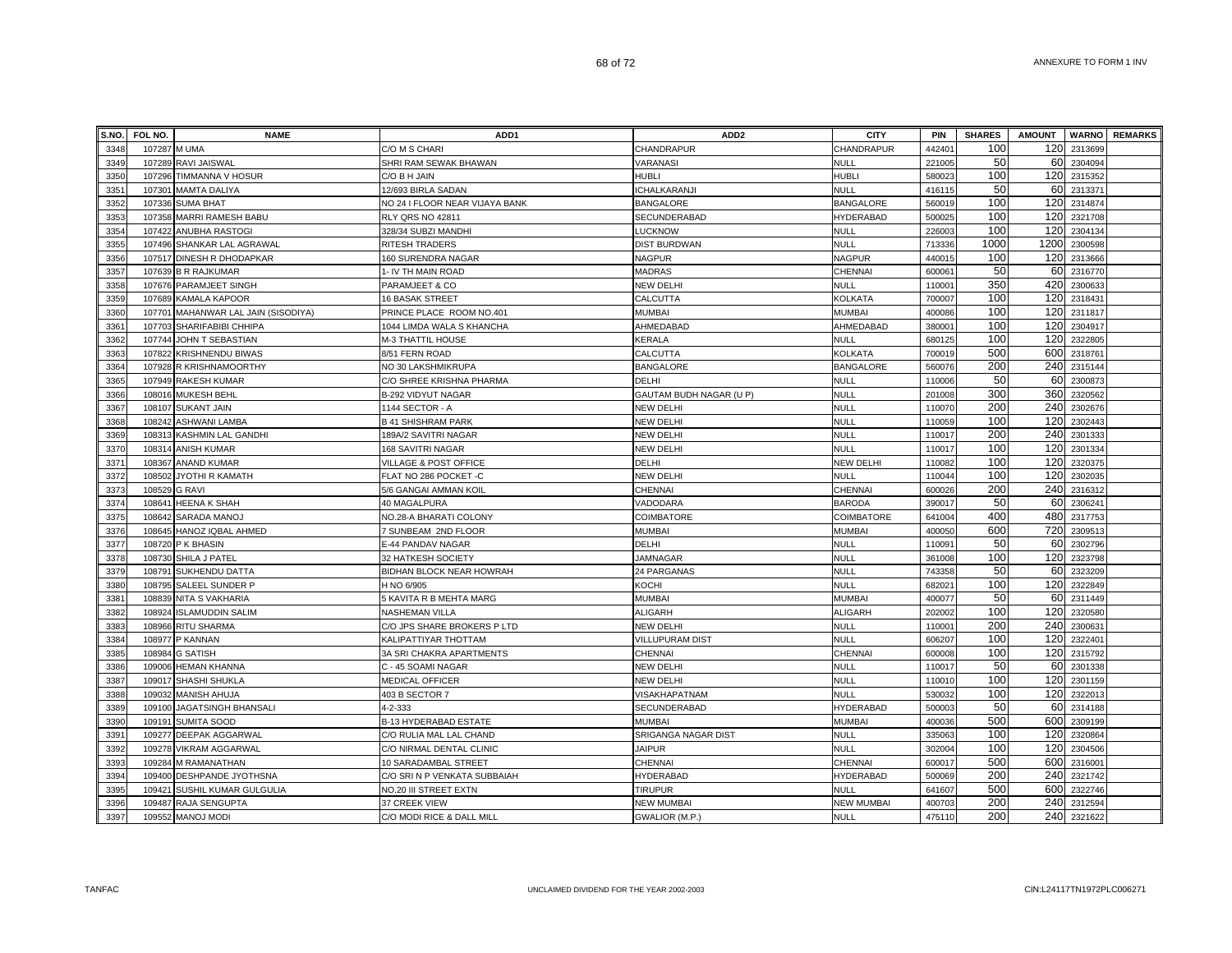| S.NO. | FOL NO.      | <b>NAME</b>                         | ADD1                           | ADD <sub>2</sub>        | <b>CITY</b>       | PIN                | <b>SHARES</b> | <b>AMOUNT</b> |             | <b>WARNO</b> REMARKS |
|-------|--------------|-------------------------------------|--------------------------------|-------------------------|-------------------|--------------------|---------------|---------------|-------------|----------------------|
| 3348  | 107287 M UMA |                                     | C/O M S CHARI                  | CHANDRAPUR              | CHANDRAPUR        | 44240 <sup>-</sup> | 100           | 120           | 2313699     |                      |
| 3349  |              | 107289 RAVI JAISWAL                 | SHRI RAM SEWAK BHAWAN          | VARANASI                | <b>NULL</b>       | 221005             | 50            | 60            | 2304094     |                      |
| 3350  |              | 107296 TIMMANNA V HOSUR             | C/O B H JAIN                   | HUBLI                   | <b>HUBLI</b>      | 580023             | 100           | 120           | 2315352     |                      |
| 3351  | 107301       | <b>MAMTA DALIYA</b>                 | 12/693 BIRLA SADAN             | CHALKARANJI             | <b>NULL</b>       | 416115             | 50            | 60            | 2313371     |                      |
| 3352  |              | 107336 SUMA BHAT                    | NO 24 I FLOOR NEAR VIJAYA BANK | <b>BANGALORE</b>        | <b>BANGALORE</b>  | 560019             | 100           | 120           | 2314874     |                      |
| 3353  | 107358       | <b>MARRI RAMESH BABU</b>            | RLY QRS NO 42811               | SECUNDERABAD            | <b>HYDERABAD</b>  | 500025             | 100           | 120           | 2321708     |                      |
| 3354  | 107422       | <b>ANUBHA RASTOGI</b>               | 328/34 SUBZI MANDHI            | LUCKNOW                 | <b>NULL</b>       | 226003             | 100           | 120           | 2304134     |                      |
| 3355  | 107496       | SHANKAR LAL AGRAWAL                 | <b>RITESH TRADERS</b>          | <b>DIST BURDWAN</b>     | <b>NULL</b>       | 713336             | 1000          | 1200          | 2300598     |                      |
| 3356  | 107517       | DINESH R DHODAPKAR                  | 160 SURENDRA NAGAR             | <b>NAGPUR</b>           | <b>NAGPUR</b>     | 44001              | 100           | 120           | 2313666     |                      |
| 3357  | 107639       | <b>B R RAJKUMAR</b>                 | 1- IV TH MAIN ROAD             | MADRAS                  | <b>CHENNAI</b>    | 60006              | 50            | 60            | 2316770     |                      |
| 3358  | 107676       | PARAMJEET SINGH                     | PARAMJEET & CO                 | <b>NEW DELHI</b>        | <b>NULL</b>       | 11000 <sup>-</sup> | 350           | 420           | 2300633     |                      |
| 3359  | 107689       | <b>KAMALA KAPOOR</b>                | <b>16 BASAK STREET</b>         | CALCUTTA                | <b>KOLKATA</b>    | 700007             | 100           | 120           | 2318431     |                      |
| 3360  |              | 107701 MAHANWAR LAL JAIN (SISODIYA) | PRINCE PLACE ROOM NO.401       | <b>MUMBAI</b>           | <b>MUMBAI</b>     | 400086             | 100           | 120           | 2311817     |                      |
| 3361  |              | 107703 SHARIFABIBI CHHIPA           | 1044 LIMDA WALA S KHANCHA      | AHMEDABAD               | AHMEDABAD         | 380001             | 100           | 120           | 2304917     |                      |
| 3362  |              | 107744 JOHN T SEBASTIAN             | M-3 THATTIL HOUSE              | KERALA                  | <b>NULL</b>       | 680125             | 100           | 120           | 2322805     |                      |
| 3363  |              | 107822 KRISHNENDU BIWAS             | 8/51 FERN ROAD                 | CALCUTTA                | KOLKATA           | 700019             | 500           | 600           | 2318761     |                      |
| 3364  |              | 107928 R KRISHNAMOORTHY             | NO 30 LAKSHMIKRUPA             | <b>BANGALORE</b>        | <b>BANGALORE</b>  | 560076             | 200           | 240           | 2315144     |                      |
| 3365  | 107949       | <b>RAKESH KUMAR</b>                 | C/O SHREE KRISHNA PHARMA       | <b>DELHI</b>            | <b>NULL</b>       | 110006             | 50            | 60            | 2300873     |                      |
| 3366  | 108016       | <b>MUKESH BEHL</b>                  | <b>B-292 VIDYUT NAGAR</b>      | GAUTAM BUDH NAGAR (U P) | <b>NULL</b>       | 201008             | 300           | 360           | 2320562     |                      |
| 3367  | 108107       | <b>SUKANT JAIN</b>                  | 1144 SECTOR - A                | <b>NEW DELHI</b>        | <b>NULL</b>       | 110070             | 200           | 240           | 2302676     |                      |
| 3368  | 108242       | <b>ASHWANI LAMBA</b>                | <b>B 41 SHISHRAM PARK</b>      | <b>NEW DELHI</b>        | <b>NULL</b>       | 110059             | 100           | 120           | 2302443     |                      |
| 3369  | 108313       | <b>KASHMIN LAL GANDHI</b>           | 189A/2 SAVITRI NAGAR           | <b>NEW DELHI</b>        | <b>NULL</b>       | 11001              | 200           | 240           | 2301333     |                      |
| 3370  | 108314       | <b>ANISH KUMAR</b>                  | 168 SAVITRI NAGAR              | <b>NEW DELHI</b>        | <b>NULL</b>       | 11001              | 100           | 120           | 2301334     |                      |
| 3371  | 108367       | <b>ANAND KUMAR</b>                  | VILLAGE & POST OFFICE          | <b>DELHI</b>            | <b>NEW DELHI</b>  | 110082             | 100           | 120           | 2320375     |                      |
| 3372  | 108502       | JYOTHI R KAMATH                     | FLAT NO 286 POCKET -C          | <b>NEW DELHI</b>        | <b>NULL</b>       | 110044             | 100           | 120           | 2302035     |                      |
| 3373  | 108529       | <b>G RAVI</b>                       | 5/6 GANGAI AMMAN KOIL          | CHENNAI                 | CHENNAI           | 600026             | 200           | 240           | 2316312     |                      |
| 3374  | 108641       | <b>HEENA K SHAH</b>                 | 40 MAGALPURA                   | <b>VADODARA</b>         | <b>BARODA</b>     | 39001              | 50            | 60            | 2306241     |                      |
| 3375  | 108642       | <b>SARADA MANOJ</b>                 | NO.28-A BHARATI COLONY         | COIMBATORE              | COIMBATORE        | 641004             | 400           | 480           | 2317753     |                      |
| 3376  |              | 108645 HANOZ IQBAL AHMED            | 7 SUNBEAM 2ND FLOOR            | MUMBAI                  | <b>MUMBAI</b>     | 400050             | 600           | 720           | 2309513     |                      |
| 3377  | 108720       | P K BHASIN                          | E-44 PANDAV NAGAR              | DELHI                   | <b>NULL</b>       | 11009 <sup>-</sup> | 50            | 60            | 2302796     |                      |
| 3378  | 108730       | SHILA J PATEL                       | 32 HATKESH SOCIETY             | <b>JAMNAGAR</b>         | <b>NULL</b>       | 361008             | 100           | 120           | 2323798     |                      |
| 3379  | 108791       | SUKHENDU DATTA                      | BIDHAN BLOCK NEAR HOWRAH       | 24 PARGANAS             | <b>NULL</b>       | 743358             | 50            | 60            | 2323209     |                      |
| 3380  | 108795       | SALEEL SUNDER P                     | H NO 6/905                     | KOCHI                   | <b>NULL</b>       | 68202              | 100           | 120           | 2322849     |                      |
| 3381  | 108839       | NITA S VAKHARIA                     | 5 KAVITA R B MEHTA MARG        | MUMBAI                  | <b>MUMBAI</b>     | 400077             | 50            | 60            | 2311449     |                      |
| 3382  | 108924       | <b>ISLAMUDDIN SALIM</b>             | NASHEMAN VILLA                 | ALIGARH                 | <b>ALIGARH</b>    | 202002             | 100           | 120           | 2320580     |                      |
| 3383  | 108966       | <b>RITU SHARMA</b>                  | C/O JPS SHARE BROKERS P LTD    | NEW DELHI               | <b>NULL</b>       | 11000 <sup>-</sup> | 200           | 240           | 2300631     |                      |
| 3384  | 108977       | P KANNAN                            | KALIPATTIYAR THOTTAM           | <b>VILLUPURAM DIST</b>  | <b>NULL</b>       | 606207             | 100           | 120           | 2322401     |                      |
| 3385  | 108984       | <b>G SATISH</b>                     | 3A SRI CHAKRA APARTMENTS       | CHENNAI                 | CHENNAI           | 600008             | 100           | 120           | 2315792     |                      |
| 3386  |              | 109006 HEMAN KHANNA                 | C - 45 SOAMI NAGAR             | <b>NEW DELHI</b>        | <b>NULL</b>       | 110017             | 50            | 60            | 2301338     |                      |
| 3387  | 109017       | SHASHI SHUKLA                       | <b>MEDICAL OFFICER</b>         | <b>NEW DELHI</b>        | <b>NULL</b>       | 110010             | 100           | 120           | 2301159     |                      |
| 3388  | 109032       | <b>MANISH AHUJA</b>                 | 403 B SECTOR 7                 | <b>VISAKHAPATNAM</b>    | <b>NULL</b>       | 530032             | 100           | 120           | 2322013     |                      |
| 3389  | 109100       | <b>JAGATSINGH BHANSALI</b>          | 4-2-333                        | SECUNDERABAD            | <b>HYDERABAD</b>  | 500003             | 50            | 60            | 2314188     |                      |
| 3390  | 109191       | <b>SUMITA SOOD</b>                  | B-13 HYDERABAD ESTATE          | <b>MUMBAI</b>           | <b>MUMBA</b>      | 400036             | 500           | 600           | 2309199     |                      |
| 3391  | 109277       | <b>DEEPAK AGGARWAL</b>              | C/O RULIA MAL LAL CHAND        | SRIGANGA NAGAR DIST     | <b>NULL</b>       | 335063             | 100           | 120           | 2320864     |                      |
| 3392  | 109278       | <b>VIKRAM AGGARWAL</b>              | C/O NIRMAL DENTAL CLINIC       | <b>JAIPUR</b>           | <b>NULL</b>       | 302004             | 100           | 120           | 2304506     |                      |
| 3393  | 109284       | M RAMANATHAN                        | 10 SARADAMBAL STREET           | CHENNAI                 | CHENNAI           | 60001              | 500           | 600           | 2316001     |                      |
| 3394  | 109400       | DESHPANDE JYOTHSNA                  | C/O SRI N P VENKATA SUBBAIAH   | <b>HYDERABAD</b>        | <b>HYDERABAD</b>  | 500069             | 200           | 240           | 2321742     |                      |
| 3395  | 109421       | SUSHIL KUMAR GULGULIA               | NO.20 III STREET EXTN          | <b>TIRUPUR</b>          | <b>NULL</b>       | 641607             | 500           | 600           | 2322746     |                      |
| 3396  |              | 109487 RAJA SENGUPTA                | 37 CREEK VIEW                  | <b>NEW MUMBAI</b>       | <b>NEW MUMBAI</b> | 400703             | 200           | 240           | 2312594     |                      |
| 3397  |              | 109552 MANOJ MODI                   | C/O MODI RICE & DALL MILL      | GWALIOR (M.P.)          | <b>NULL</b>       | 475110             | 200           |               | 240 2321622 |                      |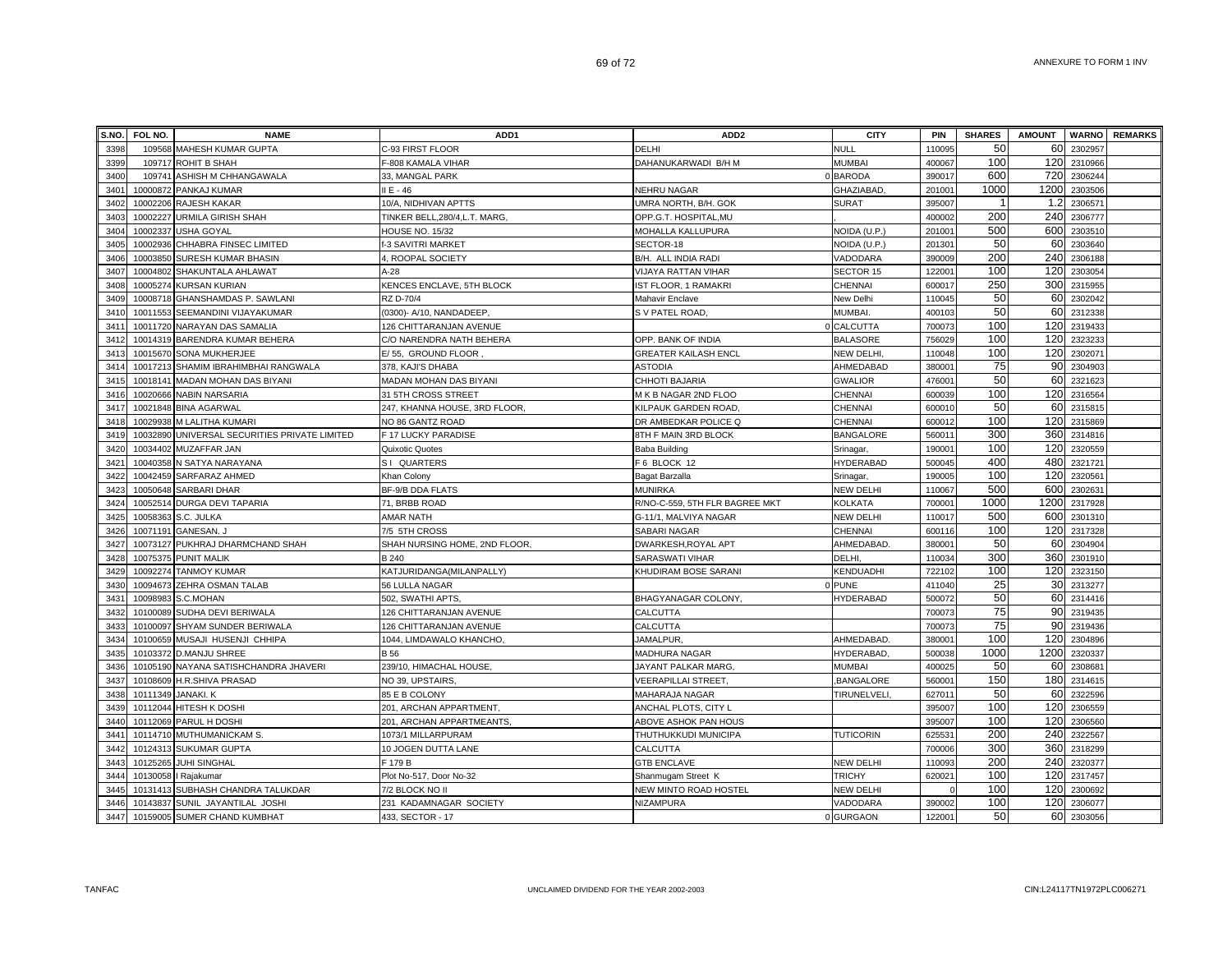| S.NO. | FOL NO.            | <b>NAME</b>                                   | ADD <sub>1</sub>              | ADD <sub>2</sub>               | <b>CITY</b>         | PIN                | <b>SHARES</b> | <b>AMOUNT</b> | <b>WARNO</b> | <b>REMARKS</b> |
|-------|--------------------|-----------------------------------------------|-------------------------------|--------------------------------|---------------------|--------------------|---------------|---------------|--------------|----------------|
| 3398  |                    | 109568 MAHESH KUMAR GUPTA                     | C-93 FIRST FLOOR              | DELHI                          | <b>NULL</b>         | 110095             | 50            | 60            | 2302957      |                |
| 3399  |                    | 109717 ROHIT B SHAH                           | F-808 KAMALA VIHAR            | DAHANUKARWADI B/H M            | <b>MUMBAI</b>       | 400067             | 100           | 120           | 2310966      |                |
| 3400  |                    | 109741 ASHISH M CHHANGAWALA                   | 33, MANGAL PARK               |                                | 0 BARODA            | 390017             | 600           | 720           | 2306244      |                |
| 3401  |                    | 10000872 PANKAJ KUMAR                         | II E - 46                     | <b>NEHRU NAGAR</b>             | <b>GHAZIABAD</b>    | 201001             | 1000          | 1200          | 2303506      |                |
| 3402  |                    | 10002206 RAJESH KAKAR                         | 10/A, NIDHIVAN APTTS          | JMRA NORTH, B/H. GOK           | SURAT               | 395007             |               | 1.2           | 2306571      |                |
| 3403  |                    | 10002227 URMILA GIRISH SHAH                   | TINKER BELL,280/4,L.T. MARG,  | OPP.G.T. HOSPITAL, MU          |                     | 400002             | 200           | 240           | 2306777      |                |
| 3404  |                    | 10002337 USHA GOYAL                           | <b>HOUSE NO. 15/32</b>        | MOHALLA KALLUPURA              | NOIDA (U.P.)        | 20100 <sup>-</sup> | 500           | 600           | 2303510      |                |
| 3405  | 10002936           | CHHABRA FINSEC LIMITED                        | -3 SAVITRI MARKET             | SECTOR-18                      | NOIDA (U.P.)        | 20130              | 50            | 60            | 2303640      |                |
| 3406  |                    | 10003850 SURESH KUMAR BHASIN                  | 4, ROOPAL SOCIETY             | B/H. ALL INDIA RADI            | VADODARA            | 390009             | 200           | 240           | 2306188      |                |
| 3407  | 10004802           | SHAKUNTALA AHLAWAT                            | $A - 28$                      | <b>VIJAYA RATTAN VIHAR</b>     | SECTOR 15           | 12200 <sup>-</sup> | 100           | 120           | 2303054      |                |
| 3408  |                    | 10005274 KURSAN KURIAN                        | KENCES ENCLAVE, 5TH BLOCK     | IST FLOOR, 1 RAMAKRI           | CHENNAI             | 600017             | 250           | 300           | 2315955      |                |
| 3409  |                    | 10008718 GHANSHAMDAS P. SAWLANI               | RZ D-70/4                     | Mahavir Enclave                | New Delhi           | 110045             | 50            | 60            | 2302042      |                |
| 3410  |                    | 10011553 SEEMANDINI VIJAYAKUMAR               | (0300)- A/10, NANDADEEP,      | S V PATEL ROAD,                | MUMBAI.             | 400103             | 50            | 60            | 2312338      |                |
| 3411  |                    | 10011720 NARAYAN DAS SAMALIA                  | 126 CHITTARANJAN AVENUE       |                                | 0 CALCUTTA          | 700073             | 100           | 120           | 2319433      |                |
| 3412  |                    | 10014319 BARENDRA KUMAR BEHERA                | C/O NARENDRA NATH BEHERA      | OPP. BANK OF INDIA             | <b>BALASORE</b>     | 756029             | 100           | 120           | 2323233      |                |
| 3413  |                    | 10015670 SONA MUKHERJEE                       | E/55, GROUND FLOOR            | GREATER KAILASH ENCL           | <b>NEW DELHI</b>    | 110048             | 100           | 120           | 2302071      |                |
| 3414  |                    | 10017213 SHAMIM IBRAHIMBHAI RANGWALA          | 378, KAJI'S DHABA             | <b>ASTODIA</b>                 | AHMEDABAD           | 38000 <sup>-</sup> | 75            | 90            | 2304903      |                |
| 3415  |                    | 10018141 MADAN MOHAN DAS BIYANI               | MADAN MOHAN DAS BIYANI        | CHHOTI BAJARIA                 | <b>GWALIOR</b>      | 47600 <sup>-</sup> | 50            | 60            | 2321623      |                |
| 3416  |                    | 10020666 NABIN NARSARIA                       | 31 5TH CROSS STREET           | M K B NAGAR 2ND FLOO           | <b>CHENNAI</b>      | 600039             | 100           | 120           | 2316564      |                |
| 3417  |                    | 10021848 BINA AGARWAL                         | 247, KHANNA HOUSE, 3RD FLOOR, | KILPAUK GARDEN ROAD            | CHENNAI             | 600010             | 50            | 60            | 2315815      |                |
| 3418  |                    | 10029938 M LALITHA KUMARI                     | NO 86 GANTZ ROAD              | DR AMBEDKAR POLICE Q           | CHENNAI             | 60001              | 100           | 120           | 2315869      |                |
| 3419  |                    | 10032890 UNIVERSAL SECURITIES PRIVATE LIMITED | F 17 LUCKY PARADISE           | 8TH F MAIN 3RD BLOCK           | <b>BANGALORE</b>    | 56001              | 300           | 360           | 2314816      |                |
| 3420  |                    | 10034402 MUZAFFAR JAN                         | Quixotic Quotes               | Baba Building                  | Srinagar            | 19000              | 100           | 120           | 2320559      |                |
| 3421  |                    | 10040358 N SATYA NARAYANA                     | SI QUARTERS                   | F 6 BLOCK 12                   | <b>HYDERABAD</b>    | 500045             | 400           | 480           | 2321721      |                |
| 3422  |                    | 10042459 SARFARAZ AHMED                       | Khan Colony                   | Bagat Barzalla                 | Srinagar            | 19000              | 100           | 120           | 2320561      |                |
| 3423  |                    | 10050648 SARBARI DHAR                         | BF-9/B DDA FLATS              | <b>MUNIRKA</b>                 | <b>NEW DELHI</b>    | 110067             | 500           | 600           | 2302631      |                |
| 3424  |                    | 10052514 DURGA DEVI TAPARIA                   | 71, BRBB ROAD                 | R/NO-C-559, 5TH FLR BAGREE MKT | <b>KOLKATA</b>      | 70000 <sup>-</sup> | 1000          | 1200          | 2317928      |                |
| 3425  |                    | 10058363 S.C. JULKA                           | <b>AMAR NATH</b>              | G-11/1, MALVIYA NAGAR          | <b>NEW DELHI</b>    | 110017             | 500           | 600           | 2301310      |                |
| 3426  |                    | 10071191 GANESAN. J                           | 7/5 5TH CROSS                 | SABARI NAGAR                   | CHENNAI             | 600116             | 100           | 120           | 2317328      |                |
| 3427  |                    | 10073127 PUKHRAJ DHARMCHAND SHAH              | SHAH NURSING HOME, 2ND FLOOR, | DWARKESH, ROYAL APT            | AHMEDABAD           | 38000              | 50            | 60            | 2304904      |                |
| 3428  |                    | 10075375 PUNIT MALIK                          | B 240                         | <b>SARASWATI VIHAR</b>         | DELHI.              | 110034             | 300           | 360           | 2301910      |                |
| 3429  |                    | 10092274 TANMOY KUMAR                         | KATJURIDANGA(MILANPALLY)      | KHUDIRAM BOSE SARANI           | KENDUADHI           | 722102             | 100           | 120           | 2323150      |                |
| 3430  |                    | 10094673 ZEHRA OSMAN TALAB                    | 56 LULLA NAGAR                |                                | 0 PUNE              | 411040             | 25            | 30            | 2313277      |                |
| 3431  | 10098983           | S.C.MOHAN                                     | 502, SWATHI APTS,             | BHAGYANAGAR COLONY             | HYDERABAD           | 500072             | 50            | 60            | 2314416      |                |
| 3432  |                    | 10100089 SUDHA DEVI BERIWALA                  | 126 CHITTARANJAN AVENUE       | CALCUTTA                       |                     | 700073             | 75            | 90            | 2319435      |                |
| 3433  |                    | 10100097 SHYAM SUNDER BERIWALA                | 126 CHITTARANJAN AVENUE       | CALCUTTA                       |                     | 700073             | 75            | 90            | 2319436      |                |
| 3434  |                    | 10100659 MUSAJI HUSENJI CHHIPA                | 1044, LIMDAWALO KHANCHO.      | JAMALPUR.                      | AHMEDABAD.          | 38000 <sup>-</sup> | 100           | 120           | 2304896      |                |
| 3435  |                    | 10103372 D.MANJU SHREE                        | B 56                          | MADHURA NAGAR                  | HYDERABAD,          | 500038             | 1000          | 1200          | 2320337      |                |
| 3436  |                    | 10105190 NAYANA SATISHCHANDRA JHAVERI         | 239/10, HIMACHAL HOUSE,       | JAYANT PALKAR MARG,            | <b>MUMBAI</b>       | 400025             | 50            | 60            | 2308681      |                |
| 3437  |                    | 10108609 H.R.SHIVA PRASAD                     | NO 39, UPSTAIRS               | VEERAPILLAI STREET.            | BANGALORE           | 560001             | 150           | 180           | 2314615      |                |
| 3438  | 10111349 JANAKI. K |                                               | 85 E B COLONY                 | MAHARAJA NAGAR                 | <b>TIRUNELVELI.</b> | 62701              | 50            | 60            | 2322596      |                |
| 3439  |                    | 10112044 HITESH K DOSHI                       | 201, ARCHAN APPARTMENT.       | ANCHAL PLOTS, CITY L           |                     | 395007             | 100           | 120           | 2306559      |                |
| 3440  |                    | 10112069 PARUL H DOSHI                        | 201, ARCHAN APPARTMEANTS.     | ABOVE ASHOK PAN HOUS           |                     | 395007             | 100           | 120           | 2306560      |                |
| 3441  |                    | 10114710 MUTHUMANICKAM S.                     | 1073/1 MILLARPURAM            | THUTHUKKUDI MUNICIPA           | <b>TUTICORIN</b>    | 62553              | 200           | 240           | 2322567      |                |
| 3442  | 10124313           | <b>SUKUMAR GUPTA</b>                          | 10 JOGEN DUTTA LANE           | CALCUTTA                       |                     | 700006             | 300           | 360           | 2318299      |                |
| 3443  |                    | 10125265 JUHI SINGHAL                         | F 179 B                       | <b>GTB ENCLAVE</b>             | <b>NEW DELHI</b>    | 110093             | 200           | 240           | 2320377      |                |
| 3444  |                    | 10130058   Rajakumar                          | Plot No-517, Door No-32       | Shanmugam Street K             | <b>TRICHY</b>       | 62002              | 100           | 120           | 2317457      |                |
| 3445  |                    | 10131413 SUBHASH CHANDRA TALUKDAR             | 7/2 BLOCK NO II               | NEW MINTO ROAD HOSTEL          | <b>NEW DELHI</b>    |                    | 100           | 120           | 2300692      |                |
| 3446  |                    | 10143837 SUNIL JAYANTILAL JOSHI               | 231 KADAMNAGAR SOCIETY        | NIZAMPURA                      | VADODARA            | 390002             | 100           | 120           | 2306077      |                |
| 3447  |                    | 10159005 SUMER CHAND KUMBHAT                  | 433, SECTOR - 17              |                                | 0 GURGAON           | 122001             | 50            | 60            | 2303056      |                |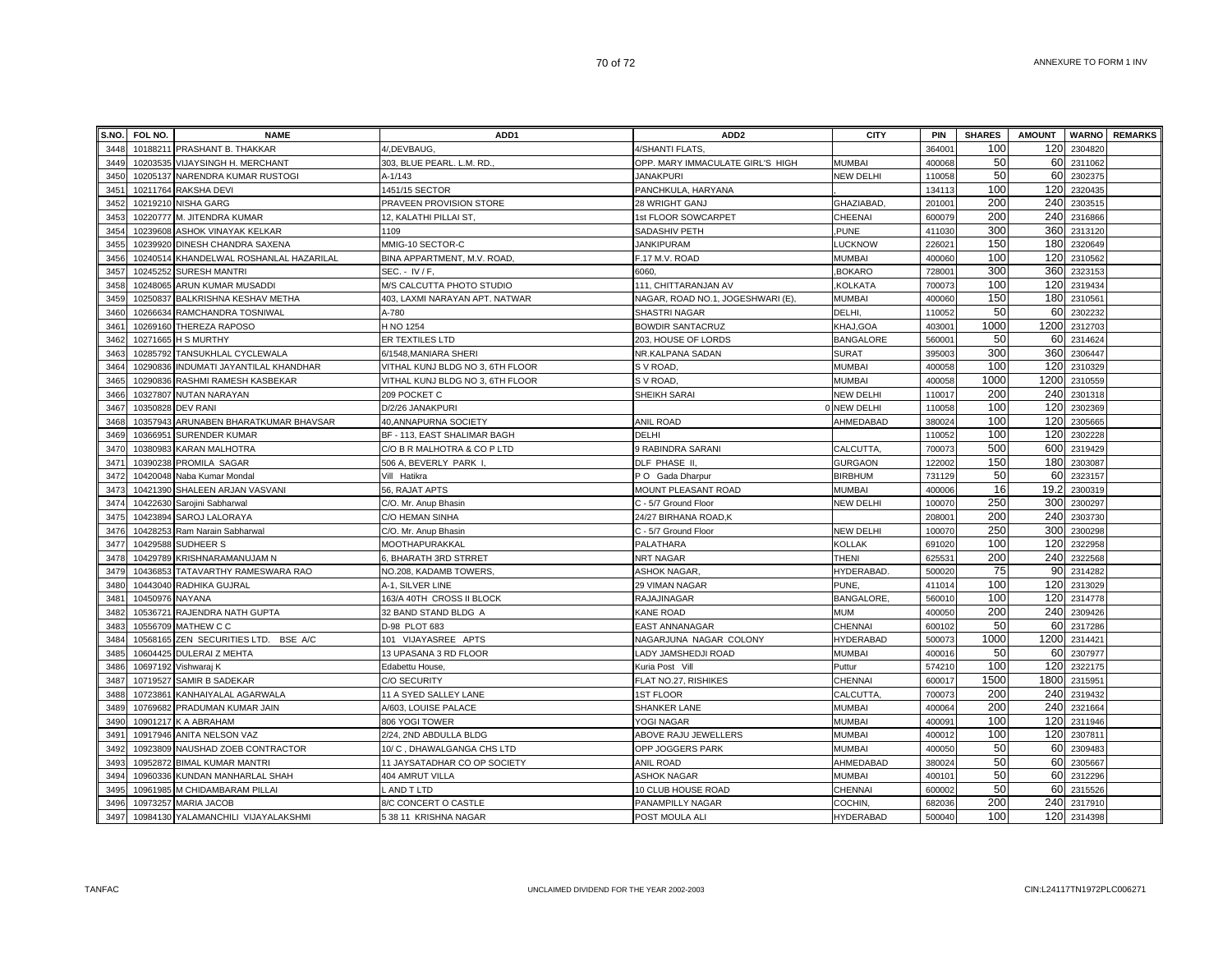| S.NO. | FOL NO.           | <b>NAME</b>                             | ADD <sub>1</sub>                 | ADD <sub>2</sub>                 | <b>CITY</b>      | <b>PIN</b>         | <b>SHARES</b> | <b>AMOUNT</b> |         | <b>WARNO REMARKS</b> |
|-------|-------------------|-----------------------------------------|----------------------------------|----------------------------------|------------------|--------------------|---------------|---------------|---------|----------------------|
| 3448  |                   | 10188211 PRASHANT B. THAKKAR            | 4/.DEVBAUG.                      | 4/SHANTI FLATS                   |                  | 36400              | 100           | 120           | 2304820 |                      |
| 3449  |                   | 10203535 VIJAYSINGH H. MERCHANT         | 303, BLUE PEARL. L.M. RD.        | OPP. MARY IMMACULATE GIRL'S HIGH | <b>MUMBAI</b>    | 400068             | 50            | 60            | 2311062 |                      |
| 3450  |                   | 10205137 NARENDRA KUMAR RUSTOGI         | A-1/143                          | <b>JANAKPURI</b>                 | <b>NEW DELHI</b> | 110058             | 50            | 60            | 2302375 |                      |
| 3451  |                   | 10211764 RAKSHA DEVI                    | 1451/15 SECTOR                   | PANCHKULA, HARYANA               |                  | 134113             | 100           | 120           | 2320435 |                      |
| 3452  |                   | 10219210 NISHA GARG                     | PRAVEEN PROVISION STORE          | 28 WRIGHT GANJ                   | <b>GHAZIABAD</b> | 201001             | 200           | 240           | 2303515 |                      |
| 3453  |                   | 10220777 M. JITENDRA KUMAR              | 12, KALATHI PILLAI ST.           | 1st FLOOR SOWCARPET              | CHEENAI          | 600079             | 200           | 240           | 2316866 |                      |
| 3454  | 10239608          | <b>ASHOK VINAYAK KELKAR</b>             | 1109                             | SADASHIV PETH                    | PUNE.            | 411030             | 300           | 360           | 2313120 |                      |
| 3455  |                   | 10239920 DINESH CHANDRA SAXENA          | MMIG-10 SECTOR-C                 | <b>JANKIPURAM</b>                | <b>LUCKNOW</b>   | 22602              | 150           | 180           | 2320649 |                      |
| 3456  |                   | 10240514 KHANDELWAL ROSHANLAL HAZARILAL | BINA APPARTMENT, M.V. ROAD.      | F.17 M.V. ROAD                   | <b>MUMBAI</b>    | 400060             | 100           | 120           | 2310562 |                      |
| 3457  |                   | 10245252 SURESH MANTRI                  | SEC. - IV / F.                   | 6060.                            | BOKARO,          | 72800 <sup>-</sup> | 300           | 360           | 2323153 |                      |
| 3458  |                   | 10248065 ARUN KUMAR MUSADDI             | M/S CALCUTTA PHOTO STUDIO        | 111, CHITTARANJAN AV             | KOLKATA,         | 700073             | 100           | 120           | 2319434 |                      |
| 3459  |                   | 10250837 BALKRISHNA KESHAV METHA        | 403, LAXMI NARAYAN APT. NATWAR   | NAGAR, ROAD NO.1, JOGESHWARI (E) | <b>MUMBAI</b>    | 400060             | 150           | 180           | 2310561 |                      |
| 3460  |                   | 10266634 RAMCHANDRA TOSNIWAL            | A-780                            | SHASTRI NAGAR                    | DELHI.           | 110052             | 50            | 60            | 2302232 |                      |
| 3461  |                   | 10269160 THEREZA RAPOSO                 | H NO 1254                        | <b>BOWDIR SANTACRUZ</b>          | KHAJ, GOA        | 403001             | 1000          | 1200          | 2312703 |                      |
| 3462  |                   | 10271665 H S MURTHY                     | ER TEXTILES LTD                  | 203, HOUSE OF LORDS              | <b>BANGALORE</b> | 560001             | 50            | 60            | 2314624 |                      |
| 3463  |                   | 10285792 TANSUKHLAL CYCLEWALA           | 6/1548, MANIARA SHERI            | NR.KALPANA SADAN                 | <b>SURAT</b>     | 395003             | 300           | 360           | 2306447 |                      |
| 3464  |                   | 10290836 INDUMATI JAYANTILAL KHANDHAR   | VITHAL KUNJ BLDG NO 3, 6TH FLOOR | S V ROAD.                        | <b>MUMBAI</b>    | 400058             | 100           | 120           | 2310329 |                      |
| 3465  |                   | 10290836 RASHMI RAMESH KASBEKAR         | VITHAL KUNJ BLDG NO 3, 6TH FLOOR | S V ROAD,                        | <b>MUMBAI</b>    | 400058             | 1000          | 1200          | 2310559 |                      |
| 3466  |                   | 10327807 NUTAN NARAYAN                  | 209 POCKET C                     | SHEIKH SARAI                     | <b>NEW DELHI</b> | 110017             | 200           | 240           | 2301318 |                      |
| 3467  | 10350828 DEV RANI |                                         | D/2/26 JANAKPURI                 |                                  | 0 NEW DELHI      | 110058             | 100           | 120           | 2302369 |                      |
| 3468  |                   | 10357943 ARUNABEN BHARATKUMAR BHAVSAR   | 40, ANNAPURNA SOCIETY            | <b>ANIL ROAD</b>                 | AHMEDABAD        | 380024             | 100           | 120           | 2305665 |                      |
| 3469  | 10366951          | <b>SURENDER KUMAR</b>                   | BF - 113, EAST SHALIMAR BAGH     | <b>DELHI</b>                     |                  | 110052             | 100           | 120           | 2302228 |                      |
| 3470  |                   | 10380983 KARAN MALHOTRA                 | C/O B R MALHOTRA & CO P LTD      | 9 RABINDRA SARANI                | CALCUTTA,        | 70007              | 500           | 600           | 2319429 |                      |
| 3471  |                   | 10390238 PROMILA SAGAR                  | 506 A, BEVERLY PARK I.           | DLF PHASE II.                    | <b>GURGAON</b>   | 122002             | 150           | 180           | 2303087 |                      |
| 3472  |                   | 10420048 Naba Kumar Mondal              | Vill Hatikra                     | P O Gada Dharpur                 | <b>BIRBHUM</b>   | 731129             | 50            | 60            | 2323157 |                      |
| 3473  |                   | 10421390 SHALEEN ARJAN VASVANI          | 56, RAJAT APTS                   | MOUNT PLEASANT ROAD              | <b>MUMBAI</b>    | 400006             | 16            | 19.2          | 2300319 |                      |
| 3474  |                   | 10422630 Sarojini Sabharwal             | C/O. Mr. Anup Bhasin             | C - 5/7 Ground Floor             | <b>NEW DELHI</b> | 100070             | 250           | 300           | 2300297 |                      |
| 3475  |                   | 10423894 SAROJ LALORAYA                 | C/O HEMAN SINHA                  | 24/27 BIRHANA ROAD,K             |                  | 208001             | 200           | 240           | 2303730 |                      |
| 3476  |                   | 10428253 Ram Narain Sabharwal           | C/O. Mr. Anup Bhasin             | C - 5/7 Ground Floor             | <b>NEW DELHI</b> | 100070             | 250           | 300           | 2300298 |                      |
| 3477  |                   | 10429588 SUDHEER S                      | MOOTHAPURAKKAL                   | PALATHARA                        | <b>KOLLAK</b>    | 691020             | 100           | 120           | 2322958 |                      |
| 3478  |                   | 10429789 KRISHNARAMANUJAM N             | , BHARATH 3RD STRRET             | NRT NAGAR                        | <b>THENI</b>     | 62553              | 200           | 240           | 2322568 |                      |
| 3479  | 10436853          | TATAVARTHY RAMESWARA RAO                | NO.208, KADAMB TOWERS            | ASHOK NAGAR                      | HYDERABAD.       | 500020             | 75            | 90            | 2314282 |                      |
| 3480  |                   | 10443040 RADHIKA GUJRAL                 | A-1, SILVER LINE                 | 29 VIMAN NAGAR                   | PUNE,            | 411014             | 100           | 120           | 2313029 |                      |
| 3481  | 10450976 NAYANA   |                                         | 163/A 40TH CROSS II BLOCK        | RAJAJINAGAR                      | BANGALORE,       | 560010             | 100           | 120           | 2314778 |                      |
| 3482  |                   | 10536721 RAJENDRA NATH GUPTA            | 32 BAND STAND BLDG A             | <b>KANE ROAD</b>                 | <b>MUM</b>       | 400050             | 200           | 240           | 2309426 |                      |
| 3483  |                   | 10556709 MATHEW C C                     | D-98 PLOT 683                    | <b>EAST ANNANAGAR</b>            | CHENNAI          | 600102             | 50            | 60            | 2317286 |                      |
| 3484  |                   | 10568165 ZEN SECURITIES LTD. BSE A/C    | 101 VIJAYASREE APTS              | NAGARJUNA NAGAR COLONY           | <b>HYDERABAD</b> | 500073             | 1000          | 1200          | 2314421 |                      |
| 3485  |                   | 10604425 DULERAI Z MEHTA                | 13 UPASANA 3 RD FLOOR            | LADY JAMSHEDJI ROAD              | <b>MUMBAI</b>    | 400016             | 50            | 60            | 2307977 |                      |
| 3486  |                   | 10697192 Vishwaraj K                    | Edabettu House                   | Kuria Post Vill                  | Puttur           | 574210             | 100           | 120           | 2322175 |                      |
| 3487  |                   | 10719527 SAMIR B SADEKAR                | <b>C/O SECURITY</b>              | FLAT NO.27, RISHIKES             | CHENNAI          | 600017             | 1500          | 1800          | 2315951 |                      |
| 3488  |                   | 10723861 KANHAIYALAL AGARWALA           | 11 A SYED SALLEY LANE            | <b>1ST FLOOR</b>                 | CALCUTTA         | 700073             | 200           | 240           | 2319432 |                      |
| 3489  |                   | 10769682 PRADUMAN KUMAR JAIN            | A/603, LOUISE PALACE             | SHANKER LANE                     | <b>MUMBAI</b>    | 400064             | 200           | 240           | 2321664 |                      |
| 3490  |                   | 10901217 K A ABRAHAM                    | 806 YOGI TOWER                   | YOGI NAGAR                       | <b>MUMBAI</b>    | 40009 <sup>-</sup> | 100           | 120           | 2311946 |                      |
| 3491  |                   | 10917946 ANITA NELSON VAZ               | 2/24, 2ND ABDULLA BLDG           | ABOVE RAJU JEWELLERS             | <b>MUMBAI</b>    | 400012             | 100           | 120           | 230781  |                      |
| 3492  |                   | 10923809 NAUSHAD ZOEB CONTRACTOR        | 10/ C, DHAWALGANGA CHS LTD       | OPP JOGGERS PARK                 | <b>MUMBAI</b>    | 400050             | 50            | 60            | 2309483 |                      |
| 3493  |                   | 10952872 BIMAL KUMAR MANTRI             | 11 JAYSATADHAR CO OP SOCIETY     | <b>ANIL ROAD</b>                 | AHMEDABAD        | 380024             | 50            | 60            | 2305667 |                      |
| 3494  | 10960336          | KUNDAN MANHARLAL SHAH                   | 404 AMRUT VILLA                  | ASHOK NAGAR                      | <b>MUMBAI</b>    | 40010 <sup>-</sup> | 50            | 60            | 2312296 |                      |
| 3495  |                   | 10961985 M CHIDAMBARAM PILLAI           | _ AND T LTD                      | 10 CLUB HOUSE ROAD               | CHENNAI          | 600002             | 50            | 60            | 2315526 |                      |
| 3496  |                   | 10973257 MARIA JACOB                    | 8/C CONCERT O CASTLE             | PANAMPILLY NAGAR                 | COCHIN,          | 682036             | 200           | 240           | 2317910 |                      |
| 3497  |                   | 10984130 YALAMANCHILI VIJAYALAKSHMI     | 538 11 KRISHNA NAGAR             | POST MOULA ALI                   | <b>HYDERABAD</b> | 500040             | 100           | 120           | 2314398 |                      |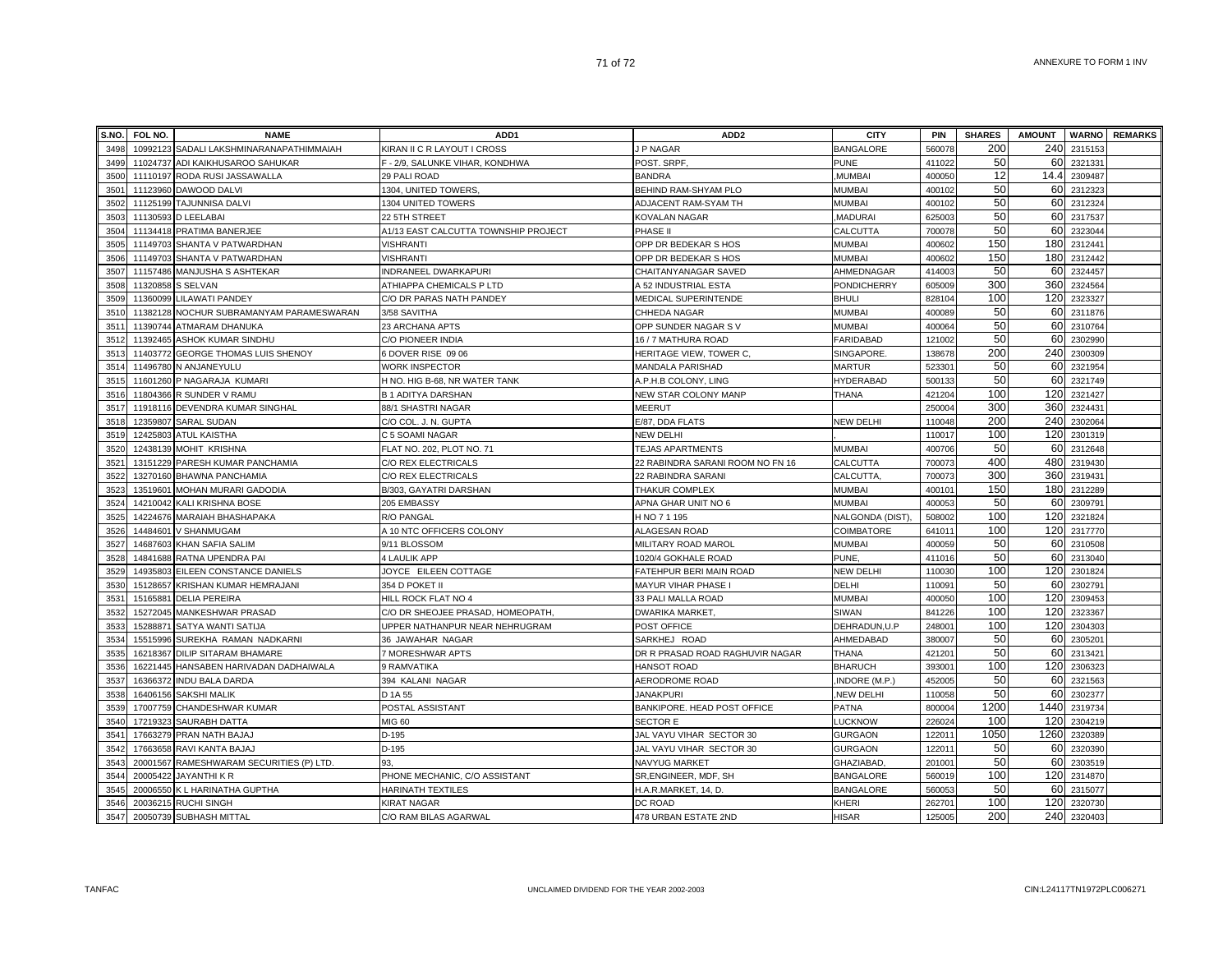| S.NO. | FOL NO.  | <b>NAME</b>                            | ADD <sub>1</sub>                     | ADD <sub>2</sub>                 | <b>CITY</b>        | <b>PIN</b>         | <b>SHARES</b> | <b>AMOUNT</b> |         | <b>WARNO</b> REMARKS |
|-------|----------|----------------------------------------|--------------------------------------|----------------------------------|--------------------|--------------------|---------------|---------------|---------|----------------------|
| 3498  | 10992123 | SADALI LAKSHMINARANAPATHIMMAIAH        | KIRAN II C R LAYOUT I CROSS          | J P NAGAR                        | <b>BANGALORE</b>   | 560078             | 200           | 240           | 231515  |                      |
| 3499  | 11024737 | ADI KAIKHUSAROO SAHUKAR                | F - 2/9, SALUNKE VIHAR, KONDHWA      | POST. SRPF,                      | <b>PUNE</b>        | 411022             | 50            | 60            | 2321331 |                      |
| 3500  | 11110197 | RODA RUSI JASSAWALLA                   | 29 PALI ROAD                         | <b>BANDRA</b>                    | <b>MUMBAI</b>      | 400050             | 12            | 14.4          | 2309487 |                      |
| 3501  |          | 11123960 DAWOOD DALVI                  | 1304, UNITED TOWERS,                 | BEHIND RAM-SHYAM PLO             | <b>MUMBAI</b>      | 400102             | 50            | 60            | 2312323 |                      |
| 3502  |          | 11125199 TAJUNNISA DALVI               | 1304 UNITED TOWERS                   | ADJACENT RAM-SYAM TH             | <b>MUMBAI</b>      | 400102             | 50            | 60            | 2312324 |                      |
| 3503  | 11130593 | <b>D LEELABAI</b>                      | 22 5TH STREET                        | KOVALAN NAGAR                    | <b>MADURAI</b>     | 62500              | 50            | 60            | 2317537 |                      |
| 3504  |          | 11134418 PRATIMA BANERJEE              | A1/13 EAST CALCUTTA TOWNSHIP PROJECT | PHASE II                         | CALCUTTA           | 700078             | 50            | 60            | 2323044 |                      |
| 3505  |          | 11149703 SHANTA V PATWARDHAN           | <b>VISHRANTI</b>                     | OPP DR BEDEKAR S HOS             | <b>MUMBAI</b>      | 400602             | 150           | 180           | 2312441 |                      |
| 3506  |          | 11149703 SHANTA V PATWARDHAN           | VISHRANTI                            | OPP DR BEDEKAR S HOS             | <b>MUMBAI</b>      | 400602             | 150           | 180           | 2312442 |                      |
| 3507  |          | 11157486 MANJUSHA S ASHTEKAR           | INDRANEEL DWARKAPURI                 | CHAITANYANAGAR SAVED             | AHMEDNAGAR         | 41400              | 50            | 60            | 2324457 |                      |
| 3508  | 11320858 | <b>S SELVAN</b>                        | ATHIAPPA CHEMICALS P LTD             | 4 52 INDUSTRIAL ESTA             | <b>PONDICHERRY</b> | 605009             | 300           | 360           | 2324564 |                      |
| 3509  | 11360099 | LILAWATI PANDEY                        | C/O DR PARAS NATH PANDEY             | MEDICAL SUPERINTENDE             | <b>BHULI</b>       | 82810              | 100           | 120           | 232332  |                      |
| 3510  | 11382128 | NOCHUR SUBRAMANYAM PARAMESWARAN        | 3/58 SAVITHA                         | CHHEDA NAGAR                     | <b>MUMBAI</b>      | 400089             | 50            | 60            | 2311876 |                      |
| 351'  | 11390744 | ATMARAM DHANUKA                        | 23 ARCHANA APTS                      | OPP SUNDER NAGAR SV              | <b>MUMBAI</b>      | 400064             | 50            | 60            | 2310764 |                      |
| 3512  | 11392465 | ASHOK KUMAR SINDHU                     | C/O PIONEER INDIA                    | 16 / 7 MATHURA ROAD              | <b>FARIDABAD</b>   | 121002             | 50            | 60            | 2302990 |                      |
| 3513  | 11403772 | GEORGE THOMAS LUIS SHENOY              | 6 DOVER RISE 09 06                   | HERITAGE VIEW, TOWER C,          | SINGAPORE.         | 13867              | 200           | 240           | 2300309 |                      |
| 3514  |          | 11496780 N ANJANEYULU                  | <b>WORK INSPECTOR</b>                | <b>MANDALA PARISHAD</b>          | <b>MARTUR</b>      | 52330 <sup>-</sup> | 50            | 60            | 2321954 |                      |
| 3515  |          | 11601260 P NAGARAJA KUMARI             | H NO. HIG B-68, NR WATER TANK        | A.P.H.B COLONY, LING             | HYDERABAD          | 500133             | 50            | 60            | 2321749 |                      |
| 3516  |          | 11804366 R SUNDER V RAMU               | <b>B 1 ADITYA DARSHAN</b>            | NEW STAR COLONY MANP             | THANA              | 421204             | 100           | 120           | 2321427 |                      |
| 3517  |          | 11918116 DEVENDRA KUMAR SINGHAL        | 88/1 SHASTRI NAGAR                   | MEERUT                           |                    | 250004             | 300           | 360           | 232443  |                      |
| 3518  | 12359807 | <b>SARAL SUDAN</b>                     | C/O COL. J. N. GUPTA                 | E/87, DDA FLATS                  | <b>NEW DELHI</b>   | 110048             | 200           | 240           | 2302064 |                      |
| 3519  | 12425803 | <b>ATUL KAISTHA</b>                    | C 5 SOAMI NAGAR                      | <b>NEW DELHI</b>                 |                    | 110017             | 100           | 120           | 2301319 |                      |
| 3520  | 12438139 | MOHIT KRISHNA                          | FLAT NO. 202, PLOT NO. 71            | <b>TEJAS APARTMENTS</b>          | <b>MUMBAI</b>      | 400706             | 50            | 60            | 2312648 |                      |
| 3521  |          | 13151229 PARESH KUMAR PANCHAMIA        | C/O REX ELECTRICALS                  | 22 RABINDRA SARANI ROOM NO FN 16 | CALCUTTA           | 700073             | 400           | 480           | 2319430 |                      |
| 3522  |          | 13270160 BHAWNA PANCHAMIA              | C/O REX ELECTRICALS                  | 22 RABINDRA SARANI               | CALCUTTA           | 700073             | 300           | 360           | 2319431 |                      |
| 352   | 13519601 | MOHAN MURARI GADODIA                   | B/303, GAYATRI DARSHAN               | THAKUR COMPLEX                   | <b>MUMBAI</b>      | 40010 <sup>-</sup> | 150           | 180           | 2312289 |                      |
| 3524  | 14210042 | KALI KRISHNA BOSE                      | 205 EMBASSY                          | APNA GHAR UNIT NO 6              | MUMBAI             | 40005              | 50            | 60            | 2309791 |                      |
| 3525  | 14224676 | MARAIAH BHASHAPAKA                     | R/O PANGAL                           | H NO 7 1 195                     | NALGONDA (DIST)    | 508002             | 100           | 120           | 2321824 |                      |
| 3526  | 14484601 | V SHANMUGAM                            | A 10 NTC OFFICERS COLONY             | ALAGESAN ROAD                    | COIMBATORE         | 64101              | 100           | 120           | 2317770 |                      |
| 3527  | 14687603 | <b>KHAN SAFIA SALIM</b>                | 9/11 BLOSSOM                         | MILITARY ROAD MAROL              | <b>MUMBAI</b>      | 400059             | 50            | 60            | 2310508 |                      |
| 3528  |          | 14841688 RATNA UPENDRA PAI             | <b>4 LAULIK APP</b>                  | 1020/4 GOKHALE ROAD              | PUNE.              | 411016             | 50            | 60            | 2313040 |                      |
| 3529  | 14935803 | EILEEN CONSTANCE DANIELS               | JOYCE EILEEN COTTAGE                 | FATEHPUR BERI MAIN ROAD          | <b>NEW DELHI</b>   | 11003              | 100           | 120           | 2301824 |                      |
| 3530  | 15128657 | KRISHAN KUMAR HEMRAJANI                | 354 D POKET II                       | MAYUR VIHAR PHASE                | DELHI              | 11009              | 50            | 60            | 230279  |                      |
| 353'  | 15165881 | <b>DELIA PEREIRA</b>                   | HILL ROCK FLAT NO 4                  | 33 PALI MALLA ROAD               | <b>MUMBAI</b>      | 400050             | 100           | 120           | 2309453 |                      |
| 3532  | 15272045 | MANKESHWAR PRASAD                      | C/O DR SHEOJEE PRASAD, HOMEOPATH,    | <b>DWARIKA MARKET</b>            | SIWAN              | 841226             | 100           | 120           | 2323367 |                      |
| 353   | 15288871 | SATYA WANTI SATIJA                     | UPPER NATHANPUR NEAR NEHRUGRAM       | POST OFFICE                      | DEHRADUN, U.P      | 24800              | 100           | 120           | 2304303 |                      |
| 3534  | 15515996 | SUREKHA RAMAN NADKARNI                 | 36 JAWAHAR NAGAR                     | SARKHEJ ROAD                     | AHMEDABAD          | 380007             | 50            | 60            | 2305201 |                      |
| 3535  |          | 16218367 DILIP SITARAM BHAMARE         | 7 MORESHWAR APTS                     | DR R PRASAD ROAD RAGHUVIR NAGAR  | THANA              | 42120 <sup>-</sup> | 50            | 60            | 2313421 |                      |
| 3536  |          | 16221445 HANSABEN HARIVADAN DADHAIWALA | 9 RAMVATIKA                          | <b>HANSOT ROAD</b>               | <b>BHARUCH</b>     | 39300              | 100           | 120           | 2306323 |                      |
| 3537  |          | 16366372 INDU BALA DARDA               | 394 KALANI NAGAR                     | AERODROME ROAD                   | INDORE (M.P.)      | 452005             | 50            | 60            | 2321563 |                      |
| 3538  |          | 16406156 SAKSHI MALIK                  | D 1A 55                              | <b>JANAKPURI</b>                 | <b>NEW DELHI</b>   | 110058             | 50            | 60            | 2302377 |                      |
| 3539  |          | 17007759 CHANDESHWAR KUMAR             | POSTAL ASSISTANT                     | BANKIPORE. HEAD POST OFFICE      | <b>PATNA</b>       | 800004             | 1200          | 1440          | 2319734 |                      |
| 3540  | 17219323 | SAURABH DATTA                          | MIG 60                               | <b>SECTOR E</b>                  | LUCKNOW            | 22602              | 100           | 120           | 2304219 |                      |
| 3541  |          | 17663279 PRAN NATH BAJAJ               | D-195                                | JAL VAYU VIHAR SECTOR 30         | <b>GURGAON</b>     | 12201              | 1050          | 1260          | 232038  |                      |
| 3542  | 17663658 | RAVI KANTA BAJAJ                       | D-195                                | JAL VAYU VIHAR SECTOR 30         | <b>GURGAON</b>     | 12201              | 50            | 60            | 2320390 |                      |
| 3543  | 20001567 | RAMESHWARAM SECURITIES (P) LTD.        | 93.                                  | NAVYUG MARKET                    | <b>GHAZIABAD</b>   | 20100              | 50            | 60            | 2303519 |                      |
| 3544  | 20005422 | JAYANTHI K R                           | PHONE MECHANIC, C/O ASSISTANT        | SR, ENGINEER, MDF, SH            | <b>BANGALORE</b>   | 560019             | 100           | 120           | 2314870 |                      |
| 3545  |          | 20006550 K L HARINATHA GUPTHA          | HARINATH TEXTILES                    | H.A.R.MARKET, 14, D.             | <b>BANGALORE</b>   | 56005              | 50            | 60            | 2315077 |                      |
| 3546  |          | 20036215 RUCHI SINGH                   | <b>KIRAT NAGAR</b>                   | <b>DC ROAD</b>                   | KHERI              | 26270              | 100           | 120           | 2320730 |                      |
| 3547  |          | 20050739 SUBHASH MITTAL                | C/O RAM BILAS AGARWAL                | 478 URBAN ESTATE 2ND             | <b>HISAR</b>       | 125005             | 200           | 240           | 2320403 |                      |